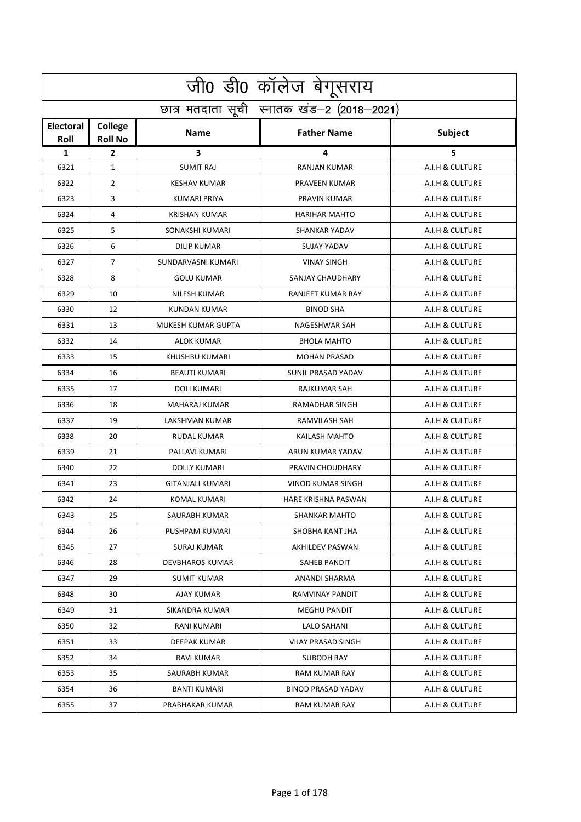|                          | जी0 डी0 कॉलेज बेगूसराय                     |                           |                            |                 |  |  |
|--------------------------|--------------------------------------------|---------------------------|----------------------------|-----------------|--|--|
|                          | छात्र मतदाता सूची स्नातक खंड-2 (2018-2021) |                           |                            |                 |  |  |
| <b>Electoral</b><br>Roll | College<br><b>Roll No</b>                  | <b>Name</b>               | <b>Father Name</b>         | <b>Subject</b>  |  |  |
| 1                        | $\mathbf{2}$                               | $\overline{\mathbf{3}}$   | 4                          | 5               |  |  |
| 6321                     | $\mathbf{1}$                               | <b>SUMIT RAJ</b>          | <b>RANJAN KUMAR</b>        | A.I.H & CULTURE |  |  |
| 6322                     | $\overline{2}$                             | <b>KESHAV KUMAR</b>       | PRAVEEN KUMAR              | A.I.H & CULTURE |  |  |
| 6323                     | 3                                          | <b>KUMARI PRIYA</b>       | <b>PRAVIN KUMAR</b>        | A.I.H & CULTURE |  |  |
| 6324                     | $\overline{4}$                             | <b>KRISHAN KUMAR</b>      | <b>HARIHAR MAHTO</b>       | A.I.H & CULTURE |  |  |
| 6325                     | 5                                          | SONAKSHI KUMARI           | <b>SHANKAR YADAV</b>       | A.I.H & CULTURE |  |  |
| 6326                     | 6                                          | <b>DILIP KUMAR</b>        | <b>SUJAY YADAV</b>         | A.I.H & CULTURE |  |  |
| 6327                     | $\overline{7}$                             | SUNDARVASNI KUMARI        | <b>VINAY SINGH</b>         | A.I.H & CULTURE |  |  |
| 6328                     | 8                                          | <b>GOLU KUMAR</b>         | <b>SANJAY CHAUDHARY</b>    | A.I.H & CULTURE |  |  |
| 6329                     | 10                                         | NILESH KUMAR              | RANJEET KUMAR RAY          | A.I.H & CULTURE |  |  |
| 6330                     | 12                                         | <b>KUNDAN KUMAR</b>       | <b>BINOD SHA</b>           | A.I.H & CULTURE |  |  |
| 6331                     | 13                                         | <b>MUKESH KUMAR GUPTA</b> | <b>NAGESHWAR SAH</b>       | A.I.H & CULTURE |  |  |
| 6332                     | 14                                         | ALOK KUMAR                | <b>BHOLA MAHTO</b>         | A.I.H & CULTURE |  |  |
| 6333                     | 15                                         | KHUSHBU KUMARI            | <b>MOHAN PRASAD</b>        | A.I.H & CULTURE |  |  |
| 6334                     | 16                                         | <b>BEAUTI KUMARI</b>      | SUNIL PRASAD YADAV         | A.I.H & CULTURE |  |  |
| 6335                     | 17                                         | <b>DOLI KUMARI</b>        | RAJKUMAR SAH               | A.I.H & CULTURE |  |  |
| 6336                     | 18                                         | MAHARAJ KUMAR             | RAMADHAR SINGH             | A.I.H & CULTURE |  |  |
| 6337                     | 19                                         | LAKSHMAN KUMAR            | <b>RAMVILASH SAH</b>       | A.I.H & CULTURE |  |  |
| 6338                     | 20                                         | RUDAL KUMAR               | KAILASH MAHTO              | A.I.H & CULTURE |  |  |
| 6339                     | 21                                         | PALLAVI KUMARI            | ARUN KUMAR YADAV           | A.I.H & CULTURE |  |  |
| 6340                     | 22                                         | <b>DOLLY KUMARI</b>       | PRAVIN CHOUDHARY           | A.I.H & CULTURE |  |  |
| 6341                     | 23                                         | <b>GITANJALI KUMARI</b>   | <b>VINOD KUMAR SINGH</b>   | A.I.H & CULTURE |  |  |
| 6342                     | 24                                         | KOMAL KUMARI              | <b>HARE KRISHNA PASWAN</b> | A.I.H & CULTURE |  |  |
| 6343                     | 25                                         | SAURABH KUMAR             | SHANKAR MAHTO              | A.I.H & CULTURE |  |  |
| 6344                     | 26                                         | PUSHPAM KUMARI            | SHOBHA KANT JHA            | A.I.H & CULTURE |  |  |
| 6345                     | 27                                         | SURAJ KUMAR               | AKHILDEV PASWAN            | A.I.H & CULTURE |  |  |
| 6346                     | 28                                         | DEVBHAROS KUMAR           | SAHEB PANDIT               | A.I.H & CULTURE |  |  |
| 6347                     | 29                                         | <b>SUMIT KUMAR</b>        | ANANDI SHARMA              | A.I.H & CULTURE |  |  |
| 6348                     | 30                                         | <b>AJAY KUMAR</b>         | RAMVINAY PANDIT            | A.I.H & CULTURE |  |  |
| 6349                     | 31                                         | <b>SIKANDRA KUMAR</b>     | <b>MEGHU PANDIT</b>        | A.I.H & CULTURE |  |  |
| 6350                     | 32                                         | RANI KUMARI               | LALO SAHANI                | A.I.H & CULTURE |  |  |
| 6351                     | 33                                         | DEEPAK KUMAR              | <b>VIJAY PRASAD SINGH</b>  | A.I.H & CULTURE |  |  |
| 6352                     | 34                                         | RAVI KUMAR                | SUBODH RAY                 | A.I.H & CULTURE |  |  |
| 6353                     | 35                                         | SAURABH KUMAR             | <b>RAM KUMAR RAY</b>       | A.I.H & CULTURE |  |  |
| 6354                     | 36                                         | <b>BANTI KUMARI</b>       | <b>BINOD PRASAD YADAV</b>  | A.I.H & CULTURE |  |  |
| 6355                     | 37                                         | PRABHAKAR KUMAR           | RAM KUMAR RAY              | A.I.H & CULTURE |  |  |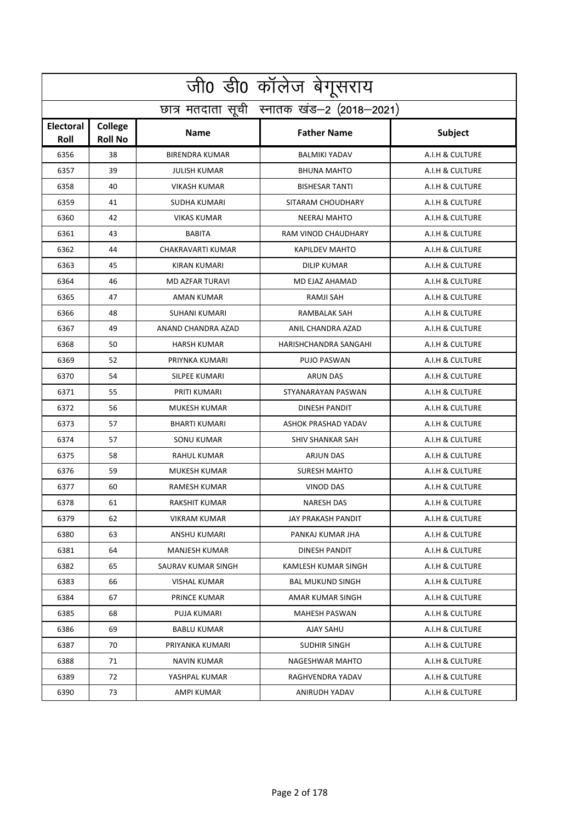|                          | जी0 डी0 कॉलेज बेगूसराय                     |                        |                         |                 |  |  |
|--------------------------|--------------------------------------------|------------------------|-------------------------|-----------------|--|--|
|                          | छात्र मतदाता सूची स्नातक खंड-2 (2018-2021) |                        |                         |                 |  |  |
| <b>Electoral</b><br>Roll | College<br><b>Roll No</b>                  | <b>Name</b>            | <b>Father Name</b>      | Subject         |  |  |
| 6356                     | 38                                         | <b>BIRENDRA KUMAR</b>  | <b>BALMIKI YADAV</b>    | A.I.H & CULTURE |  |  |
| 6357                     | 39                                         | <b>JULISH KUMAR</b>    | <b>BHUNA MAHTO</b>      | A.I.H & CULTURE |  |  |
| 6358                     | 40                                         | <b>VIKASH KUMAR</b>    | <b>BISHESAR TANTI</b>   | A.I.H & CULTURE |  |  |
| 6359                     | 41                                         | <b>SUDHA KUMARI</b>    | SITARAM CHOUDHARY       | A.I.H & CULTURE |  |  |
| 6360                     | 42                                         | <b>VIKAS KUMAR</b>     | <b>NEERAJ MAHTO</b>     | A.I.H & CULTURE |  |  |
| 6361                     | 43                                         | <b>BABITA</b>          | RAM VINOD CHAUDHARY     | A.I.H & CULTURE |  |  |
| 6362                     | 44                                         | CHAKRAVARTI KUMAR      | <b>KAPILDEV MAHTO</b>   | A.I.H & CULTURE |  |  |
| 6363                     | 45                                         | KIRAN KUMARI           | <b>DILIP KUMAR</b>      | A.I.H & CULTURE |  |  |
| 6364                     | 46                                         | <b>MD AZFAR TURAVI</b> | MD EJAZ AHAMAD          | A.I.H & CULTURE |  |  |
| 6365                     | 47                                         | <b>AMAN KUMAR</b>      | <b>RAMJI SAH</b>        | A.I.H & CULTURE |  |  |
| 6366                     | 48                                         | <b>SUHANI KUMARI</b>   | <b>RAMBALAK SAH</b>     | A.I.H & CULTURE |  |  |
| 6367                     | 49                                         | ANAND CHANDRA AZAD     | ANIL CHANDRA AZAD       | A.I.H & CULTURE |  |  |
| 6368                     | 50                                         | <b>HARSH KUMAR</b>     | HARISHCHANDRA SANGAHI   | A.I.H & CULTURE |  |  |
| 6369                     | 52                                         | PRIYNKA KUMARI         | PUJO PASWAN             | A.I.H & CULTURE |  |  |
| 6370                     | 54                                         | SILPEE KUMARI          | <b>ARUN DAS</b>         | A.I.H & CULTURE |  |  |
| 6371                     | 55                                         | PRITI KUMARI           | STYANARAYAN PASWAN      | A.I.H & CULTURE |  |  |
| 6372                     | 56                                         | <b>MUKESH KUMAR</b>    | DINESH PANDIT           | A.I.H & CULTURE |  |  |
| 6373                     | 57                                         | <b>BHARTI KUMARI</b>   | ASHOK PRASHAD YADAV     | A.I.H & CULTURE |  |  |
| 6374                     | 57                                         | <b>SONU KUMAR</b>      | <b>SHIV SHANKAR SAH</b> | A.I.H & CULTURE |  |  |
| 6375                     | 58                                         | <b>RAHUL KUMAR</b>     | <b>ARJUN DAS</b>        | A.I.H & CULTURE |  |  |
| 6376                     | 59                                         | <b>MUKESH KUMAR</b>    | <b>SURESH MAHTO</b>     | A.I.H & CULTURE |  |  |
| 6377                     | 60                                         | RAMESH KUMAR           | <b>VINOD DAS</b>        | A.I.H & CULTURE |  |  |
| 6378                     | 61                                         | RAKSHIT KUMAR          | <b>NARESH DAS</b>       | A.I.H & CULTURE |  |  |
| 6379                     | 62                                         | VIKRAM KUMAR           | JAY PRAKASH PANDIT      | A.I.H & CULTURE |  |  |
| 6380                     | 63                                         | ANSHU KUMARI           | PANKAJ KUMAR JHA        | A.I.H & CULTURE |  |  |
| 6381                     | 64                                         | <b>MANJESH KUMAR</b>   | DINESH PANDIT           | A.I.H & CULTURE |  |  |
| 6382                     | 65                                         | SAURAV KUMAR SINGH     | KAMLESH KUMAR SINGH     | A.I.H & CULTURE |  |  |
| 6383                     | 66                                         | <b>VISHAL KUMAR</b>    | <b>BAL MUKUND SINGH</b> | A.I.H & CULTURE |  |  |
| 6384                     | 67                                         | PRINCE KUMAR           | AMAR KUMAR SINGH        | A.I.H & CULTURE |  |  |
| 6385                     | 68                                         | PUJA KUMARI            | <b>MAHESH PASWAN</b>    | A.I.H & CULTURE |  |  |
| 6386                     | 69                                         | <b>BABLU KUMAR</b>     | AJAY SAHU               | A.I.H & CULTURE |  |  |
| 6387                     | 70                                         | PRIYANKA KUMARI        | SUDHIR SINGH            | A.I.H & CULTURE |  |  |
| 6388                     | 71                                         | NAVIN KUMAR            | NAGESHWAR MAHTO         | A.I.H & CULTURE |  |  |
| 6389                     | 72                                         | YASHPAL KUMAR          | RAGHVENDRA YADAV        | A.I.H & CULTURE |  |  |
| 6390                     | 73                                         | AMPI KUMAR             | ANIRUDH YADAV           | A.I.H & CULTURE |  |  |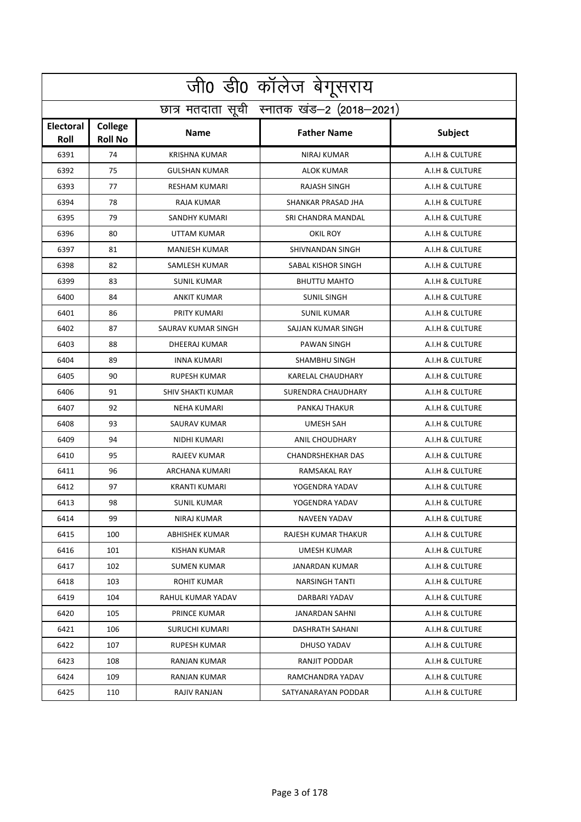|                          | <u>जी</u> 0 डी0 कॉलेज बेगूसराय             |                          |                           |                 |  |  |
|--------------------------|--------------------------------------------|--------------------------|---------------------------|-----------------|--|--|
|                          | छात्र मतदाता सूची स्नातक खंड-2 (2018-2021) |                          |                           |                 |  |  |
| <b>Electoral</b><br>Roll | College<br><b>Roll No</b>                  | <b>Name</b>              | <b>Father Name</b>        | Subject         |  |  |
| 6391                     | 74                                         | <b>KRISHNA KUMAR</b>     | <b>NIRAJ KUMAR</b>        | A.I.H & CULTURE |  |  |
| 6392                     | 75                                         | <b>GULSHAN KUMAR</b>     | <b>ALOK KUMAR</b>         | A.I.H & CULTURE |  |  |
| 6393                     | 77                                         | <b>RESHAM KUMARI</b>     | RAJASH SINGH              | A.I.H & CULTURE |  |  |
| 6394                     | 78                                         | <b>RAJA KUMAR</b>        | <b>SHANKAR PRASAD JHA</b> | A.I.H & CULTURE |  |  |
| 6395                     | 79                                         | SANDHY KUMARI            | SRI CHANDRA MANDAL        | A.I.H & CULTURE |  |  |
| 6396                     | 80                                         | <b>UTTAM KUMAR</b>       | <b>OKIL ROY</b>           | A.I.H & CULTURE |  |  |
| 6397                     | 81                                         | <b>MANJESH KUMAR</b>     | SHIVNANDAN SINGH          | A.I.H & CULTURE |  |  |
| 6398                     | 82                                         | SAMLESH KUMAR            | <b>SABAL KISHOR SINGH</b> | A.I.H & CULTURE |  |  |
| 6399                     | 83                                         | <b>SUNIL KUMAR</b>       | <b>BHUTTU MAHTO</b>       | A.I.H & CULTURE |  |  |
| 6400                     | 84                                         | <b>ANKIT KUMAR</b>       | <b>SUNIL SINGH</b>        | A.I.H & CULTURE |  |  |
| 6401                     | 86                                         | PRITY KUMARI             | <b>SUNIL KUMAR</b>        | A.I.H & CULTURE |  |  |
| 6402                     | 87                                         | SAURAV KUMAR SINGH       | SAJJAN KUMAR SINGH        | A.I.H & CULTURE |  |  |
| 6403                     | 88                                         | DHEERAJ KUMAR            | <b>PAWAN SINGH</b>        | A.I.H & CULTURE |  |  |
| 6404                     | 89                                         | <b>INNA KUMARI</b>       | <b>SHAMBHU SINGH</b>      | A.I.H & CULTURE |  |  |
| 6405                     | 90                                         | <b>RUPESH KUMAR</b>      | KARELAL CHAUDHARY         | A.I.H & CULTURE |  |  |
| 6406                     | 91                                         | <b>SHIV SHAKTI KUMAR</b> | SURENDRA CHAUDHARY        | A.I.H & CULTURE |  |  |
| 6407                     | 92                                         | <b>NEHA KUMARI</b>       | PANKAJ THAKUR             | A.I.H & CULTURE |  |  |
| 6408                     | 93                                         | SAURAV KUMAR             | <b>UMESH SAH</b>          | A.I.H & CULTURE |  |  |
| 6409                     | 94                                         | NIDHI KUMARI             | <b>ANIL CHOUDHARY</b>     | A.I.H & CULTURE |  |  |
| 6410                     | 95                                         | <b>RAJEEV KUMAR</b>      | <b>CHANDRSHEKHAR DAS</b>  | A.I.H & CULTURE |  |  |
| 6411                     | 96                                         | ARCHANA KUMARI           | RAMSAKAL RAY              | A.I.H & CULTURE |  |  |
| 6412                     | 97                                         | <b>KRANTI KUMARI</b>     | YOGENDRA YADAV            | A.I.H & CULTURE |  |  |
| 6413                     | 98                                         | <b>SUNIL KUMAR</b>       | YOGENDRA YADAV            | A.I.H & CULTURE |  |  |
| 6414                     | 99                                         | NIRAJ KUMAR              | NAVEEN YADAV              | A.I.H & CULTURE |  |  |
| 6415                     | 100                                        | ABHISHEK KUMAR           | RAJESH KUMAR THAKUR       | A.I.H & CULTURE |  |  |
| 6416                     | 101                                        | KISHAN KUMAR             | UMESH KUMAR               | A.I.H & CULTURE |  |  |
| 6417                     | 102                                        | <b>SUMEN KUMAR</b>       | JANARDAN KUMAR            | A.I.H & CULTURE |  |  |
| 6418                     | 103                                        | <b>ROHIT KUMAR</b>       | <b>NARSINGH TANTI</b>     | A.I.H & CULTURE |  |  |
| 6419                     | 104                                        | RAHUL KUMAR YADAV        | DARBARI YADAV             | A.I.H & CULTURE |  |  |
| 6420                     | 105                                        | PRINCE KUMAR             | <b>JANARDAN SAHNI</b>     | A.I.H & CULTURE |  |  |
| 6421                     | 106                                        | <b>SURUCHI KUMARI</b>    | DASHRATH SAHANI           | A.I.H & CULTURE |  |  |
| 6422                     | 107                                        | RUPESH KUMAR             | DHUSO YADAV               | A.I.H & CULTURE |  |  |
| 6423                     | 108                                        | RANJAN KUMAR             | RANJIT PODDAR             | A.I.H & CULTURE |  |  |
| 6424                     | 109                                        | RANJAN KUMAR             | RAMCHANDRA YADAV          | A.I.H & CULTURE |  |  |
| 6425                     | 110                                        | RAJIV RANJAN             | SATYANARAYAN PODDAR       | A.I.H & CULTURE |  |  |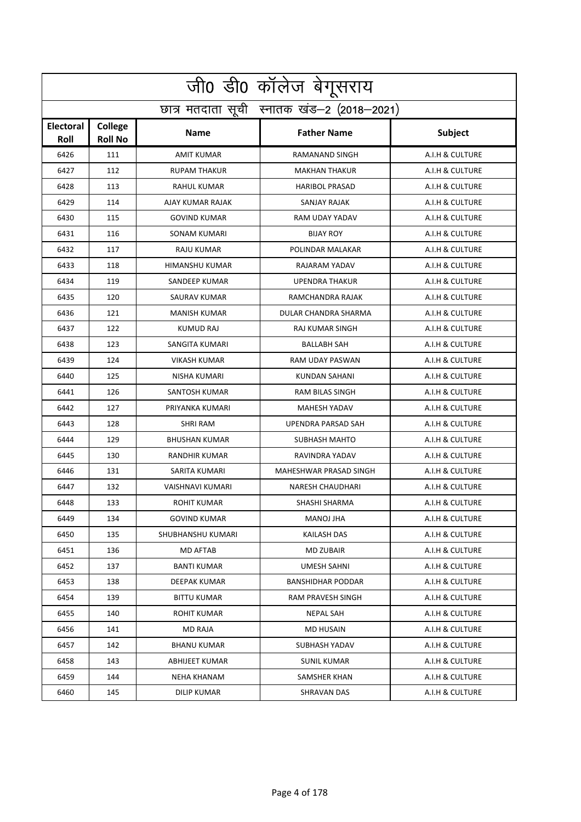|                          | जी0 डी0 कॉलेज बेगूसराय                     |                         |                             |                 |  |  |
|--------------------------|--------------------------------------------|-------------------------|-----------------------------|-----------------|--|--|
|                          | छात्र मतदाता सूची स्नातक खंड-2 (2018-2021) |                         |                             |                 |  |  |
| <b>Electoral</b><br>Roll | College<br><b>Roll No</b>                  | <b>Name</b>             | <b>Father Name</b>          | Subject         |  |  |
| 6426                     | 111                                        | <b>AMIT KUMAR</b>       | <b>RAMANAND SINGH</b>       | A.I.H & CULTURE |  |  |
| 6427                     | 112                                        | <b>RUPAM THAKUR</b>     | <b>MAKHAN THAKUR</b>        | A.I.H & CULTURE |  |  |
| 6428                     | 113                                        | <b>RAHUL KUMAR</b>      | <b>HARIBOL PRASAD</b>       | A.I.H & CULTURE |  |  |
| 6429                     | 114                                        | AJAY KUMAR RAJAK        | SANJAY RAJAK                | A.I.H & CULTURE |  |  |
| 6430                     | 115                                        | <b>GOVIND KUMAR</b>     | RAM UDAY YADAV              | A.I.H & CULTURE |  |  |
| 6431                     | 116                                        | <b>SONAM KUMARI</b>     | <b>BIJAY ROY</b>            | A.I.H & CULTURE |  |  |
| 6432                     | 117                                        | RAJU KUMAR              | POLINDAR MALAKAR            | A.I.H & CULTURE |  |  |
| 6433                     | 118                                        | <b>HIMANSHU KUMAR</b>   | RAJARAM YADAV               | A.I.H & CULTURE |  |  |
| 6434                     | 119                                        | SANDEEP KUMAR           | <b>UPENDRA THAKUR</b>       | A.I.H & CULTURE |  |  |
| 6435                     | 120                                        | <b>SAURAV KUMAR</b>     | RAMCHANDRA RAJAK            | A.I.H & CULTURE |  |  |
| 6436                     | 121                                        | <b>MANISH KUMAR</b>     | <b>DULAR CHANDRA SHARMA</b> | A.I.H & CULTURE |  |  |
| 6437                     | 122                                        | <b>KUMUD RAJ</b>        | <b>RAJ KUMAR SINGH</b>      | A.I.H & CULTURE |  |  |
| 6438                     | 123                                        | SANGITA KUMARI          | <b>BALLABH SAH</b>          | A.I.H & CULTURE |  |  |
| 6439                     | 124                                        | <b>VIKASH KUMAR</b>     | RAM UDAY PASWAN             | A.I.H & CULTURE |  |  |
| 6440                     | 125                                        | NISHA KUMARI            | KUNDAN SAHANI               | A.I.H & CULTURE |  |  |
| 6441                     | 126                                        | SANTOSH KUMAR           | <b>RAM BILAS SINGH</b>      | A.I.H & CULTURE |  |  |
| 6442                     | 127                                        | PRIYANKA KUMARI         | <b>MAHESH YADAV</b>         | A.I.H & CULTURE |  |  |
| 6443                     | 128                                        | <b>SHRI RAM</b>         | UPENDRA PARSAD SAH          | A.I.H & CULTURE |  |  |
| 6444                     | 129                                        | <b>BHUSHAN KUMAR</b>    | <b>SUBHASH MAHTO</b>        | A.I.H & CULTURE |  |  |
| 6445                     | 130                                        | RANDHIR KUMAR           | RAVINDRA YADAV              | A.I.H & CULTURE |  |  |
| 6446                     | 131                                        | SARITA KUMARI           | MAHESHWAR PRASAD SINGH      | A.I.H & CULTURE |  |  |
| 6447                     | 132                                        | <b>VAISHNAVI KUMARI</b> | <b>NARESH CHAUDHARI</b>     | A.I.H & CULTURE |  |  |
| 6448                     | 133                                        | <b>ROHIT KUMAR</b>      | SHASHI SHARMA               | A.I.H & CULTURE |  |  |
| 6449                     | 134                                        | <b>GOVIND KUMAR</b>     | MANOJ JHA                   | A.I.H & CULTURE |  |  |
| 6450                     | 135                                        | SHUBHANSHU KUMARI       | KAILASH DAS                 | A.I.H & CULTURE |  |  |
| 6451                     | 136                                        | MD AFTAB                | <b>MD ZUBAIR</b>            | A.I.H & CULTURE |  |  |
| 6452                     | 137                                        | <b>BANTI KUMAR</b>      | <b>UMESH SAHNI</b>          | A.I.H & CULTURE |  |  |
| 6453                     | 138                                        | DEEPAK KUMAR            | <b>BANSHIDHAR PODDAR</b>    | A.I.H & CULTURE |  |  |
| 6454                     | 139                                        | <b>BITTU KUMAR</b>      | RAM PRAVESH SINGH           | A.I.H & CULTURE |  |  |
| 6455                     | 140                                        | ROHIT KUMAR             | NEPAL SAH                   | A.I.H & CULTURE |  |  |
| 6456                     | 141                                        | <b>MD RAJA</b>          | <b>MD HUSAIN</b>            | A.I.H & CULTURE |  |  |
| 6457                     | 142                                        | <b>BHANU KUMAR</b>      | SUBHASH YADAV               | A.I.H & CULTURE |  |  |
| 6458                     | 143                                        | ABHIJEET KUMAR          | <b>SUNIL KUMAR</b>          | A.I.H & CULTURE |  |  |
| 6459                     | 144                                        | <b>NEHA KHANAM</b>      | SAMSHER KHAN                | A.I.H & CULTURE |  |  |
| 6460                     | 145                                        | DILIP KUMAR             | SHRAVAN DAS                 | A.I.H & CULTURE |  |  |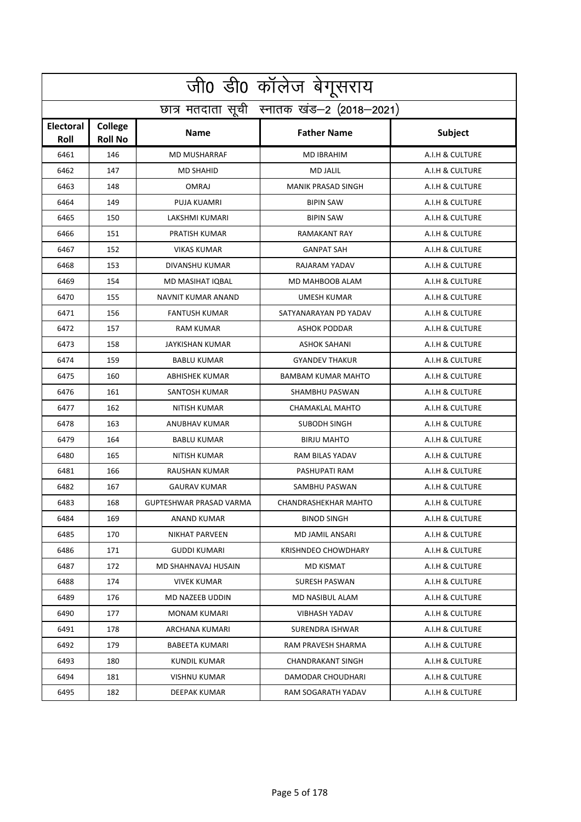|                          | जी0 डी0 कॉलेज बेगूसराय                     |                                |                            |                 |  |  |
|--------------------------|--------------------------------------------|--------------------------------|----------------------------|-----------------|--|--|
|                          | छात्र मतदाता सूची स्नातक खंड-2 (2018-2021) |                                |                            |                 |  |  |
| <b>Electoral</b><br>Roll | College<br><b>Roll No</b>                  | <b>Name</b>                    | <b>Father Name</b>         | Subject         |  |  |
| 6461                     | 146                                        | <b>MD MUSHARRAF</b>            | <b>MD IBRAHIM</b>          | A.I.H & CULTURE |  |  |
| 6462                     | 147                                        | <b>MD SHAHID</b>               | <b>MD JALIL</b>            | A.I.H & CULTURE |  |  |
| 6463                     | 148                                        | <b>OMRAJ</b>                   | <b>MANIK PRASAD SINGH</b>  | A.I.H & CULTURE |  |  |
| 6464                     | 149                                        | <b>PUJA KUAMRI</b>             | <b>BIPIN SAW</b>           | A.I.H & CULTURE |  |  |
| 6465                     | 150                                        | LAKSHMI KUMARI                 | <b>BIPIN SAW</b>           | A.I.H & CULTURE |  |  |
| 6466                     | 151                                        | PRATISH KUMAR                  | <b>RAMAKANT RAY</b>        | A.I.H & CULTURE |  |  |
| 6467                     | 152                                        | <b>VIKAS KUMAR</b>             | <b>GANPAT SAH</b>          | A.I.H & CULTURE |  |  |
| 6468                     | 153                                        | DIVANSHU KUMAR                 | RAJARAM YADAV              | A.I.H & CULTURE |  |  |
| 6469                     | 154                                        | MD MASIHAT IQBAL               | MD MAHBOOB ALAM            | A.I.H & CULTURE |  |  |
| 6470                     | 155                                        | NAVNIT KUMAR ANAND             | <b>UMESH KUMAR</b>         | A.I.H & CULTURE |  |  |
| 6471                     | 156                                        | <b>FANTUSH KUMAR</b>           | SATYANARAYAN PD YADAV      | A.I.H & CULTURE |  |  |
| 6472                     | 157                                        | <b>RAM KUMAR</b>               | <b>ASHOK PODDAR</b>        | A.I.H & CULTURE |  |  |
| 6473                     | 158                                        | <b>JAYKISHAN KUMAR</b>         | <b>ASHOK SAHANI</b>        | A.I.H & CULTURE |  |  |
| 6474                     | 159                                        | <b>BABLU KUMAR</b>             | <b>GYANDEV THAKUR</b>      | A.I.H & CULTURE |  |  |
| 6475                     | 160                                        | <b>ABHISHEK KUMAR</b>          | <b>BAMBAM KUMAR MAHTO</b>  | A.I.H & CULTURE |  |  |
| 6476                     | 161                                        | SANTOSH KUMAR                  | SHAMBHU PASWAN             | A.I.H & CULTURE |  |  |
| 6477                     | 162                                        | <b>NITISH KUMAR</b>            | <b>CHAMAKLAL MAHTO</b>     | A.I.H & CULTURE |  |  |
| 6478                     | 163                                        | ANUBHAV KUMAR                  | <b>SUBODH SINGH</b>        | A.I.H & CULTURE |  |  |
| 6479                     | 164                                        | <b>BABLU KUMAR</b>             | <b>BIRJU MAHTO</b>         | A.I.H & CULTURE |  |  |
| 6480                     | 165                                        | <b>NITISH KUMAR</b>            | <b>RAM BILAS YADAV</b>     | A.I.H & CULTURE |  |  |
| 6481                     | 166                                        | <b>RAUSHAN KUMAR</b>           | PASHUPATI RAM              | A.I.H & CULTURE |  |  |
| 6482                     | 167                                        | <b>GAURAV KUMAR</b>            | SAMBHU PASWAN              | A.I.H & CULTURE |  |  |
| 6483                     | 168                                        | <b>GUPTESHWAR PRASAD VARMA</b> | CHANDRASHEKHAR MAHTO       | A.I.H & CULTURE |  |  |
| 6484                     | 169                                        | ANAND KUMAR                    | <b>BINOD SINGH</b>         | A.I.H & CULTURE |  |  |
| 6485                     | 170                                        | NIKHAT PARVEEN                 | MD JAMIL ANSARI            | A.I.H & CULTURE |  |  |
| 6486                     | 171                                        | GUDDI KUMARI                   | <b>KRISHNDEO CHOWDHARY</b> | A.I.H & CULTURE |  |  |
| 6487                     | 172                                        | MD SHAHNAVAJ HUSAIN            | MD KISMAT                  | A.I.H & CULTURE |  |  |
| 6488                     | 174                                        | <b>VIVEK KUMAR</b>             | SURESH PASWAN              | A.I.H & CULTURE |  |  |
| 6489                     | 176                                        | MD NAZEEB UDDIN                | MD NASIBUL ALAM            | A.I.H & CULTURE |  |  |
| 6490                     | 177                                        | <b>MONAM KUMARI</b>            | <b>VIBHASH YADAV</b>       | A.I.H & CULTURE |  |  |
| 6491                     | 178                                        | ARCHANA KUMARI                 | SURENDRA ISHWAR            | A.I.H & CULTURE |  |  |
| 6492                     | 179                                        | BABEETA KUMARI                 | RAM PRAVESH SHARMA         | A.I.H & CULTURE |  |  |
| 6493                     | 180                                        | KUNDIL KUMAR                   | <b>CHANDRAKANT SINGH</b>   | A.I.H & CULTURE |  |  |
| 6494                     | 181                                        | <b>VISHNU KUMAR</b>            | DAMODAR CHOUDHARI          | A.I.H & CULTURE |  |  |
| 6495                     | 182                                        | DEEPAK KUMAR                   | RAM SOGARATH YADAV         | A.I.H & CULTURE |  |  |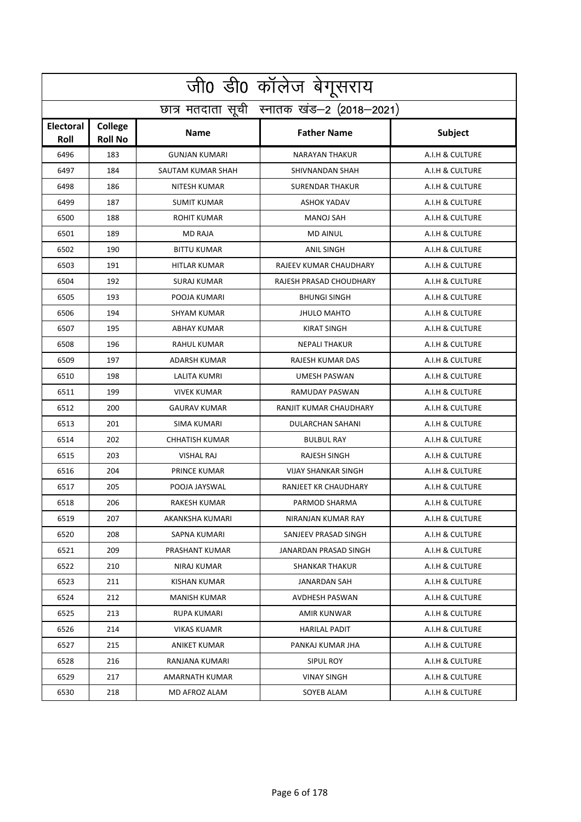|                          | .<br>जी0 डी0 कॉलेज बेगूसराय                |                       |                            |                 |  |  |
|--------------------------|--------------------------------------------|-----------------------|----------------------------|-----------------|--|--|
|                          | छात्र मतदाता सूची स्नातक खंड-2 (2018-2021) |                       |                            |                 |  |  |
| <b>Electoral</b><br>Roll | College<br><b>Roll No</b>                  | <b>Name</b>           | <b>Father Name</b>         | Subject         |  |  |
| 6496                     | 183                                        | <b>GUNJAN KUMARI</b>  | <b>NARAYAN THAKUR</b>      | A.I.H & CULTURE |  |  |
| 6497                     | 184                                        | SAUTAM KUMAR SHAH     | SHIVNANDAN SHAH            | A.I.H & CULTURE |  |  |
| 6498                     | 186                                        | <b>NITESH KUMAR</b>   | <b>SURENDAR THAKUR</b>     | A.I.H & CULTURE |  |  |
| 6499                     | 187                                        | <b>SUMIT KUMAR</b>    | <b>ASHOK YADAV</b>         | A.I.H & CULTURE |  |  |
| 6500                     | 188                                        | <b>ROHIT KUMAR</b>    | <b>MANOJ SAH</b>           | A.I.H & CULTURE |  |  |
| 6501                     | 189                                        | <b>MD RAJA</b>        | <b>MD AINUL</b>            | A.I.H & CULTURE |  |  |
| 6502                     | 190                                        | <b>BITTU KUMAR</b>    | <b>ANIL SINGH</b>          | A.I.H & CULTURE |  |  |
| 6503                     | 191                                        | <b>HITLAR KUMAR</b>   | RAJEEV KUMAR CHAUDHARY     | A.I.H & CULTURE |  |  |
| 6504                     | 192                                        | <b>SURAJ KUMAR</b>    | RAJESH PRASAD CHOUDHARY    | A.I.H & CULTURE |  |  |
| 6505                     | 193                                        | POOJA KUMARI          | <b>BHUNGI SINGH</b>        | A.I.H & CULTURE |  |  |
| 6506                     | 194                                        | <b>SHYAM KUMAR</b>    | <b>JHULO MAHTO</b>         | A.I.H & CULTURE |  |  |
| 6507                     | 195                                        | <b>ABHAY KUMAR</b>    | <b>KIRAT SINGH</b>         | A.I.H & CULTURE |  |  |
| 6508                     | 196                                        | <b>RAHUL KUMAR</b>    | <b>NEPALI THAKUR</b>       | A.I.H & CULTURE |  |  |
| 6509                     | 197                                        | <b>ADARSH KUMAR</b>   | RAJESH KUMAR DAS           | A.I.H & CULTURE |  |  |
| 6510                     | 198                                        | LALITA KUMRI          | <b>UMESH PASWAN</b>        | A.I.H & CULTURE |  |  |
| 6511                     | 199                                        | <b>VIVEK KUMAR</b>    | RAMUDAY PASWAN             | A.I.H & CULTURE |  |  |
| 6512                     | 200                                        | <b>GAURAV KUMAR</b>   | RANJIT KUMAR CHAUDHARY     | A.I.H & CULTURE |  |  |
| 6513                     | 201                                        | SIMA KUMARI           | DULARCHAN SAHANI           | A.I.H & CULTURE |  |  |
| 6514                     | 202                                        | <b>CHHATISH KUMAR</b> | <b>BULBUL RAY</b>          | A.I.H & CULTURE |  |  |
| 6515                     | 203                                        | <b>VISHAL RAJ</b>     | <b>RAJESH SINGH</b>        | A.I.H & CULTURE |  |  |
| 6516                     | 204                                        | PRINCE KUMAR          | <b>VIJAY SHANKAR SINGH</b> | A.I.H & CULTURE |  |  |
| 6517                     | 205                                        | POOJA JAYSWAL         | RANJEET KR CHAUDHARY       | A.I.H & CULTURE |  |  |
| 6518                     | 206                                        | RAKESH KUMAR          | PARMOD SHARMA              | A.I.H & CULTURE |  |  |
| 6519                     | 207                                        | AKANKSHA KUMARI       | NIRANJAN KUMAR RAY         | A.I.H & CULTURE |  |  |
| 6520                     | 208                                        | SAPNA KUMARI          | SANJEEV PRASAD SINGH       | A.I.H & CULTURE |  |  |
| 6521                     | 209                                        | PRASHANT KUMAR        | JANARDAN PRASAD SINGH      | A.I.H & CULTURE |  |  |
| 6522                     | 210                                        | NIRAJ KUMAR           | <b>SHANKAR THAKUR</b>      | A.I.H & CULTURE |  |  |
| 6523                     | 211                                        | KISHAN KUMAR          | <b>JANARDAN SAH</b>        | A.I.H & CULTURE |  |  |
| 6524                     | 212                                        | <b>MANISH KUMAR</b>   | <b>AVDHESH PASWAN</b>      | A.I.H & CULTURE |  |  |
| 6525                     | 213                                        | RUPA KUMARI           | AMIR KUNWAR                | A.I.H & CULTURE |  |  |
| 6526                     | 214                                        | <b>VIKAS KUAMR</b>    | <b>HARILAL PADIT</b>       | A.I.H & CULTURE |  |  |
| 6527                     | 215                                        | ANIKET KUMAR          | PANKAJ KUMAR JHA           | A.I.H & CULTURE |  |  |
| 6528                     | 216                                        | RANJANA KUMARI        | SIPUL ROY                  | A.I.H & CULTURE |  |  |
| 6529                     | 217                                        | AMARNATH KUMAR        | <b>VINAY SINGH</b>         | A.I.H & CULTURE |  |  |
| 6530                     | 218                                        | MD AFROZ ALAM         | SOYEB ALAM                 | A.I.H & CULTURE |  |  |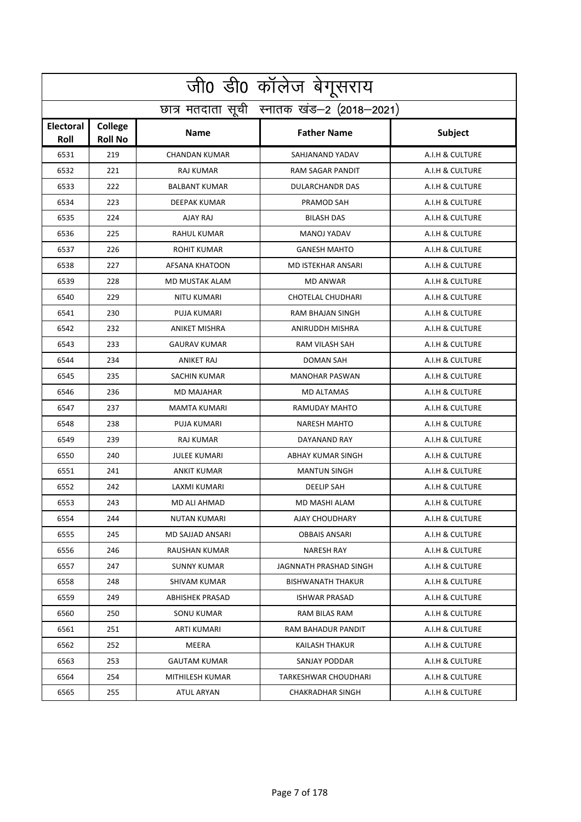|                          | जी0 डी0 कॉलेज बेगूसराय                     |                      |                          |                 |  |  |
|--------------------------|--------------------------------------------|----------------------|--------------------------|-----------------|--|--|
|                          | छात्र मतदाता सूची स्नातक खंड-2 (2018-2021) |                      |                          |                 |  |  |
| <b>Electoral</b><br>Roll | College<br><b>Roll No</b>                  | <b>Name</b>          | <b>Father Name</b>       | Subject         |  |  |
| 6531                     | 219                                        | <b>CHANDAN KUMAR</b> | SAHJANAND YADAV          | A.I.H & CULTURE |  |  |
| 6532                     | 221                                        | <b>RAJ KUMAR</b>     | RAM SAGAR PANDIT         | A.I.H & CULTURE |  |  |
| 6533                     | 222                                        | <b>BALBANT KUMAR</b> | <b>DULARCHANDR DAS</b>   | A.I.H & CULTURE |  |  |
| 6534                     | 223                                        | <b>DEEPAK KUMAR</b>  | PRAMOD SAH               | A.I.H & CULTURE |  |  |
| 6535                     | 224                                        | AJAY RAJ             | <b>BILASH DAS</b>        | A.I.H & CULTURE |  |  |
| 6536                     | 225                                        | <b>RAHUL KUMAR</b>   | <b>MANOJ YADAV</b>       | A.I.H & CULTURE |  |  |
| 6537                     | 226                                        | <b>ROHIT KUMAR</b>   | <b>GANESH MAHTO</b>      | A.I.H & CULTURE |  |  |
| 6538                     | 227                                        | AFSANA KHATOON       | MD ISTEKHAR ANSARI       | A.I.H & CULTURE |  |  |
| 6539                     | 228                                        | MD MUSTAK ALAM       | <b>MD ANWAR</b>          | A.I.H & CULTURE |  |  |
| 6540                     | 229                                        | NITU KUMARI          | <b>CHOTELAL CHUDHARI</b> | A.I.H & CULTURE |  |  |
| 6541                     | 230                                        | PUJA KUMARI          | RAM BHAJAN SINGH         | A.I.H & CULTURE |  |  |
| 6542                     | 232                                        | <b>ANIKET MISHRA</b> | ANIRUDDH MISHRA          | A.I.H & CULTURE |  |  |
| 6543                     | 233                                        | <b>GAURAV KUMAR</b>  | <b>RAM VILASH SAH</b>    | A.I.H & CULTURE |  |  |
| 6544                     | 234                                        | <b>ANIKET RAJ</b>    | <b>DOMAN SAH</b>         | A.I.H & CULTURE |  |  |
| 6545                     | 235                                        | <b>SACHIN KUMAR</b>  | <b>MANOHAR PASWAN</b>    | A.I.H & CULTURE |  |  |
| 6546                     | 236                                        | <b>MD MAJAHAR</b>    | <b>MD ALTAMAS</b>        | A.I.H & CULTURE |  |  |
| 6547                     | 237                                        | <b>MAMTA KUMARI</b>  | RAMUDAY MAHTO            | A.I.H & CULTURE |  |  |
| 6548                     | 238                                        | PUJA KUMARI          | <b>NARESH MAHTO</b>      | A.I.H & CULTURE |  |  |
| 6549                     | 239                                        | <b>RAJ KUMAR</b>     | DAYANAND RAY             | A.I.H & CULTURE |  |  |
| 6550                     | 240                                        | <b>JULEE KUMARI</b>  | <b>ABHAY KUMAR SINGH</b> | A.I.H & CULTURE |  |  |
| 6551                     | 241                                        | <b>ANKIT KUMAR</b>   | <b>MANTUN SINGH</b>      | A.I.H & CULTURE |  |  |
| 6552                     | 242                                        | LAXMI KUMARI         | <b>DEELIP SAH</b>        | A.I.H & CULTURE |  |  |
| 6553                     | 243                                        | MD ALI AHMAD         | <b>MD MASHI ALAM</b>     | A.I.H & CULTURE |  |  |
| 6554                     | 244                                        | NUTAN KUMARI         | AJAY CHOUDHARY           | A.I.H & CULTURE |  |  |
| 6555                     | 245                                        | MD SAJJAD ANSARI     | <b>OBBAIS ANSARI</b>     | A.I.H & CULTURE |  |  |
| 6556                     | 246                                        | RAUSHAN KUMAR        | <b>NARESH RAY</b>        | A.I.H & CULTURE |  |  |
| 6557                     | 247                                        | <b>SUNNY KUMAR</b>   | JAGNNATH PRASHAD SINGH   | A.I.H & CULTURE |  |  |
| 6558                     | 248                                        | SHIVAM KUMAR         | <b>BISHWANATH THAKUR</b> | A.I.H & CULTURE |  |  |
| 6559                     | 249                                        | ABHISHEK PRASAD      | <b>ISHWAR PRASAD</b>     | A.I.H & CULTURE |  |  |
| 6560                     | 250                                        | SONU KUMAR           | <b>RAM BILAS RAM</b>     | A.I.H & CULTURE |  |  |
| 6561                     | 251                                        | ARTI KUMARI          | RAM BAHADUR PANDIT       | A.I.H & CULTURE |  |  |
| 6562                     | 252                                        | MEERA                | KAILASH THAKUR           | A.I.H & CULTURE |  |  |
| 6563                     | 253                                        | <b>GAUTAM KUMAR</b>  | SANJAY PODDAR            | A.I.H & CULTURE |  |  |
| 6564                     | 254                                        | MITHILESH KUMAR      | TARKESHWAR CHOUDHARI     | A.I.H & CULTURE |  |  |
| 6565                     | 255                                        | ATUL ARYAN           | CHAKRADHAR SINGH         | A.I.H & CULTURE |  |  |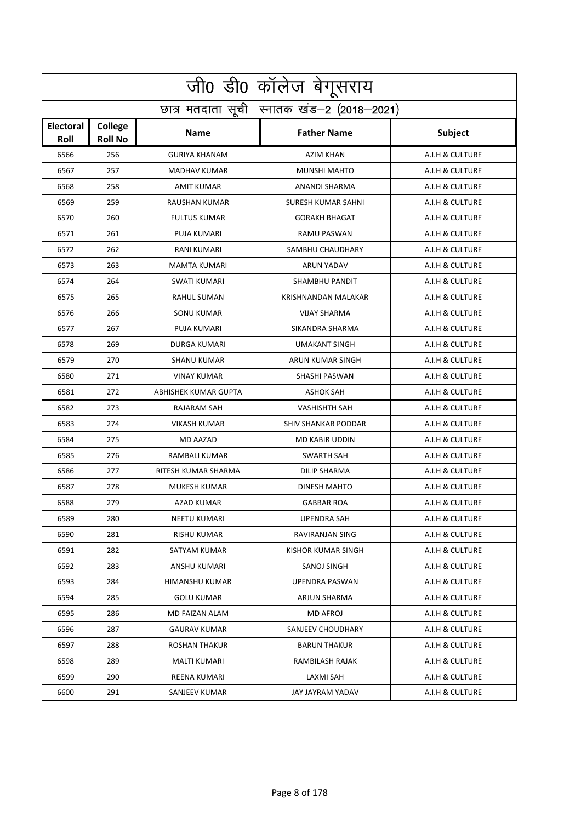|                          | जी0 डी0 कॉलेज बेगूसराय                     |                      |                            |                 |  |  |
|--------------------------|--------------------------------------------|----------------------|----------------------------|-----------------|--|--|
|                          | छात्र मतदाता सूची स्नातक खंड-2 (2018-2021) |                      |                            |                 |  |  |
| <b>Electoral</b><br>Roll | College<br><b>Roll No</b>                  | <b>Name</b>          | <b>Father Name</b>         | Subject         |  |  |
| 6566                     | 256                                        | <b>GURIYA KHANAM</b> | <b>AZIM KHAN</b>           | A.I.H & CULTURE |  |  |
| 6567                     | 257                                        | MADHAV KUMAR         | <b>MUNSHI MAHTO</b>        | A.I.H & CULTURE |  |  |
| 6568                     | 258                                        | <b>AMIT KUMAR</b>    | <b>ANANDI SHARMA</b>       | A.I.H & CULTURE |  |  |
| 6569                     | 259                                        | <b>RAUSHAN KUMAR</b> | <b>SURESH KUMAR SAHNI</b>  | A.I.H & CULTURE |  |  |
| 6570                     | 260                                        | <b>FULTUS KUMAR</b>  | <b>GORAKH BHAGAT</b>       | A.I.H & CULTURE |  |  |
| 6571                     | 261                                        | PUJA KUMARI          | RAMU PASWAN                | A.I.H & CULTURE |  |  |
| 6572                     | 262                                        | RANI KUMARI          | SAMBHU CHAUDHARY           | A.I.H & CULTURE |  |  |
| 6573                     | 263                                        | <b>MAMTA KUMARI</b>  | ARUN YADAV                 | A.I.H & CULTURE |  |  |
| 6574                     | 264                                        | <b>SWATI KUMARI</b>  | SHAMBHU PANDIT             | A.I.H & CULTURE |  |  |
| 6575                     | 265                                        | RAHUL SUMAN          | KRISHNANDAN MALAKAR        | A.I.H & CULTURE |  |  |
| 6576                     | 266                                        | <b>SONU KUMAR</b>    | <b>VIJAY SHARMA</b>        | A.I.H & CULTURE |  |  |
| 6577                     | 267                                        | PUJA KUMARI          | SIKANDRA SHARMA            | A.I.H & CULTURE |  |  |
| 6578                     | 269                                        | <b>DURGA KUMARI</b>  | <b>UMAKANT SINGH</b>       | A.I.H & CULTURE |  |  |
| 6579                     | 270                                        | <b>SHANU KUMAR</b>   | ARUN KUMAR SINGH           | A.I.H & CULTURE |  |  |
| 6580                     | 271                                        | <b>VINAY KUMAR</b>   | SHASHI PASWAN              | A.I.H & CULTURE |  |  |
| 6581                     | 272                                        | ABHISHEK KUMAR GUPTA | <b>ASHOK SAH</b>           | A.I.H & CULTURE |  |  |
| 6582                     | 273                                        | RAJARAM SAH          | <b>VASHISHTH SAH</b>       | A.I.H & CULTURE |  |  |
| 6583                     | 274                                        | <b>VIKASH KUMAR</b>  | <b>SHIV SHANKAR PODDAR</b> | A.I.H & CULTURE |  |  |
| 6584                     | 275                                        | <b>MD AAZAD</b>      | <b>MD KABIR UDDIN</b>      | A.I.H & CULTURE |  |  |
| 6585                     | 276                                        | RAMBALI KUMAR        | <b>SWARTH SAH</b>          | A.I.H & CULTURE |  |  |
| 6586                     | 277                                        | RITESH KUMAR SHARMA  | <b>DILIP SHARMA</b>        | A.I.H & CULTURE |  |  |
| 6587                     | 278                                        | MUKESH KUMAR         | DINESH MAHTO               | A.I.H & CULTURE |  |  |
| 6588                     | 279                                        | <b>AZAD KUMAR</b>    | <b>GABBAR ROA</b>          | A.I.H & CULTURE |  |  |
| 6589                     | 280                                        | NEETU KUMARI         | <b>UPENDRA SAH</b>         | A.I.H & CULTURE |  |  |
| 6590                     | 281                                        | RISHU KUMAR          | RAVIRANJAN SING            | A.I.H & CULTURE |  |  |
| 6591                     | 282                                        | SATYAM KUMAR         | KISHOR KUMAR SINGH         | A.I.H & CULTURE |  |  |
| 6592                     | 283                                        | ANSHU KUMARI         | SANOJ SINGH                | A.I.H & CULTURE |  |  |
| 6593                     | 284                                        | HIMANSHU KUMAR       | <b>UPENDRA PASWAN</b>      | A.I.H & CULTURE |  |  |
| 6594                     | 285                                        | GOLU KUMAR           | ARJUN SHARMA               | A.I.H & CULTURE |  |  |
| 6595                     | 286                                        | MD FAIZAN ALAM       | MD AFROJ                   | A.I.H & CULTURE |  |  |
| 6596                     | 287                                        | <b>GAURAV KUMAR</b>  | SANJEEV CHOUDHARY          | A.I.H & CULTURE |  |  |
| 6597                     | 288                                        | ROSHAN THAKUR        | <b>BARUN THAKUR</b>        | A.I.H & CULTURE |  |  |
| 6598                     | 289                                        | MALTI KUMARI         | RAMBILASH RAJAK            | A.I.H & CULTURE |  |  |
| 6599                     | 290                                        | REENA KUMARI         | LAXMI SAH                  | A.I.H & CULTURE |  |  |
| 6600                     | 291                                        | SANJEEV KUMAR        | JAY JAYRAM YADAV           | A.I.H & CULTURE |  |  |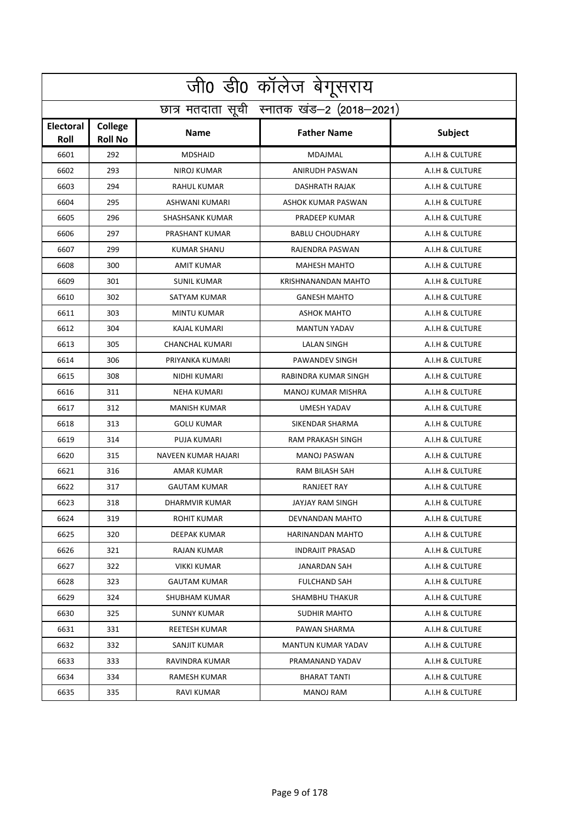|                          | जी0 डी0 कॉलेज बेगूसराय                     |                        |                            |                 |  |  |
|--------------------------|--------------------------------------------|------------------------|----------------------------|-----------------|--|--|
|                          | छात्र मतदाता सूची स्नातक खंड-2 (2018-2021) |                        |                            |                 |  |  |
| <b>Electoral</b><br>Roll | College<br><b>Roll No</b>                  | <b>Name</b>            | <b>Father Name</b>         | Subject         |  |  |
| 6601                     | 292                                        | <b>MDSHAID</b>         | <b>MDAJMAL</b>             | A.I.H & CULTURE |  |  |
| 6602                     | 293                                        | NIROJ KUMAR            | ANIRUDH PASWAN             | A.I.H & CULTURE |  |  |
| 6603                     | 294                                        | <b>RAHUL KUMAR</b>     | <b>DASHRATH RAJAK</b>      | A.I.H & CULTURE |  |  |
| 6604                     | 295                                        | ASHWANI KUMARI         | ASHOK KUMAR PASWAN         | A.I.H & CULTURE |  |  |
| 6605                     | 296                                        | SHASHSANK KUMAR        | PRADEEP KUMAR              | A.I.H & CULTURE |  |  |
| 6606                     | 297                                        | PRASHANT KUMAR         | <b>BABLU CHOUDHARY</b>     | A.I.H & CULTURE |  |  |
| 6607                     | 299                                        | <b>KUMAR SHANU</b>     | RAJENDRA PASWAN            | A.I.H & CULTURE |  |  |
| 6608                     | 300                                        | AMIT KUMAR             | <b>MAHESH MAHTO</b>        | A.I.H & CULTURE |  |  |
| 6609                     | 301                                        | <b>SUNIL KUMAR</b>     | <b>KRISHNANANDAN MAHTO</b> | A.I.H & CULTURE |  |  |
| 6610                     | 302                                        | SATYAM KUMAR           | <b>GANESH MAHTO</b>        | A.I.H & CULTURE |  |  |
| 6611                     | 303                                        | <b>MINTU KUMAR</b>     | <b>ASHOK MAHTO</b>         | A.I.H & CULTURE |  |  |
| 6612                     | 304                                        | KAJAL KUMARI           | <b>MANTUN YADAV</b>        | A.I.H & CULTURE |  |  |
| 6613                     | 305                                        | <b>CHANCHAL KUMARI</b> | <b>LALAN SINGH</b>         | A.I.H & CULTURE |  |  |
| 6614                     | 306                                        | PRIYANKA KUMARI        | PAWANDEV SINGH             | A.I.H & CULTURE |  |  |
| 6615                     | 308                                        | NIDHI KUMARI           | RABINDRA KUMAR SINGH       | A.I.H & CULTURE |  |  |
| 6616                     | 311                                        | <b>NEHA KUMARI</b>     | <b>MANOJ KUMAR MISHRA</b>  | A.I.H & CULTURE |  |  |
| 6617                     | 312                                        | <b>MANISH KUMAR</b>    | <b>UMESH YADAV</b>         | A.I.H & CULTURE |  |  |
| 6618                     | 313                                        | <b>GOLU KUMAR</b>      | SIKENDAR SHARMA            | A.I.H & CULTURE |  |  |
| 6619                     | 314                                        | PUJA KUMARI            | RAM PRAKASH SINGH          | A.I.H & CULTURE |  |  |
| 6620                     | 315                                        | NAVEEN KUMAR HAJARI    | <b>MANOJ PASWAN</b>        | A.I.H & CULTURE |  |  |
| 6621                     | 316                                        | AMAR KUMAR             | <b>RAM BILASH SAH</b>      | A.I.H & CULTURE |  |  |
| 6622                     | 317                                        | <b>GAUTAM KUMAR</b>    | <b>RANJEET RAY</b>         | A.I.H & CULTURE |  |  |
| 6623                     | 318                                        | DHARMVIR KUMAR         | <b>JAYJAY RAM SINGH</b>    | A.I.H & CULTURE |  |  |
| 6624                     | 319                                        | ROHIT KUMAR            | DEVNANDAN MAHTO            | A.I.H & CULTURE |  |  |
| 6625                     | 320                                        | DEEPAK KUMAR           | HARINANDAN MAHTO           | A.I.H & CULTURE |  |  |
| 6626                     | 321                                        | RAJAN KUMAR            | <b>INDRAJIT PRASAD</b>     | A.I.H & CULTURE |  |  |
| 6627                     | 322                                        | <b>VIKKI KUMAR</b>     | <b>JANARDAN SAH</b>        | A.I.H & CULTURE |  |  |
| 6628                     | 323                                        | <b>GAUTAM KUMAR</b>    | <b>FULCHAND SAH</b>        | A.I.H & CULTURE |  |  |
| 6629                     | 324                                        | SHUBHAM KUMAR          | SHAMBHU THAKUR             | A.I.H & CULTURE |  |  |
| 6630                     | 325                                        | <b>SUNNY KUMAR</b>     | <b>SUDHIR MAHTO</b>        | A.I.H & CULTURE |  |  |
| 6631                     | 331                                        | REETESH KUMAR          | PAWAN SHARMA               | A.I.H & CULTURE |  |  |
| 6632                     | 332                                        | SANJIT KUMAR           | MANTUN KUMAR YADAV         | A.I.H & CULTURE |  |  |
| 6633                     | 333                                        | RAVINDRA KUMAR         | PRAMANAND YADAV            | A.I.H & CULTURE |  |  |
| 6634                     | 334                                        | RAMESH KUMAR           | <b>BHARAT TANTI</b>        | A.I.H & CULTURE |  |  |
| 6635                     | 335                                        | RAVI KUMAR             | MANOJ RAM                  | A.I.H & CULTURE |  |  |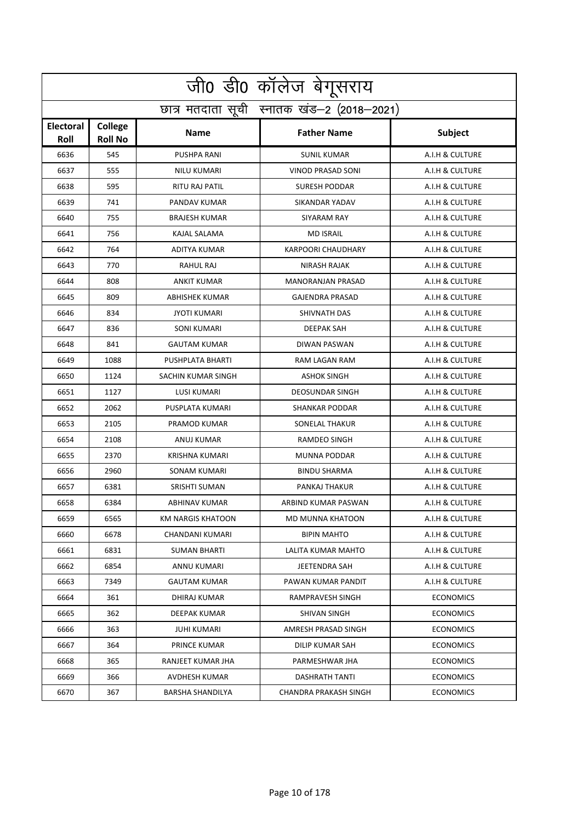|                          | जी0 डी0 कॉलेज बेगूसराय                     |                          |                           |                  |  |  |
|--------------------------|--------------------------------------------|--------------------------|---------------------------|------------------|--|--|
|                          | छात्र मतदाता सूची स्नातक खंड-2 (2018-2021) |                          |                           |                  |  |  |
| <b>Electoral</b><br>Roll | <b>College</b><br><b>Roll No</b>           | <b>Name</b>              | <b>Father Name</b>        | Subject          |  |  |
| 6636                     | 545                                        | PUSHPA RANI              | <b>SUNIL KUMAR</b>        | A.I.H & CULTURE  |  |  |
| 6637                     | 555                                        | NILU KUMARI              | <b>VINOD PRASAD SONI</b>  | A.I.H & CULTURE  |  |  |
| 6638                     | 595                                        | RITU RAJ PATIL           | <b>SURESH PODDAR</b>      | A.I.H & CULTURE  |  |  |
| 6639                     | 741                                        | PANDAV KUMAR             | <b>SIKANDAR YADAV</b>     | A.I.H & CULTURE  |  |  |
| 6640                     | 755                                        | <b>BRAJESH KUMAR</b>     | SIYARAM RAY               | A.I.H & CULTURE  |  |  |
| 6641                     | 756                                        | KAJAL SALAMA             | <b>MD ISRAIL</b>          | A.I.H & CULTURE  |  |  |
| 6642                     | 764                                        | ADITYA KUMAR             | <b>KARPOORI CHAUDHARY</b> | A.I.H & CULTURE  |  |  |
| 6643                     | 770                                        | <b>RAHUL RAJ</b>         | <b>NIRASH RAJAK</b>       | A.I.H & CULTURE  |  |  |
| 6644                     | 808                                        | <b>ANKIT KUMAR</b>       | <b>MANORANJAN PRASAD</b>  | A.I.H & CULTURE  |  |  |
| 6645                     | 809                                        | ABHISHEK KUMAR           | <b>GAJENDRA PRASAD</b>    | A.I.H & CULTURE  |  |  |
| 6646                     | 834                                        | <b>JYOTI KUMARI</b>      | SHIVNATH DAS              | A.I.H & CULTURE  |  |  |
| 6647                     | 836                                        | SONI KUMARI              | <b>DEEPAK SAH</b>         | A.I.H & CULTURE  |  |  |
| 6648                     | 841                                        | <b>GAUTAM KUMAR</b>      | DIWAN PASWAN              | A.I.H & CULTURE  |  |  |
| 6649                     | 1088                                       | PUSHPLATA BHARTI         | RAM LAGAN RAM             | A.I.H & CULTURE  |  |  |
| 6650                     | 1124                                       | SACHIN KUMAR SINGH       | <b>ASHOK SINGH</b>        | A.I.H & CULTURE  |  |  |
| 6651                     | 1127                                       | <b>LUSI KUMARI</b>       | <b>DEOSUNDAR SINGH</b>    | A.I.H & CULTURE  |  |  |
| 6652                     | 2062                                       | PUSPLATA KUMARI          | <b>SHANKAR PODDAR</b>     | A.I.H & CULTURE  |  |  |
| 6653                     | 2105                                       | PRAMOD KUMAR             | <b>SONELAL THAKUR</b>     | A.I.H & CULTURE  |  |  |
| 6654                     | 2108                                       | ANUJ KUMAR               | RAMDEO SINGH              | A.I.H & CULTURE  |  |  |
| 6655                     | 2370                                       | KRISHNA KUMARI           | <b>MUNNA PODDAR</b>       | A.I.H & CULTURE  |  |  |
| 6656                     | 2960                                       | SONAM KUMARI             | <b>BINDU SHARMA</b>       | A.I.H & CULTURE  |  |  |
| 6657                     | 6381                                       | SRISHTI SUMAN            | PANKAJ THAKUR             | A.I.H & CULTURE  |  |  |
| 6658                     | 6384                                       | ABHINAV KUMAR            | ARBIND KUMAR PASWAN       | A.I.H & CULTURE  |  |  |
| 6659                     | 6565                                       | <b>KM NARGIS KHATOON</b> | MD MUNNA KHATOON          | A.I.H & CULTURE  |  |  |
| 6660                     | 6678                                       | CHANDANI KUMARI          | <b>BIPIN MAHTO</b>        | A.I.H & CULTURE  |  |  |
| 6661                     | 6831                                       | SUMAN BHARTI             | LALITA KUMAR MAHTO        | A.I.H & CULTURE  |  |  |
| 6662                     | 6854                                       | ANNU KUMARI              | JEETENDRA SAH             | A.I.H & CULTURE  |  |  |
| 6663                     | 7349                                       | GAUTAM KUMAR             | PAWAN KUMAR PANDIT        | A.I.H & CULTURE  |  |  |
| 6664                     | 361                                        | DHIRAJ KUMAR             | RAMPRAVESH SINGH          | <b>ECONOMICS</b> |  |  |
| 6665                     | 362                                        | DEEPAK KUMAR             | SHIVAN SINGH              | <b>ECONOMICS</b> |  |  |
| 6666                     | 363                                        | <b>JUHI KUMARI</b>       | AMRESH PRASAD SINGH       | <b>ECONOMICS</b> |  |  |
| 6667                     | 364                                        | PRINCE KUMAR             | DILIP KUMAR SAH           | <b>ECONOMICS</b> |  |  |
| 6668                     | 365                                        | RANJEET KUMAR JHA        | PARMESHWAR JHA            | <b>ECONOMICS</b> |  |  |
| 6669                     | 366                                        | AVDHESH KUMAR            | <b>DASHRATH TANTI</b>     | <b>ECONOMICS</b> |  |  |
| 6670                     | 367                                        | BARSHA SHANDILYA         | CHANDRA PRAKASH SINGH     | <b>ECONOMICS</b> |  |  |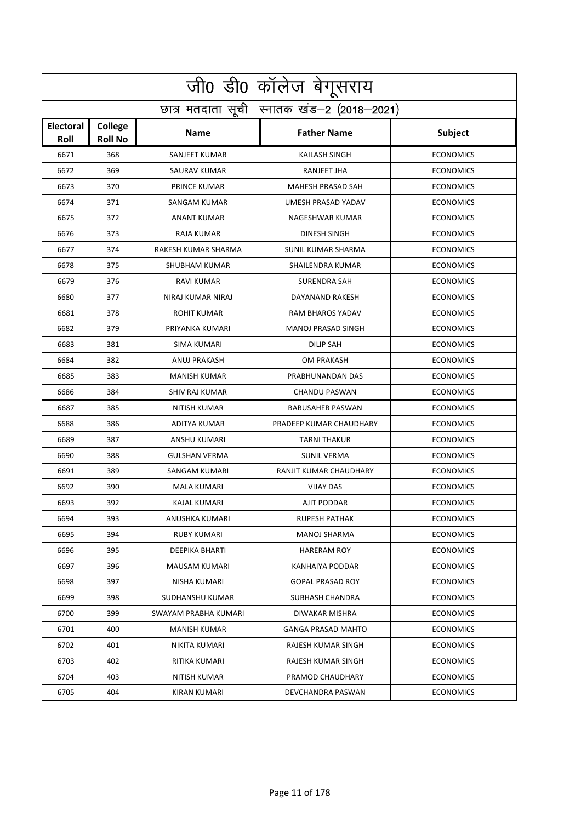| जी0 डी0 कॉलेज बेगूसराय   |                                            |                      |                           |                  |  |  |
|--------------------------|--------------------------------------------|----------------------|---------------------------|------------------|--|--|
|                          | छात्र मतदाता सूची स्नातक खंड-2 (2018-2021) |                      |                           |                  |  |  |
| <b>Electoral</b><br>Roll | College<br><b>Roll No</b>                  | <b>Name</b>          | <b>Father Name</b>        | Subject          |  |  |
| 6671                     | 368                                        | <b>SANJEET KUMAR</b> | <b>KAILASH SINGH</b>      | <b>ECONOMICS</b> |  |  |
| 6672                     | 369                                        | SAURAV KUMAR         | RANJEET JHA               | <b>ECONOMICS</b> |  |  |
| 6673                     | 370                                        | PRINCE KUMAR         | MAHESH PRASAD SAH         | <b>ECONOMICS</b> |  |  |
| 6674                     | 371                                        | SANGAM KUMAR         | UMESH PRASAD YADAV        | <b>ECONOMICS</b> |  |  |
| 6675                     | 372                                        | <b>ANANT KUMAR</b>   | NAGESHWAR KUMAR           | <b>ECONOMICS</b> |  |  |
| 6676                     | 373                                        | RAJA KUMAR           | <b>DINESH SINGH</b>       | <b>ECONOMICS</b> |  |  |
| 6677                     | 374                                        | RAKESH KUMAR SHARMA  | <b>SUNIL KUMAR SHARMA</b> | <b>ECONOMICS</b> |  |  |
| 6678                     | 375                                        | <b>SHUBHAM KUMAR</b> | SHAILENDRA KUMAR          | <b>ECONOMICS</b> |  |  |
| 6679                     | 376                                        | <b>RAVI KUMAR</b>    | SURENDRA SAH              | <b>ECONOMICS</b> |  |  |
| 6680                     | 377                                        | NIRAJ KUMAR NIRAJ    | DAYANAND RAKESH           | <b>ECONOMICS</b> |  |  |
| 6681                     | 378                                        | <b>ROHIT KUMAR</b>   | <b>RAM BHAROS YADAV</b>   | <b>ECONOMICS</b> |  |  |
| 6682                     | 379                                        | PRIYANKA KUMARI      | <b>MANOJ PRASAD SINGH</b> | <b>ECONOMICS</b> |  |  |
| 6683                     | 381                                        | <b>SIMA KUMARI</b>   | <b>DILIP SAH</b>          | <b>ECONOMICS</b> |  |  |
| 6684                     | 382                                        | ANUJ PRAKASH         | <b>OM PRAKASH</b>         | <b>ECONOMICS</b> |  |  |
| 6685                     | 383                                        | <b>MANISH KUMAR</b>  | PRABHUNANDAN DAS          | <b>ECONOMICS</b> |  |  |
| 6686                     | 384                                        | SHIV RAJ KUMAR       | <b>CHANDU PASWAN</b>      | <b>ECONOMICS</b> |  |  |
| 6687                     | 385                                        | <b>NITISH KUMAR</b>  | <b>BABUSAHEB PASWAN</b>   | <b>ECONOMICS</b> |  |  |
| 6688                     | 386                                        | ADITYA KUMAR         | PRADEEP KUMAR CHAUDHARY   | <b>ECONOMICS</b> |  |  |
| 6689                     | 387                                        | ANSHU KUMARI         | <b>TARNI THAKUR</b>       | <b>ECONOMICS</b> |  |  |
| 6690                     | 388                                        | <b>GULSHAN VERMA</b> | <b>SUNIL VERMA</b>        | <b>ECONOMICS</b> |  |  |
| 6691                     | 389                                        | <b>SANGAM KUMARI</b> | RANJIT KUMAR CHAUDHARY    | <b>ECONOMICS</b> |  |  |
| 6692                     | 390                                        | <b>MALA KUMARI</b>   | <b>VIJAY DAS</b>          | <b>ECONOMICS</b> |  |  |
| 6693                     | 392                                        | <b>KAJAL KUMARI</b>  | AJIT PODDAR               | <b>ECONOMICS</b> |  |  |
| 6694                     | 393                                        | ANUSHKA KUMARI       | <b>RUPESH PATHAK</b>      | <b>ECONOMICS</b> |  |  |
| 6695                     | 394                                        | RUBY KUMARI          | MANOJ SHARMA              | <b>ECONOMICS</b> |  |  |
| 6696                     | 395                                        | DEEPIKA BHARTI       | <b>HARERAM ROY</b>        | <b>ECONOMICS</b> |  |  |
| 6697                     | 396                                        | MAUSAM KUMARI        | <b>KANHAIYA PODDAR</b>    | <b>ECONOMICS</b> |  |  |
| 6698                     | 397                                        | NISHA KUMARI         | <b>GOPAL PRASAD ROY</b>   | <b>ECONOMICS</b> |  |  |
| 6699                     | 398                                        | SUDHANSHU KUMAR      | SUBHASH CHANDRA           | <b>ECONOMICS</b> |  |  |
| 6700                     | 399                                        | SWAYAM PRABHA KUMARI | DIWAKAR MISHRA            | <b>ECONOMICS</b> |  |  |
| 6701                     | 400                                        | <b>MANISH KUMAR</b>  | <b>GANGA PRASAD MAHTO</b> | <b>ECONOMICS</b> |  |  |
| 6702                     | 401                                        | NIKITA KUMARI        | RAJESH KUMAR SINGH        | <b>ECONOMICS</b> |  |  |
| 6703                     | 402                                        | RITIKA KUMARI        | RAJESH KUMAR SINGH        | <b>ECONOMICS</b> |  |  |
| 6704                     | 403                                        | <b>NITISH KUMAR</b>  | PRAMOD CHAUDHARY          | <b>ECONOMICS</b> |  |  |
| 6705                     | 404                                        | KIRAN KUMARI         | DEVCHANDRA PASWAN         | <b>ECONOMICS</b> |  |  |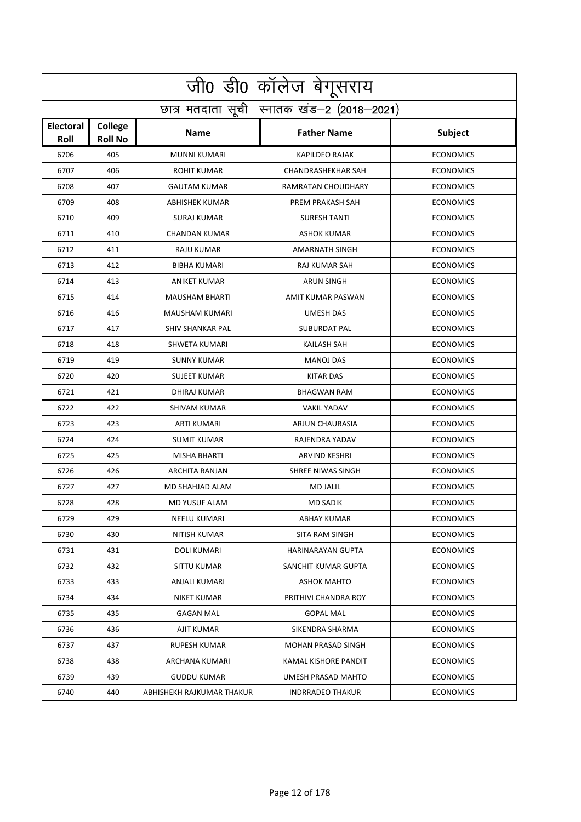|                                            | जी0 डी0 कॉलेज बेगूसराय    |                           |                           |                  |  |
|--------------------------------------------|---------------------------|---------------------------|---------------------------|------------------|--|
| छात्र मतदाता सूची स्नातक खंड-2 (2018-2021) |                           |                           |                           |                  |  |
| Electoral<br>Roll                          | College<br><b>Roll No</b> | <b>Name</b>               | <b>Father Name</b>        | Subject          |  |
| 6706                                       | 405                       | <b>MUNNI KUMARI</b>       | <b>KAPILDEO RAJAK</b>     | <b>ECONOMICS</b> |  |
| 6707                                       | 406                       | ROHIT KUMAR               | <b>CHANDRASHEKHAR SAH</b> | <b>ECONOMICS</b> |  |
| 6708                                       | 407                       | <b>GAUTAM KUMAR</b>       | RAMRATAN CHOUDHARY        | <b>ECONOMICS</b> |  |
| 6709                                       | 408                       | <b>ABHISHEK KUMAR</b>     | PREM PRAKASH SAH          | <b>ECONOMICS</b> |  |
| 6710                                       | 409                       | <b>SURAJ KUMAR</b>        | <b>SURESH TANTI</b>       | <b>ECONOMICS</b> |  |
| 6711                                       | 410                       | <b>CHANDAN KUMAR</b>      | <b>ASHOK KUMAR</b>        | <b>ECONOMICS</b> |  |
| 6712                                       | 411                       | RAJU KUMAR                | <b>AMARNATH SINGH</b>     | <b>ECONOMICS</b> |  |
| 6713                                       | 412                       | <b>BIBHA KUMARI</b>       | <b>RAJ KUMAR SAH</b>      | <b>ECONOMICS</b> |  |
| 6714                                       | 413                       | <b>ANIKET KUMAR</b>       | <b>ARUN SINGH</b>         | <b>ECONOMICS</b> |  |
| 6715                                       | 414                       | <b>MAUSHAM BHARTI</b>     | AMIT KUMAR PASWAN         | <b>ECONOMICS</b> |  |
| 6716                                       | 416                       | MAUSHAM KUMARI            | <b>UMESH DAS</b>          | <b>ECONOMICS</b> |  |
| 6717                                       | 417                       | <b>SHIV SHANKAR PAL</b>   | SUBURDAT PAL              | <b>ECONOMICS</b> |  |
| 6718                                       | 418                       | <b>SHWETA KUMARI</b>      | KAILASH SAH               | <b>ECONOMICS</b> |  |
| 6719                                       | 419                       | <b>SUNNY KUMAR</b>        | <b>MANOJ DAS</b>          | <b>ECONOMICS</b> |  |
| 6720                                       | 420                       | <b>SUJEET KUMAR</b>       | <b>KITAR DAS</b>          | <b>ECONOMICS</b> |  |
| 6721                                       | 421                       | <b>DHIRAJ KUMAR</b>       | <b>BHAGWAN RAM</b>        | <b>ECONOMICS</b> |  |
| 6722                                       | 422                       | <b>SHIVAM KUMAR</b>       | <b>VAKIL YADAV</b>        | <b>ECONOMICS</b> |  |
| 6723                                       | 423                       | ARTI KUMARI               | ARJUN CHAURASIA           | <b>ECONOMICS</b> |  |
| 6724                                       | 424                       | <b>SUMIT KUMAR</b>        | RAJENDRA YADAV            | <b>ECONOMICS</b> |  |
| 6725                                       | 425                       | MISHA BHARTI              | <b>ARVIND KESHRI</b>      | <b>ECONOMICS</b> |  |
| 6726                                       | 426                       | <b>ARCHITA RANJAN</b>     | SHREE NIWAS SINGH         | <b>ECONOMICS</b> |  |
| 6727                                       | 427                       | MD SHAHJAD ALAM           | <b>MD JALIL</b>           | <b>ECONOMICS</b> |  |
| 6728                                       | 428                       | <b>MD YUSUF ALAM</b>      | <b>MD SADIK</b>           | <b>ECONOMICS</b> |  |
| 6729                                       | 429                       | NEELU KUMARI              | ABHAY KUMAR               | <b>ECONOMICS</b> |  |
| 6730                                       | 430                       | NITISH KUMAR              | SITA RAM SINGH            | <b>ECONOMICS</b> |  |
| 6731                                       | 431                       | <b>DOLI KUMARI</b>        | <b>HARINARAYAN GUPTA</b>  | <b>ECONOMICS</b> |  |
| 6732                                       | 432                       | SITTU KUMAR               | SANCHIT KUMAR GUPTA       | <b>ECONOMICS</b> |  |
| 6733                                       | 433                       | ANJALI KUMARI             | ASHOK MAHTO               | <b>ECONOMICS</b> |  |
| 6734                                       | 434                       | NIKET KUMAR               | PRITHIVI CHANDRA ROY      | <b>ECONOMICS</b> |  |
| 6735                                       | 435                       | <b>GAGAN MAL</b>          | <b>GOPAL MAL</b>          | <b>ECONOMICS</b> |  |
| 6736                                       | 436                       | AJIT KUMAR                | SIKENDRA SHARMA           | <b>ECONOMICS</b> |  |
| 6737                                       | 437                       | <b>RUPESH KUMAR</b>       | MOHAN PRASAD SINGH        | <b>ECONOMICS</b> |  |
| 6738                                       | 438                       | ARCHANA KUMARI            | KAMAL KISHORE PANDIT      | <b>ECONOMICS</b> |  |
| 6739                                       | 439                       | <b>GUDDU KUMAR</b>        | UMESH PRASAD MAHTO        | <b>ECONOMICS</b> |  |
| 6740                                       | 440                       | ABHISHEKH RAJKUMAR THAKUR | <b>INDRRADEO THAKUR</b>   | <b>ECONOMICS</b> |  |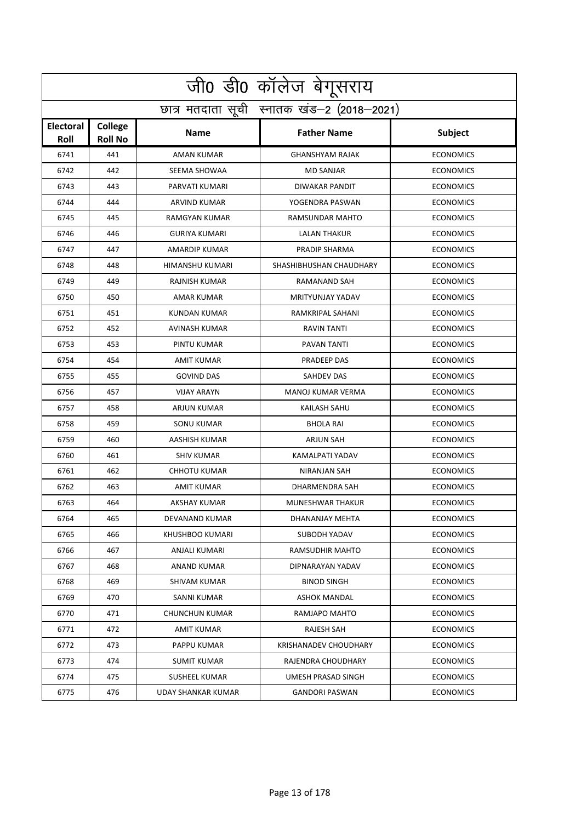|                          | जी0 डी0 कॉलेज बेगूसराय                     |                      |                              |                  |  |  |
|--------------------------|--------------------------------------------|----------------------|------------------------------|------------------|--|--|
|                          | छात्र मतदाता सूची स्नातक खंड-2 (2018-2021) |                      |                              |                  |  |  |
| <b>Electoral</b><br>Roll | <b>College</b><br><b>Roll No</b>           | <b>Name</b>          | <b>Father Name</b>           | Subject          |  |  |
| 6741                     | 441                                        | <b>AMAN KUMAR</b>    | <b>GHANSHYAM RAJAK</b>       | <b>ECONOMICS</b> |  |  |
| 6742                     | 442                                        | <b>SEEMA SHOWAA</b>  | <b>MD SANJAR</b>             | <b>ECONOMICS</b> |  |  |
| 6743                     | 443                                        | PARVATI KUMARI       | <b>DIWAKAR PANDIT</b>        | <b>ECONOMICS</b> |  |  |
| 6744                     | 444                                        | <b>ARVIND KUMAR</b>  | YOGENDRA PASWAN              | <b>ECONOMICS</b> |  |  |
| 6745                     | 445                                        | RAMGYAN KUMAR        | RAMSUNDAR MAHTO              | <b>ECONOMICS</b> |  |  |
| 6746                     | 446                                        | <b>GURIYA KUMARI</b> | <b>LALAN THAKUR</b>          | <b>ECONOMICS</b> |  |  |
| 6747                     | 447                                        | AMARDIP KUMAR        | PRADIP SHARMA                | <b>ECONOMICS</b> |  |  |
| 6748                     | 448                                        | HIMANSHU KUMARI      | SHASHIBHUSHAN CHAUDHARY      | <b>ECONOMICS</b> |  |  |
| 6749                     | 449                                        | RAJNISH KUMAR        | RAMANAND SAH                 | <b>ECONOMICS</b> |  |  |
| 6750                     | 450                                        | AMAR KUMAR           | MRITYUNJAY YADAV             | <b>ECONOMICS</b> |  |  |
| 6751                     | 451                                        | <b>KUNDAN KUMAR</b>  | RAMKRIPAL SAHANI             | <b>ECONOMICS</b> |  |  |
| 6752                     | 452                                        | AVINASH KUMAR        | <b>RAVIN TANTI</b>           | <b>ECONOMICS</b> |  |  |
| 6753                     | 453                                        | PINTU KUMAR          | PAVAN TANTI                  | <b>ECONOMICS</b> |  |  |
| 6754                     | 454                                        | <b>AMIT KUMAR</b>    | PRADEEP DAS                  | <b>ECONOMICS</b> |  |  |
| 6755                     | 455                                        | <b>GOVIND DAS</b>    | SAHDEV DAS                   | <b>ECONOMICS</b> |  |  |
| 6756                     | 457                                        | <b>VIJAY ARAYN</b>   | <b>MANOJ KUMAR VERMA</b>     | <b>ECONOMICS</b> |  |  |
| 6757                     | 458                                        | ARJUN KUMAR          | KAILASH SAHU                 | <b>ECONOMICS</b> |  |  |
| 6758                     | 459                                        | SONU KUMAR           | <b>BHOLA RAI</b>             | <b>ECONOMICS</b> |  |  |
| 6759                     | 460                                        | AASHISH KUMAR        | <b>ARJUN SAH</b>             | <b>ECONOMICS</b> |  |  |
| 6760                     | 461                                        | <b>SHIV KUMAR</b>    | KAMALPATI YADAV              | <b>ECONOMICS</b> |  |  |
| 6761                     | 462                                        | <b>CHHOTU KUMAR</b>  | NIRANJAN SAH                 | <b>ECONOMICS</b> |  |  |
| 6762                     | 463                                        | <b>AMIT KUMAR</b>    | DHARMENDRA SAH               | <b>ECONOMICS</b> |  |  |
| 6763                     | 464                                        | AKSHAY KUMAR         | MUNESHWAR THAKUR             | <b>ECONOMICS</b> |  |  |
| 6764                     | 465                                        | DEVANAND KUMAR       | DHANANJAY MEHTA              | <b>ECONOMICS</b> |  |  |
| 6765                     | 466                                        | KHUSHBOO KUMARI      | SUBODH YADAV                 | <b>ECONOMICS</b> |  |  |
| 6766                     | 467                                        | ANJALI KUMARI        | RAMSUDHIR MAHTO              | <b>ECONOMICS</b> |  |  |
| 6767                     | 468                                        | ANAND KUMAR          | DIPNARAYAN YADAV             | <b>ECONOMICS</b> |  |  |
| 6768                     | 469                                        | SHIVAM KUMAR         | <b>BINOD SINGH</b>           | <b>ECONOMICS</b> |  |  |
| 6769                     | 470                                        | SANNI KUMAR          | <b>ASHOK MANDAL</b>          | <b>ECONOMICS</b> |  |  |
| 6770                     | 471                                        | CHUNCHUN KUMAR       | RAMJAPO MAHTO                | <b>ECONOMICS</b> |  |  |
| 6771                     | 472                                        | <b>AMIT KUMAR</b>    | RAJESH SAH                   | <b>ECONOMICS</b> |  |  |
| 6772                     | 473                                        | PAPPU KUMAR          | <b>KRISHANADEV CHOUDHARY</b> | <b>ECONOMICS</b> |  |  |
| 6773                     | 474                                        | SUMIT KUMAR          | RAJENDRA CHOUDHARY           | <b>ECONOMICS</b> |  |  |
| 6774                     | 475                                        | SUSHEEL KUMAR        | UMESH PRASAD SINGH           | <b>ECONOMICS</b> |  |  |
| 6775                     | 476                                        | UDAY SHANKAR KUMAR   | <b>GANDORI PASWAN</b>        | <b>ECONOMICS</b> |  |  |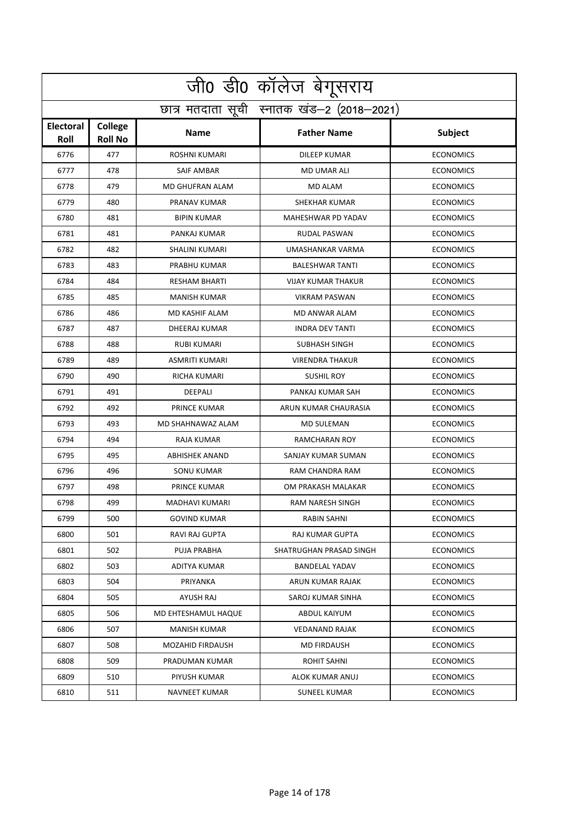|                          | जी0 डी0 कॉलेज बेगूसराय                     |                       |                           |                  |  |  |
|--------------------------|--------------------------------------------|-----------------------|---------------------------|------------------|--|--|
|                          | छात्र मतदाता सूची स्नातक खंड-2 (2018-2021) |                       |                           |                  |  |  |
| <b>Electoral</b><br>Roll | <b>College</b><br><b>Roll No</b>           | <b>Name</b>           | <b>Father Name</b>        | Subject          |  |  |
| 6776                     | 477                                        | <b>ROSHNI KUMARI</b>  | <b>DILEEP KUMAR</b>       | <b>ECONOMICS</b> |  |  |
| 6777                     | 478                                        | SAIF AMBAR            | <b>MD UMAR ALI</b>        | <b>ECONOMICS</b> |  |  |
| 6778                     | 479                                        | MD GHUFRAN ALAM       | <b>MD ALAM</b>            | <b>ECONOMICS</b> |  |  |
| 6779                     | 480                                        | PRANAV KUMAR          | <b>SHEKHAR KUMAR</b>      | <b>ECONOMICS</b> |  |  |
| 6780                     | 481                                        | <b>BIPIN KUMAR</b>    | MAHESHWAR PD YADAV        | <b>ECONOMICS</b> |  |  |
| 6781                     | 481                                        | PANKAJ KUMAR          | RUDAL PASWAN              | <b>ECONOMICS</b> |  |  |
| 6782                     | 482                                        | SHALINI KUMARI        | UMASHANKAR VARMA          | <b>ECONOMICS</b> |  |  |
| 6783                     | 483                                        | PRABHU KUMAR          | <b>BALESHWAR TANTI</b>    | <b>ECONOMICS</b> |  |  |
| 6784                     | 484                                        | <b>RESHAM BHARTI</b>  | <b>VIJAY KUMAR THAKUR</b> | <b>ECONOMICS</b> |  |  |
| 6785                     | 485                                        | <b>MANISH KUMAR</b>   | <b>VIKRAM PASWAN</b>      | <b>ECONOMICS</b> |  |  |
| 6786                     | 486                                        | <b>MD KASHIF ALAM</b> | <b>MD ANWAR ALAM</b>      | <b>ECONOMICS</b> |  |  |
| 6787                     | 487                                        | DHEERAJ KUMAR         | <b>INDRA DEV TANTI</b>    | <b>ECONOMICS</b> |  |  |
| 6788                     | 488                                        | <b>RUBI KUMARI</b>    | <b>SUBHASH SINGH</b>      | <b>ECONOMICS</b> |  |  |
| 6789                     | 489                                        | <b>ASMRITI KUMARI</b> | <b>VIRENDRA THAKUR</b>    | <b>ECONOMICS</b> |  |  |
| 6790                     | 490                                        | RICHA KUMARI          | <b>SUSHIL ROY</b>         | <b>ECONOMICS</b> |  |  |
| 6791                     | 491                                        | <b>DEEPALI</b>        | PANKAJ KUMAR SAH          | <b>ECONOMICS</b> |  |  |
| 6792                     | 492                                        | PRINCE KUMAR          | ARUN KUMAR CHAURASIA      | <b>ECONOMICS</b> |  |  |
| 6793                     | 493                                        | MD SHAHNAWAZ ALAM     | <b>MD SULEMAN</b>         | <b>ECONOMICS</b> |  |  |
| 6794                     | 494                                        | RAJA KUMAR            | <b>RAMCHARAN ROY</b>      | <b>ECONOMICS</b> |  |  |
| 6795                     | 495                                        | <b>ABHISHEK ANAND</b> | SANJAY KUMAR SUMAN        | <b>ECONOMICS</b> |  |  |
| 6796                     | 496                                        | <b>SONU KUMAR</b>     | RAM CHANDRA RAM           | <b>ECONOMICS</b> |  |  |
| 6797                     | 498                                        | PRINCE KUMAR          | OM PRAKASH MALAKAR        | <b>ECONOMICS</b> |  |  |
| 6798                     | 499                                        | <b>MADHAVI KUMARI</b> | RAM NARESH SINGH          | <b>ECONOMICS</b> |  |  |
| 6799                     | 500                                        | <b>GOVIND KUMAR</b>   | RABIN SAHNI               | <b>ECONOMICS</b> |  |  |
| 6800                     | 501                                        | RAVI RAJ GUPTA        | RAJ KUMAR GUPTA           | <b>ECONOMICS</b> |  |  |
| 6801                     | 502                                        | PUJA PRABHA           | SHATRUGHAN PRASAD SINGH   | <b>ECONOMICS</b> |  |  |
| 6802                     | 503                                        | ADITYA KUMAR          | <b>BANDELAL YADAV</b>     | <b>ECONOMICS</b> |  |  |
| 6803                     | 504                                        | PRIYANKA              | ARUN KUMAR RAJAK          | <b>ECONOMICS</b> |  |  |
| 6804                     | 505                                        | AYUSH RAJ             | SAROJ KUMAR SINHA         | <b>ECONOMICS</b> |  |  |
| 6805                     | 506                                        | MD EHTESHAMUL HAQUE   | ABDUL KAIYUM              | <b>ECONOMICS</b> |  |  |
| 6806                     | 507                                        | <b>MANISH KUMAR</b>   | <b>VEDANAND RAJAK</b>     | <b>ECONOMICS</b> |  |  |
| 6807                     | 508                                        | MOZAHID FIRDAUSH      | MD FIRDAUSH               | <b>ECONOMICS</b> |  |  |
| 6808                     | 509                                        | PRADUMAN KUMAR        | ROHIT SAHNI               | <b>ECONOMICS</b> |  |  |
| 6809                     | 510                                        | PIYUSH KUMAR          | ALOK KUMAR ANUJ           | <b>ECONOMICS</b> |  |  |
| 6810                     | 511                                        | NAVNEET KUMAR         | SUNEEL KUMAR              | <b>ECONOMICS</b> |  |  |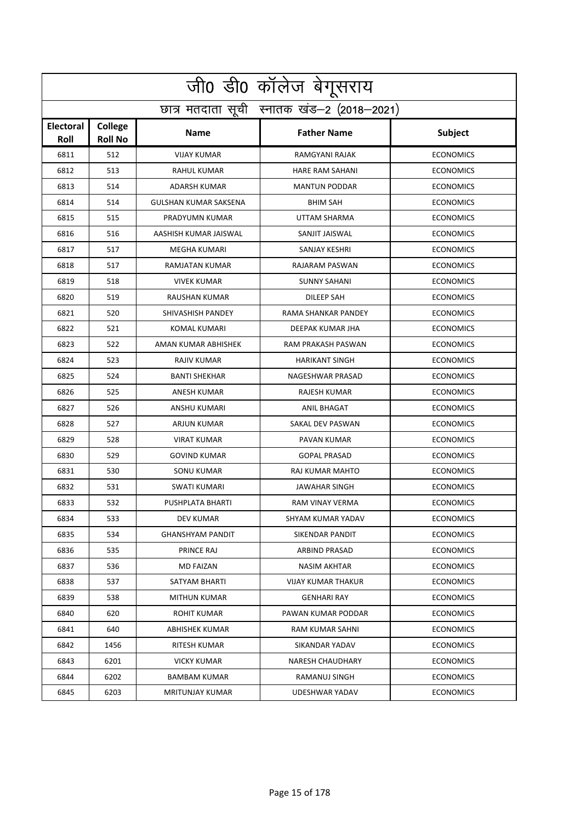|                          | जी0 डी0 कॉलेज बेगूसराय                     |                              |                           |                  |  |  |
|--------------------------|--------------------------------------------|------------------------------|---------------------------|------------------|--|--|
|                          | छात्र मतदाता सूची स्नातक खंड-2 (2018-2021) |                              |                           |                  |  |  |
| <b>Electoral</b><br>Roll | College<br><b>Roll No</b>                  | <b>Name</b>                  | <b>Father Name</b>        | Subject          |  |  |
| 6811                     | 512                                        | <b>VIJAY KUMAR</b>           | RAMGYANI RAJAK            | <b>ECONOMICS</b> |  |  |
| 6812                     | 513                                        | <b>RAHUL KUMAR</b>           | <b>HARE RAM SAHANI</b>    | <b>ECONOMICS</b> |  |  |
| 6813                     | 514                                        | <b>ADARSH KUMAR</b>          | <b>MANTUN PODDAR</b>      | <b>ECONOMICS</b> |  |  |
| 6814                     | 514                                        | <b>GULSHAN KUMAR SAKSENA</b> | <b>BHIM SAH</b>           | <b>ECONOMICS</b> |  |  |
| 6815                     | 515                                        | PRADYUMN KUMAR               | UTTAM SHARMA              | <b>ECONOMICS</b> |  |  |
| 6816                     | 516                                        | AASHISH KUMAR JAISWAL        | SANJIT JAISWAL            | <b>ECONOMICS</b> |  |  |
| 6817                     | 517                                        | MEGHA KUMARI                 | SANJAY KESHRI             | <b>ECONOMICS</b> |  |  |
| 6818                     | 517                                        | <b>RAMJATAN KUMAR</b>        | RAJARAM PASWAN            | <b>ECONOMICS</b> |  |  |
| 6819                     | 518                                        | <b>VIVEK KUMAR</b>           | <b>SUNNY SAHANI</b>       | <b>ECONOMICS</b> |  |  |
| 6820                     | 519                                        | <b>RAUSHAN KUMAR</b>         | <b>DILEEP SAH</b>         | <b>ECONOMICS</b> |  |  |
| 6821                     | 520                                        | SHIVASHISH PANDEY            | RAMA SHANKAR PANDEY       | <b>ECONOMICS</b> |  |  |
| 6822                     | 521                                        | <b>KOMAL KUMARI</b>          | <b>DEEPAK KUMAR JHA</b>   | <b>ECONOMICS</b> |  |  |
| 6823                     | 522                                        | AMAN KUMAR ABHISHEK          | RAM PRAKASH PASWAN        | <b>ECONOMICS</b> |  |  |
| 6824                     | 523                                        | <b>RAJIV KUMAR</b>           | <b>HARIKANT SINGH</b>     | <b>ECONOMICS</b> |  |  |
| 6825                     | 524                                        | <b>BANTI SHEKHAR</b>         | NAGESHWAR PRASAD          | <b>ECONOMICS</b> |  |  |
| 6826                     | 525                                        | ANESH KUMAR                  | RAJESH KUMAR              | <b>ECONOMICS</b> |  |  |
| 6827                     | 526                                        | ANSHU KUMARI                 | <b>ANIL BHAGAT</b>        | <b>ECONOMICS</b> |  |  |
| 6828                     | 527                                        | ARJUN KUMAR                  | SAKAL DEV PASWAN          | <b>ECONOMICS</b> |  |  |
| 6829                     | 528                                        | <b>VIRAT KUMAR</b>           | PAVAN KUMAR               | <b>ECONOMICS</b> |  |  |
| 6830                     | 529                                        | <b>GOVIND KUMAR</b>          | <b>GOPAL PRASAD</b>       | <b>ECONOMICS</b> |  |  |
| 6831                     | 530                                        | <b>SONU KUMAR</b>            | RAJ KUMAR MAHTO           | <b>ECONOMICS</b> |  |  |
| 6832                     | 531                                        | SWATI KUMARI                 | <b>JAWAHAR SINGH</b>      | <b>ECONOMICS</b> |  |  |
| 6833                     | 532                                        | PUSHPLATA BHARTI             | RAM VINAY VERMA           | <b>ECONOMICS</b> |  |  |
| 6834                     | 533                                        | DEV KUMAR                    | SHYAM KUMAR YADAV         | <b>ECONOMICS</b> |  |  |
| 6835                     | 534                                        | GHANSHYAM PANDIT             | SIKENDAR PANDIT           | <b>ECONOMICS</b> |  |  |
| 6836                     | 535                                        | PRINCE RAJ                   | ARBIND PRASAD             | <b>ECONOMICS</b> |  |  |
| 6837                     | 536                                        | <b>MD FAIZAN</b>             | NASIM AKHTAR              | <b>ECONOMICS</b> |  |  |
| 6838                     | 537                                        | SATYAM BHARTI                | <b>VIJAY KUMAR THAKUR</b> | <b>ECONOMICS</b> |  |  |
| 6839                     | 538                                        | MITHUN KUMAR                 | GENHARI RAY               | <b>ECONOMICS</b> |  |  |
| 6840                     | 620                                        | ROHIT KUMAR                  | PAWAN KUMAR PODDAR        | <b>ECONOMICS</b> |  |  |
| 6841                     | 640                                        | ABHISHEK KUMAR               | RAM KUMAR SAHNI           | <b>ECONOMICS</b> |  |  |
| 6842                     | 1456                                       | RITESH KUMAR                 | SIKANDAR YADAV            | <b>ECONOMICS</b> |  |  |
| 6843                     | 6201                                       | VICKY KUMAR                  | NARESH CHAUDHARY          | <b>ECONOMICS</b> |  |  |
| 6844                     | 6202                                       | BAMBAM KUMAR                 | RAMANUJ SINGH             | <b>ECONOMICS</b> |  |  |
| 6845                     | 6203                                       | MRITUNJAY KUMAR              | UDESHWAR YADAV            | <b>ECONOMICS</b> |  |  |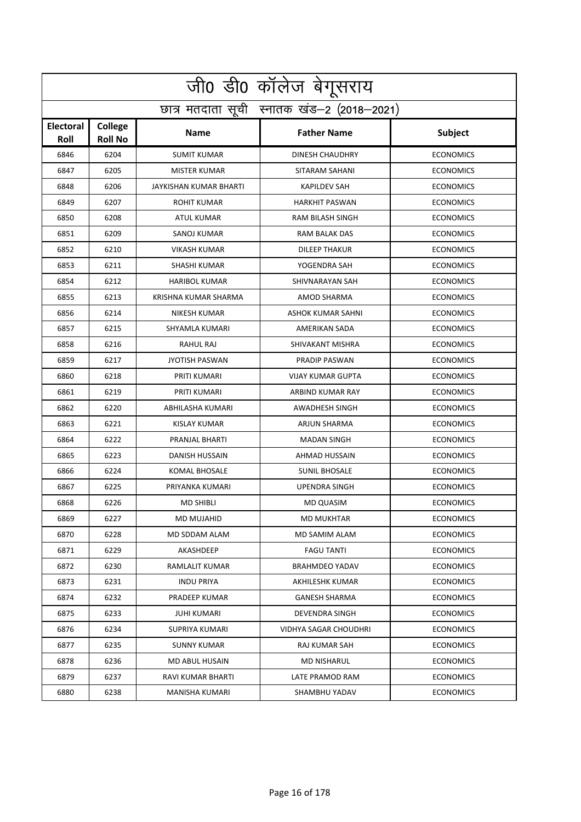| जी0 डी0 कॉलेज बेगूसराय   |                                            |                        |                          |                  |  |  |
|--------------------------|--------------------------------------------|------------------------|--------------------------|------------------|--|--|
|                          | छात्र मतदाता सूची स्नातक खंड-2 (2018-2021) |                        |                          |                  |  |  |
| <b>Electoral</b><br>Roll | College<br><b>Roll No</b>                  | <b>Name</b>            | <b>Father Name</b>       | Subject          |  |  |
| 6846                     | 6204                                       | <b>SUMIT KUMAR</b>     | <b>DINESH CHAUDHRY</b>   | <b>ECONOMICS</b> |  |  |
| 6847                     | 6205                                       | <b>MISTER KUMAR</b>    | SITARAM SAHANI           | <b>ECONOMICS</b> |  |  |
| 6848                     | 6206                                       | JAYKISHAN KUMAR BHARTI | <b>KAPILDEV SAH</b>      | <b>ECONOMICS</b> |  |  |
| 6849                     | 6207                                       | <b>ROHIT KUMAR</b>     | <b>HARKHIT PASWAN</b>    | <b>ECONOMICS</b> |  |  |
| 6850                     | 6208                                       | <b>ATUL KUMAR</b>      | RAM BILASH SINGH         | <b>ECONOMICS</b> |  |  |
| 6851                     | 6209                                       | SANOJ KUMAR            | RAM BALAK DAS            | <b>ECONOMICS</b> |  |  |
| 6852                     | 6210                                       | <b>VIKASH KUMAR</b>    | <b>DILEEP THAKUR</b>     | <b>ECONOMICS</b> |  |  |
| 6853                     | 6211                                       | SHASHI KUMAR           | YOGENDRA SAH             | <b>ECONOMICS</b> |  |  |
| 6854                     | 6212                                       | <b>HARIBOL KUMAR</b>   | SHIVNARAYAN SAH          | <b>ECONOMICS</b> |  |  |
| 6855                     | 6213                                       | KRISHNA KUMAR SHARMA   | <b>AMOD SHARMA</b>       | <b>ECONOMICS</b> |  |  |
| 6856                     | 6214                                       | NIKESH KUMAR           | <b>ASHOK KUMAR SAHNI</b> | <b>ECONOMICS</b> |  |  |
| 6857                     | 6215                                       | SHYAMLA KUMARI         | AMERIKAN SADA            | <b>ECONOMICS</b> |  |  |
| 6858                     | 6216                                       | RAHUL RAJ              | SHIVAKANT MISHRA         | <b>ECONOMICS</b> |  |  |
| 6859                     | 6217                                       | <b>JYOTISH PASWAN</b>  | PRADIP PASWAN            | <b>ECONOMICS</b> |  |  |
| 6860                     | 6218                                       | PRITI KUMARI           | <b>VIJAY KUMAR GUPTA</b> | <b>ECONOMICS</b> |  |  |
| 6861                     | 6219                                       | PRITI KUMARI           | ARBIND KUMAR RAY         | <b>ECONOMICS</b> |  |  |
| 6862                     | 6220                                       | ABHILASHA KUMARI       | <b>AWADHESH SINGH</b>    | <b>ECONOMICS</b> |  |  |
| 6863                     | 6221                                       | <b>KISLAY KUMAR</b>    | ARJUN SHARMA             | <b>ECONOMICS</b> |  |  |
| 6864                     | 6222                                       | PRANJAL BHARTI         | <b>MADAN SINGH</b>       | <b>ECONOMICS</b> |  |  |
| 6865                     | 6223                                       | DANISH HUSSAIN         | AHMAD HUSSAIN            | <b>ECONOMICS</b> |  |  |
| 6866                     | 6224                                       | <b>KOMAL BHOSALE</b>   | <b>SUNIL BHOSALE</b>     | <b>ECONOMICS</b> |  |  |
| 6867                     | 6225                                       | PRIYANKA KUMARI        | <b>UPENDRA SINGH</b>     | <b>ECONOMICS</b> |  |  |
| 6868                     | 6226                                       | <b>MD SHIBLI</b>       | <b>MD QUASIM</b>         | <b>ECONOMICS</b> |  |  |
| 6869                     | 6227                                       | MD MUJAHID             | MD MUKHTAR               | <b>ECONOMICS</b> |  |  |
| 6870                     | 6228                                       | MD SDDAM ALAM          | MD SAMIM ALAM            | <b>ECONOMICS</b> |  |  |
| 6871                     | 6229                                       | AKASHDEEP              | <b>FAGU TANTI</b>        | <b>ECONOMICS</b> |  |  |
| 6872                     | 6230                                       | <b>RAMLALIT KUMAR</b>  | <b>BRAHMDEO YADAV</b>    | <b>ECONOMICS</b> |  |  |
| 6873                     | 6231                                       | <b>INDU PRIYA</b>      | AKHILESHK KUMAR          | <b>ECONOMICS</b> |  |  |
| 6874                     | 6232                                       | PRADEEP KUMAR          | <b>GANESH SHARMA</b>     | <b>ECONOMICS</b> |  |  |
| 6875                     | 6233                                       | JUHI KUMARI            | DEVENDRA SINGH           | <b>ECONOMICS</b> |  |  |
| 6876                     | 6234                                       | SUPRIYA KUMARI         | VIDHYA SAGAR CHOUDHRI    | <b>ECONOMICS</b> |  |  |
| 6877                     | 6235                                       | SUNNY KUMAR            | RAJ KUMAR SAH            | <b>ECONOMICS</b> |  |  |
| 6878                     | 6236                                       | MD ABUL HUSAIN         | MD NISHARUL              | <b>ECONOMICS</b> |  |  |
| 6879                     | 6237                                       | RAVI KUMAR BHARTI      | LATE PRAMOD RAM          | <b>ECONOMICS</b> |  |  |
| 6880                     | 6238                                       | MANISHA KUMARI         | SHAMBHU YADAV            | <b>ECONOMICS</b> |  |  |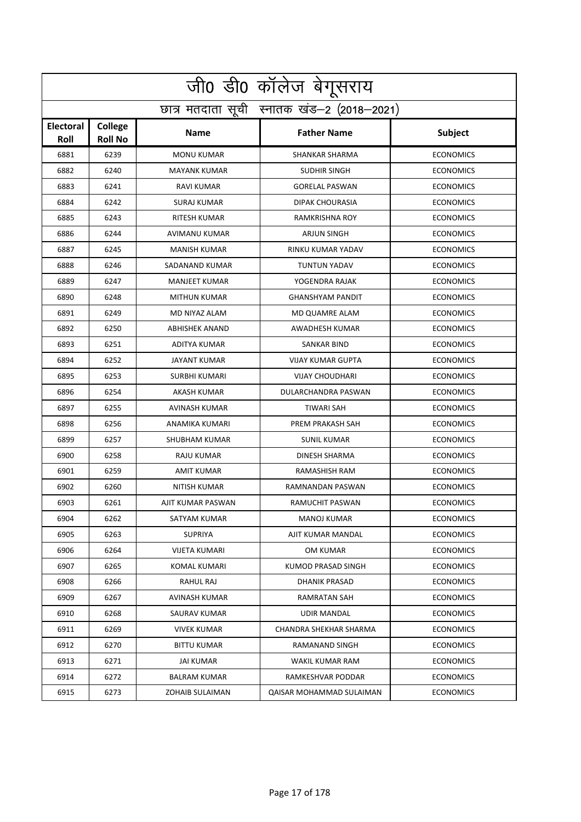|                          | जी0 डी0 कॉलेज बेगूसराय                     |                      |                          |                  |  |  |
|--------------------------|--------------------------------------------|----------------------|--------------------------|------------------|--|--|
|                          | छात्र मतदाता सूची स्नातक खंड-2 (2018-2021) |                      |                          |                  |  |  |
| <b>Electoral</b><br>Roll | College<br><b>Roll No</b>                  | <b>Name</b>          | <b>Father Name</b>       | Subject          |  |  |
| 6881                     | 6239                                       | <b>MONU KUMAR</b>    | <b>SHANKAR SHARMA</b>    | <b>ECONOMICS</b> |  |  |
| 6882                     | 6240                                       | <b>MAYANK KUMAR</b>  | <b>SUDHIR SINGH</b>      | <b>ECONOMICS</b> |  |  |
| 6883                     | 6241                                       | <b>RAVI KUMAR</b>    | <b>GORELAL PASWAN</b>    | <b>ECONOMICS</b> |  |  |
| 6884                     | 6242                                       | <b>SURAJ KUMAR</b>   | DIPAK CHOURASIA          | <b>ECONOMICS</b> |  |  |
| 6885                     | 6243                                       | RITESH KUMAR         | RAMKRISHNA ROY           | <b>ECONOMICS</b> |  |  |
| 6886                     | 6244                                       | AVIMANU KUMAR        | <b>ARJUN SINGH</b>       | <b>ECONOMICS</b> |  |  |
| 6887                     | 6245                                       | <b>MANISH KUMAR</b>  | RINKU KUMAR YADAV        | <b>ECONOMICS</b> |  |  |
| 6888                     | 6246                                       | SADANAND KUMAR       | <b>TUNTUN YADAV</b>      | <b>ECONOMICS</b> |  |  |
| 6889                     | 6247                                       | <b>MANJEET KUMAR</b> | YOGENDRA RAJAK           | <b>ECONOMICS</b> |  |  |
| 6890                     | 6248                                       | <b>MITHUN KUMAR</b>  | <b>GHANSHYAM PANDIT</b>  | <b>ECONOMICS</b> |  |  |
| 6891                     | 6249                                       | MD NIYAZ ALAM        | MD QUAMRE ALAM           | <b>ECONOMICS</b> |  |  |
| 6892                     | 6250                                       | ABHISHEK ANAND       | AWADHESH KUMAR           | <b>ECONOMICS</b> |  |  |
| 6893                     | 6251                                       | <b>ADITYA KUMAR</b>  | <b>SANKAR BIND</b>       | <b>ECONOMICS</b> |  |  |
| 6894                     | 6252                                       | <b>JAYANT KUMAR</b>  | <b>VIJAY KUMAR GUPTA</b> | <b>ECONOMICS</b> |  |  |
| 6895                     | 6253                                       | <b>SURBHI KUMARI</b> | <b>VIJAY CHOUDHARI</b>   | <b>ECONOMICS</b> |  |  |
| 6896                     | 6254                                       | AKASH KUMAR          | DULARCHANDRA PASWAN      | <b>ECONOMICS</b> |  |  |
| 6897                     | 6255                                       | <b>AVINASH KUMAR</b> | <b>TIWARI SAH</b>        | <b>ECONOMICS</b> |  |  |
| 6898                     | 6256                                       | ANAMIKA KUMARI       | PREM PRAKASH SAH         | <b>ECONOMICS</b> |  |  |
| 6899                     | 6257                                       | <b>SHUBHAM KUMAR</b> | <b>SUNIL KUMAR</b>       | <b>ECONOMICS</b> |  |  |
| 6900                     | 6258                                       | RAJU KUMAR           | DINESH SHARMA            | <b>ECONOMICS</b> |  |  |
| 6901                     | 6259                                       | <b>AMIT KUMAR</b>    | RAMASHISH RAM            | <b>ECONOMICS</b> |  |  |
| 6902                     | 6260                                       | <b>NITISH KUMAR</b>  | RAMNANDAN PASWAN         | <b>ECONOMICS</b> |  |  |
| 6903                     | 6261                                       | AJIT KUMAR PASWAN    | RAMUCHIT PASWAN          | <b>ECONOMICS</b> |  |  |
| 6904                     | 6262                                       | SATYAM KUMAR         | MANOJ KUMAR              | <b>ECONOMICS</b> |  |  |
| 6905                     | 6263                                       | <b>SUPRIYA</b>       | AJIT KUMAR MANDAL        | <b>ECONOMICS</b> |  |  |
| 6906                     | 6264                                       | <b>VIJETA KUMARI</b> | OM KUMAR                 | <b>ECONOMICS</b> |  |  |
| 6907                     | 6265                                       | KOMAL KUMARI         | KUMOD PRASAD SINGH       | <b>ECONOMICS</b> |  |  |
| 6908                     | 6266                                       | RAHUL RAJ            | DHANIK PRASAD            | <b>ECONOMICS</b> |  |  |
| 6909                     | 6267                                       | AVINASH KUMAR        | RAMRATAN SAH             | <b>ECONOMICS</b> |  |  |
| 6910                     | 6268                                       | SAURAV KUMAR         | UDIR MANDAL              | <b>ECONOMICS</b> |  |  |
| 6911                     | 6269                                       | <b>VIVEK KUMAR</b>   | CHANDRA SHEKHAR SHARMA   | <b>ECONOMICS</b> |  |  |
| 6912                     | 6270                                       | <b>BITTU KUMAR</b>   | RAMANAND SINGH           | <b>ECONOMICS</b> |  |  |
| 6913                     | 6271                                       | <b>JAI KUMAR</b>     | WAKIL KUMAR RAM          | <b>ECONOMICS</b> |  |  |
| 6914                     | 6272                                       | <b>BALRAM KUMAR</b>  | RAMKESHVAR PODDAR        | <b>ECONOMICS</b> |  |  |
| 6915                     | 6273                                       | ZOHAIB SULAIMAN      | QAISAR MOHAMMAD SULAIMAN | <b>ECONOMICS</b> |  |  |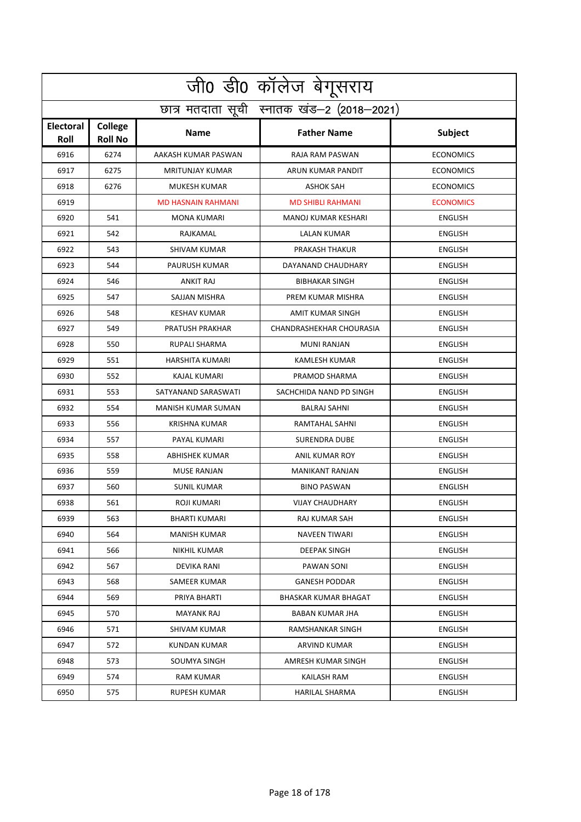|                          | जी0 डी0 कॉलेज बेगूसराय                     |                           |                          |                  |  |  |
|--------------------------|--------------------------------------------|---------------------------|--------------------------|------------------|--|--|
|                          | छात्र मतदाता सूची स्नातक खंड-2 (2018-2021) |                           |                          |                  |  |  |
| <b>Electoral</b><br>Roll | <b>College</b><br><b>Roll No</b>           | <b>Name</b>               | <b>Father Name</b>       | Subject          |  |  |
| 6916                     | 6274                                       | AAKASH KUMAR PASWAN       | <b>RAJA RAM PASWAN</b>   | <b>ECONOMICS</b> |  |  |
| 6917                     | 6275                                       | <b>MRITUNJAY KUMAR</b>    | ARUN KUMAR PANDIT        | <b>ECONOMICS</b> |  |  |
| 6918                     | 6276                                       | <b>MUKESH KUMAR</b>       | <b>ASHOK SAH</b>         | <b>ECONOMICS</b> |  |  |
| 6919                     |                                            | <b>MD HASNAIN RAHMANI</b> | <b>MD SHIBLI RAHMANI</b> | <b>ECONOMICS</b> |  |  |
| 6920                     | 541                                        | <b>MONA KUMARI</b>        | MANOJ KUMAR KESHARI      | <b>ENGLISH</b>   |  |  |
| 6921                     | 542                                        | RAJKAMAL                  | <b>LALAN KUMAR</b>       | <b>ENGLISH</b>   |  |  |
| 6922                     | 543                                        | <b>SHIVAM KUMAR</b>       | PRAKASH THAKUR           | <b>ENGLISH</b>   |  |  |
| 6923                     | 544                                        | <b>PAURUSH KUMAR</b>      | DAYANAND CHAUDHARY       | <b>ENGLISH</b>   |  |  |
| 6924                     | 546                                        | <b>ANKIT RAJ</b>          | <b>BIBHAKAR SINGH</b>    | <b>ENGLISH</b>   |  |  |
| 6925                     | 547                                        | SAJJAN MISHRA             | PREM KUMAR MISHRA        | <b>ENGLISH</b>   |  |  |
| 6926                     | 548                                        | <b>KESHAV KUMAR</b>       | <b>AMIT KUMAR SINGH</b>  | <b>ENGLISH</b>   |  |  |
| 6927                     | 549                                        | PRATUSH PRAKHAR           | CHANDRASHEKHAR CHOURASIA | <b>ENGLISH</b>   |  |  |
| 6928                     | 550                                        | RUPALI SHARMA             | <b>MUNI RANJAN</b>       | <b>ENGLISH</b>   |  |  |
| 6929                     | 551                                        | HARSHITA KUMARI           | KAMLESH KUMAR            | <b>ENGLISH</b>   |  |  |
| 6930                     | 552                                        | KAJAL KUMARI              | PRAMOD SHARMA            | <b>ENGLISH</b>   |  |  |
| 6931                     | 553                                        | SATYANAND SARASWATI       | SACHCHIDA NAND PD SINGH  | <b>ENGLISH</b>   |  |  |
| 6932                     | 554                                        | MANISH KUMAR SUMAN        | <b>BALRAJ SAHNI</b>      | <b>ENGLISH</b>   |  |  |
| 6933                     | 556                                        | <b>KRISHNA KUMAR</b>      | RAMTAHAL SAHNI           | <b>ENGLISH</b>   |  |  |
| 6934                     | 557                                        | PAYAL KUMARI              | <b>SURENDRA DUBE</b>     | <b>ENGLISH</b>   |  |  |
| 6935                     | 558                                        | ABHISHEK KUMAR            | ANIL KUMAR ROY           | <b>ENGLISH</b>   |  |  |
| 6936                     | 559                                        | <b>MUSE RANJAN</b>        | <b>MANIKANT RANJAN</b>   | <b>ENGLISH</b>   |  |  |
| 6937                     | 560                                        | <b>SUNIL KUMAR</b>        | <b>BINO PASWAN</b>       | <b>ENGLISH</b>   |  |  |
| 6938                     | 561                                        | <b>ROJI KUMARI</b>        | <b>VIJAY CHAUDHARY</b>   | <b>ENGLISH</b>   |  |  |
| 6939                     | 563                                        | BHARTI KUMARI             | RAJ KUMAR SAH            | <b>ENGLISH</b>   |  |  |
| 6940                     | 564                                        | MANISH KUMAR              | <b>NAVEEN TIWARI</b>     | ENGLISH          |  |  |
| 6941                     | 566                                        | NIKHIL KUMAR              | DEEPAK SINGH             | <b>ENGLISH</b>   |  |  |
| 6942                     | 567                                        | DEVIKA RANI               | PAWAN SONI               | ENGLISH          |  |  |
| 6943                     | 568                                        | SAMEER KUMAR              | <b>GANESH PODDAR</b>     | ENGLISH          |  |  |
| 6944                     | 569                                        | PRIYA BHARTI              | BHASKAR KUMAR BHAGAT     | ENGLISH          |  |  |
| 6945                     | 570                                        | <b>MAYANK RAJ</b>         | <b>BABAN KUMAR JHA</b>   | <b>ENGLISH</b>   |  |  |
| 6946                     | 571                                        | SHIVAM KUMAR              | RAMSHANKAR SINGH         | ENGLISH          |  |  |
| 6947                     | 572                                        | KUNDAN KUMAR              | ARVIND KUMAR             | ENGLISH          |  |  |
| 6948                     | 573                                        | SOUMYA SINGH              | AMRESH KUMAR SINGH       | <b>ENGLISH</b>   |  |  |
| 6949                     | 574                                        | RAM KUMAR                 | KAILASH RAM              | <b>ENGLISH</b>   |  |  |
| 6950                     | 575                                        | RUPESH KUMAR              | HARILAL SHARMA           | ENGLISH          |  |  |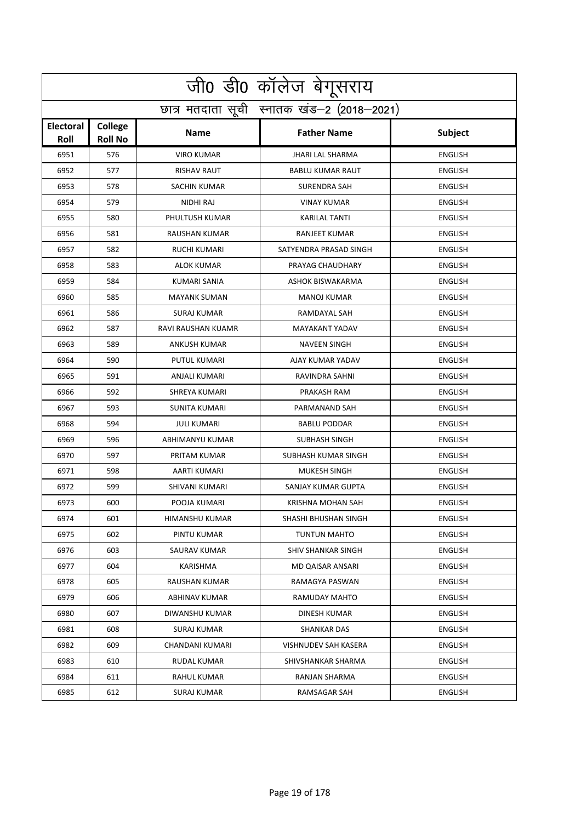|                          | जी0 डी0 कॉलेज बेगूसराय                     |                     |                         |                |  |  |
|--------------------------|--------------------------------------------|---------------------|-------------------------|----------------|--|--|
|                          | छात्र मतदाता सूची स्नातक खंड-2 (2018-2021) |                     |                         |                |  |  |
| <b>Electoral</b><br>Roll | College<br><b>Roll No</b>                  | <b>Name</b>         | <b>Father Name</b>      | Subject        |  |  |
| 6951                     | 576                                        | <b>VIRO KUMAR</b>   | <b>JHARI LAL SHARMA</b> | <b>ENGLISH</b> |  |  |
| 6952                     | 577                                        | RISHAV RAUT         | <b>BABLU KUMAR RAUT</b> | <b>ENGLISH</b> |  |  |
| 6953                     | 578                                        | SACHIN KUMAR        | SURENDRA SAH            | <b>ENGLISH</b> |  |  |
| 6954                     | 579                                        | NIDHI RAJ           | <b>VINAY KUMAR</b>      | <b>ENGLISH</b> |  |  |
| 6955                     | 580                                        | PHULTUSH KUMAR      | <b>KARILAL TANTI</b>    | <b>ENGLISH</b> |  |  |
| 6956                     | 581                                        | RAUSHAN KUMAR       | <b>RANJEET KUMAR</b>    | <b>ENGLISH</b> |  |  |
| 6957                     | 582                                        | <b>RUCHI KUMARI</b> | SATYENDRA PRASAD SINGH  | <b>ENGLISH</b> |  |  |
| 6958                     | 583                                        | ALOK KUMAR          | PRAYAG CHAUDHARY        | <b>ENGLISH</b> |  |  |
| 6959                     | 584                                        | <b>KUMARI SANIA</b> | ASHOK BISWAKARMA        | <b>ENGLISH</b> |  |  |
| 6960                     | 585                                        | <b>MAYANK SUMAN</b> | <b>MANOJ KUMAR</b>      | <b>ENGLISH</b> |  |  |
| 6961                     | 586                                        | <b>SURAJ KUMAR</b>  | RAMDAYAL SAH            | <b>ENGLISH</b> |  |  |
| 6962                     | 587                                        | RAVI RAUSHAN KUAMR  | MAYAKANT YADAV          | <b>ENGLISH</b> |  |  |
| 6963                     | 589                                        | ANKUSH KUMAR        | <b>NAVEEN SINGH</b>     | <b>ENGLISH</b> |  |  |
| 6964                     | 590                                        | PUTUL KUMARI        | AJAY KUMAR YADAV        | <b>ENGLISH</b> |  |  |
| 6965                     | 591                                        | ANJALI KUMARI       | RAVINDRA SAHNI          | <b>ENGLISH</b> |  |  |
| 6966                     | 592                                        | SHREYA KUMARI       | PRAKASH RAM             | <b>ENGLISH</b> |  |  |
| 6967                     | 593                                        | SUNITA KUMARI       | PARMANAND SAH           | <b>ENGLISH</b> |  |  |
| 6968                     | 594                                        | <b>JULI KUMARI</b>  | <b>BABLU PODDAR</b>     | <b>ENGLISH</b> |  |  |
| 6969                     | 596                                        | ABHIMANYU KUMAR     | SUBHASH SINGH           | <b>ENGLISH</b> |  |  |
| 6970                     | 597                                        | PRITAM KUMAR        | SUBHASH KUMAR SINGH     | <b>ENGLISH</b> |  |  |
| 6971                     | 598                                        | AARTI KUMARI        | <b>MUKESH SINGH</b>     | <b>ENGLISH</b> |  |  |
| 6972                     | 599                                        | SHIVANI KUMARI      | SANJAY KUMAR GUPTA      | <b>ENGLISH</b> |  |  |
| 6973                     | 600                                        | POOJA KUMARI        | KRISHNA MOHAN SAH       | <b>ENGLISH</b> |  |  |
| 6974                     | 601                                        | HIMANSHU KUMAR      | SHASHI BHUSHAN SINGH    | <b>ENGLISH</b> |  |  |
| 6975                     | 602                                        | PINTU KUMAR         | <b>TUNTUN MAHTO</b>     | <b>ENGLISH</b> |  |  |
| 6976                     | 603                                        | SAURAV KUMAR        | SHIV SHANKAR SINGH      | <b>ENGLISH</b> |  |  |
| 6977                     | 604                                        | KARISHMA            | MD QAISAR ANSARI        | <b>ENGLISH</b> |  |  |
| 6978                     | 605                                        | RAUSHAN KUMAR       | RAMAGYA PASWAN          | <b>ENGLISH</b> |  |  |
| 6979                     | 606                                        | ABHINAV KUMAR       | RAMUDAY MAHTO           | <b>ENGLISH</b> |  |  |
| 6980                     | 607                                        | DIWANSHU KUMAR      | DINESH KUMAR            | <b>ENGLISH</b> |  |  |
| 6981                     | 608                                        | SURAJ KUMAR         | <b>SHANKAR DAS</b>      | <b>ENGLISH</b> |  |  |
| 6982                     | 609                                        | CHANDANI KUMARI     | VISHNUDEV SAH KASERA    | <b>ENGLISH</b> |  |  |
| 6983                     | 610                                        | RUDAL KUMAR         | SHIVSHANKAR SHARMA      | <b>ENGLISH</b> |  |  |
| 6984                     | 611                                        | RAHUL KUMAR         | RANJAN SHARMA           | <b>ENGLISH</b> |  |  |
| 6985                     | 612                                        | SURAJ KUMAR         | RAMSAGAR SAH            | <b>ENGLISH</b> |  |  |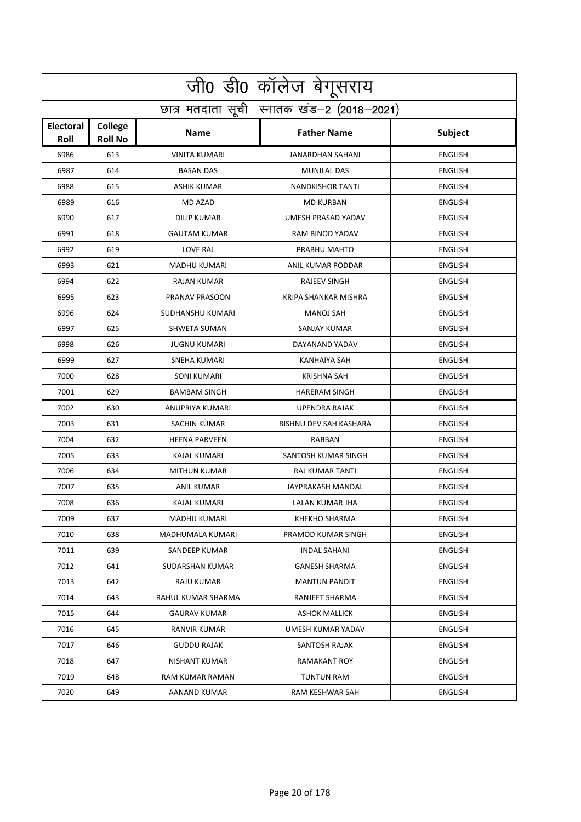|                          | जी0 डी0 कॉलेज बेगूसराय                     |                         |                         |                |  |  |
|--------------------------|--------------------------------------------|-------------------------|-------------------------|----------------|--|--|
|                          | छात्र मतदाता सूची स्नातक खंड-2 (2018-2021) |                         |                         |                |  |  |
| <b>Electoral</b><br>Roll | College<br><b>Roll No</b>                  | <b>Name</b>             | <b>Father Name</b>      | <b>Subject</b> |  |  |
| 6986                     | 613                                        | <b>VINITA KUMARI</b>    | <b>JANARDHAN SAHANI</b> | <b>ENGLISH</b> |  |  |
| 6987                     | 614                                        | <b>BASAN DAS</b>        | <b>MUNILAL DAS</b>      | <b>ENGLISH</b> |  |  |
| 6988                     | 615                                        | <b>ASHIK KUMAR</b>      | <b>NANDKISHOR TANTI</b> | <b>ENGLISH</b> |  |  |
| 6989                     | 616                                        | MD AZAD                 | <b>MD KURBAN</b>        | <b>ENGLISH</b> |  |  |
| 6990                     | 617                                        | DILIP KUMAR             | UMESH PRASAD YADAV      | <b>ENGLISH</b> |  |  |
| 6991                     | 618                                        | <b>GAUTAM KUMAR</b>     | RAM BINOD YADAV         | <b>ENGLISH</b> |  |  |
| 6992                     | 619                                        | <b>LOVE RAJ</b>         | PRABHU MAHTO            | <b>ENGLISH</b> |  |  |
| 6993                     | 621                                        | <b>MADHU KUMARI</b>     | ANIL KUMAR PODDAR       | <b>ENGLISH</b> |  |  |
| 6994                     | 622                                        | <b>RAJAN KUMAR</b>      | <b>RAJEEV SINGH</b>     | <b>ENGLISH</b> |  |  |
| 6995                     | 623                                        | PRANAV PRASOON          | KRIPA SHANKAR MISHRA    | <b>ENGLISH</b> |  |  |
| 6996                     | 624                                        | <b>SUDHANSHU KUMARI</b> | <b>MANOJ SAH</b>        | <b>ENGLISH</b> |  |  |
| 6997                     | 625                                        | SHWETA SUMAN            | SANJAY KUMAR            | <b>ENGLISH</b> |  |  |
| 6998                     | 626                                        | <b>JUGNU KUMARI</b>     | DAYANAND YADAV          | <b>ENGLISH</b> |  |  |
| 6999                     | 627                                        | SNEHA KUMARI            | <b>KANHAIYA SAH</b>     | <b>ENGLISH</b> |  |  |
| 7000                     | 628                                        | SONI KUMARI             | <b>KRISHNA SAH</b>      | <b>ENGLISH</b> |  |  |
| 7001                     | 629                                        | <b>BAMBAM SINGH</b>     | <b>HARERAM SINGH</b>    | <b>ENGLISH</b> |  |  |
| 7002                     | 630                                        | ANUPRIYA KUMARI         | <b>UPENDRA RAJAK</b>    | <b>ENGLISH</b> |  |  |
| 7003                     | 631                                        | SACHIN KUMAR            | BISHNU DEV SAH KASHARA  | <b>ENGLISH</b> |  |  |
| 7004                     | 632                                        | <b>HEENA PARVEEN</b>    | RABBAN                  | <b>ENGLISH</b> |  |  |
| 7005                     | 633                                        | <b>KAJAL KUMARI</b>     | SANTOSH KUMAR SINGH     | <b>ENGLISH</b> |  |  |
| 7006                     | 634                                        | <b>MITHUN KUMAR</b>     | RAJ KUMAR TANTI         | <b>ENGLISH</b> |  |  |
| 7007                     | 635                                        | <b>ANIL KUMAR</b>       | JAYPRAKASH MANDAL       | <b>ENGLISH</b> |  |  |
| 7008                     | 636                                        | <b>KAJAL KUMARI</b>     | LALAN KUMAR JHA         | <b>ENGLISH</b> |  |  |
| 7009                     | 637                                        | MADHU KUMARI            | <b>KHEKHO SHARMA</b>    | <b>ENGLISH</b> |  |  |
| 7010                     | 638                                        | MADHUMALA KUMARI        | PRAMOD KUMAR SINGH      | <b>ENGLISH</b> |  |  |
| 7011                     | 639                                        | SANDEEP KUMAR           | INDAL SAHANI            | <b>ENGLISH</b> |  |  |
| 7012                     | 641                                        | SUDARSHAN KUMAR         | <b>GANESH SHARMA</b>    | <b>ENGLISH</b> |  |  |
| 7013                     | 642                                        | RAJU KUMAR              | <b>MANTUN PANDIT</b>    | <b>ENGLISH</b> |  |  |
| 7014                     | 643                                        | RAHUL KUMAR SHARMA      | RANJEET SHARMA          | <b>ENGLISH</b> |  |  |
| 7015                     | 644                                        | <b>GAURAV KUMAR</b>     | <b>ASHOK MALLICK</b>    | <b>ENGLISH</b> |  |  |
| 7016                     | 645                                        | RANVIR KUMAR            | UMESH KUMAR YADAV       | <b>ENGLISH</b> |  |  |
| 7017                     | 646                                        | <b>GUDDU RAJAK</b>      | SANTOSH RAJAK           | <b>ENGLISH</b> |  |  |
| 7018                     | 647                                        | NISHANT KUMAR           | RAMAKANT ROY            | <b>ENGLISH</b> |  |  |
| 7019                     | 648                                        | RAM KUMAR RAMAN         | TUNTUN RAM              | <b>ENGLISH</b> |  |  |
| 7020                     | 649                                        | AANAND KUMAR            | RAM KESHWAR SAH         | <b>ENGLISH</b> |  |  |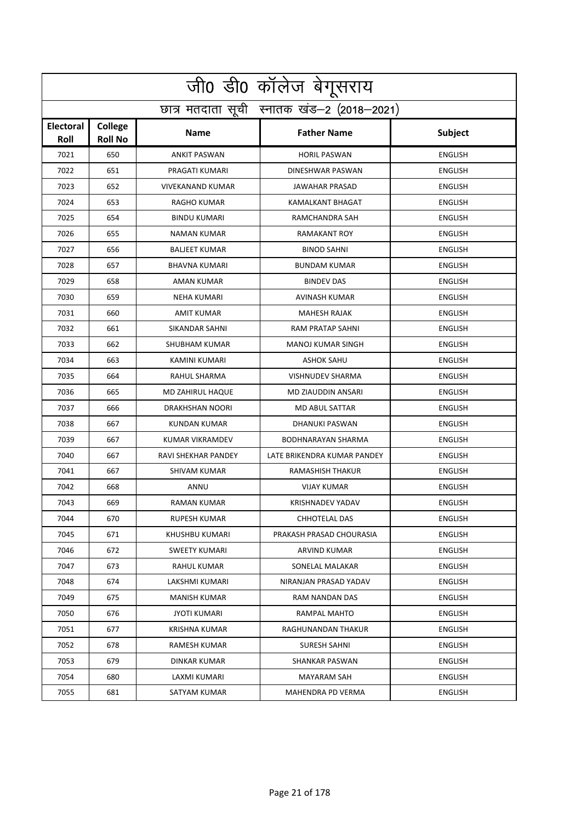|                          | .<br>जीo डीo कॉलेज बेगूसराय                |                         |                             |                |  |  |
|--------------------------|--------------------------------------------|-------------------------|-----------------------------|----------------|--|--|
|                          | छात्र मतदाता सूची स्नातक खंड-2 (2018-2021) |                         |                             |                |  |  |
| <b>Electoral</b><br>Roll | College<br><b>Roll No</b>                  | <b>Name</b>             | <b>Father Name</b>          | Subject        |  |  |
| 7021                     | 650                                        | <b>ANKIT PASWAN</b>     | <b>HORIL PASWAN</b>         | <b>ENGLISH</b> |  |  |
| 7022                     | 651                                        | PRAGATI KUMARI          | DINESHWAR PASWAN            | <b>ENGLISH</b> |  |  |
| 7023                     | 652                                        | <b>VIVEKANAND KUMAR</b> | JAWAHAR PRASAD              | <b>ENGLISH</b> |  |  |
| 7024                     | 653                                        | <b>RAGHO KUMAR</b>      | <b>KAMALKANT BHAGAT</b>     | <b>ENGLISH</b> |  |  |
| 7025                     | 654                                        | <b>BINDU KUMARI</b>     | RAMCHANDRA SAH              | <b>ENGLISH</b> |  |  |
| 7026                     | 655                                        | <b>NAMAN KUMAR</b>      | <b>RAMAKANT ROY</b>         | <b>ENGLISH</b> |  |  |
| 7027                     | 656                                        | <b>BALJEET KUMAR</b>    | <b>BINOD SAHNI</b>          | <b>ENGLISH</b> |  |  |
| 7028                     | 657                                        | <b>BHAVNA KUMARI</b>    | <b>BUNDAM KUMAR</b>         | <b>ENGLISH</b> |  |  |
| 7029                     | 658                                        | <b>AMAN KUMAR</b>       | <b>BINDEV DAS</b>           | <b>ENGLISH</b> |  |  |
| 7030                     | 659                                        | <b>NEHA KUMARI</b>      | <b>AVINASH KUMAR</b>        | <b>ENGLISH</b> |  |  |
| 7031                     | 660                                        | <b>AMIT KUMAR</b>       | <b>MAHESH RAJAK</b>         | <b>ENGLISH</b> |  |  |
| 7032                     | 661                                        | SIKANDAR SAHNI          | RAM PRATAP SAHNI            | <b>ENGLISH</b> |  |  |
| 7033                     | 662                                        | SHUBHAM KUMAR           | <b>MANOJ KUMAR SINGH</b>    | <b>ENGLISH</b> |  |  |
| 7034                     | 663                                        | KAMINI KUMARI           | <b>ASHOK SAHU</b>           | <b>ENGLISH</b> |  |  |
| 7035                     | 664                                        | RAHUL SHARMA            | <b>VISHNUDEV SHARMA</b>     | <b>ENGLISH</b> |  |  |
| 7036                     | 665                                        | <b>MD ZAHIRUL HAQUE</b> | MD ZIAUDDIN ANSARI          | <b>ENGLISH</b> |  |  |
| 7037                     | 666                                        | DRAKHSHAN NOORI         | MD ABUL SATTAR              | <b>ENGLISH</b> |  |  |
| 7038                     | 667                                        | <b>KUNDAN KUMAR</b>     | DHANUKI PASWAN              | <b>ENGLISH</b> |  |  |
| 7039                     | 667                                        | KUMAR VIKRAMDEV         | <b>BODHNARAYAN SHARMA</b>   | <b>ENGLISH</b> |  |  |
| 7040                     | 667                                        | RAVI SHEKHAR PANDEY     | LATE BRIKENDRA KUMAR PANDEY | <b>ENGLISH</b> |  |  |
| 7041                     | 667                                        | SHIVAM KUMAR            | RAMASHISH THAKUR            | <b>ENGLISH</b> |  |  |
| 7042                     | 668                                        | ANNU                    | VIJAY KUMAR                 | <b>ENGLISH</b> |  |  |
| 7043                     | 669                                        | RAMAN KUMAR             | KRISHNADEV YADAV            | <b>ENGLISH</b> |  |  |
| 7044                     | 670                                        | RUPESH KUMAR            | CHHOTELAL DAS               | <b>ENGLISH</b> |  |  |
| 7045                     | 671                                        | KHUSHBU KUMARI          | PRAKASH PRASAD CHOURASIA    | <b>ENGLISH</b> |  |  |
| 7046                     | 672                                        | SWEETY KUMARI           | ARVIND KUMAR                | <b>ENGLISH</b> |  |  |
| 7047                     | 673                                        | RAHUL KUMAR             | SONELAL MALAKAR             | <b>ENGLISH</b> |  |  |
| 7048                     | 674                                        | LAKSHMI KUMARI          | NIRANJAN PRASAD YADAV       | <b>ENGLISH</b> |  |  |
| 7049                     | 675                                        | <b>MANISH KUMAR</b>     | RAM NANDAN DAS              | ENGLISH        |  |  |
| 7050                     | 676                                        | JYOTI KUMARI            | <b>RAMPAL MAHTO</b>         | <b>ENGLISH</b> |  |  |
| 7051                     | 677                                        | KRISHNA KUMAR           | RAGHUNANDAN THAKUR          | <b>ENGLISH</b> |  |  |
| 7052                     | 678                                        | RAMESH KUMAR            | SURESH SAHNI                | <b>ENGLISH</b> |  |  |
| 7053                     | 679                                        | DINKAR KUMAR            | SHANKAR PASWAN              | <b>ENGLISH</b> |  |  |
| 7054                     | 680                                        | LAXMI KUMARI            | MAYARAM SAH                 | <b>ENGLISH</b> |  |  |
| 7055                     | 681                                        | SATYAM KUMAR            | MAHENDRA PD VERMA           | <b>ENGLISH</b> |  |  |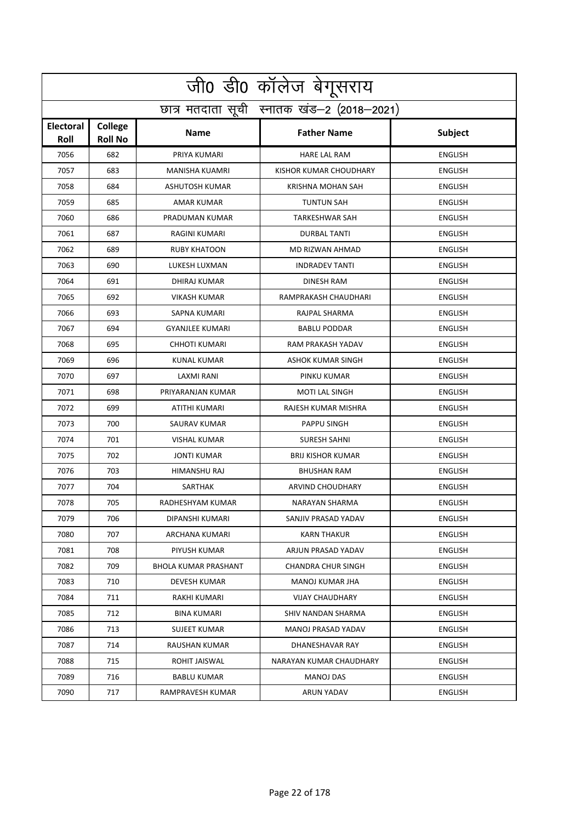|                          | <u>जी0 डी0 कॉलेज बेगू</u> सराय             |                             |                           |                |  |  |
|--------------------------|--------------------------------------------|-----------------------------|---------------------------|----------------|--|--|
|                          | छात्र मतदाता सूची स्नातक खंड-2 (2018-2021) |                             |                           |                |  |  |
| <b>Electoral</b><br>Roll | College<br><b>Roll No</b>                  | <b>Name</b>                 | <b>Father Name</b>        | <b>Subject</b> |  |  |
| 7056                     | 682                                        | PRIYA KUMARI                | <b>HARE LAL RAM</b>       | <b>ENGLISH</b> |  |  |
| 7057                     | 683                                        | MANISHA KUAMRI              | KISHOR KUMAR CHOUDHARY    | <b>ENGLISH</b> |  |  |
| 7058                     | 684                                        | ASHUTOSH KUMAR              | <b>KRISHNA MOHAN SAH</b>  | <b>ENGLISH</b> |  |  |
| 7059                     | 685                                        | <b>AMAR KUMAR</b>           | <b>TUNTUN SAH</b>         | <b>ENGLISH</b> |  |  |
| 7060                     | 686                                        | PRADUMAN KUMAR              | <b>TARKESHWAR SAH</b>     | <b>ENGLISH</b> |  |  |
| 7061                     | 687                                        | RAGINI KUMARI               | <b>DURBAL TANTI</b>       | <b>ENGLISH</b> |  |  |
| 7062                     | 689                                        | <b>RUBY KHATOON</b>         | MD RIZWAN AHMAD           | <b>ENGLISH</b> |  |  |
| 7063                     | 690                                        | LUKESH LUXMAN               | <b>INDRADEV TANTI</b>     | <b>ENGLISH</b> |  |  |
| 7064                     | 691                                        | <b>DHIRAJ KUMAR</b>         | <b>DINESH RAM</b>         | <b>ENGLISH</b> |  |  |
| 7065                     | 692                                        | <b>VIKASH KUMAR</b>         | RAMPRAKASH CHAUDHARI      | <b>ENGLISH</b> |  |  |
| 7066                     | 693                                        | SAPNA KUMARI                | RAJPAL SHARMA             | <b>ENGLISH</b> |  |  |
| 7067                     | 694                                        | <b>GYANJLEE KUMARI</b>      | <b>BABLU PODDAR</b>       | <b>ENGLISH</b> |  |  |
| 7068                     | 695                                        | <b>CHHOTI KUMARI</b>        | RAM PRAKASH YADAV         | <b>ENGLISH</b> |  |  |
| 7069                     | 696                                        | <b>KUNAL KUMAR</b>          | ASHOK KUMAR SINGH         | <b>ENGLISH</b> |  |  |
| 7070                     | 697                                        | LAXMI RANI                  | PINKU KUMAR               | <b>ENGLISH</b> |  |  |
| 7071                     | 698                                        | PRIYARANJAN KUMAR           | MOTI LAL SINGH            | <b>ENGLISH</b> |  |  |
| 7072                     | 699                                        | ATITHI KUMARI               | RAJESH KUMAR MISHRA       | <b>ENGLISH</b> |  |  |
| 7073                     | 700                                        | SAURAV KUMAR                | PAPPU SINGH               | <b>ENGLISH</b> |  |  |
| 7074                     | 701                                        | <b>VISHAL KUMAR</b>         | <b>SURESH SAHNI</b>       | <b>ENGLISH</b> |  |  |
| 7075                     | 702                                        | <b>JONTI KUMAR</b>          | <b>BRIJ KISHOR KUMAR</b>  | <b>ENGLISH</b> |  |  |
| 7076                     | 703                                        | HIMANSHU RAJ                | <b>BHUSHAN RAM</b>        | <b>ENGLISH</b> |  |  |
| 7077                     | 704                                        | SARTHAK                     | <b>ARVIND CHOUDHARY</b>   | <b>ENGLISH</b> |  |  |
| 7078                     | 705                                        | RADHESHYAM KUMAR            | NARAYAN SHARMA            | <b>ENGLISH</b> |  |  |
| 7079                     | 706                                        | DIPANSHI KUMARI             | SANJIV PRASAD YADAV       | <b>ENGLISH</b> |  |  |
| 7080                     | 707                                        | ARCHANA KUMARI              | KARN THAKUR               | <b>ENGLISH</b> |  |  |
| 7081                     | 708                                        | PIYUSH KUMAR                | ARJUN PRASAD YADAV        | <b>ENGLISH</b> |  |  |
| 7082                     | 709                                        | <b>BHOLA KUMAR PRASHANT</b> | <b>CHANDRA CHUR SINGH</b> | <b>ENGLISH</b> |  |  |
| 7083                     | 710                                        | DEVESH KUMAR                | MANOJ KUMAR JHA           | <b>ENGLISH</b> |  |  |
| 7084                     | 711                                        | RAKHI KUMARI                | <b>VIJAY CHAUDHARY</b>    | ENGLISH        |  |  |
| 7085                     | 712                                        | <b>BINA KUMARI</b>          | SHIV NANDAN SHARMA        | <b>ENGLISH</b> |  |  |
| 7086                     | 713                                        | SUJEET KUMAR                | MANOJ PRASAD YADAV        | <b>ENGLISH</b> |  |  |
| 7087                     | 714                                        | RAUSHAN KUMAR               | DHANESHAVAR RAY           | <b>ENGLISH</b> |  |  |
| 7088                     | 715                                        | ROHIT JAISWAL               | NARAYAN KUMAR CHAUDHARY   | <b>ENGLISH</b> |  |  |
| 7089                     | 716                                        | BABLU KUMAR                 | <b>MANOJ DAS</b>          | <b>ENGLISH</b> |  |  |
| 7090                     | 717                                        | RAMPRAVESH KUMAR            | ARUN YADAV                | <b>ENGLISH</b> |  |  |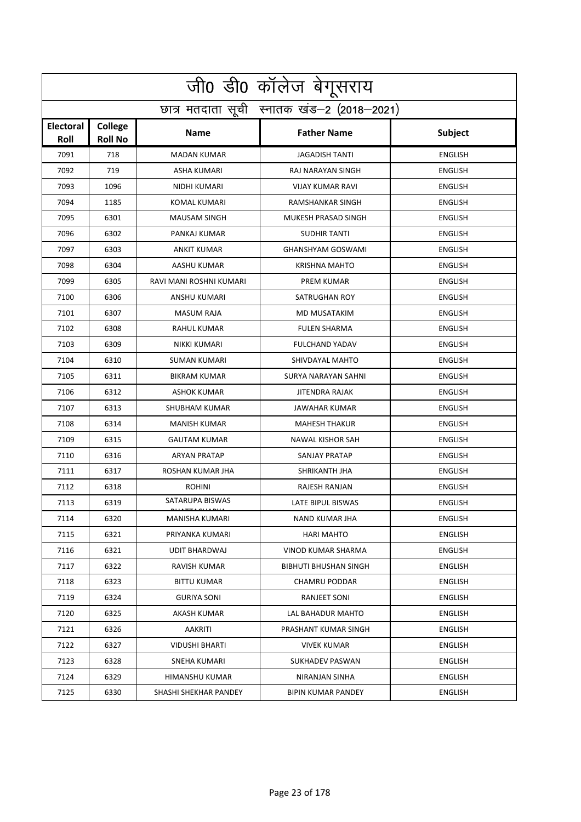|                          | <u>जी0 डी0 कॉलेज बेगू</u> सराय             |                         |                              |                |  |  |
|--------------------------|--------------------------------------------|-------------------------|------------------------------|----------------|--|--|
|                          | छात्र मतदाता सूची स्नातक खंड-2 (2018-2021) |                         |                              |                |  |  |
| Electoral<br><b>Roll</b> | College<br><b>Roll No</b>                  | <b>Name</b>             | <b>Father Name</b>           | Subject        |  |  |
| 7091                     | 718                                        | <b>MADAN KUMAR</b>      | <b>JAGADISH TANTI</b>        | <b>ENGLISH</b> |  |  |
| 7092                     | 719                                        | ASHA KUMARI             | RAJ NARAYAN SINGH            | <b>ENGLISH</b> |  |  |
| 7093                     | 1096                                       | NIDHI KUMARI            | <b>VIJAY KUMAR RAVI</b>      | <b>ENGLISH</b> |  |  |
| 7094                     | 1185                                       | <b>KOMAL KUMARI</b>     | <b>RAMSHANKAR SINGH</b>      | <b>ENGLISH</b> |  |  |
| 7095                     | 6301                                       | <b>MAUSAM SINGH</b>     | MUKESH PRASAD SINGH          | <b>ENGLISH</b> |  |  |
| 7096                     | 6302                                       | PANKAJ KUMAR            | <b>SUDHIR TANTI</b>          | <b>ENGLISH</b> |  |  |
| 7097                     | 6303                                       | <b>ANKIT KUMAR</b>      | <b>GHANSHYAM GOSWAMI</b>     | <b>ENGLISH</b> |  |  |
| 7098                     | 6304                                       | AASHU KUMAR             | KRISHNA MAHTO                | <b>ENGLISH</b> |  |  |
| 7099                     | 6305                                       | RAVI MANI ROSHNI KUMARI | <b>PREM KUMAR</b>            | <b>ENGLISH</b> |  |  |
| 7100                     | 6306                                       | ANSHU KUMARI            | SATRUGHAN ROY                | <b>ENGLISH</b> |  |  |
| 7101                     | 6307                                       | <b>MASUM RAJA</b>       | <b>MD MUSATAKIM</b>          | <b>ENGLISH</b> |  |  |
| 7102                     | 6308                                       | <b>RAHUL KUMAR</b>      | <b>FULEN SHARMA</b>          | <b>ENGLISH</b> |  |  |
| 7103                     | 6309                                       | <b>NIKKI KUMARI</b>     | <b>FULCHAND YADAV</b>        | <b>ENGLISH</b> |  |  |
| 7104                     | 6310                                       | <b>SUMAN KUMARI</b>     | SHIVDAYAL MAHTO              | <b>ENGLISH</b> |  |  |
| 7105                     | 6311                                       | <b>BIKRAM KUMAR</b>     | SURYA NARAYAN SAHNI          | <b>ENGLISH</b> |  |  |
| 7106                     | 6312                                       | <b>ASHOK KUMAR</b>      | <b>JITENDRA RAJAK</b>        | <b>ENGLISH</b> |  |  |
| 7107                     | 6313                                       | <b>SHUBHAM KUMAR</b>    | <b>JAWAHAR KUMAR</b>         | <b>ENGLISH</b> |  |  |
| 7108                     | 6314                                       | <b>MANISH KUMAR</b>     | <b>MAHESH THAKUR</b>         | <b>ENGLISH</b> |  |  |
| 7109                     | 6315                                       | <b>GAUTAM KUMAR</b>     | NAWAL KISHOR SAH             | <b>ENGLISH</b> |  |  |
| 7110                     | 6316                                       | <b>ARYAN PRATAP</b>     | <b>SANJAY PRATAP</b>         | <b>ENGLISH</b> |  |  |
| 7111                     | 6317                                       | ROSHAN KUMAR JHA        | SHRIKANTH JHA                | <b>ENGLISH</b> |  |  |
| 7112                     | 6318                                       | <b>ROHINI</b>           | RAJESH RANJAN                | <b>ENGLISH</b> |  |  |
| 7113                     | 6319                                       | SATARUPA BISWAS         | LATE BIPUL BISWAS            | <b>ENGLISH</b> |  |  |
| 7114                     | 6320                                       | MANISHA KUMARI          | NAND KUMAR JHA               | <b>ENGLISH</b> |  |  |
| 7115                     | 6321                                       | PRIYANKA KUMARI         | <b>HARI MAHTO</b>            | <b>ENGLISH</b> |  |  |
| 7116                     | 6321                                       | <b>UDIT BHARDWAJ</b>    | VINOD KUMAR SHARMA           | <b>ENGLISH</b> |  |  |
| 7117                     | 6322                                       | <b>RAVISH KUMAR</b>     | <b>BIBHUTI BHUSHAN SINGH</b> | <b>ENGLISH</b> |  |  |
| 7118                     | 6323                                       | <b>BITTU KUMAR</b>      | <b>CHAMRU PODDAR</b>         | <b>ENGLISH</b> |  |  |
| 7119                     | 6324                                       | <b>GURIYA SONI</b>      | RANJEET SONI                 | <b>ENGLISH</b> |  |  |
| 7120                     | 6325                                       | AKASH KUMAR             | LAL BAHADUR MAHTO            | <b>ENGLISH</b> |  |  |
| 7121                     | 6326                                       | AAKRITI                 | PRASHANT KUMAR SINGH         | <b>ENGLISH</b> |  |  |
| 7122                     | 6327                                       | <b>VIDUSHI BHARTI</b>   | VIVEK KUMAR                  | <b>ENGLISH</b> |  |  |
| 7123                     | 6328                                       | SNEHA KUMARI            | SUKHADEV PASWAN              | <b>ENGLISH</b> |  |  |
| 7124                     | 6329                                       | HIMANSHU KUMAR          | NIRANJAN SINHA               | <b>ENGLISH</b> |  |  |
| 7125                     | 6330                                       | SHASHI SHEKHAR PANDEY   | BIPIN KUMAR PANDEY           | <b>ENGLISH</b> |  |  |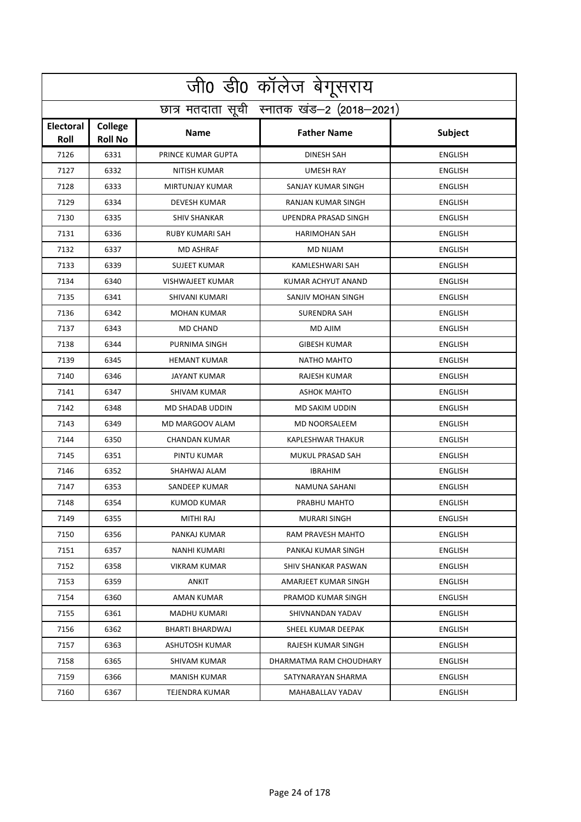|                          | जी0 डी0 कॉलेज बेगूसराय                     |                         |                          |                |  |  |
|--------------------------|--------------------------------------------|-------------------------|--------------------------|----------------|--|--|
|                          | छात्र मतदाता सूची स्नातक खंड-2 (2018-2021) |                         |                          |                |  |  |
| <b>Electoral</b><br>Roll | College<br><b>Roll No</b>                  | <b>Name</b>             | <b>Father Name</b>       | <b>Subject</b> |  |  |
| 7126                     | 6331                                       | PRINCE KUMAR GUPTA      | <b>DINESH SAH</b>        | <b>ENGLISH</b> |  |  |
| 7127                     | 6332                                       | <b>NITISH KUMAR</b>     | <b>UMESH RAY</b>         | <b>ENGLISH</b> |  |  |
| 7128                     | 6333                                       | MIRTUNJAY KUMAR         | SANJAY KUMAR SINGH       | <b>ENGLISH</b> |  |  |
| 7129                     | 6334                                       | <b>DEVESH KUMAR</b>     | RANJAN KUMAR SINGH       | <b>ENGLISH</b> |  |  |
| 7130                     | 6335                                       | <b>SHIV SHANKAR</b>     | UPENDRA PRASAD SINGH     | <b>ENGLISH</b> |  |  |
| 7131                     | 6336                                       | <b>RUBY KUMARI SAH</b>  | <b>HARIMOHAN SAH</b>     | <b>ENGLISH</b> |  |  |
| 7132                     | 6337                                       | <b>MD ASHRAF</b>        | <b>MD NIJAM</b>          | <b>ENGLISH</b> |  |  |
| 7133                     | 6339                                       | <b>SUJEET KUMAR</b>     | KAMLESHWARI SAH          | <b>ENGLISH</b> |  |  |
| 7134                     | 6340                                       | <b>VISHWAJEET KUMAR</b> | KUMAR ACHYUT ANAND       | <b>ENGLISH</b> |  |  |
| 7135                     | 6341                                       | SHIVANI KUMARI          | SANJIV MOHAN SINGH       | <b>ENGLISH</b> |  |  |
| 7136                     | 6342                                       | <b>MOHAN KUMAR</b>      | <b>SURENDRA SAH</b>      | <b>ENGLISH</b> |  |  |
| 7137                     | 6343                                       | <b>MD CHAND</b>         | <b>MD AJIM</b>           | <b>ENGLISH</b> |  |  |
| 7138                     | 6344                                       | PURNIMA SINGH           | <b>GIBESH KUMAR</b>      | <b>ENGLISH</b> |  |  |
| 7139                     | 6345                                       | <b>HEMANT KUMAR</b>     | <b>NATHO MAHTO</b>       | <b>ENGLISH</b> |  |  |
| 7140                     | 6346                                       | <b>JAYANT KUMAR</b>     | RAJESH KUMAR             | <b>ENGLISH</b> |  |  |
| 7141                     | 6347                                       | <b>SHIVAM KUMAR</b>     | <b>ASHOK MAHTO</b>       | <b>ENGLISH</b> |  |  |
| 7142                     | 6348                                       | MD SHADAB UDDIN         | MD SAKIM UDDIN           | <b>ENGLISH</b> |  |  |
| 7143                     | 6349                                       | MD MARGOOV ALAM         | MD NOORSALEEM            | <b>ENGLISH</b> |  |  |
| 7144                     | 6350                                       | <b>CHANDAN KUMAR</b>    | <b>KAPLESHWAR THAKUR</b> | <b>ENGLISH</b> |  |  |
| 7145                     | 6351                                       | PINTU KUMAR             | MUKUL PRASAD SAH         | <b>ENGLISH</b> |  |  |
| 7146                     | 6352                                       | SHAHWAJ ALAM            | <b>IBRAHIM</b>           | <b>ENGLISH</b> |  |  |
| 7147                     | 6353                                       | SANDEEP KUMAR           | NAMUNA SAHANI            | <b>ENGLISH</b> |  |  |
| 7148                     | 6354                                       | <b>KUMOD KUMAR</b>      | PRABHU MAHTO             | <b>ENGLISH</b> |  |  |
| 7149                     | 6355                                       | MITHI RAJ               | MURARI SINGH             | <b>ENGLISH</b> |  |  |
| 7150                     | 6356                                       | PANKAJ KUMAR            | RAM PRAVESH MAHTO        | ENGLISH        |  |  |
| 7151                     | 6357                                       | NANHI KUMARI            | PANKAJ KUMAR SINGH       | ENGLISH        |  |  |
| 7152                     | 6358                                       | <b>VIKRAM KUMAR</b>     | SHIV SHANKAR PASWAN      | ENGLISH        |  |  |
| 7153                     | 6359                                       | ANKIT                   | AMARJEET KUMAR SINGH     | ENGLISH        |  |  |
| 7154                     | 6360                                       | AMAN KUMAR              | PRAMOD KUMAR SINGH       | <b>ENGLISH</b> |  |  |
| 7155                     | 6361                                       | MADHU KUMARI            | SHIVNANDAN YADAV         | ENGLISH        |  |  |
| 7156                     | 6362                                       | BHARTI BHARDWAJ         | SHEEL KUMAR DEEPAK       | ENGLISH        |  |  |
| 7157                     | 6363                                       | ASHUTOSH KUMAR          | RAJESH KUMAR SINGH       | ENGLISH        |  |  |
| 7158                     | 6365                                       | <b>SHIVAM KUMAR</b>     | DHARMATMA RAM CHOUDHARY  | ENGLISH        |  |  |
| 7159                     | 6366                                       | <b>MANISH KUMAR</b>     | SATYNARAYAN SHARMA       | ENGLISH        |  |  |
| 7160                     | 6367                                       | TEJENDRA KUMAR          | MAHABALLAV YADAV         | ENGLISH        |  |  |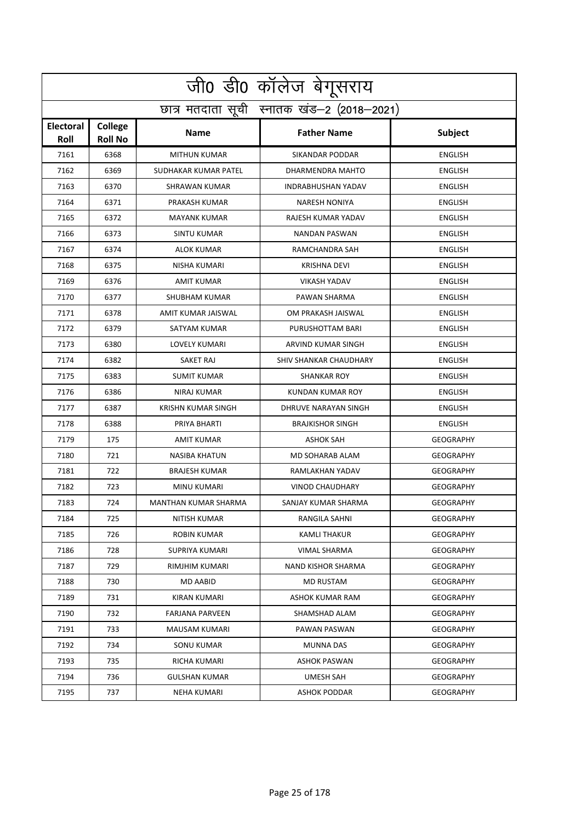| जी0 डी0 कॉलेज बेगूसराय                     |                           |                           |                           |                  |  |
|--------------------------------------------|---------------------------|---------------------------|---------------------------|------------------|--|
| छात्र मतदाता सूची स्नातक खंड-2 (2018-2021) |                           |                           |                           |                  |  |
| <b>Electoral</b><br><b>Roll</b>            | College<br><b>Roll No</b> | <b>Name</b>               | <b>Father Name</b>        | Subject          |  |
| 7161                                       | 6368                      | <b>MITHUN KUMAR</b>       | <b>SIKANDAR PODDAR</b>    | <b>ENGLISH</b>   |  |
| 7162                                       | 6369                      | SUDHAKAR KUMAR PATEL      | DHARMENDRA MAHTO          | <b>ENGLISH</b>   |  |
| 7163                                       | 6370                      | <b>SHRAWAN KUMAR</b>      | <b>INDRABHUSHAN YADAV</b> | <b>ENGLISH</b>   |  |
| 7164                                       | 6371                      | PRAKASH KUMAR             | <b>NARESH NONIYA</b>      | <b>ENGLISH</b>   |  |
| 7165                                       | 6372                      | <b>MAYANK KUMAR</b>       | RAJESH KUMAR YADAV        | <b>ENGLISH</b>   |  |
| 7166                                       | 6373                      | <b>SINTU KUMAR</b>        | <b>NANDAN PASWAN</b>      | <b>ENGLISH</b>   |  |
| 7167                                       | 6374                      | <b>ALOK KUMAR</b>         | RAMCHANDRA SAH            | <b>ENGLISH</b>   |  |
| 7168                                       | 6375                      | NISHA KUMARI              | <b>KRISHNA DEVI</b>       | <b>ENGLISH</b>   |  |
| 7169                                       | 6376                      | AMIT KUMAR                | <b>VIKASH YADAV</b>       | <b>ENGLISH</b>   |  |
| 7170                                       | 6377                      | <b>SHUBHAM KUMAR</b>      | PAWAN SHARMA              | <b>ENGLISH</b>   |  |
| 7171                                       | 6378                      | AMIT KUMAR JAISWAL        | OM PRAKASH JAISWAL        | <b>ENGLISH</b>   |  |
| 7172                                       | 6379                      | SATYAM KUMAR              | PURUSHOTTAM BARI          | <b>ENGLISH</b>   |  |
| 7173                                       | 6380                      | LOVELY KUMARI             | ARVIND KUMAR SINGH        | <b>ENGLISH</b>   |  |
| 7174                                       | 6382                      | SAKET RAJ                 | SHIV SHANKAR CHAUDHARY    | <b>ENGLISH</b>   |  |
| 7175                                       | 6383                      | <b>SUMIT KUMAR</b>        | <b>SHANKAR ROY</b>        | <b>ENGLISH</b>   |  |
| 7176                                       | 6386                      | NIRAJ KUMAR               | <b>KUNDAN KUMAR ROY</b>   | <b>ENGLISH</b>   |  |
| 7177                                       | 6387                      | <b>KRISHN KUMAR SINGH</b> | DHRUVE NARAYAN SINGH      | <b>ENGLISH</b>   |  |
| 7178                                       | 6388                      | PRIYA BHARTI              | <b>BRAJKISHOR SINGH</b>   | <b>ENGLISH</b>   |  |
| 7179                                       | 175                       | AMIT KUMAR                | <b>ASHOK SAH</b>          | <b>GEOGRAPHY</b> |  |
| 7180                                       | 721                       | <b>NASIBA KHATUN</b>      | MD SOHARAB ALAM           | <b>GEOGRAPHY</b> |  |
| 7181                                       | 722                       | <b>BRAJESH KUMAR</b>      | RAMLAKHAN YADAV           | <b>GEOGRAPHY</b> |  |
| 7182                                       | 723                       | MINU KUMARI               | <b>VINOD CHAUDHARY</b>    | <b>GEOGRAPHY</b> |  |
| 7183                                       | 724                       | MANTHAN KUMAR SHARMA      | SANJAY KUMAR SHARMA       | <b>GEOGRAPHY</b> |  |
| 7184                                       | 725                       | NITISH KUMAR              | RANGILA SAHNI             | <b>GEOGRAPHY</b> |  |
| 7185                                       | 726                       | ROBIN KUMAR               | KAMLI THAKUR              | GEOGRAPHY        |  |
| 7186                                       | 728                       | SUPRIYA KUMARI            | VIMAL SHARMA              | <b>GEOGRAPHY</b> |  |
| 7187                                       | 729                       | RIMJHIM KUMARI            | NAND KISHOR SHARMA        | <b>GEOGRAPHY</b> |  |
| 7188                                       | 730                       | <b>MD AABID</b>           | MD RUSTAM                 | <b>GEOGRAPHY</b> |  |
| 7189                                       | 731                       | KIRAN KUMARI              | ASHOK KUMAR RAM           | GEOGRAPHY        |  |
| 7190                                       | 732                       | <b>FARJANA PARVEEN</b>    | SHAMSHAD ALAM             | GEOGRAPHY        |  |
| 7191                                       | 733                       | MAUSAM KUMARI             | PAWAN PASWAN              | <b>GEOGRAPHY</b> |  |
| 7192                                       | 734                       | SONU KUMAR                | MUNNA DAS                 | GEOGRAPHY        |  |
| 7193                                       | 735                       | RICHA KUMARI              | <b>ASHOK PASWAN</b>       | GEOGRAPHY        |  |
| 7194                                       | 736                       | GULSHAN KUMAR             | UMESH SAH                 | <b>GEOGRAPHY</b> |  |
| 7195                                       | 737                       | NEHA KUMARI               | ASHOK PODDAR              | GEOGRAPHY        |  |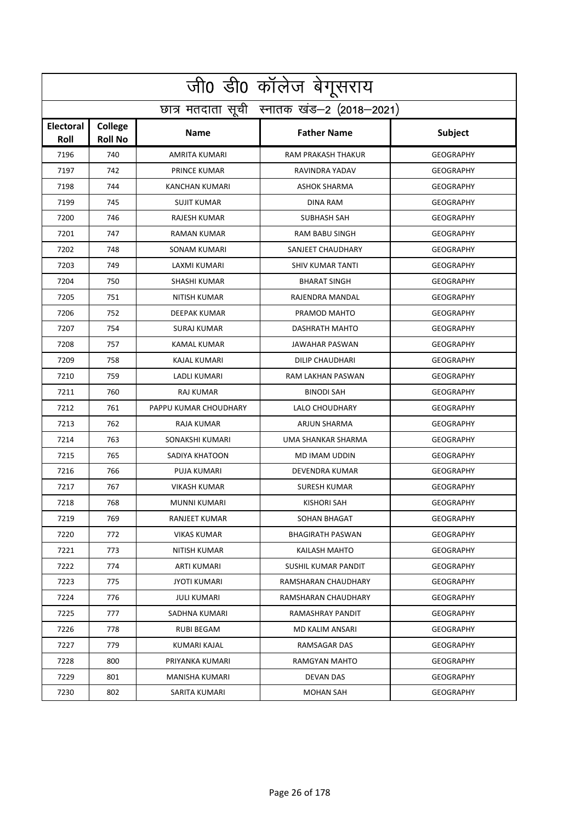|                          | <u>जी0 डी0 कॉलेज बेगू</u> सराय             |                       |                           |                  |  |  |
|--------------------------|--------------------------------------------|-----------------------|---------------------------|------------------|--|--|
|                          | छात्र मतदाता सूची स्नातक खंड-2 (2018-2021) |                       |                           |                  |  |  |
| <b>Electoral</b><br>Roll | College<br><b>Roll No</b>                  | <b>Name</b>           | <b>Father Name</b>        | <b>Subject</b>   |  |  |
| 7196                     | 740                                        | <b>AMRITA KUMARI</b>  | <b>RAM PRAKASH THAKUR</b> | <b>GEOGRAPHY</b> |  |  |
| 7197                     | 742                                        | PRINCE KUMAR          | RAVINDRA YADAV            | <b>GEOGRAPHY</b> |  |  |
| 7198                     | 744                                        | <b>KANCHAN KUMARI</b> | <b>ASHOK SHARMA</b>       | <b>GEOGRAPHY</b> |  |  |
| 7199                     | 745                                        | <b>SUJIT KUMAR</b>    | <b>DINA RAM</b>           | <b>GEOGRAPHY</b> |  |  |
| 7200                     | 746                                        | RAJESH KUMAR          | <b>SUBHASH SAH</b>        | <b>GEOGRAPHY</b> |  |  |
| 7201                     | 747                                        | RAMAN KUMAR           | <b>RAM BABU SINGH</b>     | <b>GEOGRAPHY</b> |  |  |
| 7202                     | 748                                        | SONAM KUMARI          | SANJEET CHAUDHARY         | <b>GEOGRAPHY</b> |  |  |
| 7203                     | 749                                        | LAXMI KUMARI          | <b>SHIV KUMAR TANTI</b>   | <b>GEOGRAPHY</b> |  |  |
| 7204                     | 750                                        | <b>SHASHI KUMAR</b>   | <b>BHARAT SINGH</b>       | <b>GEOGRAPHY</b> |  |  |
| 7205                     | 751                                        | <b>NITISH KUMAR</b>   | RAJENDRA MANDAL           | <b>GEOGRAPHY</b> |  |  |
| 7206                     | 752                                        | <b>DEEPAK KUMAR</b>   | PRAMOD MAHTO              | <b>GEOGRAPHY</b> |  |  |
| 7207                     | 754                                        | SURAJ KUMAR           | <b>DASHRATH MAHTO</b>     | <b>GEOGRAPHY</b> |  |  |
| 7208                     | 757                                        | <b>KAMAL KUMAR</b>    | JAWAHAR PASWAN            | <b>GEOGRAPHY</b> |  |  |
| 7209                     | 758                                        | KAJAL KUMARI          | <b>DILIP CHAUDHARI</b>    | <b>GEOGRAPHY</b> |  |  |
| 7210                     | 759                                        | LADLI KUMARI          | RAM LAKHAN PASWAN         | <b>GEOGRAPHY</b> |  |  |
| 7211                     | 760                                        | <b>RAJ KUMAR</b>      | <b>BINODI SAH</b>         | <b>GEOGRAPHY</b> |  |  |
| 7212                     | 761                                        | PAPPU KUMAR CHOUDHARY | LALO CHOUDHARY            | <b>GEOGRAPHY</b> |  |  |
| 7213                     | 762                                        | RAJA KUMAR            | ARJUN SHARMA              | <b>GEOGRAPHY</b> |  |  |
| 7214                     | 763                                        | SONAKSHI KUMARI       | UMA SHANKAR SHARMA        | <b>GEOGRAPHY</b> |  |  |
| 7215                     | 765                                        | SADIYA KHATOON        | MD IMAM UDDIN             | <b>GEOGRAPHY</b> |  |  |
| 7216                     | 766                                        | PUJA KUMARI           | <b>DEVENDRA KUMAR</b>     | <b>GEOGRAPHY</b> |  |  |
| 7217                     | 767                                        | <b>VIKASH KUMAR</b>   | <b>SURESH KUMAR</b>       | <b>GEOGRAPHY</b> |  |  |
| 7218                     | 768                                        | <b>MUNNI KUMARI</b>   | KISHORI SAH               | <b>GEOGRAPHY</b> |  |  |
| 7219                     | 769                                        | RANJEET KUMAR         | SOHAN BHAGAT              | <b>GEOGRAPHY</b> |  |  |
| 7220                     | 772                                        | VIKAS KUMAR           | <b>BHAGIRATH PASWAN</b>   | GEOGRAPHY        |  |  |
| 7221                     | 773                                        | <b>NITISH KUMAR</b>   | KAILASH MAHTO             | <b>GEOGRAPHY</b> |  |  |
| 7222                     | 774                                        | ARTI KUMARI           | SUSHIL KUMAR PANDIT       | <b>GEOGRAPHY</b> |  |  |
| 7223                     | 775                                        | <b>JYOTI KUMARI</b>   | RAMSHARAN CHAUDHARY       | <b>GEOGRAPHY</b> |  |  |
| 7224                     | 776                                        | <b>JULI KUMARI</b>    | RAMSHARAN CHAUDHARY       | GEOGRAPHY        |  |  |
| 7225                     | 777                                        | SADHNA KUMARI         | RAMASHRAY PANDIT          | GEOGRAPHY        |  |  |
| 7226                     | 778                                        | RUBI BEGAM            | MD KALIM ANSARI           | <b>GEOGRAPHY</b> |  |  |
| 7227                     | 779                                        | KUMARI KAJAL          | RAMSAGAR DAS              | GEOGRAPHY        |  |  |
| 7228                     | 800                                        | PRIYANKA KUMARI       | RAMGYAN MAHTO             | GEOGRAPHY        |  |  |
| 7229                     | 801                                        | MANISHA KUMARI        | DEVAN DAS                 | GEOGRAPHY        |  |  |
| 7230                     | 802                                        | SARITA KUMARI         | MOHAN SAH                 | GEOGRAPHY        |  |  |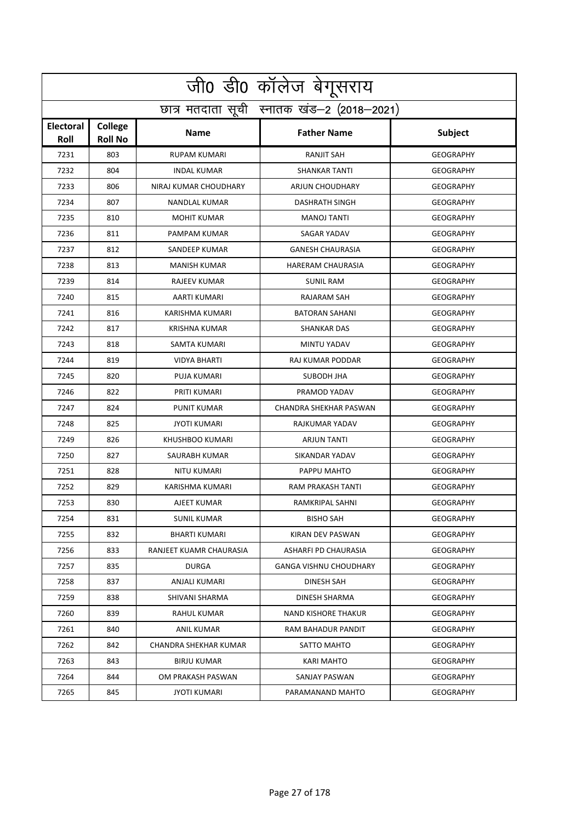|                          | जी0 डी0 कॉलेज बेगूसराय                     |                         |                            |                  |  |  |
|--------------------------|--------------------------------------------|-------------------------|----------------------------|------------------|--|--|
|                          | छात्र मतदाता सूची स्नातक खंड-2 (2018-2021) |                         |                            |                  |  |  |
| <b>Electoral</b><br>Roll | College<br><b>Roll No</b>                  | <b>Name</b>             | <b>Father Name</b>         | <b>Subject</b>   |  |  |
| 7231                     | 803                                        | <b>RUPAM KUMARI</b>     | <b>RANJIT SAH</b>          | <b>GEOGRAPHY</b> |  |  |
| 7232                     | 804                                        | <b>INDAL KUMAR</b>      | <b>SHANKAR TANTI</b>       | <b>GEOGRAPHY</b> |  |  |
| 7233                     | 806                                        | NIRAJ KUMAR CHOUDHARY   | <b>ARJUN CHOUDHARY</b>     | <b>GEOGRAPHY</b> |  |  |
| 7234                     | 807                                        | <b>NANDLAL KUMAR</b>    | <b>DASHRATH SINGH</b>      | <b>GEOGRAPHY</b> |  |  |
| 7235                     | 810                                        | <b>MOHIT KUMAR</b>      | <b>MANOJ TANTI</b>         | <b>GEOGRAPHY</b> |  |  |
| 7236                     | 811                                        | PAMPAM KUMAR            | SAGAR YADAV                | <b>GEOGRAPHY</b> |  |  |
| 7237                     | 812                                        | SANDEEP KUMAR           | <b>GANESH CHAURASIA</b>    | <b>GEOGRAPHY</b> |  |  |
| 7238                     | 813                                        | <b>MANISH KUMAR</b>     | <b>HARERAM CHAURASIA</b>   | <b>GEOGRAPHY</b> |  |  |
| 7239                     | 814                                        | <b>RAJEEV KUMAR</b>     | <b>SUNIL RAM</b>           | <b>GEOGRAPHY</b> |  |  |
| 7240                     | 815                                        | AARTI KUMARI            | <b>RAJARAM SAH</b>         | <b>GEOGRAPHY</b> |  |  |
| 7241                     | 816                                        | KARISHMA KUMARI         | <b>BATORAN SAHANI</b>      | <b>GEOGRAPHY</b> |  |  |
| 7242                     | 817                                        | <b>KRISHNA KUMAR</b>    | <b>SHANKAR DAS</b>         | <b>GEOGRAPHY</b> |  |  |
| 7243                     | 818                                        | <b>SAMTA KUMARI</b>     | <b>MINTU YADAV</b>         | <b>GEOGRAPHY</b> |  |  |
| 7244                     | 819                                        | <b>VIDYA BHARTI</b>     | RAJ KUMAR PODDAR           | <b>GEOGRAPHY</b> |  |  |
| 7245                     | 820                                        | PUJA KUMARI             | SUBODH JHA                 | <b>GEOGRAPHY</b> |  |  |
| 7246                     | 822                                        | PRITI KUMARI            | PRAMOD YADAV               | <b>GEOGRAPHY</b> |  |  |
| 7247                     | 824                                        | <b>PUNIT KUMAR</b>      | CHANDRA SHEKHAR PASWAN     | <b>GEOGRAPHY</b> |  |  |
| 7248                     | 825                                        | <b>JYOTI KUMARI</b>     | RAJKUMAR YADAV             | <b>GEOGRAPHY</b> |  |  |
| 7249                     | 826                                        | KHUSHBOO KUMARI         | <b>ARJUN TANTI</b>         | <b>GEOGRAPHY</b> |  |  |
| 7250                     | 827                                        | SAURABH KUMAR           | <b>SIKANDAR YADAV</b>      | <b>GEOGRAPHY</b> |  |  |
| 7251                     | 828                                        | NITU KUMARI             | PAPPU MAHTO                | <b>GEOGRAPHY</b> |  |  |
| 7252                     | 829                                        | KARISHMA KUMARI         | RAM PRAKASH TANTI          | <b>GEOGRAPHY</b> |  |  |
| 7253                     | 830                                        | AJEET KUMAR             | RAMKRIPAL SAHNI            | <b>GEOGRAPHY</b> |  |  |
| 7254                     | 831                                        | <b>SUNIL KUMAR</b>      | <b>BISHO SAH</b>           | <b>GEOGRAPHY</b> |  |  |
| 7255                     | 832                                        | <b>BHARTI KUMARI</b>    | KIRAN DEV PASWAN           | GEOGRAPHY        |  |  |
| 7256                     | 833                                        | RANJEET KUAMR CHAURASIA | ASHARFI PD CHAURASIA       | GEOGRAPHY        |  |  |
| 7257                     | 835                                        | <b>DURGA</b>            | GANGA VISHNU CHOUDHARY     | <b>GEOGRAPHY</b> |  |  |
| 7258                     | 837                                        | ANJALI KUMARI           | DINESH SAH                 | GEOGRAPHY        |  |  |
| 7259                     | 838                                        | SHIVANI SHARMA          | DINESH SHARMA              | GEOGRAPHY        |  |  |
| 7260                     | 839                                        | RAHUL KUMAR             | <b>NAND KISHORE THAKUR</b> | <b>GEOGRAPHY</b> |  |  |
| 7261                     | 840                                        | ANIL KUMAR              | RAM BAHADUR PANDIT         | <b>GEOGRAPHY</b> |  |  |
| 7262                     | 842                                        | CHANDRA SHEKHAR KUMAR   | SATTO MAHTO                | GEOGRAPHY        |  |  |
| 7263                     | 843                                        | BIRJU KUMAR             | KARI MAHTO                 | GEOGRAPHY        |  |  |
| 7264                     | 844                                        | OM PRAKASH PASWAN       | SANJAY PASWAN              | <b>GEOGRAPHY</b> |  |  |
| 7265                     | 845                                        | JYOTI KUMARI            | PARAMANAND MAHTO           | GEOGRAPHY        |  |  |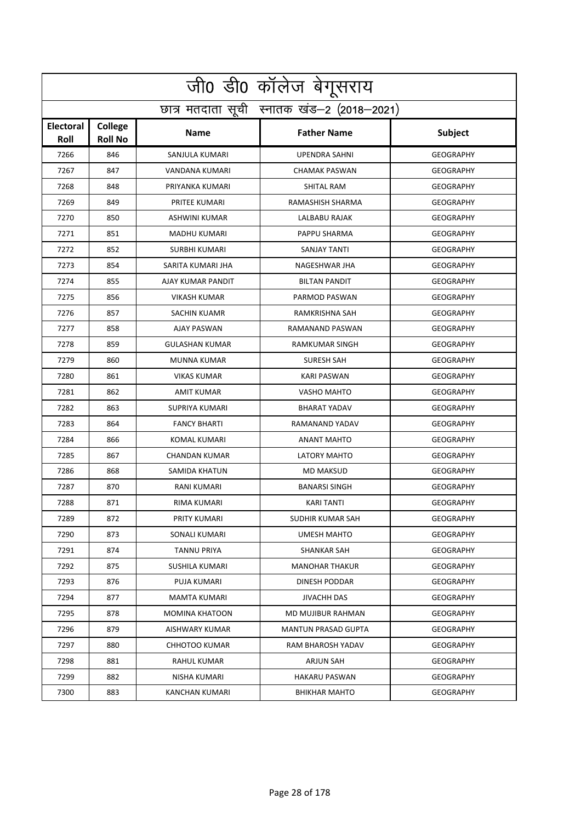| जी0 डी0 कॉलेज बेगूसराय   |                                            |                       |                            |                  |  |  |
|--------------------------|--------------------------------------------|-----------------------|----------------------------|------------------|--|--|
|                          | छात्र मतदाता सूची स्नातक खंड-2 (2018-2021) |                       |                            |                  |  |  |
| <b>Electoral</b><br>Roll | College<br><b>Roll No</b>                  | <b>Name</b>           | <b>Father Name</b>         | <b>Subject</b>   |  |  |
| 7266                     | 846                                        | SANJULA KUMARI        | <b>UPENDRA SAHNI</b>       | <b>GEOGRAPHY</b> |  |  |
| 7267                     | 847                                        | VANDANA KUMARI        | <b>CHAMAK PASWAN</b>       | <b>GEOGRAPHY</b> |  |  |
| 7268                     | 848                                        | PRIYANKA KUMARI       | <b>SHITAL RAM</b>          | <b>GEOGRAPHY</b> |  |  |
| 7269                     | 849                                        | PRITEE KUMARI         | RAMASHISH SHARMA           | <b>GEOGRAPHY</b> |  |  |
| 7270                     | 850                                        | ASHWINI KUMAR         | LALBABU RAJAK              | <b>GEOGRAPHY</b> |  |  |
| 7271                     | 851                                        | <b>MADHU KUMARI</b>   | PAPPU SHARMA               | <b>GEOGRAPHY</b> |  |  |
| 7272                     | 852                                        | SURBHI KUMARI         | SANJAY TANTI               | <b>GEOGRAPHY</b> |  |  |
| 7273                     | 854                                        | SARITA KUMARI JHA     | NAGESHWAR JHA              | <b>GEOGRAPHY</b> |  |  |
| 7274                     | 855                                        | AJAY KUMAR PANDIT     | <b>BILTAN PANDIT</b>       | <b>GEOGRAPHY</b> |  |  |
| 7275                     | 856                                        | <b>VIKASH KUMAR</b>   | PARMOD PASWAN              | <b>GEOGRAPHY</b> |  |  |
| 7276                     | 857                                        | <b>SACHIN KUAMR</b>   | RAMKRISHNA SAH             | <b>GEOGRAPHY</b> |  |  |
| 7277                     | 858                                        | <b>AJAY PASWAN</b>    | RAMANAND PASWAN            | <b>GEOGRAPHY</b> |  |  |
| 7278                     | 859                                        | <b>GULASHAN KUMAR</b> | <b>RAMKUMAR SINGH</b>      | <b>GEOGRAPHY</b> |  |  |
| 7279                     | 860                                        | <b>MUNNA KUMAR</b>    | <b>SURESH SAH</b>          | <b>GEOGRAPHY</b> |  |  |
| 7280                     | 861                                        | <b>VIKAS KUMAR</b>    | <b>KARI PASWAN</b>         | <b>GEOGRAPHY</b> |  |  |
| 7281                     | 862                                        | AMIT KUMAR            | <b>VASHO MAHTO</b>         | <b>GEOGRAPHY</b> |  |  |
| 7282                     | 863                                        | <b>SUPRIYA KUMARI</b> | <b>BHARAT YADAV</b>        | <b>GEOGRAPHY</b> |  |  |
| 7283                     | 864                                        | <b>FANCY BHARTI</b>   | RAMANAND YADAV             | <b>GEOGRAPHY</b> |  |  |
| 7284                     | 866                                        | KOMAL KUMARI          | <b>ANANT MAHTO</b>         | <b>GEOGRAPHY</b> |  |  |
| 7285                     | 867                                        | <b>CHANDAN KUMAR</b>  | <b>LATORY MAHTO</b>        | <b>GEOGRAPHY</b> |  |  |
| 7286                     | 868                                        | SAMIDA KHATUN         | <b>MD MAKSUD</b>           | <b>GEOGRAPHY</b> |  |  |
| 7287                     | 870                                        | RANI KUMARI           | <b>BANARSI SINGH</b>       | <b>GEOGRAPHY</b> |  |  |
| 7288                     | 871                                        | <b>RIMA KUMARI</b>    | <b>KARI TANTI</b>          | <b>GEOGRAPHY</b> |  |  |
| 7289                     | 872                                        | PRITY KUMARI          | SUDHIR KUMAR SAH           | <b>GEOGRAPHY</b> |  |  |
| 7290                     | 873                                        | SONALI KUMARI         | <b>UMESH MAHTO</b>         | GEOGRAPHY        |  |  |
| 7291                     | 874                                        | TANNU PRIYA           | SHANKAR SAH                | <b>GEOGRAPHY</b> |  |  |
| 7292                     | 875                                        | SUSHILA KUMARI        | <b>MANOHAR THAKUR</b>      | GEOGRAPHY        |  |  |
| 7293                     | 876                                        | PUJA KUMARI           | DINESH PODDAR              | <b>GEOGRAPHY</b> |  |  |
| 7294                     | 877                                        | MAMTA KUMARI          | JIVACHH DAS                | GEOGRAPHY        |  |  |
| 7295                     | 878                                        | <b>MOMINA KHATOON</b> | MD MUJIBUR RAHMAN          | GEOGRAPHY        |  |  |
| 7296                     | 879                                        | AISHWARY KUMAR        | <b>MANTUN PRASAD GUPTA</b> | <b>GEOGRAPHY</b> |  |  |
| 7297                     | 880                                        | CHHOTOO KUMAR         | RAM BHAROSH YADAV          | GEOGRAPHY        |  |  |
| 7298                     | 881                                        | RAHUL KUMAR           | ARJUN SAH                  | <b>GEOGRAPHY</b> |  |  |
| 7299                     | 882                                        | NISHA KUMARI          | <b>HAKARU PASWAN</b>       | <b>GEOGRAPHY</b> |  |  |
| 7300                     | 883                                        | KANCHAN KUMARI        | <b>BHIKHAR MAHTO</b>       | GEOGRAPHY        |  |  |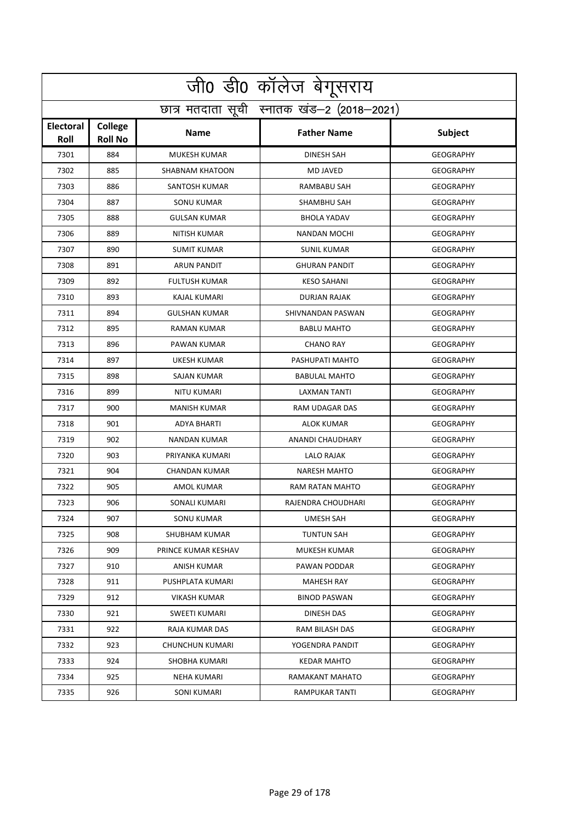| जी0 डी0 कॉलेज बेगूसराय          |                                            |                        |                      |                  |  |
|---------------------------------|--------------------------------------------|------------------------|----------------------|------------------|--|
|                                 | छात्र मतदाता सूची स्नातक खंड-2 (2018-2021) |                        |                      |                  |  |
| <b>Electoral</b><br><b>Roll</b> | College<br><b>Roll No</b>                  | <b>Name</b>            | <b>Father Name</b>   | <b>Subject</b>   |  |
| 7301                            | 884                                        | <b>MUKESH KUMAR</b>    | <b>DINESH SAH</b>    | <b>GEOGRAPHY</b> |  |
| 7302                            | 885                                        | <b>SHABNAM KHATOON</b> | <b>MD JAVED</b>      | <b>GEOGRAPHY</b> |  |
| 7303                            | 886                                        | SANTOSH KUMAR          | RAMBABU SAH          | <b>GEOGRAPHY</b> |  |
| 7304                            | 887                                        | <b>SONU KUMAR</b>      | SHAMBHU SAH          | <b>GEOGRAPHY</b> |  |
| 7305                            | 888                                        | <b>GULSAN KUMAR</b>    | <b>BHOLA YADAV</b>   | <b>GEOGRAPHY</b> |  |
| 7306                            | 889                                        | <b>NITISH KUMAR</b>    | <b>NANDAN MOCHI</b>  | <b>GEOGRAPHY</b> |  |
| 7307                            | 890                                        | <b>SUMIT KUMAR</b>     | <b>SUNIL KUMAR</b>   | <b>GEOGRAPHY</b> |  |
| 7308                            | 891                                        | <b>ARUN PANDIT</b>     | <b>GHURAN PANDIT</b> | <b>GEOGRAPHY</b> |  |
| 7309                            | 892                                        | <b>FULTUSH KUMAR</b>   | <b>KESO SAHANI</b>   | <b>GEOGRAPHY</b> |  |
| 7310                            | 893                                        | KAJAL KUMARI           | <b>DURJAN RAJAK</b>  | <b>GEOGRAPHY</b> |  |
| 7311                            | 894                                        | <b>GULSHAN KUMAR</b>   | SHIVNANDAN PASWAN    | <b>GEOGRAPHY</b> |  |
| 7312                            | 895                                        | <b>RAMAN KUMAR</b>     | <b>BABLU MAHTO</b>   | <b>GEOGRAPHY</b> |  |
| 7313                            | 896                                        | PAWAN KUMAR            | <b>CHANO RAY</b>     | <b>GEOGRAPHY</b> |  |
| 7314                            | 897                                        | UKESH KUMAR            | PASHUPATI MAHTO      | <b>GEOGRAPHY</b> |  |
| 7315                            | 898                                        | SAJAN KUMAR            | <b>BABULAL MAHTO</b> | <b>GEOGRAPHY</b> |  |
| 7316                            | 899                                        | <b>NITU KUMARI</b>     | <b>LAXMAN TANTI</b>  | <b>GEOGRAPHY</b> |  |
| 7317                            | 900                                        | <b>MANISH KUMAR</b>    | RAM UDAGAR DAS       | <b>GEOGRAPHY</b> |  |
| 7318                            | 901                                        | <b>ADYA BHARTI</b>     | <b>ALOK KUMAR</b>    | <b>GEOGRAPHY</b> |  |
| 7319                            | 902                                        | NANDAN KUMAR           | ANANDI CHAUDHARY     | <b>GEOGRAPHY</b> |  |
| 7320                            | 903                                        | PRIYANKA KUMARI        | <b>LALO RAJAK</b>    | <b>GEOGRAPHY</b> |  |
| 7321                            | 904                                        | <b>CHANDAN KUMAR</b>   | <b>NARESH MAHTO</b>  | <b>GEOGRAPHY</b> |  |
| 7322                            | 905                                        | AMOL KUMAR             | RAM RATAN MAHTO      | <b>GEOGRAPHY</b> |  |
| 7323                            | 906                                        | SONALI KUMARI          | RAJENDRA CHOUDHARI   | <b>GEOGRAPHY</b> |  |
| 7324                            | 907                                        | SONU KUMAR             | UMESH SAH            | <b>GEOGRAPHY</b> |  |
| 7325                            | 908                                        | SHUBHAM KUMAR          | <b>TUNTUN SAH</b>    | GEOGRAPHY        |  |
| 7326                            | 909                                        | PRINCE KUMAR KESHAV    | <b>MUKESH KUMAR</b>  | <b>GEOGRAPHY</b> |  |
| 7327                            | 910                                        | ANISH KUMAR            | PAWAN PODDAR         | <b>GEOGRAPHY</b> |  |
| 7328                            | 911                                        | PUSHPLATA KUMARI       | <b>MAHESH RAY</b>    | <b>GEOGRAPHY</b> |  |
| 7329                            | 912                                        | VIKASH KUMAR           | <b>BINOD PASWAN</b>  | GEOGRAPHY        |  |
| 7330                            | 921                                        | SWEETI KUMARI          | DINESH DAS           | GEOGRAPHY        |  |
| 7331                            | 922                                        | RAJA KUMAR DAS         | RAM BILASH DAS       | <b>GEOGRAPHY</b> |  |
| 7332                            | 923                                        | CHUNCHUN KUMARI        | YOGENDRA PANDIT      | GEOGRAPHY        |  |
| 7333                            | 924                                        | SHOBHA KUMARI          | KEDAR MAHTO          | GEOGRAPHY        |  |
| 7334                            | 925                                        | NEHA KUMARI            | RAMAKANT MAHATO      | <b>GEOGRAPHY</b> |  |
| 7335                            | 926                                        | SONI KUMARI            | RAMPUKAR TANTI       | GEOGRAPHY        |  |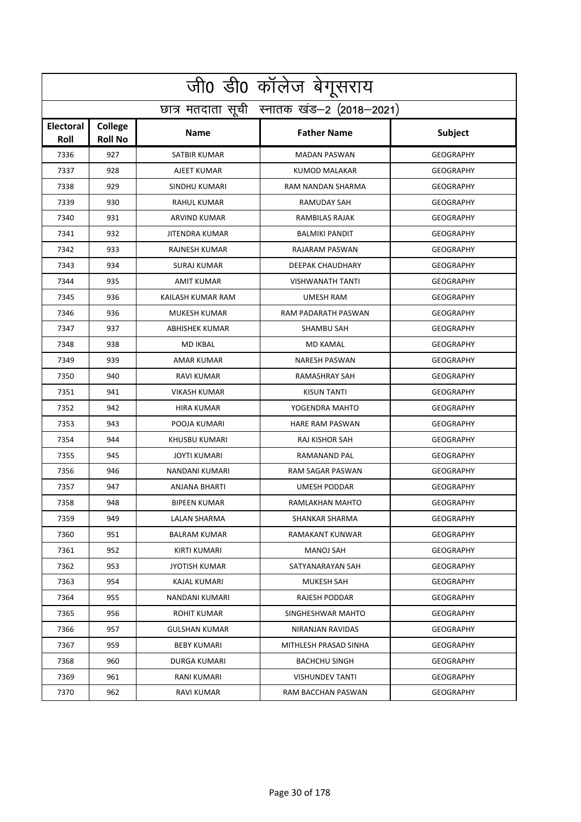|                          | .<br>जीo डीo कॉलेज बेगूसराय                |                       |                         |                  |  |  |
|--------------------------|--------------------------------------------|-----------------------|-------------------------|------------------|--|--|
|                          | छात्र मतदाता सूची स्नातक खंड-2 (2018-2021) |                       |                         |                  |  |  |
| <b>Electoral</b><br>Roll | College<br><b>Roll No</b>                  | <b>Name</b>           | <b>Father Name</b>      | <b>Subject</b>   |  |  |
| 7336                     | 927                                        | <b>SATBIR KUMAR</b>   | <b>MADAN PASWAN</b>     | <b>GEOGRAPHY</b> |  |  |
| 7337                     | 928                                        | AJEET KUMAR           | <b>KUMOD MALAKAR</b>    | <b>GEOGRAPHY</b> |  |  |
| 7338                     | 929                                        | SINDHU KUMARI         | RAM NANDAN SHARMA       | <b>GEOGRAPHY</b> |  |  |
| 7339                     | 930                                        | <b>RAHUL KUMAR</b>    | <b>RAMUDAY SAH</b>      | <b>GEOGRAPHY</b> |  |  |
| 7340                     | 931                                        | <b>ARVIND KUMAR</b>   | RAMBILAS RAJAK          | <b>GEOGRAPHY</b> |  |  |
| 7341                     | 932                                        | <b>JITENDRA KUMAR</b> | <b>BALMIKI PANDIT</b>   | <b>GEOGRAPHY</b> |  |  |
| 7342                     | 933                                        | RAJNESH KUMAR         | RAJARAM PASWAN          | <b>GEOGRAPHY</b> |  |  |
| 7343                     | 934                                        | <b>SURAJ KUMAR</b>    | DEEPAK CHAUDHARY        | <b>GEOGRAPHY</b> |  |  |
| 7344                     | 935                                        | <b>AMIT KUMAR</b>     | <b>VISHWANATH TANTI</b> | <b>GEOGRAPHY</b> |  |  |
| 7345                     | 936                                        | KAILASH KUMAR RAM     | <b>UMESH RAM</b>        | <b>GEOGRAPHY</b> |  |  |
| 7346                     | 936                                        | <b>MUKESH KUMAR</b>   | RAM PADARATH PASWAN     | <b>GEOGRAPHY</b> |  |  |
| 7347                     | 937                                        | ABHISHEK KUMAR        | SHAMBU SAH              | <b>GEOGRAPHY</b> |  |  |
| 7348                     | 938                                        | <b>MD IKBAL</b>       | <b>MD KAMAL</b>         | <b>GEOGRAPHY</b> |  |  |
| 7349                     | 939                                        | <b>AMAR KUMAR</b>     | <b>NARESH PASWAN</b>    | <b>GEOGRAPHY</b> |  |  |
| 7350                     | 940                                        | <b>RAVI KUMAR</b>     | RAMASHRAY SAH           | <b>GEOGRAPHY</b> |  |  |
| 7351                     | 941                                        | <b>VIKASH KUMAR</b>   | <b>KISUN TANTI</b>      | <b>GEOGRAPHY</b> |  |  |
| 7352                     | 942                                        | <b>HIRA KUMAR</b>     | YOGENDRA MAHTO          | <b>GEOGRAPHY</b> |  |  |
| 7353                     | 943                                        | POOJA KUMARI          | <b>HARE RAM PASWAN</b>  | <b>GEOGRAPHY</b> |  |  |
| 7354                     | 944                                        | KHUSBU KUMARI         | RAJ KISHOR SAH          | <b>GEOGRAPHY</b> |  |  |
| 7355                     | 945                                        | <b>JOYTI KUMARI</b>   | RAMANAND PAL            | <b>GEOGRAPHY</b> |  |  |
| 7356                     | 946                                        | NANDANI KUMARI        | RAM SAGAR PASWAN        | <b>GEOGRAPHY</b> |  |  |
| 7357                     | 947                                        | ANJANA BHARTI         | <b>UMESH PODDAR</b>     | <b>GEOGRAPHY</b> |  |  |
| 7358                     | 948                                        | <b>BIPEEN KUMAR</b>   | RAMLAKHAN MAHTO         | <b>GEOGRAPHY</b> |  |  |
| 7359                     | 949                                        | LALAN SHARMA          | SHANKAR SHARMA          | <b>GEOGRAPHY</b> |  |  |
| 7360                     | 951                                        | <b>BALRAM KUMAR</b>   | RAMAKANT KUNWAR         | <b>GEOGRAPHY</b> |  |  |
| 7361                     | 952                                        | KIRTI KUMARI          | MANOJ SAH               | <b>GEOGRAPHY</b> |  |  |
| 7362                     | 953                                        | <b>JYOTISH KUMAR</b>  | SATYANARAYAN SAH        | <b>GEOGRAPHY</b> |  |  |
| 7363                     | 954                                        | KAJAL KUMARI          | MUKESH SAH              | <b>GEOGRAPHY</b> |  |  |
| 7364                     | 955                                        | NANDANI KUMARI        | RAJESH PODDAR           | GEOGRAPHY        |  |  |
| 7365                     | 956                                        | ROHIT KUMAR           | SINGHESHWAR MAHTO       | GEOGRAPHY        |  |  |
| 7366                     | 957                                        | <b>GULSHAN KUMAR</b>  | NIRANJAN RAVIDAS        | <b>GEOGRAPHY</b> |  |  |
| 7367                     | 959                                        | BEBY KUMARI           | MITHLESH PRASAD SINHA   | GEOGRAPHY        |  |  |
| 7368                     | 960                                        | DURGA KUMARI          | <b>BACHCHU SINGH</b>    | GEOGRAPHY        |  |  |
| 7369                     | 961                                        | RANI KUMARI           | <b>VISHUNDEV TANTI</b>  | GEOGRAPHY        |  |  |
| 7370                     | 962                                        | RAVI KUMAR            | RAM BACCHAN PASWAN      | GEOGRAPHY        |  |  |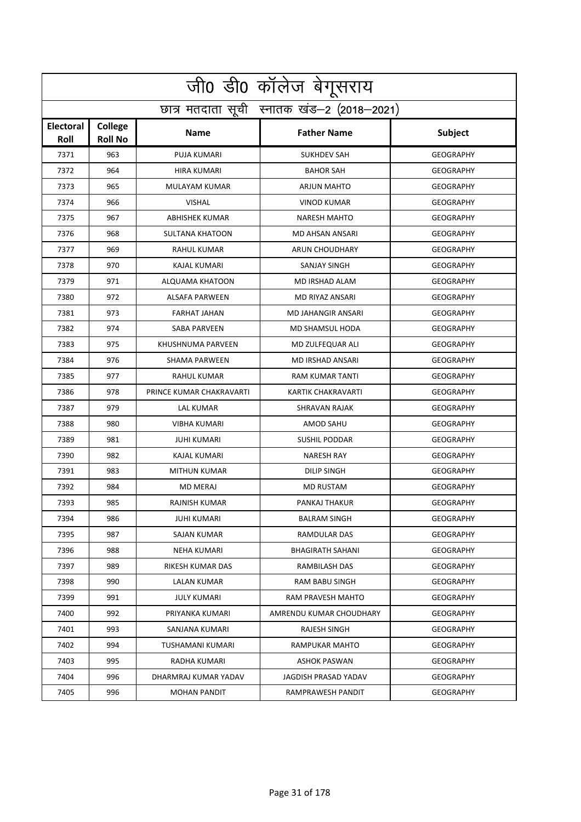|                          | .<br>जी0 डी0 कॉलेज बेगूसराय                |                          |                         |                  |  |  |
|--------------------------|--------------------------------------------|--------------------------|-------------------------|------------------|--|--|
|                          | छात्र मतदाता सूची स्नातक खंड-2 (2018-2021) |                          |                         |                  |  |  |
| <b>Electoral</b><br>Roll | College<br><b>Roll No</b>                  | <b>Name</b>              | <b>Father Name</b>      | <b>Subject</b>   |  |  |
| 7371                     | 963                                        | PUJA KUMARI              | <b>SUKHDEV SAH</b>      | <b>GEOGRAPHY</b> |  |  |
| 7372                     | 964                                        | HIRA KUMARI              | <b>BAHOR SAH</b>        | <b>GEOGRAPHY</b> |  |  |
| 7373                     | 965                                        | MULAYAM KUMAR            | <b>ARJUN MAHTO</b>      | <b>GEOGRAPHY</b> |  |  |
| 7374                     | 966                                        | <b>VISHAL</b>            | <b>VINOD KUMAR</b>      | <b>GEOGRAPHY</b> |  |  |
| 7375                     | 967                                        | <b>ABHISHEK KUMAR</b>    | <b>NARESH MAHTO</b>     | <b>GEOGRAPHY</b> |  |  |
| 7376                     | 968                                        | <b>SULTANA KHATOON</b>   | <b>MD AHSAN ANSARI</b>  | <b>GEOGRAPHY</b> |  |  |
| 7377                     | 969                                        | <b>RAHUL KUMAR</b>       | ARUN CHOUDHARY          | <b>GEOGRAPHY</b> |  |  |
| 7378                     | 970                                        | KAJAL KUMARI             | SANJAY SINGH            | <b>GEOGRAPHY</b> |  |  |
| 7379                     | 971                                        | ALQUAMA KHATOON          | <b>MD IRSHAD ALAM</b>   | <b>GEOGRAPHY</b> |  |  |
| 7380                     | 972                                        | <b>ALSAFA PARWEEN</b>    | MD RIYAZ ANSARI         | <b>GEOGRAPHY</b> |  |  |
| 7381                     | 973                                        | <b>FARHAT JAHAN</b>      | MD JAHANGIR ANSARI      | <b>GEOGRAPHY</b> |  |  |
| 7382                     | 974                                        | <b>SABA PARVEEN</b>      | MD SHAMSUL HODA         | <b>GEOGRAPHY</b> |  |  |
| 7383                     | 975                                        | KHUSHNUMA PARVEEN        | MD ZULFEQUAR ALI        | <b>GEOGRAPHY</b> |  |  |
| 7384                     | 976                                        | <b>SHAMA PARWEEN</b>     | MD IRSHAD ANSARI        | <b>GEOGRAPHY</b> |  |  |
| 7385                     | 977                                        | <b>RAHUL KUMAR</b>       | RAM KUMAR TANTI         | <b>GEOGRAPHY</b> |  |  |
| 7386                     | 978                                        | PRINCE KUMAR CHAKRAVARTI | KARTIK CHAKRAVARTI      | <b>GEOGRAPHY</b> |  |  |
| 7387                     | 979                                        | LAL KUMAR                | <b>SHRAVAN RAJAK</b>    | <b>GEOGRAPHY</b> |  |  |
| 7388                     | 980                                        | <b>VIBHA KUMARI</b>      | AMOD SAHU               | <b>GEOGRAPHY</b> |  |  |
| 7389                     | 981                                        | <b>JUHI KUMARI</b>       | <b>SUSHIL PODDAR</b>    | <b>GEOGRAPHY</b> |  |  |
| 7390                     | 982                                        | KAJAL KUMARI             | <b>NARESH RAY</b>       | <b>GEOGRAPHY</b> |  |  |
| 7391                     | 983                                        | <b>MITHUN KUMAR</b>      | <b>DILIP SINGH</b>      | <b>GEOGRAPHY</b> |  |  |
| 7392                     | 984                                        | <b>MD MERAJ</b>          | <b>MD RUSTAM</b>        | <b>GEOGRAPHY</b> |  |  |
| 7393                     | 985                                        | RAJNISH KUMAR            | PANKAJ THAKUR           | <b>GEOGRAPHY</b> |  |  |
| 7394                     | 986                                        | JUHI KUMARI              | BALRAM SINGH            | <b>GEOGRAPHY</b> |  |  |
| 7395                     | 987                                        | SAJAN KUMAR              | RAMDULAR DAS            | <b>GEOGRAPHY</b> |  |  |
| 7396                     | 988                                        | NEHA KUMARI              | BHAGIRATH SAHANI        | <b>GEOGRAPHY</b> |  |  |
| 7397                     | 989                                        | <b>RIKESH KUMAR DAS</b>  | <b>RAMBILASH DAS</b>    | <b>GEOGRAPHY</b> |  |  |
| 7398                     | 990                                        | LALAN KUMAR              | RAM BABU SINGH          | <b>GEOGRAPHY</b> |  |  |
| 7399                     | 991                                        | JULY KUMARI              | RAM PRAVESH MAHTO       | GEOGRAPHY        |  |  |
| 7400                     | 992                                        | PRIYANKA KUMARI          | AMRENDU KUMAR CHOUDHARY | GEOGRAPHY        |  |  |
| 7401                     | 993                                        | SANJANA KUMARI           | RAJESH SINGH            | <b>GEOGRAPHY</b> |  |  |
| 7402                     | 994                                        | TUSHAMANI KUMARI         | RAMPUKAR MAHTO          | GEOGRAPHY        |  |  |
| 7403                     | 995                                        | RADHA KUMARI             | ASHOK PASWAN            | GEOGRAPHY        |  |  |
| 7404                     | 996                                        | DHARMRAJ KUMAR YADAV     | JAGDISH PRASAD YADAV    | GEOGRAPHY        |  |  |
| 7405                     | 996                                        | MOHAN PANDIT             | RAMPRAWESH PANDIT       | GEOGRAPHY        |  |  |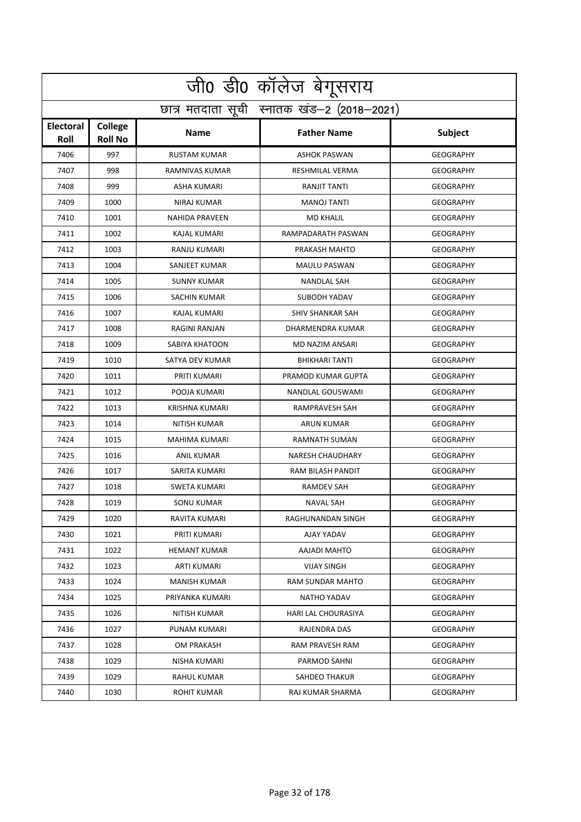|                          | <u>जी0 डी0 कॉलेज बेगू</u> सराय             |                       |                            |                  |  |  |
|--------------------------|--------------------------------------------|-----------------------|----------------------------|------------------|--|--|
|                          | छात्र मतदाता सूची स्नातक खंड-2 (2018-2021) |                       |                            |                  |  |  |
| <b>Electoral</b><br>Roll | College<br><b>Roll No</b>                  | <b>Name</b>           | <b>Father Name</b>         | <b>Subject</b>   |  |  |
| 7406                     | 997                                        | <b>RUSTAM KUMAR</b>   | <b>ASHOK PASWAN</b>        | <b>GEOGRAPHY</b> |  |  |
| 7407                     | 998                                        | RAMNIVAS KUMAR        | <b>RESHMILAL VERMA</b>     | <b>GEOGRAPHY</b> |  |  |
| 7408                     | 999                                        | ASHA KUMARI           | RANJIT TANTI               | <b>GEOGRAPHY</b> |  |  |
| 7409                     | 1000                                       | <b>NIRAJ KUMAR</b>    | MANOJ TANTI                | <b>GEOGRAPHY</b> |  |  |
| 7410                     | 1001                                       | <b>NAHIDA PRAVEEN</b> | <b>MD KHALIL</b>           | <b>GEOGRAPHY</b> |  |  |
| 7411                     | 1002                                       | <b>KAJAL KUMARI</b>   | RAMPADARATH PASWAN         | <b>GEOGRAPHY</b> |  |  |
| 7412                     | 1003                                       | RANJU KUMARI          | PRAKASH MAHTO              | <b>GEOGRAPHY</b> |  |  |
| 7413                     | 1004                                       | <b>SANJEET KUMAR</b>  | MAULU PASWAN               | <b>GEOGRAPHY</b> |  |  |
| 7414                     | 1005                                       | <b>SUNNY KUMAR</b>    | <b>NANDLAL SAH</b>         | <b>GEOGRAPHY</b> |  |  |
| 7415                     | 1006                                       | SACHIN KUMAR          | <b>SUBODH YADAV</b>        | <b>GEOGRAPHY</b> |  |  |
| 7416                     | 1007                                       | <b>KAJAL KUMARI</b>   | <b>SHIV SHANKAR SAH</b>    | <b>GEOGRAPHY</b> |  |  |
| 7417                     | 1008                                       | RAGINI RANJAN         | DHARMENDRA KUMAR           | <b>GEOGRAPHY</b> |  |  |
| 7418                     | 1009                                       | SABIYA KHATOON        | <b>MD NAZIM ANSARI</b>     | <b>GEOGRAPHY</b> |  |  |
| 7419                     | 1010                                       | SATYA DEV KUMAR       | <b>BHIKHARI TANTI</b>      | <b>GEOGRAPHY</b> |  |  |
| 7420                     | 1011                                       | PRITI KUMARI          | PRAMOD KUMAR GUPTA         | <b>GEOGRAPHY</b> |  |  |
| 7421                     | 1012                                       | POOJA KUMARI          | NANDLAL GOUSWAMI           | <b>GEOGRAPHY</b> |  |  |
| 7422                     | 1013                                       | KRISHNA KUMARI        | RAMPRAVESH SAH             | <b>GEOGRAPHY</b> |  |  |
| 7423                     | 1014                                       | <b>NITISH KUMAR</b>   | <b>ARUN KUMAR</b>          | <b>GEOGRAPHY</b> |  |  |
| 7424                     | 1015                                       | MAHIMA KUMARI         | RAMNATH SUMAN              | <b>GEOGRAPHY</b> |  |  |
| 7425                     | 1016                                       | <b>ANIL KUMAR</b>     | <b>NARESH CHAUDHARY</b>    | <b>GEOGRAPHY</b> |  |  |
| 7426                     | 1017                                       | SARITA KUMARI         | RAM BILASH PANDIT          | <b>GEOGRAPHY</b> |  |  |
| 7427                     | 1018                                       | <b>SWETA KUMARI</b>   | <b>RAMDEV SAH</b>          | <b>GEOGRAPHY</b> |  |  |
| 7428                     | 1019                                       | <b>SONU KUMAR</b>     | <b>NAVAL SAH</b>           | <b>GEOGRAPHY</b> |  |  |
| 7429                     | 1020                                       | RAVITA KUMARI         | RAGHUNANDAN SINGH          | <b>GEOGRAPHY</b> |  |  |
| 7430                     | 1021                                       | PRITI KUMARI          | AJAY YADAV                 | GEOGRAPHY        |  |  |
| 7431                     | 1022                                       | <b>HEMANT KUMAR</b>   | AAJADI MAHTO               | <b>GEOGRAPHY</b> |  |  |
| 7432                     | 1023                                       | ARTI KUMARI           | <b>VIJAY SINGH</b>         | <b>GEOGRAPHY</b> |  |  |
| 7433                     | 1024                                       | <b>MANISH KUMAR</b>   | RAM SUNDAR MAHTO           | <b>GEOGRAPHY</b> |  |  |
| 7434                     | 1025                                       | PRIYANKA KUMARI       | NATHO YADAV                | GEOGRAPHY        |  |  |
| 7435                     | 1026                                       | NITISH KUMAR          | <b>HARI LAL CHOURASIYA</b> | GEOGRAPHY        |  |  |
| 7436                     | 1027                                       | PUNAM KUMARI          | RAJENDRA DAS               | <b>GEOGRAPHY</b> |  |  |
| 7437                     | 1028                                       | OM PRAKASH            | RAM PRAVESH RAM            | GEOGRAPHY        |  |  |
| 7438                     | 1029                                       | NISHA KUMARI          | PARMOD SAHNI               | GEOGRAPHY        |  |  |
| 7439                     | 1029                                       | RAHUL KUMAR           | SAHDEO THAKUR              | GEOGRAPHY        |  |  |
| 7440                     | 1030                                       | ROHIT KUMAR           | RAJ KUMAR SHARMA           | GEOGRAPHY        |  |  |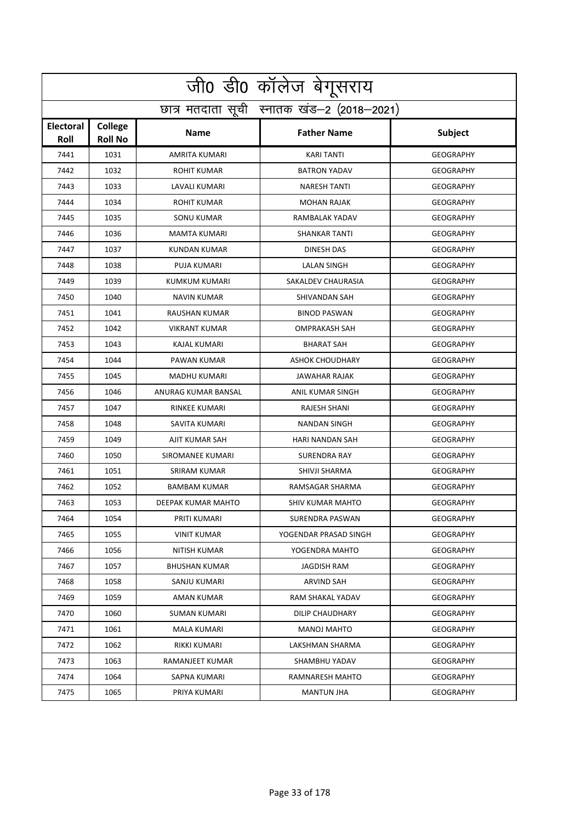|                                            | <u>जी0 डी0 कॉलेज बेगू</u> सराय |                      |                        |                  |  |
|--------------------------------------------|--------------------------------|----------------------|------------------------|------------------|--|
| छात्र मतदाता सूची स्नातक खंड-2 (2018-2021) |                                |                      |                        |                  |  |
| Electoral<br>Roll                          | College<br><b>Roll No</b>      | <b>Name</b>          | <b>Father Name</b>     | <b>Subject</b>   |  |
| 7441                                       | 1031                           | <b>AMRITA KUMARI</b> | <b>KARI TANTI</b>      | <b>GEOGRAPHY</b> |  |
| 7442                                       | 1032                           | ROHIT KUMAR          | <b>BATRON YADAV</b>    | <b>GEOGRAPHY</b> |  |
| 7443                                       | 1033                           | LAVALI KUMARI        | <b>NARESH TANTI</b>    | <b>GEOGRAPHY</b> |  |
| 7444                                       | 1034                           | <b>ROHIT KUMAR</b>   | <b>MOHAN RAJAK</b>     | <b>GEOGRAPHY</b> |  |
| 7445                                       | 1035                           | <b>SONU KUMAR</b>    | RAMBALAK YADAV         | <b>GEOGRAPHY</b> |  |
| 7446                                       | 1036                           | <b>MAMTA KUMARI</b>  | <b>SHANKAR TANTI</b>   | <b>GEOGRAPHY</b> |  |
| 7447                                       | 1037                           | <b>KUNDAN KUMAR</b>  | DINESH DAS             | <b>GEOGRAPHY</b> |  |
| 7448                                       | 1038                           | PUJA KUMARI          | <b>LALAN SINGH</b>     | <b>GEOGRAPHY</b> |  |
| 7449                                       | 1039                           | KUMKUM KUMARI        | SAKALDEV CHAURASIA     | <b>GEOGRAPHY</b> |  |
| 7450                                       | 1040                           | <b>NAVIN KUMAR</b>   | SHIVANDAN SAH          | <b>GEOGRAPHY</b> |  |
| 7451                                       | 1041                           | RAUSHAN KUMAR        | <b>BINOD PASWAN</b>    | <b>GEOGRAPHY</b> |  |
| 7452                                       | 1042                           | <b>VIKRANT KUMAR</b> | <b>OMPRAKASH SAH</b>   | <b>GEOGRAPHY</b> |  |
| 7453                                       | 1043                           | KAJAL KUMARI         | <b>BHARAT SAH</b>      | <b>GEOGRAPHY</b> |  |
| 7454                                       | 1044                           | PAWAN KUMAR          | <b>ASHOK CHOUDHARY</b> | <b>GEOGRAPHY</b> |  |
| 7455                                       | 1045                           | <b>MADHU KUMARI</b>  | JAWAHAR RAJAK          | <b>GEOGRAPHY</b> |  |
| 7456                                       | 1046                           | ANURAG KUMAR BANSAL  | ANIL KUMAR SINGH       | <b>GEOGRAPHY</b> |  |
| 7457                                       | 1047                           | RINKEE KUMARI        | RAJESH SHANI           | <b>GEOGRAPHY</b> |  |
| 7458                                       | 1048                           | SAVITA KUMARI        | <b>NANDAN SINGH</b>    | <b>GEOGRAPHY</b> |  |
| 7459                                       | 1049                           | AJIT KUMAR SAH       | HARI NANDAN SAH        | <b>GEOGRAPHY</b> |  |
| 7460                                       | 1050                           | SIROMANEE KUMARI     | <b>SURENDRA RAY</b>    | <b>GEOGRAPHY</b> |  |
| 7461                                       | 1051                           | SRIRAM KUMAR         | SHIVJI SHARMA          | <b>GEOGRAPHY</b> |  |
| 7462                                       | 1052                           | <b>BAMBAM KUMAR</b>  | RAMSAGAR SHARMA        | <b>GEOGRAPHY</b> |  |
| 7463                                       | 1053                           | DEEPAK KUMAR MAHTO   | SHIV KUMAR MAHTO       | <b>GEOGRAPHY</b> |  |
| 7464                                       | 1054                           | PRITI KUMARI         | SURENDRA PASWAN        | <b>GEOGRAPHY</b> |  |
| 7465                                       | 1055                           | VINIT KUMAR          | YOGENDAR PRASAD SINGH  | GEOGRAPHY        |  |
| 7466                                       | 1056                           | NITISH KUMAR         | YOGENDRA MAHTO         | <b>GEOGRAPHY</b> |  |
| 7467                                       | 1057                           | <b>BHUSHAN KUMAR</b> | JAGDISH RAM            | <b>GEOGRAPHY</b> |  |
| 7468                                       | 1058                           | SANJU KUMARI         | ARVIND SAH             | <b>GEOGRAPHY</b> |  |
| 7469                                       | 1059                           | AMAN KUMAR           | RAM SHAKAL YADAV       | GEOGRAPHY        |  |
| 7470                                       | 1060                           | SUMAN KUMARI         | DILIP CHAUDHARY        | GEOGRAPHY        |  |
| 7471                                       | 1061                           | <b>MALA KUMARI</b>   | MANOJ MAHTO            | <b>GEOGRAPHY</b> |  |
| 7472                                       | 1062                           | RIKKI KUMARI         | LAKSHMAN SHARMA        | GEOGRAPHY        |  |
| 7473                                       | 1063                           | RAMANJEET KUMAR      | SHAMBHU YADAV          | GEOGRAPHY        |  |
| 7474                                       | 1064                           | SAPNA KUMARI         | RAMNARESH MAHTO        | GEOGRAPHY        |  |
| 7475                                       | 1065                           | PRIYA KUMARI         | MANTUN JHA             | GEOGRAPHY        |  |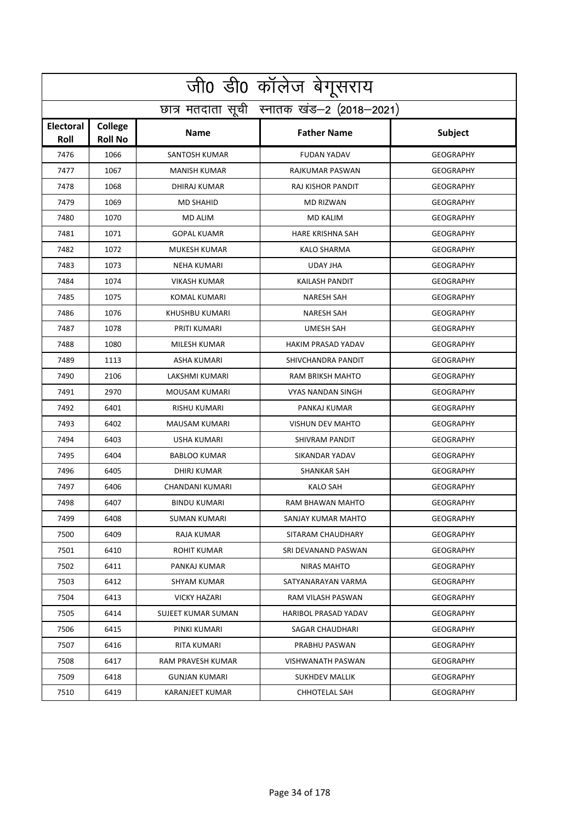| .<br>जीo डीo कॉलेज बेगूसराय |                                            |                      |                             |                  |  |  |
|-----------------------------|--------------------------------------------|----------------------|-----------------------------|------------------|--|--|
|                             | छात्र मतदाता सूची स्नातक खंड-2 (2018-2021) |                      |                             |                  |  |  |
| Electoral<br>Roll           | College<br><b>Roll No</b>                  | <b>Name</b>          | <b>Father Name</b>          | <b>Subject</b>   |  |  |
| 7476                        | 1066                                       | <b>SANTOSH KUMAR</b> | <b>FUDAN YADAV</b>          | <b>GEOGRAPHY</b> |  |  |
| 7477                        | 1067                                       | <b>MANISH KUMAR</b>  | RAJKUMAR PASWAN             | <b>GEOGRAPHY</b> |  |  |
| 7478                        | 1068                                       | DHIRAJ KUMAR         | <b>RAJ KISHOR PANDIT</b>    | <b>GEOGRAPHY</b> |  |  |
| 7479                        | 1069                                       | <b>MD SHAHID</b>     | <b>MD RIZWAN</b>            | <b>GEOGRAPHY</b> |  |  |
| 7480                        | 1070                                       | <b>MD ALIM</b>       | <b>MD KALIM</b>             | <b>GEOGRAPHY</b> |  |  |
| 7481                        | 1071                                       | <b>GOPAL KUAMR</b>   | <b>HARE KRISHNA SAH</b>     | <b>GEOGRAPHY</b> |  |  |
| 7482                        | 1072                                       | MUKESH KUMAR         | <b>KALO SHARMA</b>          | <b>GEOGRAPHY</b> |  |  |
| 7483                        | 1073                                       | <b>NEHA KUMARI</b>   | UDAY JHA                    | <b>GEOGRAPHY</b> |  |  |
| 7484                        | 1074                                       | <b>VIKASH KUMAR</b>  | <b>KAILASH PANDIT</b>       | <b>GEOGRAPHY</b> |  |  |
| 7485                        | 1075                                       | <b>KOMAL KUMARI</b>  | <b>NARESH SAH</b>           | <b>GEOGRAPHY</b> |  |  |
| 7486                        | 1076                                       | KHUSHBU KUMARI       | <b>NARESH SAH</b>           | <b>GEOGRAPHY</b> |  |  |
| 7487                        | 1078                                       | PRITI KUMARI         | <b>UMESH SAH</b>            | <b>GEOGRAPHY</b> |  |  |
| 7488                        | 1080                                       | MILESH KUMAR         | <b>HAKIM PRASAD YADAV</b>   | <b>GEOGRAPHY</b> |  |  |
| 7489                        | 1113                                       | <b>ASHA KUMARI</b>   | SHIVCHANDRA PANDIT          | <b>GEOGRAPHY</b> |  |  |
| 7490                        | 2106                                       | LAKSHMI KUMARI       | RAM BRIKSH MAHTO            | <b>GEOGRAPHY</b> |  |  |
| 7491                        | 2970                                       | MOUSAM KUMARI        | <b>VYAS NANDAN SINGH</b>    | <b>GEOGRAPHY</b> |  |  |
| 7492                        | 6401                                       | RISHU KUMARI         | PANKAJ KUMAR                | <b>GEOGRAPHY</b> |  |  |
| 7493                        | 6402                                       | MAUSAM KUMARI        | <b>VISHUN DEV MAHTO</b>     | <b>GEOGRAPHY</b> |  |  |
| 7494                        | 6403                                       | <b>USHA KUMARI</b>   | SHIVRAM PANDIT              | <b>GEOGRAPHY</b> |  |  |
| 7495                        | 6404                                       | <b>BABLOO KUMAR</b>  | <b>SIKANDAR YADAV</b>       | <b>GEOGRAPHY</b> |  |  |
| 7496                        | 6405                                       | <b>DHIRJ KUMAR</b>   | <b>SHANKAR SAH</b>          | <b>GEOGRAPHY</b> |  |  |
| 7497                        | 6406                                       | CHANDANI KUMARI      | <b>KALO SAH</b>             | <b>GEOGRAPHY</b> |  |  |
| 7498                        | 6407                                       | <b>BINDU KUMARI</b>  | RAM BHAWAN MAHTO            | <b>GEOGRAPHY</b> |  |  |
| 7499                        | 6408                                       | SUMAN KUMARI         | SANJAY KUMAR MAHTO          | <b>GEOGRAPHY</b> |  |  |
| 7500                        | 6409                                       | RAJA KUMAR           | SITARAM CHAUDHARY           | <b>GEOGRAPHY</b> |  |  |
| 7501                        | 6410                                       | ROHIT KUMAR          | SRI DEVANAND PASWAN         | <b>GEOGRAPHY</b> |  |  |
| 7502                        | 6411                                       | PANKAJ KUMAR         | NIRAS MAHTO                 | <b>GEOGRAPHY</b> |  |  |
| 7503                        | 6412                                       | <b>SHYAM KUMAR</b>   | SATYANARAYAN VARMA          | <b>GEOGRAPHY</b> |  |  |
| 7504                        | 6413                                       | VICKY HAZARI         | RAM VILASH PASWAN           | GEOGRAPHY        |  |  |
| 7505                        | 6414                                       | SUJEET KUMAR SUMAN   | <b>HARIBOL PRASAD YADAV</b> | GEOGRAPHY        |  |  |
| 7506                        | 6415                                       | PINKI KUMARI         | SAGAR CHAUDHARI             | <b>GEOGRAPHY</b> |  |  |
| 7507                        | 6416                                       | RITA KUMARI          | PRABHU PASWAN               | GEOGRAPHY        |  |  |
| 7508                        | 6417                                       | RAM PRAVESH KUMAR    | VISHWANATH PASWAN           | GEOGRAPHY        |  |  |
| 7509                        | 6418                                       | <b>GUNJAN KUMARI</b> | <b>SUKHDEV MALLIK</b>       | GEOGRAPHY        |  |  |
| 7510                        | 6419                                       | KARANJEET KUMAR      | CHHOTELAL SAH               | GEOGRAPHY        |  |  |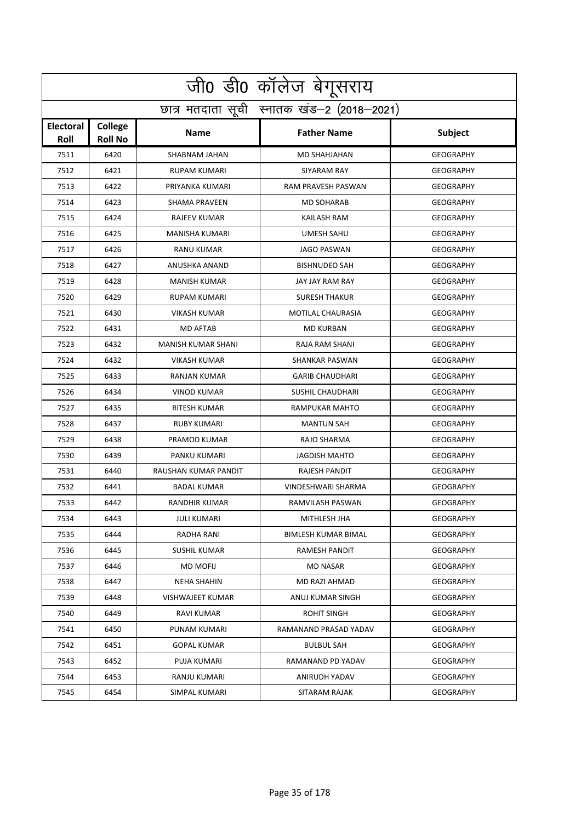|                          | जी0 डी0 कॉलेज बेगूसराय                     |                           |                            |                  |  |  |
|--------------------------|--------------------------------------------|---------------------------|----------------------------|------------------|--|--|
|                          | छात्र मतदाता सूची स्नातक खंड-2 (2018-2021) |                           |                            |                  |  |  |
| <b>Electoral</b><br>Roll | College<br><b>Roll No</b>                  | <b>Name</b>               | <b>Father Name</b>         | <b>Subject</b>   |  |  |
| 7511                     | 6420                                       | SHABNAM JAHAN             | <b>MD SHAHJAHAN</b>        | <b>GEOGRAPHY</b> |  |  |
| 7512                     | 6421                                       | <b>RUPAM KUMARI</b>       | SIYARAM RAY                | <b>GEOGRAPHY</b> |  |  |
| 7513                     | 6422                                       | PRIYANKA KUMARI           | RAM PRAVESH PASWAN         | <b>GEOGRAPHY</b> |  |  |
| 7514                     | 6423                                       | <b>SHAMA PRAVEEN</b>      | <b>MD SOHARAB</b>          | <b>GEOGRAPHY</b> |  |  |
| 7515                     | 6424                                       | RAJEEV KUMAR              | KAILASH RAM                | <b>GEOGRAPHY</b> |  |  |
| 7516                     | 6425                                       | MANISHA KUMARI            | <b>UMESH SAHU</b>          | <b>GEOGRAPHY</b> |  |  |
| 7517                     | 6426                                       | <b>RANU KUMAR</b>         | <b>JAGO PASWAN</b>         | <b>GEOGRAPHY</b> |  |  |
| 7518                     | 6427                                       | ANUSHKA ANAND             | <b>BISHNUDEO SAH</b>       | <b>GEOGRAPHY</b> |  |  |
| 7519                     | 6428                                       | <b>MANISH KUMAR</b>       | <b>JAY JAY RAM RAY</b>     | <b>GEOGRAPHY</b> |  |  |
| 7520                     | 6429                                       | <b>RUPAM KUMARI</b>       | <b>SURESH THAKUR</b>       | <b>GEOGRAPHY</b> |  |  |
| 7521                     | 6430                                       | <b>VIKASH KUMAR</b>       | MOTILAL CHAURASIA          | <b>GEOGRAPHY</b> |  |  |
| 7522                     | 6431                                       | <b>MD AFTAB</b>           | <b>MD KURBAN</b>           | <b>GEOGRAPHY</b> |  |  |
| 7523                     | 6432                                       | <b>MANISH KUMAR SHANI</b> | RAJA RAM SHANI             | <b>GEOGRAPHY</b> |  |  |
| 7524                     | 6432                                       | <b>VIKASH KUMAR</b>       | SHANKAR PASWAN             | <b>GEOGRAPHY</b> |  |  |
| 7525                     | 6433                                       | RANJAN KUMAR              | <b>GARIB CHAUDHARI</b>     | <b>GEOGRAPHY</b> |  |  |
| 7526                     | 6434                                       | <b>VINOD KUMAR</b>        | <b>SUSHIL CHAUDHARI</b>    | <b>GEOGRAPHY</b> |  |  |
| 7527                     | 6435                                       | RITESH KUMAR              | RAMPUKAR MAHTO             | <b>GEOGRAPHY</b> |  |  |
| 7528                     | 6437                                       | <b>RUBY KUMARI</b>        | <b>MANTUN SAH</b>          | <b>GEOGRAPHY</b> |  |  |
| 7529                     | 6438                                       | PRAMOD KUMAR              | RAJO SHARMA                | <b>GEOGRAPHY</b> |  |  |
| 7530                     | 6439                                       | PANKU KUMARI              | <b>JAGDISH MAHTO</b>       | <b>GEOGRAPHY</b> |  |  |
| 7531                     | 6440                                       | RAUSHAN KUMAR PANDIT      | RAJESH PANDIT              | <b>GEOGRAPHY</b> |  |  |
| 7532                     | 6441                                       | <b>BADAL KUMAR</b>        | VINDESHWARI SHARMA         | <b>GEOGRAPHY</b> |  |  |
| 7533                     | 6442                                       | RANDHIR KUMAR             | RAMVILASH PASWAN           | <b>GEOGRAPHY</b> |  |  |
| 7534                     | 6443                                       | JULI KUMARI               | MITHLESH JHA               | <b>GEOGRAPHY</b> |  |  |
| 7535                     | 6444                                       | RADHA RANI                | <b>BIMLESH KUMAR BIMAL</b> | <b>GEOGRAPHY</b> |  |  |
| 7536                     | 6445                                       | SUSHIL KUMAR              | RAMESH PANDIT              | <b>GEOGRAPHY</b> |  |  |
| 7537                     | 6446                                       | MD MOFIJ                  | <b>MD NASAR</b>            | <b>GEOGRAPHY</b> |  |  |
| 7538                     | 6447                                       | NEHA SHAHIN               | MD RAZI AHMAD              | <b>GEOGRAPHY</b> |  |  |
| 7539                     | 6448                                       | VISHWAJEET KUMAR          | ANUJ KUMAR SINGH           | <b>GEOGRAPHY</b> |  |  |
| 7540                     | 6449                                       | RAVI KUMAR                | ROHIT SINGH                | <b>GEOGRAPHY</b> |  |  |
| 7541                     | 6450                                       | PUNAM KUMARI              | RAMANAND PRASAD YADAV      | <b>GEOGRAPHY</b> |  |  |
| 7542                     | 6451                                       | GOPAL KUMAR               | BULBUL SAH                 | <b>GEOGRAPHY</b> |  |  |
| 7543                     | 6452                                       | PUJA KUMARI               | RAMANAND PD YADAV          | <b>GEOGRAPHY</b> |  |  |
| 7544                     | 6453                                       | RANJU KUMARI              | ANIRUDH YADAV              | <b>GEOGRAPHY</b> |  |  |
| 7545                     | 6454                                       | SIMPAL KUMARI             | SITARAM RAJAK              | <b>GEOGRAPHY</b> |  |  |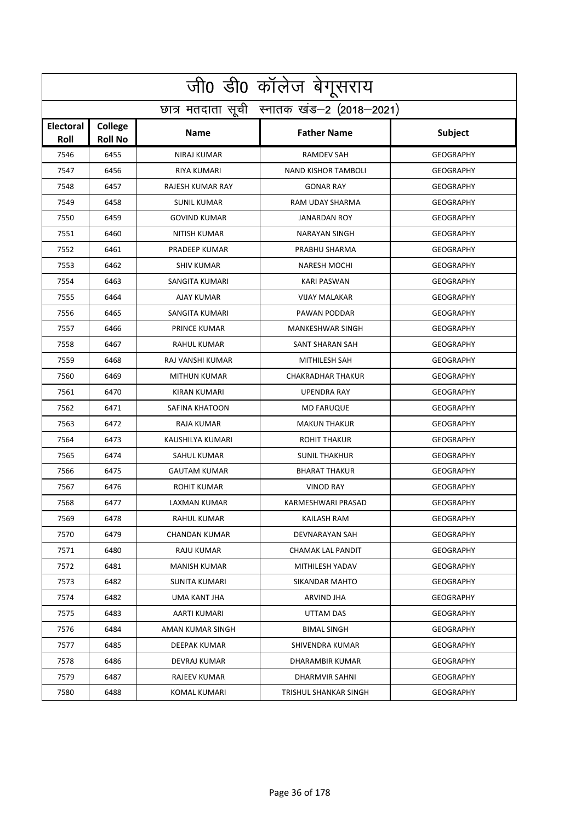|                          | <u>जी0 डी0 कॉलेज बेगू</u> सराय             |                         |                            |                  |  |  |
|--------------------------|--------------------------------------------|-------------------------|----------------------------|------------------|--|--|
|                          | छात्र मतदाता सूची स्नातक खंड-2 (2018-2021) |                         |                            |                  |  |  |
| <b>Electoral</b><br>Roll | College<br><b>Roll No</b>                  | <b>Name</b>             | <b>Father Name</b>         | <b>Subject</b>   |  |  |
| 7546                     | 6455                                       | <b>NIRAJ KUMAR</b>      | <b>RAMDEV SAH</b>          | <b>GEOGRAPHY</b> |  |  |
| 7547                     | 6456                                       | RIYA KUMARI             | <b>NAND KISHOR TAMBOLI</b> | <b>GEOGRAPHY</b> |  |  |
| 7548                     | 6457                                       | <b>RAJESH KUMAR RAY</b> | <b>GONAR RAY</b>           | <b>GEOGRAPHY</b> |  |  |
| 7549                     | 6458                                       | <b>SUNIL KUMAR</b>      | RAM UDAY SHARMA            | <b>GEOGRAPHY</b> |  |  |
| 7550                     | 6459                                       | <b>GOVIND KUMAR</b>     | <b>JANARDAN ROY</b>        | <b>GEOGRAPHY</b> |  |  |
| 7551                     | 6460                                       | <b>NITISH KUMAR</b>     | <b>NARAYAN SINGH</b>       | <b>GEOGRAPHY</b> |  |  |
| 7552                     | 6461                                       | PRADEEP KUMAR           | PRABHU SHARMA              | <b>GEOGRAPHY</b> |  |  |
| 7553                     | 6462                                       | <b>SHIV KUMAR</b>       | <b>NARESH MOCHI</b>        | <b>GEOGRAPHY</b> |  |  |
| 7554                     | 6463                                       | <b>SANGITA KUMARI</b>   | <b>KARI PASWAN</b>         | <b>GEOGRAPHY</b> |  |  |
| 7555                     | 6464                                       | <b>AJAY KUMAR</b>       | <b>VIJAY MALAKAR</b>       | <b>GEOGRAPHY</b> |  |  |
| 7556                     | 6465                                       | <b>SANGITA KUMARI</b>   | PAWAN PODDAR               | <b>GEOGRAPHY</b> |  |  |
| 7557                     | 6466                                       | PRINCE KUMAR            | <b>MANKESHWAR SINGH</b>    | <b>GEOGRAPHY</b> |  |  |
| 7558                     | 6467                                       | RAHUL KUMAR             | SANT SHARAN SAH            | <b>GEOGRAPHY</b> |  |  |
| 7559                     | 6468                                       | RAJ VANSHI KUMAR        | MITHILESH SAH              | <b>GEOGRAPHY</b> |  |  |
| 7560                     | 6469                                       | <b>MITHUN KUMAR</b>     | <b>CHAKRADHAR THAKUR</b>   | <b>GEOGRAPHY</b> |  |  |
| 7561                     | 6470                                       | <b>KIRAN KUMARI</b>     | <b>UPENDRA RAY</b>         | <b>GEOGRAPHY</b> |  |  |
| 7562                     | 6471                                       | SAFINA KHATOON          | <b>MD FARUQUE</b>          | <b>GEOGRAPHY</b> |  |  |
| 7563                     | 6472                                       | RAJA KUMAR              | <b>MAKUN THAKUR</b>        | <b>GEOGRAPHY</b> |  |  |
| 7564                     | 6473                                       | KAUSHILYA KUMARI        | <b>ROHIT THAKUR</b>        | <b>GEOGRAPHY</b> |  |  |
| 7565                     | 6474                                       | SAHUL KUMAR             | <b>SUNIL THAKHUR</b>       | <b>GEOGRAPHY</b> |  |  |
| 7566                     | 6475                                       | <b>GAUTAM KUMAR</b>     | <b>BHARAT THAKUR</b>       | <b>GEOGRAPHY</b> |  |  |
| 7567                     | 6476                                       | <b>ROHIT KUMAR</b>      | <b>VINOD RAY</b>           | <b>GEOGRAPHY</b> |  |  |
| 7568                     | 6477                                       | LAXMAN KUMAR            | KARMESHWARI PRASAD         | <b>GEOGRAPHY</b> |  |  |
| 7569                     | 6478                                       | RAHUL KUMAR             | KAILASH RAM                | <b>GEOGRAPHY</b> |  |  |
| 7570                     | 6479                                       | CHANDAN KUMAR           | DEVNARAYAN SAH             | <b>GEOGRAPHY</b> |  |  |
| 7571                     | 6480                                       | RAJU KUMAR              | CHAMAK LAL PANDIT          | <b>GEOGRAPHY</b> |  |  |
| 7572                     | 6481                                       | MANISH KUMAR            | MITHILESH YADAV            | <b>GEOGRAPHY</b> |  |  |
| 7573                     | 6482                                       | SUNITA KUMARI           | <b>SIKANDAR MAHTO</b>      | <b>GEOGRAPHY</b> |  |  |
| 7574                     | 6482                                       | UMA KANT JHA            | ARVIND JHA                 | GEOGRAPHY        |  |  |
| 7575                     | 6483                                       | AARTI KUMARI            | UTTAM DAS                  | <b>GEOGRAPHY</b> |  |  |
| 7576                     | 6484                                       | AMAN KUMAR SINGH        | <b>BIMAL SINGH</b>         | <b>GEOGRAPHY</b> |  |  |
| 7577                     | 6485                                       | DEEPAK KUMAR            | SHIVENDRA KUMAR            | <b>GEOGRAPHY</b> |  |  |
| 7578                     | 6486                                       | DEVRAJ KUMAR            | DHARAMBIR KUMAR            | <b>GEOGRAPHY</b> |  |  |
| 7579                     | 6487                                       | RAJEEV KUMAR            | DHARMVIR SAHNI             | <b>GEOGRAPHY</b> |  |  |
| 7580                     | 6488                                       | KOMAL KUMARI            | TRISHUL SHANKAR SINGH      | <b>GEOGRAPHY</b> |  |  |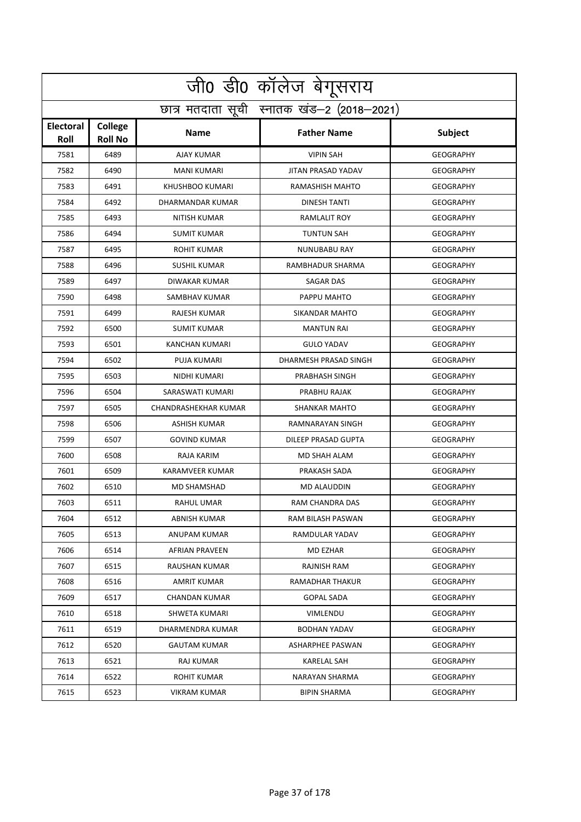| <u>जी0 डी0 कॉलेज बेगू</u> सराय |                                            |                        |                        |                  |  |  |
|--------------------------------|--------------------------------------------|------------------------|------------------------|------------------|--|--|
|                                | छात्र मतदाता सूची स्नातक खंड-2 (2018-2021) |                        |                        |                  |  |  |
| Electoral<br>Roll              | College<br><b>Roll No</b>                  | <b>Name</b>            | <b>Father Name</b>     | <b>Subject</b>   |  |  |
| 7581                           | 6489                                       | <b>AJAY KUMAR</b>      | <b>VIPIN SAH</b>       | <b>GEOGRAPHY</b> |  |  |
| 7582                           | 6490                                       | <b>MANI KUMARI</b>     | JITAN PRASAD YADAV     | <b>GEOGRAPHY</b> |  |  |
| 7583                           | 6491                                       | KHUSHBOO KUMARI        | RAMASHISH MAHTO        | <b>GEOGRAPHY</b> |  |  |
| 7584                           | 6492                                       | DHARMANDAR KUMAR       | <b>DINESH TANTI</b>    | <b>GEOGRAPHY</b> |  |  |
| 7585                           | 6493                                       | <b>NITISH KUMAR</b>    | <b>RAMLALIT ROY</b>    | <b>GEOGRAPHY</b> |  |  |
| 7586                           | 6494                                       | <b>SUMIT KUMAR</b>     | <b>TUNTUN SAH</b>      | <b>GEOGRAPHY</b> |  |  |
| 7587                           | 6495                                       | <b>ROHIT KUMAR</b>     | NUNUBABU RAY           | <b>GEOGRAPHY</b> |  |  |
| 7588                           | 6496                                       | <b>SUSHIL KUMAR</b>    | RAMBHADUR SHARMA       | <b>GEOGRAPHY</b> |  |  |
| 7589                           | 6497                                       | DIWAKAR KUMAR          | <b>SAGAR DAS</b>       | <b>GEOGRAPHY</b> |  |  |
| 7590                           | 6498                                       | SAMBHAV KUMAR          | PAPPU MAHTO            | <b>GEOGRAPHY</b> |  |  |
| 7591                           | 6499                                       | <b>RAJESH KUMAR</b>    | <b>SIKANDAR MAHTO</b>  | <b>GEOGRAPHY</b> |  |  |
| 7592                           | 6500                                       | <b>SUMIT KUMAR</b>     | <b>MANTUN RAI</b>      | <b>GEOGRAPHY</b> |  |  |
| 7593                           | 6501                                       | KANCHAN KUMARI         | <b>GULO YADAV</b>      | <b>GEOGRAPHY</b> |  |  |
| 7594                           | 6502                                       | PUJA KUMARI            | DHARMESH PRASAD SINGH  | <b>GEOGRAPHY</b> |  |  |
| 7595                           | 6503                                       | NIDHI KUMARI           | PRABHASH SINGH         | <b>GEOGRAPHY</b> |  |  |
| 7596                           | 6504                                       | SARASWATI KUMARI       | PRABHU RAJAK           | <b>GEOGRAPHY</b> |  |  |
| 7597                           | 6505                                       | CHANDRASHEKHAR KUMAR   | <b>SHANKAR MAHTO</b>   | <b>GEOGRAPHY</b> |  |  |
| 7598                           | 6506                                       | <b>ASHISH KUMAR</b>    | RAMNARAYAN SINGH       | <b>GEOGRAPHY</b> |  |  |
| 7599                           | 6507                                       | <b>GOVIND KUMAR</b>    | DILEEP PRASAD GUPTA    | <b>GEOGRAPHY</b> |  |  |
| 7600                           | 6508                                       | RAJA KARIM             | MD SHAH ALAM           | <b>GEOGRAPHY</b> |  |  |
| 7601                           | 6509                                       | <b>KARAMVEER KUMAR</b> | PRAKASH SADA           | <b>GEOGRAPHY</b> |  |  |
| 7602                           | 6510                                       | MD SHAMSHAD            | MD ALAUDDIN            | <b>GEOGRAPHY</b> |  |  |
| 7603                           | 6511                                       | RAHUL UMAR             | RAM CHANDRA DAS        | <b>GEOGRAPHY</b> |  |  |
| 7604                           | 6512                                       | ABNISH KUMAR           | RAM BILASH PASWAN      | <b>GEOGRAPHY</b> |  |  |
| 7605                           | 6513                                       | ANUPAM KUMAR           | RAMDULAR YADAV         | <b>GEOGRAPHY</b> |  |  |
| 7606                           | 6514                                       | <b>AFRIAN PRAVEEN</b>  | MD EZHAR               | <b>GEOGRAPHY</b> |  |  |
| 7607                           | 6515                                       | RAUSHAN KUMAR          | RAJNISH RAM            | <b>GEOGRAPHY</b> |  |  |
| 7608                           | 6516                                       | AMRIT KUMAR            | <b>RAMADHAR THAKUR</b> | <b>GEOGRAPHY</b> |  |  |
| 7609                           | 6517                                       | CHANDAN KUMAR          | <b>GOPAL SADA</b>      | <b>GEOGRAPHY</b> |  |  |
| 7610                           | 6518                                       | SHWETA KUMARI          | VIMLENDU               | <b>GEOGRAPHY</b> |  |  |
| 7611                           | 6519                                       | DHARMENDRA KUMAR       | <b>BODHAN YADAV</b>    | <b>GEOGRAPHY</b> |  |  |
| 7612                           | 6520                                       | <b>GAUTAM KUMAR</b>    | ASHARPHEE PASWAN       | <b>GEOGRAPHY</b> |  |  |
| 7613                           | 6521                                       | RAJ KUMAR              | KARELAL SAH            | <b>GEOGRAPHY</b> |  |  |
| 7614                           | 6522                                       | ROHIT KUMAR            | NARAYAN SHARMA         | <b>GEOGRAPHY</b> |  |  |
| 7615                           | 6523                                       | VIKRAM KUMAR           | BIPIN SHARMA           | <b>GEOGRAPHY</b> |  |  |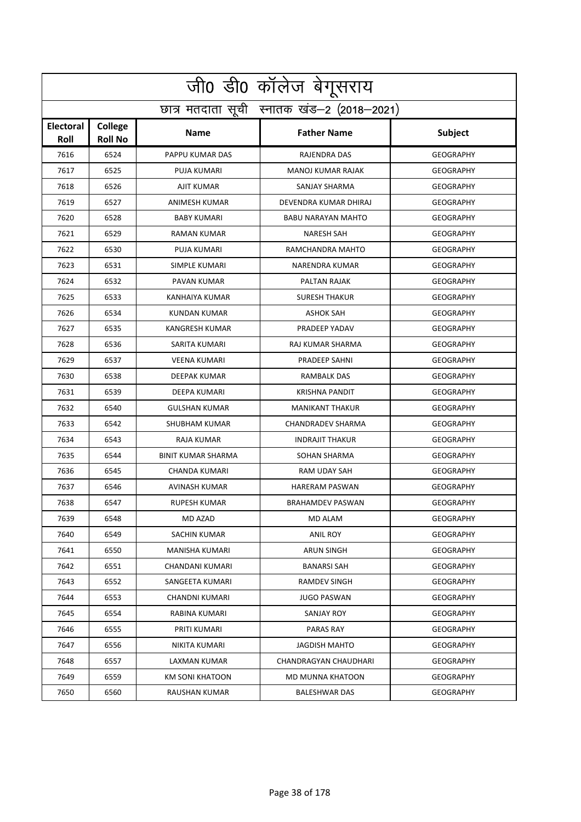|                                            | .<br>जीo डीo कॉलेज बेगूसराय |                           |                           |                  |  |
|--------------------------------------------|-----------------------------|---------------------------|---------------------------|------------------|--|
| छात्र मतदाता सूची स्नातक खंड-2 (2018-2021) |                             |                           |                           |                  |  |
| <b>Electoral</b><br>Roll                   | College<br><b>Roll No</b>   | <b>Name</b>               | <b>Father Name</b>        | <b>Subject</b>   |  |
| 7616                                       | 6524                        | PAPPU KUMAR DAS           | <b>RAJENDRA DAS</b>       | <b>GEOGRAPHY</b> |  |
| 7617                                       | 6525                        | PUJA KUMARI               | <b>MANOJ KUMAR RAJAK</b>  | <b>GEOGRAPHY</b> |  |
| 7618                                       | 6526                        | <b>AJIT KUMAR</b>         | <b>SANJAY SHARMA</b>      | <b>GEOGRAPHY</b> |  |
| 7619                                       | 6527                        | <b>ANIMESH KUMAR</b>      | DEVENDRA KUMAR DHIRAJ     | <b>GEOGRAPHY</b> |  |
| 7620                                       | 6528                        | <b>BABY KUMARI</b>        | <b>BABU NARAYAN MAHTO</b> | <b>GEOGRAPHY</b> |  |
| 7621                                       | 6529                        | RAMAN KUMAR               | <b>NARESH SAH</b>         | <b>GEOGRAPHY</b> |  |
| 7622                                       | 6530                        | PUJA KUMARI               | RAMCHANDRA MAHTO          | <b>GEOGRAPHY</b> |  |
| 7623                                       | 6531                        | SIMPLE KUMARI             | NARENDRA KUMAR            | <b>GEOGRAPHY</b> |  |
| 7624                                       | 6532                        | PAVAN KUMAR               | PALTAN RAJAK              | <b>GEOGRAPHY</b> |  |
| 7625                                       | 6533                        | KANHAIYA KUMAR            | <b>SURESH THAKUR</b>      | <b>GEOGRAPHY</b> |  |
| 7626                                       | 6534                        | <b>KUNDAN KUMAR</b>       | <b>ASHOK SAH</b>          | <b>GEOGRAPHY</b> |  |
| 7627                                       | 6535                        | <b>KANGRESH KUMAR</b>     | PRADEEP YADAV             | <b>GEOGRAPHY</b> |  |
| 7628                                       | 6536                        | <b>SARITA KUMARI</b>      | RAJ KUMAR SHARMA          | <b>GEOGRAPHY</b> |  |
| 7629                                       | 6537                        | <b>VEENA KUMARI</b>       | PRADEEP SAHNI             | <b>GEOGRAPHY</b> |  |
| 7630                                       | 6538                        | DEEPAK KUMAR              | RAMBALK DAS               | <b>GEOGRAPHY</b> |  |
| 7631                                       | 6539                        | DEEPA KUMARI              | <b>KRISHNA PANDIT</b>     | <b>GEOGRAPHY</b> |  |
| 7632                                       | 6540                        | <b>GULSHAN KUMAR</b>      | <b>MANIKANT THAKUR</b>    | <b>GEOGRAPHY</b> |  |
| 7633                                       | 6542                        | SHUBHAM KUMAR             | <b>CHANDRADEV SHARMA</b>  | <b>GEOGRAPHY</b> |  |
| 7634                                       | 6543                        | RAJA KUMAR                | <b>INDRAJIT THAKUR</b>    | <b>GEOGRAPHY</b> |  |
| 7635                                       | 6544                        | <b>BINIT KUMAR SHARMA</b> | <b>SOHAN SHARMA</b>       | <b>GEOGRAPHY</b> |  |
| 7636                                       | 6545                        | <b>CHANDA KUMARI</b>      | RAM UDAY SAH              | <b>GEOGRAPHY</b> |  |
| 7637                                       | 6546                        | AVINASH KUMAR             | <b>HARERAM PASWAN</b>     | <b>GEOGRAPHY</b> |  |
| 7638                                       | 6547                        | RUPESH KUMAR              | <b>BRAHAMDEV PASWAN</b>   | <b>GEOGRAPHY</b> |  |
| 7639                                       | 6548                        | MD AZAD                   | MD ALAM                   | <b>GEOGRAPHY</b> |  |
| 7640                                       | 6549                        | SACHIN KUMAR              | <b>ANIL ROY</b>           | <b>GEOGRAPHY</b> |  |
| 7641                                       | 6550                        | MANISHA KUMARI            | <b>ARUN SINGH</b>         | <b>GEOGRAPHY</b> |  |
| 7642                                       | 6551                        | CHANDANI KUMARI           | <b>BANARSI SAH</b>        | <b>GEOGRAPHY</b> |  |
| 7643                                       | 6552                        | SANGEETA KUMARI           | <b>RAMDEV SINGH</b>       | <b>GEOGRAPHY</b> |  |
| 7644                                       | 6553                        | <b>CHANDNI KUMARI</b>     | <b>JUGO PASWAN</b>        | <b>GEOGRAPHY</b> |  |
| 7645                                       | 6554                        | RABINA KUMARI             | <b>SANJAY ROY</b>         | <b>GEOGRAPHY</b> |  |
| 7646                                       | 6555                        | PRITI KUMARI              | PARAS RAY                 | <b>GEOGRAPHY</b> |  |
| 7647                                       | 6556                        | NIKITA KUMARI             | JAGDISH MAHTO             | <b>GEOGRAPHY</b> |  |
| 7648                                       | 6557                        | LAXMAN KUMAR              | CHANDRAGYAN CHAUDHARI     | <b>GEOGRAPHY</b> |  |
| 7649                                       | 6559                        | KM SONI KHATOON           | MD MUNNA KHATOON          | GEOGRAPHY        |  |
| 7650                                       | 6560                        | RAUSHAN KUMAR             | <b>BALESHWAR DAS</b>      | GEOGRAPHY        |  |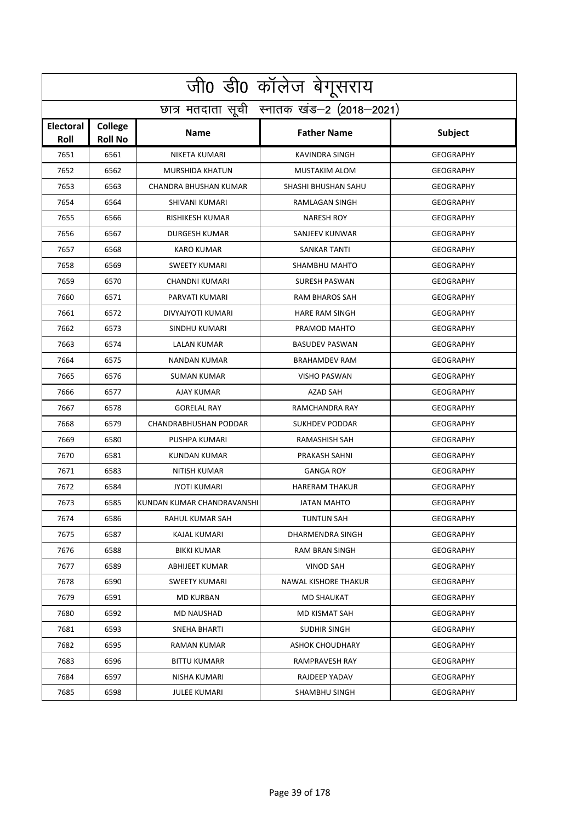|                   | <u>ज</u> ी0 डी0 कॉलेज बेगूसराय             |                              |                       |                  |  |  |
|-------------------|--------------------------------------------|------------------------------|-----------------------|------------------|--|--|
|                   | छात्र मतदाता सूची स्नातक खंड-2 (2018-2021) |                              |                       |                  |  |  |
| Electoral<br>Roll | College<br><b>Roll No</b>                  | <b>Name</b>                  | <b>Father Name</b>    | <b>Subject</b>   |  |  |
| 7651              | 6561                                       | <b>NIKETA KUMARI</b>         | <b>KAVINDRA SINGH</b> | <b>GEOGRAPHY</b> |  |  |
| 7652              | 6562                                       | <b>MURSHIDA KHATUN</b>       | <b>MUSTAKIM ALOM</b>  | <b>GEOGRAPHY</b> |  |  |
| 7653              | 6563                                       | <b>CHANDRA BHUSHAN KUMAR</b> | SHASHI BHUSHAN SAHU   | <b>GEOGRAPHY</b> |  |  |
| 7654              | 6564                                       | SHIVANI KUMARI               | RAMLAGAN SINGH        | <b>GEOGRAPHY</b> |  |  |
| 7655              | 6566                                       | RISHIKESH KUMAR              | <b>NARESH ROY</b>     | <b>GEOGRAPHY</b> |  |  |
| 7656              | 6567                                       | <b>DURGESH KUMAR</b>         | SANJEEV KUNWAR        | <b>GEOGRAPHY</b> |  |  |
| 7657              | 6568                                       | <b>KARO KUMAR</b>            | <b>SANKAR TANTI</b>   | <b>GEOGRAPHY</b> |  |  |
| 7658              | 6569                                       | <b>SWEETY KUMARI</b>         | SHAMBHU MAHTO         | <b>GEOGRAPHY</b> |  |  |
| 7659              | 6570                                       | CHANDNI KUMARI               | <b>SURESH PASWAN</b>  | <b>GEOGRAPHY</b> |  |  |
| 7660              | 6571                                       | PARVATI KUMARI               | RAM BHAROS SAH        | <b>GEOGRAPHY</b> |  |  |
| 7661              | 6572                                       | DIVYAJYOTI KUMARI            | <b>HARE RAM SINGH</b> | <b>GEOGRAPHY</b> |  |  |
| 7662              | 6573                                       | SINDHU KUMARI                | PRAMOD MAHTO          | <b>GEOGRAPHY</b> |  |  |
| 7663              | 6574                                       | <b>LALAN KUMAR</b>           | <b>BASUDEV PASWAN</b> | <b>GEOGRAPHY</b> |  |  |
| 7664              | 6575                                       | <b>NANDAN KUMAR</b>          | <b>BRAHAMDEV RAM</b>  | <b>GEOGRAPHY</b> |  |  |
| 7665              | 6576                                       | <b>SUMAN KUMAR</b>           | <b>VISHO PASWAN</b>   | <b>GEOGRAPHY</b> |  |  |
| 7666              | 6577                                       | <b>AJAY KUMAR</b>            | <b>AZAD SAH</b>       | <b>GEOGRAPHY</b> |  |  |
| 7667              | 6578                                       | <b>GORELAL RAY</b>           | RAMCHANDRA RAY        | <b>GEOGRAPHY</b> |  |  |
| 7668              | 6579                                       | CHANDRABHUSHAN PODDAR        | <b>SUKHDEV PODDAR</b> | <b>GEOGRAPHY</b> |  |  |
| 7669              | 6580                                       | PUSHPA KUMARI                | RAMASHISH SAH         | <b>GEOGRAPHY</b> |  |  |
| 7670              | 6581                                       | <b>KUNDAN KUMAR</b>          | PRAKASH SAHNI         | <b>GEOGRAPHY</b> |  |  |
| 7671              | 6583                                       | <b>NITISH KUMAR</b>          | <b>GANGA ROY</b>      | <b>GEOGRAPHY</b> |  |  |
| 7672              | 6584                                       | <b>JYOTI KUMARI</b>          | <b>HARERAM THAKUR</b> | <b>GEOGRAPHY</b> |  |  |
| 7673              | 6585                                       | KUNDAN KUMAR CHANDRAVANSHI   | <b>JATAN MAHTO</b>    | <b>GEOGRAPHY</b> |  |  |
| 7674              | 6586                                       | RAHUL KUMAR SAH              | <b>TUNTUN SAH</b>     | <b>GEOGRAPHY</b> |  |  |
| 7675              | 6587                                       | KAJAL KUMARI                 | DHARMENDRA SINGH      | <b>GEOGRAPHY</b> |  |  |
| 7676              | 6588                                       | <b>BIKKI KUMAR</b>           | <b>RAM BRAN SINGH</b> | <b>GEOGRAPHY</b> |  |  |
| 7677              | 6589                                       | ABHIJEET KUMAR               | <b>VINOD SAH</b>      | <b>GEOGRAPHY</b> |  |  |
| 7678              | 6590                                       | SWEETY KUMARI                | NAWAL KISHORE THAKUR  | <b>GEOGRAPHY</b> |  |  |
| 7679              | 6591                                       | MD KURBAN                    | MD SHAUKAT            | GEOGRAPHY        |  |  |
| 7680              | 6592                                       | MD NAUSHAD                   | <b>MD KISMAT SAH</b>  | GEOGRAPHY        |  |  |
| 7681              | 6593                                       | SNEHA BHARTI                 | SUDHIR SINGH          | <b>GEOGRAPHY</b> |  |  |
| 7682              | 6595                                       | RAMAN KUMAR                  | ASHOK CHOUDHARY       | GEOGRAPHY        |  |  |
| 7683              | 6596                                       | <b>BITTU KUMARR</b>          | RAMPRAVESH RAY        | GEOGRAPHY        |  |  |
| 7684              | 6597                                       | NISHA KUMARI                 | RAJDEEP YADAV         | GEOGRAPHY        |  |  |
| 7685              | 6598                                       | JULEE KUMARI                 | SHAMBHU SINGH         | GEOGRAPHY        |  |  |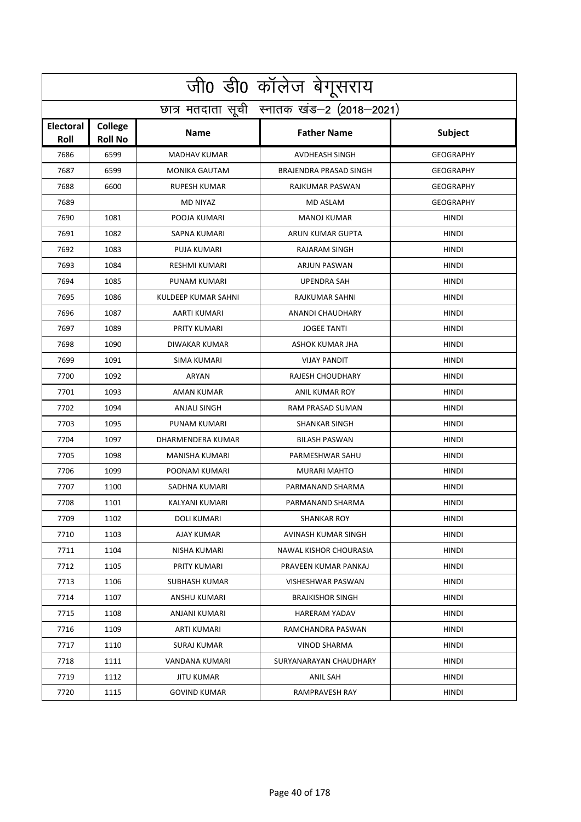|                                            | <u>जी0 डी0 कॉलेज बेगू</u> सराय |                      |                         |                  |  |
|--------------------------------------------|--------------------------------|----------------------|-------------------------|------------------|--|
| छात्र मतदाता सूची स्नातक खंड-2 (2018-2021) |                                |                      |                         |                  |  |
| Electoral<br>Roll                          | College<br><b>Roll No</b>      | <b>Name</b>          | <b>Father Name</b>      | Subject          |  |
| 7686                                       | 6599                           | <b>MADHAV KUMAR</b>  | <b>AVDHEASH SINGH</b>   | <b>GEOGRAPHY</b> |  |
| 7687                                       | 6599                           | <b>MONIKA GAUTAM</b> | BRAJENDRA PRASAD SINGH  | <b>GEOGRAPHY</b> |  |
| 7688                                       | 6600                           | <b>RUPESH KUMAR</b>  | RAJKUMAR PASWAN         | <b>GEOGRAPHY</b> |  |
| 7689                                       |                                | <b>MD NIYAZ</b>      | MD ASLAM                | <b>GEOGRAPHY</b> |  |
| 7690                                       | 1081                           | POOJA KUMARI         | <b>MANOJ KUMAR</b>      | <b>HINDI</b>     |  |
| 7691                                       | 1082                           | SAPNA KUMARI         | ARUN KUMAR GUPTA        | <b>HINDI</b>     |  |
| 7692                                       | 1083                           | PUJA KUMARI          | RAJARAM SINGH           | <b>HINDI</b>     |  |
| 7693                                       | 1084                           | <b>RESHMI KUMARI</b> | <b>ARJUN PASWAN</b>     | HINDI            |  |
| 7694                                       | 1085                           | PUNAM KUMARI         | <b>UPENDRA SAH</b>      | <b>HINDI</b>     |  |
| 7695                                       | 1086                           | KULDEEP KUMAR SAHNI  | RAJKUMAR SAHNI          | <b>HINDI</b>     |  |
| 7696                                       | 1087                           | AARTI KUMARI         | ANANDI CHAUDHARY        | <b>HINDI</b>     |  |
| 7697                                       | 1089                           | PRITY KUMARI         | <b>JOGEE TANTI</b>      | <b>HINDI</b>     |  |
| 7698                                       | 1090                           | DIWAKAR KUMAR        | ASHOK KUMAR JHA         | <b>HINDI</b>     |  |
| 7699                                       | 1091                           | SIMA KUMARI          | <b>VIJAY PANDIT</b>     | <b>HINDI</b>     |  |
| 7700                                       | 1092                           | ARYAN                | RAJESH CHOUDHARY        | <b>HINDI</b>     |  |
| 7701                                       | 1093                           | <b>AMAN KUMAR</b>    | ANIL KUMAR ROY          | <b>HINDI</b>     |  |
| 7702                                       | 1094                           | ANJALI SINGH         | RAM PRASAD SUMAN        | <b>HINDI</b>     |  |
| 7703                                       | 1095                           | PUNAM KUMARI         | SHANKAR SINGH           | HINDI            |  |
| 7704                                       | 1097                           | DHARMENDERA KUMAR    | <b>BILASH PASWAN</b>    | <b>HINDI</b>     |  |
| 7705                                       | 1098                           | MANISHA KUMARI       | PARMESHWAR SAHU         | <b>HINDI</b>     |  |
| 7706                                       | 1099                           | POONAM KUMARI        | <b>MURARI MAHTO</b>     | <b>HINDI</b>     |  |
| 7707                                       | 1100                           | SADHNA KUMARI        | PARMANAND SHARMA        | HINDI            |  |
| 7708                                       | 1101                           | KALYANI KUMARI       | PARMANAND SHARMA        | <b>HINDI</b>     |  |
| 7709                                       | 1102                           | <b>DOLI KUMARI</b>   | <b>SHANKAR ROY</b>      | <b>HINDI</b>     |  |
| 7710                                       | 1103                           | AJAY KUMAR           | AVINASH KUMAR SINGH     | <b>HINDI</b>     |  |
| 7711                                       | 1104                           | NISHA KUMARI         | NAWAL KISHOR CHOURASIA  | HINDI            |  |
| 7712                                       | 1105                           | PRITY KUMARI         | PRAVEEN KUMAR PANKAJ    | <b>HINDI</b>     |  |
| 7713                                       | 1106                           | SUBHASH KUMAR        | VISHESHWAR PASWAN       | HINDI            |  |
| 7714                                       | 1107                           | ANSHU KUMARI         | <b>BRAJKISHOR SINGH</b> | HINDI            |  |
| 7715                                       | 1108                           | ANJANI KUMARI        | <b>HARERAM YADAV</b>    | <b>HINDI</b>     |  |
| 7716                                       | 1109                           | ARTI KUMARI          | RAMCHANDRA PASWAN       | HINDI            |  |
| 7717                                       | 1110                           | SURAJ KUMAR          | VINOD SHARMA            | HINDI            |  |
| 7718                                       | 1111                           | VANDANA KUMARI       | SURYANARAYAN CHAUDHARY  | HINDI            |  |
| 7719                                       | 1112                           | <b>JITU KUMAR</b>    | <b>ANIL SAH</b>         | HINDI            |  |
| 7720                                       | 1115                           | <b>GOVIND KUMAR</b>  | RAMPRAVESH RAY          | HINDI            |  |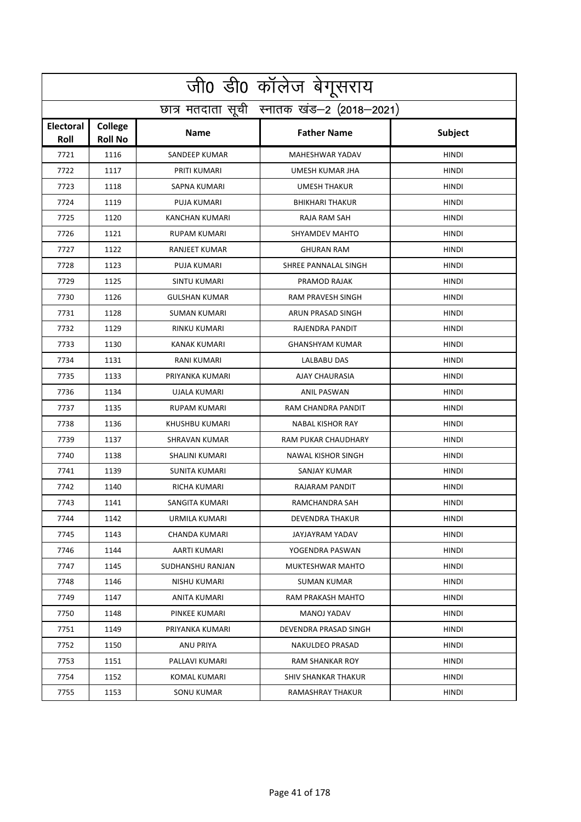|                                            | जी0 डी0 कॉलेज बेगूसराय    |                      |                            |              |  |
|--------------------------------------------|---------------------------|----------------------|----------------------------|--------------|--|
| छात्र मतदाता सूची स्नातक खंड-2 (2018-2021) |                           |                      |                            |              |  |
| Electoral<br>Roll                          | College<br><b>Roll No</b> | <b>Name</b>          | <b>Father Name</b>         | Subject      |  |
| 7721                                       | 1116                      | <b>SANDEEP KUMAR</b> | <b>MAHESHWAR YADAV</b>     | <b>HINDI</b> |  |
| 7722                                       | 1117                      | PRITI KUMARI         | <b>UMESH KUMAR JHA</b>     | <b>HINDI</b> |  |
| 7723                                       | 1118                      | SAPNA KUMARI         | <b>UMESH THAKUR</b>        | <b>HINDI</b> |  |
| 7724                                       | 1119                      | <b>PUJA KUMARI</b>   | <b>BHIKHARI THAKUR</b>     | <b>HINDI</b> |  |
| 7725                                       | 1120                      | KANCHAN KUMARI       | RAJA RAM SAH               | <b>HINDI</b> |  |
| 7726                                       | 1121                      | <b>RUPAM KUMARI</b>  | SHYAMDEV MAHTO             | <b>HINDI</b> |  |
| 7727                                       | 1122                      | RANJEET KUMAR        | <b>GHURAN RAM</b>          | <b>HINDI</b> |  |
| 7728                                       | 1123                      | PUJA KUMARI          | SHREE PANNALAL SINGH       | <b>HINDI</b> |  |
| 7729                                       | 1125                      | <b>SINTU KUMARI</b>  | PRAMOD RAJAK               | <b>HINDI</b> |  |
| 7730                                       | 1126                      | <b>GULSHAN KUMAR</b> | <b>RAM PRAVESH SINGH</b>   | <b>HINDI</b> |  |
| 7731                                       | 1128                      | <b>SUMAN KUMARI</b>  | ARUN PRASAD SINGH          | <b>HINDI</b> |  |
| 7732                                       | 1129                      | RINKU KUMARI         | RAJENDRA PANDIT            | <b>HINDI</b> |  |
| 7733                                       | 1130                      | <b>KANAK KUMARI</b>  | <b>GHANSHYAM KUMAR</b>     | <b>HINDI</b> |  |
| 7734                                       | 1131                      | RANI KUMARI          | LALBABU DAS                | <b>HINDI</b> |  |
| 7735                                       | 1133                      | PRIYANKA KUMARI      | AJAY CHAURASIA             | HINDI        |  |
| 7736                                       | 1134                      | UJALA KUMARI         | <b>ANIL PASWAN</b>         | <b>HINDI</b> |  |
| 7737                                       | 1135                      | <b>RUPAM KUMARI</b>  | RAM CHANDRA PANDIT         | <b>HINDI</b> |  |
| 7738                                       | 1136                      | KHUSHBU KUMARI       | <b>NABAL KISHOR RAY</b>    | <b>HINDI</b> |  |
| 7739                                       | 1137                      | SHRAVAN KUMAR        | RAM PUKAR CHAUDHARY        | <b>HINDI</b> |  |
| 7740                                       | 1138                      | SHALINI KUMARI       | <b>NAWAL KISHOR SINGH</b>  | <b>HINDI</b> |  |
| 7741                                       | 1139                      | <b>SUNITA KUMARI</b> | SANJAY KUMAR               | <b>HINDI</b> |  |
| 7742                                       | 1140                      | RICHA KUMARI         | RAJARAM PANDIT             | <b>HINDI</b> |  |
| 7743                                       | 1141                      | SANGITA KUMARI       | RAMCHANDRA SAH             | <b>HINDI</b> |  |
| 7744                                       | 1142                      | URMILA KUMARI        | DEVENDRA THAKUR            | <b>HINDI</b> |  |
| 7745                                       | 1143                      | CHANDA KUMARI        | JAYJAYRAM YADAV            | <b>HINDI</b> |  |
| 7746                                       | 1144                      | AARTI KUMARI         | YOGENDRA PASWAN            | <b>HINDI</b> |  |
| 7747                                       | 1145                      | SUDHANSHU RANJAN     | MUKTESHWAR MAHTO           | <b>HINDI</b> |  |
| 7748                                       | 1146                      | NISHU KUMARI         | <b>SUMAN KUMAR</b>         | HINDI        |  |
| 7749                                       | 1147                      | ANITA KUMARI         | RAM PRAKASH MAHTO          | <b>HINDI</b> |  |
| 7750                                       | 1148                      | PINKEE KUMARI        | MANOJ YADAV                | HINDI        |  |
| 7751                                       | 1149                      | PRIYANKA KUMARI      | DEVENDRA PRASAD SINGH      | <b>HINDI</b> |  |
| 7752                                       | 1150                      | ANU PRIYA            | NAKULDEO PRASAD            | HINDI        |  |
| 7753                                       | 1151                      | PALLAVI KUMARI       | <b>RAM SHANKAR ROY</b>     | <b>HINDI</b> |  |
| 7754                                       | 1152                      | KOMAL KUMARI         | <b>SHIV SHANKAR THAKUR</b> | <b>HINDI</b> |  |
| 7755                                       | 1153                      | SONU KUMAR           | RAMASHRAY THAKUR           | HINDI        |  |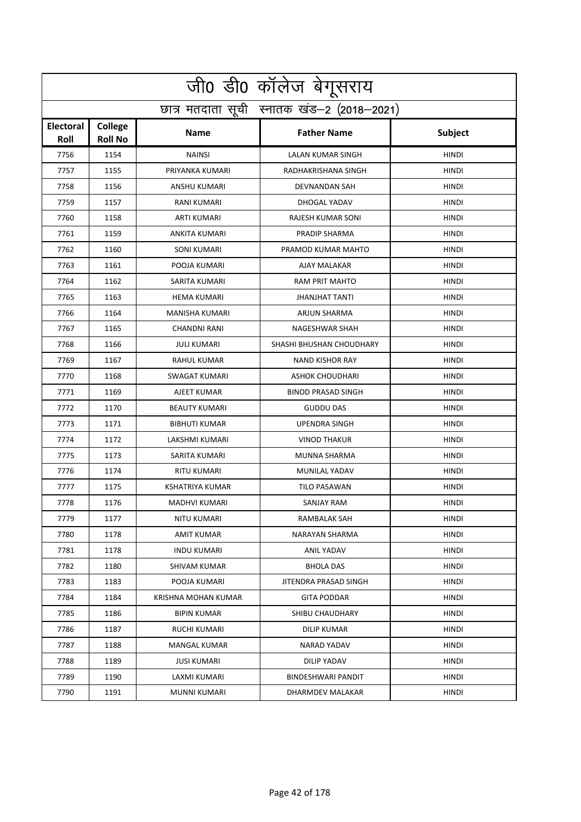| जी0 डी0 कॉलेज बेगूसराय   |                                            |                        |                           |              |  |  |
|--------------------------|--------------------------------------------|------------------------|---------------------------|--------------|--|--|
|                          | छात्र मतदाता सूची स्नातक खंड-2 (2018-2021) |                        |                           |              |  |  |
| <b>Electoral</b><br>Roll | College<br><b>Roll No</b>                  | <b>Name</b>            | <b>Father Name</b>        | Subject      |  |  |
| 7756                     | 1154                                       | <b>NAINSI</b>          | LALAN KUMAR SINGH         | <b>HINDI</b> |  |  |
| 7757                     | 1155                                       | PRIYANKA KUMARI        | RADHAKRISHANA SINGH       | HINDI        |  |  |
| 7758                     | 1156                                       | ANSHU KUMARI           | DEVNANDAN SAH             | <b>HINDI</b> |  |  |
| 7759                     | 1157                                       | <b>RANI KUMARI</b>     | <b>DHOGAL YADAV</b>       | <b>HINDI</b> |  |  |
| 7760                     | 1158                                       | ARTI KUMARI            | RAJESH KUMAR SONI         | <b>HINDI</b> |  |  |
| 7761                     | 1159                                       | ANKITA KUMARI          | PRADIP SHARMA             | <b>HINDI</b> |  |  |
| 7762                     | 1160                                       | <b>SONI KUMARI</b>     | PRAMOD KUMAR MAHTO        | <b>HINDI</b> |  |  |
| 7763                     | 1161                                       | POOJA KUMARI           | AJAY MALAKAR              | <b>HINDI</b> |  |  |
| 7764                     | 1162                                       | SARITA KUMARI          | <b>RAM PRIT MAHTO</b>     | <b>HINDI</b> |  |  |
| 7765                     | 1163                                       | HEMA KUMARI            | <b>JHANJHAT TANTI</b>     | <b>HINDI</b> |  |  |
| 7766                     | 1164                                       | MANISHA KUMARI         | ARJUN SHARMA              | <b>HINDI</b> |  |  |
| 7767                     | 1165                                       | CHANDNI RANI           | NAGESHWAR SHAH            | <b>HINDI</b> |  |  |
| 7768                     | 1166                                       | <b>JULI KUMARI</b>     | SHASHI BHUSHAN CHOUDHARY  | <b>HINDI</b> |  |  |
| 7769                     | 1167                                       | RAHUL KUMAR            | <b>NAND KISHOR RAY</b>    | <b>HINDI</b> |  |  |
| 7770                     | 1168                                       | SWAGAT KUMARI          | <b>ASHOK CHOUDHARI</b>    | <b>HINDI</b> |  |  |
| 7771                     | 1169                                       | AJEET KUMAR            | <b>BINOD PRASAD SINGH</b> | <b>HINDI</b> |  |  |
| 7772                     | 1170                                       | <b>BEAUTY KUMARI</b>   | <b>GUDDU DAS</b>          | <b>HINDI</b> |  |  |
| 7773                     | 1171                                       | <b>BIBHUTI KUMAR</b>   | <b>UPENDRA SINGH</b>      | <b>HINDI</b> |  |  |
| 7774                     | 1172                                       | LAKSHMI KUMARI         | <b>VINOD THAKUR</b>       | <b>HINDI</b> |  |  |
| 7775                     | 1173                                       | SARITA KUMARI          | MUNNA SHARMA              | <b>HINDI</b> |  |  |
| 7776                     | 1174                                       | <b>RITU KUMARI</b>     | MUNILAL YADAV             | <b>HINDI</b> |  |  |
| 7777                     | 1175                                       | <b>KSHATRIYA KUMAR</b> | TILO PASAWAN              | HINDI        |  |  |
| 7778                     | 1176                                       | <b>MADHVI KUMARI</b>   | SANJAY RAM                | <b>HINDI</b> |  |  |
| 7779                     | 1177                                       | NITU KUMARI            | RAMBALAK SAH              | <b>HINDI</b> |  |  |
| 7780                     | 1178                                       | AMIT KUMAR             | <b>NARAYAN SHARMA</b>     | <b>HINDI</b> |  |  |
| 7781                     | 1178                                       | <b>INDU KUMARI</b>     | <b>ANIL YADAV</b>         | <b>HINDI</b> |  |  |
| 7782                     | 1180                                       | SHIVAM KUMAR           | <b>BHOLA DAS</b>          | <b>HINDI</b> |  |  |
| 7783                     | 1183                                       | POOJA KUMARI           | JITENDRA PRASAD SINGH     | HINDI        |  |  |
| 7784                     | 1184                                       | KRISHNA MOHAN KUMAR    | <b>GITA PODDAR</b>        | <b>HINDI</b> |  |  |
| 7785                     | 1186                                       | <b>BIPIN KUMAR</b>     | SHIBU CHAUDHARY           | <b>HINDI</b> |  |  |
| 7786                     | 1187                                       | RUCHI KUMARI           | DILIP KUMAR               | HINDI        |  |  |
| 7787                     | 1188                                       | MANGAL KUMAR           | NARAD YADAV               | HINDI        |  |  |
| 7788                     | 1189                                       | JUSI KUMARI            | DILIP YADAV               | HINDI        |  |  |
| 7789                     | 1190                                       | LAXMI KUMARI           | BINDESHWARI PANDIT        | <b>HINDI</b> |  |  |
| 7790                     | 1191                                       | MUNNI KUMARI           | DHARMDEV MALAKAR          | HINDI        |  |  |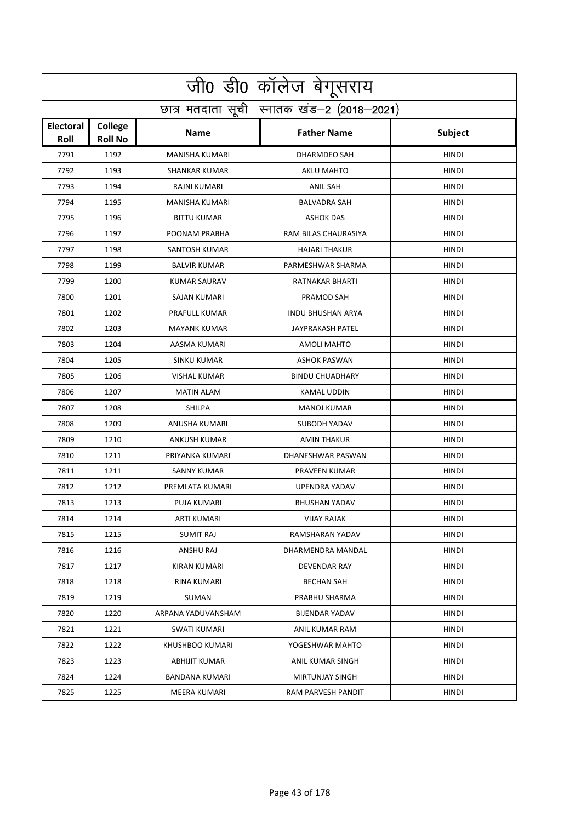| <u>जी0 डी0 कॉलेज बेगू</u> सराय |                                            |                       |                          |              |  |  |
|--------------------------------|--------------------------------------------|-----------------------|--------------------------|--------------|--|--|
|                                | छात्र मतदाता सूची स्नातक खंड-2 (2018-2021) |                       |                          |              |  |  |
| <b>Electoral</b><br>Roll       | College<br><b>Roll No</b>                  | <b>Name</b>           | <b>Father Name</b>       | Subject      |  |  |
| 7791                           | 1192                                       | <b>MANISHA KUMARI</b> | <b>DHARMDEO SAH</b>      | <b>HINDI</b> |  |  |
| 7792                           | 1193                                       | <b>SHANKAR KUMAR</b>  | AKLU MAHTO               | HINDI        |  |  |
| 7793                           | 1194                                       | RAJNI KUMARI          | <b>ANIL SAH</b>          | <b>HINDI</b> |  |  |
| 7794                           | 1195                                       | <b>MANISHA KUMARI</b> | <b>BALVADRA SAH</b>      | <b>HINDI</b> |  |  |
| 7795                           | 1196                                       | <b>BITTU KUMAR</b>    | <b>ASHOK DAS</b>         | <b>HINDI</b> |  |  |
| 7796                           | 1197                                       | POONAM PRABHA         | RAM BILAS CHAURASIYA     | <b>HINDI</b> |  |  |
| 7797                           | 1198                                       | SANTOSH KUMAR         | <b>HAJARI THAKUR</b>     | <b>HINDI</b> |  |  |
| 7798                           | 1199                                       | <b>BALVIR KUMAR</b>   | PARMESHWAR SHARMA        | HINDI        |  |  |
| 7799                           | 1200                                       | <b>KUMAR SAURAV</b>   | RATNAKAR BHARTI          | <b>HINDI</b> |  |  |
| 7800                           | 1201                                       | SAJAN KUMARI          | PRAMOD SAH               | <b>HINDI</b> |  |  |
| 7801                           | 1202                                       | PRAFULL KUMAR         | <b>INDU BHUSHAN ARYA</b> | <b>HINDI</b> |  |  |
| 7802                           | 1203                                       | <b>MAYANK KUMAR</b>   | JAYPRAKASH PATEL         | <b>HINDI</b> |  |  |
| 7803                           | 1204                                       | AASMA KUMARI          | <b>AMOLI MAHTO</b>       | <b>HINDI</b> |  |  |
| 7804                           | 1205                                       | <b>SINKU KUMAR</b>    | <b>ASHOK PASWAN</b>      | <b>HINDI</b> |  |  |
| 7805                           | 1206                                       | <b>VISHAL KUMAR</b>   | <b>BINDU CHUADHARY</b>   | <b>HINDI</b> |  |  |
| 7806                           | 1207                                       | <b>MATIN ALAM</b>     | KAMAL UDDIN              | <b>HINDI</b> |  |  |
| 7807                           | 1208                                       | <b>SHILPA</b>         | <b>MANOJ KUMAR</b>       | <b>HINDI</b> |  |  |
| 7808                           | 1209                                       | ANUSHA KUMARI         | SUBODH YADAV             | HINDI        |  |  |
| 7809                           | 1210                                       | ANKUSH KUMAR          | <b>AMIN THAKUR</b>       | <b>HINDI</b> |  |  |
| 7810                           | 1211                                       | PRIYANKA KUMARI       | DHANESHWAR PASWAN        | <b>HINDI</b> |  |  |
| 7811                           | 1211                                       | <b>SANNY KUMAR</b>    | PRAVEEN KUMAR            | <b>HINDI</b> |  |  |
| 7812                           | 1212                                       | PREMLATA KUMARI       | <b>UPENDRA YADAV</b>     | HINDI        |  |  |
| 7813                           | 1213                                       | PUJA KUMARI           | <b>BHUSHAN YADAV</b>     | <b>HINDI</b> |  |  |
| 7814                           | 1214                                       | ARTI KUMARI           | <b>VIJAY RAJAK</b>       | <b>HINDI</b> |  |  |
| 7815                           | 1215                                       | <b>SUMIT RAJ</b>      | RAMSHARAN YADAV          | <b>HINDI</b> |  |  |
| 7816                           | 1216                                       | ANSHU RAJ             | DHARMENDRA MANDAL        | HINDI        |  |  |
| 7817                           | 1217                                       | KIRAN KUMARI          | DEVENDAR RAY             | <b>HINDI</b> |  |  |
| 7818                           | 1218                                       | RINA KUMARI           | <b>BECHAN SAH</b>        | HINDI        |  |  |
| 7819                           | 1219                                       | SUMAN                 | PRABHU SHARMA            | HINDI        |  |  |
| 7820                           | 1220                                       | ARPANA YADUVANSHAM    | <b>BIJENDAR YADAV</b>    | <b>HINDI</b> |  |  |
| 7821                           | 1221                                       | SWATI KUMARI          | ANIL KUMAR RAM           | HINDI        |  |  |
| 7822                           | 1222                                       | KHUSHBOO KUMARI       | YOGESHWAR MAHTO          | HINDI        |  |  |
| 7823                           | 1223                                       | ABHIJIT KUMAR         | ANIL KUMAR SINGH         | HINDI        |  |  |
| 7824                           | 1224                                       | BANDANA KUMARI        | MIRTUNJAY SINGH          | HINDI        |  |  |
| 7825                           | 1225                                       | MEERA KUMARI          | RAM PARVESH PANDIT       | HINDI        |  |  |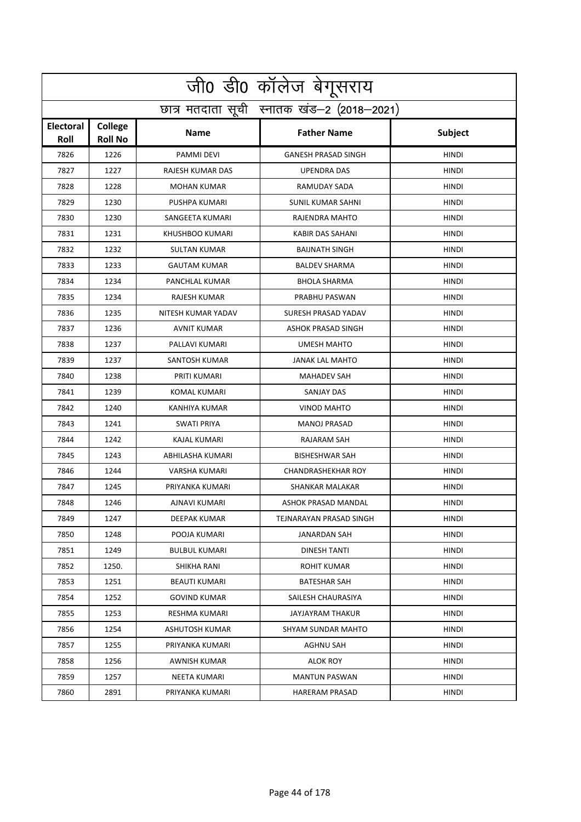| <u>जी0 डी0 कॉलेज बेगू</u> सराय |                                            |                      |                            |              |  |  |
|--------------------------------|--------------------------------------------|----------------------|----------------------------|--------------|--|--|
|                                | छात्र मतदाता सूची स्नातक खंड-2 (2018-2021) |                      |                            |              |  |  |
| <b>Electoral</b><br>Roll       | College<br><b>Roll No</b>                  | <b>Name</b>          | <b>Father Name</b>         | Subject      |  |  |
| 7826                           | 1226                                       | <b>PAMMI DEVI</b>    | <b>GANESH PRASAD SINGH</b> | <b>HINDI</b> |  |  |
| 7827                           | 1227                                       | RAJESH KUMAR DAS     | <b>UPENDRA DAS</b>         | HINDI        |  |  |
| 7828                           | 1228                                       | <b>MOHAN KUMAR</b>   | RAMUDAY SADA               | <b>HINDI</b> |  |  |
| 7829                           | 1230                                       | PUSHPA KUMARI        | <b>SUNIL KUMAR SAHNI</b>   | <b>HINDI</b> |  |  |
| 7830                           | 1230                                       | SANGEETA KUMARI      | RAJENDRA MAHTO             | <b>HINDI</b> |  |  |
| 7831                           | 1231                                       | KHUSHBOO KUMARI      | KABIR DAS SAHANI           | <b>HINDI</b> |  |  |
| 7832                           | 1232                                       | <b>SULTAN KUMAR</b>  | <b>BAIJNATH SINGH</b>      | <b>HINDI</b> |  |  |
| 7833                           | 1233                                       | <b>GAUTAM KUMAR</b>  | <b>BALDEV SHARMA</b>       | HINDI        |  |  |
| 7834                           | 1234                                       | PANCHLAL KUMAR       | <b>BHOLA SHARMA</b>        | <b>HINDI</b> |  |  |
| 7835                           | 1234                                       | RAJESH KUMAR         | PRABHU PASWAN              | <b>HINDI</b> |  |  |
| 7836                           | 1235                                       | NITESH KUMAR YADAV   | SURESH PRASAD YADAV        | <b>HINDI</b> |  |  |
| 7837                           | 1236                                       | <b>AVNIT KUMAR</b>   | <b>ASHOK PRASAD SINGH</b>  | <b>HINDI</b> |  |  |
| 7838                           | 1237                                       | PALLAVI KUMARI       | <b>UMESH MAHTO</b>         | <b>HINDI</b> |  |  |
| 7839                           | 1237                                       | SANTOSH KUMAR        | <b>JANAK LAL MAHTO</b>     | <b>HINDI</b> |  |  |
| 7840                           | 1238                                       | PRITI KUMARI         | <b>MAHADEV SAH</b>         | <b>HINDI</b> |  |  |
| 7841                           | 1239                                       | <b>KOMAL KUMARI</b>  | <b>SANJAY DAS</b>          | <b>HINDI</b> |  |  |
| 7842                           | 1240                                       | KANHIYA KUMAR        | <b>VINOD MAHTO</b>         | <b>HINDI</b> |  |  |
| 7843                           | 1241                                       | <b>SWATI PRIYA</b>   | <b>MANOJ PRASAD</b>        | HINDI        |  |  |
| 7844                           | 1242                                       | KAJAL KUMARI         | RAJARAM SAH                | <b>HINDI</b> |  |  |
| 7845                           | 1243                                       | ABHILASHA KUMARI     | <b>BISHESHWAR SAH</b>      | <b>HINDI</b> |  |  |
| 7846                           | 1244                                       | VARSHA KUMARI        | <b>CHANDRASHEKHAR ROY</b>  | <b>HINDI</b> |  |  |
| 7847                           | 1245                                       | PRIYANKA KUMARI      | SHANKAR MALAKAR            | HINDI        |  |  |
| 7848                           | 1246                                       | AJNAVI KUMARI        | ASHOK PRASAD MANDAL        | <b>HINDI</b> |  |  |
| 7849                           | 1247                                       | DEEPAK KUMAR         | TEJNARAYAN PRASAD SINGH    | <b>HINDI</b> |  |  |
| 7850                           | 1248                                       | POOJA KUMARI         | JANARDAN SAH               | <b>HINDI</b> |  |  |
| 7851                           | 1249                                       | <b>BULBUL KUMARI</b> | DINESH TANTI               | HINDI        |  |  |
| 7852                           | 1250.                                      | SHIKHA RANI          | ROHIT KUMAR                | <b>HINDI</b> |  |  |
| 7853                           | 1251                                       | <b>BEAUTI KUMARI</b> | <b>BATESHAR SAH</b>        | HINDI        |  |  |
| 7854                           | 1252                                       | <b>GOVIND KUMAR</b>  | SAILESH CHAURASIYA         | HINDI        |  |  |
| 7855                           | 1253                                       | RESHMA KUMARI        | <b>JAYJAYRAM THAKUR</b>    | <b>HINDI</b> |  |  |
| 7856                           | 1254                                       | ASHUTOSH KUMAR       | SHYAM SUNDAR MAHTO         | HINDI        |  |  |
| 7857                           | 1255                                       | PRIYANKA KUMARI      | <b>AGHNU SAH</b>           | HINDI        |  |  |
| 7858                           | 1256                                       | AWNISH KUMAR         | ALOK ROY                   | HINDI        |  |  |
| 7859                           | 1257                                       | NEETA KUMARI         | <b>MANTUN PASWAN</b>       | HINDI        |  |  |
| 7860                           | 2891                                       | PRIYANKA KUMARI      | HARERAM PRASAD             | HINDI        |  |  |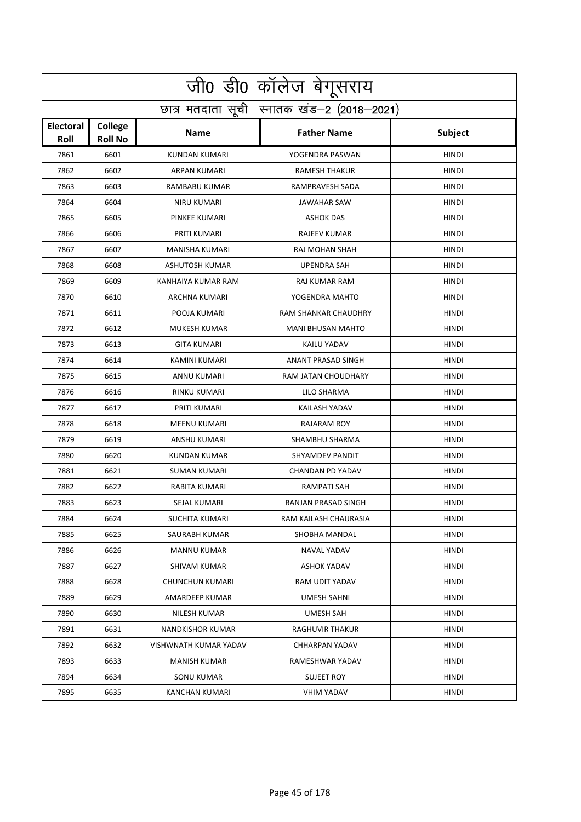|                                            | <u>जी0 डी0 कॉलेज बेगू</u> सराय |                         |                            |              |  |
|--------------------------------------------|--------------------------------|-------------------------|----------------------------|--------------|--|
| छात्र मतदाता सूची स्नातक खंड-2 (2018-2021) |                                |                         |                            |              |  |
| Electoral<br>Roll                          | College<br><b>Roll No</b>      | <b>Name</b>             | <b>Father Name</b>         | Subject      |  |
| 7861                                       | 6601                           | KUNDAN KUMARI           | YOGENDRA PASWAN            | <b>HINDI</b> |  |
| 7862                                       | 6602                           | <b>ARPAN KUMARI</b>     | <b>RAMESH THAKUR</b>       | HINDI        |  |
| 7863                                       | 6603                           | RAMBABU KUMAR           | RAMPRAVESH SADA            | <b>HINDI</b> |  |
| 7864                                       | 6604                           | <b>NIRU KUMARI</b>      | <b>JAWAHAR SAW</b>         | <b>HINDI</b> |  |
| 7865                                       | 6605                           | PINKEE KUMARI           | <b>ASHOK DAS</b>           | <b>HINDI</b> |  |
| 7866                                       | 6606                           | PRITI KUMARI            | <b>RAJEEV KUMAR</b>        | <b>HINDI</b> |  |
| 7867                                       | 6607                           | MANISHA KUMARI          | RAJ MOHAN SHAH             | <b>HINDI</b> |  |
| 7868                                       | 6608                           | ASHUTOSH KUMAR          | <b>UPENDRA SAH</b>         | HINDI        |  |
| 7869                                       | 6609                           | KANHAIYA KUMAR RAM      | RAJ KUMAR RAM              | <b>HINDI</b> |  |
| 7870                                       | 6610                           | ARCHNA KUMARI           | YOGENDRA MAHTO             | <b>HINDI</b> |  |
| 7871                                       | 6611                           | POOJA KUMARI            | RAM SHANKAR CHAUDHRY       | <b>HINDI</b> |  |
| 7872                                       | 6612                           | MUKESH KUMAR            | <b>MANI BHUSAN MAHTO</b>   | <b>HINDI</b> |  |
| 7873                                       | 6613                           | <b>GITA KUMARI</b>      | KAILU YADAV                | <b>HINDI</b> |  |
| 7874                                       | 6614                           | KAMINI KUMARI           | ANANT PRASAD SINGH         | <b>HINDI</b> |  |
| 7875                                       | 6615                           | ANNU KUMARI             | RAM JATAN CHOUDHARY        | HINDI        |  |
| 7876                                       | 6616                           | RINKU KUMARI            | LILO SHARMA                | <b>HINDI</b> |  |
| 7877                                       | 6617                           | PRITI KUMARI            | KAILASH YADAV              | HINDI        |  |
| 7878                                       | 6618                           | <b>MEENU KUMARI</b>     | RAJARAM ROY                | HINDI        |  |
| 7879                                       | 6619                           | ANSHU KUMARI            | SHAMBHU SHARMA             | HINDI        |  |
| 7880                                       | 6620                           | KUNDAN KUMAR            | SHYAMDEV PANDIT            | <b>HINDI</b> |  |
| 7881                                       | 6621                           | <b>SUMAN KUMARI</b>     | CHANDAN PD YADAV           | <b>HINDI</b> |  |
| 7882                                       | 6622                           | RABITA KUMARI           | RAMPATI SAH                | HINDI        |  |
| 7883                                       | 6623                           | SEJAL KUMARI            | <b>RANJAN PRASAD SINGH</b> | <b>HINDI</b> |  |
| 7884                                       | 6624                           | SUCHITA KUMARI          | RAM KAILASH CHAURASIA      | <b>HINDI</b> |  |
| 7885                                       | 6625                           | SAURABH KUMAR           | SHOBHA MANDAL              | HINDI        |  |
| 7886                                       | 6626                           | <b>MANNU KUMAR</b>      | NAVAL YADAV                | <b>HINDI</b> |  |
| 7887                                       | 6627                           | SHIVAM KUMAR            | <b>ASHOK YADAV</b>         | <b>HINDI</b> |  |
| 7888                                       | 6628                           | CHUNCHUN KUMARI         | RAM UDIT YADAV             | <b>HINDI</b> |  |
| 7889                                       | 6629                           | AMARDEEP KUMAR          | UMESH SAHNI                | HINDI        |  |
| 7890                                       | 6630                           | NILESH KUMAR            | UMESH SAH                  | <b>HINDI</b> |  |
| 7891                                       | 6631                           | <b>NANDKISHOR KUMAR</b> | RAGHUVIR THAKUR            | <b>HINDI</b> |  |
| 7892                                       | 6632                           | VISHWNATH KUMAR YADAV   | CHHARPAN YADAV             | <b>HINDI</b> |  |
| 7893                                       | 6633                           | MANISH KUMAR            | RAMESHWAR YADAV            | <b>HINDI</b> |  |
| 7894                                       | 6634                           | SONU KUMAR              | SUJEET ROY                 | HINDI        |  |
| 7895                                       | 6635                           | KANCHAN KUMARI          | VHIM YADAV                 | HINDI        |  |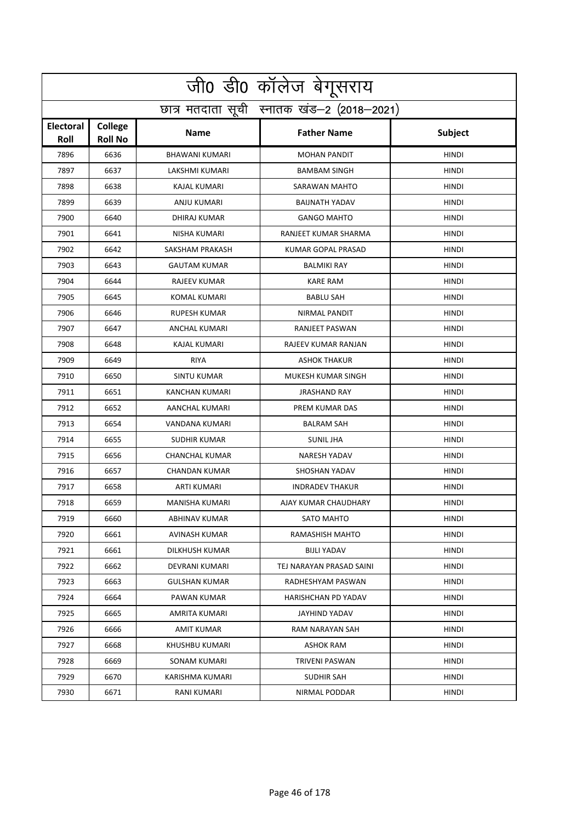|                   | जी0 डी0 कॉलेज बेगूसराय                     |                       |                            |              |  |  |
|-------------------|--------------------------------------------|-----------------------|----------------------------|--------------|--|--|
|                   | छात्र मतदाता सूची स्नातक खंड-2 (2018-2021) |                       |                            |              |  |  |
| Electoral<br>Roll | College<br><b>Roll No</b>                  | <b>Name</b>           | <b>Father Name</b>         | Subject      |  |  |
| 7896              | 6636                                       | <b>BHAWANI KUMARI</b> | <b>MOHAN PANDIT</b>        | <b>HINDI</b> |  |  |
| 7897              | 6637                                       | LAKSHMI KUMARI        | <b>BAMBAM SINGH</b>        | HINDI        |  |  |
| 7898              | 6638                                       | <b>KAJAL KUMARI</b>   | <b>SARAWAN MAHTO</b>       | <b>HINDI</b> |  |  |
| 7899              | 6639                                       | ANJU KUMARI           | <b>BAIJNATH YADAV</b>      | <b>HINDI</b> |  |  |
| 7900              | 6640                                       | DHIRAJ KUMAR          | <b>GANGO MAHTO</b>         | HINDI        |  |  |
| 7901              | 6641                                       | NISHA KUMARI          | RANJEET KUMAR SHARMA       | <b>HINDI</b> |  |  |
| 7902              | 6642                                       | SAKSHAM PRAKASH       | KUMAR GOPAL PRASAD         | <b>HINDI</b> |  |  |
| 7903              | 6643                                       | <b>GAUTAM KUMAR</b>   | <b>BALMIKI RAY</b>         | HINDI        |  |  |
| 7904              | 6644                                       | <b>RAJEEV KUMAR</b>   | <b>KARE RAM</b>            | <b>HINDI</b> |  |  |
| 7905              | 6645                                       | <b>KOMAL KUMARI</b>   | <b>BABLU SAH</b>           | <b>HINDI</b> |  |  |
| 7906              | 6646                                       | <b>RUPESH KUMAR</b>   | NIRMAL PANDIT              | <b>HINDI</b> |  |  |
| 7907              | 6647                                       | <b>ANCHAL KUMARI</b>  | RANJEET PASWAN             | <b>HINDI</b> |  |  |
| 7908              | 6648                                       | <b>KAJAL KUMARI</b>   | RAJEEV KUMAR RANJAN        | HINDI        |  |  |
| 7909              | 6649                                       | <b>RIYA</b>           | <b>ASHOK THAKUR</b>        | <b>HINDI</b> |  |  |
| 7910              | 6650                                       | <b>SINTU KUMAR</b>    | MUKESH KUMAR SINGH         | HINDI        |  |  |
| 7911              | 6651                                       | KANCHAN KUMARI        | <b>JRASHAND RAY</b>        | <b>HINDI</b> |  |  |
| 7912              | 6652                                       | AANCHAL KUMARI        | PREM KUMAR DAS             | HINDI        |  |  |
| 7913              | 6654                                       | VANDANA KUMARI        | <b>BALRAM SAH</b>          | HINDI        |  |  |
| 7914              | 6655                                       | <b>SUDHIR KUMAR</b>   | <b>SUNIL JHA</b>           | HINDI        |  |  |
| 7915              | 6656                                       | <b>CHANCHAL KUMAR</b> | <b>NARESH YADAV</b>        | <b>HINDI</b> |  |  |
| 7916              | 6657                                       | <b>CHANDAN KUMAR</b>  | SHOSHAN YADAV              | <b>HINDI</b> |  |  |
| 7917              | 6658                                       | <b>ARTI KUMARI</b>    | <b>INDRADEV THAKUR</b>     | HINDI        |  |  |
| 7918              | 6659                                       | <b>MANISHA KUMARI</b> | AJAY KUMAR CHAUDHARY       | <b>HINDI</b> |  |  |
| 7919              | 6660                                       | ABHINAV KUMAR         | SATO MAHTO                 | <b>HINDI</b> |  |  |
| 7920              | 6661                                       | AVINASH KUMAR         | RAMASHISH MAHTO            | HINDI        |  |  |
| 7921              | 6661                                       | DILKHUSH KUMAR        | <b>BIJLI YADAV</b>         | <b>HINDI</b> |  |  |
| 7922              | 6662                                       | DEVRANI KUMARI        | TEJ NARAYAN PRASAD SAINI   | <b>HINDI</b> |  |  |
| 7923              | 6663                                       | GULSHAN KUMAR         | RADHESHYAM PASWAN          | <b>HINDI</b> |  |  |
| 7924              | 6664                                       | PAWAN KUMAR           | <b>HARISHCHAN PD YADAV</b> | HINDI        |  |  |
| 7925              | 6665                                       | AMRITA KUMARI         | JAYHIND YADAV              | <b>HINDI</b> |  |  |
| 7926              | 6666                                       | AMIT KUMAR            | RAM NARAYAN SAH            | <b>HINDI</b> |  |  |
| 7927              | 6668                                       | KHUSHBU KUMARI        | ASHOK RAM                  | HINDI        |  |  |
| 7928              | 6669                                       | SONAM KUMARI          | TRIVENI PASWAN             | <b>HINDI</b> |  |  |
| 7929              | 6670                                       | KARISHMA KUMARI       | SUDHIR SAH                 | HINDI        |  |  |
| 7930              | 6671                                       | RANI KUMARI           | NIRMAL PODDAR              | HINDI        |  |  |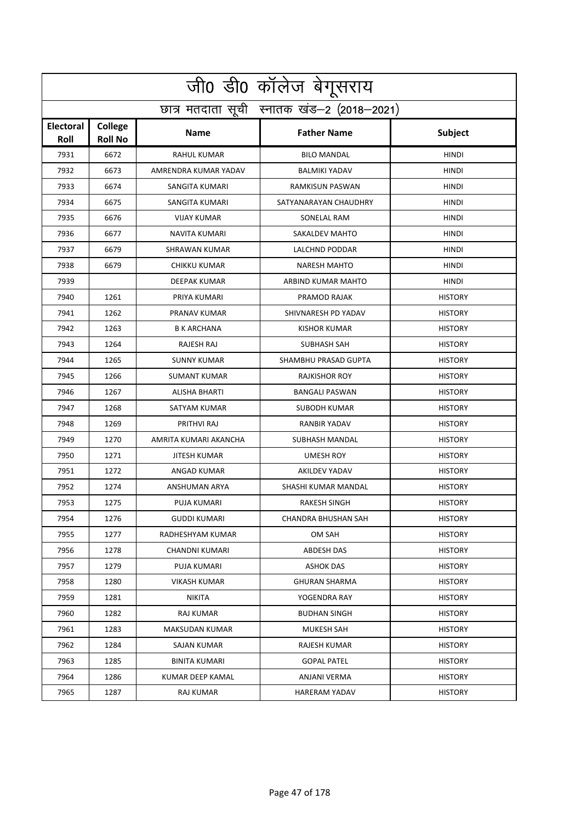| जी0 डी0 कॉलेज बेगूसराय                     |                           |                       |                       |                |  |
|--------------------------------------------|---------------------------|-----------------------|-----------------------|----------------|--|
| छात्र मतदाता सूची स्नातक खंड-2 (2018-2021) |                           |                       |                       |                |  |
| <b>Electoral</b><br>Roll                   | College<br><b>Roll No</b> | <b>Name</b>           | <b>Father Name</b>    | Subject        |  |
| 7931                                       | 6672                      | <b>RAHUL KUMAR</b>    | <b>BILO MANDAL</b>    | <b>HINDI</b>   |  |
| 7932                                       | 6673                      | AMRENDRA KUMAR YADAV  | BALMIKI YADAV         | HINDI          |  |
| 7933                                       | 6674                      | SANGITA KUMARI        | RAMKISUN PASWAN       | <b>HINDI</b>   |  |
| 7934                                       | 6675                      | <b>SANGITA KUMARI</b> | SATYANARAYAN CHAUDHRY | <b>HINDI</b>   |  |
| 7935                                       | 6676                      | <b>VIJAY KUMAR</b>    | SONELAL RAM           | <b>HINDI</b>   |  |
| 7936                                       | 6677                      | NAVITA KUMARI         | SAKALDEV MAHTO        | <b>HINDI</b>   |  |
| 7937                                       | 6679                      | <b>SHRAWAN KUMAR</b>  | LALCHND PODDAR        | <b>HINDI</b>   |  |
| 7938                                       | 6679                      | CHIKKU KUMAR          | <b>NARESH MAHTO</b>   | <b>HINDI</b>   |  |
| 7939                                       |                           | <b>DEEPAK KUMAR</b>   | ARBIND KUMAR MAHTO    | <b>HINDI</b>   |  |
| 7940                                       | 1261                      | PRIYA KUMARI          | PRAMOD RAJAK          | <b>HISTORY</b> |  |
| 7941                                       | 1262                      | PRANAV KUMAR          | SHIVNARESH PD YADAV   | <b>HISTORY</b> |  |
| 7942                                       | 1263                      | <b>B K ARCHANA</b>    | <b>KISHOR KUMAR</b>   | <b>HISTORY</b> |  |
| 7943                                       | 1264                      | RAJESH RAJ            | <b>SUBHASH SAH</b>    | <b>HISTORY</b> |  |
| 7944                                       | 1265                      | <b>SUNNY KUMAR</b>    | SHAMBHU PRASAD GUPTA  | <b>HISTORY</b> |  |
| 7945                                       | 1266                      | <b>SUMANT KUMAR</b>   | <b>RAJKISHOR ROY</b>  | <b>HISTORY</b> |  |
| 7946                                       | 1267                      | <b>ALISHA BHARTI</b>  | <b>BANGALI PASWAN</b> | <b>HISTORY</b> |  |
| 7947                                       | 1268                      | SATYAM KUMAR          | <b>SUBODH KUMAR</b>   | <b>HISTORY</b> |  |
| 7948                                       | 1269                      | PRITHVI RAJ           | <b>RANBIR YADAV</b>   | <b>HISTORY</b> |  |
| 7949                                       | 1270                      | AMRITA KUMARI AKANCHA | SUBHASH MANDAL        | <b>HISTORY</b> |  |
| 7950                                       | 1271                      | <b>JITESH KUMAR</b>   | <b>UMESH ROY</b>      | <b>HISTORY</b> |  |
| 7951                                       | 1272                      | ANGAD KUMAR           | AKILDEV YADAV         | <b>HISTORY</b> |  |
| 7952                                       | 1274                      | ANSHUMAN ARYA         | SHASHI KUMAR MANDAL   | <b>HISTORY</b> |  |
| 7953                                       | 1275                      | <b>PUJA KUMARI</b>    | RAKESH SINGH          | <b>HISTORY</b> |  |
| 7954                                       | 1276                      | <b>GUDDI KUMARI</b>   | CHANDRA BHUSHAN SAH   | <b>HISTORY</b> |  |
| 7955                                       | 1277                      | RADHESHYAM KUMAR      | OM SAH                | <b>HISTORY</b> |  |
| 7956                                       | 1278                      | CHANDNI KUMARI        | ABDESH DAS            | <b>HISTORY</b> |  |
| 7957                                       | 1279                      | PUJA KUMARI           | <b>ASHOK DAS</b>      | <b>HISTORY</b> |  |
| 7958                                       | 1280                      | <b>VIKASH KUMAR</b>   | <b>GHURAN SHARMA</b>  | <b>HISTORY</b> |  |
| 7959                                       | 1281                      | <b>NIKITA</b>         | YOGENDRA RAY          | <b>HISTORY</b> |  |
| 7960                                       | 1282                      | RAJ KUMAR             | <b>BUDHAN SINGH</b>   | <b>HISTORY</b> |  |
| 7961                                       | 1283                      | MAKSUDAN KUMAR        | MUKESH SAH            | <b>HISTORY</b> |  |
| 7962                                       | 1284                      | SAJAN KUMAR           | RAJESH KUMAR          | <b>HISTORY</b> |  |
| 7963                                       | 1285                      | <b>BINITA KUMARI</b>  | <b>GOPAL PATEL</b>    | <b>HISTORY</b> |  |
| 7964                                       | 1286                      | KUMAR DEEP KAMAL      | ANJANI VERMA          | <b>HISTORY</b> |  |
| 7965                                       | 1287                      | RAJ KUMAR             | <b>HARERAM YADAV</b>  | <b>HISTORY</b> |  |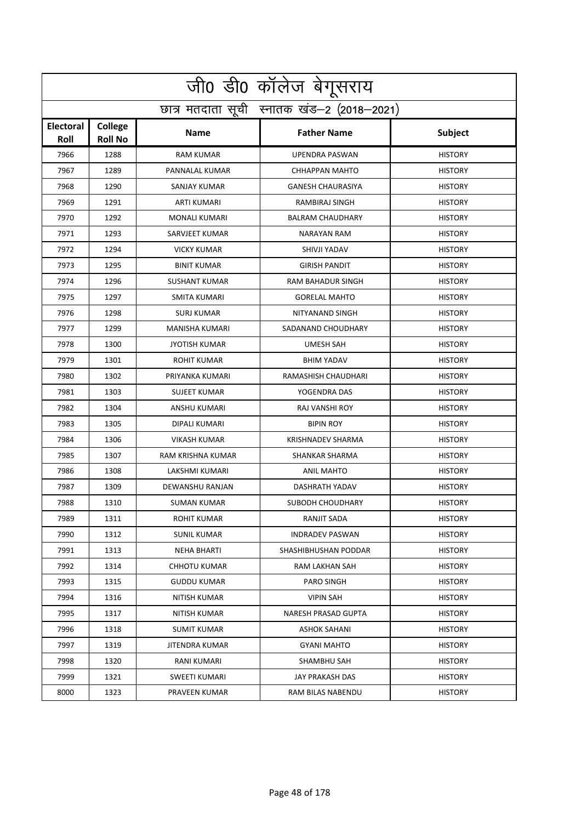|                          | जी0 डी0 कॉलेज बेगूसराय                     |                      |                          |                |  |  |
|--------------------------|--------------------------------------------|----------------------|--------------------------|----------------|--|--|
|                          | छात्र मतदाता सूची स्नातक खंड-2 (2018-2021) |                      |                          |                |  |  |
| <b>Electoral</b><br>Roll | College<br><b>Roll No</b>                  | <b>Name</b>          | <b>Father Name</b>       | Subject        |  |  |
| 7966                     | 1288                                       | <b>RAM KUMAR</b>     | <b>UPENDRA PASWAN</b>    | <b>HISTORY</b> |  |  |
| 7967                     | 1289                                       | PANNALAL KUMAR       | <b>CHHAPPAN MAHTO</b>    | <b>HISTORY</b> |  |  |
| 7968                     | 1290                                       | <b>SANJAY KUMAR</b>  | <b>GANESH CHAURASIYA</b> | <b>HISTORY</b> |  |  |
| 7969                     | 1291                                       | <b>ARTI KUMARI</b>   | RAMBIRAJ SINGH           | <b>HISTORY</b> |  |  |
| 7970                     | 1292                                       | <b>MONALI KUMARI</b> | <b>BALRAM CHAUDHARY</b>  | <b>HISTORY</b> |  |  |
| 7971                     | 1293                                       | SARVJEET KUMAR       | <b>NARAYAN RAM</b>       | <b>HISTORY</b> |  |  |
| 7972                     | 1294                                       | <b>VICKY KUMAR</b>   | SHIVJI YADAV             | <b>HISTORY</b> |  |  |
| 7973                     | 1295                                       | <b>BINIT KUMAR</b>   | <b>GIRISH PANDIT</b>     | <b>HISTORY</b> |  |  |
| 7974                     | 1296                                       | SUSHANT KUMAR        | <b>RAM BAHADUR SINGH</b> | <b>HISTORY</b> |  |  |
| 7975                     | 1297                                       | SMITA KUMARI         | <b>GORELAL MAHTO</b>     | <b>HISTORY</b> |  |  |
| 7976                     | 1298                                       | <b>SURJ KUMAR</b>    | NITYANAND SINGH          | <b>HISTORY</b> |  |  |
| 7977                     | 1299                                       | MANISHA KUMARI       | SADANAND CHOUDHARY       | <b>HISTORY</b> |  |  |
| 7978                     | 1300                                       | <b>JYOTISH KUMAR</b> | <b>UMESH SAH</b>         | <b>HISTORY</b> |  |  |
| 7979                     | 1301                                       | <b>ROHIT KUMAR</b>   | <b>BHIM YADAV</b>        | <b>HISTORY</b> |  |  |
| 7980                     | 1302                                       | PRIYANKA KUMARI      | RAMASHISH CHAUDHARI      | <b>HISTORY</b> |  |  |
| 7981                     | 1303                                       | <b>SUJEET KUMAR</b>  | YOGENDRA DAS             | <b>HISTORY</b> |  |  |
| 7982                     | 1304                                       | ANSHU KUMARI         | RAJ VANSHI ROY           | <b>HISTORY</b> |  |  |
| 7983                     | 1305                                       | DIPALI KUMARI        | <b>BIPIN ROY</b>         | <b>HISTORY</b> |  |  |
| 7984                     | 1306                                       | <b>VIKASH KUMAR</b>  | <b>KRISHNADEV SHARMA</b> | <b>HISTORY</b> |  |  |
| 7985                     | 1307                                       | RAM KRISHNA KUMAR    | <b>SHANKAR SHARMA</b>    | <b>HISTORY</b> |  |  |
| 7986                     | 1308                                       | LAKSHMI KUMARI       | <b>ANIL MAHTO</b>        | <b>HISTORY</b> |  |  |
| 7987                     | 1309                                       | DEWANSHU RANJAN      | <b>DASHRATH YADAV</b>    | <b>HISTORY</b> |  |  |
| 7988                     | 1310                                       | SUMAN KUMAR          | SUBODH CHOUDHARY         | <b>HISTORY</b> |  |  |
| 7989                     | 1311                                       | ROHIT KUMAR          | RANJIT SADA              | <b>HISTORY</b> |  |  |
| 7990                     | 1312                                       | SUNIL KUMAR          | <b>INDRADEV PASWAN</b>   | <b>HISTORY</b> |  |  |
| 7991                     | 1313                                       | NEHA BHARTI          | SHASHIBHUSHAN PODDAR     | <b>HISTORY</b> |  |  |
| 7992                     | 1314                                       | CHHOTU KUMAR         | RAM LAKHAN SAH           | <b>HISTORY</b> |  |  |
| 7993                     | 1315                                       | <b>GUDDU KUMAR</b>   | PARO SINGH               | <b>HISTORY</b> |  |  |
| 7994                     | 1316                                       | NITISH KUMAR         | <b>VIPIN SAH</b>         | <b>HISTORY</b> |  |  |
| 7995                     | 1317                                       | NITISH KUMAR         | NARESH PRASAD GUPTA      | <b>HISTORY</b> |  |  |
| 7996                     | 1318                                       | SUMIT KUMAR          | <b>ASHOK SAHANI</b>      | <b>HISTORY</b> |  |  |
| 7997                     | 1319                                       | JITENDRA KUMAR       | GYANI MAHTO              | <b>HISTORY</b> |  |  |
| 7998                     | 1320                                       | RANI KUMARI          | SHAMBHU SAH              | <b>HISTORY</b> |  |  |
| 7999                     | 1321                                       | SWEETI KUMARI        | JAY PRAKASH DAS          | <b>HISTORY</b> |  |  |
| 8000                     | 1323                                       | PRAVEEN KUMAR        | RAM BILAS NABENDU        | <b>HISTORY</b> |  |  |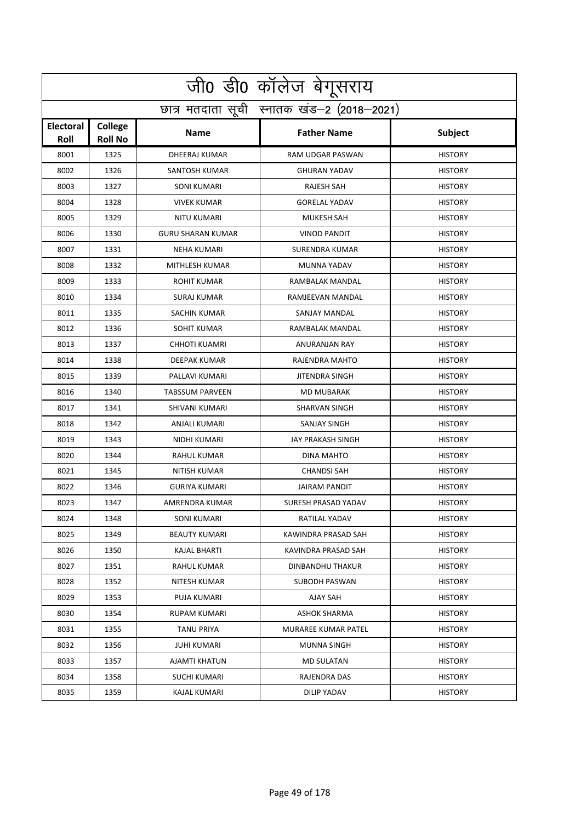|                          | जी0 डी0 कॉलेज बेगूसराय                     |                          |                            |                |  |  |
|--------------------------|--------------------------------------------|--------------------------|----------------------------|----------------|--|--|
|                          | छात्र मतदाता सूची स्नातक खंड-2 (2018-2021) |                          |                            |                |  |  |
| <b>Electoral</b><br>Roll | College<br><b>Roll No</b>                  | <b>Name</b>              | <b>Father Name</b>         | Subject        |  |  |
| 8001                     | 1325                                       | <b>DHEERAJ KUMAR</b>     | <b>RAM UDGAR PASWAN</b>    | <b>HISTORY</b> |  |  |
| 8002                     | 1326                                       | SANTOSH KUMAR            | <b>GHURAN YADAV</b>        | <b>HISTORY</b> |  |  |
| 8003                     | 1327                                       | <b>SONI KUMARI</b>       | <b>RAJESH SAH</b>          | <b>HISTORY</b> |  |  |
| 8004                     | 1328                                       | <b>VIVEK KUMAR</b>       | <b>GORELAL YADAV</b>       | <b>HISTORY</b> |  |  |
| 8005                     | 1329                                       | NITU KUMARI              | <b>MUKESH SAH</b>          | <b>HISTORY</b> |  |  |
| 8006                     | 1330                                       | <b>GURU SHARAN KUMAR</b> | <b>VINOD PANDIT</b>        | <b>HISTORY</b> |  |  |
| 8007                     | 1331                                       | <b>NEHA KUMARI</b>       | <b>SURENDRA KUMAR</b>      | <b>HISTORY</b> |  |  |
| 8008                     | 1332                                       | MITHLESH KUMAR           | MUNNA YADAV                | <b>HISTORY</b> |  |  |
| 8009                     | 1333                                       | <b>ROHIT KUMAR</b>       | RAMBALAK MANDAL            | <b>HISTORY</b> |  |  |
| 8010                     | 1334                                       | <b>SURAJ KUMAR</b>       | RAMJEEVAN MANDAL           | <b>HISTORY</b> |  |  |
| 8011                     | 1335                                       | <b>SACHIN KUMAR</b>      | <b>SANJAY MANDAL</b>       | <b>HISTORY</b> |  |  |
| 8012                     | 1336                                       | SOHIT KUMAR              | RAMBALAK MANDAL            | <b>HISTORY</b> |  |  |
| 8013                     | 1337                                       | <b>CHHOTI KUAMRI</b>     | <b>ANURANJAN RAY</b>       | <b>HISTORY</b> |  |  |
| 8014                     | 1338                                       | <b>DEEPAK KUMAR</b>      | RAJENDRA MAHTO             | <b>HISTORY</b> |  |  |
| 8015                     | 1339                                       | PALLAVI KUMARI           | <b>JITENDRA SINGH</b>      | <b>HISTORY</b> |  |  |
| 8016                     | 1340                                       | <b>TABSSUM PARVEEN</b>   | <b>MD MUBARAK</b>          | <b>HISTORY</b> |  |  |
| 8017                     | 1341                                       | SHIVANI KUMARI           | <b>SHARVAN SINGH</b>       | <b>HISTORY</b> |  |  |
| 8018                     | 1342                                       | ANJALI KUMARI            | SANJAY SINGH               | <b>HISTORY</b> |  |  |
| 8019                     | 1343                                       | NIDHI KUMARI             | JAY PRAKASH SINGH          | <b>HISTORY</b> |  |  |
| 8020                     | 1344                                       | <b>RAHUL KUMAR</b>       | <b>DINA MAHTO</b>          | <b>HISTORY</b> |  |  |
| 8021                     | 1345                                       | NITISH KUMAR             | <b>CHANDSI SAH</b>         | <b>HISTORY</b> |  |  |
| 8022                     | 1346                                       | <b>GURIYA KUMARI</b>     | <b>JAIRAM PANDIT</b>       | <b>HISTORY</b> |  |  |
| 8023                     | 1347                                       | AMRENDRA KUMAR           | SURESH PRASAD YADAV        | <b>HISTORY</b> |  |  |
| 8024                     | 1348                                       | SONI KUMARI              | RATILAL YADAV              | <b>HISTORY</b> |  |  |
| 8025                     | 1349                                       | <b>BEAUTY KUMARI</b>     | KAWINDRA PRASAD SAH        | <b>HISTORY</b> |  |  |
| 8026                     | 1350                                       | KAJAL BHARTI             | KAVINDRA PRASAD SAH        | <b>HISTORY</b> |  |  |
| 8027                     | 1351                                       | RAHUL KUMAR              | DINBANDHU THAKUR           | <b>HISTORY</b> |  |  |
| 8028                     | 1352                                       | <b>NITESH KUMAR</b>      | <b>SUBODH PASWAN</b>       | <b>HISTORY</b> |  |  |
| 8029                     | 1353                                       | PUJA KUMARI              | AJAY SAH                   | <b>HISTORY</b> |  |  |
| 8030                     | 1354                                       | <b>RUPAM KUMARI</b>      | <b>ASHOK SHARMA</b>        | <b>HISTORY</b> |  |  |
| 8031                     | 1355                                       | <b>TANU PRIYA</b>        | <b>MURAREE KUMAR PATEL</b> | <b>HISTORY</b> |  |  |
| 8032                     | 1356                                       | <b>JUHI KUMARI</b>       | MUNNA SINGH                | <b>HISTORY</b> |  |  |
| 8033                     | 1357                                       | AJAMTI KHATUN            | <b>MD SULATAN</b>          | <b>HISTORY</b> |  |  |
| 8034                     | 1358                                       | SUCHI KUMARI             | RAJENDRA DAS               | <b>HISTORY</b> |  |  |
| 8035                     | 1359                                       | KAJAL KUMARI             | DILIP YADAV                | <b>HISTORY</b> |  |  |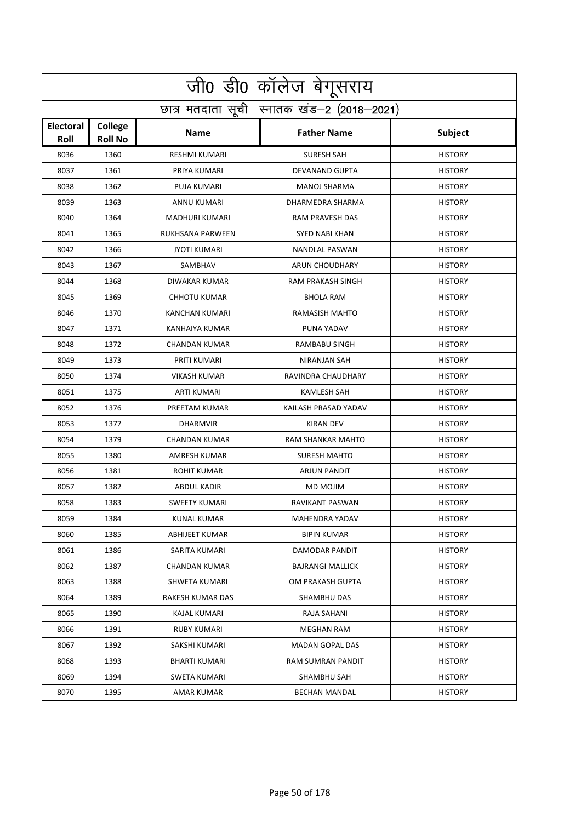|                          | जी0 डी0 कॉलेज बेगूसराय                     |                       |                          |                |  |  |
|--------------------------|--------------------------------------------|-----------------------|--------------------------|----------------|--|--|
|                          | छात्र मतदाता सूची स्नातक खंड-2 (2018-2021) |                       |                          |                |  |  |
| <b>Electoral</b><br>Roll | College<br><b>Roll No</b>                  | <b>Name</b>           | <b>Father Name</b>       | Subject        |  |  |
| 8036                     | 1360                                       | <b>RESHMI KUMARI</b>  | <b>SURESH SAH</b>        | <b>HISTORY</b> |  |  |
| 8037                     | 1361                                       | PRIYA KUMARI          | DEVANAND GUPTA           | <b>HISTORY</b> |  |  |
| 8038                     | 1362                                       | <b>PUJA KUMARI</b>    | <b>MANOJ SHARMA</b>      | <b>HISTORY</b> |  |  |
| 8039                     | 1363                                       | ANNU KUMARI           | DHARMEDRA SHARMA         | <b>HISTORY</b> |  |  |
| 8040                     | 1364                                       | MADHURI KUMARI        | RAM PRAVESH DAS          | <b>HISTORY</b> |  |  |
| 8041                     | 1365                                       | RUKHSANA PARWEEN      | <b>SYED NABI KHAN</b>    | <b>HISTORY</b> |  |  |
| 8042                     | 1366                                       | <b>JYOTI KUMARI</b>   | <b>NANDLAL PASWAN</b>    | <b>HISTORY</b> |  |  |
| 8043                     | 1367                                       | SAMBHAV               | <b>ARUN CHOUDHARY</b>    | <b>HISTORY</b> |  |  |
| 8044                     | 1368                                       | <b>DIWAKAR KUMAR</b>  | <b>RAM PRAKASH SINGH</b> | <b>HISTORY</b> |  |  |
| 8045                     | 1369                                       | <b>CHHOTU KUMAR</b>   | <b>BHOLA RAM</b>         | <b>HISTORY</b> |  |  |
| 8046                     | 1370                                       | <b>KANCHAN KUMARI</b> | <b>RAMASISH MAHTO</b>    | <b>HISTORY</b> |  |  |
| 8047                     | 1371                                       | <b>KANHAIYA KUMAR</b> | PUNA YADAV               | <b>HISTORY</b> |  |  |
| 8048                     | 1372                                       | CHANDAN KUMAR         | RAMBABU SINGH            | <b>HISTORY</b> |  |  |
| 8049                     | 1373                                       | PRITI KUMARI          | <b>NIRANJAN SAH</b>      | <b>HISTORY</b> |  |  |
| 8050                     | 1374                                       | <b>VIKASH KUMAR</b>   | RAVINDRA CHAUDHARY       | <b>HISTORY</b> |  |  |
| 8051                     | 1375                                       | <b>ARTI KUMARI</b>    | <b>KAMLESH SAH</b>       | <b>HISTORY</b> |  |  |
| 8052                     | 1376                                       | PREETAM KUMAR         | KAILASH PRASAD YADAV     | <b>HISTORY</b> |  |  |
| 8053                     | 1377                                       | <b>DHARMVIR</b>       | <b>KIRAN DEV</b>         | <b>HISTORY</b> |  |  |
| 8054                     | 1379                                       | <b>CHANDAN KUMAR</b>  | RAM SHANKAR MAHTO        | <b>HISTORY</b> |  |  |
| 8055                     | 1380                                       | AMRESH KUMAR          | <b>SURESH MAHTO</b>      | <b>HISTORY</b> |  |  |
| 8056                     | 1381                                       | <b>ROHIT KUMAR</b>    | <b>ARJUN PANDIT</b>      | <b>HISTORY</b> |  |  |
| 8057                     | 1382                                       | ABDUL KADIR           | MD MOJIM                 | <b>HISTORY</b> |  |  |
| 8058                     | 1383                                       | SWEETY KUMARI         | RAVIKANT PASWAN          | <b>HISTORY</b> |  |  |
| 8059                     | 1384                                       | KUNAL KUMAR           | MAHENDRA YADAV           | <b>HISTORY</b> |  |  |
| 8060                     | 1385                                       | ABHIJEET KUMAR        | <b>BIPIN KUMAR</b>       | <b>HISTORY</b> |  |  |
| 8061                     | 1386                                       | SARITA KUMARI         | DAMODAR PANDIT           | <b>HISTORY</b> |  |  |
| 8062                     | 1387                                       | CHANDAN KUMAR         | <b>BAJRANGI MALLICK</b>  | <b>HISTORY</b> |  |  |
| 8063                     | 1388                                       | SHWETA KUMARI         | OM PRAKASH GUPTA         | <b>HISTORY</b> |  |  |
| 8064                     | 1389                                       | RAKESH KUMAR DAS      | SHAMBHU DAS              | <b>HISTORY</b> |  |  |
| 8065                     | 1390                                       | KAJAL KUMARI          | RAJA SAHANI              | <b>HISTORY</b> |  |  |
| 8066                     | 1391                                       | RUBY KUMARI           | <b>MEGHAN RAM</b>        | <b>HISTORY</b> |  |  |
| 8067                     | 1392                                       | SAKSHI KUMARI         | <b>MADAN GOPAL DAS</b>   | <b>HISTORY</b> |  |  |
| 8068                     | 1393                                       | BHARTI KUMARI         | RAM SUMRAN PANDIT        | <b>HISTORY</b> |  |  |
| 8069                     | 1394                                       | SWETA KUMARI          | SHAMBHU SAH              | <b>HISTORY</b> |  |  |
| 8070                     | 1395                                       | AMAR KUMAR            | BECHAN MANDAL            | <b>HISTORY</b> |  |  |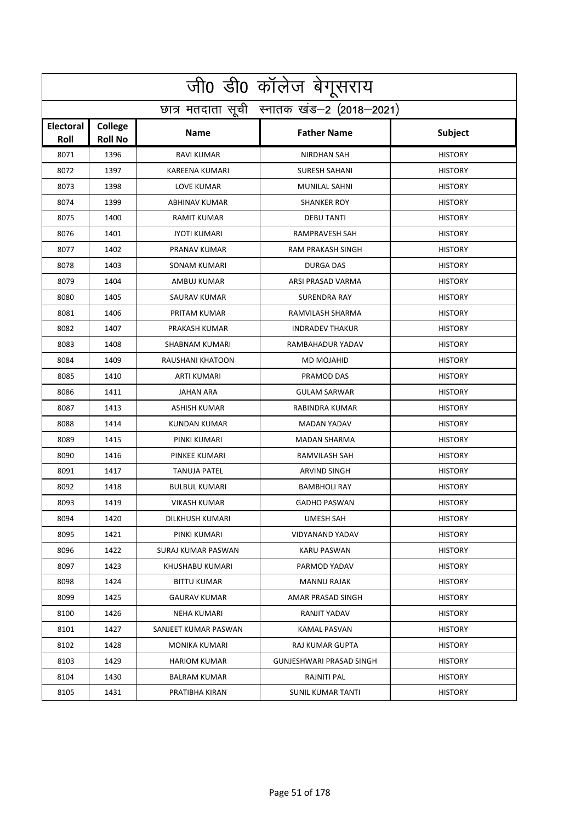|                          | जी0 डी0 कॉलेज बेगूसराय                     |                       |                          |                |  |  |
|--------------------------|--------------------------------------------|-----------------------|--------------------------|----------------|--|--|
|                          | छात्र मतदाता सूची स्नातक खंड-2 (2018-2021) |                       |                          |                |  |  |
| <b>Electoral</b><br>Roll | College<br><b>Roll No</b>                  | <b>Name</b>           | <b>Father Name</b>       | Subject        |  |  |
| 8071                     | 1396                                       | <b>RAVI KUMAR</b>     | <b>NIRDHAN SAH</b>       | <b>HISTORY</b> |  |  |
| 8072                     | 1397                                       | <b>KAREENA KUMARI</b> | <b>SURESH SAHANI</b>     | <b>HISTORY</b> |  |  |
| 8073                     | 1398                                       | <b>LOVE KUMAR</b>     | <b>MUNILAL SAHNI</b>     | <b>HISTORY</b> |  |  |
| 8074                     | 1399                                       | <b>ABHINAV KUMAR</b>  | <b>SHANKER ROY</b>       | <b>HISTORY</b> |  |  |
| 8075                     | 1400                                       | <b>RAMIT KUMAR</b>    | <b>DEBU TANTI</b>        | <b>HISTORY</b> |  |  |
| 8076                     | 1401                                       | <b>JYOTI KUMARI</b>   | RAMPRAVESH SAH           | <b>HISTORY</b> |  |  |
| 8077                     | 1402                                       | PRANAV KUMAR          | RAM PRAKASH SINGH        | <b>HISTORY</b> |  |  |
| 8078                     | 1403                                       | <b>SONAM KUMARI</b>   | <b>DURGA DAS</b>         | <b>HISTORY</b> |  |  |
| 8079                     | 1404                                       | AMBUJ KUMAR           | ARSI PRASAD VARMA        | <b>HISTORY</b> |  |  |
| 8080                     | 1405                                       | <b>SAURAV KUMAR</b>   | SURENDRA RAY             | <b>HISTORY</b> |  |  |
| 8081                     | 1406                                       | PRITAM KUMAR          | RAMVILASH SHARMA         | <b>HISTORY</b> |  |  |
| 8082                     | 1407                                       | PRAKASH KUMAR         | <b>INDRADEV THAKUR</b>   | <b>HISTORY</b> |  |  |
| 8083                     | 1408                                       | SHABNAM KUMARI        | RAMBAHADUR YADAV         | <b>HISTORY</b> |  |  |
| 8084                     | 1409                                       | RAUSHANI KHATOON      | MD MOJAHID               | <b>HISTORY</b> |  |  |
| 8085                     | 1410                                       | ARTI KUMARI           | PRAMOD DAS               | <b>HISTORY</b> |  |  |
| 8086                     | 1411                                       | <b>JAHAN ARA</b>      | <b>GULAM SARWAR</b>      | <b>HISTORY</b> |  |  |
| 8087                     | 1413                                       | ASHISH KUMAR          | RABINDRA KUMAR           | <b>HISTORY</b> |  |  |
| 8088                     | 1414                                       | KUNDAN KUMAR          | MADAN YADAV              | <b>HISTORY</b> |  |  |
| 8089                     | 1415                                       | PINKI KUMARI          | <b>MADAN SHARMA</b>      | <b>HISTORY</b> |  |  |
| 8090                     | 1416                                       | PINKEE KUMARI         | RAMVILASH SAH            | <b>HISTORY</b> |  |  |
| 8091                     | 1417                                       | <b>TANUJA PATEL</b>   | ARVIND SINGH             | <b>HISTORY</b> |  |  |
| 8092                     | 1418                                       | <b>BULBUL KUMARI</b>  | <b>BAMBHOLI RAY</b>      | <b>HISTORY</b> |  |  |
| 8093                     | 1419                                       | VIKASH KUMAR          | <b>GADHO PASWAN</b>      | <b>HISTORY</b> |  |  |
| 8094                     | 1420                                       | DILKHUSH KUMARI       | UMESH SAH                | <b>HISTORY</b> |  |  |
| 8095                     | 1421                                       | PINKI KUMARI          | VIDYANAND YADAV          | <b>HISTORY</b> |  |  |
| 8096                     | 1422                                       | SURAJ KUMAR PASWAN    | <b>KARU PASWAN</b>       | <b>HISTORY</b> |  |  |
| 8097                     | 1423                                       | KHUSHABU KUMARI       | PARMOD YADAV             | <b>HISTORY</b> |  |  |
| 8098                     | 1424                                       | <b>BITTU KUMAR</b>    | <b>MANNU RAJAK</b>       | <b>HISTORY</b> |  |  |
| 8099                     | 1425                                       | GAURAV KUMAR          | AMAR PRASAD SINGH        | <b>HISTORY</b> |  |  |
| 8100                     | 1426                                       | <b>NEHA KUMARI</b>    | RANJIT YADAV             | <b>HISTORY</b> |  |  |
| 8101                     | 1427                                       | SANJEET KUMAR PASWAN  | KAMAL PASVAN             | <b>HISTORY</b> |  |  |
| 8102                     | 1428                                       | MONIKA KUMARI         | RAJ KUMAR GUPTA          | <b>HISTORY</b> |  |  |
| 8103                     | 1429                                       | <b>HARIOM KUMAR</b>   | GUNJESHWARI PRASAD SINGH | <b>HISTORY</b> |  |  |
| 8104                     | 1430                                       | BALRAM KUMAR          | RAJNITI PAL              | <b>HISTORY</b> |  |  |
| 8105                     | 1431                                       | PRATIBHA KIRAN        | SUNIL KUMAR TANTI        | <b>HISTORY</b> |  |  |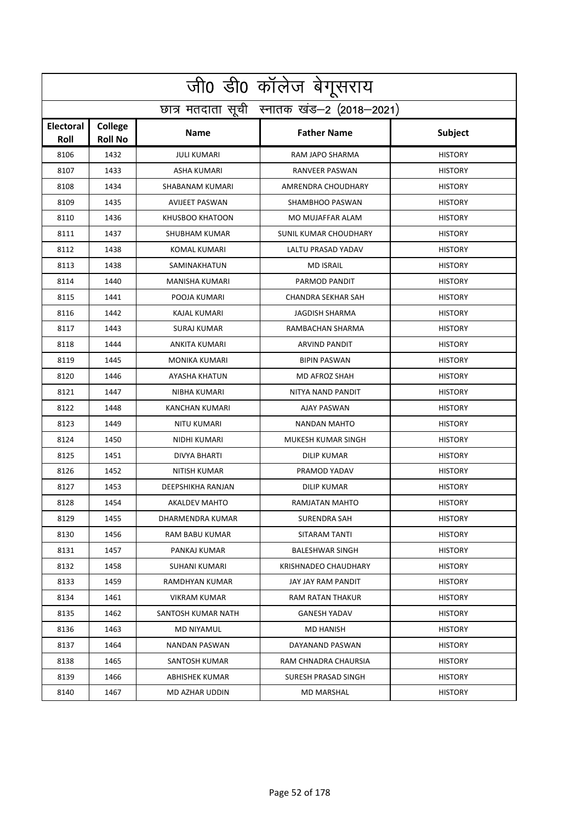|                          | जी0 डी0 कॉलेज बेगूसराय                     |                       |                           |                |  |  |
|--------------------------|--------------------------------------------|-----------------------|---------------------------|----------------|--|--|
|                          | छात्र मतदाता सूची स्नातक खंड-2 (2018-2021) |                       |                           |                |  |  |
| <b>Electoral</b><br>Roll | College<br><b>Roll No</b>                  | <b>Name</b>           | <b>Father Name</b>        | Subject        |  |  |
| 8106                     | 1432                                       | <b>JULI KUMARI</b>    | RAM JAPO SHARMA           | <b>HISTORY</b> |  |  |
| 8107                     | 1433                                       | <b>ASHA KUMARI</b>    | RANVEER PASWAN            | <b>HISTORY</b> |  |  |
| 8108                     | 1434                                       | SHABANAM KUMARI       | AMRENDRA CHOUDHARY        | <b>HISTORY</b> |  |  |
| 8109                     | 1435                                       | <b>AVIJEET PASWAN</b> | SHAMBHOO PASWAN           | <b>HISTORY</b> |  |  |
| 8110                     | 1436                                       | KHUSBOO KHATOON       | MO MUJAFFAR ALAM          | <b>HISTORY</b> |  |  |
| 8111                     | 1437                                       | <b>SHUBHAM KUMAR</b>  | SUNIL KUMAR CHOUDHARY     | <b>HISTORY</b> |  |  |
| 8112                     | 1438                                       | KOMAL KUMARI          | LALTU PRASAD YADAV        | <b>HISTORY</b> |  |  |
| 8113                     | 1438                                       | SAMINAKHATUN          | <b>MD ISRAIL</b>          | <b>HISTORY</b> |  |  |
| 8114                     | 1440                                       | MANISHA KUMARI        | PARMOD PANDIT             | <b>HISTORY</b> |  |  |
| 8115                     | 1441                                       | POOJA KUMARI          | <b>CHANDRA SEKHAR SAH</b> | <b>HISTORY</b> |  |  |
| 8116                     | 1442                                       | <b>KAJAL KUMARI</b>   | <b>JAGDISH SHARMA</b>     | <b>HISTORY</b> |  |  |
| 8117                     | 1443                                       | <b>SURAJ KUMAR</b>    | RAMBACHAN SHARMA          | <b>HISTORY</b> |  |  |
| 8118                     | 1444                                       | <b>ANKITA KUMARI</b>  | <b>ARVIND PANDIT</b>      | <b>HISTORY</b> |  |  |
| 8119                     | 1445                                       | <b>MONIKA KUMARI</b>  | <b>BIPIN PASWAN</b>       | <b>HISTORY</b> |  |  |
| 8120                     | 1446                                       | AYASHA KHATUN         | <b>MD AFROZ SHAH</b>      | <b>HISTORY</b> |  |  |
| 8121                     | 1447                                       | NIBHA KUMARI          | NITYA NAND PANDIT         | <b>HISTORY</b> |  |  |
| 8122                     | 1448                                       | KANCHAN KUMARI        | AJAY PASWAN               | <b>HISTORY</b> |  |  |
| 8123                     | 1449                                       | <b>NITU KUMARI</b>    | <b>NANDAN MAHTO</b>       | <b>HISTORY</b> |  |  |
| 8124                     | 1450                                       | NIDHI KUMARI          | MUKESH KUMAR SINGH        | <b>HISTORY</b> |  |  |
| 8125                     | 1451                                       | <b>DIVYA BHARTI</b>   | <b>DILIP KUMAR</b>        | <b>HISTORY</b> |  |  |
| 8126                     | 1452                                       | <b>NITISH KUMAR</b>   | PRAMOD YADAV              | <b>HISTORY</b> |  |  |
| 8127                     | 1453                                       | DEEPSHIKHA RANJAN     | <b>DILIP KUMAR</b>        | <b>HISTORY</b> |  |  |
| 8128                     | 1454                                       | <b>AKALDEV MAHTO</b>  | RAMJATAN MAHTO            | <b>HISTORY</b> |  |  |
| 8129                     | 1455                                       | DHARMENDRA KUMAR      | SURENDRA SAH              | <b>HISTORY</b> |  |  |
| 8130                     | 1456                                       | RAM BABU KUMAR        | SITARAM TANTI             | <b>HISTORY</b> |  |  |
| 8131                     | 1457                                       | PANKAJ KUMAR          | <b>BALESHWAR SINGH</b>    | <b>HISTORY</b> |  |  |
| 8132                     | 1458                                       | SUHANI KUMARI         | KRISHNADEO CHAUDHARY      | <b>HISTORY</b> |  |  |
| 8133                     | 1459                                       | RAMDHYAN KUMAR        | JAY JAY RAM PANDIT        | <b>HISTORY</b> |  |  |
| 8134                     | 1461                                       | <b>VIKRAM KUMAR</b>   | RAM RATAN THAKUR          | <b>HISTORY</b> |  |  |
| 8135                     | 1462                                       | SANTOSH KUMAR NATH    | <b>GANESH YADAV</b>       | <b>HISTORY</b> |  |  |
| 8136                     | 1463                                       | MD NIYAMUL            | MD HANISH                 | <b>HISTORY</b> |  |  |
| 8137                     | 1464                                       | <b>NANDAN PASWAN</b>  | DAYANAND PASWAN           | <b>HISTORY</b> |  |  |
| 8138                     | 1465                                       | SANTOSH KUMAR         | RAM CHNADRA CHAURSIA      | <b>HISTORY</b> |  |  |
| 8139                     | 1466                                       | ABHISHEK KUMAR        | SURESH PRASAD SINGH       | <b>HISTORY</b> |  |  |
| 8140                     | 1467                                       | MD AZHAR UDDIN        | MD MARSHAL                | <b>HISTORY</b> |  |  |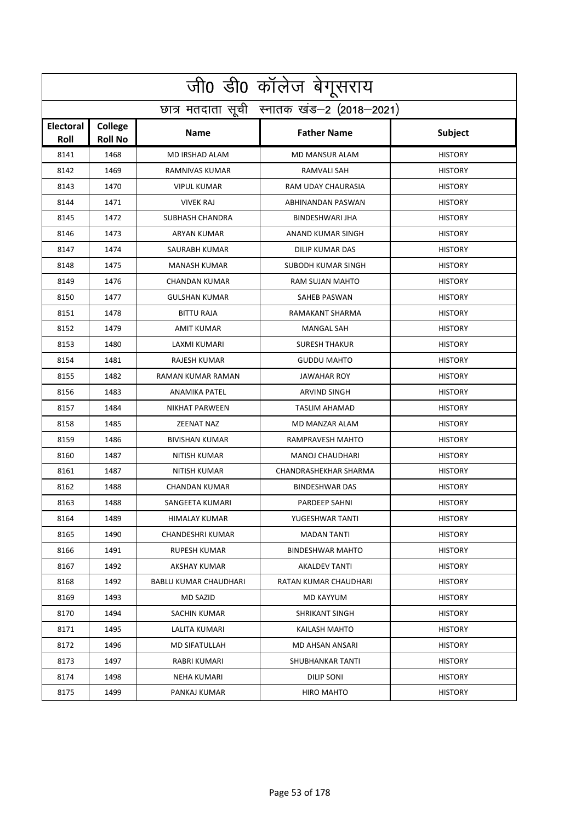|                          | जी0 डी0 कॉलेज बेगूसराय                     |                       |                              |                |  |  |
|--------------------------|--------------------------------------------|-----------------------|------------------------------|----------------|--|--|
|                          | छात्र मतदाता सूची स्नातक खंड-2 (2018-2021) |                       |                              |                |  |  |
| <b>Electoral</b><br>Roll | College<br><b>Roll No</b>                  | <b>Name</b>           | <b>Father Name</b>           | Subject        |  |  |
| 8141                     | 1468                                       | MD IRSHAD ALAM        | <b>MD MANSUR ALAM</b>        | <b>HISTORY</b> |  |  |
| 8142                     | 1469                                       | RAMNIVAS KUMAR        | <b>RAMVALI SAH</b>           | <b>HISTORY</b> |  |  |
| 8143                     | 1470                                       | <b>VIPUL KUMAR</b>    | RAM UDAY CHAURASIA           | <b>HISTORY</b> |  |  |
| 8144                     | 1471                                       | <b>VIVEK RAJ</b>      | ABHINANDAN PASWAN            | <b>HISTORY</b> |  |  |
| 8145                     | 1472                                       | SUBHASH CHANDRA       | BINDESHWARI JHA              | <b>HISTORY</b> |  |  |
| 8146                     | 1473                                       | ARYAN KUMAR           | ANAND KUMAR SINGH            | <b>HISTORY</b> |  |  |
| 8147                     | 1474                                       | SAURABH KUMAR         | DILIP KUMAR DAS              | <b>HISTORY</b> |  |  |
| 8148                     | 1475                                       | <b>MANASH KUMAR</b>   | SUBODH KUMAR SINGH           | <b>HISTORY</b> |  |  |
| 8149                     | 1476                                       | <b>CHANDAN KUMAR</b>  | RAM SUJAN MAHTO              | <b>HISTORY</b> |  |  |
| 8150                     | 1477                                       | <b>GULSHAN KUMAR</b>  | SAHEB PASWAN                 | <b>HISTORY</b> |  |  |
| 8151                     | 1478                                       | <b>BITTU RAJA</b>     | RAMAKANT SHARMA              | <b>HISTORY</b> |  |  |
| 8152                     | 1479                                       | AMIT KUMAR            | <b>MANGAL SAH</b>            | <b>HISTORY</b> |  |  |
| 8153                     | 1480                                       | LAXMI KUMARI          | <b>SURESH THAKUR</b>         | <b>HISTORY</b> |  |  |
| 8154                     | 1481                                       | RAJESH KUMAR          | <b>GUDDU MAHTO</b>           | <b>HISTORY</b> |  |  |
| 8155                     | 1482                                       | RAMAN KUMAR RAMAN     | <b>JAWAHAR ROY</b>           | <b>HISTORY</b> |  |  |
| 8156                     | 1483                                       | <b>ANAMIKA PATEL</b>  | <b>ARVIND SINGH</b>          | <b>HISTORY</b> |  |  |
| 8157                     | 1484                                       | NIKHAT PARWEEN        | <b>TASLIM AHAMAD</b>         | <b>HISTORY</b> |  |  |
| 8158                     | 1485                                       | <b>ZEENAT NAZ</b>     | MD MANZAR ALAM               | <b>HISTORY</b> |  |  |
| 8159                     | 1486                                       | <b>BIVISHAN KUMAR</b> | RAMPRAVESH MAHTO             | <b>HISTORY</b> |  |  |
| 8160                     | 1487                                       | <b>NITISH KUMAR</b>   | MANOJ CHAUDHARI              | <b>HISTORY</b> |  |  |
| 8161                     | 1487                                       | <b>NITISH KUMAR</b>   | <b>CHANDRASHEKHAR SHARMA</b> | <b>HISTORY</b> |  |  |
| 8162                     | 1488                                       | <b>CHANDAN KUMAR</b>  | <b>BINDESHWAR DAS</b>        | <b>HISTORY</b> |  |  |
| 8163                     | 1488                                       | SANGEETA KUMARI       | <b>PARDEEP SAHNI</b>         | <b>HISTORY</b> |  |  |
| 8164                     | 1489                                       | HIMALAY KUMAR         | YUGESHWAR TANTI              | <b>HISTORY</b> |  |  |
| 8165                     | 1490                                       | CHANDESHRI KUMAR      | MADAN TANTI                  | <b>HISTORY</b> |  |  |
| 8166                     | 1491                                       | RUPESH KUMAR          | <b>BINDESHWAR MAHTO</b>      | <b>HISTORY</b> |  |  |
| 8167                     | 1492                                       | AKSHAY KUMAR          | <b>AKALDEV TANTI</b>         | <b>HISTORY</b> |  |  |
| 8168                     | 1492                                       | BABLU KUMAR CHAUDHARI | RATAN KUMAR CHAUDHARI        | <b>HISTORY</b> |  |  |
| 8169                     | 1493                                       | MD SAZID              | MD KAYYUM                    | <b>HISTORY</b> |  |  |
| 8170                     | 1494                                       | SACHIN KUMAR          | SHRIKANT SINGH               | <b>HISTORY</b> |  |  |
| 8171                     | 1495                                       | LALITA KUMARI         | KAILASH MAHTO                | <b>HISTORY</b> |  |  |
| 8172                     | 1496                                       | MD SIFATULLAH         | MD AHSAN ANSARI              | <b>HISTORY</b> |  |  |
| 8173                     | 1497                                       | RABRI KUMARI          | SHUBHANKAR TANTI             | <b>HISTORY</b> |  |  |
| 8174                     | 1498                                       | NEHA KUMARI           | DILIP SONI                   | <b>HISTORY</b> |  |  |
| 8175                     | 1499                                       | PANKAJ KUMAR          | HIRO MAHTO                   | <b>HISTORY</b> |  |  |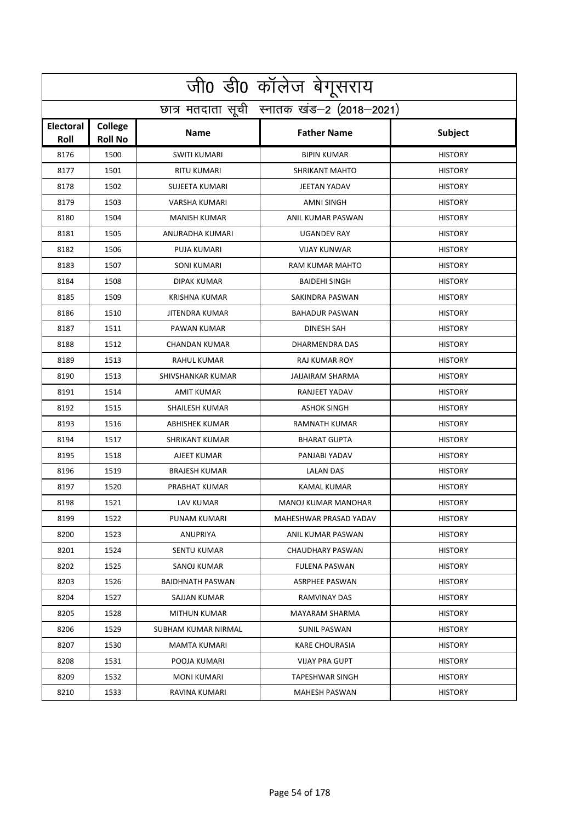|                   | <u>जी0 डी0 कॉलेज बेगू</u> सराय             |                       |                         |                |  |  |
|-------------------|--------------------------------------------|-----------------------|-------------------------|----------------|--|--|
|                   | छात्र मतदाता सूची स्नातक खंड-2 (2018-2021) |                       |                         |                |  |  |
| Electoral<br>Roll | College<br><b>Roll No</b>                  | <b>Name</b>           | <b>Father Name</b>      | Subject        |  |  |
| 8176              | 1500                                       | <b>SWITI KUMARI</b>   | <b>BIPIN KUMAR</b>      | <b>HISTORY</b> |  |  |
| 8177              | 1501                                       | RITU KUMARI           | <b>SHRIKANT MAHTO</b>   | <b>HISTORY</b> |  |  |
| 8178              | 1502                                       | <b>SUJEETA KUMARI</b> | <b>JEETAN YADAV</b>     | <b>HISTORY</b> |  |  |
| 8179              | 1503                                       | <b>VARSHA KUMARI</b>  | <b>AMNI SINGH</b>       | <b>HISTORY</b> |  |  |
| 8180              | 1504                                       | <b>MANISH KUMAR</b>   | ANIL KUMAR PASWAN       | <b>HISTORY</b> |  |  |
| 8181              | 1505                                       | ANURADHA KUMARI       | <b>UGANDEV RAY</b>      | <b>HISTORY</b> |  |  |
| 8182              | 1506                                       | PUJA KUMARI           | <b>VIJAY KUNWAR</b>     | <b>HISTORY</b> |  |  |
| 8183              | 1507                                       | <b>SONI KUMARI</b>    | <b>RAM KUMAR MAHTO</b>  | <b>HISTORY</b> |  |  |
| 8184              | 1508                                       | DIPAK KUMAR           | <b>BAIDEHI SINGH</b>    | <b>HISTORY</b> |  |  |
| 8185              | 1509                                       | <b>KRISHNA KUMAR</b>  | SAKINDRA PASWAN         | <b>HISTORY</b> |  |  |
| 8186              | 1510                                       | <b>JITENDRA KUMAR</b> | <b>BAHADUR PASWAN</b>   | <b>HISTORY</b> |  |  |
| 8187              | 1511                                       | PAWAN KUMAR           | <b>DINESH SAH</b>       | <b>HISTORY</b> |  |  |
| 8188              | 1512                                       | <b>CHANDAN KUMAR</b>  | DHARMENDRA DAS          | <b>HISTORY</b> |  |  |
| 8189              | 1513                                       | RAHUL KUMAR           | RAJ KUMAR ROY           | <b>HISTORY</b> |  |  |
| 8190              | 1513                                       | SHIVSHANKAR KUMAR     | <b>JAIJAIRAM SHARMA</b> | <b>HISTORY</b> |  |  |
| 8191              | 1514                                       | <b>AMIT KUMAR</b>     | RANJEET YADAV           | <b>HISTORY</b> |  |  |
| 8192              | 1515                                       | SHAILESH KUMAR        | <b>ASHOK SINGH</b>      | <b>HISTORY</b> |  |  |
| 8193              | 1516                                       | ABHISHEK KUMAR        | <b>RAMNATH KUMAR</b>    | <b>HISTORY</b> |  |  |
| 8194              | 1517                                       | <b>SHRIKANT KUMAR</b> | <b>BHARAT GUPTA</b>     | <b>HISTORY</b> |  |  |
| 8195              | 1518                                       | AJEET KUMAR           | PANJABI YADAV           | <b>HISTORY</b> |  |  |
| 8196              | 1519                                       | <b>BRAJESH KUMAR</b>  | <b>LALAN DAS</b>        | <b>HISTORY</b> |  |  |
| 8197              | 1520                                       | PRABHAT KUMAR         | <b>KAMAL KUMAR</b>      | <b>HISTORY</b> |  |  |
| 8198              | 1521                                       | LAV KUMAR             | MANOJ KUMAR MANOHAR     | <b>HISTORY</b> |  |  |
| 8199              | 1522                                       | PUNAM KUMARI          | MAHESHWAR PRASAD YADAV  | <b>HISTORY</b> |  |  |
| 8200              | 1523                                       | ANUPRIYA              | ANIL KUMAR PASWAN       | <b>HISTORY</b> |  |  |
| 8201              | 1524                                       | SENTU KUMAR           | CHAUDHARY PASWAN        | <b>HISTORY</b> |  |  |
| 8202              | 1525                                       | SANOJ KUMAR           | FULENA PASWAN           | <b>HISTORY</b> |  |  |
| 8203              | 1526                                       | BAIDHNATH PASWAN      | <b>ASRPHEE PASWAN</b>   | <b>HISTORY</b> |  |  |
| 8204              | 1527                                       | SAJJAN KUMAR          | RAMVINAY DAS            | <b>HISTORY</b> |  |  |
| 8205              | 1528                                       | MITHUN KUMAR          | MAYARAM SHARMA          | <b>HISTORY</b> |  |  |
| 8206              | 1529                                       | SUBHAM KUMAR NIRMAL   | SUNIL PASWAN            | <b>HISTORY</b> |  |  |
| 8207              | 1530                                       | MAMTA KUMARI          | KARE CHOURASIA          | <b>HISTORY</b> |  |  |
| 8208              | 1531                                       | POOJA KUMARI          | <b>VIJAY PRA GUPT</b>   | <b>HISTORY</b> |  |  |
| 8209              | 1532                                       | MONI KUMARI           | TAPESHWAR SINGH         | <b>HISTORY</b> |  |  |
| 8210              | 1533                                       | RAVINA KUMARI         | MAHESH PASWAN           | <b>HISTORY</b> |  |  |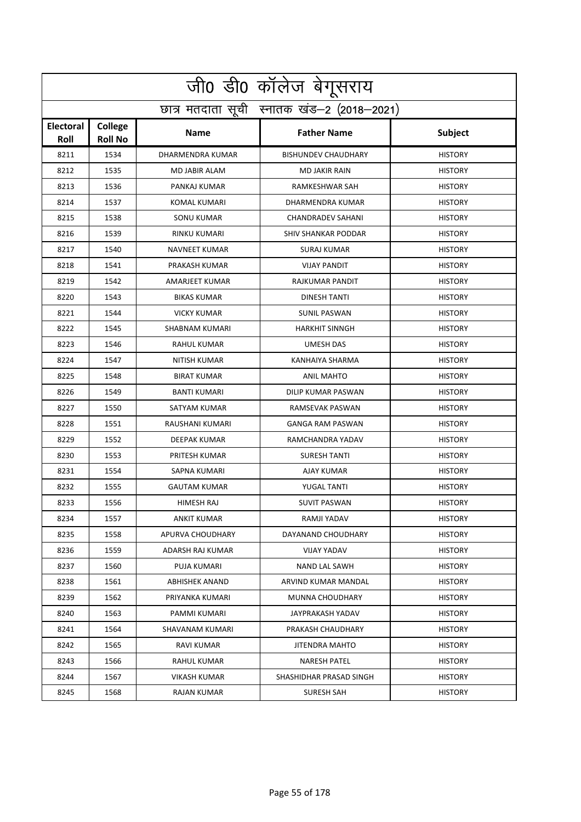|                          | जी0 डी0 कॉलेज बेगूसराय                     |                       |                            |                |  |  |
|--------------------------|--------------------------------------------|-----------------------|----------------------------|----------------|--|--|
|                          | छात्र मतदाता सूची स्नातक खंड-2 (2018-2021) |                       |                            |                |  |  |
| <b>Electoral</b><br>Roll | College<br><b>Roll No</b>                  | <b>Name</b>           | <b>Father Name</b>         | Subject        |  |  |
| 8211                     | 1534                                       | DHARMENDRA KUMAR      | <b>BISHUNDEV CHAUDHARY</b> | <b>HISTORY</b> |  |  |
| 8212                     | 1535                                       | MD JABIR ALAM         | <b>MD JAKIR RAIN</b>       | <b>HISTORY</b> |  |  |
| 8213                     | 1536                                       | PANKAJ KUMAR          | RAMKESHWAR SAH             | <b>HISTORY</b> |  |  |
| 8214                     | 1537                                       | <b>KOMAL KUMARI</b>   | <b>DHARMENDRA KUMAR</b>    | <b>HISTORY</b> |  |  |
| 8215                     | 1538                                       | SONU KUMAR            | <b>CHANDRADEV SAHANI</b>   | <b>HISTORY</b> |  |  |
| 8216                     | 1539                                       | RINKU KUMARI          | <b>SHIV SHANKAR PODDAR</b> | <b>HISTORY</b> |  |  |
| 8217                     | 1540                                       | NAVNEET KUMAR         | <b>SURAJ KUMAR</b>         | <b>HISTORY</b> |  |  |
| 8218                     | 1541                                       | PRAKASH KUMAR         | <b>VIJAY PANDIT</b>        | <b>HISTORY</b> |  |  |
| 8219                     | 1542                                       | AMARJEET KUMAR        | <b>RAJKUMAR PANDIT</b>     | <b>HISTORY</b> |  |  |
| 8220                     | 1543                                       | <b>BIKAS KUMAR</b>    | <b>DINESH TANTI</b>        | <b>HISTORY</b> |  |  |
| 8221                     | 1544                                       | <b>VICKY KUMAR</b>    | <b>SUNIL PASWAN</b>        | <b>HISTORY</b> |  |  |
| 8222                     | 1545                                       | <b>SHABNAM KUMARI</b> | <b>HARKHIT SINNGH</b>      | <b>HISTORY</b> |  |  |
| 8223                     | 1546                                       | <b>RAHUL KUMAR</b>    | <b>UMESH DAS</b>           | <b>HISTORY</b> |  |  |
| 8224                     | 1547                                       | NITISH KUMAR          | KANHAIYA SHARMA            | <b>HISTORY</b> |  |  |
| 8225                     | 1548                                       | <b>BIRAT KUMAR</b>    | ANIL MAHTO                 | <b>HISTORY</b> |  |  |
| 8226                     | 1549                                       | <b>BANTI KUMARI</b>   | DILIP KUMAR PASWAN         | <b>HISTORY</b> |  |  |
| 8227                     | 1550                                       | SATYAM KUMAR          | RAMSEVAK PASWAN            | <b>HISTORY</b> |  |  |
| 8228                     | 1551                                       | RAUSHANI KUMARI       | <b>GANGA RAM PASWAN</b>    | <b>HISTORY</b> |  |  |
| 8229                     | 1552                                       | <b>DEEPAK KUMAR</b>   | RAMCHANDRA YADAV           | <b>HISTORY</b> |  |  |
| 8230                     | 1553                                       | PRITESH KUMAR         | <b>SURESH TANTI</b>        | <b>HISTORY</b> |  |  |
| 8231                     | 1554                                       | <b>SAPNA KUMARI</b>   | <b>AJAY KUMAR</b>          | <b>HISTORY</b> |  |  |
| 8232                     | 1555                                       | <b>GAUTAM KUMAR</b>   | YUGAL TANTI                | <b>HISTORY</b> |  |  |
| 8233                     | 1556                                       | <b>HIMESH RAJ</b>     | <b>SUVIT PASWAN</b>        | <b>HISTORY</b> |  |  |
| 8234                     | 1557                                       | ANKIT KUMAR           | RAMJI YADAV                | <b>HISTORY</b> |  |  |
| 8235                     | 1558                                       | APURVA CHOUDHARY      | DAYANAND CHOUDHARY         | <b>HISTORY</b> |  |  |
| 8236                     | 1559                                       | ADARSH RAJ KUMAR      | <b>VIJAY YADAV</b>         | <b>HISTORY</b> |  |  |
| 8237                     | 1560                                       | PUJA KUMARI           | <b>NAND LAL SAWH</b>       | <b>HISTORY</b> |  |  |
| 8238                     | 1561                                       | <b>ABHISHEK ANAND</b> | ARVIND KUMAR MANDAL        | <b>HISTORY</b> |  |  |
| 8239                     | 1562                                       | PRIYANKA KUMARI       | MUNNA CHOUDHARY            | <b>HISTORY</b> |  |  |
| 8240                     | 1563                                       | PAMMI KUMARI          | JAYPRAKASH YADAV           | <b>HISTORY</b> |  |  |
| 8241                     | 1564                                       | SHAVANAM KUMARI       | PRAKASH CHAUDHARY          | <b>HISTORY</b> |  |  |
| 8242                     | 1565                                       | RAVI KUMAR            | JITENDRA MAHTO             | <b>HISTORY</b> |  |  |
| 8243                     | 1566                                       | RAHUL KUMAR           | NARESH PATEL               | <b>HISTORY</b> |  |  |
| 8244                     | 1567                                       | VIKASH KUMAR          | SHASHIDHAR PRASAD SINGH    | <b>HISTORY</b> |  |  |
| 8245                     | 1568                                       | RAJAN KUMAR           | SURESH SAH                 | <b>HISTORY</b> |  |  |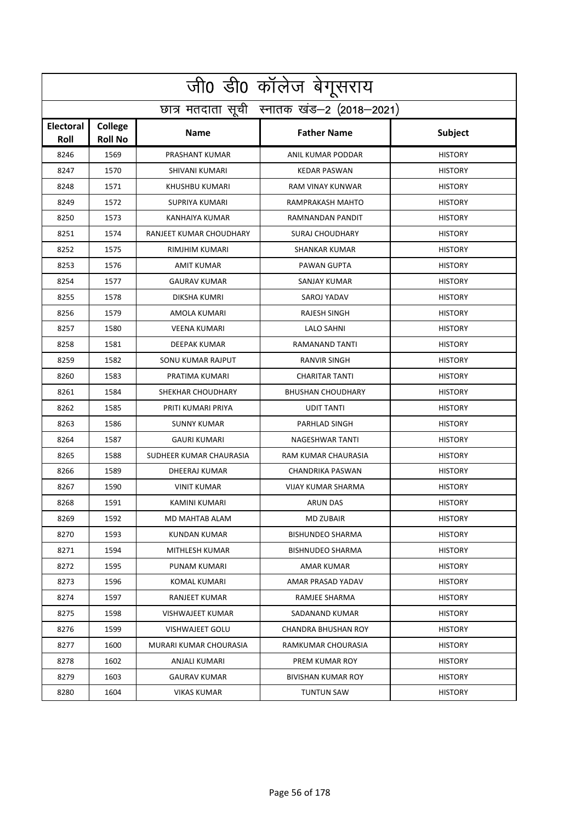|                          | .<br>जीo डीo कॉलेज बेगूसराय                |                         |                            |                |  |  |
|--------------------------|--------------------------------------------|-------------------------|----------------------------|----------------|--|--|
|                          | छात्र मतदाता सूची स्नातक खंड-2 (2018-2021) |                         |                            |                |  |  |
| <b>Electoral</b><br>Roll | College<br><b>Roll No</b>                  | <b>Name</b>             | <b>Father Name</b>         | Subject        |  |  |
| 8246                     | 1569                                       | PRASHANT KUMAR          | ANIL KUMAR PODDAR          | <b>HISTORY</b> |  |  |
| 8247                     | 1570                                       | SHIVANI KUMARI          | <b>KEDAR PASWAN</b>        | <b>HISTORY</b> |  |  |
| 8248                     | 1571                                       | KHUSHBU KUMARI          | RAM VINAY KUNWAR           | <b>HISTORY</b> |  |  |
| 8249                     | 1572                                       | <b>SUPRIYA KUMARI</b>   | RAMPRAKASH MAHTO           | <b>HISTORY</b> |  |  |
| 8250                     | 1573                                       | KANHAIYA KUMAR          | RAMNANDAN PANDIT           | <b>HISTORY</b> |  |  |
| 8251                     | 1574                                       | RANJEET KUMAR CHOUDHARY | <b>SURAJ CHOUDHARY</b>     | <b>HISTORY</b> |  |  |
| 8252                     | 1575                                       | RIMJHIM KUMARI          | <b>SHANKAR KUMAR</b>       | <b>HISTORY</b> |  |  |
| 8253                     | 1576                                       | AMIT KUMAR              | PAWAN GUPTA                | <b>HISTORY</b> |  |  |
| 8254                     | 1577                                       | <b>GAURAV KUMAR</b>     | SANJAY KUMAR               | <b>HISTORY</b> |  |  |
| 8255                     | 1578                                       | DIKSHA KUMRI            | SAROJ YADAV                | <b>HISTORY</b> |  |  |
| 8256                     | 1579                                       | AMOLA KUMARI            | <b>RAJESH SINGH</b>        | <b>HISTORY</b> |  |  |
| 8257                     | 1580                                       | <b>VEENA KUMARI</b>     | <b>LALO SAHNI</b>          | <b>HISTORY</b> |  |  |
| 8258                     | 1581                                       | DEEPAK KUMAR            | RAMANAND TANTI             | <b>HISTORY</b> |  |  |
| 8259                     | 1582                                       | SONU KUMAR RAJPUT       | <b>RANVIR SINGH</b>        | <b>HISTORY</b> |  |  |
| 8260                     | 1583                                       | PRATIMA KUMARI          | <b>CHARITAR TANTI</b>      | <b>HISTORY</b> |  |  |
| 8261                     | 1584                                       | SHEKHAR CHOUDHARY       | <b>BHUSHAN CHOUDHARY</b>   | <b>HISTORY</b> |  |  |
| 8262                     | 1585                                       | PRITI KUMARI PRIYA      | <b>UDIT TANTI</b>          | <b>HISTORY</b> |  |  |
| 8263                     | 1586                                       | <b>SUNNY KUMAR</b>      | PARHLAD SINGH              | <b>HISTORY</b> |  |  |
| 8264                     | 1587                                       | <b>GAURI KUMARI</b>     | NAGESHWAR TANTI            | <b>HISTORY</b> |  |  |
| 8265                     | 1588                                       | SUDHEER KUMAR CHAURASIA | RAM KUMAR CHAURASIA        | <b>HISTORY</b> |  |  |
| 8266                     | 1589                                       | DHEERAJ KUMAR           | CHANDRIKA PASWAN           | <b>HISTORY</b> |  |  |
| 8267                     | 1590                                       | <b>VINIT KUMAR</b>      | <b>VIJAY KUMAR SHARMA</b>  | <b>HISTORY</b> |  |  |
| 8268                     | 1591                                       | KAMINI KUMARI           | <b>ARUN DAS</b>            | <b>HISTORY</b> |  |  |
| 8269                     | 1592                                       | MD MAHTAB ALAM          | <b>MD ZUBAIR</b>           | <b>HISTORY</b> |  |  |
| 8270                     | 1593                                       | KUNDAN KUMAR            | <b>BISHUNDEO SHARMA</b>    | <b>HISTORY</b> |  |  |
| 8271                     | 1594                                       | MITHLESH KUMAR          | <b>BISHNUDEO SHARMA</b>    | <b>HISTORY</b> |  |  |
| 8272                     | 1595                                       | PUNAM KUMARI            | AMAR KUMAR                 | <b>HISTORY</b> |  |  |
| 8273                     | 1596                                       | KOMAL KUMARI            | AMAR PRASAD YADAV          | <b>HISTORY</b> |  |  |
| 8274                     | 1597                                       | RANJEET KUMAR           | RAMJEE SHARMA              | <b>HISTORY</b> |  |  |
| 8275                     | 1598                                       | VISHWAJEET KUMAR        | SADANAND KUMAR             | <b>HISTORY</b> |  |  |
| 8276                     | 1599                                       | <b>VISHWAJEET GOLU</b>  | <b>CHANDRA BHUSHAN ROY</b> | <b>HISTORY</b> |  |  |
| 8277                     | 1600                                       | MURARI KUMAR CHOURASIA  | RAMKUMAR CHOURASIA         | <b>HISTORY</b> |  |  |
| 8278                     | 1602                                       | ANJALI KUMARI           | PREM KUMAR ROY             | <b>HISTORY</b> |  |  |
| 8279                     | 1603                                       | GAURAV KUMAR            | <b>BIVISHAN KUMAR ROY</b>  | <b>HISTORY</b> |  |  |
| 8280                     | 1604                                       | VIKAS KUMAR             | TUNTUN SAW                 | <b>HISTORY</b> |  |  |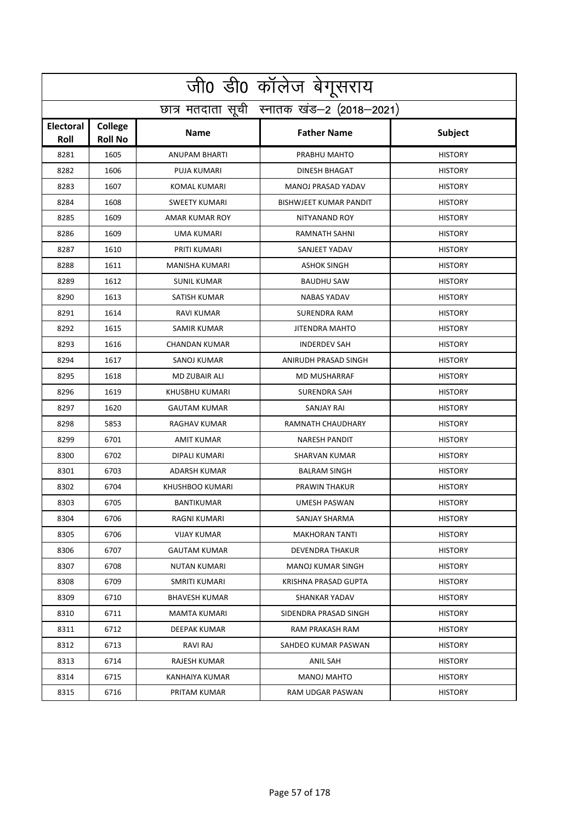|                          | जी0 डी0 कॉलेज बेगूसराय                     |                      |                           |                |  |  |
|--------------------------|--------------------------------------------|----------------------|---------------------------|----------------|--|--|
|                          | छात्र मतदाता सूची स्नातक खंड-2 (2018-2021) |                      |                           |                |  |  |
| <b>Electoral</b><br>Roll | College<br><b>Roll No</b>                  | <b>Name</b>          | <b>Father Name</b>        | Subject        |  |  |
| 8281                     | 1605                                       | <b>ANUPAM BHARTI</b> | PRABHU MAHTO              | <b>HISTORY</b> |  |  |
| 8282                     | 1606                                       | <b>PUJA KUMARI</b>   | <b>DINESH BHAGAT</b>      | <b>HISTORY</b> |  |  |
| 8283                     | 1607                                       | KOMAL KUMARI         | <b>MANOJ PRASAD YADAV</b> | <b>HISTORY</b> |  |  |
| 8284                     | 1608                                       | <b>SWEETY KUMARI</b> | BISHWJEET KUMAR PANDIT    | <b>HISTORY</b> |  |  |
| 8285                     | 1609                                       | AMAR KUMAR ROY       | NITYANAND ROY             | <b>HISTORY</b> |  |  |
| 8286                     | 1609                                       | <b>UMA KUMARI</b>    | RAMNATH SAHNI             | <b>HISTORY</b> |  |  |
| 8287                     | 1610                                       | PRITI KUMARI         | SANJEET YADAV             | <b>HISTORY</b> |  |  |
| 8288                     | 1611                                       | MANISHA KUMARI       | <b>ASHOK SINGH</b>        | <b>HISTORY</b> |  |  |
| 8289                     | 1612                                       | <b>SUNIL KUMAR</b>   | <b>BAUDHU SAW</b>         | <b>HISTORY</b> |  |  |
| 8290                     | 1613                                       | SATISH KUMAR         | <b>NABAS YADAV</b>        | <b>HISTORY</b> |  |  |
| 8291                     | 1614                                       | <b>RAVI KUMAR</b>    | <b>SURENDRA RAM</b>       | <b>HISTORY</b> |  |  |
| 8292                     | 1615                                       | SAMIR KUMAR          | <b>JITENDRA MAHTO</b>     | <b>HISTORY</b> |  |  |
| 8293                     | 1616                                       | <b>CHANDAN KUMAR</b> | <b>INDERDEV SAH</b>       | <b>HISTORY</b> |  |  |
| 8294                     | 1617                                       | SANOJ KUMAR          | ANIRUDH PRASAD SINGH      | <b>HISTORY</b> |  |  |
| 8295                     | 1618                                       | MD ZUBAIR ALI        | <b>MD MUSHARRAF</b>       | <b>HISTORY</b> |  |  |
| 8296                     | 1619                                       | KHUSBHU KUMARI       | <b>SURENDRA SAH</b>       | <b>HISTORY</b> |  |  |
| 8297                     | 1620                                       | <b>GAUTAM KUMAR</b>  | <b>SANJAY RAI</b>         | <b>HISTORY</b> |  |  |
| 8298                     | 5853                                       | RAGHAV KUMAR         | RAMNATH CHAUDHARY         | <b>HISTORY</b> |  |  |
| 8299                     | 6701                                       | <b>AMIT KUMAR</b>    | <b>NARESH PANDIT</b>      | <b>HISTORY</b> |  |  |
| 8300                     | 6702                                       | DIPALI KUMARI        | <b>SHARVAN KUMAR</b>      | <b>HISTORY</b> |  |  |
| 8301                     | 6703                                       | <b>ADARSH KUMAR</b>  | <b>BALRAM SINGH</b>       | <b>HISTORY</b> |  |  |
| 8302                     | 6704                                       | KHUSHBOO KUMARI      | PRAWIN THAKUR             | <b>HISTORY</b> |  |  |
| 8303                     | 6705                                       | BANTIKUMAR           | <b>UMESH PASWAN</b>       | <b>HISTORY</b> |  |  |
| 8304                     | 6706                                       | RAGNI KUMARI         | SANJAY SHARMA             | <b>HISTORY</b> |  |  |
| 8305                     | 6706                                       | VIJAY KUMAR          | <b>MAKHORAN TANTI</b>     | <b>HISTORY</b> |  |  |
| 8306                     | 6707                                       | <b>GAUTAM KUMAR</b>  | DEVENDRA THAKUR           | <b>HISTORY</b> |  |  |
| 8307                     | 6708                                       | NUTAN KUMARI         | <b>MANOJ KUMAR SINGH</b>  | <b>HISTORY</b> |  |  |
| 8308                     | 6709                                       | SMRITI KUMARI        | KRISHNA PRASAD GUPTA      | <b>HISTORY</b> |  |  |
| 8309                     | 6710                                       | <b>BHAVESH KUMAR</b> | SHANKAR YADAV             | <b>HISTORY</b> |  |  |
| 8310                     | 6711                                       | MAMTA KUMARI         | SIDENDRA PRASAD SINGH     | <b>HISTORY</b> |  |  |
| 8311                     | 6712                                       | DEEPAK KUMAR         | RAM PRAKASH RAM           | <b>HISTORY</b> |  |  |
| 8312                     | 6713                                       | RAVI RAJ             | SAHDEO KUMAR PASWAN       | <b>HISTORY</b> |  |  |
| 8313                     | 6714                                       | RAJESH KUMAR         | ANIL SAH                  | <b>HISTORY</b> |  |  |
| 8314                     | 6715                                       | KANHAIYA KUMAR       | <b>MANOJ MAHTO</b>        | <b>HISTORY</b> |  |  |
| 8315                     | 6716                                       | PRITAM KUMAR         | RAM UDGAR PASWAN          | <b>HISTORY</b> |  |  |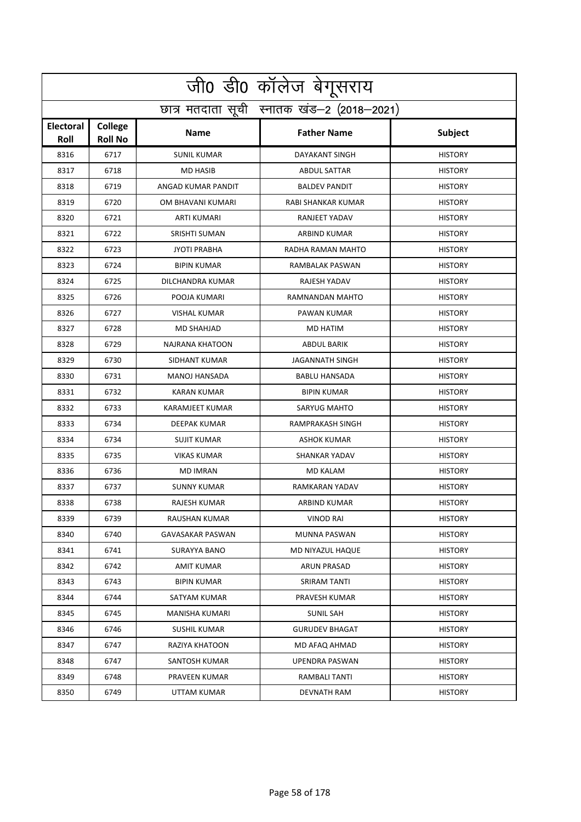|                          | .<br>जीo डीo कॉलेज बेगूसराय                |                        |                           |                |  |  |
|--------------------------|--------------------------------------------|------------------------|---------------------------|----------------|--|--|
|                          | छात्र मतदाता सूची स्नातक खंड-2 (2018-2021) |                        |                           |                |  |  |
| <b>Electoral</b><br>Roll | College<br><b>Roll No</b>                  | <b>Name</b>            | <b>Father Name</b>        | <b>Subject</b> |  |  |
| 8316                     | 6717                                       | <b>SUNIL KUMAR</b>     | <b>DAYAKANT SINGH</b>     | <b>HISTORY</b> |  |  |
| 8317                     | 6718                                       | <b>MD HASIB</b>        | <b>ABDUL SATTAR</b>       | <b>HISTORY</b> |  |  |
| 8318                     | 6719                                       | ANGAD KUMAR PANDIT     | <b>BALDEV PANDIT</b>      | <b>HISTORY</b> |  |  |
| 8319                     | 6720                                       | OM BHAVANI KUMARI      | <b>RABI SHANKAR KUMAR</b> | <b>HISTORY</b> |  |  |
| 8320                     | 6721                                       | ARTI KUMARI            | RANJEET YADAV             | <b>HISTORY</b> |  |  |
| 8321                     | 6722                                       | <b>SRISHTI SUMAN</b>   | ARBIND KUMAR              | <b>HISTORY</b> |  |  |
| 8322                     | 6723                                       | <b>JYOTI PRABHA</b>    | RADHA RAMAN MAHTO         | <b>HISTORY</b> |  |  |
| 8323                     | 6724                                       | <b>BIPIN KUMAR</b>     | RAMBALAK PASWAN           | <b>HISTORY</b> |  |  |
| 8324                     | 6725                                       | DILCHANDRA KUMAR       | RAJESH YADAV              | <b>HISTORY</b> |  |  |
| 8325                     | 6726                                       | POOJA KUMARI           | RAMNANDAN MAHTO           | <b>HISTORY</b> |  |  |
| 8326                     | 6727                                       | <b>VISHAL KUMAR</b>    | PAWAN KUMAR               | <b>HISTORY</b> |  |  |
| 8327                     | 6728                                       | <b>MD SHAHJAD</b>      | <b>MD HATIM</b>           | <b>HISTORY</b> |  |  |
| 8328                     | 6729                                       | <b>NAJRANA KHATOON</b> | <b>ABDUL BARIK</b>        | <b>HISTORY</b> |  |  |
| 8329                     | 6730                                       | <b>SIDHANT KUMAR</b>   | <b>JAGANNATH SINGH</b>    | <b>HISTORY</b> |  |  |
| 8330                     | 6731                                       | <b>MANOJ HANSADA</b>   | <b>BABLU HANSADA</b>      | <b>HISTORY</b> |  |  |
| 8331                     | 6732                                       | <b>KARAN KUMAR</b>     | <b>BIPIN KUMAR</b>        | <b>HISTORY</b> |  |  |
| 8332                     | 6733                                       | KARAMJEET KUMAR        | SARYUG MAHTO              | <b>HISTORY</b> |  |  |
| 8333                     | 6734                                       | DEEPAK KUMAR           | RAMPRAKASH SINGH          | <b>HISTORY</b> |  |  |
| 8334                     | 6734                                       | <b>SUJIT KUMAR</b>     | <b>ASHOK KUMAR</b>        | <b>HISTORY</b> |  |  |
| 8335                     | 6735                                       | <b>VIKAS KUMAR</b>     | <b>SHANKAR YADAV</b>      | <b>HISTORY</b> |  |  |
| 8336                     | 6736                                       | <b>MD IMRAN</b>        | <b>MD KALAM</b>           | <b>HISTORY</b> |  |  |
| 8337                     | 6737                                       | <b>SUNNY KUMAR</b>     | RAMKARAN YADAV            | <b>HISTORY</b> |  |  |
| 8338                     | 6738                                       | RAJESH KUMAR           | ARBIND KUMAR              | <b>HISTORY</b> |  |  |
| 8339                     | 6739                                       | RAUSHAN KUMAR          | <b>VINOD RAI</b>          | <b>HISTORY</b> |  |  |
| 8340                     | 6740                                       | GAVASAKAR PASWAN       | <b>MUNNA PASWAN</b>       | <b>HISTORY</b> |  |  |
| 8341                     | 6741                                       | SURAYYA BANO           | MD NIYAZUL HAQUE          | <b>HISTORY</b> |  |  |
| 8342                     | 6742                                       | AMIT KUMAR             | ARUN PRASAD               | <b>HISTORY</b> |  |  |
| 8343                     | 6743                                       | <b>BIPIN KUMAR</b>     | <b>SRIRAM TANTI</b>       | <b>HISTORY</b> |  |  |
| 8344                     | 6744                                       | SATYAM KUMAR           | PRAVESH KUMAR             | <b>HISTORY</b> |  |  |
| 8345                     | 6745                                       | MANISHA KUMARI         | <b>SUNIL SAH</b>          | <b>HISTORY</b> |  |  |
| 8346                     | 6746                                       | <b>SUSHIL KUMAR</b>    | <b>GURUDEV BHAGAT</b>     | <b>HISTORY</b> |  |  |
| 8347                     | 6747                                       | RAZIYA KHATOON         | MD AFAQ AHMAD             | <b>HISTORY</b> |  |  |
| 8348                     | 6747                                       | SANTOSH KUMAR          | UPENDRA PASWAN            | <b>HISTORY</b> |  |  |
| 8349                     | 6748                                       | PRAVEEN KUMAR          | RAMBALI TANTI             | <b>HISTORY</b> |  |  |
| 8350                     | 6749                                       | UTTAM KUMAR            | DEVNATH RAM               | <b>HISTORY</b> |  |  |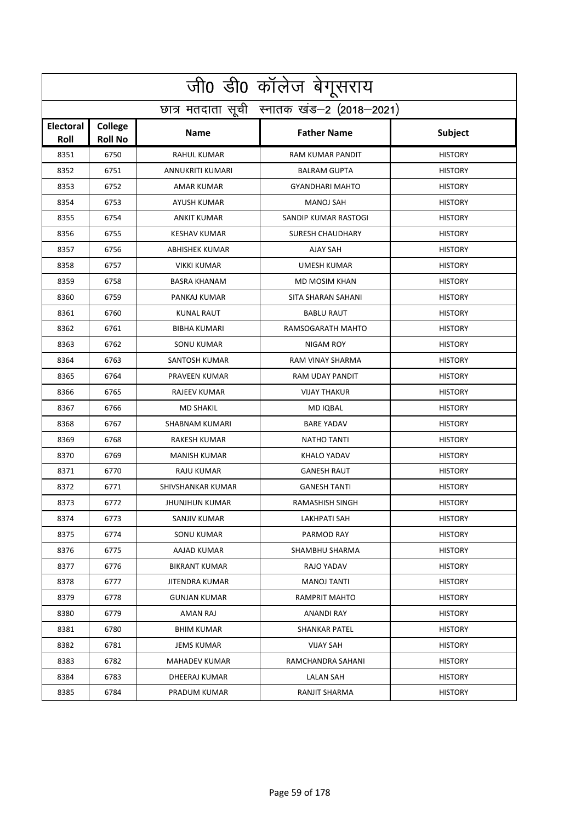| <u>जी0 डी0 कॉलेज बेगू</u> सराय |                                            |                       |                         |                |  |  |
|--------------------------------|--------------------------------------------|-----------------------|-------------------------|----------------|--|--|
|                                | छात्र मतदाता सूची स्नातक खंड-2 (2018-2021) |                       |                         |                |  |  |
| <b>Electoral</b><br>Roll       | College<br><b>Roll No</b>                  | <b>Name</b>           | <b>Father Name</b>      | Subject        |  |  |
| 8351                           | 6750                                       | <b>RAHUL KUMAR</b>    | <b>RAM KUMAR PANDIT</b> | <b>HISTORY</b> |  |  |
| 8352                           | 6751                                       | ANNUKRITI KUMARI      | <b>BALRAM GUPTA</b>     | <b>HISTORY</b> |  |  |
| 8353                           | 6752                                       | AMAR KUMAR            | <b>GYANDHARI MAHTO</b>  | <b>HISTORY</b> |  |  |
| 8354                           | 6753                                       | <b>AYUSH KUMAR</b>    | <b>MANOJ SAH</b>        | <b>HISTORY</b> |  |  |
| 8355                           | 6754                                       | <b>ANKIT KUMAR</b>    | SANDIP KUMAR RASTOGI    | <b>HISTORY</b> |  |  |
| 8356                           | 6755                                       | <b>KESHAV KUMAR</b>   | <b>SURESH CHAUDHARY</b> | <b>HISTORY</b> |  |  |
| 8357                           | 6756                                       | ABHISHEK KUMAR        | <b>AJAY SAH</b>         | <b>HISTORY</b> |  |  |
| 8358                           | 6757                                       | <b>VIKKI KUMAR</b>    | <b>UMESH KUMAR</b>      | <b>HISTORY</b> |  |  |
| 8359                           | 6758                                       | <b>BASRA KHANAM</b>   | MD MOSIM KHAN           | <b>HISTORY</b> |  |  |
| 8360                           | 6759                                       | PANKAJ KUMAR          | SITA SHARAN SAHANI      | <b>HISTORY</b> |  |  |
| 8361                           | 6760                                       | <b>KUNAL RAUT</b>     | <b>BABLU RAUT</b>       | <b>HISTORY</b> |  |  |
| 8362                           | 6761                                       | <b>BIBHA KUMARI</b>   | RAMSOGARATH MAHTO       | <b>HISTORY</b> |  |  |
| 8363                           | 6762                                       | <b>SONU KUMAR</b>     | <b>NIGAM ROY</b>        | <b>HISTORY</b> |  |  |
| 8364                           | 6763                                       | SANTOSH KUMAR         | RAM VINAY SHARMA        | <b>HISTORY</b> |  |  |
| 8365                           | 6764                                       | PRAVEEN KUMAR         | RAM UDAY PANDIT         | <b>HISTORY</b> |  |  |
| 8366                           | 6765                                       | <b>RAJEEV KUMAR</b>   | <b>VIJAY THAKUR</b>     | <b>HISTORY</b> |  |  |
| 8367                           | 6766                                       | <b>MD SHAKIL</b>      | MD IQBAL                | <b>HISTORY</b> |  |  |
| 8368                           | 6767                                       | SHABNAM KUMARI        | <b>BARE YADAV</b>       | <b>HISTORY</b> |  |  |
| 8369                           | 6768                                       | RAKESH KUMAR          | <b>NATHO TANTI</b>      | <b>HISTORY</b> |  |  |
| 8370                           | 6769                                       | <b>MANISH KUMAR</b>   | KHALO YADAV             | <b>HISTORY</b> |  |  |
| 8371                           | 6770                                       | RAJU KUMAR            | <b>GANESH RAUT</b>      | <b>HISTORY</b> |  |  |
| 8372                           | 6771                                       | SHIVSHANKAR KUMAR     | <b>GANESH TANTI</b>     | <b>HISTORY</b> |  |  |
| 8373                           | 6772                                       | <b>JHUNJHUN KUMAR</b> | RAMASHISH SINGH         | <b>HISTORY</b> |  |  |
| 8374                           | 6773                                       | SANJIV KUMAR          | LAKHPATI SAH            | <b>HISTORY</b> |  |  |
| 8375                           | 6774                                       | SONU KUMAR            | PARMOD RAY              | <b>HISTORY</b> |  |  |
| 8376                           | 6775                                       | AAJAD KUMAR           | SHAMBHU SHARMA          | <b>HISTORY</b> |  |  |
| 8377                           | 6776                                       | <b>BIKRANT KUMAR</b>  | RAJO YADAV              | <b>HISTORY</b> |  |  |
| 8378                           | 6777                                       | JITENDRA KUMAR        | MANOJ TANTI             | <b>HISTORY</b> |  |  |
| 8379                           | 6778                                       | <b>GUNJAN KUMAR</b>   | RAMPRIT MAHTO           | <b>HISTORY</b> |  |  |
| 8380                           | 6779                                       | <b>AMAN RAJ</b>       | ANANDI RAY              | <b>HISTORY</b> |  |  |
| 8381                           | 6780                                       | <b>BHIM KUMAR</b>     | <b>SHANKAR PATEL</b>    | <b>HISTORY</b> |  |  |
| 8382                           | 6781                                       | JEMS KUMAR            | <b>VIJAY SAH</b>        | <b>HISTORY</b> |  |  |
| 8383                           | 6782                                       | MAHADEV KUMAR         | RAMCHANDRA SAHANI       | <b>HISTORY</b> |  |  |
| 8384                           | 6783                                       | DHEERAJ KUMAR         | LALAN SAH               | <b>HISTORY</b> |  |  |
| 8385                           | 6784                                       | PRADUM KUMAR          | RANJIT SHARMA           | <b>HISTORY</b> |  |  |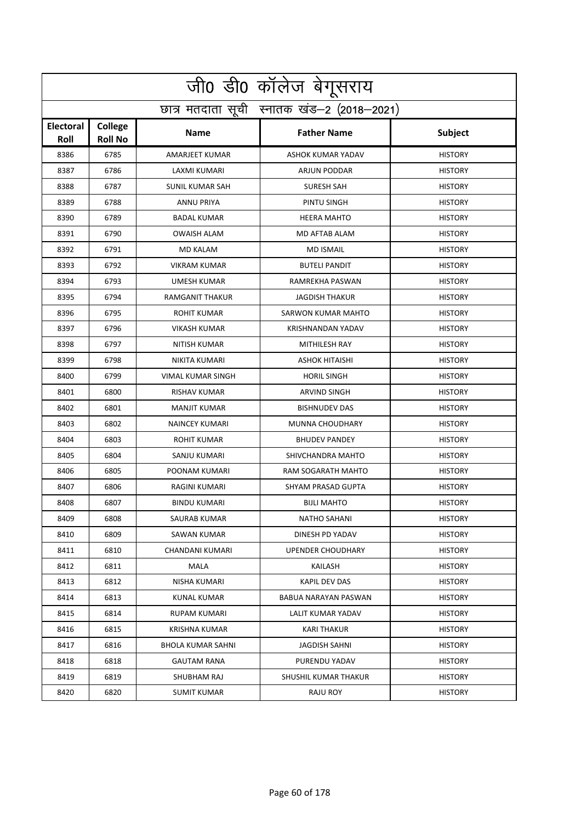|                          | <u>जी0 डी0 कॉलेज बेगू</u> सराय             |                        |                           |                |  |  |
|--------------------------|--------------------------------------------|------------------------|---------------------------|----------------|--|--|
|                          | छात्र मतदाता सूची स्नातक खंड-2 (2018-2021) |                        |                           |                |  |  |
| <b>Electoral</b><br>Roll | College<br><b>Roll No</b>                  | <b>Name</b>            | <b>Father Name</b>        | Subject        |  |  |
| 8386                     | 6785                                       | <b>AMARJEET KUMAR</b>  | ASHOK KUMAR YADAV         | <b>HISTORY</b> |  |  |
| 8387                     | 6786                                       | LAXMI KUMARI           | <b>ARJUN PODDAR</b>       | <b>HISTORY</b> |  |  |
| 8388                     | 6787                                       | SUNIL KUMAR SAH        | <b>SURESH SAH</b>         | <b>HISTORY</b> |  |  |
| 8389                     | 6788                                       | <b>ANNU PRIYA</b>      | PINTU SINGH               | <b>HISTORY</b> |  |  |
| 8390                     | 6789                                       | <b>BADAL KUMAR</b>     | <b>HEERA MAHTO</b>        | <b>HISTORY</b> |  |  |
| 8391                     | 6790                                       | <b>OWAISH ALAM</b>     | MD AFTAB ALAM             | <b>HISTORY</b> |  |  |
| 8392                     | 6791                                       | <b>MD KALAM</b>        | <b>MD ISMAIL</b>          | <b>HISTORY</b> |  |  |
| 8393                     | 6792                                       | <b>VIKRAM KUMAR</b>    | <b>BUTELI PANDIT</b>      | <b>HISTORY</b> |  |  |
| 8394                     | 6793                                       | <b>UMESH KUMAR</b>     | RAMREKHA PASWAN           | <b>HISTORY</b> |  |  |
| 8395                     | 6794                                       | <b>RAMGANIT THAKUR</b> | <b>JAGDISH THAKUR</b>     | <b>HISTORY</b> |  |  |
| 8396                     | 6795                                       | <b>ROHIT KUMAR</b>     | <b>SARWON KUMAR MAHTO</b> | <b>HISTORY</b> |  |  |
| 8397                     | 6796                                       | <b>VIKASH KUMAR</b>    | KRISHNANDAN YADAV         | <b>HISTORY</b> |  |  |
| 8398                     | 6797                                       | <b>NITISH KUMAR</b>    | MITHILESH RAY             | <b>HISTORY</b> |  |  |
| 8399                     | 6798                                       | NIKITA KUMARI          | <b>ASHOK HITAISHI</b>     | <b>HISTORY</b> |  |  |
| 8400                     | 6799                                       | VIMAL KUMAR SINGH      | <b>HORIL SINGH</b>        | <b>HISTORY</b> |  |  |
| 8401                     | 6800                                       | <b>RISHAV KUMAR</b>    | <b>ARVIND SINGH</b>       | <b>HISTORY</b> |  |  |
| 8402                     | 6801                                       | <b>MANJIT KUMAR</b>    | <b>BISHNUDEV DAS</b>      | <b>HISTORY</b> |  |  |
| 8403                     | 6802                                       | <b>NAINCEY KUMARI</b>  | MUNNA CHOUDHARY           | <b>HISTORY</b> |  |  |
| 8404                     | 6803                                       | <b>ROHIT KUMAR</b>     | <b>BHUDEV PANDEY</b>      | <b>HISTORY</b> |  |  |
| 8405                     | 6804                                       | SANJU KUMARI           | SHIVCHANDRA MAHTO         | <b>HISTORY</b> |  |  |
| 8406                     | 6805                                       | POONAM KUMARI          | RAM SOGARATH MAHTO        | <b>HISTORY</b> |  |  |
| 8407                     | 6806                                       | RAGINI KUMARI          | SHYAM PRASAD GUPTA        | <b>HISTORY</b> |  |  |
| 8408                     | 6807                                       | <b>BINDU KUMARI</b>    | <b>BIJLI MAHTO</b>        | <b>HISTORY</b> |  |  |
| 8409                     | 6808                                       | SAURAB KUMAR           | <b>NATHO SAHANI</b>       | <b>HISTORY</b> |  |  |
| 8410                     | 6809                                       | SAWAN KUMAR            | DINESH PD YADAV           | <b>HISTORY</b> |  |  |
| 8411                     | 6810                                       | CHANDANI KUMARI        | UPENDER CHOUDHARY         | <b>HISTORY</b> |  |  |
| 8412                     | 6811                                       | <b>MALA</b>            | KAILASH                   | <b>HISTORY</b> |  |  |
| 8413                     | 6812                                       | NISHA KUMARI           | KAPIL DEV DAS             | <b>HISTORY</b> |  |  |
| 8414                     | 6813                                       | KUNAL KUMAR            | BABUA NARAYAN PASWAN      | <b>HISTORY</b> |  |  |
| 8415                     | 6814                                       | RUPAM KUMARI           | LALIT KUMAR YADAV         | <b>HISTORY</b> |  |  |
| 8416                     | 6815                                       | KRISHNA KUMAR          | <b>KARI THAKUR</b>        | <b>HISTORY</b> |  |  |
| 8417                     | 6816                                       | BHOLA KUMAR SAHNI      | JAGDISH SAHNI             | <b>HISTORY</b> |  |  |
| 8418                     | 6818                                       | <b>GAUTAM RANA</b>     | PURENDU YADAV             | <b>HISTORY</b> |  |  |
| 8419                     | 6819                                       | SHUBHAM RAJ            | SHUSHIL KUMAR THAKUR      | <b>HISTORY</b> |  |  |
| 8420                     | 6820                                       | SUMIT KUMAR            | RAJU ROY                  | <b>HISTORY</b> |  |  |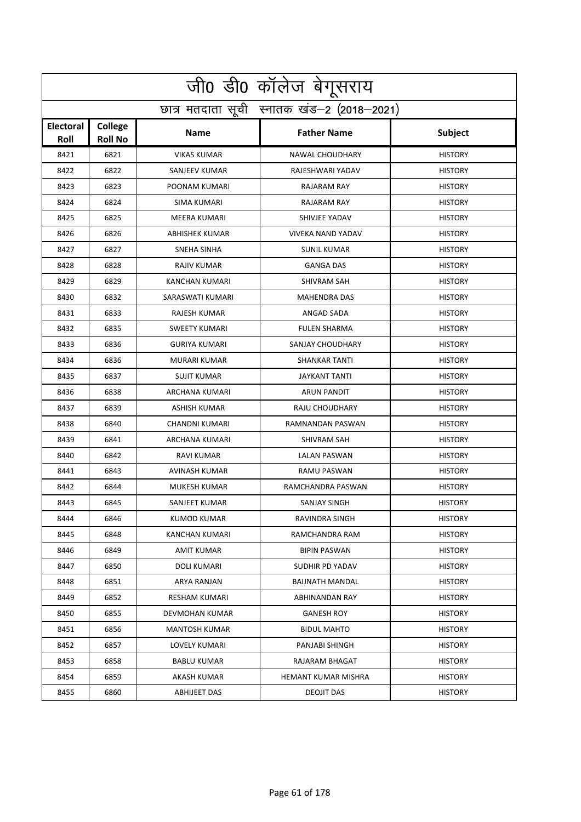|                          | जी0 डी0 कॉलेज बेगूसराय                     |                       |                          |                |  |  |
|--------------------------|--------------------------------------------|-----------------------|--------------------------|----------------|--|--|
|                          | छात्र मतदाता सूची स्नातक खंड-2 (2018-2021) |                       |                          |                |  |  |
| <b>Electoral</b><br>Roll | College<br><b>Roll No</b>                  | <b>Name</b>           | <b>Father Name</b>       | Subject        |  |  |
| 8421                     | 6821                                       | <b>VIKAS KUMAR</b>    | <b>NAWAL CHOUDHARY</b>   | <b>HISTORY</b> |  |  |
| 8422                     | 6822                                       | SANJEEV KUMAR         | RAJESHWARI YADAV         | <b>HISTORY</b> |  |  |
| 8423                     | 6823                                       | POONAM KUMARI         | RAJARAM RAY              | <b>HISTORY</b> |  |  |
| 8424                     | 6824                                       | <b>SIMA KUMARI</b>    | <b>RAJARAM RAY</b>       | <b>HISTORY</b> |  |  |
| 8425                     | 6825                                       | MEERA KUMARI          | SHIVJEE YADAV            | <b>HISTORY</b> |  |  |
| 8426                     | 6826                                       | <b>ABHISHEK KUMAR</b> | <b>VIVEKA NAND YADAV</b> | <b>HISTORY</b> |  |  |
| 8427                     | 6827                                       | <b>SNEHA SINHA</b>    | <b>SUNIL KUMAR</b>       | <b>HISTORY</b> |  |  |
| 8428                     | 6828                                       | <b>RAJIV KUMAR</b>    | <b>GANGA DAS</b>         | <b>HISTORY</b> |  |  |
| 8429                     | 6829                                       | KANCHAN KUMARI        | <b>SHIVRAM SAH</b>       | <b>HISTORY</b> |  |  |
| 8430                     | 6832                                       | SARASWATI KUMARI      | <b>MAHENDRA DAS</b>      | <b>HISTORY</b> |  |  |
| 8431                     | 6833                                       | <b>RAJESH KUMAR</b>   | ANGAD SADA               | <b>HISTORY</b> |  |  |
| 8432                     | 6835                                       | <b>SWEETY KUMARI</b>  | <b>FULEN SHARMA</b>      | <b>HISTORY</b> |  |  |
| 8433                     | 6836                                       | <b>GURIYA KUMARI</b>  | SANJAY CHOUDHARY         | <b>HISTORY</b> |  |  |
| 8434                     | 6836                                       | MURARI KUMAR          | <b>SHANKAR TANTI</b>     | <b>HISTORY</b> |  |  |
| 8435                     | 6837                                       | <b>SUJIT KUMAR</b>    | <b>JAYKANT TANTI</b>     | <b>HISTORY</b> |  |  |
| 8436                     | 6838                                       | ARCHANA KUMARI        | <b>ARUN PANDIT</b>       | <b>HISTORY</b> |  |  |
| 8437                     | 6839                                       | <b>ASHISH KUMAR</b>   | RAJU CHOUDHARY           | <b>HISTORY</b> |  |  |
| 8438                     | 6840                                       | CHANDNI KUMARI        | RAMNANDAN PASWAN         | <b>HISTORY</b> |  |  |
| 8439                     | 6841                                       | ARCHANA KUMARI        | <b>SHIVRAM SAH</b>       | <b>HISTORY</b> |  |  |
| 8440                     | 6842                                       | <b>RAVI KUMAR</b>     | <b>LALAN PASWAN</b>      | <b>HISTORY</b> |  |  |
| 8441                     | 6843                                       | <b>AVINASH KUMAR</b>  | RAMU PASWAN              | <b>HISTORY</b> |  |  |
| 8442                     | 6844                                       | MUKESH KUMAR          | RAMCHANDRA PASWAN        | <b>HISTORY</b> |  |  |
| 8443                     | 6845                                       | SANJEET KUMAR         | SANJAY SINGH             | <b>HISTORY</b> |  |  |
| 8444                     | 6846                                       | <b>KUMOD KUMAR</b>    | RAVINDRA SINGH           | <b>HISTORY</b> |  |  |
| 8445                     | 6848                                       | KANCHAN KUMARI        | RAMCHANDRA RAM           | <b>HISTORY</b> |  |  |
| 8446                     | 6849                                       | AMIT KUMAR            | <b>BIPIN PASWAN</b>      | <b>HISTORY</b> |  |  |
| 8447                     | 6850                                       | <b>DOLI KUMARI</b>    | SUDHIR PD YADAV          | <b>HISTORY</b> |  |  |
| 8448                     | 6851                                       | ARYA RANJAN           | <b>BAIJNATH MANDAL</b>   | <b>HISTORY</b> |  |  |
| 8449                     | 6852                                       | RESHAM KUMARI         | ABHINANDAN RAY           | <b>HISTORY</b> |  |  |
| 8450                     | 6855                                       | DEVMOHAN KUMAR        | <b>GANESH ROY</b>        | <b>HISTORY</b> |  |  |
| 8451                     | 6856                                       | MANTOSH KUMAR         | <b>BIDUL MAHTO</b>       | <b>HISTORY</b> |  |  |
| 8452                     | 6857                                       | LOVELY KUMARI         | PANJABI SHINGH           | <b>HISTORY</b> |  |  |
| 8453                     | 6858                                       | BABLU KUMAR           | RAJARAM BHAGAT           | <b>HISTORY</b> |  |  |
| 8454                     | 6859                                       | AKASH KUMAR           | HEMANT KUMAR MISHRA      | <b>HISTORY</b> |  |  |
| 8455                     | 6860                                       | <b>ABHIJEET DAS</b>   | DEOJIT DAS               | <b>HISTORY</b> |  |  |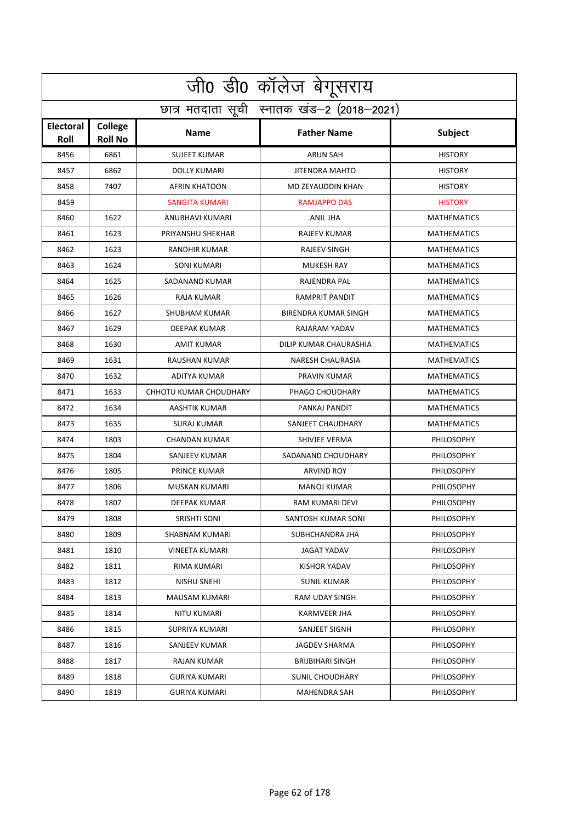|                          | <u>जी0 डी0</u> कॉलेज बेगूसराय              |                        |                             |                    |  |  |
|--------------------------|--------------------------------------------|------------------------|-----------------------------|--------------------|--|--|
|                          | छात्र मतदाता सूची स्नातक खंड-2 (2018-2021) |                        |                             |                    |  |  |
| <b>Electoral</b><br>Roll | College<br><b>Roll No</b>                  | <b>Name</b>            | <b>Father Name</b>          | Subject            |  |  |
| 8456                     | 6861                                       | <b>SUJEET KUMAR</b>    | <b>ARUN SAH</b>             | <b>HISTORY</b>     |  |  |
| 8457                     | 6862                                       | <b>DOLLY KUMARI</b>    | <b>JITENDRA MAHTO</b>       | <b>HISTORY</b>     |  |  |
| 8458                     | 7407                                       | <b>AFRIN KHATOON</b>   | MD ZEYAUDDIN KHAN           | <b>HISTORY</b>     |  |  |
| 8459                     |                                            | <b>SANGITA KUMARI</b>  | <b>RAMJAPPO DAS</b>         | <b>HISTORY</b>     |  |  |
| 8460                     | 1622                                       | ANUBHAVI KUMARI        | ANIL JHA                    | <b>MATHEMATICS</b> |  |  |
| 8461                     | 1623                                       | PRIYANSHU SHEKHAR      | <b>RAJEEV KUMAR</b>         | <b>MATHEMATICS</b> |  |  |
| 8462                     | 1623                                       | RANDHIR KUMAR          | <b>RAJEEV SINGH</b>         | <b>MATHEMATICS</b> |  |  |
| 8463                     | 1624                                       | <b>SONI KUMARI</b>     | <b>MUKESH RAY</b>           | <b>MATHEMATICS</b> |  |  |
| 8464                     | 1625                                       | SADANAND KUMAR         | RAJENDRA PAL                | <b>MATHEMATICS</b> |  |  |
| 8465                     | 1626                                       | <b>RAJA KUMAR</b>      | <b>RAMPRIT PANDIT</b>       | <b>MATHEMATICS</b> |  |  |
| 8466                     | 1627                                       | <b>SHUBHAM KUMAR</b>   | <b>BIRENDRA KUMAR SINGH</b> | <b>MATHEMATICS</b> |  |  |
| 8467                     | 1629                                       | DEEPAK KUMAR           | RAJARAM YADAV               | <b>MATHEMATICS</b> |  |  |
| 8468                     | 1630                                       | <b>AMIT KUMAR</b>      | DILIP KUMAR CHAURASHIA      | <b>MATHEMATICS</b> |  |  |
| 8469                     | 1631                                       | RAUSHAN KUMAR          | <b>NARESH CHAURASIA</b>     | <b>MATHEMATICS</b> |  |  |
| 8470                     | 1632                                       | ADITYA KUMAR           | PRAVIN KUMAR                | <b>MATHEMATICS</b> |  |  |
| 8471                     | 1633                                       | CHHOTU KUMAR CHOUDHARY | PHAGO CHOUDHARY             | <b>MATHEMATICS</b> |  |  |
| 8472                     | 1634                                       | AASHTIK KUMAR          | PANKAJ PANDIT               | <b>MATHEMATICS</b> |  |  |
| 8473                     | 1635                                       | <b>SURAJ KUMAR</b>     | SANJEET CHAUDHARY           | <b>MATHEMATICS</b> |  |  |
| 8474                     | 1803                                       | <b>CHANDAN KUMAR</b>   | SHIVJEE VERMA               | PHILOSOPHY         |  |  |
| 8475                     | 1804                                       | SANJEEV KUMAR          | SADANAND CHOUDHARY          | PHILOSOPHY         |  |  |
| 8476                     | 1805                                       | PRINCE KUMAR           | <b>ARVIND ROY</b>           | PHILOSOPHY         |  |  |
| 8477                     | 1806                                       | MUSKAN KUMARI          | <b>MANOJ KUMAR</b>          | <b>PHILOSOPHY</b>  |  |  |
| 8478                     | 1807                                       | DEEPAK KUMAR           | RAM KUMARI DEVI             | <b>PHILOSOPHY</b>  |  |  |
| 8479                     | 1808                                       | SRISHTI SONI           | SANTOSH KUMAR SONI          | PHILOSOPHY         |  |  |
| 8480                     | 1809                                       | SHABNAM KUMARI         | SUBHCHANDRA JHA             | <b>PHILOSOPHY</b>  |  |  |
| 8481                     | 1810                                       | <b>VINEETA KUMARI</b>  | JAGAT YADAV                 | <b>PHILOSOPHY</b>  |  |  |
| 8482                     | 1811                                       | RIMA KUMARI            | <b>KISHOR YADAV</b>         | <b>PHILOSOPHY</b>  |  |  |
| 8483                     | 1812                                       | NISHU SNEHI            | <b>SUNIL KUMAR</b>          | <b>PHILOSOPHY</b>  |  |  |
| 8484                     | 1813                                       | MAUSAM KUMARI          | RAM UDAY SINGH              | <b>PHILOSOPHY</b>  |  |  |
| 8485                     | 1814                                       | NITU KUMARI            | KARMVEER JHA                | <b>PHILOSOPHY</b>  |  |  |
| 8486                     | 1815                                       | SUPRIYA KUMARI         | SANJEET SIGNH               | <b>PHILOSOPHY</b>  |  |  |
| 8487                     | 1816                                       | SANJEEV KUMAR          | JAGDEV SHARMA               | <b>PHILOSOPHY</b>  |  |  |
| 8488                     | 1817                                       | RAJAN KUMAR            | <b>BRIJBIHARI SINGH</b>     | <b>PHILOSOPHY</b>  |  |  |
| 8489                     | 1818                                       | <b>GURIYA KUMARI</b>   | SUNIL CHOUDHARY             | PHILOSOPHY         |  |  |
| 8490                     | 1819                                       | GURIYA KUMARI          | MAHENDRA SAH                | PHILOSOPHY         |  |  |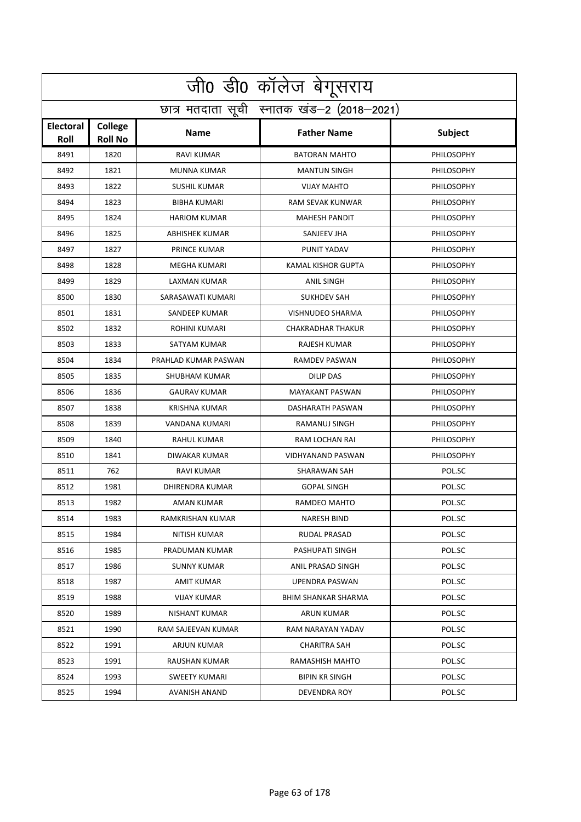|                   | जी0 डी0 कॉलेज बेगूसराय                     |                       |                           |                   |  |  |
|-------------------|--------------------------------------------|-----------------------|---------------------------|-------------------|--|--|
|                   | छात्र मतदाता सूची स्नातक खंड-2 (2018-2021) |                       |                           |                   |  |  |
| Electoral<br>Roll | College<br><b>Roll No</b>                  | <b>Name</b>           | <b>Father Name</b>        | Subject           |  |  |
| 8491              | 1820                                       | <b>RAVI KUMAR</b>     | <b>BATORAN MAHTO</b>      | <b>PHILOSOPHY</b> |  |  |
| 8492              | 1821                                       | <b>MUNNA KUMAR</b>    | <b>MANTUN SINGH</b>       | <b>PHILOSOPHY</b> |  |  |
| 8493              | 1822                                       | <b>SUSHIL KUMAR</b>   | <b>VIJAY MAHTO</b>        | <b>PHILOSOPHY</b> |  |  |
| 8494              | 1823                                       | <b>BIBHA KUMARI</b>   | <b>RAM SEVAK KUNWAR</b>   | PHILOSOPHY        |  |  |
| 8495              | 1824                                       | <b>HARIOM KUMAR</b>   | <b>MAHESH PANDIT</b>      | <b>PHILOSOPHY</b> |  |  |
| 8496              | 1825                                       | <b>ABHISHEK KUMAR</b> | SANJEEV JHA               | <b>PHILOSOPHY</b> |  |  |
| 8497              | 1827                                       | PRINCE KUMAR          | PUNIT YADAV               | PHILOSOPHY        |  |  |
| 8498              | 1828                                       | MEGHA KUMARI          | <b>KAMAL KISHOR GUPTA</b> | <b>PHILOSOPHY</b> |  |  |
| 8499              | 1829                                       | LAXMAN KUMAR          | <b>ANIL SINGH</b>         | PHILOSOPHY        |  |  |
| 8500              | 1830                                       | SARASAWATI KUMARI     | <b>SUKHDEV SAH</b>        | <b>PHILOSOPHY</b> |  |  |
| 8501              | 1831                                       | SANDEEP KUMAR         | VISHNUDEO SHARMA          | PHILOSOPHY        |  |  |
| 8502              | 1832                                       | ROHINI KUMARI         | <b>CHAKRADHAR THAKUR</b>  | <b>PHILOSOPHY</b> |  |  |
| 8503              | 1833                                       | SATYAM KUMAR          | RAJESH KUMAR              | <b>PHILOSOPHY</b> |  |  |
| 8504              | 1834                                       | PRAHLAD KUMAR PASWAN  | <b>RAMDEV PASWAN</b>      | PHILOSOPHY        |  |  |
| 8505              | 1835                                       | SHUBHAM KUMAR         | <b>DILIP DAS</b>          | <b>PHILOSOPHY</b> |  |  |
| 8506              | 1836                                       | <b>GAURAV KUMAR</b>   | <b>MAYAKANT PASWAN</b>    | <b>PHILOSOPHY</b> |  |  |
| 8507              | 1838                                       | <b>KRISHNA KUMAR</b>  | DASHARATH PASWAN          | PHILOSOPHY        |  |  |
| 8508              | 1839                                       | VANDANA KUMARI        | RAMANUJ SINGH             | <b>PHILOSOPHY</b> |  |  |
| 8509              | 1840                                       | RAHUL KUMAR           | RAM LOCHAN RAI            | <b>PHILOSOPHY</b> |  |  |
| 8510              | 1841                                       | DIWAKAR KUMAR         | VIDHYANAND PASWAN         | <b>PHILOSOPHY</b> |  |  |
| 8511              | 762                                        | <b>RAVI KUMAR</b>     | <b>SHARAWAN SAH</b>       | POL.SC            |  |  |
| 8512              | 1981                                       | DHIRENDRA KUMAR       | <b>GOPAL SINGH</b>        | POL.SC            |  |  |
| 8513              | 1982                                       | AMAN KUMAR            | RAMDEO MAHTO              | POL.SC            |  |  |
| 8514              | 1983                                       | RAMKRISHAN KUMAR      | <b>NARESH BIND</b>        | POL.SC            |  |  |
| 8515              | 1984                                       | NITISH KUMAR          | RUDAL PRASAD              | POL.SC            |  |  |
| 8516              | 1985                                       | PRADUMAN KUMAR        | PASHUPATI SINGH           | POL.SC            |  |  |
| 8517              | 1986                                       | SUNNY KUMAR           | ANIL PRASAD SINGH         | POL.SC            |  |  |
| 8518              | 1987                                       | AMIT KUMAR            | UPENDRA PASWAN            | POL.SC            |  |  |
| 8519              | 1988                                       | VIJAY KUMAR           | BHIM SHANKAR SHARMA       | POL.SC            |  |  |
| 8520              | 1989                                       | NISHANT KUMAR         | ARUN KUMAR                | POL.SC            |  |  |
| 8521              | 1990                                       | RAM SAJEEVAN KUMAR    | RAM NARAYAN YADAV         | POL.SC            |  |  |
| 8522              | 1991                                       | ARJUN KUMAR           | CHARITRA SAH              | POL.SC            |  |  |
| 8523              | 1991                                       | RAUSHAN KUMAR         | RAMASHISH MAHTO           | POL.SC            |  |  |
| 8524              | 1993                                       | SWEETY KUMARI         | BIPIN KR SINGH            | POL.SC            |  |  |
| 8525              | 1994                                       | AVANISH ANAND         | DEVENDRA ROY              | POL.SC            |  |  |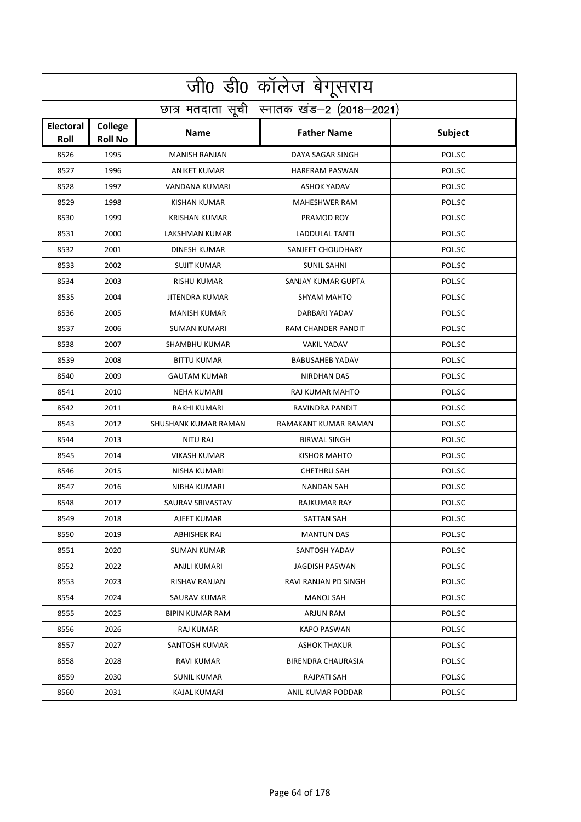|                          | <u>जी0 डी0 कॉलेज बेगू</u> सराय             |                       |                        |         |  |  |
|--------------------------|--------------------------------------------|-----------------------|------------------------|---------|--|--|
|                          | छात्र मतदाता सूची स्नातक खंड-2 (2018-2021) |                       |                        |         |  |  |
| <b>Electoral</b><br>Roll | College<br><b>Roll No</b>                  | <b>Name</b>           | <b>Father Name</b>     | Subject |  |  |
| 8526                     | 1995                                       | <b>MANISH RANJAN</b>  | DAYA SAGAR SINGH       | POL.SC  |  |  |
| 8527                     | 1996                                       | <b>ANIKET KUMAR</b>   | <b>HARERAM PASWAN</b>  | POL.SC  |  |  |
| 8528                     | 1997                                       | VANDANA KUMARI        | <b>ASHOK YADAV</b>     | POL.SC  |  |  |
| 8529                     | 1998                                       | <b>KISHAN KUMAR</b>   | <b>MAHESHWER RAM</b>   | POL.SC  |  |  |
| 8530                     | 1999                                       | <b>KRISHAN KUMAR</b>  | PRAMOD ROY             | POL.SC  |  |  |
| 8531                     | 2000                                       | LAKSHMAN KUMAR        | <b>LADDULAL TANTI</b>  | POL.SC  |  |  |
| 8532                     | 2001                                       | DINESH KUMAR          | SANJEET CHOUDHARY      | POL.SC  |  |  |
| 8533                     | 2002                                       | <b>SUJIT KUMAR</b>    | <b>SUNIL SAHNI</b>     | POL.SC  |  |  |
| 8534                     | 2003                                       | RISHU KUMAR           | SANJAY KUMAR GUPTA     | POL.SC  |  |  |
| 8535                     | 2004                                       | <b>JITENDRA KUMAR</b> | <b>SHYAM MAHTO</b>     | POL.SC  |  |  |
| 8536                     | 2005                                       | <b>MANISH KUMAR</b>   | DARBARI YADAV          | POL.SC  |  |  |
| 8537                     | 2006                                       | <b>SUMAN KUMARI</b>   | RAM CHANDER PANDIT     | POL.SC  |  |  |
| 8538                     | 2007                                       | SHAMBHU KUMAR         | <b>VAKIL YADAV</b>     | POL.SC  |  |  |
| 8539                     | 2008                                       | <b>BITTU KUMAR</b>    | <b>BABUSAHEB YADAV</b> | POL.SC  |  |  |
| 8540                     | 2009                                       | <b>GAUTAM KUMAR</b>   | <b>NIRDHAN DAS</b>     | POL.SC  |  |  |
| 8541                     | 2010                                       | <b>NEHA KUMARI</b>    | RAJ KUMAR MAHTO        | POL.SC  |  |  |
| 8542                     | 2011                                       | RAKHI KUMARI          | RAVINDRA PANDIT        | POL.SC  |  |  |
| 8543                     | 2012                                       | SHUSHANK KUMAR RAMAN  | RAMAKANT KUMAR RAMAN   | POL.SC  |  |  |
| 8544                     | 2013                                       | <b>NITU RAJ</b>       | <b>BIRWAL SINGH</b>    | POL.SC  |  |  |
| 8545                     | 2014                                       | <b>VIKASH KUMAR</b>   | <b>KISHOR MAHTO</b>    | POL.SC  |  |  |
| 8546                     | 2015                                       | NISHA KUMARI          | <b>CHETHRU SAH</b>     | POL.SC  |  |  |
| 8547                     | 2016                                       | NIBHA KUMARI          | NANDAN SAH             | POL.SC  |  |  |
| 8548                     | 2017                                       | SAURAV SRIVASTAV      | RAJKUMAR RAY           | POL.SC  |  |  |
| 8549                     | 2018                                       | AJEET KUMAR           | <b>SATTAN SAH</b>      | POL.SC  |  |  |
| 8550                     | 2019                                       | ABHISHEK RAJ          | <b>MANTUN DAS</b>      | POL.SC  |  |  |
| 8551                     | 2020                                       | SUMAN KUMAR           | SANTOSH YADAV          | POL.SC  |  |  |
| 8552                     | 2022                                       | ANJLI KUMARI          | <b>JAGDISH PASWAN</b>  | POL.SC  |  |  |
| 8553                     | 2023                                       | RISHAV RANJAN         | RAVI RANJAN PD SINGH   | POL.SC  |  |  |
| 8554                     | 2024                                       | SAURAV KUMAR          | MANOJ SAH              | POL.SC  |  |  |
| 8555                     | 2025                                       | BIPIN KUMAR RAM       | ARJUN RAM              | POL.SC  |  |  |
| 8556                     | 2026                                       | <b>RAJ KUMAR</b>      | <b>KAPO PASWAN</b>     | POL.SC  |  |  |
| 8557                     | 2027                                       | SANTOSH KUMAR         | ASHOK THAKUR           | POL.SC  |  |  |
| 8558                     | 2028                                       | RAVI KUMAR            | BIRENDRA CHAURASIA     | POL.SC  |  |  |
| 8559                     | 2030                                       | <b>SUNIL KUMAR</b>    | RAJPATI SAH            | POL.SC  |  |  |
| 8560                     | 2031                                       | KAJAL KUMARI          | ANIL KUMAR PODDAR      | POL.SC  |  |  |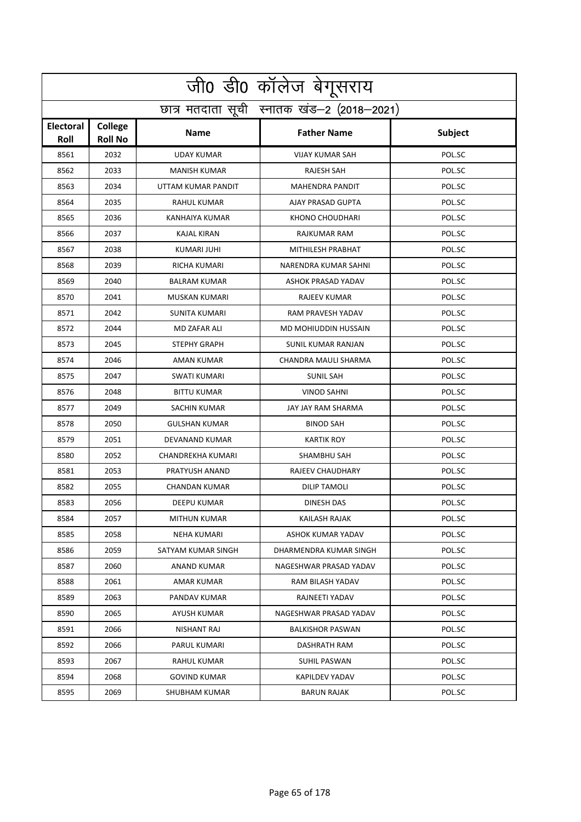|                          | जी0 डी0 कॉलेज बेगूसराय                     |                      |                           |         |  |  |
|--------------------------|--------------------------------------------|----------------------|---------------------------|---------|--|--|
|                          | छात्र मतदाता सूची स्नातक खंड-2 (2018-2021) |                      |                           |         |  |  |
| <b>Electoral</b><br>Roll | College<br><b>Roll No</b>                  | <b>Name</b>          | <b>Father Name</b>        | Subject |  |  |
| 8561                     | 2032                                       | <b>UDAY KUMAR</b>    | <b>VIJAY KUMAR SAH</b>    | POL.SC  |  |  |
| 8562                     | 2033                                       | <b>MANISH KUMAR</b>  | RAJESH SAH                | POL.SC  |  |  |
| 8563                     | 2034                                       | UTTAM KUMAR PANDIT   | <b>MAHENDRA PANDIT</b>    | POL.SC  |  |  |
| 8564                     | 2035                                       | RAHUL KUMAR          | AJAY PRASAD GUPTA         | POL.SC  |  |  |
| 8565                     | 2036                                       | KANHAIYA KUMAR       | KHONO CHOUDHARI           | POL.SC  |  |  |
| 8566                     | 2037                                       | KAJAL KIRAN          | RAJKUMAR RAM              | POL.SC  |  |  |
| 8567                     | 2038                                       | KUMARI JUHI          | MITHILESH PRABHAT         | POL.SC  |  |  |
| 8568                     | 2039                                       | RICHA KUMARI         | NARENDRA KUMAR SAHNI      | POL.SC  |  |  |
| 8569                     | 2040                                       | <b>BALRAM KUMAR</b>  | <b>ASHOK PRASAD YADAV</b> | POL.SC  |  |  |
| 8570                     | 2041                                       | MUSKAN KUMARI        | RAJEEV KUMAR              | POL.SC  |  |  |
| 8571                     | 2042                                       | <b>SUNITA KUMARI</b> | RAM PRAVESH YADAV         | POL.SC  |  |  |
| 8572                     | 2044                                       | MD ZAFAR ALI         | MD MOHIUDDIN HUSSAIN      | POL.SC  |  |  |
| 8573                     | 2045                                       | STEPHY GRAPH         | SUNIL KUMAR RANJAN        | POL.SC  |  |  |
| 8574                     | 2046                                       | <b>AMAN KUMAR</b>    | CHANDRA MAULI SHARMA      | POL.SC  |  |  |
| 8575                     | 2047                                       | SWATI KUMARI         | <b>SUNIL SAH</b>          | POL.SC  |  |  |
| 8576                     | 2048                                       | <b>BITTU KUMAR</b>   | <b>VINOD SAHNI</b>        | POL.SC  |  |  |
| 8577                     | 2049                                       | SACHIN KUMAR         | JAY JAY RAM SHARMA        | POL.SC  |  |  |
| 8578                     | 2050                                       | <b>GULSHAN KUMAR</b> | <b>BINOD SAH</b>          | POL.SC  |  |  |
| 8579                     | 2051                                       | DEVANAND KUMAR       | <b>KARTIK ROY</b>         | POL.SC  |  |  |
| 8580                     | 2052                                       | CHANDREKHA KUMARI    | <b>SHAMBHU SAH</b>        | POL.SC  |  |  |
| 8581                     | 2053                                       | PRATYUSH ANAND       | RAJEEV CHAUDHARY          | POL.SC  |  |  |
| 8582                     | 2055                                       | <b>CHANDAN KUMAR</b> | <b>DILIP TAMOLI</b>       | POL.SC  |  |  |
| 8583                     | 2056                                       | DEEPU KUMAR          | DINESH DAS                | POL.SC  |  |  |
| 8584                     | 2057                                       | <b>MITHUN KUMAR</b>  | KAILASH RAJAK             | POL.SC  |  |  |
| 8585                     | 2058                                       | NEHA KUMARI          | ASHOK KUMAR YADAV         | POL.SC  |  |  |
| 8586                     | 2059                                       | SATYAM KUMAR SINGH   | DHARMENDRA KUMAR SINGH    | POL.SC  |  |  |
| 8587                     | 2060                                       | ANAND KUMAR          | NAGESHWAR PRASAD YADAV    | POL.SC  |  |  |
| 8588                     | 2061                                       | AMAR KUMAR           | RAM BILASH YADAV          | POL.SC  |  |  |
| 8589                     | 2063                                       | PANDAV KUMAR         | RAJNEETI YADAV            | POL.SC  |  |  |
| 8590                     | 2065                                       | AYUSH KUMAR          | NAGESHWAR PRASAD YADAV    | POL.SC  |  |  |
| 8591                     | 2066                                       | NISHANT RAJ          | <b>BALKISHOR PASWAN</b>   | POL.SC  |  |  |
| 8592                     | 2066                                       | PARUL KUMARI         | DASHRATH RAM              | POL.SC  |  |  |
| 8593                     | 2067                                       | RAHUL KUMAR          | SUHIL PASWAN              | POL.SC  |  |  |
| 8594                     | 2068                                       | <b>GOVIND KUMAR</b>  | KAPILDEV YADAV            | POL.SC  |  |  |
| 8595                     | 2069                                       | SHUBHAM KUMAR        | <b>BARUN RAJAK</b>        | POL.SC  |  |  |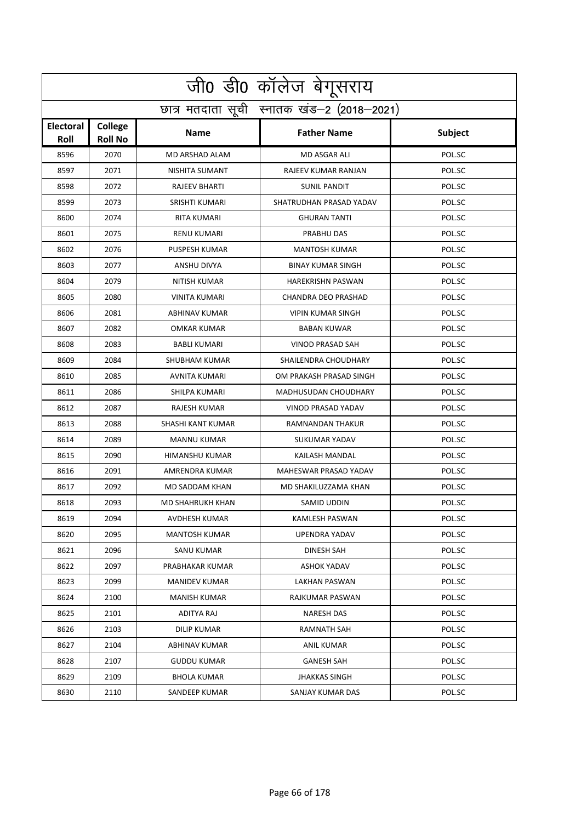|                          | <u>जी0 डी0 कॉलेज बेगू</u> सराय             |                         |                            |         |  |  |
|--------------------------|--------------------------------------------|-------------------------|----------------------------|---------|--|--|
|                          | छात्र मतदाता सूची स्नातक खंड-2 (2018-2021) |                         |                            |         |  |  |
| <b>Electoral</b><br>Roll | College<br><b>Roll No</b>                  | <b>Name</b>             | <b>Father Name</b>         | Subject |  |  |
| 8596                     | 2070                                       | <b>MD ARSHAD ALAM</b>   | <b>MD ASGAR ALI</b>        | POL.SC  |  |  |
| 8597                     | 2071                                       | NISHITA SUMANT          | RAJEEV KUMAR RANJAN        | POL.SC  |  |  |
| 8598                     | 2072                                       | <b>RAJEEV BHARTI</b>    | <b>SUNIL PANDIT</b>        | POL.SC  |  |  |
| 8599                     | 2073                                       | <b>SRISHTI KUMARI</b>   | SHATRUDHAN PRASAD YADAV    | POL.SC  |  |  |
| 8600                     | 2074                                       | RITA KUMARI             | <b>GHURAN TANTI</b>        | POL.SC  |  |  |
| 8601                     | 2075                                       | <b>RENU KUMARI</b>      | PRABHU DAS                 | POL.SC  |  |  |
| 8602                     | 2076                                       | PUSPESH KUMAR           | <b>MANTOSH KUMAR</b>       | POL.SC  |  |  |
| 8603                     | 2077                                       | ANSHU DIVYA             | <b>BINAY KUMAR SINGH</b>   | POL.SC  |  |  |
| 8604                     | 2079                                       | <b>NITISH KUMAR</b>     | <b>HAREKRISHN PASWAN</b>   | POL.SC  |  |  |
| 8605                     | 2080                                       | <b>VINITA KUMARI</b>    | <b>CHANDRA DEO PRASHAD</b> | POL.SC  |  |  |
| 8606                     | 2081                                       | ABHINAV KUMAR           | <b>VIPIN KUMAR SINGH</b>   | POL.SC  |  |  |
| 8607                     | 2082                                       | OMKAR KUMAR             | <b>BABAN KUWAR</b>         | POL.SC  |  |  |
| 8608                     | 2083                                       | <b>BABLI KUMARI</b>     | <b>VINOD PRASAD SAH</b>    | POL.SC  |  |  |
| 8609                     | 2084                                       | SHUBHAM KUMAR           | SHAILENDRA CHOUDHARY       | POL.SC  |  |  |
| 8610                     | 2085                                       | AVNITA KUMARI           | OM PRAKASH PRASAD SINGH    | POL.SC  |  |  |
| 8611                     | 2086                                       | SHILPA KUMARI           | MADHUSUDAN CHOUDHARY       | POL.SC  |  |  |
| 8612                     | 2087                                       | RAJESH KUMAR            | VINOD PRASAD YADAV         | POL.SC  |  |  |
| 8613                     | 2088                                       | SHASHI KANT KUMAR       | RAMNANDAN THAKUR           | POL.SC  |  |  |
| 8614                     | 2089                                       | <b>MANNU KUMAR</b>      | SUKUMAR YADAV              | POL.SC  |  |  |
| 8615                     | 2090                                       | HIMANSHU KUMAR          | KAILASH MANDAL             | POL.SC  |  |  |
| 8616                     | 2091                                       | AMRENDRA KUMAR          | MAHESWAR PRASAD YADAV      | POL.SC  |  |  |
| 8617                     | 2092                                       | MD SADDAM KHAN          | MD SHAKILUZZAMA KHAN       | POL.SC  |  |  |
| 8618                     | 2093                                       | <b>MD SHAHRUKH KHAN</b> | SAMID UDDIN                | POL.SC  |  |  |
| 8619                     | 2094                                       | AVDHESH KUMAR           | KAMLESH PASWAN             | POL.SC  |  |  |
| 8620                     | 2095                                       | MANTOSH KUMAR           | UPENDRA YADAV              | POL.SC  |  |  |
| 8621                     | 2096                                       | SANU KUMAR              | DINESH SAH                 | POL.SC  |  |  |
| 8622                     | 2097                                       | PRABHAKAR KUMAR         | <b>ASHOK YADAV</b>         | POL.SC  |  |  |
| 8623                     | 2099                                       | MANIDEV KUMAR           | LAKHAN PASWAN              | POL.SC  |  |  |
| 8624                     | 2100                                       | MANISH KUMAR            | RAJKUMAR PASWAN            | POL.SC  |  |  |
| 8625                     | 2101                                       | ADITYA RAJ              | <b>NARESH DAS</b>          | POL.SC  |  |  |
| 8626                     | 2103                                       | DILIP KUMAR             | RAMNATH SAH                | POL.SC  |  |  |
| 8627                     | 2104                                       | ABHINAV KUMAR           | ANIL KUMAR                 | POL.SC  |  |  |
| 8628                     | 2107                                       | <b>GUDDU KUMAR</b>      | GANESH SAH                 | POL.SC  |  |  |
| 8629                     | 2109                                       | BHOLA KUMAR             | <b>JHAKKAS SINGH</b>       | POL.SC  |  |  |
| 8630                     | 2110                                       | SANDEEP KUMAR           | SANJAY KUMAR DAS           | POL.SC  |  |  |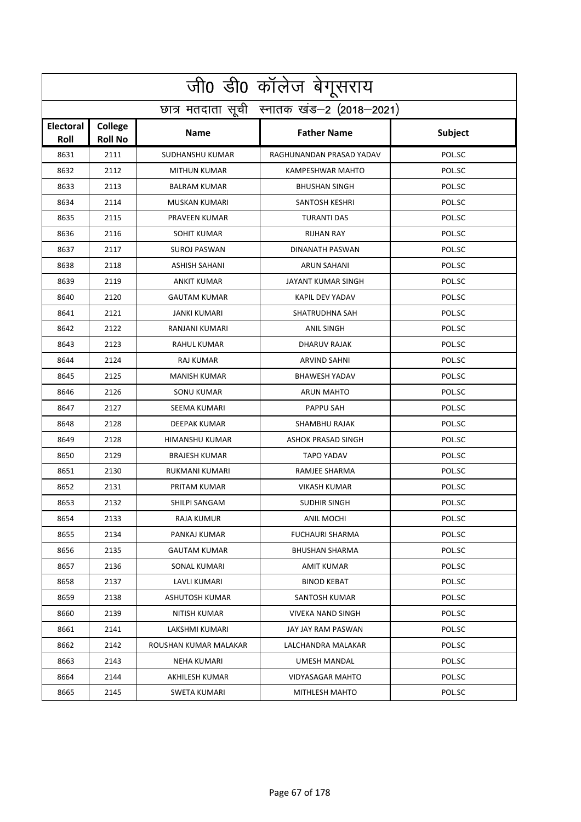|                          | <u>जी0 डी0 कॉलेज बेगू</u> सराय             |                        |                          |         |  |  |
|--------------------------|--------------------------------------------|------------------------|--------------------------|---------|--|--|
|                          | छात्र मतदाता सूची स्नातक खंड-2 (2018-2021) |                        |                          |         |  |  |
| <b>Electoral</b><br>Roll | College<br><b>Roll No</b>                  | <b>Name</b>            | <b>Father Name</b>       | Subject |  |  |
| 8631                     | 2111                                       | <b>SUDHANSHU KUMAR</b> | RAGHUNANDAN PRASAD YADAV | POL.SC  |  |  |
| 8632                     | 2112                                       | <b>MITHUN KUMAR</b>    | <b>KAMPESHWAR MAHTO</b>  | POL.SC  |  |  |
| 8633                     | 2113                                       | <b>BALRAM KUMAR</b>    | <b>BHUSHAN SINGH</b>     | POL.SC  |  |  |
| 8634                     | 2114                                       | MUSKAN KUMARI          | <b>SANTOSH KESHRI</b>    | POL.SC  |  |  |
| 8635                     | 2115                                       | PRAVEEN KUMAR          | TURANTI DAS              | POL.SC  |  |  |
| 8636                     | 2116                                       | <b>SOHIT KUMAR</b>     | <b>RIJHAN RAY</b>        | POL.SC  |  |  |
| 8637                     | 2117                                       | <b>SUROJ PASWAN</b>    | DINANATH PASWAN          | POL.SC  |  |  |
| 8638                     | 2118                                       | <b>ASHISH SAHANI</b>   | <b>ARUN SAHANI</b>       | POL.SC  |  |  |
| 8639                     | 2119                                       | <b>ANKIT KUMAR</b>     | JAYANT KUMAR SINGH       | POL.SC  |  |  |
| 8640                     | 2120                                       | <b>GAUTAM KUMAR</b>    | KAPIL DEV YADAV          | POL.SC  |  |  |
| 8641                     | 2121                                       | <b>JANKI KUMARI</b>    | <b>SHATRUDHNA SAH</b>    | POL.SC  |  |  |
| 8642                     | 2122                                       | RANJANI KUMARI         | ANIL SINGH               | POL.SC  |  |  |
| 8643                     | 2123                                       | RAHUL KUMAR            | DHARUV RAJAK             | POL.SC  |  |  |
| 8644                     | 2124                                       | RAJ KUMAR              | <b>ARVIND SAHNI</b>      | POL.SC  |  |  |
| 8645                     | 2125                                       | <b>MANISH KUMAR</b>    | <b>BHAWESH YADAV</b>     | POL.SC  |  |  |
| 8646                     | 2126                                       | SONU KUMAR             | <b>ARUN MAHTO</b>        | POL.SC  |  |  |
| 8647                     | 2127                                       | SEEMA KUMARI           | PAPPU SAH                | POL.SC  |  |  |
| 8648                     | 2128                                       | DEEPAK KUMAR           | SHAMBHU RAJAK            | POL.SC  |  |  |
| 8649                     | 2128                                       | HIMANSHU KUMAR         | ASHOK PRASAD SINGH       | POL.SC  |  |  |
| 8650                     | 2129                                       | <b>BRAJESH KUMAR</b>   | <b>TAPO YADAV</b>        | POL.SC  |  |  |
| 8651                     | 2130                                       | RUKMANI KUMARI         | RAMJEE SHARMA            | POL.SC  |  |  |
| 8652                     | 2131                                       | PRITAM KUMAR           | <b>VIKASH KUMAR</b>      | POL.SC  |  |  |
| 8653                     | 2132                                       | SHILPI SANGAM          | <b>SUDHIR SINGH</b>      | POL.SC  |  |  |
| 8654                     | 2133                                       | RAJA KUMUR             | ANIL MOCHI               | POL.SC  |  |  |
| 8655                     | 2134                                       | PANKAJ KUMAR           | <b>FUCHAURI SHARMA</b>   | POL.SC  |  |  |
| 8656                     | 2135                                       | <b>GAUTAM KUMAR</b>    | <b>BHUSHAN SHARMA</b>    | POL.SC  |  |  |
| 8657                     | 2136                                       | SONAL KUMARI           | AMIT KUMAR               | POL.SC  |  |  |
| 8658                     | 2137                                       | LAVLI KUMARI           | <b>BINOD KEBAT</b>       | POL.SC  |  |  |
| 8659                     | 2138                                       | ASHUTOSH KUMAR         | SANTOSH KUMAR            | POL.SC  |  |  |
| 8660                     | 2139                                       | NITISH KUMAR           | <b>VIVEKA NAND SINGH</b> | POL.SC  |  |  |
| 8661                     | 2141                                       | LAKSHMI KUMARI         | JAY JAY RAM PASWAN       | POL.SC  |  |  |
| 8662                     | 2142                                       | ROUSHAN KUMAR MALAKAR  | LALCHANDRA MALAKAR       | POL.SC  |  |  |
| 8663                     | 2143                                       | NEHA KUMARI            | UMESH MANDAL             | POL.SC  |  |  |
| 8664                     | 2144                                       | AKHILESH KUMAR         | VIDYASAGAR MAHTO         | POL.SC  |  |  |
| 8665                     | 2145                                       | SWETA KUMARI           | MITHLESH MAHTO           | POL.SC  |  |  |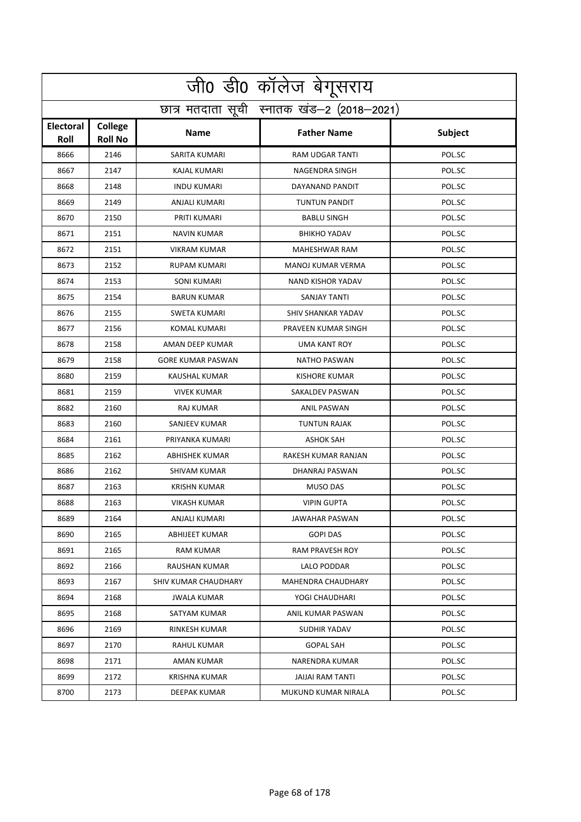|                   | <u>जी0 डी0 कॉलेज बेगू</u> सराय             |                          |                           |         |  |  |
|-------------------|--------------------------------------------|--------------------------|---------------------------|---------|--|--|
|                   | छात्र मतदाता सूची स्नातक खंड-2 (2018-2021) |                          |                           |         |  |  |
| Electoral<br>Roll | College<br><b>Roll No</b>                  | <b>Name</b>              | <b>Father Name</b>        | Subject |  |  |
| 8666              | 2146                                       | <b>SARITA KUMARI</b>     | <b>RAM UDGAR TANTI</b>    | POL.SC  |  |  |
| 8667              | 2147                                       | <b>KAJAL KUMARI</b>      | NAGENDRA SINGH            | POL.SC  |  |  |
| 8668              | 2148                                       | <b>INDU KUMARI</b>       | DAYANAND PANDIT           | POL.SC  |  |  |
| 8669              | 2149                                       | ANJALI KUMARI            | <b>TUNTUN PANDIT</b>      | POL.SC  |  |  |
| 8670              | 2150                                       | PRITI KUMARI             | <b>BABLU SINGH</b>        | POL.SC  |  |  |
| 8671              | 2151                                       | <b>NAVIN KUMAR</b>       | <b>BHIKHO YADAV</b>       | POL.SC  |  |  |
| 8672              | 2151                                       | <b>VIKRAM KUMAR</b>      | MAHESHWAR RAM             | POL.SC  |  |  |
| 8673              | 2152                                       | <b>RUPAM KUMARI</b>      | MANOJ KUMAR VERMA         | POL.SC  |  |  |
| 8674              | 2153                                       | <b>SONI KUMARI</b>       | NAND KISHOR YADAV         | POL.SC  |  |  |
| 8675              | 2154                                       | <b>BARUN KUMAR</b>       | SANJAY TANTI              | POL.SC  |  |  |
| 8676              | 2155                                       | <b>SWETA KUMARI</b>      | <b>SHIV SHANKAR YADAV</b> | POL.SC  |  |  |
| 8677              | 2156                                       | KOMAL KUMARI             | PRAVEEN KUMAR SINGH       | POL.SC  |  |  |
| 8678              | 2158                                       | AMAN DEEP KUMAR          | <b>UMA KANT ROY</b>       | POL.SC  |  |  |
| 8679              | 2158                                       | <b>GORE KUMAR PASWAN</b> | NATHO PASWAN              | POL.SC  |  |  |
| 8680              | 2159                                       | KAUSHAL KUMAR            | <b>KISHORE KUMAR</b>      | POL.SC  |  |  |
| 8681              | 2159                                       | <b>VIVEK KUMAR</b>       | SAKALDEV PASWAN           | POL.SC  |  |  |
| 8682              | 2160                                       | RAJ KUMAR                | <b>ANIL PASWAN</b>        | POL.SC  |  |  |
| 8683              | 2160                                       | SANJEEV KUMAR            | <b>TUNTUN RAJAK</b>       | POL.SC  |  |  |
| 8684              | 2161                                       | PRIYANKA KUMARI          | <b>ASHOK SAH</b>          | POL.SC  |  |  |
| 8685              | 2162                                       | ABHISHEK KUMAR           | RAKESH KUMAR RANJAN       | POL.SC  |  |  |
| 8686              | 2162                                       | <b>SHIVAM KUMAR</b>      | DHANRAJ PASWAN            | POL.SC  |  |  |
| 8687              | 2163                                       | <b>KRISHN KUMAR</b>      | <b>MUSO DAS</b>           | POL.SC  |  |  |
| 8688              | 2163                                       | VIKASH KUMAR             | <b>VIPIN GUPTA</b>        | POL.SC  |  |  |
| 8689              | 2164                                       | ANJALI KUMARI            | JAWAHAR PASWAN            | POL.SC  |  |  |
| 8690              | 2165                                       | ABHIJEET KUMAR           | <b>GOPI DAS</b>           | POL.SC  |  |  |
| 8691              | 2165                                       | RAM KUMAR                | RAM PRAVESH ROY           | POL.SC  |  |  |
| 8692              | 2166                                       | RAUSHAN KUMAR            | <b>LALO PODDAR</b>        | POL.SC  |  |  |
| 8693              | 2167                                       | SHIV KUMAR CHAUDHARY     | MAHENDRA CHAUDHARY        | POL.SC  |  |  |
| 8694              | 2168                                       | JWALA KUMAR              | YOGI CHAUDHARI            | POL.SC  |  |  |
| 8695              | 2168                                       | SATYAM KUMAR             | ANIL KUMAR PASWAN         | POL.SC  |  |  |
| 8696              | 2169                                       | RINKESH KUMAR            | SUDHIR YADAV              | POL.SC  |  |  |
| 8697              | 2170                                       | RAHUL KUMAR              | <b>GOPAL SAH</b>          | POL.SC  |  |  |
| 8698              | 2171                                       | AMAN KUMAR               | NARENDRA KUMAR            | POL.SC  |  |  |
| 8699              | 2172                                       | KRISHNA KUMAR            | JAIJAI RAM TANTI          | POL.SC  |  |  |
| 8700              | 2173                                       | DEEPAK KUMAR             | MUKUND KUMAR NIRALA       | POL.SC  |  |  |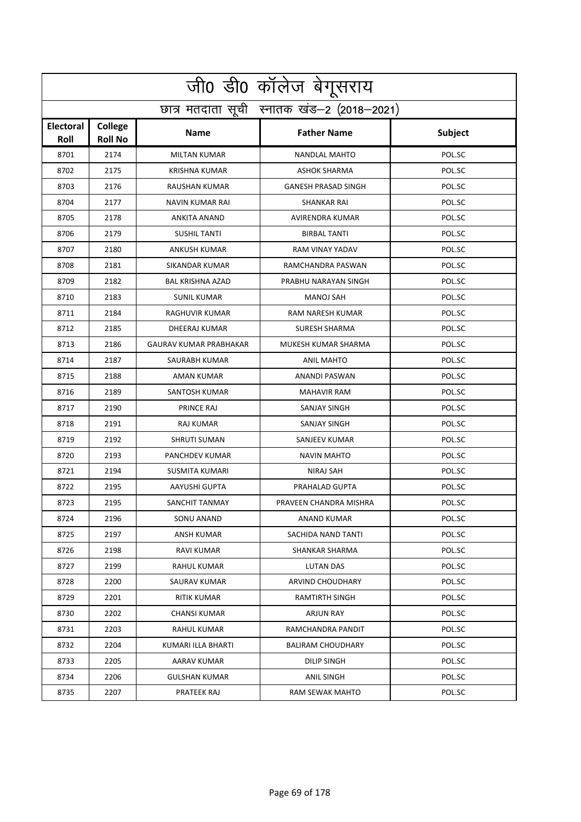|                          | <u>जी0 डी0 कॉलेज बेगू</u> सराय             |                               |                            |         |  |  |
|--------------------------|--------------------------------------------|-------------------------------|----------------------------|---------|--|--|
|                          | छात्र मतदाता सूची स्नातक खंड-2 (2018-2021) |                               |                            |         |  |  |
| <b>Electoral</b><br>Roll | College<br><b>Roll No</b>                  | <b>Name</b>                   | <b>Father Name</b>         | Subject |  |  |
| 8701                     | 2174                                       | <b>MILTAN KUMAR</b>           | <b>NANDLAL MAHTO</b>       | POL.SC  |  |  |
| 8702                     | 2175                                       | <b>KRISHNA KUMAR</b>          | <b>ASHOK SHARMA</b>        | POL.SC  |  |  |
| 8703                     | 2176                                       | RAUSHAN KUMAR                 | <b>GANESH PRASAD SINGH</b> | POL.SC  |  |  |
| 8704                     | 2177                                       | <b>NAVIN KUMAR RAI</b>        | <b>SHANKAR RAI</b>         | POL.SC  |  |  |
| 8705                     | 2178                                       | ANKITA ANAND                  | AVIRENDRA KUMAR            | POL.SC  |  |  |
| 8706                     | 2179                                       | <b>SUSHIL TANTI</b>           | <b>BIRBAL TANTI</b>        | POL.SC  |  |  |
| 8707                     | 2180                                       | ANKUSH KUMAR                  | RAM VINAY YADAV            | POL.SC  |  |  |
| 8708                     | 2181                                       | <b>SIKANDAR KUMAR</b>         | RAMCHANDRA PASWAN          | POL.SC  |  |  |
| 8709                     | 2182                                       | <b>BAL KRISHNA AZAD</b>       | PRABHU NARAYAN SINGH       | POL.SC  |  |  |
| 8710                     | 2183                                       | <b>SUNIL KUMAR</b>            | <b>MANOJ SAH</b>           | POL.SC  |  |  |
| 8711                     | 2184                                       | RAGHUVIR KUMAR                | <b>RAM NARESH KUMAR</b>    | POL.SC  |  |  |
| 8712                     | 2185                                       | DHEERAJ KUMAR                 | <b>SURESH SHARMA</b>       | POL.SC  |  |  |
| 8713                     | 2186                                       | <b>GAURAV KUMAR PRABHAKAR</b> | MUKESH KUMAR SHARMA        | POL.SC  |  |  |
| 8714                     | 2187                                       | SAURABH KUMAR                 | <b>ANIL MAHTO</b>          | POL.SC  |  |  |
| 8715                     | 2188                                       | <b>AMAN KUMAR</b>             | ANANDI PASWAN              | POL.SC  |  |  |
| 8716                     | 2189                                       | SANTOSH KUMAR                 | <b>MAHAVIR RAM</b>         | POL.SC  |  |  |
| 8717                     | 2190                                       | PRINCE RAJ                    | SANJAY SINGH               | POL.SC  |  |  |
| 8718                     | 2191                                       | RAJ KUMAR                     | SANJAY SINGH               | POL.SC  |  |  |
| 8719                     | 2192                                       | <b>SHRUTI SUMAN</b>           | SANJEEV KUMAR              | POL.SC  |  |  |
| 8720                     | 2193                                       | PANCHDEV KUMAR                | <b>NAVIN MAHTO</b>         | POL.SC  |  |  |
| 8721                     | 2194                                       | <b>SUSMITA KUMARI</b>         | <b>NIRAJ SAH</b>           | POL.SC  |  |  |
| 8722                     | 2195                                       | AAYUSHI GUPTA                 | PRAHALAD GUPTA             | POL.SC  |  |  |
| 8723                     | 2195                                       | SANCHIT TANMAY                | PRAVEEN CHANDRA MISHRA     | POL.SC  |  |  |
| 8724                     | 2196                                       | SONU ANAND                    | ANAND KUMAR                | POL.SC  |  |  |
| 8725                     | 2197                                       | ANSH KUMAR                    | SACHIDA NAND TANTI         | POL.SC  |  |  |
| 8726                     | 2198                                       | RAVI KUMAR                    | SHANKAR SHARMA             | POL.SC  |  |  |
| 8727                     | 2199                                       | RAHUL KUMAR                   | <b>LUTAN DAS</b>           | POL.SC  |  |  |
| 8728                     | 2200                                       | SAURAV KUMAR                  | ARVIND CHOUDHARY           | POL.SC  |  |  |
| 8729                     | 2201                                       | RITIK KUMAR                   | RAMTIRTH SINGH             | POL.SC  |  |  |
| 8730                     | 2202                                       | <b>CHANSI KUMAR</b>           | ARJUN RAY                  | POL.SC  |  |  |
| 8731                     | 2203                                       | RAHUL KUMAR                   | RAMCHANDRA PANDIT          | POL.SC  |  |  |
| 8732                     | 2204                                       | KUMARI ILLA BHARTI            | <b>BALIRAM CHOUDHARY</b>   | POL.SC  |  |  |
| 8733                     | 2205                                       | AARAV KUMAR                   | DILIP SINGH                | POL.SC  |  |  |
| 8734                     | 2206                                       | GULSHAN KUMAR                 | ANIL SINGH                 | POL.SC  |  |  |
| 8735                     | 2207                                       | PRATEEK RAJ                   | RAM SEWAK MAHTO            | POL.SC  |  |  |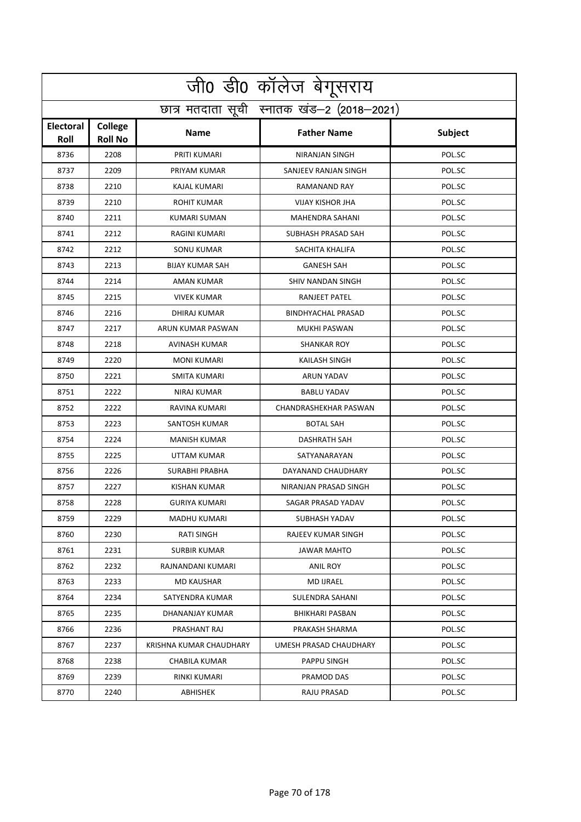|                          | <u>जी0 डी0 कॉलेज बेगू</u> सराय             |                         |                           |                |  |  |
|--------------------------|--------------------------------------------|-------------------------|---------------------------|----------------|--|--|
|                          | छात्र मतदाता सूची स्नातक खंड-2 (2018-2021) |                         |                           |                |  |  |
| <b>Electoral</b><br>Roll | College<br><b>Roll No</b>                  | <b>Name</b>             | <b>Father Name</b>        | <b>Subject</b> |  |  |
| 8736                     | 2208                                       | PRITI KUMARI            | <b>NIRANJAN SINGH</b>     | POL.SC         |  |  |
| 8737                     | 2209                                       | PRIYAM KUMAR            | SANJEEV RANJAN SINGH      | POL.SC         |  |  |
| 8738                     | 2210                                       | KAJAL KUMARI            | RAMANAND RAY              | POL.SC         |  |  |
| 8739                     | 2210                                       | <b>ROHIT KUMAR</b>      | <b>VIJAY KISHOR JHA</b>   | POL.SC         |  |  |
| 8740                     | 2211                                       | KUMARI SUMAN            | <b>MAHENDRA SAHANI</b>    | POL.SC         |  |  |
| 8741                     | 2212                                       | RAGINI KUMARI           | SUBHASH PRASAD SAH        | POL.SC         |  |  |
| 8742                     | 2212                                       | SONU KUMAR              | SACHITA KHALIFA           | POL.SC         |  |  |
| 8743                     | 2213                                       | <b>BIJAY KUMAR SAH</b>  | <b>GANESH SAH</b>         | POL.SC         |  |  |
| 8744                     | 2214                                       | <b>AMAN KUMAR</b>       | SHIV NANDAN SINGH         | POL.SC         |  |  |
| 8745                     | 2215                                       | <b>VIVEK KUMAR</b>      | RANJEET PATEL             | POL.SC         |  |  |
| 8746                     | 2216                                       | DHIRAJ KUMAR            | <b>BINDHYACHAL PRASAD</b> | POL.SC         |  |  |
| 8747                     | 2217                                       | ARUN KUMAR PASWAN       | MUKHI PASWAN              | POL.SC         |  |  |
| 8748                     | 2218                                       | AVINASH KUMAR           | <b>SHANKAR ROY</b>        | POL.SC         |  |  |
| 8749                     | 2220                                       | <b>MONI KUMARI</b>      | <b>KAILASH SINGH</b>      | POL.SC         |  |  |
| 8750                     | 2221                                       | SMITA KUMARI            | ARUN YADAV                | POL.SC         |  |  |
| 8751                     | 2222                                       | NIRAJ KUMAR             | <b>BABLU YADAV</b>        | POL.SC         |  |  |
| 8752                     | 2222                                       | RAVINA KUMARI           | CHANDRASHEKHAR PASWAN     | POL.SC         |  |  |
| 8753                     | 2223                                       | SANTOSH KUMAR           | <b>BOTAL SAH</b>          | POL.SC         |  |  |
| 8754                     | 2224                                       | <b>MANISH KUMAR</b>     | DASHRATH SAH              | POL.SC         |  |  |
| 8755                     | 2225                                       | <b>UTTAM KUMAR</b>      | SATYANARAYAN              | POL.SC         |  |  |
| 8756                     | 2226                                       | <b>SURABHI PRABHA</b>   | DAYANAND CHAUDHARY        | POL.SC         |  |  |
| 8757                     | 2227                                       | KISHAN KUMAR            | NIRANJAN PRASAD SINGH     | POL.SC         |  |  |
| 8758                     | 2228                                       | <b>GURIYA KUMARI</b>    | SAGAR PRASAD YADAV        | POL.SC         |  |  |
| 8759                     | 2229                                       | MADHU KUMARI            | SUBHASH YADAV             | POL.SC         |  |  |
| 8760                     | 2230                                       | <b>RATI SINGH</b>       | RAJEEV KUMAR SINGH        | POL.SC         |  |  |
| 8761                     | 2231                                       | SURBIR KUMAR            | JAWAR MAHTO               | POL.SC         |  |  |
| 8762                     | 2232                                       | RAJNANDANI KUMARI       | ANIL ROY                  | POL.SC         |  |  |
| 8763                     | 2233                                       | MD KAUSHAR              | <b>MD IJRAEL</b>          | POL.SC         |  |  |
| 8764                     | 2234                                       | SATYENDRA KUMAR         | SULENDRA SAHANI           | POL.SC         |  |  |
| 8765                     | 2235                                       | DHANANJAY KUMAR         | BHIKHARI PASBAN           | POL.SC         |  |  |
| 8766                     | 2236                                       | PRASHANT RAJ            | PRAKASH SHARMA            | POL.SC         |  |  |
| 8767                     | 2237                                       | KRISHNA KUMAR CHAUDHARY | UMESH PRASAD CHAUDHARY    | POL.SC         |  |  |
| 8768                     | 2238                                       | CHABILA KUMAR           | PAPPU SINGH               | POL.SC         |  |  |
| 8769                     | 2239                                       | RINKI KUMARI            | PRAMOD DAS                | POL.SC         |  |  |
| 8770                     | 2240                                       | ABHISHEK                | RAJU PRASAD               | POL.SC         |  |  |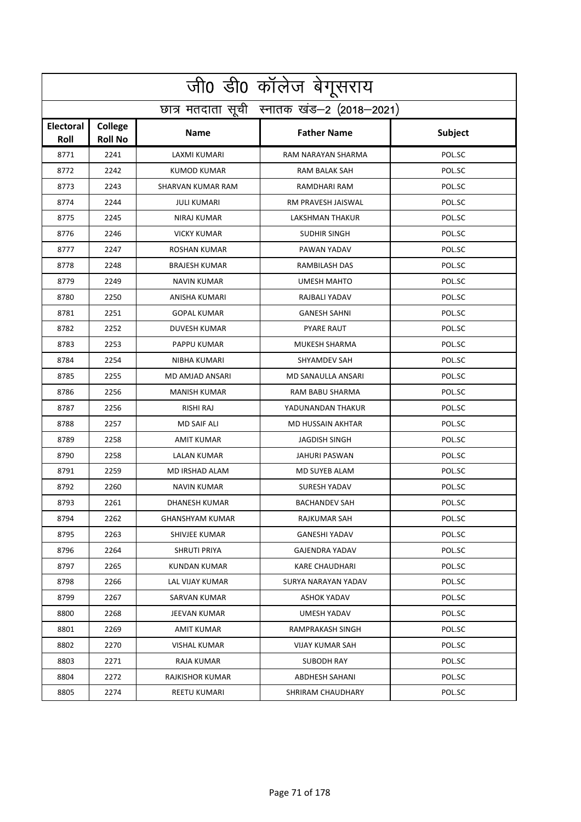|                          | <u>जी0 डी0 कॉलेज बेगू</u> सराय             |                       |                       |         |  |  |
|--------------------------|--------------------------------------------|-----------------------|-----------------------|---------|--|--|
|                          | छात्र मतदाता सूची स्नातक खंड-2 (2018-2021) |                       |                       |         |  |  |
| <b>Electoral</b><br>Roll | College<br><b>Roll No</b>                  | <b>Name</b>           | <b>Father Name</b>    | Subject |  |  |
| 8771                     | 2241                                       | <b>LAXMI KUMARI</b>   | RAM NARAYAN SHARMA    | POL.SC  |  |  |
| 8772                     | 2242                                       | <b>KUMOD KUMAR</b>    | RAM BALAK SAH         | POL.SC  |  |  |
| 8773                     | 2243                                       | SHARVAN KUMAR RAM     | RAMDHARI RAM          | POL.SC  |  |  |
| 8774                     | 2244                                       | <b>JULI KUMARI</b>    | RM PRAVESH JAISWAL    | POL.SC  |  |  |
| 8775                     | 2245                                       | NIRAJ KUMAR           | LAKSHMAN THAKUR       | POL.SC  |  |  |
| 8776                     | 2246                                       | <b>VICKY KUMAR</b>    | <b>SUDHIR SINGH</b>   | POL.SC  |  |  |
| 8777                     | 2247                                       | <b>ROSHAN KUMAR</b>   | PAWAN YADAV           | POL.SC  |  |  |
| 8778                     | 2248                                       | <b>BRAJESH KUMAR</b>  | RAMBILASH DAS         | POL.SC  |  |  |
| 8779                     | 2249                                       | <b>NAVIN KUMAR</b>    | <b>UMESH MAHTO</b>    | POL.SC  |  |  |
| 8780                     | 2250                                       | ANISHA KUMARI         | RAJBALI YADAV         | POL.SC  |  |  |
| 8781                     | 2251                                       | <b>GOPAL KUMAR</b>    | <b>GANESH SAHNI</b>   | POL.SC  |  |  |
| 8782                     | 2252                                       | <b>DUVESH KUMAR</b>   | <b>PYARE RAUT</b>     | POL.SC  |  |  |
| 8783                     | 2253                                       | PAPPU KUMAR           | MUKESH SHARMA         | POL.SC  |  |  |
| 8784                     | 2254                                       | NIBHA KUMARI          | SHYAMDEV SAH          | POL.SC  |  |  |
| 8785                     | 2255                                       | MD AMJAD ANSARI       | MD SANAULLA ANSARI    | POL.SC  |  |  |
| 8786                     | 2256                                       | <b>MANISH KUMAR</b>   | RAM BABU SHARMA       | POL.SC  |  |  |
| 8787                     | 2256                                       | <b>RISHI RAJ</b>      | YADUNANDAN THAKUR     | POL.SC  |  |  |
| 8788                     | 2257                                       | <b>MD SAIF ALI</b>    | MD HUSSAIN AKHTAR     | POL.SC  |  |  |
| 8789                     | 2258                                       | AMIT KUMAR            | <b>JAGDISH SINGH</b>  | POL.SC  |  |  |
| 8790                     | 2258                                       | <b>LALAN KUMAR</b>    | JAHURI PASWAN         | POL.SC  |  |  |
| 8791                     | 2259                                       | <b>MD IRSHAD ALAM</b> | MD SUYEB ALAM         | POL.SC  |  |  |
| 8792                     | 2260                                       | <b>NAVIN KUMAR</b>    | <b>SURESH YADAV</b>   | POL.SC  |  |  |
| 8793                     | 2261                                       | <b>DHANESH KUMAR</b>  | <b>BACHANDEV SAH</b>  | POL.SC  |  |  |
| 8794                     | 2262                                       | GHANSHYAM KUMAR       | RAJKUMAR SAH          | POL.SC  |  |  |
| 8795                     | 2263                                       | SHIVJEE KUMAR         | <b>GANESHI YADAV</b>  | POL.SC  |  |  |
| 8796                     | 2264                                       | SHRUTI PRIYA          | <b>GAJENDRA YADAV</b> | POL.SC  |  |  |
| 8797                     | 2265                                       | KUNDAN KUMAR          | KARE CHAUDHARI        | POL.SC  |  |  |
| 8798                     | 2266                                       | LAL VIJAY KUMAR       | SURYA NARAYAN YADAV   | POL.SC  |  |  |
| 8799                     | 2267                                       | SARVAN KUMAR          | ASHOK YADAV           | POL.SC  |  |  |
| 8800                     | 2268                                       | JEEVAN KUMAR          | <b>UMESH YADAV</b>    | POL.SC  |  |  |
| 8801                     | 2269                                       | AMIT KUMAR            | RAMPRAKASH SINGH      | POL.SC  |  |  |
| 8802                     | 2270                                       | VISHAL KUMAR          | VIJAY KUMAR SAH       | POL.SC  |  |  |
| 8803                     | 2271                                       | RAJA KUMAR            | SUBODH RAY            | POL.SC  |  |  |
| 8804                     | 2272                                       | RAJKISHOR KUMAR       | ABDHESH SAHANI        | POL.SC  |  |  |
| 8805                     | 2274                                       | REETU KUMARI          | SHRIRAM CHAUDHARY     | POL.SC  |  |  |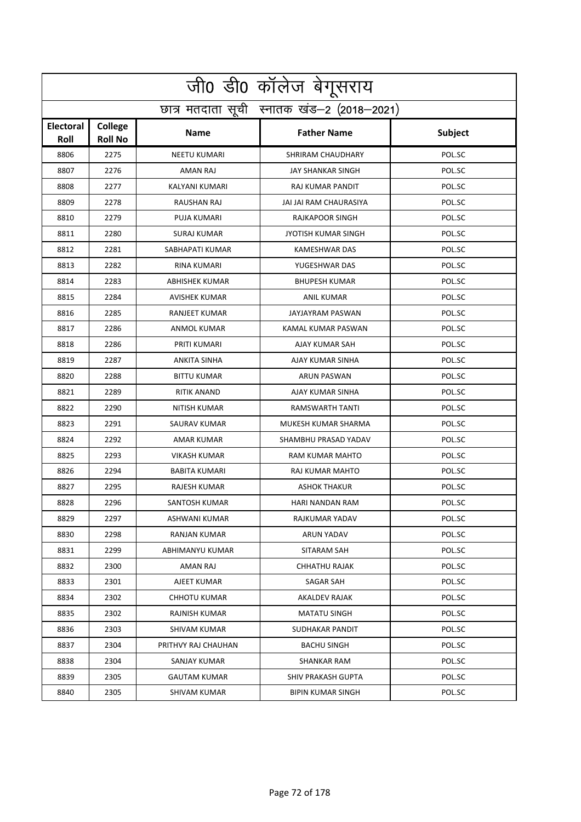|                          | जी0 डी0 कॉलेज बेगूसराय                     |                      |                            |         |  |  |
|--------------------------|--------------------------------------------|----------------------|----------------------------|---------|--|--|
|                          | छात्र मतदाता सूची स्नातक खंड-2 (2018-2021) |                      |                            |         |  |  |
| <b>Electoral</b><br>Roll | <b>College</b><br><b>Roll No</b>           | <b>Name</b>          | <b>Father Name</b>         | Subject |  |  |
| 8806                     | 2275                                       | <b>NEETU KUMARI</b>  | SHRIRAM CHAUDHARY          | POL.SC  |  |  |
| 8807                     | 2276                                       | AMAN RAJ             | JAY SHANKAR SINGH          | POL.SC  |  |  |
| 8808                     | 2277                                       | KALYANI KUMARI       | <b>RAJ KUMAR PANDIT</b>    | POL.SC  |  |  |
| 8809                     | 2278                                       | RAUSHAN RAJ          | JAI JAI RAM CHAURASIYA     | POL.SC  |  |  |
| 8810                     | 2279                                       | PUJA KUMARI          | RAJKAPOOR SINGH            | POL.SC  |  |  |
| 8811                     | 2280                                       | <b>SURAJ KUMAR</b>   | <b>JYOTISH KUMAR SINGH</b> | POL.SC  |  |  |
| 8812                     | 2281                                       | SABHAPATI KUMAR      | <b>KAMESHWAR DAS</b>       | POL.SC  |  |  |
| 8813                     | 2282                                       | RINA KUMARI          | YUGESHWAR DAS              | POL.SC  |  |  |
| 8814                     | 2283                                       | ABHISHEK KUMAR       | <b>BHUPESH KUMAR</b>       | POL.SC  |  |  |
| 8815                     | 2284                                       | <b>AVISHEK KUMAR</b> | <b>ANIL KUMAR</b>          | POL.SC  |  |  |
| 8816                     | 2285                                       | RANJEET KUMAR        | JAYJAYRAM PASWAN           | POL.SC  |  |  |
| 8817                     | 2286                                       | <b>ANMOL KUMAR</b>   | KAMAL KUMAR PASWAN         | POL.SC  |  |  |
| 8818                     | 2286                                       | PRITI KUMARI         | AJAY KUMAR SAH             | POL.SC  |  |  |
| 8819                     | 2287                                       | <b>ANKITA SINHA</b>  | AJAY KUMAR SINHA           | POL.SC  |  |  |
| 8820                     | 2288                                       | <b>BITTU KUMAR</b>   | <b>ARUN PASWAN</b>         | POL.SC  |  |  |
| 8821                     | 2289                                       | RITIK ANAND          | AJAY KUMAR SINHA           | POL.SC  |  |  |
| 8822                     | 2290                                       | NITISH KUMAR         | RAMSWARTH TANTI            | POL.SC  |  |  |
| 8823                     | 2291                                       | SAURAV KUMAR         | MUKESH KUMAR SHARMA        | POL.SC  |  |  |
| 8824                     | 2292                                       | AMAR KUMAR           | SHAMBHU PRASAD YADAV       | POL.SC  |  |  |
| 8825                     | 2293                                       | <b>VIKASH KUMAR</b>  | RAM KUMAR MAHTO            | POL.SC  |  |  |
| 8826                     | 2294                                       | <b>BABITA KUMARI</b> | RAJ KUMAR MAHTO            | POL.SC  |  |  |
| 8827                     | 2295                                       | RAJESH KUMAR         | <b>ASHOK THAKUR</b>        | POL.SC  |  |  |
| 8828                     | 2296                                       | SANTOSH KUMAR        | HARI NANDAN RAM            | POL.SC  |  |  |
| 8829                     | 2297                                       | ASHWANI KUMAR        | RAJKUMAR YADAV             | POL.SC  |  |  |
| 8830                     | 2298                                       | RANJAN KUMAR         | ARUN YADAV                 | POL.SC  |  |  |
| 8831                     | 2299                                       | ABHIMANYU KUMAR      | SITARAM SAH                | POL.SC  |  |  |
| 8832                     | 2300                                       | AMAN RAJ             | <b>CHHATHU RAJAK</b>       | POL.SC  |  |  |
| 8833                     | 2301                                       | AJEET KUMAR          | SAGAR SAH                  | POL.SC  |  |  |
| 8834                     | 2302                                       | CHHOTU KUMAR         | AKALDEV RAJAK              | POL.SC  |  |  |
| 8835                     | 2302                                       | RAJNISH KUMAR        | MATATU SINGH               | POL.SC  |  |  |
| 8836                     | 2303                                       | SHIVAM KUMAR         | <b>SUDHAKAR PANDIT</b>     | POL.SC  |  |  |
| 8837                     | 2304                                       | PRITHVY RAJ CHAUHAN  | BACHU SINGH                | POL.SC  |  |  |
| 8838                     | 2304                                       | SANJAY KUMAR         | SHANKAR RAM                | POL.SC  |  |  |
| 8839                     | 2305                                       | <b>GAUTAM KUMAR</b>  | SHIV PRAKASH GUPTA         | POL.SC  |  |  |
| 8840                     | 2305                                       | SHIVAM KUMAR         | BIPIN KUMAR SINGH          | POL.SC  |  |  |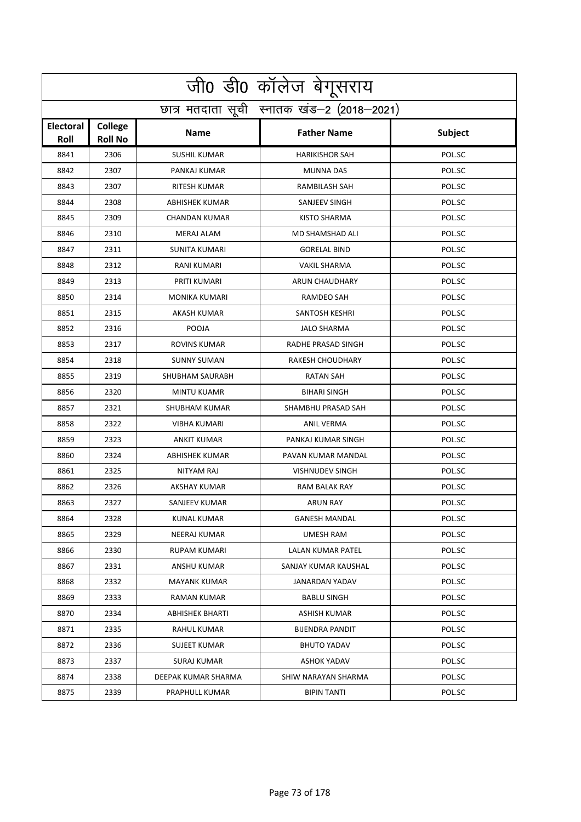|                          | जी0 डी0 कॉलेज बेगूसराय                     |                       |                          |         |  |  |
|--------------------------|--------------------------------------------|-----------------------|--------------------------|---------|--|--|
|                          | छात्र मतदाता सूची स्नातक खंड-2 (2018-2021) |                       |                          |         |  |  |
| <b>Electoral</b><br>Roll | College<br><b>Roll No</b>                  | <b>Name</b>           | <b>Father Name</b>       | Subject |  |  |
| 8841                     | 2306                                       | <b>SUSHIL KUMAR</b>   | <b>HARIKISHOR SAH</b>    | POL.SC  |  |  |
| 8842                     | 2307                                       | PANKAJ KUMAR          | <b>MUNNA DAS</b>         | POL.SC  |  |  |
| 8843                     | 2307                                       | <b>RITESH KUMAR</b>   | RAMBILASH SAH            | POL.SC  |  |  |
| 8844                     | 2308                                       | <b>ABHISHEK KUMAR</b> | SANJEEV SINGH            | POL.SC  |  |  |
| 8845                     | 2309                                       | <b>CHANDAN KUMAR</b>  | <b>KISTO SHARMA</b>      | POL.SC  |  |  |
| 8846                     | 2310                                       | <b>MERAJ ALAM</b>     | MD SHAMSHAD ALI          | POL.SC  |  |  |
| 8847                     | 2311                                       | SUNITA KUMARI         | <b>GORELAL BIND</b>      | POL.SC  |  |  |
| 8848                     | 2312                                       | RANI KUMARI           | <b>VAKIL SHARMA</b>      | POL.SC  |  |  |
| 8849                     | 2313                                       | PRITI KUMARI          | ARUN CHAUDHARY           | POL.SC  |  |  |
| 8850                     | 2314                                       | <b>MONIKA KUMARI</b>  | RAMDEO SAH               | POL.SC  |  |  |
| 8851                     | 2315                                       | <b>AKASH KUMAR</b>    | <b>SANTOSH KESHRI</b>    | POL.SC  |  |  |
| 8852                     | 2316                                       | POOJA                 | <b>JALO SHARMA</b>       | POL.SC  |  |  |
| 8853                     | 2317                                       | ROVINS KUMAR          | RADHE PRASAD SINGH       | POL.SC  |  |  |
| 8854                     | 2318                                       | <b>SUNNY SUMAN</b>    | RAKESH CHOUDHARY         | POL.SC  |  |  |
| 8855                     | 2319                                       | SHUBHAM SAURABH       | <b>RATAN SAH</b>         | POL.SC  |  |  |
| 8856                     | 2320                                       | <b>MINTU KUAMR</b>    | <b>BIHARI SINGH</b>      | POL.SC  |  |  |
| 8857                     | 2321                                       | SHUBHAM KUMAR         | SHAMBHU PRASAD SAH       | POL.SC  |  |  |
| 8858                     | 2322                                       | VIBHA KUMARI          | <b>ANIL VERMA</b>        | POL.SC  |  |  |
| 8859                     | 2323                                       | <b>ANKIT KUMAR</b>    | PANKAJ KUMAR SINGH       | POL.SC  |  |  |
| 8860                     | 2324                                       | ABHISHEK KUMAR        | PAVAN KUMAR MANDAL       | POL.SC  |  |  |
| 8861                     | 2325                                       | NITYAM RAJ            | <b>VISHNUDEV SINGH</b>   | POL.SC  |  |  |
| 8862                     | 2326                                       | AKSHAY KUMAR          | RAM BALAK RAY            | POL.SC  |  |  |
| 8863                     | 2327                                       | SANJEEV KUMAR         | <b>ARUN RAY</b>          | POL.SC  |  |  |
| 8864                     | 2328                                       | KUNAL KUMAR           | <b>GANESH MANDAL</b>     | POL.SC  |  |  |
| 8865                     | 2329                                       | NEERAJ KUMAR          | UMESH RAM                | POL.SC  |  |  |
| 8866                     | 2330                                       | RUPAM KUMARI          | <b>LALAN KUMAR PATEL</b> | POL.SC  |  |  |
| 8867                     | 2331                                       | ANSHU KUMAR           | SANJAY KUMAR KAUSHAL     | POL.SC  |  |  |
| 8868                     | 2332                                       | MAYANK KUMAR          | JANARDAN YADAV           | POL.SC  |  |  |
| 8869                     | 2333                                       | RAMAN KUMAR           | BABLU SINGH              | POL.SC  |  |  |
| 8870                     | 2334                                       | ABHISHEK BHARTI       | ASHISH KUMAR             | POL.SC  |  |  |
| 8871                     | 2335                                       | RAHUL KUMAR           | <b>BIJENDRA PANDIT</b>   | POL.SC  |  |  |
| 8872                     | 2336                                       | SUJEET KUMAR          | BHUTO YADAV              | POL.SC  |  |  |
| 8873                     | 2337                                       | SURAJ KUMAR           | ASHOK YADAV              | POL.SC  |  |  |
| 8874                     | 2338                                       | DEEPAK KUMAR SHARMA   | SHIW NARAYAN SHARMA      | POL.SC  |  |  |
| 8875                     | 2339                                       | PRAPHULL KUMAR        | BIPIN TANTI              | POL.SC  |  |  |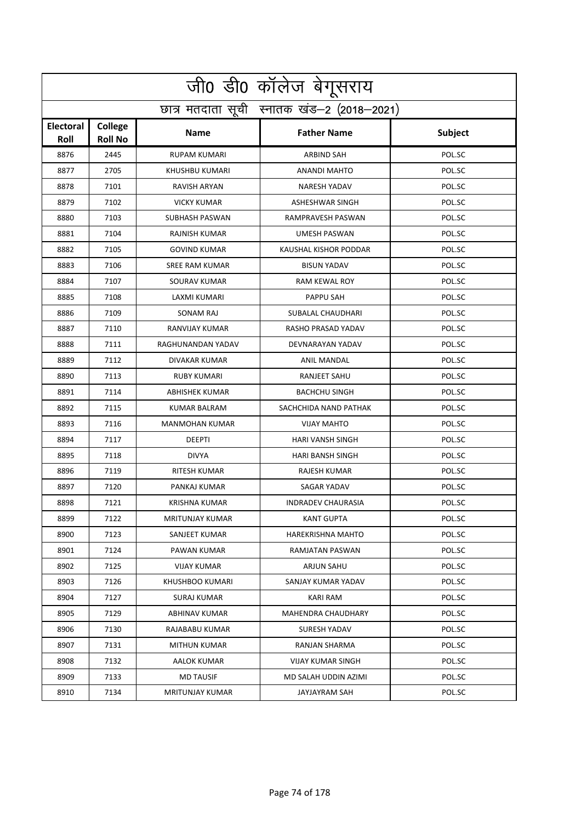|                          | <u>जी0 डी0 कॉलेज बेगू</u> सराय             |                       |                           |         |  |  |
|--------------------------|--------------------------------------------|-----------------------|---------------------------|---------|--|--|
|                          | छात्र मतदाता सूची स्नातक खंड-2 (2018-2021) |                       |                           |         |  |  |
| <b>Electoral</b><br>Roll | College<br><b>Roll No</b>                  | <b>Name</b>           | <b>Father Name</b>        | Subject |  |  |
| 8876                     | 2445                                       | <b>RUPAM KUMARI</b>   | <b>ARBIND SAH</b>         | POL.SC  |  |  |
| 8877                     | 2705                                       | KHUSHBU KUMARI        | ANANDI MAHTO              | POL.SC  |  |  |
| 8878                     | 7101                                       | RAVISH ARYAN          | <b>NARESH YADAV</b>       | POL.SC  |  |  |
| 8879                     | 7102                                       | <b>VICKY KUMAR</b>    | <b>ASHESHWAR SINGH</b>    | POL.SC  |  |  |
| 8880                     | 7103                                       | SUBHASH PASWAN        | RAMPRAVESH PASWAN         | POL.SC  |  |  |
| 8881                     | 7104                                       | RAJNISH KUMAR         | <b>UMESH PASWAN</b>       | POL.SC  |  |  |
| 8882                     | 7105                                       | <b>GOVIND KUMAR</b>   | KAUSHAL KISHOR PODDAR     | POL.SC  |  |  |
| 8883                     | 7106                                       | <b>SREE RAM KUMAR</b> | <b>BISUN YADAV</b>        | POL.SC  |  |  |
| 8884                     | 7107                                       | <b>SOURAV KUMAR</b>   | <b>RAM KEWAL ROY</b>      | POL.SC  |  |  |
| 8885                     | 7108                                       | LAXMI KUMARI          | PAPPU SAH                 | POL.SC  |  |  |
| 8886                     | 7109                                       | <b>SONAM RAJ</b>      | SUBALAL CHAUDHARI         | POL.SC  |  |  |
| 8887                     | 7110                                       | RANVIJAY KUMAR        | RASHO PRASAD YADAV        | POL.SC  |  |  |
| 8888                     | 7111                                       | RAGHUNANDAN YADAV     | DEVNARAYAN YADAV          | POL.SC  |  |  |
| 8889                     | 7112                                       | DIVAKAR KUMAR         | <b>ANIL MANDAL</b>        | POL.SC  |  |  |
| 8890                     | 7113                                       | <b>RUBY KUMARI</b>    | RANJEET SAHU              | POL.SC  |  |  |
| 8891                     | 7114                                       | <b>ABHISHEK KUMAR</b> | <b>BACHCHU SINGH</b>      | POL.SC  |  |  |
| 8892                     | 7115                                       | KUMAR BALRAM          | SACHCHIDA NAND PATHAK     | POL.SC  |  |  |
| 8893                     | 7116                                       | <b>MANMOHAN KUMAR</b> | <b>VIJAY MAHTO</b>        | POL.SC  |  |  |
| 8894                     | 7117                                       | <b>DEEPTI</b>         | <b>HARI VANSH SINGH</b>   | POL.SC  |  |  |
| 8895                     | 7118                                       | <b>DIVYA</b>          | <b>HARI BANSH SINGH</b>   | POL.SC  |  |  |
| 8896                     | 7119                                       | RITESH KUMAR          | <b>RAJESH KUMAR</b>       | POL.SC  |  |  |
| 8897                     | 7120                                       | PANKAJ KUMAR          | <b>SAGAR YADAV</b>        | POL.SC  |  |  |
| 8898                     | 7121                                       | KRISHNA KUMAR         | <b>INDRADEV CHAURASIA</b> | POL.SC  |  |  |
| 8899                     | 7122                                       | MRITUNJAY KUMAR       | <b>KANT GUPTA</b>         | POL.SC  |  |  |
| 8900                     | 7123                                       | SANJEET KUMAR         | HAREKRISHNA MAHTO         | POL.SC  |  |  |
| 8901                     | 7124                                       | PAWAN KUMAR           | RAMJATAN PASWAN           | POL.SC  |  |  |
| 8902                     | 7125                                       | VIJAY KUMAR           | ARJUN SAHU                | POL.SC  |  |  |
| 8903                     | 7126                                       | KHUSHBOO KUMARI       | SANJAY KUMAR YADAV        | POL.SC  |  |  |
| 8904                     | 7127                                       | SURAJ KUMAR           | KARI RAM                  | POL.SC  |  |  |
| 8905                     | 7129                                       | ABHINAV KUMAR         | <b>MAHENDRA CHAUDHARY</b> | POL.SC  |  |  |
| 8906                     | 7130                                       | RAJABABU KUMAR        | SURESH YADAV              | POL.SC  |  |  |
| 8907                     | 7131                                       | MITHUN KUMAR          | RANJAN SHARMA             | POL.SC  |  |  |
| 8908                     | 7132                                       | AALOK KUMAR           | VIJAY KUMAR SINGH         | POL.SC  |  |  |
| 8909                     | 7133                                       | <b>MD TAUSIF</b>      | MD SALAH UDDIN AZIMI      | POL.SC  |  |  |
| 8910                     | 7134                                       | MRITUNJAY KUMAR       | JAYJAYRAM SAH             | POL.SC  |  |  |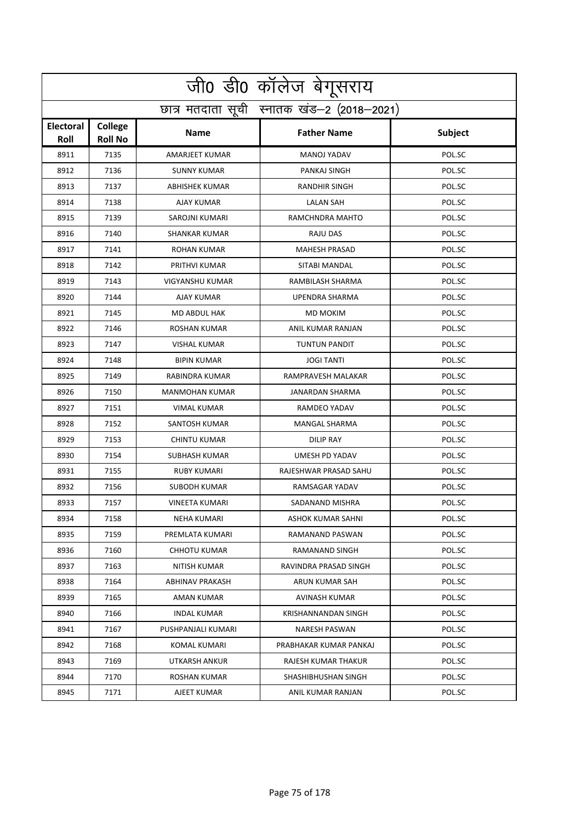|                          | <u>जी0 डी0 कॉलेज बेगू</u> सराय             |                       |                        |         |  |  |
|--------------------------|--------------------------------------------|-----------------------|------------------------|---------|--|--|
|                          | छात्र मतदाता सूची स्नातक खंड-2 (2018-2021) |                       |                        |         |  |  |
| <b>Electoral</b><br>Roll | College<br><b>Roll No</b>                  | <b>Name</b>           | <b>Father Name</b>     | Subject |  |  |
| 8911                     | 7135                                       | <b>AMARJEET KUMAR</b> | <b>MANOJ YADAV</b>     | POL.SC  |  |  |
| 8912                     | 7136                                       | <b>SUNNY KUMAR</b>    | PANKAJ SINGH           | POL.SC  |  |  |
| 8913                     | 7137                                       | <b>ABHISHEK KUMAR</b> | <b>RANDHIR SINGH</b>   | POL.SC  |  |  |
| 8914                     | 7138                                       | <b>AJAY KUMAR</b>     | <b>LALAN SAH</b>       | POL.SC  |  |  |
| 8915                     | 7139                                       | SAROJNI KUMARI        | RAMCHNDRA MAHTO        | POL.SC  |  |  |
| 8916                     | 7140                                       | SHANKAR KUMAR         | <b>RAJU DAS</b>        | POL.SC  |  |  |
| 8917                     | 7141                                       | <b>ROHAN KUMAR</b>    | <b>MAHESH PRASAD</b>   | POL.SC  |  |  |
| 8918                     | 7142                                       | PRITHVI KUMAR         | SITABI MANDAL          | POL.SC  |  |  |
| 8919                     | 7143                                       | VIGYANSHU KUMAR       | RAMBILASH SHARMA       | POL.SC  |  |  |
| 8920                     | 7144                                       | AJAY KUMAR            | <b>UPENDRA SHARMA</b>  | POL.SC  |  |  |
| 8921                     | 7145                                       | MD ABDUL HAK          | <b>MD MOKIM</b>        | POL.SC  |  |  |
| 8922                     | 7146                                       | <b>ROSHAN KUMAR</b>   | ANIL KUMAR RANJAN      | POL.SC  |  |  |
| 8923                     | 7147                                       | VISHAL KUMAR          | <b>TUNTUN PANDIT</b>   | POL.SC  |  |  |
| 8924                     | 7148                                       | <b>BIPIN KUMAR</b>    | <b>JOGI TANTI</b>      | POL.SC  |  |  |
| 8925                     | 7149                                       | RABINDRA KUMAR        | RAMPRAVESH MALAKAR     | POL.SC  |  |  |
| 8926                     | 7150                                       | <b>MANMOHAN KUMAR</b> | JANARDAN SHARMA        | POL.SC  |  |  |
| 8927                     | 7151                                       | <b>VIMAL KUMAR</b>    | RAMDEO YADAV           | POL.SC  |  |  |
| 8928                     | 7152                                       | SANTOSH KUMAR         | MANGAL SHARMA          | POL.SC  |  |  |
| 8929                     | 7153                                       | <b>CHINTU KUMAR</b>   | <b>DILIP RAY</b>       | POL.SC  |  |  |
| 8930                     | 7154                                       | <b>SUBHASH KUMAR</b>  | UMESH PD YADAV         | POL.SC  |  |  |
| 8931                     | 7155                                       | <b>RUBY KUMARI</b>    | RAJESHWAR PRASAD SAHU  | POL.SC  |  |  |
| 8932                     | 7156                                       | <b>SUBODH KUMAR</b>   | RAMSAGAR YADAV         | POL.SC  |  |  |
| 8933                     | 7157                                       | <b>VINEETA KUMARI</b> | SADANAND MISHRA        | POL.SC  |  |  |
| 8934                     | 7158                                       | NEHA KUMARI           | ASHOK KUMAR SAHNI      | POL.SC  |  |  |
| 8935                     | 7159                                       | PREMLATA KUMARI       | RAMANAND PASWAN        | POL.SC  |  |  |
| 8936                     | 7160                                       | CHHOTU KUMAR          | RAMANAND SINGH         | POL.SC  |  |  |
| 8937                     | 7163                                       | NITISH KUMAR          | RAVINDRA PRASAD SINGH  | POL.SC  |  |  |
| 8938                     | 7164                                       | ABHINAV PRAKASH       | ARUN KUMAR SAH         | POL.SC  |  |  |
| 8939                     | 7165                                       | AMAN KUMAR            | AVINASH KUMAR          | POL.SC  |  |  |
| 8940                     | 7166                                       | INDAL KUMAR           | KRISHANNANDAN SINGH    | POL.SC  |  |  |
| 8941                     | 7167                                       | PUSHPANJALI KUMARI    | <b>NARESH PASWAN</b>   | POL.SC  |  |  |
| 8942                     | 7168                                       | KOMAL KUMARI          | PRABHAKAR KUMAR PANKAJ | POL.SC  |  |  |
| 8943                     | 7169                                       | UTKARSH ANKUR         | RAJESH KUMAR THAKUR    | POL.SC  |  |  |
| 8944                     | 7170                                       | ROSHAN KUMAR          | SHASHIBHUSHAN SINGH    | POL.SC  |  |  |
| 8945                     | 7171                                       | AJEET KUMAR           | ANIL KUMAR RANJAN      | POL.SC  |  |  |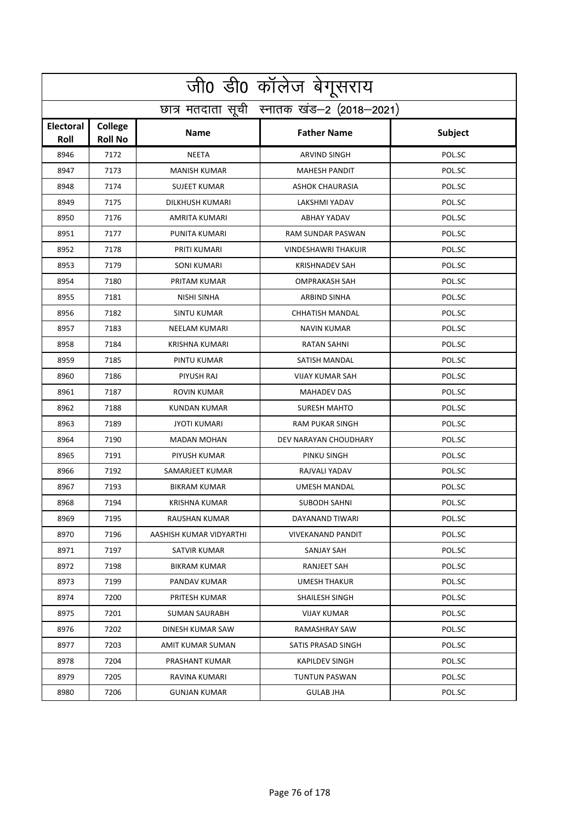|                   | <u>जी0 डी0 कॉलेज बेगू</u> सराय             |                         |                            |         |  |  |
|-------------------|--------------------------------------------|-------------------------|----------------------------|---------|--|--|
|                   | छात्र मतदाता सूची स्नातक खंड-2 (2018-2021) |                         |                            |         |  |  |
| Electoral<br>Roll | College<br><b>Roll No</b>                  | <b>Name</b>             | <b>Father Name</b>         | Subject |  |  |
| 8946              | 7172                                       | <b>NEETA</b>            | <b>ARVIND SINGH</b>        | POL.SC  |  |  |
| 8947              | 7173                                       | <b>MANISH KUMAR</b>     | <b>MAHESH PANDIT</b>       | POL.SC  |  |  |
| 8948              | 7174                                       | <b>SUJEET KUMAR</b>     | <b>ASHOK CHAURASIA</b>     | POL.SC  |  |  |
| 8949              | 7175                                       | <b>DILKHUSH KUMARI</b>  | LAKSHMI YADAV              | POL.SC  |  |  |
| 8950              | 7176                                       | AMRITA KUMARI           | ABHAY YADAV                | POL.SC  |  |  |
| 8951              | 7177                                       | PUNITA KUMARI           | RAM SUNDAR PASWAN          | POL.SC  |  |  |
| 8952              | 7178                                       | PRITI KUMARI            | <b>VINDESHAWRI THAKUIR</b> | POL.SC  |  |  |
| 8953              | 7179                                       | <b>SONI KUMARI</b>      | <b>KRISHNADEV SAH</b>      | POL.SC  |  |  |
| 8954              | 7180                                       | PRITAM KUMAR            | <b>OMPRAKASH SAH</b>       | POL.SC  |  |  |
| 8955              | 7181                                       | NISHI SINHA             | <b>ARBIND SINHA</b>        | POL.SC  |  |  |
| 8956              | 7182                                       | <b>SINTU KUMAR</b>      | <b>CHHATISH MANDAL</b>     | POL.SC  |  |  |
| 8957              | 7183                                       | NEELAM KUMARI           | <b>NAVIN KUMAR</b>         | POL.SC  |  |  |
| 8958              | 7184                                       | KRISHNA KUMARI          | RATAN SAHNI                | POL.SC  |  |  |
| 8959              | 7185                                       | PINTU KUMAR             | <b>SATISH MANDAL</b>       | POL.SC  |  |  |
| 8960              | 7186                                       | PIYUSH RAJ              | <b>VIJAY KUMAR SAH</b>     | POL.SC  |  |  |
| 8961              | 7187                                       | <b>ROVIN KUMAR</b>      | <b>MAHADEV DAS</b>         | POL.SC  |  |  |
| 8962              | 7188                                       | KUNDAN KUMAR            | <b>SURESH MAHTO</b>        | POL.SC  |  |  |
| 8963              | 7189                                       | <b>JYOTI KUMARI</b>     | <b>RAM PUKAR SINGH</b>     | POL.SC  |  |  |
| 8964              | 7190                                       | <b>MADAN MOHAN</b>      | DEV NARAYAN CHOUDHARY      | POL.SC  |  |  |
| 8965              | 7191                                       | PIYUSH KUMAR            | PINKU SINGH                | POL.SC  |  |  |
| 8966              | 7192                                       | SAMARJEET KUMAR         | RAJVALI YADAV              | POL.SC  |  |  |
| 8967              | 7193                                       | <b>BIKRAM KUMAR</b>     | <b>UMESH MANDAL</b>        | POL.SC  |  |  |
| 8968              | 7194                                       | KRISHNA KUMAR           | <b>SUBODH SAHNI</b>        | POL.SC  |  |  |
| 8969              | 7195                                       | RAUSHAN KUMAR           | DAYANAND TIWARI            | POL.SC  |  |  |
| 8970              | 7196                                       | AASHISH KUMAR VIDYARTHI | <b>VIVEKANAND PANDIT</b>   | POL.SC  |  |  |
| 8971              | 7197                                       | SATVIR KUMAR            | SANJAY SAH                 | POL.SC  |  |  |
| 8972              | 7198                                       | <b>BIKRAM KUMAR</b>     | RANJEET SAH                | POL.SC  |  |  |
| 8973              | 7199                                       | PANDAV KUMAR            | <b>UMESH THAKUR</b>        | POL.SC  |  |  |
| 8974              | 7200                                       | PRITESH KUMAR           | SHAILESH SINGH             | POL.SC  |  |  |
| 8975              | 7201                                       | SUMAN SAURABH           | <b>VIJAY KUMAR</b>         | POL.SC  |  |  |
| 8976              | 7202                                       | DINESH KUMAR SAW        | RAMASHRAY SAW              | POL.SC  |  |  |
| 8977              | 7203                                       | AMIT KUMAR SUMAN        | SATIS PRASAD SINGH         | POL.SC  |  |  |
| 8978              | 7204                                       | PRASHANT KUMAR          | KAPILDEV SINGH             | POL.SC  |  |  |
| 8979              | 7205                                       | RAVINA KUMARI           | TUNTUN PASWAN              | POL.SC  |  |  |
| 8980              | 7206                                       | GUNJAN KUMAR            | <b>GULAB JHA</b>           | POL.SC  |  |  |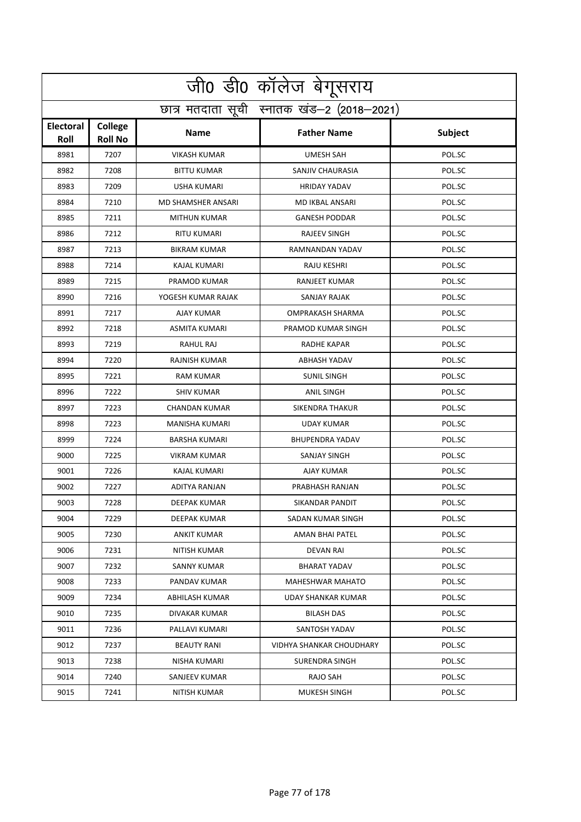|                   | <u>जी0 डी0 कॉलेज बेगू</u> सराय             |                           |                          |         |  |  |
|-------------------|--------------------------------------------|---------------------------|--------------------------|---------|--|--|
|                   | छात्र मतदाता सूची स्नातक खंड-2 (2018-2021) |                           |                          |         |  |  |
| Electoral<br>Roll | College<br><b>Roll No</b>                  | <b>Name</b>               | <b>Father Name</b>       | Subject |  |  |
| 8981              | 7207                                       | <b>VIKASH KUMAR</b>       | <b>UMESH SAH</b>         | POL.SC  |  |  |
| 8982              | 7208                                       | <b>BITTU KUMAR</b>        | SANJIV CHAURASIA         | POL.SC  |  |  |
| 8983              | 7209                                       | <b>USHA KUMARI</b>        | <b>HRIDAY YADAV</b>      | POL.SC  |  |  |
| 8984              | 7210                                       | <b>MD SHAMSHER ANSARI</b> | MD IKBAL ANSARI          | POL.SC  |  |  |
| 8985              | 7211                                       | <b>MITHUN KUMAR</b>       | <b>GANESH PODDAR</b>     | POL.SC  |  |  |
| 8986              | 7212                                       | <b>RITU KUMARI</b>        | RAJEEV SINGH             | POL.SC  |  |  |
| 8987              | 7213                                       | <b>BIKRAM KUMAR</b>       | RAMNANDAN YADAV          | POL.SC  |  |  |
| 8988              | 7214                                       | KAJAL KUMARI              | <b>RAJU KESHRI</b>       | POL.SC  |  |  |
| 8989              | 7215                                       | PRAMOD KUMAR              | <b>RANJEET KUMAR</b>     | POL.SC  |  |  |
| 8990              | 7216                                       | YOGESH KUMAR RAJAK        | SANJAY RAJAK             | POL.SC  |  |  |
| 8991              | 7217                                       | <b>AJAY KUMAR</b>         | <b>OMPRAKASH SHARMA</b>  | POL.SC  |  |  |
| 8992              | 7218                                       | <b>ASMITA KUMARI</b>      | PRAMOD KUMAR SINGH       | POL.SC  |  |  |
| 8993              | 7219                                       | RAHUL RAJ                 | RADHE KAPAR              | POL.SC  |  |  |
| 8994              | 7220                                       | <b>RAJNISH KUMAR</b>      | <b>ABHASH YADAV</b>      | POL.SC  |  |  |
| 8995              | 7221                                       | <b>RAM KUMAR</b>          | <b>SUNIL SINGH</b>       | POL.SC  |  |  |
| 8996              | 7222                                       | <b>SHIV KUMAR</b>         | <b>ANIL SINGH</b>        | POL.SC  |  |  |
| 8997              | 7223                                       | <b>CHANDAN KUMAR</b>      | <b>SIKENDRA THAKUR</b>   | POL.SC  |  |  |
| 8998              | 7223                                       | MANISHA KUMARI            | <b>UDAY KUMAR</b>        | POL.SC  |  |  |
| 8999              | 7224                                       | <b>BARSHA KUMARI</b>      | <b>BHUPENDRA YADAV</b>   | POL.SC  |  |  |
| 9000              | 7225                                       | <b>VIKRAM KUMAR</b>       | <b>SANJAY SINGH</b>      | POL.SC  |  |  |
| 9001              | 7226                                       | KAJAL KUMARI              | <b>AJAY KUMAR</b>        | POL.SC  |  |  |
| 9002              | 7227                                       | <b>ADITYA RANJAN</b>      | PRABHASH RANJAN          | POL.SC  |  |  |
| 9003              | 7228                                       | DEEPAK KUMAR              | SIKANDAR PANDIT          | POL.SC  |  |  |
| 9004              | 7229                                       | DEEPAK KUMAR              | SADAN KUMAR SINGH        | POL.SC  |  |  |
| 9005              | 7230                                       | ANKIT KUMAR               | AMAN BHAI PATEL          | POL.SC  |  |  |
| 9006              | 7231                                       | NITISH KUMAR              | <b>DEVAN RAI</b>         | POL.SC  |  |  |
| 9007              | 7232                                       | SANNY KUMAR               | <b>BHARAT YADAV</b>      | POL.SC  |  |  |
| 9008              | 7233                                       | PANDAV KUMAR              | <b>MAHESHWAR MAHATO</b>  | POL.SC  |  |  |
| 9009              | 7234                                       | ABHILASH KUMAR            | UDAY SHANKAR KUMAR       | POL.SC  |  |  |
| 9010              | 7235                                       | DIVAKAR KUMAR             | <b>BILASH DAS</b>        | POL.SC  |  |  |
| 9011              | 7236                                       | PALLAVI KUMARI            | SANTOSH YADAV            | POL.SC  |  |  |
| 9012              | 7237                                       | BEAUTY RANI               | VIDHYA SHANKAR CHOUDHARY | POL.SC  |  |  |
| 9013              | 7238                                       | NISHA KUMARI              | SURENDRA SINGH           | POL.SC  |  |  |
| 9014              | 7240                                       | SANJEEV KUMAR             | RAJO SAH                 | POL.SC  |  |  |
| 9015              | 7241                                       | NITISH KUMAR              | MUKESH SINGH             | POL.SC  |  |  |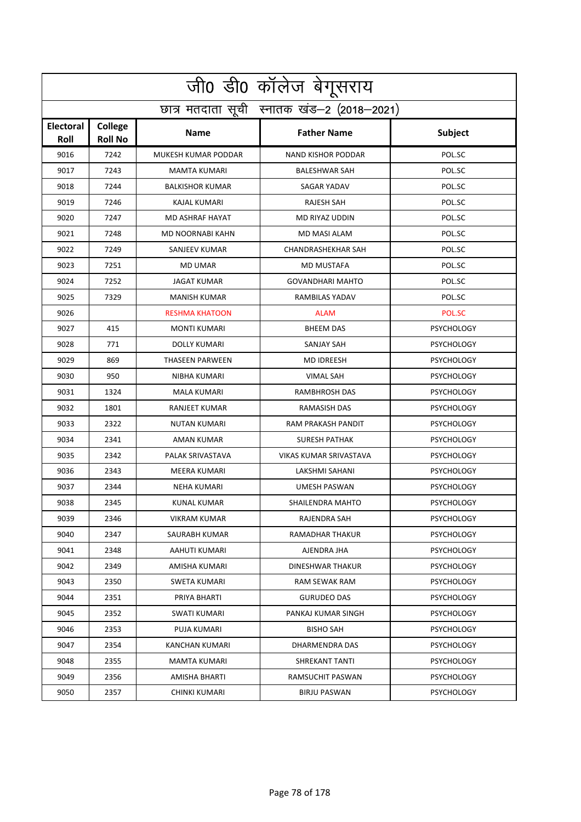|                          | जी0 डी0 कॉलेज बेगूसराय                     |                         |                           |                   |  |  |
|--------------------------|--------------------------------------------|-------------------------|---------------------------|-------------------|--|--|
|                          | छात्र मतदाता सूची स्नातक खंड-2 (2018-2021) |                         |                           |                   |  |  |
| <b>Electoral</b><br>Roll | College<br><b>Roll No</b>                  | <b>Name</b>             | <b>Father Name</b>        | <b>Subject</b>    |  |  |
| 9016                     | 7242                                       | MUKESH KUMAR PODDAR     | <b>NAND KISHOR PODDAR</b> | POL.SC            |  |  |
| 9017                     | 7243                                       | <b>MAMTA KUMARI</b>     | <b>BALESHWAR SAH</b>      | POL.SC            |  |  |
| 9018                     | 7244                                       | <b>BALKISHOR KUMAR</b>  | SAGAR YADAV               | POL.SC            |  |  |
| 9019                     | 7246                                       | <b>KAJAL KUMARI</b>     | <b>RAJESH SAH</b>         | POL.SC            |  |  |
| 9020                     | 7247                                       | MD ASHRAF HAYAT         | MD RIYAZ UDDIN            | POL.SC            |  |  |
| 9021                     | 7248                                       | <b>MD NOORNABI KAHN</b> | MD MASI ALAM              | POL.SC            |  |  |
| 9022                     | 7249                                       | SANJEEV KUMAR           | <b>CHANDRASHEKHAR SAH</b> | POL.SC            |  |  |
| 9023                     | 7251                                       | <b>MD UMAR</b>          | <b>MD MUSTAFA</b>         | POL.SC            |  |  |
| 9024                     | 7252                                       | <b>JAGAT KUMAR</b>      | <b>GOVANDHARI MAHTO</b>   | POL.SC            |  |  |
| 9025                     | 7329                                       | <b>MANISH KUMAR</b>     | RAMBILAS YADAV            | POL.SC            |  |  |
| 9026                     |                                            | <b>RESHMA KHATOON</b>   | <b>ALAM</b>               | POL.SC            |  |  |
| 9027                     | 415                                        | <b>MONTI KUMARI</b>     | <b>BHEEM DAS</b>          | <b>PSYCHOLOGY</b> |  |  |
| 9028                     | 771                                        | <b>DOLLY KUMARI</b>     | SANJAY SAH                | <b>PSYCHOLOGY</b> |  |  |
| 9029                     | 869                                        | <b>THASEEN PARWEEN</b>  | <b>MD IDREESH</b>         | <b>PSYCHOLOGY</b> |  |  |
| 9030                     | 950                                        | NIBHA KUMARI            | <b>VIMAL SAH</b>          | <b>PSYCHOLOGY</b> |  |  |
| 9031                     | 1324                                       | <b>MALA KUMARI</b>      | <b>RAMBHROSH DAS</b>      | <b>PSYCHOLOGY</b> |  |  |
| 9032                     | 1801                                       | RANJEET KUMAR           | <b>RAMASISH DAS</b>       | <b>PSYCHOLOGY</b> |  |  |
| 9033                     | 2322                                       | <b>NUTAN KUMARI</b>     | RAM PRAKASH PANDIT        | <b>PSYCHOLOGY</b> |  |  |
| 9034                     | 2341                                       | AMAN KUMAR              | <b>SURESH PATHAK</b>      | <b>PSYCHOLOGY</b> |  |  |
| 9035                     | 2342                                       | PALAK SRIVASTAVA        | VIKAS KUMAR SRIVASTAVA    | <b>PSYCHOLOGY</b> |  |  |
| 9036                     | 2343                                       | <b>MEERA KUMARI</b>     | LAKSHMI SAHANI            | <b>PSYCHOLOGY</b> |  |  |
| 9037                     | 2344                                       | <b>NEHA KUMARI</b>      | UMESH PASWAN              | <b>PSYCHOLOGY</b> |  |  |
| 9038                     | 2345                                       | <b>KUNAL KUMAR</b>      | <b>SHAILENDRA MAHTO</b>   | <b>PSYCHOLOGY</b> |  |  |
| 9039                     | 2346                                       | VIKRAM KUMAR            | RAJENDRA SAH              | <b>PSYCHOLOGY</b> |  |  |
| 9040                     | 2347                                       | SAURABH KUMAR           | RAMADHAR THAKUR           | <b>PSYCHOLOGY</b> |  |  |
| 9041                     | 2348                                       | AAHUTI KUMARI           | AJENDRA JHA               | <b>PSYCHOLOGY</b> |  |  |
| 9042                     | 2349                                       | AMISHA KUMARI           | DINESHWAR THAKUR          | <b>PSYCHOLOGY</b> |  |  |
| 9043                     | 2350                                       | SWETA KUMARI            | RAM SEWAK RAM             | <b>PSYCHOLOGY</b> |  |  |
| 9044                     | 2351                                       | PRIYA BHARTI            | <b>GURUDEO DAS</b>        | <b>PSYCHOLOGY</b> |  |  |
| 9045                     | 2352                                       | SWATI KUMARI            | PANKAJ KUMAR SINGH        | <b>PSYCHOLOGY</b> |  |  |
| 9046                     | 2353                                       | PUJA KUMARI             | <b>BISHO SAH</b>          | <b>PSYCHOLOGY</b> |  |  |
| 9047                     | 2354                                       | KANCHAN KUMARI          | DHARMENDRA DAS            | <b>PSYCHOLOGY</b> |  |  |
| 9048                     | 2355                                       | MAMTA KUMARI            | SHREKANT TANTI            | <b>PSYCHOLOGY</b> |  |  |
| 9049                     | 2356                                       | AMISHA BHARTI           | RAMSUCHIT PASWAN          | <b>PSYCHOLOGY</b> |  |  |
| 9050                     | 2357                                       | CHINKI KUMARI           | <b>BIRJU PASWAN</b>       | <b>PSYCHOLOGY</b> |  |  |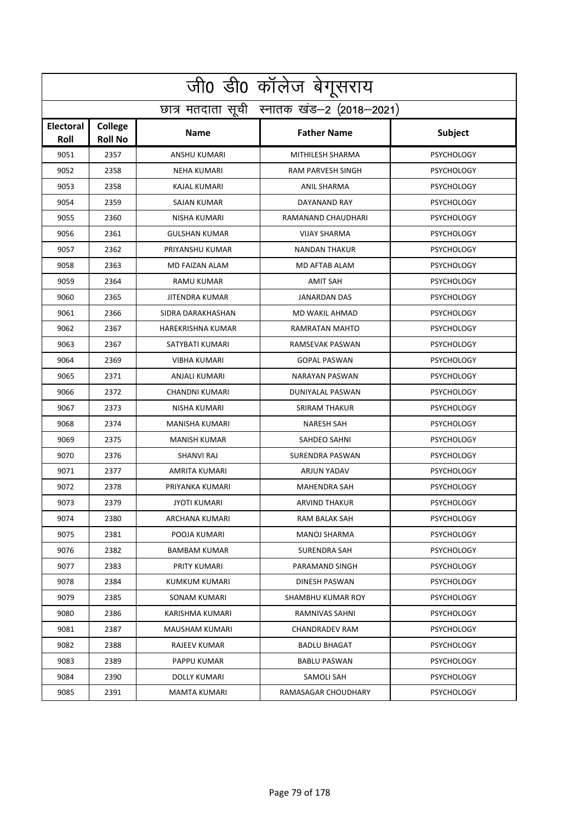|                          | जी0 डी0 कॉलेज बेगूसराय                     |                       |                          |                   |  |  |
|--------------------------|--------------------------------------------|-----------------------|--------------------------|-------------------|--|--|
|                          | छात्र मतदाता सूची स्नातक खंड-2 (2018-2021) |                       |                          |                   |  |  |
| <b>Electoral</b><br>Roll | <b>College</b><br><b>Roll No</b>           | <b>Name</b>           | <b>Father Name</b>       | Subject           |  |  |
| 9051                     | 2357                                       | <b>ANSHU KUMARI</b>   | MITHILESH SHARMA         | <b>PSYCHOLOGY</b> |  |  |
| 9052                     | 2358                                       | <b>NEHA KUMARI</b>    | <b>RAM PARVESH SINGH</b> | <b>PSYCHOLOGY</b> |  |  |
| 9053                     | 2358                                       | KAJAL KUMARI          | ANIL SHARMA              | <b>PSYCHOLOGY</b> |  |  |
| 9054                     | 2359                                       | <b>SAJAN KUMAR</b>    | <b>DAYANAND RAY</b>      | <b>PSYCHOLOGY</b> |  |  |
| 9055                     | 2360                                       | NISHA KUMARI          | RAMANAND CHAUDHARI       | <b>PSYCHOLOGY</b> |  |  |
| 9056                     | 2361                                       | <b>GULSHAN KUMAR</b>  | <b>VIJAY SHARMA</b>      | <b>PSYCHOLOGY</b> |  |  |
| 9057                     | 2362                                       | PRIYANSHU KUMAR       | <b>NANDAN THAKUR</b>     | <b>PSYCHOLOGY</b> |  |  |
| 9058                     | 2363                                       | MD FAIZAN ALAM        | MD AFTAB ALAM            | <b>PSYCHOLOGY</b> |  |  |
| 9059                     | 2364                                       | RAMU KUMAR            | <b>AMIT SAH</b>          | <b>PSYCHOLOGY</b> |  |  |
| 9060                     | 2365                                       | <b>JITENDRA KUMAR</b> | <b>JANARDAN DAS</b>      | <b>PSYCHOLOGY</b> |  |  |
| 9061                     | 2366                                       | SIDRA DARAKHASHAN     | MD WAKIL AHMAD           | <b>PSYCHOLOGY</b> |  |  |
| 9062                     | 2367                                       | HAREKRISHNA KUMAR     | RAMRATAN MAHTO           | <b>PSYCHOLOGY</b> |  |  |
| 9063                     | 2367                                       | SATYBATI KUMARI       | RAMSEVAK PASWAN          | <b>PSYCHOLOGY</b> |  |  |
| 9064                     | 2369                                       | <b>VIBHA KUMARI</b>   | <b>GOPAL PASWAN</b>      | <b>PSYCHOLOGY</b> |  |  |
| 9065                     | 2371                                       | ANJALI KUMARI         | NARAYAN PASWAN           | <b>PSYCHOLOGY</b> |  |  |
| 9066                     | 2372                                       | CHANDNI KUMARI        | DUNIYALAL PASWAN         | <b>PSYCHOLOGY</b> |  |  |
| 9067                     | 2373                                       | NISHA KUMARI          | <b>SRIRAM THAKUR</b>     | <b>PSYCHOLOGY</b> |  |  |
| 9068                     | 2374                                       | MANISHA KUMARI        | <b>NARESH SAH</b>        | <b>PSYCHOLOGY</b> |  |  |
| 9069                     | 2375                                       | <b>MANISH KUMAR</b>   | SAHDEO SAHNI             | <b>PSYCHOLOGY</b> |  |  |
| 9070                     | 2376                                       | <b>SHANVI RAJ</b>     | SURENDRA PASWAN          | <b>PSYCHOLOGY</b> |  |  |
| 9071                     | 2377                                       | AMRITA KUMARI         | ARJUN YADAV              | <b>PSYCHOLOGY</b> |  |  |
| 9072                     | 2378                                       | PRIYANKA KUMARI       | <b>MAHENDRA SAH</b>      | <b>PSYCHOLOGY</b> |  |  |
| 9073                     | 2379                                       | <b>JYOTI KUMARI</b>   | <b>ARVIND THAKUR</b>     | <b>PSYCHOLOGY</b> |  |  |
| 9074                     | 2380                                       | ARCHANA KUMARI        | RAM BALAK SAH            | <b>PSYCHOLOGY</b> |  |  |
| 9075                     | 2381                                       | POOJA KUMARI          | <b>MANOJ SHARMA</b>      | <b>PSYCHOLOGY</b> |  |  |
| 9076                     | 2382                                       | <b>BAMBAM KUMAR</b>   | SURENDRA SAH             | <b>PSYCHOLOGY</b> |  |  |
| 9077                     | 2383                                       | PRITY KUMARI          | PARAMAND SINGH           | <b>PSYCHOLOGY</b> |  |  |
| 9078                     | 2384                                       | KUMKUM KUMARI         | DINESH PASWAN            | <b>PSYCHOLOGY</b> |  |  |
| 9079                     | 2385                                       | SONAM KUMARI          | SHAMBHU KUMAR ROY        | <b>PSYCHOLOGY</b> |  |  |
| 9080                     | 2386                                       | KARISHMA KUMARI       | RAMNIVAS SAHNI           | <b>PSYCHOLOGY</b> |  |  |
| 9081                     | 2387                                       | MAUSHAM KUMARI        | <b>CHANDRADEV RAM</b>    | <b>PSYCHOLOGY</b> |  |  |
| 9082                     | 2388                                       | RAJEEV KUMAR          | <b>BADLU BHAGAT</b>      | <b>PSYCHOLOGY</b> |  |  |
| 9083                     | 2389                                       | PAPPU KUMAR           | <b>BABLU PASWAN</b>      | <b>PSYCHOLOGY</b> |  |  |
| 9084                     | 2390                                       | DOLLY KUMARI          | SAMOLI SAH               | <b>PSYCHOLOGY</b> |  |  |
| 9085                     | 2391                                       | MAMTA KUMARI          | RAMASAGAR CHOUDHARY      | <b>PSYCHOLOGY</b> |  |  |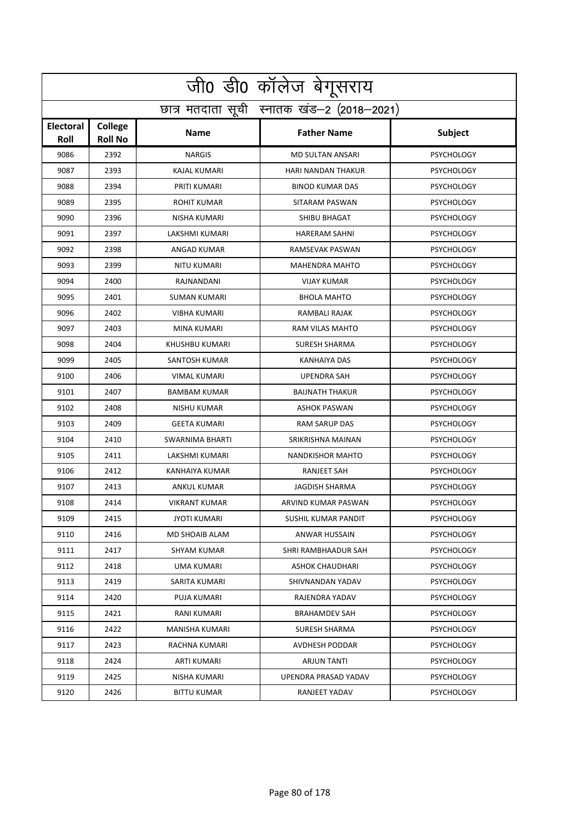|                          | जी0 डी0 कॉलेज बेगूसराय                     |                      |                           |                   |  |  |
|--------------------------|--------------------------------------------|----------------------|---------------------------|-------------------|--|--|
|                          | छात्र मतदाता सूची स्नातक खंड-2 (2018-2021) |                      |                           |                   |  |  |
| <b>Electoral</b><br>Roll | <b>College</b><br><b>Roll No</b>           | <b>Name</b>          | <b>Father Name</b>        | Subject           |  |  |
| 9086                     | 2392                                       | <b>NARGIS</b>        | <b>MD SULTAN ANSARI</b>   | <b>PSYCHOLOGY</b> |  |  |
| 9087                     | 2393                                       | <b>KAJAL KUMARI</b>  | <b>HARI NANDAN THAKUR</b> | <b>PSYCHOLOGY</b> |  |  |
| 9088                     | 2394                                       | PRITI KUMARI         | <b>BINOD KUMAR DAS</b>    | <b>PSYCHOLOGY</b> |  |  |
| 9089                     | 2395                                       | <b>ROHIT KUMAR</b>   | SITARAM PASWAN            | <b>PSYCHOLOGY</b> |  |  |
| 9090                     | 2396                                       | NISHA KUMARI         | SHIBU BHAGAT              | <b>PSYCHOLOGY</b> |  |  |
| 9091                     | 2397                                       | LAKSHMI KUMARI       | <b>HARERAM SAHNI</b>      | <b>PSYCHOLOGY</b> |  |  |
| 9092                     | 2398                                       | ANGAD KUMAR          | RAMSEVAK PASWAN           | <b>PSYCHOLOGY</b> |  |  |
| 9093                     | 2399                                       | NITU KUMARI          | <b>MAHENDRA MAHTO</b>     | <b>PSYCHOLOGY</b> |  |  |
| 9094                     | 2400                                       | RAJNANDANI           | <b>VIJAY KUMAR</b>        | <b>PSYCHOLOGY</b> |  |  |
| 9095                     | 2401                                       | <b>SUMAN KUMARI</b>  | <b>BHOLA MAHTO</b>        | <b>PSYCHOLOGY</b> |  |  |
| 9096                     | 2402                                       | <b>VIBHA KUMARI</b>  | RAMBALI RAJAK             | <b>PSYCHOLOGY</b> |  |  |
| 9097                     | 2403                                       | MINA KUMARI          | RAM VILAS MAHTO           | <b>PSYCHOLOGY</b> |  |  |
| 9098                     | 2404                                       | KHUSHBU KUMARI       | <b>SURESH SHARMA</b>      | <b>PSYCHOLOGY</b> |  |  |
| 9099                     | 2405                                       | SANTOSH KUMAR        | <b>KANHAIYA DAS</b>       | <b>PSYCHOLOGY</b> |  |  |
| 9100                     | 2406                                       | <b>VIMAL KUMARI</b>  | <b>UPENDRA SAH</b>        | <b>PSYCHOLOGY</b> |  |  |
| 9101                     | 2407                                       | <b>BAMBAM KUMAR</b>  | <b>BAIJNATH THAKUR</b>    | <b>PSYCHOLOGY</b> |  |  |
| 9102                     | 2408                                       | <b>NISHU KUMAR</b>   | <b>ASHOK PASWAN</b>       | <b>PSYCHOLOGY</b> |  |  |
| 9103                     | 2409                                       | <b>GEETA KUMARI</b>  | RAM SARUP DAS             | <b>PSYCHOLOGY</b> |  |  |
| 9104                     | 2410                                       | SWARNIMA BHARTI      | SRIKRISHNA MAINAN         | <b>PSYCHOLOGY</b> |  |  |
| 9105                     | 2411                                       | LAKSHMI KUMARI       | <b>NANDKISHOR MAHTO</b>   | <b>PSYCHOLOGY</b> |  |  |
| 9106                     | 2412                                       | KANHAIYA KUMAR       | <b>RANJEET SAH</b>        | <b>PSYCHOLOGY</b> |  |  |
| 9107                     | 2413                                       | ANKUL KUMAR          | <b>JAGDISH SHARMA</b>     | <b>PSYCHOLOGY</b> |  |  |
| 9108                     | 2414                                       | <b>VIKRANT KUMAR</b> | ARVIND KUMAR PASWAN       | <b>PSYCHOLOGY</b> |  |  |
| 9109                     | 2415                                       | <b>JYOTI KUMARI</b>  | SUSHIL KUMAR PANDIT       | <b>PSYCHOLOGY</b> |  |  |
| 9110                     | 2416                                       | MD SHOAIB ALAM       | ANWAR HUSSAIN             | <b>PSYCHOLOGY</b> |  |  |
| 9111                     | 2417                                       | SHYAM KUMAR          | SHRI RAMBHAADUR SAH       | <b>PSYCHOLOGY</b> |  |  |
| 9112                     | 2418                                       | UMA KUMARI           | <b>ASHOK CHAUDHARI</b>    | <b>PSYCHOLOGY</b> |  |  |
| 9113                     | 2419                                       | SARITA KUMARI        | SHIVNANDAN YADAV          | <b>PSYCHOLOGY</b> |  |  |
| 9114                     | 2420                                       | PUJA KUMARI          | RAJENDRA YADAV            | <b>PSYCHOLOGY</b> |  |  |
| 9115                     | 2421                                       | RANI KUMARI          | <b>BRAHAMDEV SAH</b>      | <b>PSYCHOLOGY</b> |  |  |
| 9116                     | 2422                                       | MANISHA KUMARI       | <b>SURESH SHARMA</b>      | <b>PSYCHOLOGY</b> |  |  |
| 9117                     | 2423                                       | RACHNA KUMARI        | AVDHESH PODDAR            | <b>PSYCHOLOGY</b> |  |  |
| 9118                     | 2424                                       | ARTI KUMARI          | ARJUN TANTI               | <b>PSYCHOLOGY</b> |  |  |
| 9119                     | 2425                                       | NISHA KUMARI         | UPENDRA PRASAD YADAV      | <b>PSYCHOLOGY</b> |  |  |
| 9120                     | 2426                                       | BITTU KUMAR          | RANJEET YADAV             | <b>PSYCHOLOGY</b> |  |  |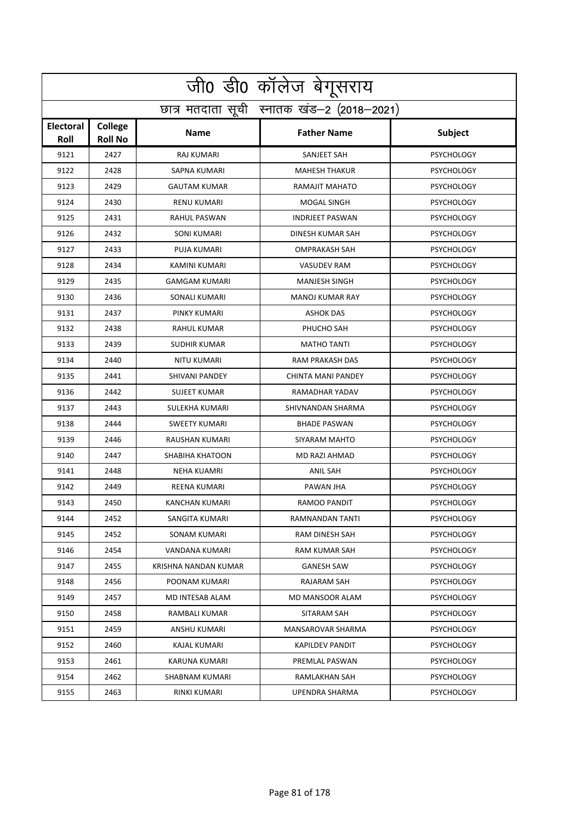|                                            | जी0 डी0 कॉलेज बेगूसराय           |                        |                           |                   |  |
|--------------------------------------------|----------------------------------|------------------------|---------------------------|-------------------|--|
| छात्र मतदाता सूची स्नातक खंड-2 (2018-2021) |                                  |                        |                           |                   |  |
| <b>Electoral</b><br>Roll                   | <b>College</b><br><b>Roll No</b> | <b>Name</b>            | <b>Father Name</b>        | Subject           |  |
| 9121                                       | 2427                             | <b>RAJ KUMARI</b>      | SANJEET SAH               | <b>PSYCHOLOGY</b> |  |
| 9122                                       | 2428                             | SAPNA KUMARI           | <b>MAHESH THAKUR</b>      | <b>PSYCHOLOGY</b> |  |
| 9123                                       | 2429                             | <b>GAUTAM KUMAR</b>    | RAMAJIT MAHATO            | <b>PSYCHOLOGY</b> |  |
| 9124                                       | 2430                             | RENU KUMARI            | MOGAL SINGH               | <b>PSYCHOLOGY</b> |  |
| 9125                                       | 2431                             | RAHUL PASWAN           | <b>INDRJEET PASWAN</b>    | <b>PSYCHOLOGY</b> |  |
| 9126                                       | 2432                             | <b>SONI KUMARI</b>     | DINESH KUMAR SAH          | <b>PSYCHOLOGY</b> |  |
| 9127                                       | 2433                             | PUJA KUMARI            | <b>OMPRAKASH SAH</b>      | <b>PSYCHOLOGY</b> |  |
| 9128                                       | 2434                             | KAMINI KUMARI          | <b>VASUDEV RAM</b>        | <b>PSYCHOLOGY</b> |  |
| 9129                                       | 2435                             | <b>GAMGAM KUMARI</b>   | <b>MANJESH SINGH</b>      | <b>PSYCHOLOGY</b> |  |
| 9130                                       | 2436                             | <b>SONALI KUMARI</b>   | <b>MANOJ KUMAR RAY</b>    | <b>PSYCHOLOGY</b> |  |
| 9131                                       | 2437                             | PINKY KUMARI           | <b>ASHOK DAS</b>          | <b>PSYCHOLOGY</b> |  |
| 9132                                       | 2438                             | RAHUL KUMAR            | PHUCHO SAH                | <b>PSYCHOLOGY</b> |  |
| 9133                                       | 2439                             | <b>SUDHIR KUMAR</b>    | <b>MATHO TANTI</b>        | <b>PSYCHOLOGY</b> |  |
| 9134                                       | 2440                             | NITU KUMARI            | <b>RAM PRAKASH DAS</b>    | <b>PSYCHOLOGY</b> |  |
| 9135                                       | 2441                             | SHIVANI PANDEY         | <b>CHINTA MANI PANDEY</b> | <b>PSYCHOLOGY</b> |  |
| 9136                                       | 2442                             | <b>SUJEET KUMAR</b>    | RAMADHAR YADAV            | <b>PSYCHOLOGY</b> |  |
| 9137                                       | 2443                             | SULEKHA KUMARI         | SHIVNANDAN SHARMA         | <b>PSYCHOLOGY</b> |  |
| 9138                                       | 2444                             | <b>SWEETY KUMARI</b>   | <b>BHADE PASWAN</b>       | <b>PSYCHOLOGY</b> |  |
| 9139                                       | 2446                             | RAUSHAN KUMARI         | SIYARAM MAHTO             | <b>PSYCHOLOGY</b> |  |
| 9140                                       | 2447                             | <b>SHABIHA KHATOON</b> | MD RAZI AHMAD             | <b>PSYCHOLOGY</b> |  |
| 9141                                       | 2448                             | <b>NEHA KUAMRI</b>     | <b>ANIL SAH</b>           | <b>PSYCHOLOGY</b> |  |
| 9142                                       | 2449                             | REENA KUMARI           | PAWAN JHA                 | <b>PSYCHOLOGY</b> |  |
| 9143                                       | 2450                             | KANCHAN KUMARI         | RAMOO PANDIT              | <b>PSYCHOLOGY</b> |  |
| 9144                                       | 2452                             | SANGITA KUMARI         | RAMNANDAN TANTI           | <b>PSYCHOLOGY</b> |  |
| 9145                                       | 2452                             | SONAM KUMARI           | RAM DINESH SAH            | <b>PSYCHOLOGY</b> |  |
| 9146                                       | 2454                             | VANDANA KUMARI         | RAM KUMAR SAH             | <b>PSYCHOLOGY</b> |  |
| 9147                                       | 2455                             | KRISHNA NANDAN KUMAR   | <b>GANESH SAW</b>         | <b>PSYCHOLOGY</b> |  |
| 9148                                       | 2456                             | POONAM KUMARI          | RAJARAM SAH               | <b>PSYCHOLOGY</b> |  |
| 9149                                       | 2457                             | MD INTESAB ALAM        | MD MANSOOR ALAM           | <b>PSYCHOLOGY</b> |  |
| 9150                                       | 2458                             | RAMBALI KUMAR          | SITARAM SAH               | <b>PSYCHOLOGY</b> |  |
| 9151                                       | 2459                             | ANSHU KUMARI           | <b>MANSAROVAR SHARMA</b>  | <b>PSYCHOLOGY</b> |  |
| 9152                                       | 2460                             | KAJAL KUMARI           | KAPILDEV PANDIT           | <b>PSYCHOLOGY</b> |  |
| 9153                                       | 2461                             | KARUNA KUMARI          | PREMLAL PASWAN            | <b>PSYCHOLOGY</b> |  |
| 9154                                       | 2462                             | SHABNAM KUMARI         | RAMLAKHAN SAH             | <b>PSYCHOLOGY</b> |  |
| 9155                                       | 2463                             | RINKI KUMARI           | UPENDRA SHARMA            | <b>PSYCHOLOGY</b> |  |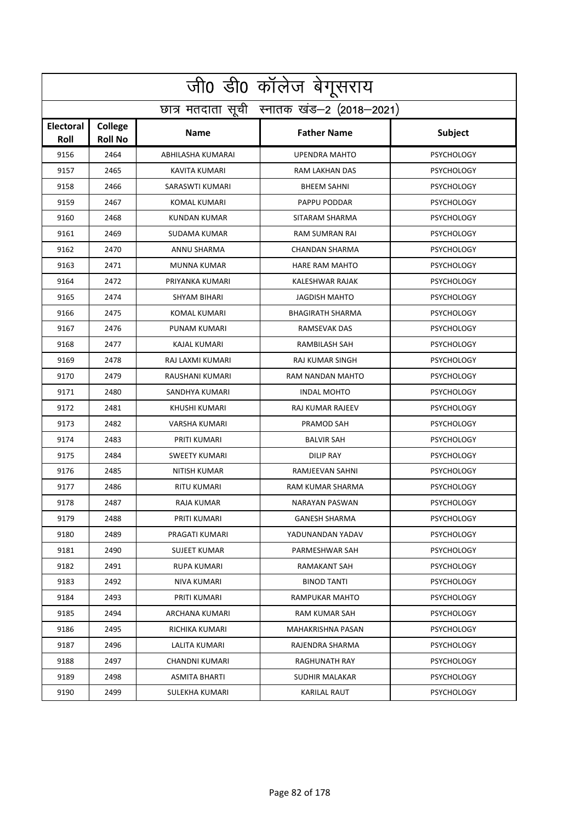|                          | जी0 डी0 कॉलेज बेगूसराय                     |                      |                         |                   |  |  |
|--------------------------|--------------------------------------------|----------------------|-------------------------|-------------------|--|--|
|                          | छात्र मतदाता सूची स्नातक खंड-2 (2018-2021) |                      |                         |                   |  |  |
| <b>Electoral</b><br>Roll | College<br><b>Roll No</b>                  | <b>Name</b>          | <b>Father Name</b>      | Subject           |  |  |
| 9156                     | 2464                                       | ABHILASHA KUMARAI    | <b>UPENDRA MAHTO</b>    | <b>PSYCHOLOGY</b> |  |  |
| 9157                     | 2465                                       | KAVITA KUMARI        | RAM LAKHAN DAS          | <b>PSYCHOLOGY</b> |  |  |
| 9158                     | 2466                                       | SARASWTI KUMARI      | <b>BHEEM SAHNI</b>      | <b>PSYCHOLOGY</b> |  |  |
| 9159                     | 2467                                       | <b>KOMAL KUMARI</b>  | PAPPU PODDAR            | <b>PSYCHOLOGY</b> |  |  |
| 9160                     | 2468                                       | <b>KUNDAN KUMAR</b>  | SITARAM SHARMA          | <b>PSYCHOLOGY</b> |  |  |
| 9161                     | 2469                                       | SUDAMA KUMAR         | RAM SUMRAN RAI          | <b>PSYCHOLOGY</b> |  |  |
| 9162                     | 2470                                       | <b>ANNU SHARMA</b>   | <b>CHANDAN SHARMA</b>   | <b>PSYCHOLOGY</b> |  |  |
| 9163                     | 2471                                       | <b>MUNNA KUMAR</b>   | <b>HARE RAM MAHTO</b>   | <b>PSYCHOLOGY</b> |  |  |
| 9164                     | 2472                                       | PRIYANKA KUMARI      | KALESHWAR RAJAK         | <b>PSYCHOLOGY</b> |  |  |
| 9165                     | 2474                                       | SHYAM BIHARI         | <b>JAGDISH MAHTO</b>    | <b>PSYCHOLOGY</b> |  |  |
| 9166                     | 2475                                       | <b>KOMAL KUMARI</b>  | <b>BHAGIRATH SHARMA</b> | <b>PSYCHOLOGY</b> |  |  |
| 9167                     | 2476                                       | <b>PUNAM KUMARI</b>  | RAMSEVAK DAS            | <b>PSYCHOLOGY</b> |  |  |
| 9168                     | 2477                                       | <b>KAJAL KUMARI</b>  | <b>RAMBILASH SAH</b>    | <b>PSYCHOLOGY</b> |  |  |
| 9169                     | 2478                                       | RAJ LAXMI KUMARI     | RAJ KUMAR SINGH         | <b>PSYCHOLOGY</b> |  |  |
| 9170                     | 2479                                       | RAUSHANI KUMARI      | RAM NANDAN MAHTO        | <b>PSYCHOLOGY</b> |  |  |
| 9171                     | 2480                                       | SANDHYA KUMARI       | <b>INDAL MOHTO</b>      | <b>PSYCHOLOGY</b> |  |  |
| 9172                     | 2481                                       | KHUSHI KUMARI        | RAJ KUMAR RAJEEV        | <b>PSYCHOLOGY</b> |  |  |
| 9173                     | 2482                                       | VARSHA KUMARI        | PRAMOD SAH              | <b>PSYCHOLOGY</b> |  |  |
| 9174                     | 2483                                       | PRITI KUMARI         | <b>BALVIR SAH</b>       | <b>PSYCHOLOGY</b> |  |  |
| 9175                     | 2484                                       | <b>SWEETY KUMARI</b> | <b>DILIP RAY</b>        | <b>PSYCHOLOGY</b> |  |  |
| 9176                     | 2485                                       | <b>NITISH KUMAR</b>  | RAMJEEVAN SAHNI         | <b>PSYCHOLOGY</b> |  |  |
| 9177                     | 2486                                       | RITU KUMARI          | RAM KUMAR SHARMA        | <b>PSYCHOLOGY</b> |  |  |
| 9178                     | 2487                                       | RAJA KUMAR           | <b>NARAYAN PASWAN</b>   | <b>PSYCHOLOGY</b> |  |  |
| 9179                     | 2488                                       | PRITI KUMARI         | <b>GANESH SHARMA</b>    | <b>PSYCHOLOGY</b> |  |  |
| 9180                     | 2489                                       | PRAGATI KUMARI       | YADUNANDAN YADAV        | <b>PSYCHOLOGY</b> |  |  |
| 9181                     | 2490                                       | <b>SUJEET KUMAR</b>  | PARMESHWAR SAH          | <b>PSYCHOLOGY</b> |  |  |
| 9182                     | 2491                                       | <b>RUPA KUMARI</b>   | <b>RAMAKANT SAH</b>     | <b>PSYCHOLOGY</b> |  |  |
| 9183                     | 2492                                       | NIVA KUMARI          | <b>BINOD TANTI</b>      | <b>PSYCHOLOGY</b> |  |  |
| 9184                     | 2493                                       | PRITI KUMARI         | RAMPUKAR MAHTO          | <b>PSYCHOLOGY</b> |  |  |
| 9185                     | 2494                                       | ARCHANA KUMARI       | RAM KUMAR SAH           | <b>PSYCHOLOGY</b> |  |  |
| 9186                     | 2495                                       | RICHIKA KUMARI       | MAHAKRISHNA PASAN       | <b>PSYCHOLOGY</b> |  |  |
| 9187                     | 2496                                       | LALITA KUMARI        | RAJENDRA SHARMA         | <b>PSYCHOLOGY</b> |  |  |
| 9188                     | 2497                                       | CHANDNI KUMARI       | RAGHUNATH RAY           | <b>PSYCHOLOGY</b> |  |  |
| 9189                     | 2498                                       | ASMITA BHARTI        | SUDHIR MALAKAR          | <b>PSYCHOLOGY</b> |  |  |
| 9190                     | 2499                                       | SULEKHA KUMARI       | KARILAL RAUT            | <b>PSYCHOLOGY</b> |  |  |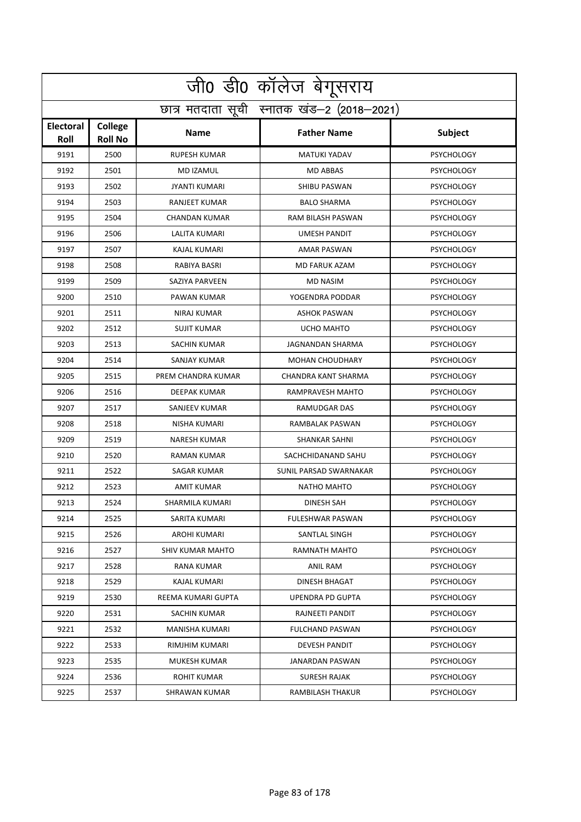|                          | जी0 डी0 कॉलेज बेगूसराय                     |                       |                         |                   |  |  |
|--------------------------|--------------------------------------------|-----------------------|-------------------------|-------------------|--|--|
|                          | छात्र मतदाता सूची स्नातक खंड-2 (2018-2021) |                       |                         |                   |  |  |
| <b>Electoral</b><br>Roll | <b>College</b><br><b>Roll No</b>           | <b>Name</b>           | <b>Father Name</b>      | Subject           |  |  |
| 9191                     | 2500                                       | <b>RUPESH KUMAR</b>   | <b>MATUKI YADAV</b>     | <b>PSYCHOLOGY</b> |  |  |
| 9192                     | 2501                                       | MD IZAMUL             | <b>MD ABBAS</b>         | <b>PSYCHOLOGY</b> |  |  |
| 9193                     | 2502                                       | <b>JYANTI KUMARI</b>  | <b>SHIBU PASWAN</b>     | <b>PSYCHOLOGY</b> |  |  |
| 9194                     | 2503                                       | <b>RANJEET KUMAR</b>  | <b>BALO SHARMA</b>      | <b>PSYCHOLOGY</b> |  |  |
| 9195                     | 2504                                       | <b>CHANDAN KUMAR</b>  | RAM BILASH PASWAN       | <b>PSYCHOLOGY</b> |  |  |
| 9196                     | 2506                                       | <b>LALITA KUMARI</b>  | <b>UMESH PANDIT</b>     | <b>PSYCHOLOGY</b> |  |  |
| 9197                     | 2507                                       | <b>KAJAL KUMARI</b>   | AMAR PASWAN             | <b>PSYCHOLOGY</b> |  |  |
| 9198                     | 2508                                       | RABIYA BASRI          | MD FARUK AZAM           | <b>PSYCHOLOGY</b> |  |  |
| 9199                     | 2509                                       | <b>SAZIYA PARVEEN</b> | <b>MD NASIM</b>         | <b>PSYCHOLOGY</b> |  |  |
| 9200                     | 2510                                       | PAWAN KUMAR           | YOGENDRA PODDAR         | <b>PSYCHOLOGY</b> |  |  |
| 9201                     | 2511                                       | NIRAJ KUMAR           | <b>ASHOK PASWAN</b>     | <b>PSYCHOLOGY</b> |  |  |
| 9202                     | 2512                                       | <b>SUJIT KUMAR</b>    | <b>UCHO MAHTO</b>       | <b>PSYCHOLOGY</b> |  |  |
| 9203                     | 2513                                       | SACHIN KUMAR          | <b>JAGNANDAN SHARMA</b> | <b>PSYCHOLOGY</b> |  |  |
| 9204                     | 2514                                       | SANJAY KUMAR          | <b>MOHAN CHOUDHARY</b>  | <b>PSYCHOLOGY</b> |  |  |
| 9205                     | 2515                                       | PREM CHANDRA KUMAR    | CHANDRA KANT SHARMA     | <b>PSYCHOLOGY</b> |  |  |
| 9206                     | 2516                                       | DEEPAK KUMAR          | RAMPRAVESH MAHTO        | <b>PSYCHOLOGY</b> |  |  |
| 9207                     | 2517                                       | SANJEEV KUMAR         | RAMUDGAR DAS            | <b>PSYCHOLOGY</b> |  |  |
| 9208                     | 2518                                       | NISHA KUMARI          | RAMBALAK PASWAN         | <b>PSYCHOLOGY</b> |  |  |
| 9209                     | 2519                                       | <b>NARESH KUMAR</b>   | <b>SHANKAR SAHNI</b>    | <b>PSYCHOLOGY</b> |  |  |
| 9210                     | 2520                                       | RAMAN KUMAR           | SACHCHIDANAND SAHU      | <b>PSYCHOLOGY</b> |  |  |
| 9211                     | 2522                                       | <b>SAGAR KUMAR</b>    | SUNIL PARSAD SWARNAKAR  | <b>PSYCHOLOGY</b> |  |  |
| 9212                     | 2523                                       | AMIT KUMAR            | <b>NATHO MAHTO</b>      | <b>PSYCHOLOGY</b> |  |  |
| 9213                     | 2524                                       | SHARMILA KUMARI       | <b>DINESH SAH</b>       | <b>PSYCHOLOGY</b> |  |  |
| 9214                     | 2525                                       | SARITA KUMARI         | FULESHWAR PASWAN        | <b>PSYCHOLOGY</b> |  |  |
| 9215                     | 2526                                       | AROHI KUMARI          | SANTLAL SINGH           | <b>PSYCHOLOGY</b> |  |  |
| 9216                     | 2527                                       | SHIV KUMAR MAHTO      | RAMNATH MAHTO           | <b>PSYCHOLOGY</b> |  |  |
| 9217                     | 2528                                       | RANA KUMAR            | ANIL RAM                | <b>PSYCHOLOGY</b> |  |  |
| 9218                     | 2529                                       | KAJAL KUMARI          | DINESH BHAGAT           | <b>PSYCHOLOGY</b> |  |  |
| 9219                     | 2530                                       | REEMA KUMARI GUPTA    | UPENDRA PD GUPTA        | <b>PSYCHOLOGY</b> |  |  |
| 9220                     | 2531                                       | SACHIN KUMAR          | RAJNEETI PANDIT         | <b>PSYCHOLOGY</b> |  |  |
| 9221                     | 2532                                       | MANISHA KUMARI        | <b>FULCHAND PASWAN</b>  | <b>PSYCHOLOGY</b> |  |  |
| 9222                     | 2533                                       | RIMJHIM KUMARI        | DEVESH PANDIT           | <b>PSYCHOLOGY</b> |  |  |
| 9223                     | 2535                                       | MUKESH KUMAR          | JANARDAN PASWAN         | <b>PSYCHOLOGY</b> |  |  |
| 9224                     | 2536                                       | ROHIT KUMAR           | SURESH RAJAK            | <b>PSYCHOLOGY</b> |  |  |
| 9225                     | 2537                                       | SHRAWAN KUMAR         | RAMBILASH THAKUR        | <b>PSYCHOLOGY</b> |  |  |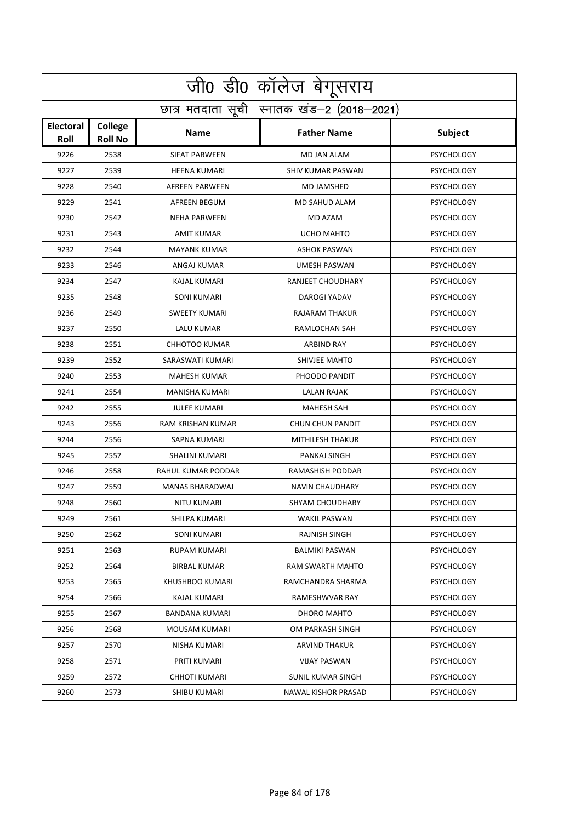|                          | जी0 डी0 कॉलेज बेगूसराय                     |                        |                          |                   |  |  |
|--------------------------|--------------------------------------------|------------------------|--------------------------|-------------------|--|--|
|                          | छात्र मतदाता सूची स्नातक खंड-2 (2018-2021) |                        |                          |                   |  |  |
| <b>Electoral</b><br>Roll | College<br><b>Roll No</b>                  | <b>Name</b>            | <b>Father Name</b>       | Subject           |  |  |
| 9226                     | 2538                                       | <b>SIFAT PARWEEN</b>   | <b>MD JAN ALAM</b>       | <b>PSYCHOLOGY</b> |  |  |
| 9227                     | 2539                                       | <b>HEENA KUMARI</b>    | <b>SHIV KUMAR PASWAN</b> | <b>PSYCHOLOGY</b> |  |  |
| 9228                     | 2540                                       | <b>AFREEN PARWEEN</b>  | <b>MD JAMSHED</b>        | <b>PSYCHOLOGY</b> |  |  |
| 9229                     | 2541                                       | AFREEN BEGUM           | <b>MD SAHUD ALAM</b>     | <b>PSYCHOLOGY</b> |  |  |
| 9230                     | 2542                                       | <b>NEHA PARWEEN</b>    | MD AZAM                  | <b>PSYCHOLOGY</b> |  |  |
| 9231                     | 2543                                       | <b>AMIT KUMAR</b>      | <b>UCHO MAHTO</b>        | <b>PSYCHOLOGY</b> |  |  |
| 9232                     | 2544                                       | <b>MAYANK KUMAR</b>    | <b>ASHOK PASWAN</b>      | <b>PSYCHOLOGY</b> |  |  |
| 9233                     | 2546                                       | ANGAJ KUMAR            | UMESH PASWAN             | <b>PSYCHOLOGY</b> |  |  |
| 9234                     | 2547                                       | KAJAL KUMARI           | <b>RANJEET CHOUDHARY</b> | <b>PSYCHOLOGY</b> |  |  |
| 9235                     | 2548                                       | <b>SONI KUMARI</b>     | DAROGI YADAV             | <b>PSYCHOLOGY</b> |  |  |
| 9236                     | 2549                                       | <b>SWEETY KUMARI</b>   | RAJARAM THAKUR           | <b>PSYCHOLOGY</b> |  |  |
| 9237                     | 2550                                       | LALU KUMAR             | RAMLOCHAN SAH            | <b>PSYCHOLOGY</b> |  |  |
| 9238                     | 2551                                       | <b>CHHOTOO KUMAR</b>   | <b>ARBIND RAY</b>        | <b>PSYCHOLOGY</b> |  |  |
| 9239                     | 2552                                       | SARASWATI KUMARI       | SHIVJEE MAHTO            | <b>PSYCHOLOGY</b> |  |  |
| 9240                     | 2553                                       | MAHESH KUMAR           | PHOODO PANDIT            | <b>PSYCHOLOGY</b> |  |  |
| 9241                     | 2554                                       | MANISHA KUMARI         | <b>LALAN RAJAK</b>       | <b>PSYCHOLOGY</b> |  |  |
| 9242                     | 2555                                       | <b>JULEE KUMARI</b>    | <b>MAHESH SAH</b>        | <b>PSYCHOLOGY</b> |  |  |
| 9243                     | 2556                                       | RAM KRISHAN KUMAR      | <b>CHUN CHUN PANDIT</b>  | <b>PSYCHOLOGY</b> |  |  |
| 9244                     | 2556                                       | SAPNA KUMARI           | MITHILESH THAKUR         | <b>PSYCHOLOGY</b> |  |  |
| 9245                     | 2557                                       | SHALINI KUMARI         | PANKAJ SINGH             | <b>PSYCHOLOGY</b> |  |  |
| 9246                     | 2558                                       | RAHUL KUMAR PODDAR     | RAMASHISH PODDAR         | <b>PSYCHOLOGY</b> |  |  |
| 9247                     | 2559                                       | <b>MANAS BHARADWAJ</b> | <b>NAVIN CHAUDHARY</b>   | <b>PSYCHOLOGY</b> |  |  |
| 9248                     | 2560                                       | <b>NITU KUMARI</b>     | <b>SHYAM CHOUDHARY</b>   | <b>PSYCHOLOGY</b> |  |  |
| 9249                     | 2561                                       | SHILPA KUMARI          | <b>WAKIL PASWAN</b>      | <b>PSYCHOLOGY</b> |  |  |
| 9250                     | 2562                                       | SONI KUMARI            | RAJNISH SINGH            | <b>PSYCHOLOGY</b> |  |  |
| 9251                     | 2563                                       | <b>RUPAM KUMARI</b>    | <b>BALMIKI PASWAN</b>    | <b>PSYCHOLOGY</b> |  |  |
| 9252                     | 2564                                       | <b>BIRBAL KUMAR</b>    | <b>RAM SWARTH MAHTO</b>  | <b>PSYCHOLOGY</b> |  |  |
| 9253                     | 2565                                       | KHUSHBOO KUMARI        | RAMCHANDRA SHARMA        | <b>PSYCHOLOGY</b> |  |  |
| 9254                     | 2566                                       | KAJAL KUMARI           | RAMESHWVAR RAY           | <b>PSYCHOLOGY</b> |  |  |
| 9255                     | 2567                                       | <b>BANDANA KUMARI</b>  | DHORO MAHTO              | <b>PSYCHOLOGY</b> |  |  |
| 9256                     | 2568                                       | MOUSAM KUMARI          | OM PARKASH SINGH         | <b>PSYCHOLOGY</b> |  |  |
| 9257                     | 2570                                       | NISHA KUMARI           | ARVIND THAKUR            | <b>PSYCHOLOGY</b> |  |  |
| 9258                     | 2571                                       | PRITI KUMARI           | <b>VIJAY PASWAN</b>      | <b>PSYCHOLOGY</b> |  |  |
| 9259                     | 2572                                       | CHHOTI KUMARI          | SUNIL KUMAR SINGH        | <b>PSYCHOLOGY</b> |  |  |
| 9260                     | 2573                                       | SHIBU KUMARI           | NAWAL KISHOR PRASAD      | <b>PSYCHOLOGY</b> |  |  |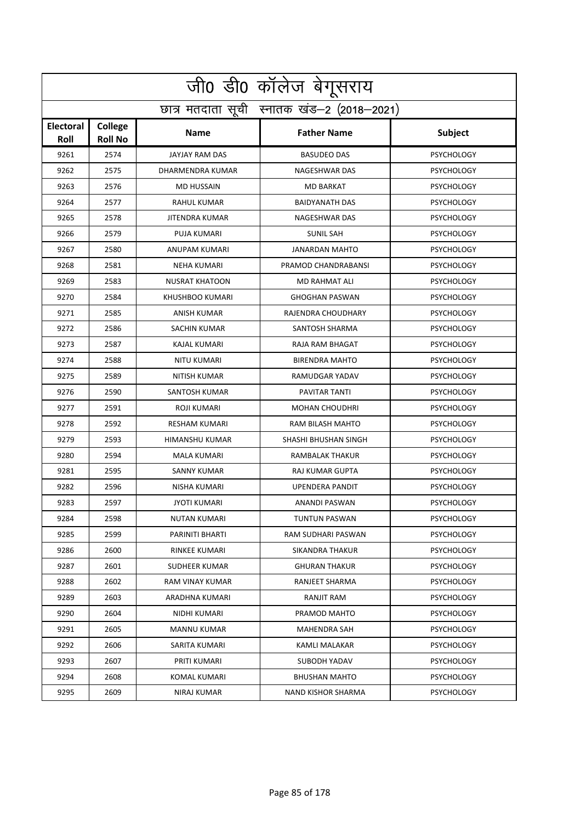|                          | जी0 डी0 कॉलेज बेगूसराय                     |                       |                        |                   |  |  |
|--------------------------|--------------------------------------------|-----------------------|------------------------|-------------------|--|--|
|                          | छात्र मतदाता सूची स्नातक खंड-2 (2018-2021) |                       |                        |                   |  |  |
| <b>Electoral</b><br>Roll | <b>College</b><br><b>Roll No</b>           | <b>Name</b>           | <b>Father Name</b>     | Subject           |  |  |
| 9261                     | 2574                                       | <b>JAYJAY RAM DAS</b> | <b>BASUDEO DAS</b>     | <b>PSYCHOLOGY</b> |  |  |
| 9262                     | 2575                                       | DHARMENDRA KUMAR      | NAGESHWAR DAS          | <b>PSYCHOLOGY</b> |  |  |
| 9263                     | 2576                                       | <b>MD HUSSAIN</b>     | <b>MD BARKAT</b>       | <b>PSYCHOLOGY</b> |  |  |
| 9264                     | 2577                                       | <b>RAHUL KUMAR</b>    | <b>BAIDYANATH DAS</b>  | <b>PSYCHOLOGY</b> |  |  |
| 9265                     | 2578                                       | <b>JITENDRA KUMAR</b> | NAGESHWAR DAS          | <b>PSYCHOLOGY</b> |  |  |
| 9266                     | 2579                                       | PUJA KUMARI           | <b>SUNIL SAH</b>       | <b>PSYCHOLOGY</b> |  |  |
| 9267                     | 2580                                       | ANUPAM KUMARI         | <b>JANARDAN MAHTO</b>  | <b>PSYCHOLOGY</b> |  |  |
| 9268                     | 2581                                       | <b>NEHA KUMARI</b>    | PRAMOD CHANDRABANSI    | <b>PSYCHOLOGY</b> |  |  |
| 9269                     | 2583                                       | <b>NUSRAT KHATOON</b> | <b>MD RAHMAT ALI</b>   | <b>PSYCHOLOGY</b> |  |  |
| 9270                     | 2584                                       | KHUSHBOO KUMARI       | <b>GHOGHAN PASWAN</b>  | <b>PSYCHOLOGY</b> |  |  |
| 9271                     | 2585                                       | ANISH KUMAR           | RAJENDRA CHOUDHARY     | <b>PSYCHOLOGY</b> |  |  |
| 9272                     | 2586                                       | SACHIN KUMAR          | SANTOSH SHARMA         | <b>PSYCHOLOGY</b> |  |  |
| 9273                     | 2587                                       | KAJAL KUMARI          | RAJA RAM BHAGAT        | <b>PSYCHOLOGY</b> |  |  |
| 9274                     | 2588                                       | NITU KUMARI           | <b>BIRENDRA MAHTO</b>  | <b>PSYCHOLOGY</b> |  |  |
| 9275                     | 2589                                       | <b>NITISH KUMAR</b>   | RAMUDGAR YADAV         | <b>PSYCHOLOGY</b> |  |  |
| 9276                     | 2590                                       | SANTOSH KUMAR         | PAVITAR TANTI          | <b>PSYCHOLOGY</b> |  |  |
| 9277                     | 2591                                       | ROJI KUMARI           | <b>MOHAN CHOUDHRI</b>  | <b>PSYCHOLOGY</b> |  |  |
| 9278                     | 2592                                       | <b>RESHAM KUMARI</b>  | RAM BILASH MAHTO       | <b>PSYCHOLOGY</b> |  |  |
| 9279                     | 2593                                       | HIMANSHU KUMAR        | SHASHI BHUSHAN SINGH   | <b>PSYCHOLOGY</b> |  |  |
| 9280                     | 2594                                       | <b>MALA KUMARI</b>    | <b>RAMBALAK THAKUR</b> | <b>PSYCHOLOGY</b> |  |  |
| 9281                     | 2595                                       | <b>SANNY KUMAR</b>    | RAJ KUMAR GUPTA        | <b>PSYCHOLOGY</b> |  |  |
| 9282                     | 2596                                       | <b>NISHA KUMARI</b>   | <b>UPENDERA PANDIT</b> | <b>PSYCHOLOGY</b> |  |  |
| 9283                     | 2597                                       | <b>JYOTI KUMARI</b>   | ANANDI PASWAN          | <b>PSYCHOLOGY</b> |  |  |
| 9284                     | 2598                                       | NUTAN KUMARI          | TUNTUN PASWAN          | <b>PSYCHOLOGY</b> |  |  |
| 9285                     | 2599                                       | PARINITI BHARTI       | RAM SUDHARI PASWAN     | <b>PSYCHOLOGY</b> |  |  |
| 9286                     | 2600                                       | RINKEE KUMARI         | SIKANDRA THAKUR        | <b>PSYCHOLOGY</b> |  |  |
| 9287                     | 2601                                       | SUDHEER KUMAR         | <b>GHURAN THAKUR</b>   | <b>PSYCHOLOGY</b> |  |  |
| 9288                     | 2602                                       | RAM VINAY KUMAR       | RANJEET SHARMA         | <b>PSYCHOLOGY</b> |  |  |
| 9289                     | 2603                                       | ARADHNA KUMARI        | RANJIT RAM             | <b>PSYCHOLOGY</b> |  |  |
| 9290                     | 2604                                       | NIDHI KUMARI          | PRAMOD MAHTO           | <b>PSYCHOLOGY</b> |  |  |
| 9291                     | 2605                                       | <b>MANNU KUMAR</b>    | <b>MAHENDRA SAH</b>    | <b>PSYCHOLOGY</b> |  |  |
| 9292                     | 2606                                       | SARITA KUMARI         | KAMLI MALAKAR          | <b>PSYCHOLOGY</b> |  |  |
| 9293                     | 2607                                       | PRITI KUMARI          | SUBODH YADAV           | <b>PSYCHOLOGY</b> |  |  |
| 9294                     | 2608                                       | KOMAL KUMARI          | BHUSHAN MAHTO          | <b>PSYCHOLOGY</b> |  |  |
| 9295                     | 2609                                       | NIRAJ KUMAR           | NAND KISHOR SHARMA     | <b>PSYCHOLOGY</b> |  |  |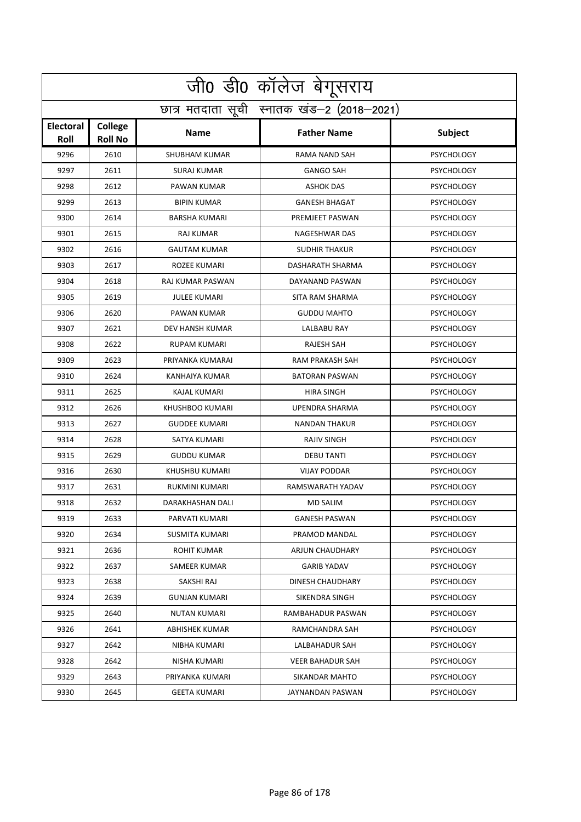|                                            | जी0 डी0 कॉलेज बेगूसराय           |                         |                       |                   |  |
|--------------------------------------------|----------------------------------|-------------------------|-----------------------|-------------------|--|
| छात्र मतदाता सूची स्नातक खंड-2 (2018-2021) |                                  |                         |                       |                   |  |
| <b>Electoral</b><br>Roll                   | <b>College</b><br><b>Roll No</b> | <b>Name</b>             | <b>Father Name</b>    | Subject           |  |
| 9296                                       | 2610                             | <b>SHUBHAM KUMAR</b>    | <b>RAMA NAND SAH</b>  | <b>PSYCHOLOGY</b> |  |
| 9297                                       | 2611                             | <b>SURAJ KUMAR</b>      | <b>GANGO SAH</b>      | <b>PSYCHOLOGY</b> |  |
| 9298                                       | 2612                             | PAWAN KUMAR             | <b>ASHOK DAS</b>      | <b>PSYCHOLOGY</b> |  |
| 9299                                       | 2613                             | <b>BIPIN KUMAR</b>      | <b>GANESH BHAGAT</b>  | <b>PSYCHOLOGY</b> |  |
| 9300                                       | 2614                             | <b>BARSHA KUMARI</b>    | PREMJEET PASWAN       | <b>PSYCHOLOGY</b> |  |
| 9301                                       | 2615                             | RAJ KUMAR               | NAGESHWAR DAS         | <b>PSYCHOLOGY</b> |  |
| 9302                                       | 2616                             | <b>GAUTAM KUMAR</b>     | <b>SUDHIR THAKUR</b>  | <b>PSYCHOLOGY</b> |  |
| 9303                                       | 2617                             | ROZEE KUMARI            | DASHARATH SHARMA      | <b>PSYCHOLOGY</b> |  |
| 9304                                       | 2618                             | <b>RAJ KUMAR PASWAN</b> | DAYANAND PASWAN       | <b>PSYCHOLOGY</b> |  |
| 9305                                       | 2619                             | <b>JULEE KUMARI</b>     | SITA RAM SHARMA       | <b>PSYCHOLOGY</b> |  |
| 9306                                       | 2620                             | PAWAN KUMAR             | <b>GUDDU MAHTO</b>    | <b>PSYCHOLOGY</b> |  |
| 9307                                       | 2621                             | DEV HANSH KUMAR         | LALBABU RAY           | <b>PSYCHOLOGY</b> |  |
| 9308                                       | 2622                             | <b>RUPAM KUMARI</b>     | RAJESH SAH            | <b>PSYCHOLOGY</b> |  |
| 9309                                       | 2623                             | PRIYANKA KUMARAI        | RAM PRAKASH SAH       | <b>PSYCHOLOGY</b> |  |
| 9310                                       | 2624                             | KANHAIYA KUMAR          | <b>BATORAN PASWAN</b> | <b>PSYCHOLOGY</b> |  |
| 9311                                       | 2625                             | <b>KAJAL KUMARI</b>     | <b>HIRA SINGH</b>     | <b>PSYCHOLOGY</b> |  |
| 9312                                       | 2626                             | KHUSHBOO KUMARI         | <b>UPENDRA SHARMA</b> | <b>PSYCHOLOGY</b> |  |
| 9313                                       | 2627                             | <b>GUDDEE KUMARI</b>    | <b>NANDAN THAKUR</b>  | <b>PSYCHOLOGY</b> |  |
| 9314                                       | 2628                             | SATYA KUMARI            | <b>RAJIV SINGH</b>    | <b>PSYCHOLOGY</b> |  |
| 9315                                       | 2629                             | <b>GUDDU KUMAR</b>      | <b>DEBU TANTI</b>     | <b>PSYCHOLOGY</b> |  |
| 9316                                       | 2630                             | KHUSHBU KUMARI          | <b>VIJAY PODDAR</b>   | <b>PSYCHOLOGY</b> |  |
| 9317                                       | 2631                             | RUKMINI KUMARI          | RAMSWARATH YADAV      | <b>PSYCHOLOGY</b> |  |
| 9318                                       | 2632                             | DARAKHASHAN DALI        | <b>MD SALIM</b>       | <b>PSYCHOLOGY</b> |  |
| 9319                                       | 2633                             | PARVATI KUMARI          | <b>GANESH PASWAN</b>  | <b>PSYCHOLOGY</b> |  |
| 9320                                       | 2634                             | SUSMITA KUMARI          | PRAMOD MANDAL         | <b>PSYCHOLOGY</b> |  |
| 9321                                       | 2636                             | ROHIT KUMAR             | ARJUN CHAUDHARY       | <b>PSYCHOLOGY</b> |  |
| 9322                                       | 2637                             | SAMEER KUMAR            | <b>GARIB YADAV</b>    | <b>PSYCHOLOGY</b> |  |
| 9323                                       | 2638                             | SAKSHI RAJ              | DINESH CHAUDHARY      | <b>PSYCHOLOGY</b> |  |
| 9324                                       | 2639                             | GUNJAN KUMARI           | SIKENDRA SINGH        | <b>PSYCHOLOGY</b> |  |
| 9325                                       | 2640                             | NUTAN KUMARI            | RAMBAHADUR PASWAN     | <b>PSYCHOLOGY</b> |  |
| 9326                                       | 2641                             | ABHISHEK KUMAR          | RAMCHANDRA SAH        | <b>PSYCHOLOGY</b> |  |
| 9327                                       | 2642                             | NIBHA KUMARI            | LALBAHADUR SAH        | <b>PSYCHOLOGY</b> |  |
| 9328                                       | 2642                             | NISHA KUMARI            | VEER BAHADUR SAH      | <b>PSYCHOLOGY</b> |  |
| 9329                                       | 2643                             | PRIYANKA KUMARI         | SIKANDAR MAHTO        | <b>PSYCHOLOGY</b> |  |
| 9330                                       | 2645                             | GEETA KUMARI            | JAYNANDAN PASWAN      | <b>PSYCHOLOGY</b> |  |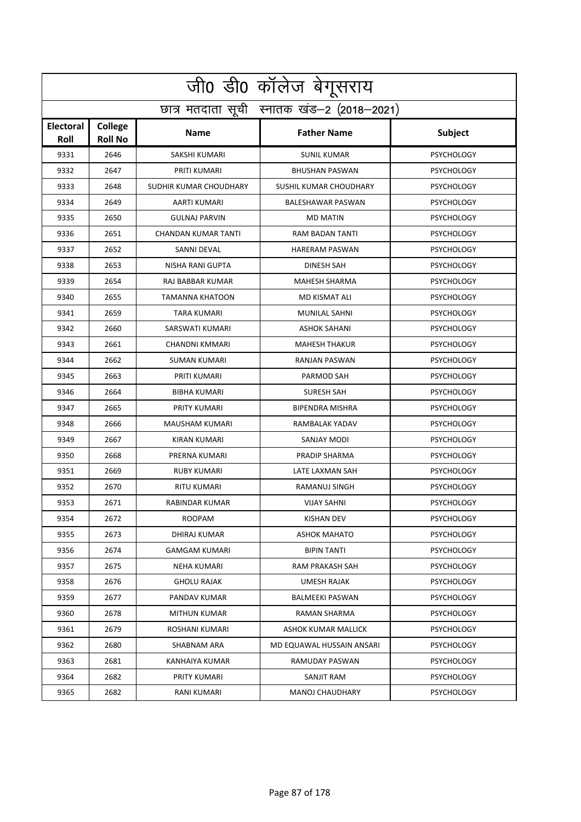| <u>जी0 डी0 कॉलेज बेगू</u> सराय |                                            |                            |                           |                   |  |  |
|--------------------------------|--------------------------------------------|----------------------------|---------------------------|-------------------|--|--|
|                                | छात्र मतदाता सूची स्नातक खंड-2 (2018-2021) |                            |                           |                   |  |  |
| <b>Electoral</b><br>Roll       | College<br><b>Roll No</b>                  | <b>Name</b>                | <b>Father Name</b>        | <b>Subject</b>    |  |  |
| 9331                           | 2646                                       | SAKSHI KUMARI              | <b>SUNIL KUMAR</b>        | <b>PSYCHOLOGY</b> |  |  |
| 9332                           | 2647                                       | PRITI KUMARI               | <b>BHUSHAN PASWAN</b>     | <b>PSYCHOLOGY</b> |  |  |
| 9333                           | 2648                                       | SUDHIR KUMAR CHOUDHARY     | SUSHIL KUMAR CHOUDHARY    | <b>PSYCHOLOGY</b> |  |  |
| 9334                           | 2649                                       | AARTI KUMARI               | <b>BALESHAWAR PASWAN</b>  | <b>PSYCHOLOGY</b> |  |  |
| 9335                           | 2650                                       | <b>GULNAJ PARVIN</b>       | <b>MD MATIN</b>           | <b>PSYCHOLOGY</b> |  |  |
| 9336                           | 2651                                       | <b>CHANDAN KUMAR TANTI</b> | RAM BADAN TANTI           | <b>PSYCHOLOGY</b> |  |  |
| 9337                           | 2652                                       | SANNI DEVAL                | <b>HARERAM PASWAN</b>     | <b>PSYCHOLOGY</b> |  |  |
| 9338                           | 2653                                       | NISHA RANI GUPTA           | DINESH SAH                | <b>PSYCHOLOGY</b> |  |  |
| 9339                           | 2654                                       | RAJ BABBAR KUMAR           | <b>MAHESH SHARMA</b>      | <b>PSYCHOLOGY</b> |  |  |
| 9340                           | 2655                                       | TAMANNA KHATOON            | <b>MD KISMAT ALI</b>      | <b>PSYCHOLOGY</b> |  |  |
| 9341                           | 2659                                       | <b>TARA KUMARI</b>         | <b>MUNILAL SAHNI</b>      | <b>PSYCHOLOGY</b> |  |  |
| 9342                           | 2660                                       | SARSWATI KUMARI            | <b>ASHOK SAHANI</b>       | <b>PSYCHOLOGY</b> |  |  |
| 9343                           | 2661                                       | CHANDNI KMMARI             | <b>MAHESH THAKUR</b>      | <b>PSYCHOLOGY</b> |  |  |
| 9344                           | 2662                                       | <b>SUMAN KUMARI</b>        | RANJAN PASWAN             | <b>PSYCHOLOGY</b> |  |  |
| 9345                           | 2663                                       | PRITI KUMARI               | PARMOD SAH                | <b>PSYCHOLOGY</b> |  |  |
| 9346                           | 2664                                       | <b>BIBHA KUMARI</b>        | <b>SURESH SAH</b>         | <b>PSYCHOLOGY</b> |  |  |
| 9347                           | 2665                                       | PRITY KUMARI               | <b>BIPENDRA MISHRA</b>    | <b>PSYCHOLOGY</b> |  |  |
| 9348                           | 2666                                       | MAUSHAM KUMARI             | RAMBALAK YADAV            | <b>PSYCHOLOGY</b> |  |  |
| 9349                           | 2667                                       | <b>KIRAN KUMARI</b>        | SANJAY MODI               | <b>PSYCHOLOGY</b> |  |  |
| 9350                           | 2668                                       | PRERNA KUMARI              | PRADIP SHARMA             | <b>PSYCHOLOGY</b> |  |  |
| 9351                           | 2669                                       | <b>RUBY KUMARI</b>         | LATE LAXMAN SAH           | <b>PSYCHOLOGY</b> |  |  |
| 9352                           | 2670                                       | RITU KUMARI                | RAMANUJ SINGH             | <b>PSYCHOLOGY</b> |  |  |
| 9353                           | 2671                                       | RABINDAR KUMAR             | <b>VIJAY SAHNI</b>        | <b>PSYCHOLOGY</b> |  |  |
| 9354                           | 2672                                       | <b>ROOPAM</b>              | <b>KISHAN DEV</b>         | <b>PSYCHOLOGY</b> |  |  |
| 9355                           | 2673                                       | DHIRAJ KUMAR               | <b>ASHOK MAHATO</b>       | <b>PSYCHOLOGY</b> |  |  |
| 9356                           | 2674                                       | <b>GAMGAM KUMARI</b>       | <b>BIPIN TANTI</b>        | <b>PSYCHOLOGY</b> |  |  |
| 9357                           | 2675                                       | NEHA KUMARI                | RAM PRAKASH SAH           | <b>PSYCHOLOGY</b> |  |  |
| 9358                           | 2676                                       | <b>GHOLU RAJAK</b>         | UMESH RAJAK               | <b>PSYCHOLOGY</b> |  |  |
| 9359                           | 2677                                       | PANDAV KUMAR               | <b>BALMEEKI PASWAN</b>    | <b>PSYCHOLOGY</b> |  |  |
| 9360                           | 2678                                       | MITHUN KUMAR               | RAMAN SHARMA              | <b>PSYCHOLOGY</b> |  |  |
| 9361                           | 2679                                       | ROSHANI KUMARI             | ASHOK KUMAR MALLICK       | <b>PSYCHOLOGY</b> |  |  |
| 9362                           | 2680                                       | SHABNAM ARA                | MD EQUAWAL HUSSAIN ANSARI | <b>PSYCHOLOGY</b> |  |  |
| 9363                           | 2681                                       | KANHAIYA KUMAR             | RAMUDAY PASWAN            | <b>PSYCHOLOGY</b> |  |  |
| 9364                           | 2682                                       | PRITY KUMARI               | SANJIT RAM                | <b>PSYCHOLOGY</b> |  |  |
| 9365                           | 2682                                       | RANI KUMARI                | MANOJ CHAUDHARY           | <b>PSYCHOLOGY</b> |  |  |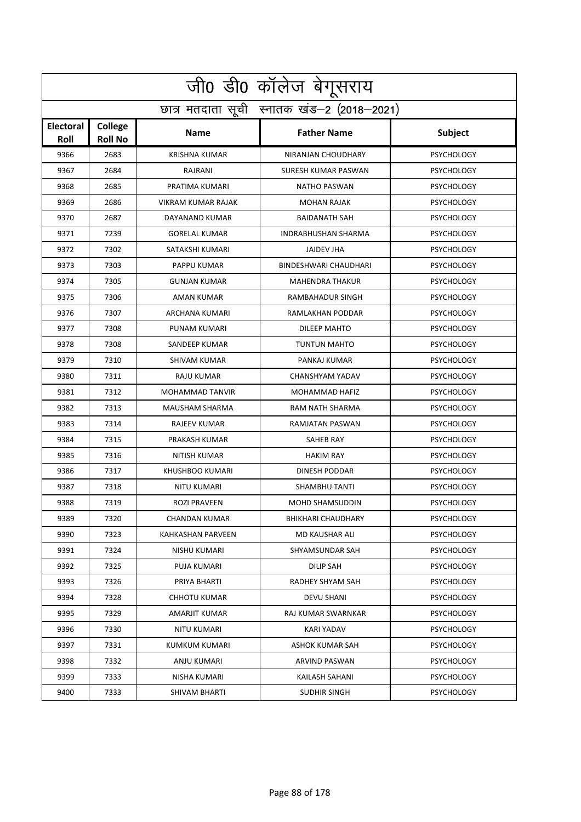| जी0 डी0 कॉलेज बेगूसराय |                                            |                           |                            |                   |  |  |
|------------------------|--------------------------------------------|---------------------------|----------------------------|-------------------|--|--|
|                        | छात्र मतदाता सूची स्नातक खंड-2 (2018-2021) |                           |                            |                   |  |  |
| Electoral<br>Roll      | <b>College</b><br><b>Roll No</b>           | <b>Name</b>               | <b>Father Name</b>         | Subject           |  |  |
| 9366                   | 2683                                       | <b>KRISHNA KUMAR</b>      | NIRANJAN CHOUDHARY         | <b>PSYCHOLOGY</b> |  |  |
| 9367                   | 2684                                       | RAJRANI                   | <b>SURESH KUMAR PASWAN</b> | <b>PSYCHOLOGY</b> |  |  |
| 9368                   | 2685                                       | PRATIMA KUMARI            | <b>NATHO PASWAN</b>        | <b>PSYCHOLOGY</b> |  |  |
| 9369                   | 2686                                       | <b>VIKRAM KUMAR RAJAK</b> | <b>MOHAN RAJAK</b>         | <b>PSYCHOLOGY</b> |  |  |
| 9370                   | 2687                                       | DAYANAND KUMAR            | <b>BAIDANATH SAH</b>       | <b>PSYCHOLOGY</b> |  |  |
| 9371                   | 7239                                       | <b>GORELAL KUMAR</b>      | <b>INDRABHUSHAN SHARMA</b> | <b>PSYCHOLOGY</b> |  |  |
| 9372                   | 7302                                       | SATAKSHI KUMARI           | <b>JAIDEV JHA</b>          | <b>PSYCHOLOGY</b> |  |  |
| 9373                   | 7303                                       | PAPPU KUMAR               | BINDESHWARI CHAUDHARI      | <b>PSYCHOLOGY</b> |  |  |
| 9374                   | 7305                                       | <b>GUNJAN KUMAR</b>       | <b>MAHENDRA THAKUR</b>     | <b>PSYCHOLOGY</b> |  |  |
| 9375                   | 7306                                       | AMAN KUMAR                | RAMBAHADUR SINGH           | <b>PSYCHOLOGY</b> |  |  |
| 9376                   | 7307                                       | ARCHANA KUMARI            | RAMLAKHAN PODDAR           | <b>PSYCHOLOGY</b> |  |  |
| 9377                   | 7308                                       | PUNAM KUMARI              | DILEEP MAHTO               | <b>PSYCHOLOGY</b> |  |  |
| 9378                   | 7308                                       | SANDEEP KUMAR             | <b>TUNTUN MAHTO</b>        | <b>PSYCHOLOGY</b> |  |  |
| 9379                   | 7310                                       | <b>SHIVAM KUMAR</b>       | PANKAJ KUMAR               | <b>PSYCHOLOGY</b> |  |  |
| 9380                   | 7311                                       | RAJU KUMAR                | CHANSHYAM YADAV            | <b>PSYCHOLOGY</b> |  |  |
| 9381                   | 7312                                       | MOHAMMAD TANVIR           | MOHAMMAD HAFIZ             | <b>PSYCHOLOGY</b> |  |  |
| 9382                   | 7313                                       | <b>MAUSHAM SHARMA</b>     | RAM NATH SHARMA            | <b>PSYCHOLOGY</b> |  |  |
| 9383                   | 7314                                       | RAJEEV KUMAR              | RAMJATAN PASWAN            | <b>PSYCHOLOGY</b> |  |  |
| 9384                   | 7315                                       | PRAKASH KUMAR             | <b>SAHEB RAY</b>           | <b>PSYCHOLOGY</b> |  |  |
| 9385                   | 7316                                       | <b>NITISH KUMAR</b>       | <b>HAKIM RAY</b>           | <b>PSYCHOLOGY</b> |  |  |
| 9386                   | 7317                                       | KHUSHBOO KUMARI           | <b>DINESH PODDAR</b>       | <b>PSYCHOLOGY</b> |  |  |
| 9387                   | 7318                                       | NITU KUMARI               | SHAMBHU TANTI              | <b>PSYCHOLOGY</b> |  |  |
| 9388                   | 7319                                       | ROZI PRAVEEN              | MOHD SHAMSUDDIN            | <b>PSYCHOLOGY</b> |  |  |
| 9389                   | 7320                                       | <b>CHANDAN KUMAR</b>      | BHIKHARI CHAUDHARY         | <b>PSYCHOLOGY</b> |  |  |
| 9390                   | 7323                                       | KAHKASHAN PARVEEN         | MD KAUSHAR ALI             | <b>PSYCHOLOGY</b> |  |  |
| 9391                   | 7324                                       | NISHU KUMARI              | SHYAMSUNDAR SAH            | <b>PSYCHOLOGY</b> |  |  |
| 9392                   | 7325                                       | PUJA KUMARI               | <b>DILIP SAH</b>           | <b>PSYCHOLOGY</b> |  |  |
| 9393                   | 7326                                       | PRIYA BHARTI              | RADHEY SHYAM SAH           | <b>PSYCHOLOGY</b> |  |  |
| 9394                   | 7328                                       | CHHOTU KUMAR              | <b>DEVU SHANI</b>          | <b>PSYCHOLOGY</b> |  |  |
| 9395                   | 7329                                       | AMARJIT KUMAR             | RAJ KUMAR SWARNKAR         | <b>PSYCHOLOGY</b> |  |  |
| 9396                   | 7330                                       | NITU KUMARI               | KARI YADAV                 | <b>PSYCHOLOGY</b> |  |  |
| 9397                   | 7331                                       | KUMKUM KUMARI             | ASHOK KUMAR SAH            | <b>PSYCHOLOGY</b> |  |  |
| 9398                   | 7332                                       | ANJU KUMARI               | ARVIND PASWAN              | <b>PSYCHOLOGY</b> |  |  |
| 9399                   | 7333                                       | NISHA KUMARI              | KAILASH SAHANI             | <b>PSYCHOLOGY</b> |  |  |
| 9400                   | 7333                                       | SHIVAM BHARTI             | SUDHIR SINGH               | <b>PSYCHOLOGY</b> |  |  |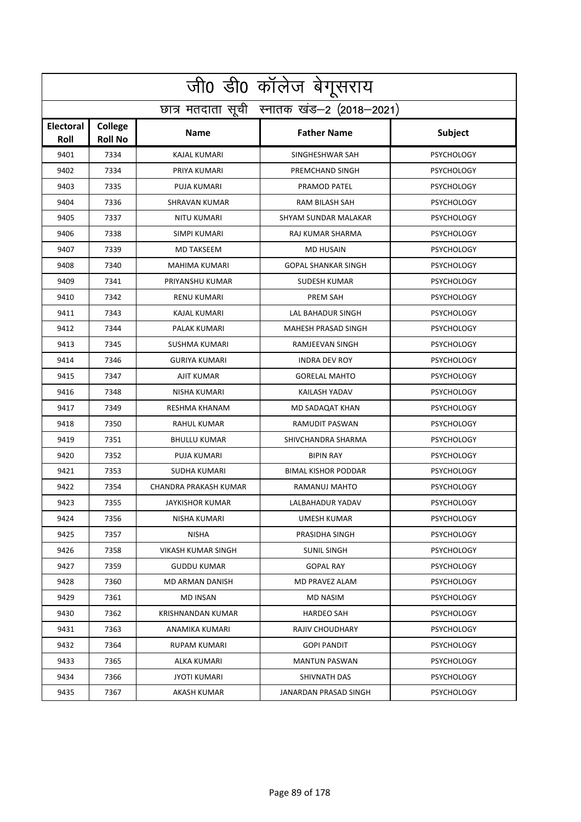|                          | .<br>जीo डीo कॉलेज बेगूसराय                |                          |                            |                   |  |  |
|--------------------------|--------------------------------------------|--------------------------|----------------------------|-------------------|--|--|
|                          | छात्र मतदाता सूची स्नातक खंड-2 (2018-2021) |                          |                            |                   |  |  |
| <b>Electoral</b><br>Roll | College<br><b>Roll No</b>                  | <b>Name</b>              | <b>Father Name</b>         | <b>Subject</b>    |  |  |
| 9401                     | 7334                                       | <b>KAJAL KUMARI</b>      | SINGHESHWAR SAH            | <b>PSYCHOLOGY</b> |  |  |
| 9402                     | 7334                                       | PRIYA KUMARI             | PREMCHAND SINGH            | <b>PSYCHOLOGY</b> |  |  |
| 9403                     | 7335                                       | PUJA KUMARI              | PRAMOD PATEL               | <b>PSYCHOLOGY</b> |  |  |
| 9404                     | 7336                                       | <b>SHRAVAN KUMAR</b>     | <b>RAM BILASH SAH</b>      | <b>PSYCHOLOGY</b> |  |  |
| 9405                     | 7337                                       | NITU KUMARI              | SHYAM SUNDAR MALAKAR       | <b>PSYCHOLOGY</b> |  |  |
| 9406                     | 7338                                       | SIMPI KUMARI             | RAJ KUMAR SHARMA           | <b>PSYCHOLOGY</b> |  |  |
| 9407                     | 7339                                       | <b>MD TAKSEEM</b>        | <b>MD HUSAIN</b>           | <b>PSYCHOLOGY</b> |  |  |
| 9408                     | 7340                                       | MAHIMA KUMARI            | <b>GOPAL SHANKAR SINGH</b> | <b>PSYCHOLOGY</b> |  |  |
| 9409                     | 7341                                       | PRIYANSHU KUMAR          | <b>SUDESH KUMAR</b>        | <b>PSYCHOLOGY</b> |  |  |
| 9410                     | 7342                                       | <b>RENU KUMARI</b>       | <b>PREM SAH</b>            | <b>PSYCHOLOGY</b> |  |  |
| 9411                     | 7343                                       | <b>KAJAL KUMARI</b>      | <b>LAL BAHADUR SINGH</b>   | <b>PSYCHOLOGY</b> |  |  |
| 9412                     | 7344                                       | PALAK KUMARI             | MAHESH PRASAD SINGH        | <b>PSYCHOLOGY</b> |  |  |
| 9413                     | 7345                                       | <b>SUSHMA KUMARI</b>     | RAMJEEVAN SINGH            | <b>PSYCHOLOGY</b> |  |  |
| 9414                     | 7346                                       | <b>GURIYA KUMARI</b>     | <b>INDRA DEV ROY</b>       | <b>PSYCHOLOGY</b> |  |  |
| 9415                     | 7347                                       | AJIT KUMAR               | <b>GORELAL MAHTO</b>       | <b>PSYCHOLOGY</b> |  |  |
| 9416                     | 7348                                       | NISHA KUMARI             | KAILASH YADAV              | <b>PSYCHOLOGY</b> |  |  |
| 9417                     | 7349                                       | RESHMA KHANAM            | MD SADAQAT KHAN            | <b>PSYCHOLOGY</b> |  |  |
| 9418                     | 7350                                       | RAHUL KUMAR              | RAMUDIT PASWAN             | <b>PSYCHOLOGY</b> |  |  |
| 9419                     | 7351                                       | BHULLU KUMAR             | SHIVCHANDRA SHARMA         | <b>PSYCHOLOGY</b> |  |  |
| 9420                     | 7352                                       | <b>PUJA KUMARI</b>       | <b>BIPIN RAY</b>           | <b>PSYCHOLOGY</b> |  |  |
| 9421                     | 7353                                       | SUDHA KUMARI             | <b>BIMAL KISHOR PODDAR</b> | <b>PSYCHOLOGY</b> |  |  |
| 9422                     | 7354                                       | CHANDRA PRAKASH KUMAR    | RAMANUJ MAHTO              | <b>PSYCHOLOGY</b> |  |  |
| 9423                     | 7355                                       | <b>JAYKISHOR KUMAR</b>   | LALBAHADUR YADAV           | <b>PSYCHOLOGY</b> |  |  |
| 9424                     | 7356                                       | NISHA KUMARI             | UMESH KUMAR                | <b>PSYCHOLOGY</b> |  |  |
| 9425                     | 7357                                       | NISHA                    | PRASIDHA SINGH             | <b>PSYCHOLOGY</b> |  |  |
| 9426                     | 7358                                       | VIKASH KUMAR SINGH       | <b>SUNIL SINGH</b>         | <b>PSYCHOLOGY</b> |  |  |
| 9427                     | 7359                                       | <b>GUDDU KUMAR</b>       | <b>GOPAL RAY</b>           | <b>PSYCHOLOGY</b> |  |  |
| 9428                     | 7360                                       | MD ARMAN DANISH          | MD PRAVEZ ALAM             | <b>PSYCHOLOGY</b> |  |  |
| 9429                     | 7361                                       | MD INSAN                 | MD NASIM                   | <b>PSYCHOLOGY</b> |  |  |
| 9430                     | 7362                                       | <b>KRISHNANDAN KUMAR</b> | <b>HARDEO SAH</b>          | <b>PSYCHOLOGY</b> |  |  |
| 9431                     | 7363                                       | ANAMIKA KUMARI           | <b>RAJIV CHOUDHARY</b>     | <b>PSYCHOLOGY</b> |  |  |
| 9432                     | 7364                                       | RUPAM KUMARI             | <b>GOPI PANDIT</b>         | <b>PSYCHOLOGY</b> |  |  |
| 9433                     | 7365                                       | ALKA KUMARI              | <b>MANTUN PASWAN</b>       | <b>PSYCHOLOGY</b> |  |  |
| 9434                     | 7366                                       | <b>JYOTI KUMARI</b>      | SHIVNATH DAS               | <b>PSYCHOLOGY</b> |  |  |
| 9435                     | 7367                                       | AKASH KUMAR              | JANARDAN PRASAD SINGH      | <b>PSYCHOLOGY</b> |  |  |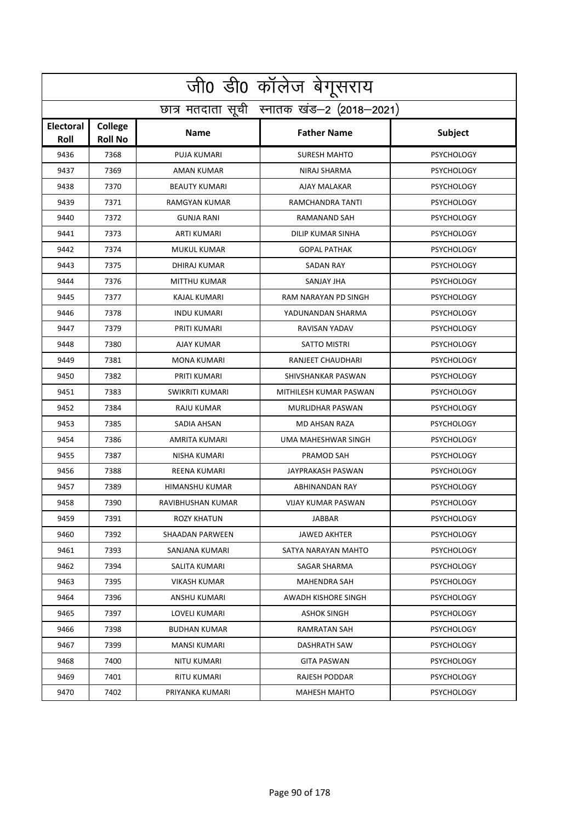|                                            | जी0 डी0 कॉलेज बेगूसराय           |                      |                          |                   |  |
|--------------------------------------------|----------------------------------|----------------------|--------------------------|-------------------|--|
| छात्र मतदाता सूची स्नातक खंड-2 (2018-2021) |                                  |                      |                          |                   |  |
| <b>Electoral</b><br>Roll                   | <b>College</b><br><b>Roll No</b> | <b>Name</b>          | <b>Father Name</b>       | Subject           |  |
| 9436                                       | 7368                             | <b>PUJA KUMARI</b>   | <b>SURESH MAHTO</b>      | <b>PSYCHOLOGY</b> |  |
| 9437                                       | 7369                             | <b>AMAN KUMAR</b>    | NIRAJ SHARMA             | <b>PSYCHOLOGY</b> |  |
| 9438                                       | 7370                             | <b>BEAUTY KUMARI</b> | AJAY MALAKAR             | <b>PSYCHOLOGY</b> |  |
| 9439                                       | 7371                             | <b>RAMGYAN KUMAR</b> | RAMCHANDRA TANTI         | <b>PSYCHOLOGY</b> |  |
| 9440                                       | 7372                             | <b>GUNJA RANI</b>    | RAMANAND SAH             | <b>PSYCHOLOGY</b> |  |
| 9441                                       | 7373                             | ARTI KUMARI          | <b>DILIP KUMAR SINHA</b> | <b>PSYCHOLOGY</b> |  |
| 9442                                       | 7374                             | MUKUL KUMAR          | <b>GOPAL PATHAK</b>      | <b>PSYCHOLOGY</b> |  |
| 9443                                       | 7375                             | DHIRAJ KUMAR         | <b>SADAN RAY</b>         | <b>PSYCHOLOGY</b> |  |
| 9444                                       | 7376                             | <b>MITTHU KUMAR</b>  | <b>SANJAY JHA</b>        | <b>PSYCHOLOGY</b> |  |
| 9445                                       | 7377                             | <b>KAJAL KUMARI</b>  | RAM NARAYAN PD SINGH     | <b>PSYCHOLOGY</b> |  |
| 9446                                       | 7378                             | <b>INDU KUMARI</b>   | YADUNANDAN SHARMA        | <b>PSYCHOLOGY</b> |  |
| 9447                                       | 7379                             | PRITI KUMARI         | <b>RAVISAN YADAV</b>     | <b>PSYCHOLOGY</b> |  |
| 9448                                       | 7380                             | AJAY KUMAR           | <b>SATTO MISTRI</b>      | <b>PSYCHOLOGY</b> |  |
| 9449                                       | 7381                             | <b>MONA KUMARI</b>   | RANJEET CHAUDHARI        | <b>PSYCHOLOGY</b> |  |
| 9450                                       | 7382                             | PRITI KUMARI         | SHIVSHANKAR PASWAN       | <b>PSYCHOLOGY</b> |  |
| 9451                                       | 7383                             | SWIKRITI KUMARI      | MITHILESH KUMAR PASWAN   | <b>PSYCHOLOGY</b> |  |
| 9452                                       | 7384                             | RAJU KUMAR           | MURLIDHAR PASWAN         | <b>PSYCHOLOGY</b> |  |
| 9453                                       | 7385                             | SADIA AHSAN          | MD AHSAN RAZA            | <b>PSYCHOLOGY</b> |  |
| 9454                                       | 7386                             | AMRITA KUMARI        | UMA MAHESHWAR SINGH      | <b>PSYCHOLOGY</b> |  |
| 9455                                       | 7387                             | <b>NISHA KUMARI</b>  | PRAMOD SAH               | <b>PSYCHOLOGY</b> |  |
| 9456                                       | 7388                             | REENA KUMARI         | JAYPRAKASH PASWAN        | <b>PSYCHOLOGY</b> |  |
| 9457                                       | 7389                             | HIMANSHU KUMAR       | ABHINANDAN RAY           | <b>PSYCHOLOGY</b> |  |
| 9458                                       | 7390                             | RAVIBHUSHAN KUMAR    | VIJAY KUMAR PASWAN       | <b>PSYCHOLOGY</b> |  |
| 9459                                       | 7391                             | ROZY KHATUN          | <b>JABBAR</b>            | <b>PSYCHOLOGY</b> |  |
| 9460                                       | 7392                             | SHAADAN PARWEEN      | JAWED AKHTER             | <b>PSYCHOLOGY</b> |  |
| 9461                                       | 7393                             | SANJANA KUMARI       | SATYA NARAYAN MAHTO      | <b>PSYCHOLOGY</b> |  |
| 9462                                       | 7394                             | SALITA KUMARI        | SAGAR SHARMA             | <b>PSYCHOLOGY</b> |  |
| 9463                                       | 7395                             | VIKASH KUMAR         | MAHENDRA SAH             | <b>PSYCHOLOGY</b> |  |
| 9464                                       | 7396                             | ANSHU KUMARI         | AWADH KISHORE SINGH      | <b>PSYCHOLOGY</b> |  |
| 9465                                       | 7397                             | LOVELI KUMARI        | ASHOK SINGH              | <b>PSYCHOLOGY</b> |  |
| 9466                                       | 7398                             | <b>BUDHAN KUMAR</b>  | RAMRATAN SAH             | <b>PSYCHOLOGY</b> |  |
| 9467                                       | 7399                             | MANSI KUMARI         | DASHRATH SAW             | <b>PSYCHOLOGY</b> |  |
| 9468                                       | 7400                             | NITU KUMARI          | <b>GITA PASWAN</b>       | <b>PSYCHOLOGY</b> |  |
| 9469                                       | 7401                             | RITU KUMARI          | RAJESH PODDAR            | <b>PSYCHOLOGY</b> |  |
| 9470                                       | 7402                             | PRIYANKA KUMARI      | MAHESH MAHTO             | <b>PSYCHOLOGY</b> |  |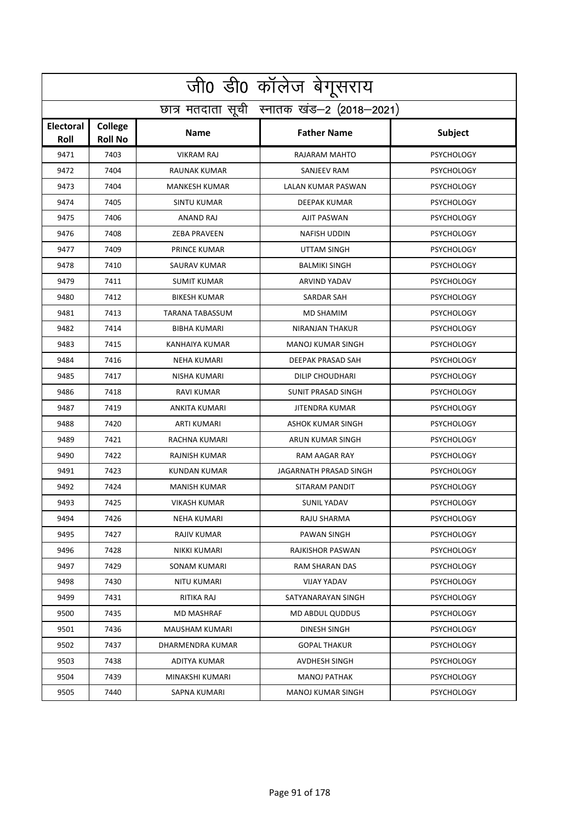|                                            | जी0 डी0 कॉलेज बेगूसराय           |                      |                               |                   |  |
|--------------------------------------------|----------------------------------|----------------------|-------------------------------|-------------------|--|
| छात्र मतदाता सूची स्नातक खंड-2 (2018-2021) |                                  |                      |                               |                   |  |
| <b>Electoral</b><br>Roll                   | <b>College</b><br><b>Roll No</b> | <b>Name</b>          | <b>Father Name</b>            | Subject           |  |
| 9471                                       | 7403                             | <b>VIKRAM RAJ</b>    | RAJARAM MAHTO                 | <b>PSYCHOLOGY</b> |  |
| 9472                                       | 7404                             | <b>RAUNAK KUMAR</b>  | SANJEEV RAM                   | <b>PSYCHOLOGY</b> |  |
| 9473                                       | 7404                             | <b>MANKESH KUMAR</b> | LALAN KUMAR PASWAN            | <b>PSYCHOLOGY</b> |  |
| 9474                                       | 7405                             | <b>SINTU KUMAR</b>   | <b>DEEPAK KUMAR</b>           | <b>PSYCHOLOGY</b> |  |
| 9475                                       | 7406                             | ANAND RAJ            | AJIT PASWAN                   | <b>PSYCHOLOGY</b> |  |
| 9476                                       | 7408                             | <b>ZEBA PRAVEEN</b>  | <b>NAFISH UDDIN</b>           | <b>PSYCHOLOGY</b> |  |
| 9477                                       | 7409                             | <b>PRINCE KUMAR</b>  | UTTAM SINGH                   | <b>PSYCHOLOGY</b> |  |
| 9478                                       | 7410                             | SAURAV KUMAR         | <b>BALMIKI SINGH</b>          | <b>PSYCHOLOGY</b> |  |
| 9479                                       | 7411                             | <b>SUMIT KUMAR</b>   | <b>ARVIND YADAV</b>           | <b>PSYCHOLOGY</b> |  |
| 9480                                       | 7412                             | <b>BIKESH KUMAR</b>  | <b>SARDAR SAH</b>             | <b>PSYCHOLOGY</b> |  |
| 9481                                       | 7413                             | TARANA TABASSUM      | <b>MD SHAMIM</b>              | <b>PSYCHOLOGY</b> |  |
| 9482                                       | 7414                             | <b>BIBHA KUMARI</b>  | <b>NIRANJAN THAKUR</b>        | <b>PSYCHOLOGY</b> |  |
| 9483                                       | 7415                             | KANHAIYA KUMAR       | MANOJ KUMAR SINGH             | <b>PSYCHOLOGY</b> |  |
| 9484                                       | 7416                             | <b>NEHA KUMARI</b>   | DEEPAK PRASAD SAH             | <b>PSYCHOLOGY</b> |  |
| 9485                                       | 7417                             | NISHA KUMARI         | DILIP CHOUDHARI               | <b>PSYCHOLOGY</b> |  |
| 9486                                       | 7418                             | <b>RAVI KUMAR</b>    | <b>SUNIT PRASAD SINGH</b>     | <b>PSYCHOLOGY</b> |  |
| 9487                                       | 7419                             | ANKITA KUMARI        | <b>JITENDRA KUMAR</b>         | <b>PSYCHOLOGY</b> |  |
| 9488                                       | 7420                             | ARTI KUMARI          | ASHOK KUMAR SINGH             | <b>PSYCHOLOGY</b> |  |
| 9489                                       | 7421                             | RACHNA KUMARI        | ARUN KUMAR SINGH              | <b>PSYCHOLOGY</b> |  |
| 9490                                       | 7422                             | <b>RAJNISH KUMAR</b> | <b>RAM AAGAR RAY</b>          | <b>PSYCHOLOGY</b> |  |
| 9491                                       | 7423                             | <b>KUNDAN KUMAR</b>  | <b>JAGARNATH PRASAD SINGH</b> | <b>PSYCHOLOGY</b> |  |
| 9492                                       | 7424                             | <b>MANISH KUMAR</b>  | SITARAM PANDIT                | <b>PSYCHOLOGY</b> |  |
| 9493                                       | 7425                             | <b>VIKASH KUMAR</b>  | SUNIL YADAV                   | <b>PSYCHOLOGY</b> |  |
| 9494                                       | 7426                             | NEHA KUMARI          | RAJU SHARMA                   | <b>PSYCHOLOGY</b> |  |
| 9495                                       | 7427                             | RAJIV KUMAR          | PAWAN SINGH                   | <b>PSYCHOLOGY</b> |  |
| 9496                                       | 7428                             | NIKKI KUMARI         | RAJKISHOR PASWAN              | <b>PSYCHOLOGY</b> |  |
| 9497                                       | 7429                             | <b>SONAM KUMARI</b>  | RAM SHARAN DAS                | <b>PSYCHOLOGY</b> |  |
| 9498                                       | 7430                             | NITU KUMARI          | VIJAY YADAV                   | <b>PSYCHOLOGY</b> |  |
| 9499                                       | 7431                             | RITIKA RAJ           | SATYANARAYAN SINGH            | <b>PSYCHOLOGY</b> |  |
| 9500                                       | 7435                             | MD MASHRAF           | MD ABDUL QUDDUS               | <b>PSYCHOLOGY</b> |  |
| 9501                                       | 7436                             | MAUSHAM KUMARI       | <b>DINESH SINGH</b>           | <b>PSYCHOLOGY</b> |  |
| 9502                                       | 7437                             | DHARMENDRA KUMAR     | <b>GOPAL THAKUR</b>           | <b>PSYCHOLOGY</b> |  |
| 9503                                       | 7438                             | ADITYA KUMAR         | AVDHESH SINGH                 | <b>PSYCHOLOGY</b> |  |
| 9504                                       | 7439                             | MINAKSHI KUMARI      | <b>MANOJ PATHAK</b>           | <b>PSYCHOLOGY</b> |  |
| 9505                                       | 7440                             | SAPNA KUMARI         | MANOJ KUMAR SINGH             | <b>PSYCHOLOGY</b> |  |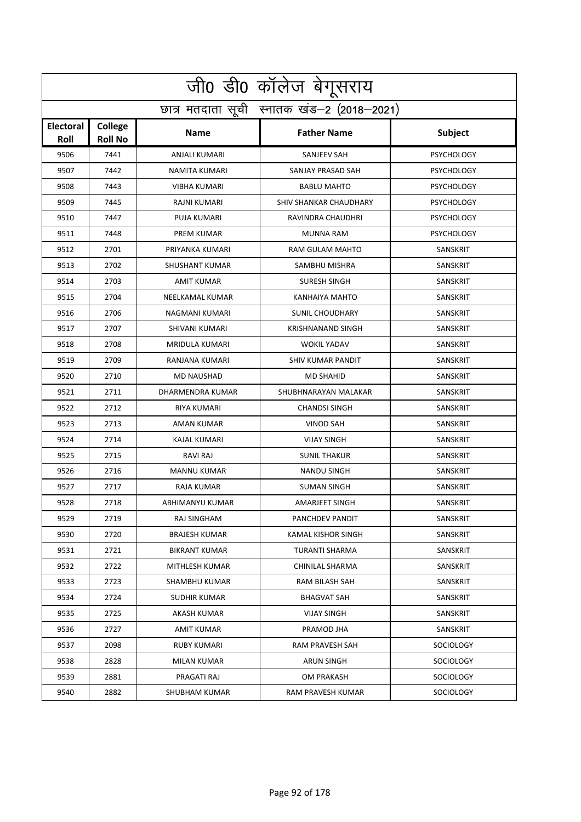|                                            | जी0 डी0 कॉलेज बेगूसराय    |                       |                          |                   |  |
|--------------------------------------------|---------------------------|-----------------------|--------------------------|-------------------|--|
| छात्र मतदाता सूची स्नातक खंड-2 (2018-2021) |                           |                       |                          |                   |  |
| <b>Electoral</b><br>Roll                   | College<br><b>Roll No</b> | <b>Name</b>           | <b>Father Name</b>       | Subject           |  |
| 9506                                       | 7441                      | <b>ANJALI KUMARI</b>  | <b>SANJEEV SAH</b>       | <b>PSYCHOLOGY</b> |  |
| 9507                                       | 7442                      | <b>NAMITA KUMARI</b>  | SANJAY PRASAD SAH        | <b>PSYCHOLOGY</b> |  |
| 9508                                       | 7443                      | <b>VIBHA KUMARI</b>   | <b>BABLU MAHTO</b>       | <b>PSYCHOLOGY</b> |  |
| 9509                                       | 7445                      | <b>RAJNI KUMARI</b>   | SHIV SHANKAR CHAUDHARY   | <b>PSYCHOLOGY</b> |  |
| 9510                                       | 7447                      | PUJA KUMARI           | RAVINDRA CHAUDHRI        | <b>PSYCHOLOGY</b> |  |
| 9511                                       | 7448                      | PREM KUMAR            | <b>MUNNA RAM</b>         | <b>PSYCHOLOGY</b> |  |
| 9512                                       | 2701                      | PRIYANKA KUMARI       | RAM GULAM MAHTO          | SANSKRIT          |  |
| 9513                                       | 2702                      | <b>SHUSHANT KUMAR</b> | SAMBHU MISHRA            | SANSKRIT          |  |
| 9514                                       | 2703                      | AMIT KUMAR            | <b>SURESH SINGH</b>      | SANSKRIT          |  |
| 9515                                       | 2704                      | NEELKAMAL KUMAR       | <b>KANHAIYA MAHTO</b>    | <b>SANSKRIT</b>   |  |
| 9516                                       | 2706                      | NAGMANI KUMARI        | <b>SUNIL CHOUDHARY</b>   | SANSKRIT          |  |
| 9517                                       | 2707                      | SHIVANI KUMARI        | <b>KRISHNANAND SINGH</b> | SANSKRIT          |  |
| 9518                                       | 2708                      | MRIDULA KUMARI        | <b>WOKIL YADAV</b>       | <b>SANSKRIT</b>   |  |
| 9519                                       | 2709                      | RANJANA KUMARI        | <b>SHIV KUMAR PANDIT</b> | SANSKRIT          |  |
| 9520                                       | 2710                      | <b>MD NAUSHAD</b>     | <b>MD SHAHID</b>         | SANSKRIT          |  |
| 9521                                       | 2711                      | DHARMENDRA KUMAR      | SHUBHNARAYAN MALAKAR     | SANSKRIT          |  |
| 9522                                       | 2712                      | RIYA KUMARI           | <b>CHANDSI SINGH</b>     | SANSKRIT          |  |
| 9523                                       | 2713                      | AMAN KUMAR            | <b>VINOD SAH</b>         | SANSKRIT          |  |
| 9524                                       | 2714                      | KAJAL KUMARI          | <b>VIJAY SINGH</b>       | SANSKRIT          |  |
| 9525                                       | 2715                      | <b>RAVI RAJ</b>       | <b>SUNIL THAKUR</b>      | <b>SANSKRIT</b>   |  |
| 9526                                       | 2716                      | <b>MANNU KUMAR</b>    | <b>NANDU SINGH</b>       | SANSKRIT          |  |
| 9527                                       | 2717                      | RAJA KUMAR            | <b>SUMAN SINGH</b>       | SANSKRIT          |  |
| 9528                                       | 2718                      | ABHIMANYU KUMAR       | AMARJEET SINGH           | SANSKRIT          |  |
| 9529                                       | 2719                      | RAJ SINGHAM           | PANCHDEV PANDIT          | SANSKRIT          |  |
| 9530                                       | 2720                      | <b>BRAJESH KUMAR</b>  | KAMAL KISHOR SINGH       | <b>SANSKRIT</b>   |  |
| 9531                                       | 2721                      | BIKRANT KUMAR         | TURANTI SHARMA           | SANSKRIT          |  |
| 9532                                       | 2722                      | MITHLESH KUMAR        | CHINILAL SHARMA          | SANSKRIT          |  |
| 9533                                       | 2723                      | SHAMBHU KUMAR         | RAM BILASH SAH           | SANSKRIT          |  |
| 9534                                       | 2724                      | SUDHIR KUMAR          | BHAGVAT SAH              | SANSKRIT          |  |
| 9535                                       | 2725                      | AKASH KUMAR           | <b>VIJAY SINGH</b>       | SANSKRIT          |  |
| 9536                                       | 2727                      | <b>AMIT KUMAR</b>     | PRAMOD JHA               | SANSKRIT          |  |
| 9537                                       | 2098                      | RUBY KUMARI           | RAM PRAVESH SAH          | SOCIOLOGY         |  |
| 9538                                       | 2828                      | MILAN KUMAR           | <b>ARUN SINGH</b>        | <b>SOCIOLOGY</b>  |  |
| 9539                                       | 2881                      | PRAGATI RAJ           | OM PRAKASH               | SOCIOLOGY         |  |
| 9540                                       | 2882                      | SHUBHAM KUMAR         | RAM PRAVESH KUMAR        | SOCIOLOGY         |  |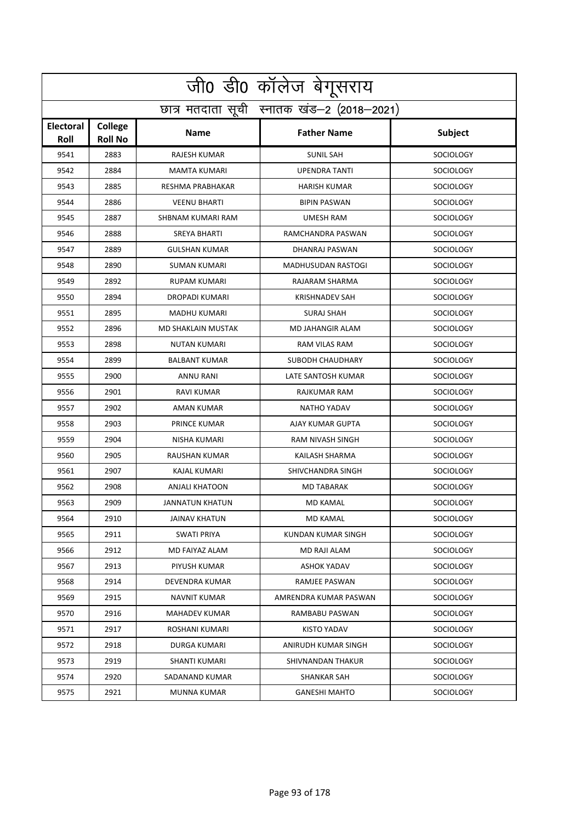|                          | <u>जी0 डी0 कॉलेज बेगू</u> सराय             |                       |                         |                  |  |  |
|--------------------------|--------------------------------------------|-----------------------|-------------------------|------------------|--|--|
|                          | छात्र मतदाता सूची स्नातक खंड-2 (2018-2021) |                       |                         |                  |  |  |
| <b>Electoral</b><br>Roll | College<br><b>Roll No</b>                  | <b>Name</b>           | <b>Father Name</b>      | <b>Subject</b>   |  |  |
| 9541                     | 2883                                       | <b>RAJESH KUMAR</b>   | <b>SUNIL SAH</b>        | <b>SOCIOLOGY</b> |  |  |
| 9542                     | 2884                                       | MAMTA KUMARI          | <b>UPENDRA TANTI</b>    | <b>SOCIOLOGY</b> |  |  |
| 9543                     | 2885                                       | RESHMA PRABHAKAR      | <b>HARISH KUMAR</b>     | <b>SOCIOLOGY</b> |  |  |
| 9544                     | 2886                                       | <b>VEENU BHARTI</b>   | <b>BIPIN PASWAN</b>     | <b>SOCIOLOGY</b> |  |  |
| 9545                     | 2887                                       | SHBNAM KUMARI RAM     | <b>UMESH RAM</b>        | <b>SOCIOLOGY</b> |  |  |
| 9546                     | 2888                                       | <b>SREYA BHARTI</b>   | RAMCHANDRA PASWAN       | <b>SOCIOLOGY</b> |  |  |
| 9547                     | 2889                                       | <b>GULSHAN KUMAR</b>  | DHANRAJ PASWAN          | <b>SOCIOLOGY</b> |  |  |
| 9548                     | 2890                                       | <b>SUMAN KUMARI</b>   | MADHUSUDAN RASTOGI      | <b>SOCIOLOGY</b> |  |  |
| 9549                     | 2892                                       | <b>RUPAM KUMARI</b>   | RAJARAM SHARMA          | <b>SOCIOLOGY</b> |  |  |
| 9550                     | 2894                                       | DROPADI KUMARI        | <b>KRISHNADEV SAH</b>   | <b>SOCIOLOGY</b> |  |  |
| 9551                     | 2895                                       | <b>MADHU KUMARI</b>   | <b>SURAJ SHAH</b>       | <b>SOCIOLOGY</b> |  |  |
| 9552                     | 2896                                       | MD SHAKLAIN MUSTAK    | MD JAHANGIR ALAM        | <b>SOCIOLOGY</b> |  |  |
| 9553                     | 2898                                       | <b>NUTAN KUMARI</b>   | RAM VILAS RAM           | <b>SOCIOLOGY</b> |  |  |
| 9554                     | 2899                                       | <b>BALBANT KUMAR</b>  | <b>SUBODH CHAUDHARY</b> | <b>SOCIOLOGY</b> |  |  |
| 9555                     | 2900                                       | <b>ANNU RANI</b>      | LATE SANTOSH KUMAR      | <b>SOCIOLOGY</b> |  |  |
| 9556                     | 2901                                       | <b>RAVI KUMAR</b>     | RAJKUMAR RAM            | <b>SOCIOLOGY</b> |  |  |
| 9557                     | 2902                                       | AMAN KUMAR            | <b>NATHO YADAV</b>      | <b>SOCIOLOGY</b> |  |  |
| 9558                     | 2903                                       | PRINCE KUMAR          | AJAY KUMAR GUPTA        | <b>SOCIOLOGY</b> |  |  |
| 9559                     | 2904                                       | NISHA KUMARI          | RAM NIVASH SINGH        | <b>SOCIOLOGY</b> |  |  |
| 9560                     | 2905                                       | RAUSHAN KUMAR         | KAILASH SHARMA          | <b>SOCIOLOGY</b> |  |  |
| 9561                     | 2907                                       | <b>KAJAL KUMARI</b>   | SHIVCHANDRA SINGH       | <b>SOCIOLOGY</b> |  |  |
| 9562                     | 2908                                       | <b>ANJALI KHATOON</b> | <b>MD TABARAK</b>       | <b>SOCIOLOGY</b> |  |  |
| 9563                     | 2909                                       | JANNATUN KHATUN       | <b>MD KAMAL</b>         | <b>SOCIOLOGY</b> |  |  |
| 9564                     | 2910                                       | JAINAV KHATUN         | <b>MD KAMAL</b>         | <b>SOCIOLOGY</b> |  |  |
| 9565                     | 2911                                       | SWATI PRIYA           | KUNDAN KUMAR SINGH      | <b>SOCIOLOGY</b> |  |  |
| 9566                     | 2912                                       | MD FAIYAZ ALAM        | MD RAJI ALAM            | <b>SOCIOLOGY</b> |  |  |
| 9567                     | 2913                                       | PIYUSH KUMAR          | ASHOK YADAV             | SOCIOLOGY        |  |  |
| 9568                     | 2914                                       | DEVENDRA KUMAR        | <b>RAMJEE PASWAN</b>    | <b>SOCIOLOGY</b> |  |  |
| 9569                     | 2915                                       | NAVNIT KUMAR          | AMRENDRA KUMAR PASWAN   | SOCIOLOGY        |  |  |
| 9570                     | 2916                                       | MAHADEV KUMAR         | RAMBABU PASWAN          | <b>SOCIOLOGY</b> |  |  |
| 9571                     | 2917                                       | ROSHANI KUMARI        | KISTO YADAV             | SOCIOLOGY        |  |  |
| 9572                     | 2918                                       | DURGA KUMARI          | ANIRUDH KUMAR SINGH     | <b>SOCIOLOGY</b> |  |  |
| 9573                     | 2919                                       | SHANTI KUMARI         | SHIVNANDAN THAKUR       | <b>SOCIOLOGY</b> |  |  |
| 9574                     | 2920                                       | SADANAND KUMAR        | SHANKAR SAH             | SOCIOLOGY        |  |  |
| 9575                     | 2921                                       | MUNNA KUMAR           | <b>GANESHI MAHTO</b>    | SOCIOLOGY        |  |  |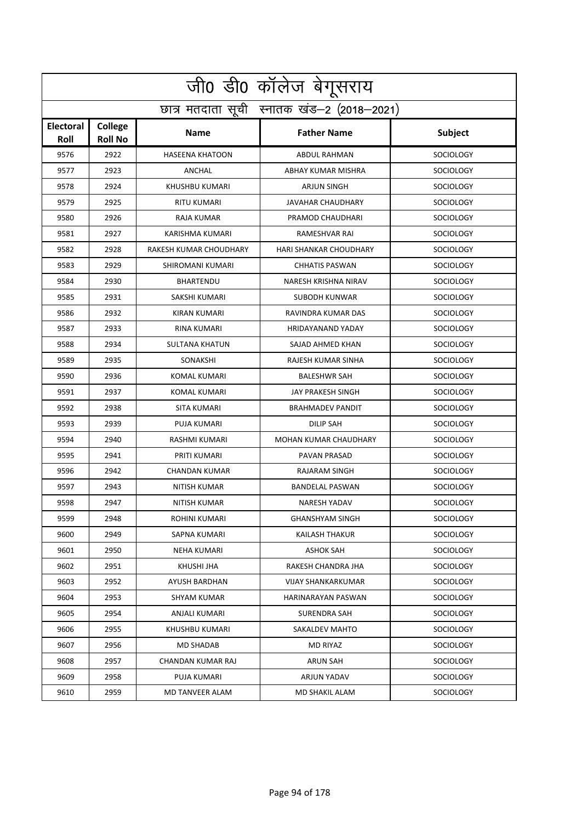| <u>जी0 डी0 कॉलेज बेगू</u> सराय             |                           |                        |                           |                  |  |
|--------------------------------------------|---------------------------|------------------------|---------------------------|------------------|--|
| छात्र मतदाता सूची स्नातक खंड-2 (2018-2021) |                           |                        |                           |                  |  |
| <b>Electoral</b><br>Roll                   | College<br><b>Roll No</b> | <b>Name</b>            | <b>Father Name</b>        | <b>Subject</b>   |  |
| 9576                                       | 2922                      | <b>HASEENA KHATOON</b> | <b>ABDUL RAHMAN</b>       | <b>SOCIOLOGY</b> |  |
| 9577                                       | 2923                      | ANCHAL                 | ABHAY KUMAR MISHRA        | <b>SOCIOLOGY</b> |  |
| 9578                                       | 2924                      | KHUSHBU KUMARI         | <b>ARJUN SINGH</b>        | <b>SOCIOLOGY</b> |  |
| 9579                                       | 2925                      | <b>RITU KUMARI</b>     | <b>JAVAHAR CHAUDHARY</b>  | <b>SOCIOLOGY</b> |  |
| 9580                                       | 2926                      | RAJA KUMAR             | PRAMOD CHAUDHARI          | <b>SOCIOLOGY</b> |  |
| 9581                                       | 2927                      | KARISHMA KUMARI        | RAMESHVAR RAI             | <b>SOCIOLOGY</b> |  |
| 9582                                       | 2928                      | RAKESH KUMAR CHOUDHARY | HARI SHANKAR CHOUDHARY    | <b>SOCIOLOGY</b> |  |
| 9583                                       | 2929                      | SHIROMANI KUMARI       | <b>CHHATIS PASWAN</b>     | <b>SOCIOLOGY</b> |  |
| 9584                                       | 2930                      | <b>BHARTENDU</b>       | NARESH KRISHNA NIRAV      | <b>SOCIOLOGY</b> |  |
| 9585                                       | 2931                      | SAKSHI KUMARI          | <b>SUBODH KUNWAR</b>      | <b>SOCIOLOGY</b> |  |
| 9586                                       | 2932                      | <b>KIRAN KUMARI</b>    | RAVINDRA KUMAR DAS        | <b>SOCIOLOGY</b> |  |
| 9587                                       | 2933                      | RINA KUMARI            | HRIDAYANAND YADAY         | <b>SOCIOLOGY</b> |  |
| 9588                                       | 2934                      | <b>SULTANA KHATUN</b>  | SAJAD AHMED KHAN          | <b>SOCIOLOGY</b> |  |
| 9589                                       | 2935                      | SONAKSHI               | RAJESH KUMAR SINHA        | <b>SOCIOLOGY</b> |  |
| 9590                                       | 2936                      | KOMAL KUMARI           | <b>BALESHWR SAH</b>       | <b>SOCIOLOGY</b> |  |
| 9591                                       | 2937                      | KOMAL KUMARI           | JAY PRAKESH SINGH         | <b>SOCIOLOGY</b> |  |
| 9592                                       | 2938                      | SITA KUMARI            | <b>BRAHMADEV PANDIT</b>   | <b>SOCIOLOGY</b> |  |
| 9593                                       | 2939                      | PUJA KUMARI            | <b>DILIP SAH</b>          | <b>SOCIOLOGY</b> |  |
| 9594                                       | 2940                      | RASHMI KUMARI          | MOHAN KUMAR CHAUDHARY     | <b>SOCIOLOGY</b> |  |
| 9595                                       | 2941                      | PRITI KUMARI           | PAVAN PRASAD              | <b>SOCIOLOGY</b> |  |
| 9596                                       | 2942                      | <b>CHANDAN KUMAR</b>   | RAJARAM SINGH             | <b>SOCIOLOGY</b> |  |
| 9597                                       | 2943                      | <b>NITISH KUMAR</b>    | <b>BANDELAL PASWAN</b>    | <b>SOCIOLOGY</b> |  |
| 9598                                       | 2947                      | NITISH KUMAR           | <b>NARESH YADAV</b>       | <b>SOCIOLOGY</b> |  |
| 9599                                       | 2948                      | ROHINI KUMARI          | <b>GHANSHYAM SINGH</b>    | SOCIOLOGY        |  |
| 9600                                       | 2949                      | SAPNA KUMARI           | KAILASH THAKUR            | <b>SOCIOLOGY</b> |  |
| 9601                                       | 2950                      | NEHA KUMARI            | ASHOK SAH                 | <b>SOCIOLOGY</b> |  |
| 9602                                       | 2951                      | KHUSHI JHA             | RAKESH CHANDRA JHA        | SOCIOLOGY        |  |
| 9603                                       | 2952                      | AYUSH BARDHAN          | <b>VIJAY SHANKARKUMAR</b> | SOCIOLOGY        |  |
| 9604                                       | 2953                      | SHYAM KUMAR            | HARINARAYAN PASWAN        | SOCIOLOGY        |  |
| 9605                                       | 2954                      | ANJALI KUMARI          | SURENDRA SAH              | <b>SOCIOLOGY</b> |  |
| 9606                                       | 2955                      | KHUSHBU KUMARI         | SAKALDEV MAHTO            | SOCIOLOGY        |  |
| 9607                                       | 2956                      | MD SHADAB              | MD RIYAZ                  | <b>SOCIOLOGY</b> |  |
| 9608                                       | 2957                      | CHANDAN KUMAR RAJ      | <b>ARUN SAH</b>           | <b>SOCIOLOGY</b> |  |
| 9609                                       | 2958                      | PUJA KUMARI            | ARJUN YADAV               | SOCIOLOGY        |  |
| 9610                                       | 2959                      | MD TANVEER ALAM        | MD SHAKIL ALAM            | SOCIOLOGY        |  |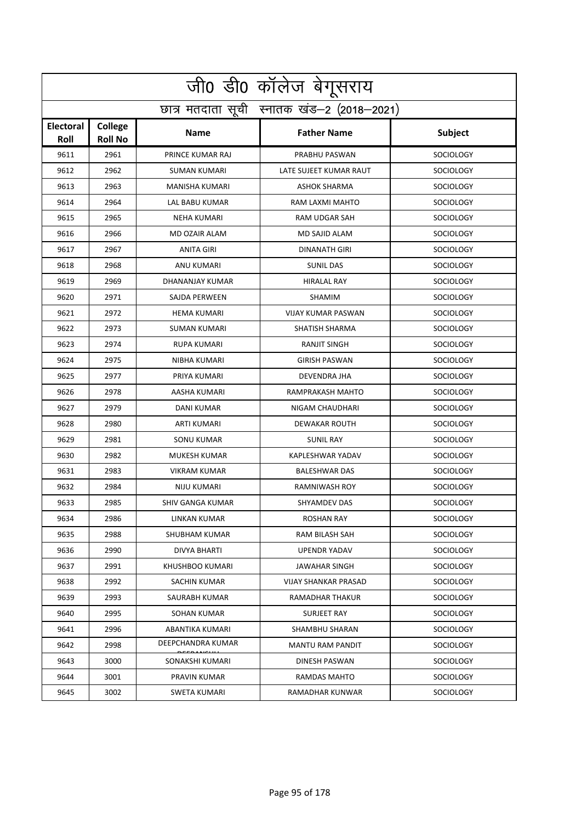|                   | जी0 डी0 कॉलेज बेगूसराय                     |                         |                           |                  |  |  |
|-------------------|--------------------------------------------|-------------------------|---------------------------|------------------|--|--|
|                   | छात्र मतदाता सूची स्नातक खंड-2 (2018-2021) |                         |                           |                  |  |  |
| Electoral<br>Roll | College<br><b>Roll No</b>                  | <b>Name</b>             | <b>Father Name</b>        | <b>Subject</b>   |  |  |
| 9611              | 2961                                       | PRINCE KUMAR RAJ        | PRABHU PASWAN             | <b>SOCIOLOGY</b> |  |  |
| 9612              | 2962                                       | <b>SUMAN KUMARI</b>     | LATE SUJEET KUMAR RAUT    | SOCIOLOGY        |  |  |
| 9613              | 2963                                       | MANISHA KUMARI          | <b>ASHOK SHARMA</b>       | <b>SOCIOLOGY</b> |  |  |
| 9614              | 2964                                       | <b>LAL BABU KUMAR</b>   | RAM LAXMI MAHTO           | <b>SOCIOLOGY</b> |  |  |
| 9615              | 2965                                       | <b>NEHA KUMARI</b>      | RAM UDGAR SAH             | <b>SOCIOLOGY</b> |  |  |
| 9616              | 2966                                       | MD OZAIR ALAM           | MD SAJID ALAM             | <b>SOCIOLOGY</b> |  |  |
| 9617              | 2967                                       | <b>ANITA GIRI</b>       | <b>DINANATH GIRI</b>      | <b>SOCIOLOGY</b> |  |  |
| 9618              | 2968                                       | ANU KUMARI              | SUNIL DAS                 | <b>SOCIOLOGY</b> |  |  |
| 9619              | 2969                                       | DHANANJAY KUMAR         | <b>HIRALAL RAY</b>        | <b>SOCIOLOGY</b> |  |  |
| 9620              | 2971                                       | SAJDA PERWEEN           | SHAMIM                    | <b>SOCIOLOGY</b> |  |  |
| 9621              | 2972                                       | <b>HEMA KUMARI</b>      | <b>VIJAY KUMAR PASWAN</b> | <b>SOCIOLOGY</b> |  |  |
| 9622              | 2973                                       | <b>SUMAN KUMARI</b>     | SHATISH SHARMA            | SOCIOLOGY        |  |  |
| 9623              | 2974                                       | <b>RUPA KUMARI</b>      | <b>RANJIT SINGH</b>       | <b>SOCIOLOGY</b> |  |  |
| 9624              | 2975                                       | NIBHA KUMARI            | <b>GIRISH PASWAN</b>      | <b>SOCIOLOGY</b> |  |  |
| 9625              | 2977                                       | PRIYA KUMARI            | DEVENDRA JHA              | <b>SOCIOLOGY</b> |  |  |
| 9626              | 2978                                       | AASHA KUMARI            | RAMPRAKASH MAHTO          | <b>SOCIOLOGY</b> |  |  |
| 9627              | 2979                                       | DANI KUMAR              | NIGAM CHAUDHARI           | <b>SOCIOLOGY</b> |  |  |
| 9628              | 2980                                       | ARTI KUMARI             | DEWAKAR ROUTH             | <b>SOCIOLOGY</b> |  |  |
| 9629              | 2981                                       | <b>SONU KUMAR</b>       | <b>SUNIL RAY</b>          | <b>SOCIOLOGY</b> |  |  |
| 9630              | 2982                                       | <b>MUKESH KUMAR</b>     | KAPLESHWAR YADAV          | <b>SOCIOLOGY</b> |  |  |
| 9631              | 2983                                       | <b>VIKRAM KUMAR</b>     | <b>BALESHWAR DAS</b>      | <b>SOCIOLOGY</b> |  |  |
| 9632              | 2984                                       | <b>NIJU KUMARI</b>      | <b>RAMNIWASH ROY</b>      | SOCIOLOGY        |  |  |
| 9633              | 2985                                       | <b>SHIV GANGA KUMAR</b> | SHYAMDEV DAS              | <b>SOCIOLOGY</b> |  |  |
| 9634              | 2986                                       | LINKAN KUMAR            | <b>ROSHAN RAY</b>         | <b>SOCIOLOGY</b> |  |  |
| 9635              | 2988                                       | SHUBHAM KUMAR           | RAM BILASH SAH            | SOCIOLOGY        |  |  |
| 9636              | 2990                                       | DIVYA BHARTI            | <b>UPENDR YADAV</b>       | <b>SOCIOLOGY</b> |  |  |
| 9637              | 2991                                       | KHUSHBOO KUMARI         | JAWAHAR SINGH             | SOCIOLOGY        |  |  |
| 9638              | 2992                                       | SACHIN KUMAR            | VIJAY SHANKAR PRASAD      | <b>SOCIOLOGY</b> |  |  |
| 9639              | 2993                                       | SAURABH KUMAR           | RAMADHAR THAKUR           | <b>SOCIOLOGY</b> |  |  |
| 9640              | 2995                                       | SOHAN KUMAR             | SURJEET RAY               | SOCIOLOGY        |  |  |
| 9641              | 2996                                       | ABANTIKA KUMARI         | <b>SHAMBHU SHARAN</b>     | SOCIOLOGY        |  |  |
| 9642              | 2998                                       | DEEPCHANDRA KUMAR       | MANTU RAM PANDIT          | SOCIOLOGY        |  |  |
| 9643              | 3000                                       | SONAKSHI KUMARI         | DINESH PASWAN             | <b>SOCIOLOGY</b> |  |  |
| 9644              | 3001                                       | PRAVIN KUMAR            | RAMDAS MAHTO              | SOCIOLOGY        |  |  |
| 9645              | 3002                                       | SWETA KUMARI            | RAMADHAR KUNWAR           | SOCIOLOGY        |  |  |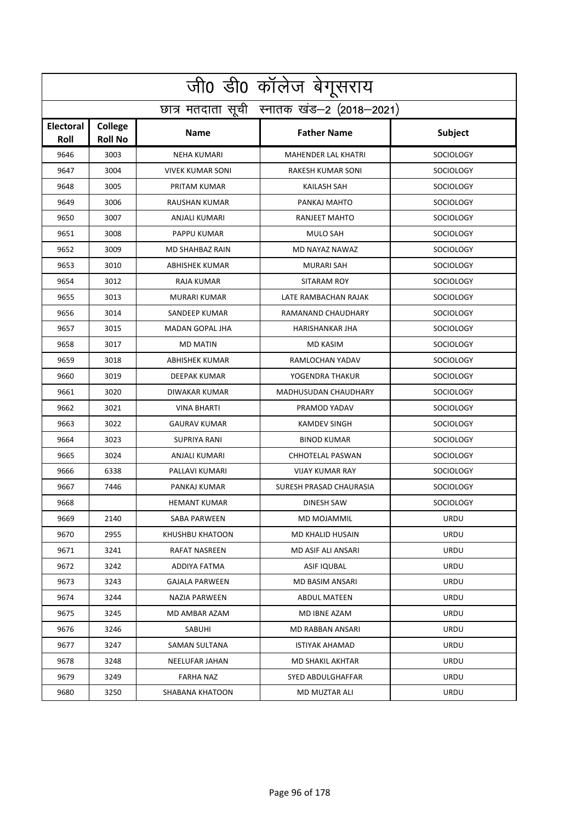|                                            | <u>जी0 डी0 कॉलेज बेगू</u> सराय |                         |                            |                  |  |
|--------------------------------------------|--------------------------------|-------------------------|----------------------------|------------------|--|
| छात्र मतदाता सूची स्नातक खंड-2 (2018-2021) |                                |                         |                            |                  |  |
| <b>Electoral</b><br>Roll                   | College<br><b>Roll No</b>      | <b>Name</b>             | <b>Father Name</b>         | Subject          |  |
| 9646                                       | 3003                           | <b>NEHA KUMARI</b>      | <b>MAHENDER LAL KHATRI</b> | <b>SOCIOLOGY</b> |  |
| 9647                                       | 3004                           | <b>VIVEK KUMAR SONI</b> | <b>RAKESH KUMAR SONI</b>   | <b>SOCIOLOGY</b> |  |
| 9648                                       | 3005                           | PRITAM KUMAR            | KAILASH SAH                | <b>SOCIOLOGY</b> |  |
| 9649                                       | 3006                           | <b>RAUSHAN KUMAR</b>    | PANKAJ MAHTO               | <b>SOCIOLOGY</b> |  |
| 9650                                       | 3007                           | ANJALI KUMARI           | RANJEET MAHTO              | <b>SOCIOLOGY</b> |  |
| 9651                                       | 3008                           | PAPPU KUMAR             | <b>MULO SAH</b>            | <b>SOCIOLOGY</b> |  |
| 9652                                       | 3009                           | MD SHAHBAZ RAIN         | MD NAYAZ NAWAZ             | <b>SOCIOLOGY</b> |  |
| 9653                                       | 3010                           | ABHISHEK KUMAR          | <b>MURARI SAH</b>          | <b>SOCIOLOGY</b> |  |
| 9654                                       | 3012                           | RAJA KUMAR              | SITARAM ROY                | <b>SOCIOLOGY</b> |  |
| 9655                                       | 3013                           | <b>MURARI KUMAR</b>     | LATE RAMBACHAN RAJAK       | <b>SOCIOLOGY</b> |  |
| 9656                                       | 3014                           | <b>SANDEEP KUMAR</b>    | RAMANAND CHAUDHARY         | <b>SOCIOLOGY</b> |  |
| 9657                                       | 3015                           | <b>MADAN GOPAL JHA</b>  | HARISHANKAR JHA            | <b>SOCIOLOGY</b> |  |
| 9658                                       | 3017                           | <b>MD MATIN</b>         | <b>MD KASIM</b>            | <b>SOCIOLOGY</b> |  |
| 9659                                       | 3018                           | <b>ABHISHEK KUMAR</b>   | RAMLOCHAN YADAV            | <b>SOCIOLOGY</b> |  |
| 9660                                       | 3019                           | DEEPAK KUMAR            | YOGENDRA THAKUR            | <b>SOCIOLOGY</b> |  |
| 9661                                       | 3020                           | DIWAKAR KUMAR           | MADHUSUDAN CHAUDHARY       | <b>SOCIOLOGY</b> |  |
| 9662                                       | 3021                           | <b>VINA BHARTI</b>      | PRAMOD YADAV               | <b>SOCIOLOGY</b> |  |
| 9663                                       | 3022                           | <b>GAURAV KUMAR</b>     | <b>KAMDEV SINGH</b>        | <b>SOCIOLOGY</b> |  |
| 9664                                       | 3023                           | <b>SUPRIYA RANI</b>     | <b>BINOD KUMAR</b>         | <b>SOCIOLOGY</b> |  |
| 9665                                       | 3024                           | ANJALI KUMARI           | <b>CHHOTELAL PASWAN</b>    | <b>SOCIOLOGY</b> |  |
| 9666                                       | 6338                           | PALLAVI KUMARI          | <b>VIJAY KUMAR RAY</b>     | <b>SOCIOLOGY</b> |  |
| 9667                                       | 7446                           | PANKAJ KUMAR            | SURESH PRASAD CHAURASIA    | <b>SOCIOLOGY</b> |  |
| 9668                                       |                                | <b>HEMANT KUMAR</b>     | <b>DINESH SAW</b>          | <b>SOCIOLOGY</b> |  |
| 9669                                       | 2140                           | SABA PARWEEN            | MD MOJAMMIL                | URDU             |  |
| 9670                                       | 2955                           | KHUSHBU KHATOON         | <b>MD KHALID HUSAIN</b>    | URDU             |  |
| 9671                                       | 3241                           | RAFAT NASREEN           | MD ASIF ALI ANSARI         | URDU             |  |
| 9672                                       | 3242                           | ADDIYA FATMA            | ASIF IQUBAL                | URDU             |  |
| 9673                                       | 3243                           | <b>GAJALA PARWEEN</b>   | <b>MD BASIM ANSARI</b>     | URDU             |  |
| 9674                                       | 3244                           | NAZIA PARWEEN           | <b>ABDUL MATEEN</b>        | URDU             |  |
| 9675                                       | 3245                           | MD AMBAR AZAM           | MD IBNE AZAM               | URDU             |  |
| 9676                                       | 3246                           | SABUHI                  | MD RABBAN ANSARI           | URDU             |  |
| 9677                                       | 3247                           | SAMAN SULTANA           | ISTIYAK AHAMAD             | URDU             |  |
| 9678                                       | 3248                           | NEELUFAR JAHAN          | MD SHAKIL AKHTAR           | URDU             |  |
| 9679                                       | 3249                           | <b>FARHA NAZ</b>        | SYED ABDULGHAFFAR          | URDU             |  |
| 9680                                       | 3250                           | SHABANA KHATOON         | MD MUZTAR ALI              | URDU             |  |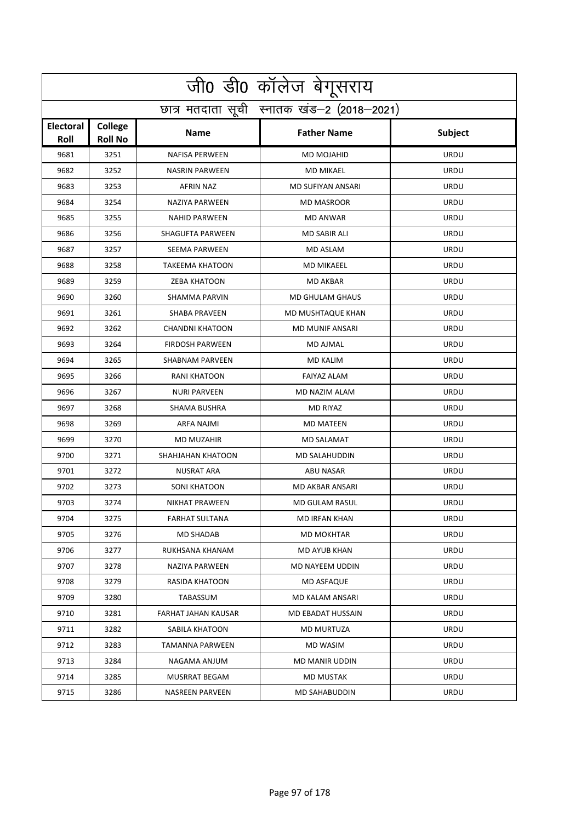|                   | <u>जी0 डी0 कॉलेज बेगू</u> सराय             |                         |                          |             |  |  |
|-------------------|--------------------------------------------|-------------------------|--------------------------|-------------|--|--|
|                   | छात्र मतदाता सूची स्नातक खंड-2 (2018-2021) |                         |                          |             |  |  |
| Electoral<br>Roll | College<br><b>Roll No</b>                  | <b>Name</b>             | <b>Father Name</b>       | Subject     |  |  |
| 9681              | 3251                                       | <b>NAFISA PERWEEN</b>   | MD MOJAHID               | <b>URDU</b> |  |  |
| 9682              | 3252                                       | <b>NASRIN PARWEEN</b>   | <b>MD MIKAEL</b>         | URDU        |  |  |
| 9683              | 3253                                       | <b>AFRIN NAZ</b>        | MD SUFIYAN ANSARI        | URDU        |  |  |
| 9684              | 3254                                       | <b>NAZIYA PARWEEN</b>   | <b>MD MASROOR</b>        | <b>URDU</b> |  |  |
| 9685              | 3255                                       | <b>NAHID PARWEEN</b>    | <b>MD ANWAR</b>          | URDU        |  |  |
| 9686              | 3256                                       | <b>SHAGUFTA PARWEEN</b> | <b>MD SABIR ALI</b>      | <b>URDU</b> |  |  |
| 9687              | 3257                                       | SEEMA PARWEEN           | MD ASLAM                 | URDU        |  |  |
| 9688              | 3258                                       | <b>TAKEEMA KHATOON</b>  | <b>MD MIKAEEL</b>        | URDU        |  |  |
| 9689              | 3259                                       | <b>ZEBA KHATOON</b>     | <b>MD AKBAR</b>          | URDU        |  |  |
| 9690              | 3260                                       | SHAMMA PARVIN           | <b>MD GHULAM GHAUS</b>   | URDU        |  |  |
| 9691              | 3261                                       | <b>SHABA PRAVEEN</b>    | MD MUSHTAQUE KHAN        | <b>URDU</b> |  |  |
| 9692              | 3262                                       | <b>CHANDNI KHATOON</b>  | <b>MD MUNIF ANSARI</b>   | URDU        |  |  |
| 9693              | 3264                                       | <b>FIRDOSH PARWEEN</b>  | MD AJMAL                 | URDU        |  |  |
| 9694              | 3265                                       | <b>SHABNAM PARVEEN</b>  | <b>MD KALIM</b>          | URDU        |  |  |
| 9695              | 3266                                       | <b>RANI KHATOON</b>     | <b>FAIYAZ ALAM</b>       | URDU        |  |  |
| 9696              | 3267                                       | <b>NURI PARVEEN</b>     | MD NAZIM ALAM            | <b>URDU</b> |  |  |
| 9697              | 3268                                       | SHAMA BUSHRA            | <b>MD RIYAZ</b>          | URDU        |  |  |
| 9698              | 3269                                       | ARFA NAJMI              | <b>MD MATEEN</b>         | URDU        |  |  |
| 9699              | 3270                                       | MD MUZAHIR              | MD SALAMAT               | URDU        |  |  |
| 9700              | 3271                                       | SHAHJAHAN KHATOON       | <b>MD SALAHUDDIN</b>     | <b>URDU</b> |  |  |
| 9701              | 3272                                       | <b>NUSRAT ARA</b>       | <b>ABU NASAR</b>         | URDU        |  |  |
| 9702              | 3273                                       | SONI KHATOON            | <b>MD AKBAR ANSARI</b>   | URDU        |  |  |
| 9703              | 3274                                       | NIKHAT PRAWEEN          | MD GULAM RASUL           | URDU        |  |  |
| 9704              | 3275                                       | FARHAT SULTANA          | MD IRFAN KHAN            | URDU        |  |  |
| 9705              | 3276                                       | MD SHADAB               | <b>MD MOKHTAR</b>        | URDU        |  |  |
| 9706              | 3277                                       | RUKHSANA KHANAM         | <b>MD AYUB KHAN</b>      | URDU        |  |  |
| 9707              | 3278                                       | NAZIYA PARWEEN          | MD NAYEEM UDDIN          | URDU        |  |  |
| 9708              | 3279                                       | RASIDA KHATOON          | <b>MD ASFAQUE</b>        | URDU        |  |  |
| 9709              | 3280                                       | TABASSUM                | MD KALAM ANSARI          | URDU        |  |  |
| 9710              | 3281                                       | FARHAT JAHAN KAUSAR     | <b>MD EBADAT HUSSAIN</b> | URDU        |  |  |
| 9711              | 3282                                       | SABILA KHATOON          | <b>MD MURTUZA</b>        | URDU        |  |  |
| 9712              | 3283                                       | TAMANNA PARWEEN         | MD WASIM                 | URDU        |  |  |
| 9713              | 3284                                       | NAGAMA ANJUM            | MD MANIR UDDIN           | URDU        |  |  |
| 9714              | 3285                                       | MUSRRAT BEGAM           | <b>MD MUSTAK</b>         | URDU        |  |  |
| 9715              | 3286                                       | NASREEN PARVEEN         | MD SAHABUDDIN            | URDU        |  |  |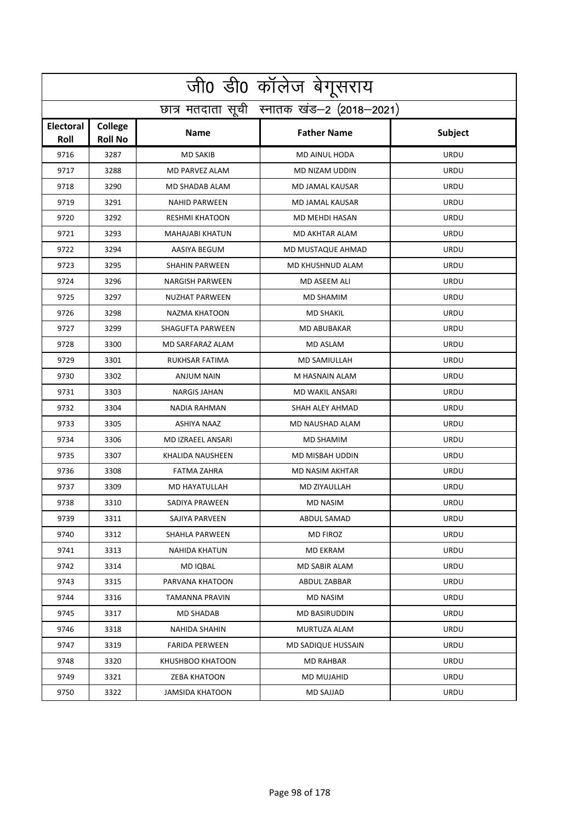|                   | जी0 डी0 कॉलेज बेगूसराय                     |                         |                      |             |  |  |
|-------------------|--------------------------------------------|-------------------------|----------------------|-------------|--|--|
|                   | छात्र मतदाता सूची स्नातक खंड-2 (2018-2021) |                         |                      |             |  |  |
| Electoral<br>Roll | College<br><b>Roll No</b>                  | <b>Name</b>             | <b>Father Name</b>   | Subject     |  |  |
| 9716              | 3287                                       | <b>MD SAKIB</b>         | <b>MD AINUL HODA</b> | <b>URDU</b> |  |  |
| 9717              | 3288                                       | <b>MD PARVEZ ALAM</b>   | MD NIZAM UDDIN       | URDU        |  |  |
| 9718              | 3290                                       | MD SHADAB ALAM          | MD JAMAL KAUSAR      | URDU        |  |  |
| 9719              | 3291                                       | <b>NAHID PARWEEN</b>    | MD JAMAL KAUSAR      | <b>URDU</b> |  |  |
| 9720              | 3292                                       | <b>RESHMI KHATOON</b>   | MD MEHDI HASAN       | URDU        |  |  |
| 9721              | 3293                                       | <b>MAHAJABI KHATUN</b>  | MD AKHTAR ALAM       | <b>URDU</b> |  |  |
| 9722              | 3294                                       | AASIYA BEGUM            | MD MUSTAQUE AHMAD    | URDU        |  |  |
| 9723              | 3295                                       | <b>SHAHIN PARWEEN</b>   | MD KHUSHNUD ALAM     | URDU        |  |  |
| 9724              | 3296                                       | <b>NARGISH PARWEEN</b>  | MD ASEEM ALI         | URDU        |  |  |
| 9725              | 3297                                       | <b>NUZHAT PARWEEN</b>   | <b>MD SHAMIM</b>     | <b>URDU</b> |  |  |
| 9726              | 3298                                       | NAZMA KHATOON           | <b>MD SHAKIL</b>     | <b>URDU</b> |  |  |
| 9727              | 3299                                       | SHAGUFTA PARWEEN        | <b>MD ABUBAKAR</b>   | URDU        |  |  |
| 9728              | 3300                                       | MD SARFARAZ ALAM        | MD ASLAM             | URDU        |  |  |
| 9729              | 3301                                       | RUKHSAR FATIMA          | <b>MD SAMIULLAH</b>  | URDU        |  |  |
| 9730              | 3302                                       | ANJUM NAIN              | M HASNAIN ALAM       | URDU        |  |  |
| 9731              | 3303                                       | <b>NARGIS JAHAN</b>     | MD WAKIL ANSARI      | <b>URDU</b> |  |  |
| 9732              | 3304                                       | NADIA RAHMAN            | SHAH ALEY AHMAD      | URDU        |  |  |
| 9733              | 3305                                       | ASHIYA NAAZ             | MD NAUSHAD ALAM      | URDU        |  |  |
| 9734              | 3306                                       | MD IZRAEEL ANSARI       | MD SHAMIM            | URDU        |  |  |
| 9735              | 3307                                       | <b>KHALIDA NAUSHEEN</b> | MD MISBAH UDDIN      | <b>URDU</b> |  |  |
| 9736              | 3308                                       | <b>FATMA ZAHRA</b>      | MD NASIM AKHTAR      | URDU        |  |  |
| 9737              | 3309                                       | MD HAYATULLAH           | MD ZIYAULLAH         | URDU        |  |  |
| 9738              | 3310                                       | SADIYA PRAWEEN          | <b>MD NASIM</b>      | URDU        |  |  |
| 9739              | 3311                                       | SAJIYA PARVEEN          | ABDUL SAMAD          | <b>URDU</b> |  |  |
| 9740              | 3312                                       | SHAHLA PARWEEN          | MD FIROZ             | URDU        |  |  |
| 9741              | 3313                                       | NAHIDA KHATUN           | <b>MD EKRAM</b>      | URDU        |  |  |
| 9742              | 3314                                       | MD IQBAL                | MD SABIR ALAM        | URDU        |  |  |
| 9743              | 3315                                       | PARVANA KHATOON         | ABDUL ZABBAR         | URDU        |  |  |
| 9744              | 3316                                       | TAMANNA PRAVIN          | MD NASIM             | URDU        |  |  |
| 9745              | 3317                                       | MD SHADAB               | <b>MD BASIRUDDIN</b> | URDU        |  |  |
| 9746              | 3318                                       | NAHIDA SHAHIN           | MURTUZA ALAM         | URDU        |  |  |
| 9747              | 3319                                       | <b>FARIDA PERWEEN</b>   | MD SADIQUE HUSSAIN   | URDU        |  |  |
| 9748              | 3320                                       | KHUSHBOO KHATOON        | MD RAHBAR            | URDU        |  |  |
| 9749              | 3321                                       | <b>ZEBA KHATOON</b>     | MD MUJAHID           | URDU        |  |  |
| 9750              | 3322                                       | JAMSIDA KHATOON         | MD SAJJAD            | URDU        |  |  |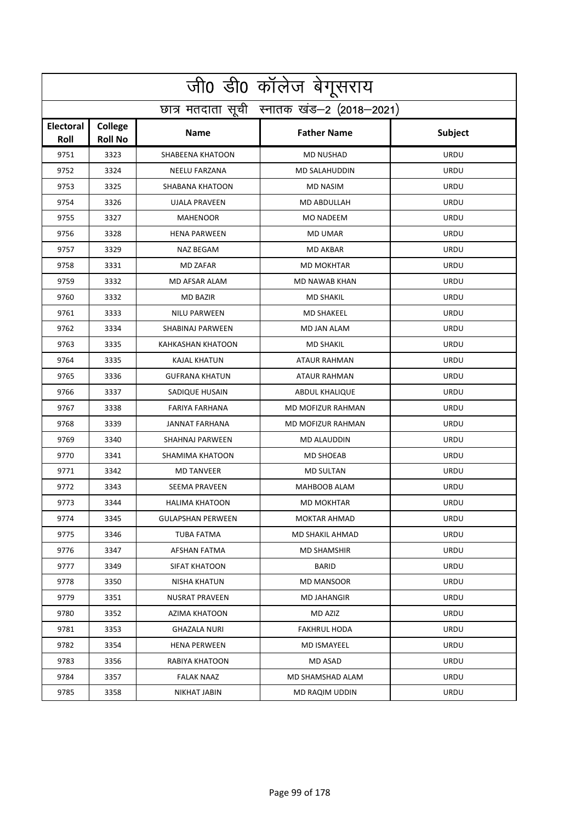| <u>जी0 डी0 कॉलेज बेगू</u> सराय |                                            |                          |                       |             |  |  |
|--------------------------------|--------------------------------------------|--------------------------|-----------------------|-------------|--|--|
|                                | छात्र मतदाता सूची स्नातक खंड-2 (2018-2021) |                          |                       |             |  |  |
| Electoral<br>Roll              | College<br><b>Roll No</b>                  | <b>Name</b>              | <b>Father Name</b>    | Subject     |  |  |
| 9751                           | 3323                                       | <b>SHABEENA KHATOON</b>  | <b>MD NUSHAD</b>      | <b>URDU</b> |  |  |
| 9752                           | 3324                                       | <b>NEELU FARZANA</b>     | <b>MD SALAHUDDIN</b>  | URDU        |  |  |
| 9753                           | 3325                                       | SHABANA KHATOON          | <b>MD NASIM</b>       | URDU        |  |  |
| 9754                           | 3326                                       | <b>UJALA PRAVEEN</b>     | <b>MD ABDULLAH</b>    | <b>URDU</b> |  |  |
| 9755                           | 3327                                       | <b>MAHENOOR</b>          | <b>MO NADEEM</b>      | URDU        |  |  |
| 9756                           | 3328                                       | <b>HENA PARWEEN</b>      | <b>MD UMAR</b>        | <b>URDU</b> |  |  |
| 9757                           | 3329                                       | <b>NAZ BEGAM</b>         | MD AKBAR              | URDU        |  |  |
| 9758                           | 3331                                       | <b>MD ZAFAR</b>          | <b>MD MOKHTAR</b>     | URDU        |  |  |
| 9759                           | 3332                                       | <b>MD AFSAR ALAM</b>     | <b>MD NAWAB KHAN</b>  | URDU        |  |  |
| 9760                           | 3332                                       | <b>MD BAZIR</b>          | <b>MD SHAKIL</b>      | <b>URDU</b> |  |  |
| 9761                           | 3333                                       | <b>NILU PARWEEN</b>      | <b>MD SHAKEEL</b>     | URDU        |  |  |
| 9762                           | 3334                                       | SHABINAJ PARWEEN         | MD JAN ALAM           | URDU        |  |  |
| 9763                           | 3335                                       | <b>KAHKASHAN KHATOON</b> | <b>MD SHAKIL</b>      | URDU        |  |  |
| 9764                           | 3335                                       | KAJAL KHATUN             | <b>ATAUR RAHMAN</b>   | URDU        |  |  |
| 9765                           | 3336                                       | <b>GUFRANA KHATUN</b>    | ATAUR RAHMAN          | URDU        |  |  |
| 9766                           | 3337                                       | SADIQUE HUSAIN           | <b>ABDUL KHALIQUE</b> | <b>URDU</b> |  |  |
| 9767                           | 3338                                       | <b>FARIYA FARHANA</b>    | MD MOFIZUR RAHMAN     | URDU        |  |  |
| 9768                           | 3339                                       | <b>JANNAT FARHANA</b>    | MD MOFIZUR RAHMAN     | URDU        |  |  |
| 9769                           | 3340                                       | SHAHNAJ PARWEEN          | MD ALAUDDIN           | URDU        |  |  |
| 9770                           | 3341                                       | SHAMIMA KHATOON          | <b>MD SHOEAB</b>      | <b>URDU</b> |  |  |
| 9771                           | 3342                                       | <b>MD TANVEER</b>        | <b>MD SULTAN</b>      | URDU        |  |  |
| 9772                           | 3343                                       | <b>SEEMA PRAVEEN</b>     | MAHBOOB ALAM          | URDU        |  |  |
| 9773                           | 3344                                       | <b>HALIMA KHATOON</b>    | <b>MD MOKHTAR</b>     | URDU        |  |  |
| 9774                           | 3345                                       | <b>GULAPSHAN PERWEEN</b> | <b>MOKTAR AHMAD</b>   | <b>URDU</b> |  |  |
| 9775                           | 3346                                       | TUBA FATMA               | MD SHAKIL AHMAD       | URDU        |  |  |
| 9776                           | 3347                                       | AFSHAN FATMA             | <b>MD SHAMSHIR</b>    | URDU        |  |  |
| 9777                           | 3349                                       | SIFAT KHATOON            | BARID                 | URDU        |  |  |
| 9778                           | 3350                                       | NISHA KHATUN             | <b>MD MANSOOR</b>     | <b>URDU</b> |  |  |
| 9779                           | 3351                                       | NUSRAT PRAVEEN           | <b>MD JAHANGIR</b>    | URDU        |  |  |
| 9780                           | 3352                                       | AZIMA KHATOON            | MD AZIZ               | URDU        |  |  |
| 9781                           | 3353                                       | GHAZALA NURI             | <b>FAKHRUL HODA</b>   | URDU        |  |  |
| 9782                           | 3354                                       | <b>HENA PERWEEN</b>      | MD ISMAYEEL           | URDU        |  |  |
| 9783                           | 3356                                       | RABIYA KHATOON           | MD ASAD               | URDU        |  |  |
| 9784                           | 3357                                       | <b>FALAK NAAZ</b>        | MD SHAMSHAD ALAM      | URDU        |  |  |
| 9785                           | 3358                                       | NIKHAT JABIN             | MD RAQIM UDDIN        | URDU        |  |  |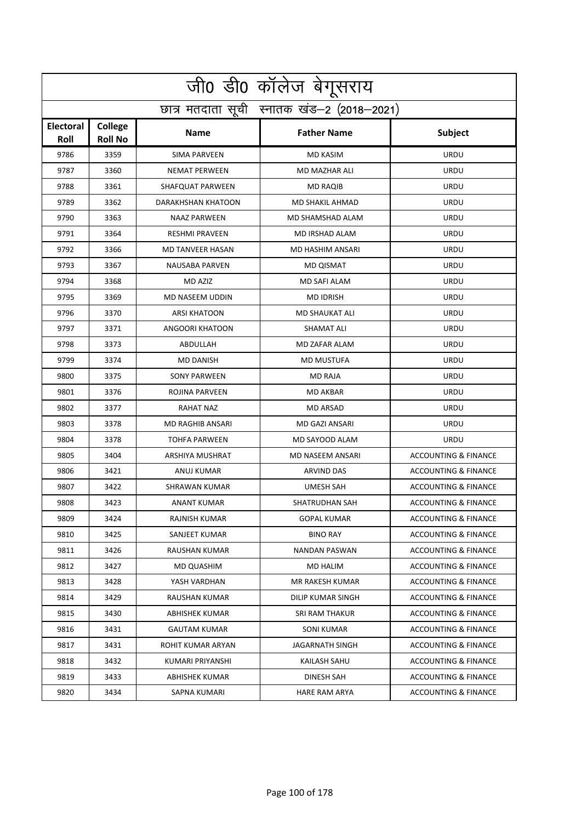|                          | जी0 डी0 कॉलेज बेगूसराय                     |                           |                        |                                 |  |  |
|--------------------------|--------------------------------------------|---------------------------|------------------------|---------------------------------|--|--|
|                          | छात्र मतदाता सूची स्नातक खंड-2 (2018-2021) |                           |                        |                                 |  |  |
| <b>Electoral</b><br>Roll | College<br><b>Roll No</b>                  | <b>Name</b>               | <b>Father Name</b>     | Subject                         |  |  |
| 9786                     | 3359                                       | <b>SIMA PARVEEN</b>       | <b>MD KASIM</b>        | <b>URDU</b>                     |  |  |
| 9787                     | 3360                                       | NEMAT PERWEEN             | MD MAZHAR ALI          | URDU                            |  |  |
| 9788                     | 3361                                       | SHAFQUAT PARWEEN          | <b>MD RAQIB</b>        | URDU                            |  |  |
| 9789                     | 3362                                       | <b>DARAKHSHAN KHATOON</b> | <b>MD SHAKIL AHMAD</b> | <b>URDU</b>                     |  |  |
| 9790                     | 3363                                       | <b>NAAZ PARWEEN</b>       | MD SHAMSHAD ALAM       | URDU                            |  |  |
| 9791                     | 3364                                       | <b>RESHMI PRAVEEN</b>     | MD IRSHAD ALAM         | <b>URDU</b>                     |  |  |
| 9792                     | 3366                                       | <b>MD TANVEER HASAN</b>   | MD HASHIM ANSARI       | URDU                            |  |  |
| 9793                     | 3367                                       | <b>NAUSABA PARVEN</b>     | <b>MD QISMAT</b>       | URDU                            |  |  |
| 9794                     | 3368                                       | MD AZIZ                   | <b>MD SAFI ALAM</b>    | URDU                            |  |  |
| 9795                     | 3369                                       | MD NASEEM UDDIN           | <b>MD IDRISH</b>       | <b>URDU</b>                     |  |  |
| 9796                     | 3370                                       | <b>ARSI KHATOON</b>       | MD SHAUKAT ALI         | <b>URDU</b>                     |  |  |
| 9797                     | 3371                                       | ANGOORI KHATOON           | SHAMAT ALI             | URDU                            |  |  |
| 9798                     | 3373                                       | ABDULLAH                  | MD ZAFAR ALAM          | URDU                            |  |  |
| 9799                     | 3374                                       | <b>MD DANISH</b>          | <b>MD MUSTUFA</b>      | <b>URDU</b>                     |  |  |
| 9800                     | 3375                                       | <b>SONY PARWEEN</b>       | <b>MD RAJA</b>         | URDU                            |  |  |
| 9801                     | 3376                                       | ROJINA PARVEEN            | <b>MD AKBAR</b>        | <b>URDU</b>                     |  |  |
| 9802                     | 3377                                       | <b>RAHAT NAZ</b>          | <b>MD ARSAD</b>        | URDU                            |  |  |
| 9803                     | 3378                                       | MD RAGHIB ANSARI          | MD GAZI ANSARI         | URDU                            |  |  |
| 9804                     | 3378                                       | <b>TOHFA PARWEEN</b>      | MD SAYOOD ALAM         | URDU                            |  |  |
| 9805                     | 3404                                       | ARSHIYA MUSHRAT           | MD NASEEM ANSARI       | <b>ACCOUNTING &amp; FINANCE</b> |  |  |
| 9806                     | 3421                                       | ANUJ KUMAR                | <b>ARVIND DAS</b>      | <b>ACCOUNTING &amp; FINANCE</b> |  |  |
| 9807                     | 3422                                       | <b>SHRAWAN KUMAR</b>      | <b>UMESH SAH</b>       | <b>ACCOUNTING &amp; FINANCE</b> |  |  |
| 9808                     | 3423                                       | ANANT KUMAR               | <b>SHATRUDHAN SAH</b>  | <b>ACCOUNTING &amp; FINANCE</b> |  |  |
| 9809                     | 3424                                       | RAJNISH KUMAR             | <b>GOPAL KUMAR</b>     | <b>ACCOUNTING &amp; FINANCE</b> |  |  |
| 9810                     | 3425                                       | SANJEET KUMAR             | <b>BINO RAY</b>        | <b>ACCOUNTING &amp; FINANCE</b> |  |  |
| 9811                     | 3426                                       | RAUSHAN KUMAR             | <b>NANDAN PASWAN</b>   | <b>ACCOUNTING &amp; FINANCE</b> |  |  |
| 9812                     | 3427                                       | MD QUASHIM                | MD HALIM               | <b>ACCOUNTING &amp; FINANCE</b> |  |  |
| 9813                     | 3428                                       | YASH VARDHAN              | <b>MR RAKESH KUMAR</b> | <b>ACCOUNTING &amp; FINANCE</b> |  |  |
| 9814                     | 3429                                       | RAUSHAN KUMAR             | DILIP KUMAR SINGH      | <b>ACCOUNTING &amp; FINANCE</b> |  |  |
| 9815                     | 3430                                       | ABHISHEK KUMAR            | <b>SRI RAM THAKUR</b>  | <b>ACCOUNTING &amp; FINANCE</b> |  |  |
| 9816                     | 3431                                       | <b>GAUTAM KUMAR</b>       | SONI KUMAR             | <b>ACCOUNTING &amp; FINANCE</b> |  |  |
| 9817                     | 3431                                       | ROHIT KUMAR ARYAN         | JAGARNATH SINGH        | <b>ACCOUNTING &amp; FINANCE</b> |  |  |
| 9818                     | 3432                                       | KUMARI PRIYANSHI          | KAILASH SAHU           | <b>ACCOUNTING &amp; FINANCE</b> |  |  |
| 9819                     | 3433                                       | ABHISHEK KUMAR            | DINESH SAH             | <b>ACCOUNTING &amp; FINANCE</b> |  |  |
| 9820                     | 3434                                       | SAPNA KUMARI              | HARE RAM ARYA          | ACCOUNTING & FINANCE            |  |  |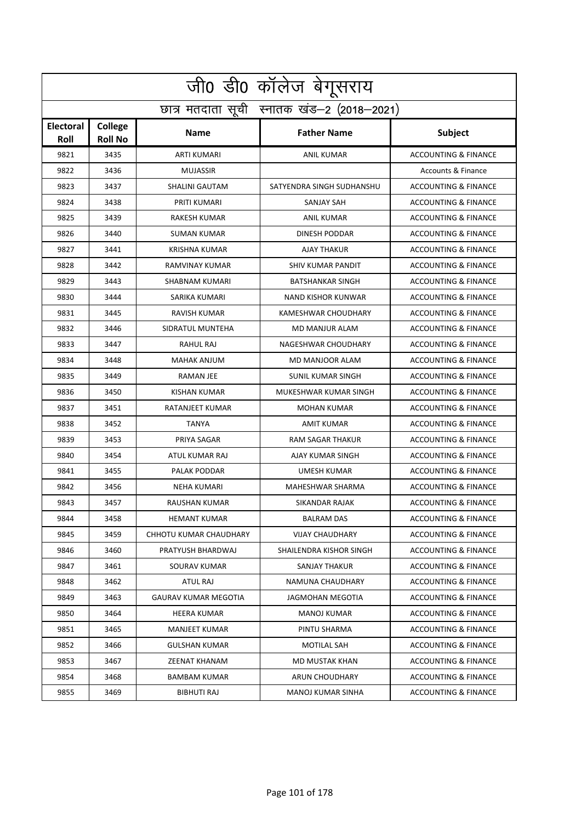|                          | <u>जी0 डी0 कॉलेज बेगू</u> सराय             |                             |                           |                                 |  |  |
|--------------------------|--------------------------------------------|-----------------------------|---------------------------|---------------------------------|--|--|
|                          | छात्र मतदाता सूची स्नातक खंड-2 (2018-2021) |                             |                           |                                 |  |  |
| <b>Electoral</b><br>Roll | College<br><b>Roll No</b>                  | <b>Name</b>                 | <b>Father Name</b>        | Subject                         |  |  |
| 9821                     | 3435                                       | <b>ARTI KUMARI</b>          | <b>ANIL KUMAR</b>         | <b>ACCOUNTING &amp; FINANCE</b> |  |  |
| 9822                     | 3436                                       | <b>MUJASSIR</b>             |                           | <b>Accounts &amp; Finance</b>   |  |  |
| 9823                     | 3437                                       | <b>SHALINI GAUTAM</b>       | SATYENDRA SINGH SUDHANSHU | <b>ACCOUNTING &amp; FINANCE</b> |  |  |
| 9824                     | 3438                                       | PRITI KUMARI                | <b>SANJAY SAH</b>         | <b>ACCOUNTING &amp; FINANCE</b> |  |  |
| 9825                     | 3439                                       | RAKESH KUMAR                | <b>ANIL KUMAR</b>         | <b>ACCOUNTING &amp; FINANCE</b> |  |  |
| 9826                     | 3440                                       | <b>SUMAN KUMAR</b>          | <b>DINESH PODDAR</b>      | <b>ACCOUNTING &amp; FINANCE</b> |  |  |
| 9827                     | 3441                                       | <b>KRISHNA KUMAR</b>        | <b>AJAY THAKUR</b>        | <b>ACCOUNTING &amp; FINANCE</b> |  |  |
| 9828                     | 3442                                       | RAMVINAY KUMAR              | SHIV KUMAR PANDIT         | <b>ACCOUNTING &amp; FINANCE</b> |  |  |
| 9829                     | 3443                                       | SHABNAM KUMARI              | <b>BATSHANKAR SINGH</b>   | <b>ACCOUNTING &amp; FINANCE</b> |  |  |
| 9830                     | 3444                                       | <b>SARIKA KUMARI</b>        | NAND KISHOR KUNWAR        | <b>ACCOUNTING &amp; FINANCE</b> |  |  |
| 9831                     | 3445                                       | <b>RAVISH KUMAR</b>         | KAMESHWAR CHOUDHARY       | <b>ACCOUNTING &amp; FINANCE</b> |  |  |
| 9832                     | 3446                                       | SIDRATUL MUNTEHA            | MD MANJUR ALAM            | <b>ACCOUNTING &amp; FINANCE</b> |  |  |
| 9833                     | 3447                                       | RAHUL RAJ                   | NAGESHWAR CHOUDHARY       | <b>ACCOUNTING &amp; FINANCE</b> |  |  |
| 9834                     | 3448                                       | <b>MAHAK ANJUM</b>          | MD MANJOOR ALAM           | <b>ACCOUNTING &amp; FINANCE</b> |  |  |
| 9835                     | 3449                                       | <b>RAMAN JEE</b>            | SUNIL KUMAR SINGH         | <b>ACCOUNTING &amp; FINANCE</b> |  |  |
| 9836                     | 3450                                       | <b>KISHAN KUMAR</b>         | MUKESHWAR KUMAR SINGH     | <b>ACCOUNTING &amp; FINANCE</b> |  |  |
| 9837                     | 3451                                       | RATANJEET KUMAR             | <b>MOHAN KUMAR</b>        | <b>ACCOUNTING &amp; FINANCE</b> |  |  |
| 9838                     | 3452                                       | <b>TANYA</b>                | <b>AMIT KUMAR</b>         | <b>ACCOUNTING &amp; FINANCE</b> |  |  |
| 9839                     | 3453                                       | PRIYA SAGAR                 | RAM SAGAR THAKUR          | <b>ACCOUNTING &amp; FINANCE</b> |  |  |
| 9840                     | 3454                                       | ATUL KUMAR RAJ              | AJAY KUMAR SINGH          | <b>ACCOUNTING &amp; FINANCE</b> |  |  |
| 9841                     | 3455                                       | PALAK PODDAR                | <b>UMESH KUMAR</b>        | <b>ACCOUNTING &amp; FINANCE</b> |  |  |
| 9842                     | 3456                                       | <b>NEHA KUMARI</b>          | <b>MAHESHWAR SHARMA</b>   | <b>ACCOUNTING &amp; FINANCE</b> |  |  |
| 9843                     | 3457                                       | RAUSHAN KUMAR               | SIKANDAR RAJAK            | <b>ACCOUNTING &amp; FINANCE</b> |  |  |
| 9844                     | 3458                                       | <b>HEMANT KUMAR</b>         | <b>BALRAM DAS</b>         | <b>ACCOUNTING &amp; FINANCE</b> |  |  |
| 9845                     | 3459                                       | CHHOTU KUMAR CHAUDHARY      | <b>VIJAY CHAUDHARY</b>    | <b>ACCOUNTING &amp; FINANCE</b> |  |  |
| 9846                     | 3460                                       | PRATYUSH BHARDWAJ           | SHAILENDRA KISHOR SINGH   | <b>ACCOUNTING &amp; FINANCE</b> |  |  |
| 9847                     | 3461                                       | <b>SOURAV KUMAR</b>         | <b>SANJAY THAKUR</b>      | <b>ACCOUNTING &amp; FINANCE</b> |  |  |
| 9848                     | 3462                                       | ATUL RAJ                    | NAMUNA CHAUDHARY          | <b>ACCOUNTING &amp; FINANCE</b> |  |  |
| 9849                     | 3463                                       | <b>GAURAV KUMAR MEGOTIA</b> | JAGMOHAN MEGOTIA          | <b>ACCOUNTING &amp; FINANCE</b> |  |  |
| 9850                     | 3464                                       | HEERA KUMAR                 | <b>MANOJ KUMAR</b>        | <b>ACCOUNTING &amp; FINANCE</b> |  |  |
| 9851                     | 3465                                       | <b>MANJEET KUMAR</b>        | PINTU SHARMA              | <b>ACCOUNTING &amp; FINANCE</b> |  |  |
| 9852                     | 3466                                       | GULSHAN KUMAR               | MOTILAL SAH               | <b>ACCOUNTING &amp; FINANCE</b> |  |  |
| 9853                     | 3467                                       | ZEENAT KHANAM               | <b>MD MUSTAK KHAN</b>     | <b>ACCOUNTING &amp; FINANCE</b> |  |  |
| 9854                     | 3468                                       | BAMBAM KUMAR                | ARUN CHOUDHARY            | <b>ACCOUNTING &amp; FINANCE</b> |  |  |
| 9855                     | 3469                                       | <b>BIBHUTI RAJ</b>          | MANOJ KUMAR SINHA         | <b>ACCOUNTING &amp; FINANCE</b> |  |  |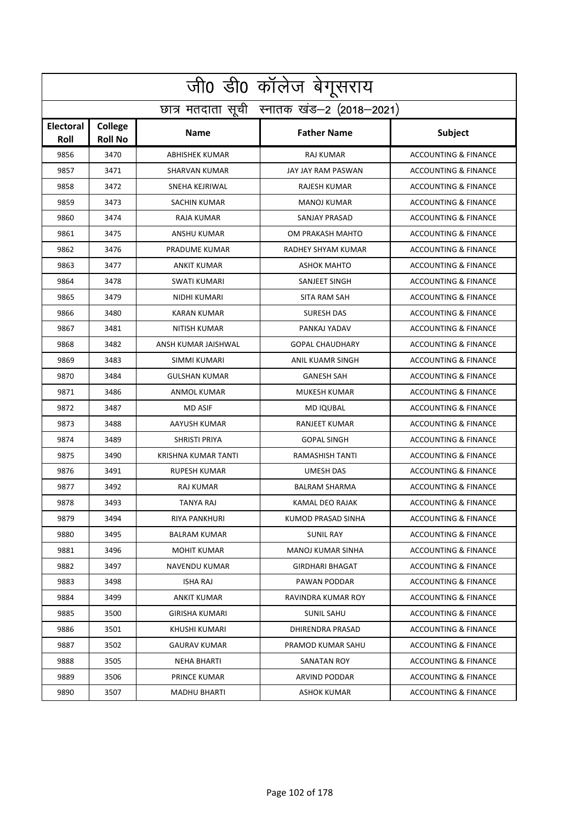|                          | जी0 डी0 कॉलेज बेगूसराय                     |                            |                          |                                 |  |  |
|--------------------------|--------------------------------------------|----------------------------|--------------------------|---------------------------------|--|--|
|                          | छात्र मतदाता सूची स्नातक खंड-2 (2018-2021) |                            |                          |                                 |  |  |
| <b>Electoral</b><br>Roll | College<br><b>Roll No</b>                  | <b>Name</b>                | <b>Father Name</b>       | Subject                         |  |  |
| 9856                     | 3470                                       | <b>ABHISHEK KUMAR</b>      | <b>RAJ KUMAR</b>         | <b>ACCOUNTING &amp; FINANCE</b> |  |  |
| 9857                     | 3471                                       | SHARVAN KUMAR              | JAY JAY RAM PASWAN       | <b>ACCOUNTING &amp; FINANCE</b> |  |  |
| 9858                     | 3472                                       | SNEHA KEJRIWAL             | <b>RAJESH KUMAR</b>      | <b>ACCOUNTING &amp; FINANCE</b> |  |  |
| 9859                     | 3473                                       | <b>SACHIN KUMAR</b>        | <b>MANOJ KUMAR</b>       | <b>ACCOUNTING &amp; FINANCE</b> |  |  |
| 9860                     | 3474                                       | RAJA KUMAR                 | SANJAY PRASAD            | <b>ACCOUNTING &amp; FINANCE</b> |  |  |
| 9861                     | 3475                                       | ANSHU KUMAR                | OM PRAKASH MAHTO         | <b>ACCOUNTING &amp; FINANCE</b> |  |  |
| 9862                     | 3476                                       | PRADUME KUMAR              | RADHEY SHYAM KUMAR       | <b>ACCOUNTING &amp; FINANCE</b> |  |  |
| 9863                     | 3477                                       | <b>ANKIT KUMAR</b>         | <b>ASHOK MAHTO</b>       | <b>ACCOUNTING &amp; FINANCE</b> |  |  |
| 9864                     | 3478                                       | <b>SWATI KUMARI</b>        | SANJEET SINGH            | <b>ACCOUNTING &amp; FINANCE</b> |  |  |
| 9865                     | 3479                                       | NIDHI KUMARI               | <b>SITA RAM SAH</b>      | <b>ACCOUNTING &amp; FINANCE</b> |  |  |
| 9866                     | 3480                                       | <b>KARAN KUMAR</b>         | <b>SURESH DAS</b>        | <b>ACCOUNTING &amp; FINANCE</b> |  |  |
| 9867                     | 3481                                       | <b>NITISH KUMAR</b>        | PANKAJ YADAV             | <b>ACCOUNTING &amp; FINANCE</b> |  |  |
| 9868                     | 3482                                       | ANSH KUMAR JAISHWAL        | <b>GOPAL CHAUDHARY</b>   | <b>ACCOUNTING &amp; FINANCE</b> |  |  |
| 9869                     | 3483                                       | SIMMI KUMARI               | ANIL KUAMR SINGH         | <b>ACCOUNTING &amp; FINANCE</b> |  |  |
| 9870                     | 3484                                       | <b>GULSHAN KUMAR</b>       | <b>GANESH SAH</b>        | <b>ACCOUNTING &amp; FINANCE</b> |  |  |
| 9871                     | 3486                                       | <b>ANMOL KUMAR</b>         | <b>MUKESH KUMAR</b>      | <b>ACCOUNTING &amp; FINANCE</b> |  |  |
| 9872                     | 3487                                       | <b>MD ASIF</b>             | <b>MD IQUBAL</b>         | <b>ACCOUNTING &amp; FINANCE</b> |  |  |
| 9873                     | 3488                                       | AAYUSH KUMAR               | RANJEET KUMAR            | <b>ACCOUNTING &amp; FINANCE</b> |  |  |
| 9874                     | 3489                                       | SHRISTI PRIYA              | <b>GOPAL SINGH</b>       | <b>ACCOUNTING &amp; FINANCE</b> |  |  |
| 9875                     | 3490                                       | <b>KRISHNA KUMAR TANTI</b> | <b>RAMASHISH TANTI</b>   | <b>ACCOUNTING &amp; FINANCE</b> |  |  |
| 9876                     | 3491                                       | <b>RUPESH KUMAR</b>        | <b>UMESH DAS</b>         | <b>ACCOUNTING &amp; FINANCE</b> |  |  |
| 9877                     | 3492                                       | RAJ KUMAR                  | <b>BALRAM SHARMA</b>     | <b>ACCOUNTING &amp; FINANCE</b> |  |  |
| 9878                     | 3493                                       | TANYA RAJ                  | KAMAL DEO RAJAK          | <b>ACCOUNTING &amp; FINANCE</b> |  |  |
| 9879                     | 3494                                       | RIYA PANKHURI              | KUMOD PRASAD SINHA       | <b>ACCOUNTING &amp; FINANCE</b> |  |  |
| 9880                     | 3495                                       | BALRAM KUMAR               | <b>SUNIL RAY</b>         | ACCOUNTING & FINANCE            |  |  |
| 9881                     | 3496                                       | <b>MOHIT KUMAR</b>         | <b>MANOJ KUMAR SINHA</b> | <b>ACCOUNTING &amp; FINANCE</b> |  |  |
| 9882                     | 3497                                       | <b>NAVENDU KUMAR</b>       | <b>GIRDHARI BHAGAT</b>   | <b>ACCOUNTING &amp; FINANCE</b> |  |  |
| 9883                     | 3498                                       | ISHA RAJ                   | PAWAN PODDAR             | <b>ACCOUNTING &amp; FINANCE</b> |  |  |
| 9884                     | 3499                                       | ANKIT KUMAR                | RAVINDRA KUMAR ROY       | <b>ACCOUNTING &amp; FINANCE</b> |  |  |
| 9885                     | 3500                                       | <b>GIRISHA KUMARI</b>      | <b>SUNIL SAHU</b>        | <b>ACCOUNTING &amp; FINANCE</b> |  |  |
| 9886                     | 3501                                       | KHUSHI KUMARI              | DHIRENDRA PRASAD         | <b>ACCOUNTING &amp; FINANCE</b> |  |  |
| 9887                     | 3502                                       | GAURAV KUMAR               | PRAMOD KUMAR SAHU        | ACCOUNTING & FINANCE            |  |  |
| 9888                     | 3505                                       | NEHA BHARTI                | SANATAN ROY              | <b>ACCOUNTING &amp; FINANCE</b> |  |  |
| 9889                     | 3506                                       | PRINCE KUMAR               | ARVIND PODDAR            | <b>ACCOUNTING &amp; FINANCE</b> |  |  |
| 9890                     | 3507                                       | <b>MADHU BHARTI</b>        | ASHOK KUMAR              | ACCOUNTING & FINANCE            |  |  |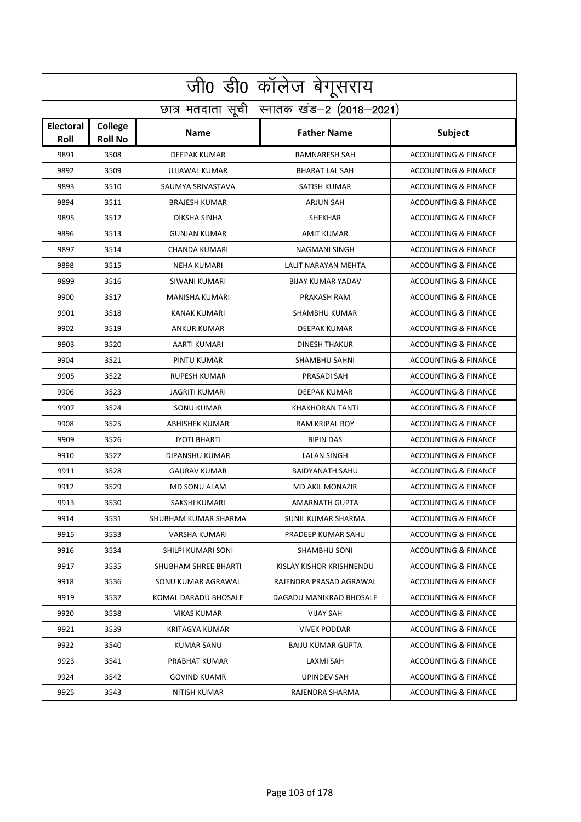|                          | जी0 डी0 कॉलेज बेगूसराय                     |                       |                          |                                 |  |  |
|--------------------------|--------------------------------------------|-----------------------|--------------------------|---------------------------------|--|--|
|                          | छात्र मतदाता सूची स्नातक खंड-2 (2018-2021) |                       |                          |                                 |  |  |
| <b>Electoral</b><br>Roll | College<br><b>Roll No</b>                  | <b>Name</b>           | <b>Father Name</b>       | Subject                         |  |  |
| 9891                     | 3508                                       | <b>DEEPAK KUMAR</b>   | <b>RAMNARESH SAH</b>     | <b>ACCOUNTING &amp; FINANCE</b> |  |  |
| 9892                     | 3509                                       | UJJAWAL KUMAR         | <b>BHARAT LAL SAH</b>    | <b>ACCOUNTING &amp; FINANCE</b> |  |  |
| 9893                     | 3510                                       | SAUMYA SRIVASTAVA     | SATISH KUMAR             | <b>ACCOUNTING &amp; FINANCE</b> |  |  |
| 9894                     | 3511                                       | <b>BRAJESH KUMAR</b>  | <b>ARJUN SAH</b>         | <b>ACCOUNTING &amp; FINANCE</b> |  |  |
| 9895                     | 3512                                       | DIKSHA SINHA          | <b>SHEKHAR</b>           | <b>ACCOUNTING &amp; FINANCE</b> |  |  |
| 9896                     | 3513                                       | <b>GUNJAN KUMAR</b>   | <b>AMIT KUMAR</b>        | <b>ACCOUNTING &amp; FINANCE</b> |  |  |
| 9897                     | 3514                                       | CHANDA KUMARI         | NAGMANI SINGH            | <b>ACCOUNTING &amp; FINANCE</b> |  |  |
| 9898                     | 3515                                       | <b>NEHA KUMARI</b>    | LALIT NARAYAN MEHTA      | <b>ACCOUNTING &amp; FINANCE</b> |  |  |
| 9899                     | 3516                                       | SIWANI KUMARI         | <b>BIJAY KUMAR YADAV</b> | <b>ACCOUNTING &amp; FINANCE</b> |  |  |
| 9900                     | 3517                                       | <b>MANISHA KUMARI</b> | PRAKASH RAM              | <b>ACCOUNTING &amp; FINANCE</b> |  |  |
| 9901                     | 3518                                       | <b>KANAK KUMARI</b>   | SHAMBHU KUMAR            | <b>ACCOUNTING &amp; FINANCE</b> |  |  |
| 9902                     | 3519                                       | <b>ANKUR KUMAR</b>    | <b>DEEPAK KUMAR</b>      | <b>ACCOUNTING &amp; FINANCE</b> |  |  |
| 9903                     | 3520                                       | AARTI KUMARI          | <b>DINESH THAKUR</b>     | <b>ACCOUNTING &amp; FINANCE</b> |  |  |
| 9904                     | 3521                                       | PINTU KUMAR           | SHAMBHU SAHNI            | <b>ACCOUNTING &amp; FINANCE</b> |  |  |
| 9905                     | 3522                                       | <b>RUPESH KUMAR</b>   | PRASADI SAH              | <b>ACCOUNTING &amp; FINANCE</b> |  |  |
| 9906                     | 3523                                       | <b>JAGRITI KUMARI</b> | <b>DEEPAK KUMAR</b>      | <b>ACCOUNTING &amp; FINANCE</b> |  |  |
| 9907                     | 3524                                       | <b>SONU KUMAR</b>     | <b>KHAKHORAN TANTI</b>   | <b>ACCOUNTING &amp; FINANCE</b> |  |  |
| 9908                     | 3525                                       | ABHISHEK KUMAR        | <b>RAM KRIPAL ROY</b>    | <b>ACCOUNTING &amp; FINANCE</b> |  |  |
| 9909                     | 3526                                       | <b>JYOTI BHARTI</b>   | <b>BIPIN DAS</b>         | <b>ACCOUNTING &amp; FINANCE</b> |  |  |
| 9910                     | 3527                                       | DIPANSHU KUMAR        | <b>LALAN SINGH</b>       | <b>ACCOUNTING &amp; FINANCE</b> |  |  |
| 9911                     | 3528                                       | <b>GAURAV KUMAR</b>   | <b>BAIDYANATH SAHU</b>   | <b>ACCOUNTING &amp; FINANCE</b> |  |  |
| 9912                     | 3529                                       | MD SONU ALAM          | <b>MD AKIL MONAZIR</b>   | <b>ACCOUNTING &amp; FINANCE</b> |  |  |
| 9913                     | 3530                                       | SAKSHI KUMARI         | AMARNATH GUPTA           | <b>ACCOUNTING &amp; FINANCE</b> |  |  |
| 9914                     | 3531                                       | SHUBHAM KUMAR SHARMA  | SUNIL KUMAR SHARMA       | <b>ACCOUNTING &amp; FINANCE</b> |  |  |
| 9915                     | 3533                                       | VARSHA KUMARI         | PRADEEP KUMAR SAHU       | ACCOUNTING & FINANCE            |  |  |
| 9916                     | 3534                                       | SHILPI KUMARI SONI    | SHAMBHU SONI             | <b>ACCOUNTING &amp; FINANCE</b> |  |  |
| 9917                     | 3535                                       | SHUBHAM SHREE BHARTI  | KISLAY KISHOR KRISHNENDU | <b>ACCOUNTING &amp; FINANCE</b> |  |  |
| 9918                     | 3536                                       | SONU KUMAR AGRAWAL    | RAJENDRA PRASAD AGRAWAL  | <b>ACCOUNTING &amp; FINANCE</b> |  |  |
| 9919                     | 3537                                       | KOMAL DARADU BHOSALE  | DAGADU MANIKRAO BHOSALE  | <b>ACCOUNTING &amp; FINANCE</b> |  |  |
| 9920                     | 3538                                       | VIKAS KUMAR           | <b>VIJAY SAH</b>         | <b>ACCOUNTING &amp; FINANCE</b> |  |  |
| 9921                     | 3539                                       | <b>KRITAGYA KUMAR</b> | <b>VIVEK PODDAR</b>      | <b>ACCOUNTING &amp; FINANCE</b> |  |  |
| 9922                     | 3540                                       | KUMAR SANU            | BAIJU KUMAR GUPTA        | <b>ACCOUNTING &amp; FINANCE</b> |  |  |
| 9923                     | 3541                                       | PRABHAT KUMAR         | LAXMI SAH                | <b>ACCOUNTING &amp; FINANCE</b> |  |  |
| 9924                     | 3542                                       | <b>GOVIND KUAMR</b>   | <b>UPINDEV SAH</b>       | <b>ACCOUNTING &amp; FINANCE</b> |  |  |
| 9925                     | 3543                                       | NITISH KUMAR          | RAJENDRA SHARMA          | ACCOUNTING & FINANCE            |  |  |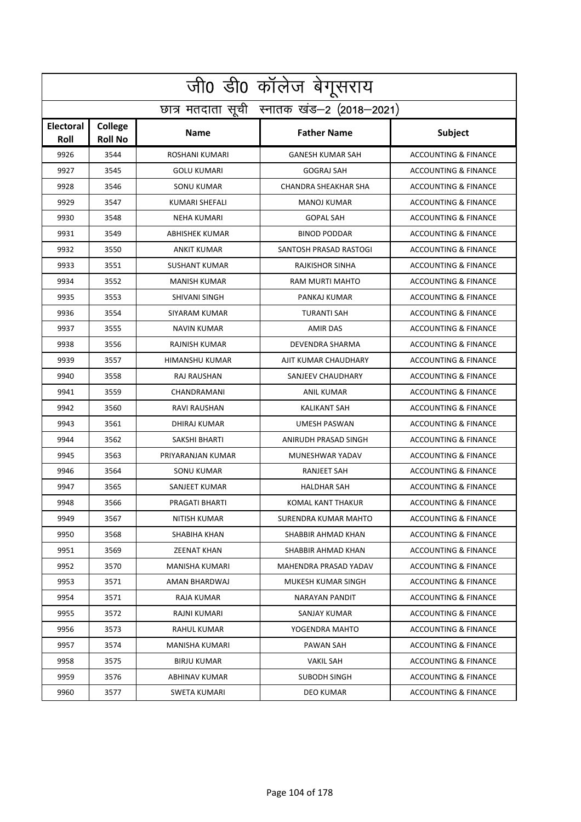|                          | जी0 डी0 कॉलेज बेगूसराय                     |                       |                         |                                 |  |  |
|--------------------------|--------------------------------------------|-----------------------|-------------------------|---------------------------------|--|--|
|                          | छात्र मतदाता सूची स्नातक खंड-2 (2018-2021) |                       |                         |                                 |  |  |
| <b>Electoral</b><br>Roll | College<br><b>Roll No</b>                  | <b>Name</b>           | <b>Father Name</b>      | Subject                         |  |  |
| 9926                     | 3544                                       | <b>ROSHANI KUMARI</b> | <b>GANESH KUMAR SAH</b> | <b>ACCOUNTING &amp; FINANCE</b> |  |  |
| 9927                     | 3545                                       | <b>GOLU KUMARI</b>    | <b>GOGRAJ SAH</b>       | <b>ACCOUNTING &amp; FINANCE</b> |  |  |
| 9928                     | 3546                                       | <b>SONU KUMAR</b>     | CHANDRA SHEAKHAR SHA    | <b>ACCOUNTING &amp; FINANCE</b> |  |  |
| 9929                     | 3547                                       | <b>KUMARI SHEFALI</b> | <b>MANOJ KUMAR</b>      | <b>ACCOUNTING &amp; FINANCE</b> |  |  |
| 9930                     | 3548                                       | <b>NEHA KUMARI</b>    | <b>GOPAL SAH</b>        | <b>ACCOUNTING &amp; FINANCE</b> |  |  |
| 9931                     | 3549                                       | <b>ABHISHEK KUMAR</b> | <b>BINOD PODDAR</b>     | <b>ACCOUNTING &amp; FINANCE</b> |  |  |
| 9932                     | 3550                                       | <b>ANKIT KUMAR</b>    | SANTOSH PRASAD RASTOGI  | <b>ACCOUNTING &amp; FINANCE</b> |  |  |
| 9933                     | 3551                                       | <b>SUSHANT KUMAR</b>  | <b>RAJKISHOR SINHA</b>  | <b>ACCOUNTING &amp; FINANCE</b> |  |  |
| 9934                     | 3552                                       | <b>MANISH KUMAR</b>   | <b>RAM MURTI MAHTO</b>  | <b>ACCOUNTING &amp; FINANCE</b> |  |  |
| 9935                     | 3553                                       | SHIVANI SINGH         | PANKAJ KUMAR            | <b>ACCOUNTING &amp; FINANCE</b> |  |  |
| 9936                     | 3554                                       | SIYARAM KUMAR         | <b>TURANTI SAH</b>      | <b>ACCOUNTING &amp; FINANCE</b> |  |  |
| 9937                     | 3555                                       | <b>NAVIN KUMAR</b>    | <b>AMIR DAS</b>         | <b>ACCOUNTING &amp; FINANCE</b> |  |  |
| 9938                     | 3556                                       | RAJNISH KUMAR         | DEVENDRA SHARMA         | <b>ACCOUNTING &amp; FINANCE</b> |  |  |
| 9939                     | 3557                                       | HIMANSHU KUMAR        | AJIT KUMAR CHAUDHARY    | <b>ACCOUNTING &amp; FINANCE</b> |  |  |
| 9940                     | 3558                                       | RAJ RAUSHAN           | SANJEEV CHAUDHARY       | <b>ACCOUNTING &amp; FINANCE</b> |  |  |
| 9941                     | 3559                                       | CHANDRAMANI           | <b>ANIL KUMAR</b>       | <b>ACCOUNTING &amp; FINANCE</b> |  |  |
| 9942                     | 3560                                       | RAVI RAUSHAN          | <b>KALIKANT SAH</b>     | <b>ACCOUNTING &amp; FINANCE</b> |  |  |
| 9943                     | 3561                                       | DHIRAJ KUMAR          | UMESH PASWAN            | <b>ACCOUNTING &amp; FINANCE</b> |  |  |
| 9944                     | 3562                                       | SAKSHI BHARTI         | ANIRUDH PRASAD SINGH    | <b>ACCOUNTING &amp; FINANCE</b> |  |  |
| 9945                     | 3563                                       | PRIYARANJAN KUMAR     | MUNESHWAR YADAV         | <b>ACCOUNTING &amp; FINANCE</b> |  |  |
| 9946                     | 3564                                       | <b>SONU KUMAR</b>     | <b>RANJEET SAH</b>      | <b>ACCOUNTING &amp; FINANCE</b> |  |  |
| 9947                     | 3565                                       | <b>SANJEET KUMAR</b>  | <b>HALDHAR SAH</b>      | <b>ACCOUNTING &amp; FINANCE</b> |  |  |
| 9948                     | 3566                                       | PRAGATI BHARTI        | KOMAL KANT THAKUR       | <b>ACCOUNTING &amp; FINANCE</b> |  |  |
| 9949                     | 3567                                       | NITISH KUMAR          | SURENDRA KUMAR MAHTO    | <b>ACCOUNTING &amp; FINANCE</b> |  |  |
| 9950                     | 3568                                       | SHABIHA KHAN          | SHABBIR AHMAD KHAN      | ACCOUNTING & FINANCE            |  |  |
| 9951                     | 3569                                       | ZEENAT KHAN           | SHABBIR AHMAD KHAN      | <b>ACCOUNTING &amp; FINANCE</b> |  |  |
| 9952                     | 3570                                       | <b>MANISHA KUMARI</b> | MAHENDRA PRASAD YADAV   | <b>ACCOUNTING &amp; FINANCE</b> |  |  |
| 9953                     | 3571                                       | AMAN BHARDWAJ         | MUKESH KUMAR SINGH      | <b>ACCOUNTING &amp; FINANCE</b> |  |  |
| 9954                     | 3571                                       | RAJA KUMAR            | <b>NARAYAN PANDIT</b>   | <b>ACCOUNTING &amp; FINANCE</b> |  |  |
| 9955                     | 3572                                       | RAJNI KUMARI          | SANJAY KUMAR            | <b>ACCOUNTING &amp; FINANCE</b> |  |  |
| 9956                     | 3573                                       | RAHUL KUMAR           | YOGENDRA MAHTO          | <b>ACCOUNTING &amp; FINANCE</b> |  |  |
| 9957                     | 3574                                       | MANISHA KUMARI        | PAWAN SAH               | <b>ACCOUNTING &amp; FINANCE</b> |  |  |
| 9958                     | 3575                                       | BIRJU KUMAR           | VAKIL SAH               | <b>ACCOUNTING &amp; FINANCE</b> |  |  |
| 9959                     | 3576                                       | ABHINAV KUMAR         | SUBODH SINGH            | <b>ACCOUNTING &amp; FINANCE</b> |  |  |
| 9960                     | 3577                                       | SWETA KUMARI          | DEO KUMAR               | <b>ACCOUNTING &amp; FINANCE</b> |  |  |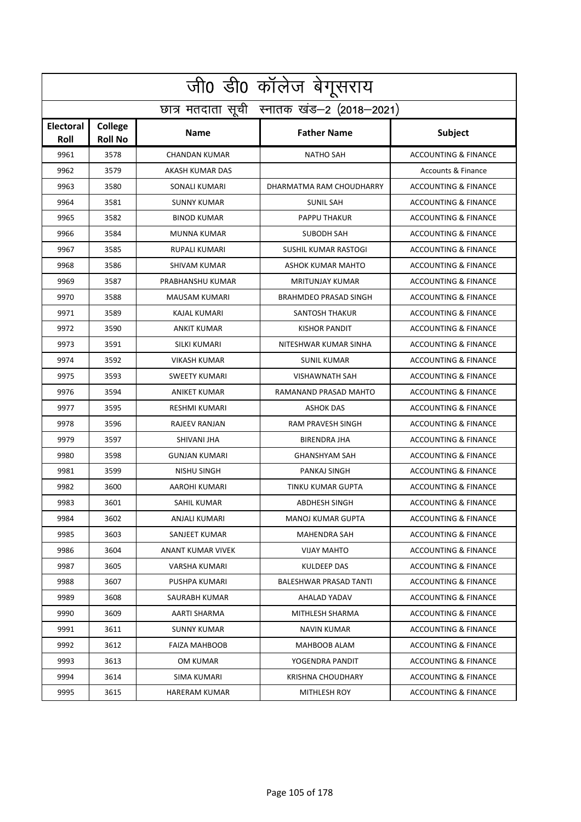|                          | <u>जी0 डी0 कॉलेज बेगू</u> सराय             |                      |                               |                                 |  |  |
|--------------------------|--------------------------------------------|----------------------|-------------------------------|---------------------------------|--|--|
|                          | छात्र मतदाता सूची स्नातक खंड-2 (2018-2021) |                      |                               |                                 |  |  |
| <b>Electoral</b><br>Roll | College<br><b>Roll No</b>                  | <b>Name</b>          | <b>Father Name</b>            | Subject                         |  |  |
| 9961                     | 3578                                       | <b>CHANDAN KUMAR</b> | <b>NATHO SAH</b>              | <b>ACCOUNTING &amp; FINANCE</b> |  |  |
| 9962                     | 3579                                       | AKASH KUMAR DAS      |                               | <b>Accounts &amp; Finance</b>   |  |  |
| 9963                     | 3580                                       | SONALI KUMARI        | DHARMATMA RAM CHOUDHARRY      | <b>ACCOUNTING &amp; FINANCE</b> |  |  |
| 9964                     | 3581                                       | <b>SUNNY KUMAR</b>   | <b>SUNIL SAH</b>              | <b>ACCOUNTING &amp; FINANCE</b> |  |  |
| 9965                     | 3582                                       | <b>BINOD KUMAR</b>   | <b>PAPPU THAKUR</b>           | <b>ACCOUNTING &amp; FINANCE</b> |  |  |
| 9966                     | 3584                                       | <b>MUNNA KUMAR</b>   | <b>SUBODH SAH</b>             | <b>ACCOUNTING &amp; FINANCE</b> |  |  |
| 9967                     | 3585                                       | RUPALI KUMARI        | SUSHIL KUMAR RASTOGI          | <b>ACCOUNTING &amp; FINANCE</b> |  |  |
| 9968                     | 3586                                       | SHIVAM KUMAR         | ASHOK KUMAR MAHTO             | <b>ACCOUNTING &amp; FINANCE</b> |  |  |
| 9969                     | 3587                                       | PRABHANSHU KUMAR     | <b>MRITUNJAY KUMAR</b>        | <b>ACCOUNTING &amp; FINANCE</b> |  |  |
| 9970                     | 3588                                       | <b>MAUSAM KUMARI</b> | <b>BRAHMDEO PRASAD SINGH</b>  | <b>ACCOUNTING &amp; FINANCE</b> |  |  |
| 9971                     | 3589                                       | <b>KAJAL KUMARI</b>  | <b>SANTOSH THAKUR</b>         | <b>ACCOUNTING &amp; FINANCE</b> |  |  |
| 9972                     | 3590                                       | <b>ANKIT KUMAR</b>   | <b>KISHOR PANDIT</b>          | <b>ACCOUNTING &amp; FINANCE</b> |  |  |
| 9973                     | 3591                                       | SILKI KUMARI         | NITESHWAR KUMAR SINHA         | <b>ACCOUNTING &amp; FINANCE</b> |  |  |
| 9974                     | 3592                                       | <b>VIKASH KUMAR</b>  | <b>SUNIL KUMAR</b>            | <b>ACCOUNTING &amp; FINANCE</b> |  |  |
| 9975                     | 3593                                       | <b>SWEETY KUMARI</b> | <b>VISHAWNATH SAH</b>         | <b>ACCOUNTING &amp; FINANCE</b> |  |  |
| 9976                     | 3594                                       | <b>ANIKET KUMAR</b>  | RAMANAND PRASAD MAHTO         | <b>ACCOUNTING &amp; FINANCE</b> |  |  |
| 9977                     | 3595                                       | <b>RESHMI KUMARI</b> | <b>ASHOK DAS</b>              | <b>ACCOUNTING &amp; FINANCE</b> |  |  |
| 9978                     | 3596                                       | RAJEEV RANJAN        | RAM PRAVESH SINGH             | <b>ACCOUNTING &amp; FINANCE</b> |  |  |
| 9979                     | 3597                                       | SHIVANI JHA          | <b>BIRENDRA JHA</b>           | <b>ACCOUNTING &amp; FINANCE</b> |  |  |
| 9980                     | 3598                                       | <b>GUNJAN KUMARI</b> | <b>GHANSHYAM SAH</b>          | <b>ACCOUNTING &amp; FINANCE</b> |  |  |
| 9981                     | 3599                                       | <b>NISHU SINGH</b>   | PANKAJ SINGH                  | <b>ACCOUNTING &amp; FINANCE</b> |  |  |
| 9982                     | 3600                                       | AAROHI KUMARI        | TINKU KUMAR GUPTA             | <b>ACCOUNTING &amp; FINANCE</b> |  |  |
| 9983                     | 3601                                       | SAHIL KUMAR          | <b>ABDHESH SINGH</b>          | <b>ACCOUNTING &amp; FINANCE</b> |  |  |
| 9984                     | 3602                                       | ANJALI KUMARI        | <b>MANOJ KUMAR GUPTA</b>      | <b>ACCOUNTING &amp; FINANCE</b> |  |  |
| 9985                     | 3603                                       | SANJEET KUMAR        | MAHENDRA SAH                  | <b>ACCOUNTING &amp; FINANCE</b> |  |  |
| 9986                     | 3604                                       | ANANT KUMAR VIVEK    | <b>VIJAY MAHTO</b>            | <b>ACCOUNTING &amp; FINANCE</b> |  |  |
| 9987                     | 3605                                       | VARSHA KUMARI        | KULDEEP DAS                   | <b>ACCOUNTING &amp; FINANCE</b> |  |  |
| 9988                     | 3607                                       | PUSHPA KUMARI        | <b>BALESHWAR PRASAD TANTI</b> | <b>ACCOUNTING &amp; FINANCE</b> |  |  |
| 9989                     | 3608                                       | SAURABH KUMAR        | AHALAD YADAV                  | <b>ACCOUNTING &amp; FINANCE</b> |  |  |
| 9990                     | 3609                                       | AARTI SHARMA         | MITHLESH SHARMA               | <b>ACCOUNTING &amp; FINANCE</b> |  |  |
| 9991                     | 3611                                       | <b>SUNNY KUMAR</b>   | <b>NAVIN KUMAR</b>            | <b>ACCOUNTING &amp; FINANCE</b> |  |  |
| 9992                     | 3612                                       | <b>FAIZA MAHBOOB</b> | MAHBOOB ALAM                  | <b>ACCOUNTING &amp; FINANCE</b> |  |  |
| 9993                     | 3613                                       | OM KUMAR             | YOGENDRA PANDIT               | <b>ACCOUNTING &amp; FINANCE</b> |  |  |
| 9994                     | 3614                                       | SIMA KUMARI          | KRISHNA CHOUDHARY             | <b>ACCOUNTING &amp; FINANCE</b> |  |  |
| 9995                     | 3615                                       | HARERAM KUMAR        | <b>MITHLESH ROY</b>           | <b>ACCOUNTING &amp; FINANCE</b> |  |  |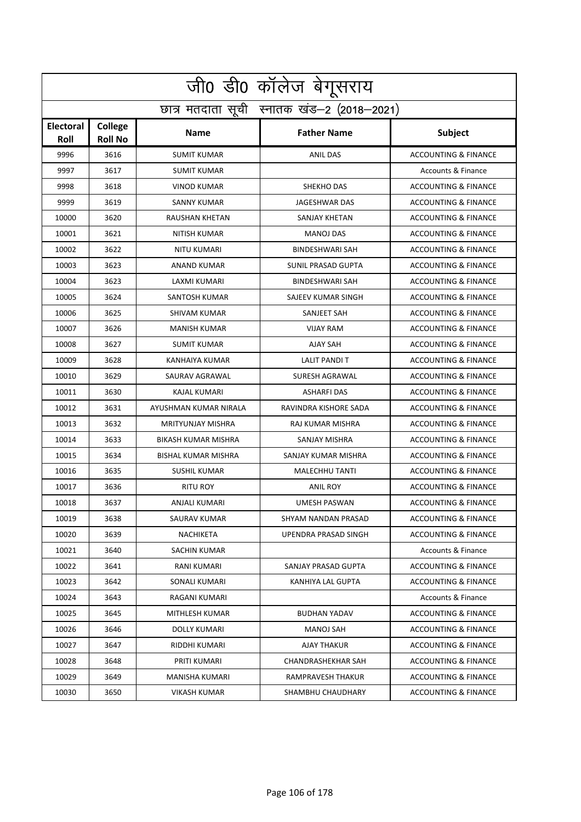|                          | <u>जी0 डी0</u> कॉलेज बेगूसराय              |                            |                           |                                 |  |  |
|--------------------------|--------------------------------------------|----------------------------|---------------------------|---------------------------------|--|--|
|                          | छात्र मतदाता सूची स्नातक खंड-2 (2018-2021) |                            |                           |                                 |  |  |
| <b>Electoral</b><br>Roll | College<br><b>Roll No</b>                  | <b>Name</b>                | <b>Father Name</b>        | Subject                         |  |  |
| 9996                     | 3616                                       | <b>SUMIT KUMAR</b>         | <b>ANIL DAS</b>           | <b>ACCOUNTING &amp; FINANCE</b> |  |  |
| 9997                     | 3617                                       | <b>SUMIT KUMAR</b>         |                           | <b>Accounts &amp; Finance</b>   |  |  |
| 9998                     | 3618                                       | <b>VINOD KUMAR</b>         | <b>SHEKHO DAS</b>         | <b>ACCOUNTING &amp; FINANCE</b> |  |  |
| 9999                     | 3619                                       | <b>SANNY KUMAR</b>         | <b>JAGESHWAR DAS</b>      | <b>ACCOUNTING &amp; FINANCE</b> |  |  |
| 10000                    | 3620                                       | RAUSHAN KHETAN             | SANJAY KHETAN             | <b>ACCOUNTING &amp; FINANCE</b> |  |  |
| 10001                    | 3621                                       | <b>NITISH KUMAR</b>        | <b>MANOJ DAS</b>          | <b>ACCOUNTING &amp; FINANCE</b> |  |  |
| 10002                    | 3622                                       | <b>NITU KUMARI</b>         | <b>BINDESHWARI SAH</b>    | <b>ACCOUNTING &amp; FINANCE</b> |  |  |
| 10003                    | 3623                                       | ANAND KUMAR                | SUNIL PRASAD GUPTA        | <b>ACCOUNTING &amp; FINANCE</b> |  |  |
| 10004                    | 3623                                       | LAXMI KUMARI               | <b>BINDESHWARI SAH</b>    | <b>ACCOUNTING &amp; FINANCE</b> |  |  |
| 10005                    | 3624                                       | SANTOSH KUMAR              | SAJEEV KUMAR SINGH        | <b>ACCOUNTING &amp; FINANCE</b> |  |  |
| 10006                    | 3625                                       | <b>SHIVAM KUMAR</b>        | SANJEET SAH               | <b>ACCOUNTING &amp; FINANCE</b> |  |  |
| 10007                    | 3626                                       | <b>MANISH KUMAR</b>        | <b>VIJAY RAM</b>          | <b>ACCOUNTING &amp; FINANCE</b> |  |  |
| 10008                    | 3627                                       | <b>SUMIT KUMAR</b>         | <b>AJAY SAH</b>           | <b>ACCOUNTING &amp; FINANCE</b> |  |  |
| 10009                    | 3628                                       | KANHAIYA KUMAR             | <b>LALIT PANDIT</b>       | <b>ACCOUNTING &amp; FINANCE</b> |  |  |
| 10010                    | 3629                                       | SAURAV AGRAWAL             | SURESH AGRAWAL            | <b>ACCOUNTING &amp; FINANCE</b> |  |  |
| 10011                    | 3630                                       | KAJAL KUMARI               | <b>ASHARFI DAS</b>        | <b>ACCOUNTING &amp; FINANCE</b> |  |  |
| 10012                    | 3631                                       | AYUSHMAN KUMAR NIRALA      | RAVINDRA KISHORE SADA     | <b>ACCOUNTING &amp; FINANCE</b> |  |  |
| 10013                    | 3632                                       | <b>MRITYUNJAY MISHRA</b>   | RAJ KUMAR MISHRA          | <b>ACCOUNTING &amp; FINANCE</b> |  |  |
| 10014                    | 3633                                       | <b>BIKASH KUMAR MISHRA</b> | SANJAY MISHRA             | <b>ACCOUNTING &amp; FINANCE</b> |  |  |
| 10015                    | 3634                                       | <b>BISHAL KUMAR MISHRA</b> | SANJAY KUMAR MISHRA       | <b>ACCOUNTING &amp; FINANCE</b> |  |  |
| 10016                    | 3635                                       | <b>SUSHIL KUMAR</b>        | <b>MALECHHU TANTI</b>     | <b>ACCOUNTING &amp; FINANCE</b> |  |  |
| 10017                    | 3636                                       | <b>RITU ROY</b>            | <b>ANIL ROY</b>           | <b>ACCOUNTING &amp; FINANCE</b> |  |  |
| 10018                    | 3637                                       | ANJALI KUMARI              | <b>UMESH PASWAN</b>       | <b>ACCOUNTING &amp; FINANCE</b> |  |  |
| 10019                    | 3638                                       | SAURAV KUMAR               | SHYAM NANDAN PRASAD       | <b>ACCOUNTING &amp; FINANCE</b> |  |  |
| 10020                    | 3639                                       | NACHIKETA                  | UPENDRA PRASAD SINGH      | <b>ACCOUNTING &amp; FINANCE</b> |  |  |
| 10021                    | 3640                                       | SACHIN KUMAR               |                           | <b>Accounts &amp; Finance</b>   |  |  |
| 10022                    | 3641                                       | RANI KUMARI                | SANJAY PRASAD GUPTA       | <b>ACCOUNTING &amp; FINANCE</b> |  |  |
| 10023                    | 3642                                       | <b>SONALI KUMARI</b>       | KANHIYA LAL GUPTA         | <b>ACCOUNTING &amp; FINANCE</b> |  |  |
| 10024                    | 3643                                       | RAGANI KUMARI              |                           | Accounts & Finance              |  |  |
| 10025                    | 3645                                       | MITHLESH KUMAR             | <b>BUDHAN YADAV</b>       | <b>ACCOUNTING &amp; FINANCE</b> |  |  |
| 10026                    | 3646                                       | <b>DOLLY KUMARI</b>        | <b>MANOJ SAH</b>          | <b>ACCOUNTING &amp; FINANCE</b> |  |  |
| 10027                    | 3647                                       | RIDDHI KUMARI              | AJAY THAKUR               | <b>ACCOUNTING &amp; FINANCE</b> |  |  |
| 10028                    | 3648                                       | PRITI KUMARI               | <b>CHANDRASHEKHAR SAH</b> | <b>ACCOUNTING &amp; FINANCE</b> |  |  |
| 10029                    | 3649                                       | MANISHA KUMARI             | RAMPRAVESH THAKUR         | <b>ACCOUNTING &amp; FINANCE</b> |  |  |
| 10030                    | 3650                                       | VIKASH KUMAR               | SHAMBHU CHAUDHARY         | <b>ACCOUNTING &amp; FINANCE</b> |  |  |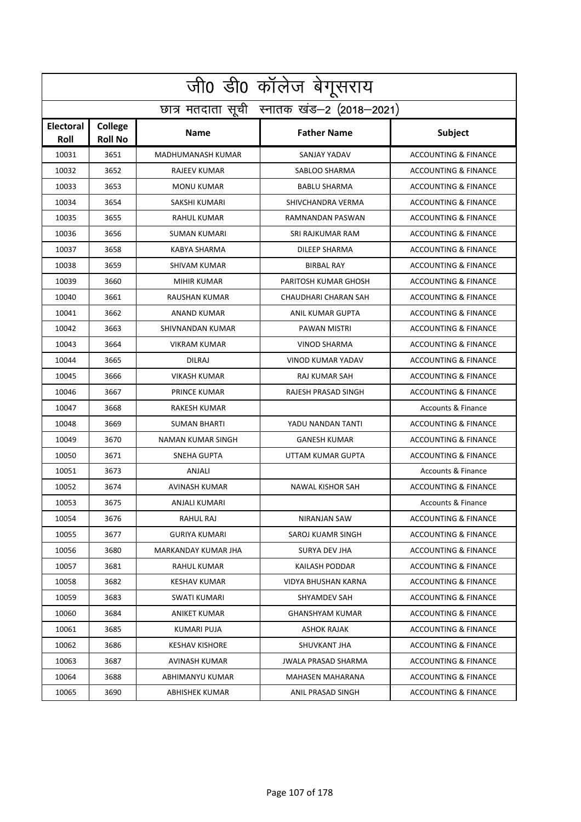|                          | जी0 डी0 कॉलेज बेगूसराय                     |                       |                            |                                 |  |  |
|--------------------------|--------------------------------------------|-----------------------|----------------------------|---------------------------------|--|--|
|                          | छात्र मतदाता सूची स्नातक खंड-2 (2018-2021) |                       |                            |                                 |  |  |
| <b>Electoral</b><br>Roll | <b>College</b><br><b>Roll No</b>           | <b>Name</b>           | <b>Father Name</b>         | Subject                         |  |  |
| 10031                    | 3651                                       | MADHUMANASH KUMAR     | SANJAY YADAV               | <b>ACCOUNTING &amp; FINANCE</b> |  |  |
| 10032                    | 3652                                       | <b>RAJEEV KUMAR</b>   | SABLOO SHARMA              | <b>ACCOUNTING &amp; FINANCE</b> |  |  |
| 10033                    | 3653                                       | <b>MONU KUMAR</b>     | <b>BABLU SHARMA</b>        | <b>ACCOUNTING &amp; FINANCE</b> |  |  |
| 10034                    | 3654                                       | SAKSHI KUMARI         | SHIVCHANDRA VERMA          | <b>ACCOUNTING &amp; FINANCE</b> |  |  |
| 10035                    | 3655                                       | <b>RAHUL KUMAR</b>    | RAMNANDAN PASWAN           | <b>ACCOUNTING &amp; FINANCE</b> |  |  |
| 10036                    | 3656                                       | <b>SUMAN KUMARI</b>   | SRI RAJKUMAR RAM           | <b>ACCOUNTING &amp; FINANCE</b> |  |  |
| 10037                    | 3658                                       | KABYA SHARMA          | <b>DILEEP SHARMA</b>       | <b>ACCOUNTING &amp; FINANCE</b> |  |  |
| 10038                    | 3659                                       | SHIVAM KUMAR          | <b>BIRBAL RAY</b>          | <b>ACCOUNTING &amp; FINANCE</b> |  |  |
| 10039                    | 3660                                       | <b>MIHIR KUMAR</b>    | PARITOSH KUMAR GHOSH       | <b>ACCOUNTING &amp; FINANCE</b> |  |  |
| 10040                    | 3661                                       | RAUSHAN KUMAR         | CHAUDHARI CHARAN SAH       | <b>ACCOUNTING &amp; FINANCE</b> |  |  |
| 10041                    | 3662                                       | <b>ANAND KUMAR</b>    | <b>ANIL KUMAR GUPTA</b>    | <b>ACCOUNTING &amp; FINANCE</b> |  |  |
| 10042                    | 3663                                       | SHIVNANDAN KUMAR      | PAWAN MISTRI               | <b>ACCOUNTING &amp; FINANCE</b> |  |  |
| 10043                    | 3664                                       | <b>VIKRAM KUMAR</b>   | <b>VINOD SHARMA</b>        | <b>ACCOUNTING &amp; FINANCE</b> |  |  |
| 10044                    | 3665                                       | <b>DILRAJ</b>         | VINOD KUMAR YADAV          | <b>ACCOUNTING &amp; FINANCE</b> |  |  |
| 10045                    | 3666                                       | <b>VIKASH KUMAR</b>   | RAJ KUMAR SAH              | <b>ACCOUNTING &amp; FINANCE</b> |  |  |
| 10046                    | 3667                                       | PRINCE KUMAR          | RAJESH PRASAD SINGH        | <b>ACCOUNTING &amp; FINANCE</b> |  |  |
| 10047                    | 3668                                       | <b>RAKESH KUMAR</b>   |                            | <b>Accounts &amp; Finance</b>   |  |  |
| 10048                    | 3669                                       | <b>SUMAN BHARTI</b>   | YADU NANDAN TANTI          | <b>ACCOUNTING &amp; FINANCE</b> |  |  |
| 10049                    | 3670                                       | NAMAN KUMAR SINGH     | <b>GANESH KUMAR</b>        | <b>ACCOUNTING &amp; FINANCE</b> |  |  |
| 10050                    | 3671                                       | <b>SNEHA GUPTA</b>    | UTTAM KUMAR GUPTA          | <b>ACCOUNTING &amp; FINANCE</b> |  |  |
| 10051                    | 3673                                       | ANJALI                |                            | <b>Accounts &amp; Finance</b>   |  |  |
| 10052                    | 3674                                       | <b>AVINASH KUMAR</b>  | <b>NAWAL KISHOR SAH</b>    | <b>ACCOUNTING &amp; FINANCE</b> |  |  |
| 10053                    | 3675                                       | <b>ANJALI KUMARI</b>  |                            | <b>Accounts &amp; Finance</b>   |  |  |
| 10054                    | 3676                                       | RAHUL RAJ             | NIRANJAN SAW               | <b>ACCOUNTING &amp; FINANCE</b> |  |  |
| 10055                    | 3677                                       | <b>GURIYA KUMARI</b>  | SAROJ KUAMR SINGH          | <b>ACCOUNTING &amp; FINANCE</b> |  |  |
| 10056                    | 3680                                       | MARKANDAY KUMAR JHA   | SURYA DEV JHA              | <b>ACCOUNTING &amp; FINANCE</b> |  |  |
| 10057                    | 3681                                       | RAHUL KUMAR           | KAILASH PODDAR             | <b>ACCOUNTING &amp; FINANCE</b> |  |  |
| 10058                    | 3682                                       | <b>KESHAV KUMAR</b>   | VIDYA BHUSHAN KARNA        | <b>ACCOUNTING &amp; FINANCE</b> |  |  |
| 10059                    | 3683                                       | SWATI KUMARI          | SHYAMDEV SAH               | <b>ACCOUNTING &amp; FINANCE</b> |  |  |
| 10060                    | 3684                                       | ANIKET KUMAR          | <b>GHANSHYAM KUMAR</b>     | <b>ACCOUNTING &amp; FINANCE</b> |  |  |
| 10061                    | 3685                                       | <b>KUMARI PUJA</b>    | <b>ASHOK RAJAK</b>         | <b>ACCOUNTING &amp; FINANCE</b> |  |  |
| 10062                    | 3686                                       | <b>KESHAV KISHORE</b> | SHUVKANT JHA               | <b>ACCOUNTING &amp; FINANCE</b> |  |  |
| 10063                    | 3687                                       | AVINASH KUMAR         | <b>JWALA PRASAD SHARMA</b> | <b>ACCOUNTING &amp; FINANCE</b> |  |  |
| 10064                    | 3688                                       | ABHIMANYU KUMAR       | <b>MAHASEN MAHARANA</b>    | <b>ACCOUNTING &amp; FINANCE</b> |  |  |
| 10065                    | 3690                                       | ABHISHEK KUMAR        | ANIL PRASAD SINGH          | <b>ACCOUNTING &amp; FINANCE</b> |  |  |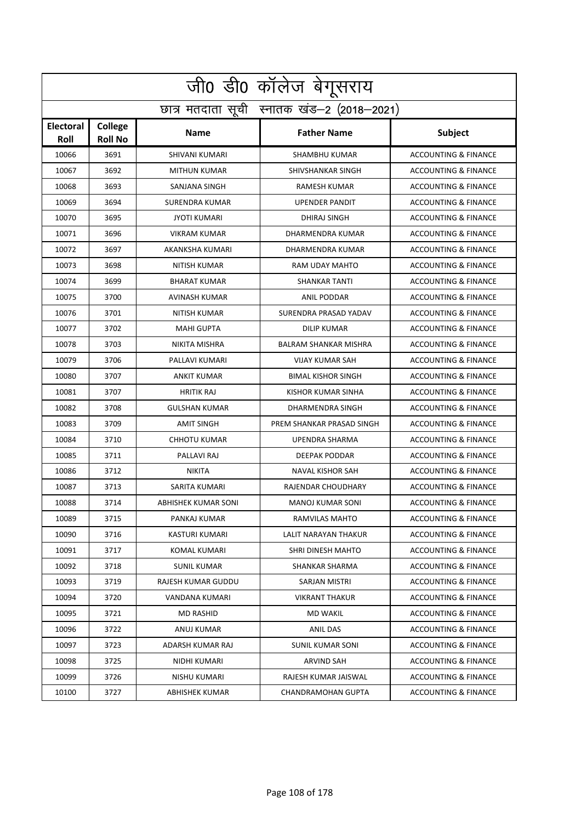|                          | जी0 डी0 कॉलेज बेगूसराय                     |                       |                              |                                 |  |  |
|--------------------------|--------------------------------------------|-----------------------|------------------------------|---------------------------------|--|--|
|                          | छात्र मतदाता सूची स्नातक खंड-2 (2018-2021) |                       |                              |                                 |  |  |
| <b>Electoral</b><br>Roll | College<br><b>Roll No</b>                  | <b>Name</b>           | <b>Father Name</b>           | Subject                         |  |  |
| 10066                    | 3691                                       | <b>SHIVANI KUMARI</b> | <b>SHAMBHU KUMAR</b>         | <b>ACCOUNTING &amp; FINANCE</b> |  |  |
| 10067                    | 3692                                       | <b>MITHUN KUMAR</b>   | SHIVSHANKAR SINGH            | <b>ACCOUNTING &amp; FINANCE</b> |  |  |
| 10068                    | 3693                                       | SANJANA SINGH         | <b>RAMESH KUMAR</b>          | <b>ACCOUNTING &amp; FINANCE</b> |  |  |
| 10069                    | 3694                                       | <b>SURENDRA KUMAR</b> | <b>UPENDER PANDIT</b>        | <b>ACCOUNTING &amp; FINANCE</b> |  |  |
| 10070                    | 3695                                       | <b>JYOTI KUMARI</b>   | <b>DHIRAJ SINGH</b>          | <b>ACCOUNTING &amp; FINANCE</b> |  |  |
| 10071                    | 3696                                       | <b>VIKRAM KUMAR</b>   | DHARMENDRA KUMAR             | <b>ACCOUNTING &amp; FINANCE</b> |  |  |
| 10072                    | 3697                                       | AKANKSHA KUMARI       | DHARMENDRA KUMAR             | <b>ACCOUNTING &amp; FINANCE</b> |  |  |
| 10073                    | 3698                                       | <b>NITISH KUMAR</b>   | RAM UDAY MAHTO               | <b>ACCOUNTING &amp; FINANCE</b> |  |  |
| 10074                    | 3699                                       | <b>BHARAT KUMAR</b>   | <b>SHANKAR TANTI</b>         | <b>ACCOUNTING &amp; FINANCE</b> |  |  |
| 10075                    | 3700                                       | AVINASH KUMAR         | <b>ANIL PODDAR</b>           | <b>ACCOUNTING &amp; FINANCE</b> |  |  |
| 10076                    | 3701                                       | <b>NITISH KUMAR</b>   | SURENDRA PRASAD YADAV        | <b>ACCOUNTING &amp; FINANCE</b> |  |  |
| 10077                    | 3702                                       | <b>MAHI GUPTA</b>     | <b>DILIP KUMAR</b>           | <b>ACCOUNTING &amp; FINANCE</b> |  |  |
| 10078                    | 3703                                       | NIKITA MISHRA         | <b>BALRAM SHANKAR MISHRA</b> | <b>ACCOUNTING &amp; FINANCE</b> |  |  |
| 10079                    | 3706                                       | PALLAVI KUMARI        | <b>VIJAY KUMAR SAH</b>       | <b>ACCOUNTING &amp; FINANCE</b> |  |  |
| 10080                    | 3707                                       | <b>ANKIT KUMAR</b>    | <b>BIMAL KISHOR SINGH</b>    | <b>ACCOUNTING &amp; FINANCE</b> |  |  |
| 10081                    | 3707                                       | <b>HRITIK RAJ</b>     | KISHOR KUMAR SINHA           | <b>ACCOUNTING &amp; FINANCE</b> |  |  |
| 10082                    | 3708                                       | <b>GULSHAN KUMAR</b>  | DHARMENDRA SINGH             | <b>ACCOUNTING &amp; FINANCE</b> |  |  |
| 10083                    | 3709                                       | <b>AMIT SINGH</b>     | PREM SHANKAR PRASAD SINGH    | <b>ACCOUNTING &amp; FINANCE</b> |  |  |
| 10084                    | 3710                                       | <b>CHHOTU KUMAR</b>   | UPENDRA SHARMA               | <b>ACCOUNTING &amp; FINANCE</b> |  |  |
| 10085                    | 3711                                       | PALLAVI RAJ           | <b>DEEPAK PODDAR</b>         | <b>ACCOUNTING &amp; FINANCE</b> |  |  |
| 10086                    | 3712                                       | <b>NIKITA</b>         | <b>NAVAL KISHOR SAH</b>      | <b>ACCOUNTING &amp; FINANCE</b> |  |  |
| 10087                    | 3713                                       | <b>SARITA KUMARI</b>  | RAJENDAR CHOUDHARY           | <b>ACCOUNTING &amp; FINANCE</b> |  |  |
| 10088                    | 3714                                       | ABHISHEK KUMAR SONI   | <b>MANOJ KUMAR SONI</b>      | <b>ACCOUNTING &amp; FINANCE</b> |  |  |
| 10089                    | 3715                                       | PANKAJ KUMAR          | RAMVILAS MAHTO               | <b>ACCOUNTING &amp; FINANCE</b> |  |  |
| 10090                    | 3716                                       | KASTURI KUMARI        | LALIT NARAYAN THAKUR         | <b>ACCOUNTING &amp; FINANCE</b> |  |  |
| 10091                    | 3717                                       | KOMAL KUMARI          | SHRI DINESH MAHTO            | <b>ACCOUNTING &amp; FINANCE</b> |  |  |
| 10092                    | 3718                                       | SUNIL KUMAR           | SHANKAR SHARMA               | ACCOUNTING & FINANCE            |  |  |
| 10093                    | 3719                                       | RAJESH KUMAR GUDDU    | SARJAN MISTRI                | ACCOUNTING & FINANCE            |  |  |
| 10094                    | 3720                                       | VANDANA KUMARI        | <b>VIKRANT THAKUR</b>        | <b>ACCOUNTING &amp; FINANCE</b> |  |  |
| 10095                    | 3721                                       | MD RASHID             | <b>MD WAKIL</b>              | ACCOUNTING & FINANCE            |  |  |
| 10096                    | 3722                                       | ANUJ KUMAR            | <b>ANIL DAS</b>              | ACCOUNTING & FINANCE            |  |  |
| 10097                    | 3723                                       | ADARSH KUMAR RAJ      | SUNIL KUMAR SONI             | ACCOUNTING & FINANCE            |  |  |
| 10098                    | 3725                                       | NIDHI KUMARI          | ARVIND SAH                   | ACCOUNTING & FINANCE            |  |  |
| 10099                    | 3726                                       | NISHU KUMARI          | RAJESH KUMAR JAISWAL         | ACCOUNTING & FINANCE            |  |  |
| 10100                    | 3727                                       | ABHISHEK KUMAR        | CHANDRAMOHAN GUPTA           | ACCOUNTING & FINANCE            |  |  |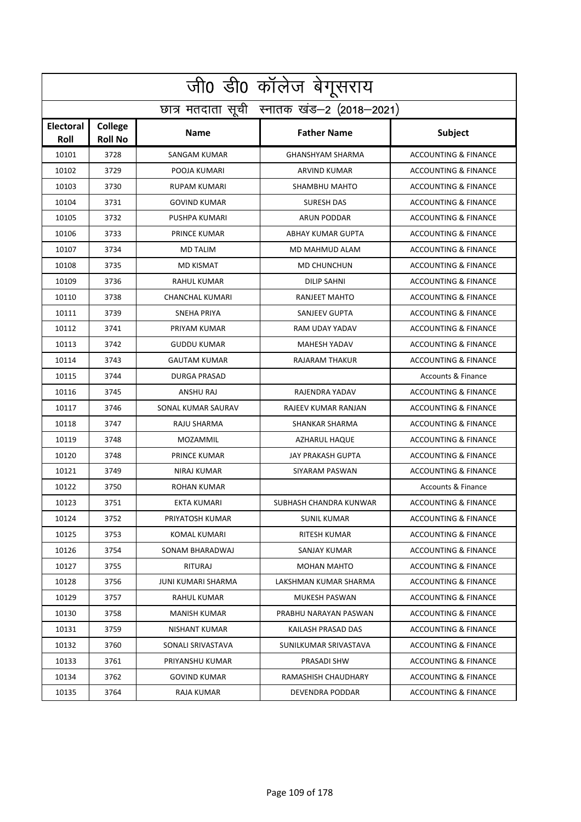|                          | जी0 डी0 कॉलेज बेगूसराय                     |                           |                          |                                 |  |  |
|--------------------------|--------------------------------------------|---------------------------|--------------------------|---------------------------------|--|--|
|                          | छात्र मतदाता सूची स्नातक खंड-2 (2018-2021) |                           |                          |                                 |  |  |
| <b>Electoral</b><br>Roll | College<br><b>Roll No</b>                  | <b>Name</b>               | <b>Father Name</b>       | Subject                         |  |  |
| 10101                    | 3728                                       | <b>SANGAM KUMAR</b>       | <b>GHANSHYAM SHARMA</b>  | <b>ACCOUNTING &amp; FINANCE</b> |  |  |
| 10102                    | 3729                                       | POOJA KUMARI              | <b>ARVIND KUMAR</b>      | <b>ACCOUNTING &amp; FINANCE</b> |  |  |
| 10103                    | 3730                                       | <b>RUPAM KUMARI</b>       | SHAMBHU MAHTO            | <b>ACCOUNTING &amp; FINANCE</b> |  |  |
| 10104                    | 3731                                       | <b>GOVIND KUMAR</b>       | <b>SURESH DAS</b>        | <b>ACCOUNTING &amp; FINANCE</b> |  |  |
| 10105                    | 3732                                       | PUSHPA KUMARI             | <b>ARUN PODDAR</b>       | <b>ACCOUNTING &amp; FINANCE</b> |  |  |
| 10106                    | 3733                                       | PRINCE KUMAR              | <b>ABHAY KUMAR GUPTA</b> | <b>ACCOUNTING &amp; FINANCE</b> |  |  |
| 10107                    | 3734                                       | <b>MD TALIM</b>           | MD MAHMUD ALAM           | <b>ACCOUNTING &amp; FINANCE</b> |  |  |
| 10108                    | 3735                                       | <b>MD KISMAT</b>          | <b>MD CHUNCHUN</b>       | <b>ACCOUNTING &amp; FINANCE</b> |  |  |
| 10109                    | 3736                                       | <b>RAHUL KUMAR</b>        | <b>DILIP SAHNI</b>       | <b>ACCOUNTING &amp; FINANCE</b> |  |  |
| 10110                    | 3738                                       | <b>CHANCHAL KUMARI</b>    | RANJEET MAHTO            | <b>ACCOUNTING &amp; FINANCE</b> |  |  |
| 10111                    | 3739                                       | <b>SNEHA PRIYA</b>        | <b>SANJEEV GUPTA</b>     | <b>ACCOUNTING &amp; FINANCE</b> |  |  |
| 10112                    | 3741                                       | PRIYAM KUMAR              | <b>RAM UDAY YADAV</b>    | <b>ACCOUNTING &amp; FINANCE</b> |  |  |
| 10113                    | 3742                                       | <b>GUDDU KUMAR</b>        | <b>MAHESH YADAV</b>      | <b>ACCOUNTING &amp; FINANCE</b> |  |  |
| 10114                    | 3743                                       | <b>GAUTAM KUMAR</b>       | RAJARAM THAKUR           | <b>ACCOUNTING &amp; FINANCE</b> |  |  |
| 10115                    | 3744                                       | <b>DURGA PRASAD</b>       |                          | <b>Accounts &amp; Finance</b>   |  |  |
| 10116                    | 3745                                       | ANSHU RAJ                 | RAJENDRA YADAV           | <b>ACCOUNTING &amp; FINANCE</b> |  |  |
| 10117                    | 3746                                       | SONAL KUMAR SAURAV        | RAJEEV KUMAR RANJAN      | <b>ACCOUNTING &amp; FINANCE</b> |  |  |
| 10118                    | 3747                                       | RAJU SHARMA               | SHANKAR SHARMA           | <b>ACCOUNTING &amp; FINANCE</b> |  |  |
| 10119                    | 3748                                       | <b>MOZAMMIL</b>           | <b>AZHARUL HAQUE</b>     | <b>ACCOUNTING &amp; FINANCE</b> |  |  |
| 10120                    | 3748                                       | PRINCE KUMAR              | <b>JAY PRAKASH GUPTA</b> | <b>ACCOUNTING &amp; FINANCE</b> |  |  |
| 10121                    | 3749                                       | <b>NIRAJ KUMAR</b>        | SIYARAM PASWAN           | <b>ACCOUNTING &amp; FINANCE</b> |  |  |
| 10122                    | 3750                                       | <b>ROHAN KUMAR</b>        |                          | <b>Accounts &amp; Finance</b>   |  |  |
| 10123                    | 3751                                       | <b>EKTA KUMARI</b>        | SUBHASH CHANDRA KUNWAR   | <b>ACCOUNTING &amp; FINANCE</b> |  |  |
| 10124                    | 3752                                       | PRIYATOSH KUMAR           | SUNIL KUMAR              | <b>ACCOUNTING &amp; FINANCE</b> |  |  |
| 10125                    | 3753                                       | KOMAL KUMARI              | RITESH KUMAR             | <b>ACCOUNTING &amp; FINANCE</b> |  |  |
| 10126                    | 3754                                       | SONAM BHARADWAJ           | SANJAY KUMAR             | ACCOUNTING & FINANCE            |  |  |
| 10127                    | 3755                                       | <b>RITURAJ</b>            | <b>MOHAN MAHTO</b>       | ACCOUNTING & FINANCE            |  |  |
| 10128                    | 3756                                       | <b>JUNI KUMARI SHARMA</b> | LAKSHMAN KUMAR SHARMA    | <b>ACCOUNTING &amp; FINANCE</b> |  |  |
| 10129                    | 3757                                       | RAHUL KUMAR               | MUKESH PASWAN            | ACCOUNTING & FINANCE            |  |  |
| 10130                    | 3758                                       | <b>MANISH KUMAR</b>       | PRABHU NARAYAN PASWAN    | ACCOUNTING & FINANCE            |  |  |
| 10131                    | 3759                                       | <b>NISHANT KUMAR</b>      | KAILASH PRASAD DAS       | ACCOUNTING & FINANCE            |  |  |
| 10132                    | 3760                                       | SONALI SRIVASTAVA         | SUNILKUMAR SRIVASTAVA    | ACCOUNTING & FINANCE            |  |  |
| 10133                    | 3761                                       | PRIYANSHU KUMAR           | PRASADI SHW              | ACCOUNTING & FINANCE            |  |  |
| 10134                    | 3762                                       | <b>GOVIND KUMAR</b>       | RAMASHISH CHAUDHARY      | ACCOUNTING & FINANCE            |  |  |
| 10135                    | 3764                                       | RAJA KUMAR                | DEVENDRA PODDAR          | ACCOUNTING & FINANCE            |  |  |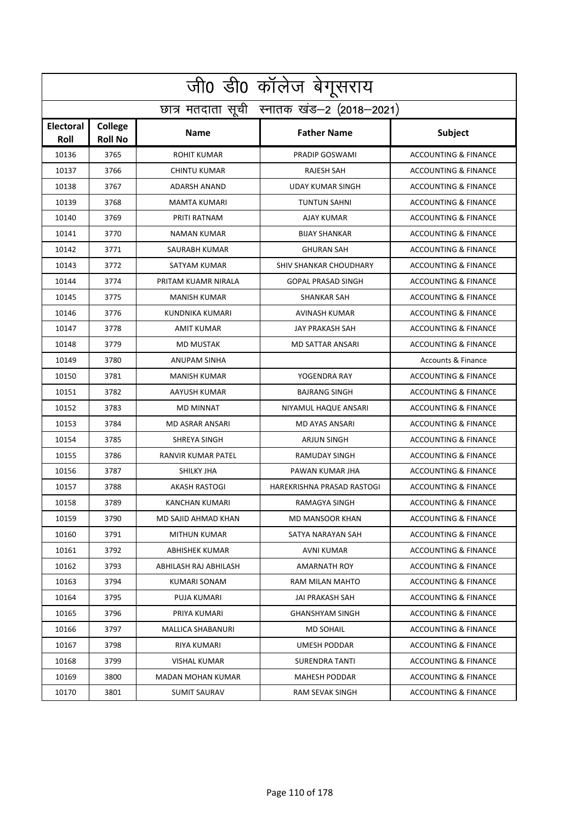|                          | <u>जी0 डी0</u> कॉलेज बेगूसराय              |                           |                            |                                 |  |  |
|--------------------------|--------------------------------------------|---------------------------|----------------------------|---------------------------------|--|--|
|                          | छात्र मतदाता सूची स्नातक खंड-2 (2018-2021) |                           |                            |                                 |  |  |
| <b>Electoral</b><br>Roll | College<br><b>Roll No</b>                  | <b>Name</b>               | <b>Father Name</b>         | Subject                         |  |  |
| 10136                    | 3765                                       | <b>ROHIT KUMAR</b>        | <b>PRADIP GOSWAMI</b>      | <b>ACCOUNTING &amp; FINANCE</b> |  |  |
| 10137                    | 3766                                       | <b>CHINTU KUMAR</b>       | <b>RAJESH SAH</b>          | <b>ACCOUNTING &amp; FINANCE</b> |  |  |
| 10138                    | 3767                                       | <b>ADARSH ANAND</b>       | <b>UDAY KUMAR SINGH</b>    | <b>ACCOUNTING &amp; FINANCE</b> |  |  |
| 10139                    | 3768                                       | <b>MAMTA KUMARI</b>       | <b>TUNTUN SAHNI</b>        | <b>ACCOUNTING &amp; FINANCE</b> |  |  |
| 10140                    | 3769                                       | PRITI RATNAM              | AJAY KUMAR                 | <b>ACCOUNTING &amp; FINANCE</b> |  |  |
| 10141                    | 3770                                       | <b>NAMAN KUMAR</b>        | <b>BIJAY SHANKAR</b>       | <b>ACCOUNTING &amp; FINANCE</b> |  |  |
| 10142                    | 3771                                       | SAURABH KUMAR             | <b>GHURAN SAH</b>          | <b>ACCOUNTING &amp; FINANCE</b> |  |  |
| 10143                    | 3772                                       | <b>SATYAM KUMAR</b>       | SHIV SHANKAR CHOUDHARY     | <b>ACCOUNTING &amp; FINANCE</b> |  |  |
| 10144                    | 3774                                       | PRITAM KUAMR NIRALA       | <b>GOPAL PRASAD SINGH</b>  | <b>ACCOUNTING &amp; FINANCE</b> |  |  |
| 10145                    | 3775                                       | <b>MANISH KUMAR</b>       | <b>SHANKAR SAH</b>         | <b>ACCOUNTING &amp; FINANCE</b> |  |  |
| 10146                    | 3776                                       | KUNDNIKA KUMARI           | <b>AVINASH KUMAR</b>       | <b>ACCOUNTING &amp; FINANCE</b> |  |  |
| 10147                    | 3778                                       | <b>AMIT KUMAR</b>         | <b>JAY PRAKASH SAH</b>     | <b>ACCOUNTING &amp; FINANCE</b> |  |  |
| 10148                    | 3779                                       | <b>MD MUSTAK</b>          | MD SATTAR ANSARI           | <b>ACCOUNTING &amp; FINANCE</b> |  |  |
| 10149                    | 3780                                       | <b>ANUPAM SINHA</b>       |                            | <b>Accounts &amp; Finance</b>   |  |  |
| 10150                    | 3781                                       | <b>MANISH KUMAR</b>       | YOGENDRA RAY               | <b>ACCOUNTING &amp; FINANCE</b> |  |  |
| 10151                    | 3782                                       | AAYUSH KUMAR              | <b>BAJRANG SINGH</b>       | <b>ACCOUNTING &amp; FINANCE</b> |  |  |
| 10152                    | 3783                                       | <b>MD MINNAT</b>          | NIYAMUL HAQUE ANSARI       | <b>ACCOUNTING &amp; FINANCE</b> |  |  |
| 10153                    | 3784                                       | MD ASRAR ANSARI           | MD AYAS ANSARI             | <b>ACCOUNTING &amp; FINANCE</b> |  |  |
| 10154                    | 3785                                       | SHREYA SINGH              | <b>ARJUN SINGH</b>         | <b>ACCOUNTING &amp; FINANCE</b> |  |  |
| 10155                    | 3786                                       | <b>RANVIR KUMAR PATEL</b> | RAMUDAY SINGH              | <b>ACCOUNTING &amp; FINANCE</b> |  |  |
| 10156                    | 3787                                       | SHILKY JHA                | PAWAN KUMAR JHA            | <b>ACCOUNTING &amp; FINANCE</b> |  |  |
| 10157                    | 3788                                       | <b>AKASH RASTOGI</b>      | HAREKRISHNA PRASAD RASTOGI | <b>ACCOUNTING &amp; FINANCE</b> |  |  |
| 10158                    | 3789                                       | KANCHAN KUMARI            | RAMAGYA SINGH              | <b>ACCOUNTING &amp; FINANCE</b> |  |  |
| 10159                    | 3790                                       | MD SAJID AHMAD KHAN       | <b>MD MANSOOR KHAN</b>     | <b>ACCOUNTING &amp; FINANCE</b> |  |  |
| 10160                    | 3791                                       | <b>MITHUN KUMAR</b>       | SATYA NARAYAN SAH          | <b>ACCOUNTING &amp; FINANCE</b> |  |  |
| 10161                    | 3792                                       | ABHISHEK KUMAR            | <b>AVNI KUMAR</b>          | <b>ACCOUNTING &amp; FINANCE</b> |  |  |
| 10162                    | 3793                                       | ABHILASH RAJ ABHILASH     | AMARNATH ROY               | <b>ACCOUNTING &amp; FINANCE</b> |  |  |
| 10163                    | 3794                                       | KUMARI SONAM              | RAM MILAN MAHTO            | <b>ACCOUNTING &amp; FINANCE</b> |  |  |
| 10164                    | 3795                                       | PUJA KUMARI               | JAI PRAKASH SAH            | <b>ACCOUNTING &amp; FINANCE</b> |  |  |
| 10165                    | 3796                                       | PRIYA KUMARI              | <b>GHANSHYAM SINGH</b>     | <b>ACCOUNTING &amp; FINANCE</b> |  |  |
| 10166                    | 3797                                       | MALLICA SHABANURI         | <b>MD SOHAIL</b>           | <b>ACCOUNTING &amp; FINANCE</b> |  |  |
| 10167                    | 3798                                       | RIYA KUMARI               | <b>UMESH PODDAR</b>        | <b>ACCOUNTING &amp; FINANCE</b> |  |  |
| 10168                    | 3799                                       | <b>VISHAL KUMAR</b>       | <b>SURENDRA TANTI</b>      | <b>ACCOUNTING &amp; FINANCE</b> |  |  |
| 10169                    | 3800                                       | MADAN MOHAN KUMAR         | <b>MAHESH PODDAR</b>       | <b>ACCOUNTING &amp; FINANCE</b> |  |  |
| 10170                    | 3801                                       | <b>SUMIT SAURAV</b>       | RAM SEVAK SINGH            | <b>ACCOUNTING &amp; FINANCE</b> |  |  |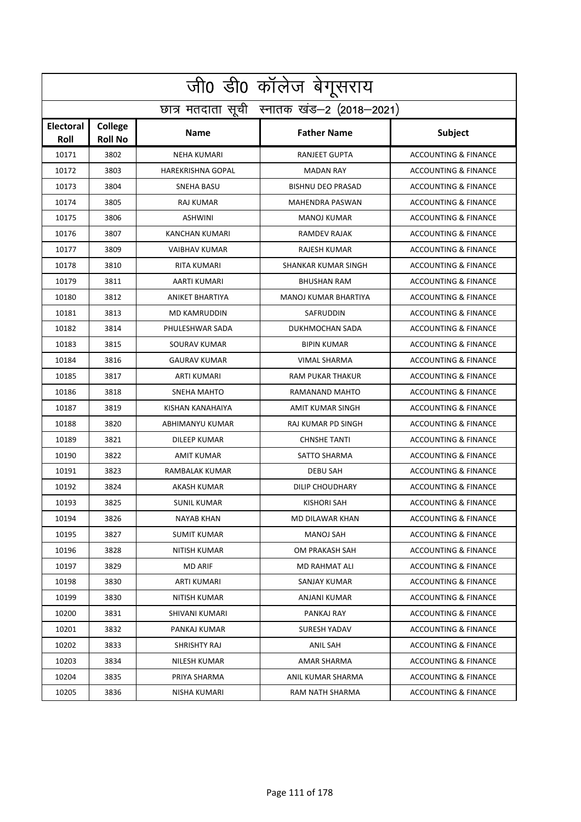| जी0 डी0 कॉलेज बेगूसराय   |                                            |                        |                            |                                 |  |  |
|--------------------------|--------------------------------------------|------------------------|----------------------------|---------------------------------|--|--|
|                          | छात्र मतदाता सूची स्नातक खंड-2 (2018-2021) |                        |                            |                                 |  |  |
| <b>Electoral</b><br>Roll | College<br><b>Roll No</b>                  | <b>Name</b>            | <b>Father Name</b>         | Subject                         |  |  |
| 10171                    | 3802                                       | <b>NEHA KUMARI</b>     | <b>RANJEET GUPTA</b>       | <b>ACCOUNTING &amp; FINANCE</b> |  |  |
| 10172                    | 3803                                       | HAREKRISHNA GOPAL      | <b>MADAN RAY</b>           | <b>ACCOUNTING &amp; FINANCE</b> |  |  |
| 10173                    | 3804                                       | <b>SNEHA BASU</b>      | <b>BISHNU DEO PRASAD</b>   | <b>ACCOUNTING &amp; FINANCE</b> |  |  |
| 10174                    | 3805                                       | RAJ KUMAR              | <b>MAHENDRA PASWAN</b>     | <b>ACCOUNTING &amp; FINANCE</b> |  |  |
| 10175                    | 3806                                       | <b>ASHWINI</b>         | <b>MANOJ KUMAR</b>         | <b>ACCOUNTING &amp; FINANCE</b> |  |  |
| 10176                    | 3807                                       | <b>KANCHAN KUMARI</b>  | <b>RAMDEV RAJAK</b>        | <b>ACCOUNTING &amp; FINANCE</b> |  |  |
| 10177                    | 3809                                       | <b>VAIBHAV KUMAR</b>   | <b>RAJESH KUMAR</b>        | <b>ACCOUNTING &amp; FINANCE</b> |  |  |
| 10178                    | 3810                                       | RITA KUMARI            | <b>SHANKAR KUMAR SINGH</b> | <b>ACCOUNTING &amp; FINANCE</b> |  |  |
| 10179                    | 3811                                       | AARTI KUMARI           | <b>BHUSHAN RAM</b>         | <b>ACCOUNTING &amp; FINANCE</b> |  |  |
| 10180                    | 3812                                       | <b>ANIKET BHARTIYA</b> | MANOJ KUMAR BHARTIYA       | <b>ACCOUNTING &amp; FINANCE</b> |  |  |
| 10181                    | 3813                                       | <b>MD KAMRUDDIN</b>    | SAFRUDDIN                  | <b>ACCOUNTING &amp; FINANCE</b> |  |  |
| 10182                    | 3814                                       | PHULESHWAR SADA        | DUKHMOCHAN SADA            | <b>ACCOUNTING &amp; FINANCE</b> |  |  |
| 10183                    | 3815                                       | <b>SOURAV KUMAR</b>    | <b>BIPIN KUMAR</b>         | <b>ACCOUNTING &amp; FINANCE</b> |  |  |
| 10184                    | 3816                                       | <b>GAURAV KUMAR</b>    | <b>VIMAL SHARMA</b>        | <b>ACCOUNTING &amp; FINANCE</b> |  |  |
| 10185                    | 3817                                       | <b>ARTI KUMARI</b>     | <b>RAM PUKAR THAKUR</b>    | <b>ACCOUNTING &amp; FINANCE</b> |  |  |
| 10186                    | 3818                                       | <b>SNEHA MAHTO</b>     | RAMANAND MAHTO             | <b>ACCOUNTING &amp; FINANCE</b> |  |  |
| 10187                    | 3819                                       | KISHAN KANAHAIYA       | AMIT KUMAR SINGH           | <b>ACCOUNTING &amp; FINANCE</b> |  |  |
| 10188                    | 3820                                       | ABHIMANYU KUMAR        | RAJ KUMAR PD SINGH         | <b>ACCOUNTING &amp; FINANCE</b> |  |  |
| 10189                    | 3821                                       | <b>DILEEP KUMAR</b>    | <b>CHNSHE TANTI</b>        | <b>ACCOUNTING &amp; FINANCE</b> |  |  |
| 10190                    | 3822                                       | AMIT KUMAR             | <b>SATTO SHARMA</b>        | <b>ACCOUNTING &amp; FINANCE</b> |  |  |
| 10191                    | 3823                                       | RAMBALAK KUMAR         | <b>DEBU SAH</b>            | <b>ACCOUNTING &amp; FINANCE</b> |  |  |
| 10192                    | 3824                                       | AKASH KUMAR            | <b>DILIP CHOUDHARY</b>     | <b>ACCOUNTING &amp; FINANCE</b> |  |  |
| 10193                    | 3825                                       | <b>SUNIL KUMAR</b>     | <b>KISHORI SAH</b>         | <b>ACCOUNTING &amp; FINANCE</b> |  |  |
| 10194                    | 3826                                       | <b>NAYAB KHAN</b>      | MD DILAWAR KHAN            | <b>ACCOUNTING &amp; FINANCE</b> |  |  |
| 10195                    | 3827                                       | SUMIT KUMAR            | MANOJ SAH                  | <b>ACCOUNTING &amp; FINANCE</b> |  |  |
| 10196                    | 3828                                       | NITISH KUMAR           | OM PRAKASH SAH             | ACCOUNTING & FINANCE            |  |  |
| 10197                    | 3829                                       | <b>MD ARIF</b>         | MD RAHMAT ALI              | <b>ACCOUNTING &amp; FINANCE</b> |  |  |
| 10198                    | 3830                                       | ARTI KUMARI            | SANJAY KUMAR               | <b>ACCOUNTING &amp; FINANCE</b> |  |  |
| 10199                    | 3830                                       | NITISH KUMAR           | ANJANI KUMAR               | ACCOUNTING & FINANCE            |  |  |
| 10200                    | 3831                                       | SHIVANI KUMARI         | PANKAJ RAY                 | ACCOUNTING & FINANCE            |  |  |
| 10201                    | 3832                                       | PANKAJ KUMAR           | <b>SURESH YADAV</b>        | <b>ACCOUNTING &amp; FINANCE</b> |  |  |
| 10202                    | 3833                                       | SHRISHTY RAJ           | <b>ANIL SAH</b>            | <b>ACCOUNTING &amp; FINANCE</b> |  |  |
| 10203                    | 3834                                       | NILESH KUMAR           | AMAR SHARMA                | ACCOUNTING & FINANCE            |  |  |
| 10204                    | 3835                                       | PRIYA SHARMA           | ANIL KUMAR SHARMA          | ACCOUNTING & FINANCE            |  |  |
| 10205                    | 3836                                       | NISHA KUMARI           | RAM NATH SHARMA            | ACCOUNTING & FINANCE            |  |  |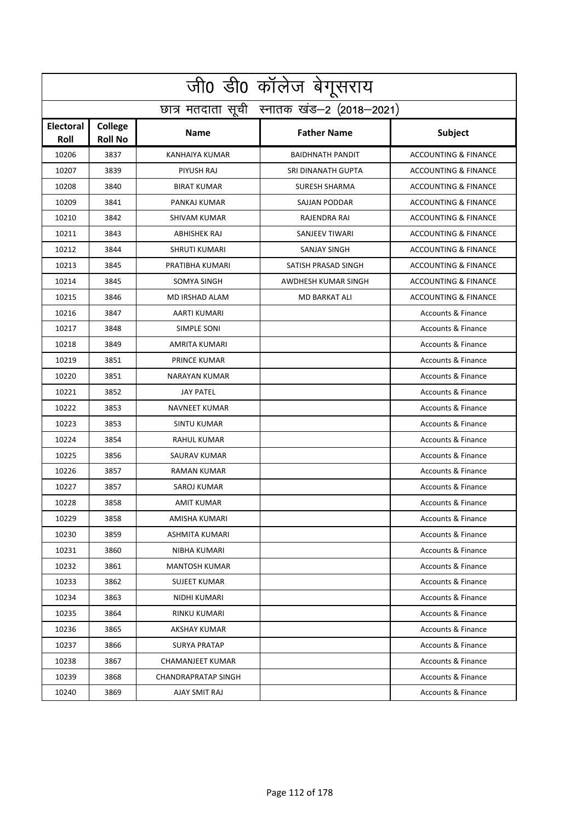| जी0 डी0 कॉलेज बेगूसराय   |                                            |                            |                           |                                 |  |  |
|--------------------------|--------------------------------------------|----------------------------|---------------------------|---------------------------------|--|--|
|                          | छात्र मतदाता सूची स्नातक खंड-2 (2018-2021) |                            |                           |                                 |  |  |
| <b>Electoral</b><br>Roll | College<br><b>Roll No</b>                  | <b>Name</b>                | <b>Father Name</b>        | <b>Subject</b>                  |  |  |
| 10206                    | 3837                                       | KANHAIYA KUMAR             | <b>BAIDHNATH PANDIT</b>   | <b>ACCOUNTING &amp; FINANCE</b> |  |  |
| 10207                    | 3839                                       | PIYUSH RAJ                 | <b>SRI DINANATH GUPTA</b> | <b>ACCOUNTING &amp; FINANCE</b> |  |  |
| 10208                    | 3840                                       | <b>BIRAT KUMAR</b>         | <b>SURESH SHARMA</b>      | <b>ACCOUNTING &amp; FINANCE</b> |  |  |
| 10209                    | 3841                                       | PANKAJ KUMAR               | SAJJAN PODDAR             | <b>ACCOUNTING &amp; FINANCE</b> |  |  |
| 10210                    | 3842                                       | SHIVAM KUMAR               | RAJENDRA RAI              | <b>ACCOUNTING &amp; FINANCE</b> |  |  |
| 10211                    | 3843                                       | <b>ABHISHEK RAJ</b>        | SANJEEV TIWARI            | <b>ACCOUNTING &amp; FINANCE</b> |  |  |
| 10212                    | 3844                                       | <b>SHRUTI KUMARI</b>       | <b>SANJAY SINGH</b>       | <b>ACCOUNTING &amp; FINANCE</b> |  |  |
| 10213                    | 3845                                       | PRATIBHA KUMARI            | SATISH PRASAD SINGH       | <b>ACCOUNTING &amp; FINANCE</b> |  |  |
| 10214                    | 3845                                       | <b>SOMYA SINGH</b>         | AWDHESH KUMAR SINGH       | <b>ACCOUNTING &amp; FINANCE</b> |  |  |
| 10215                    | 3846                                       | MD IRSHAD ALAM             | <b>MD BARKAT ALI</b>      | <b>ACCOUNTING &amp; FINANCE</b> |  |  |
| 10216                    | 3847                                       | AARTI KUMARI               |                           | <b>Accounts &amp; Finance</b>   |  |  |
| 10217                    | 3848                                       | SIMPLE SONI                |                           | <b>Accounts &amp; Finance</b>   |  |  |
| 10218                    | 3849                                       | <b>AMRITA KUMARI</b>       |                           | <b>Accounts &amp; Finance</b>   |  |  |
| 10219                    | 3851                                       | <b>PRINCE KUMAR</b>        |                           | <b>Accounts &amp; Finance</b>   |  |  |
| 10220                    | 3851                                       | <b>NARAYAN KUMAR</b>       |                           | <b>Accounts &amp; Finance</b>   |  |  |
| 10221                    | 3852                                       | <b>JAY PATEL</b>           |                           | <b>Accounts &amp; Finance</b>   |  |  |
| 10222                    | 3853                                       | <b>NAVNEET KUMAR</b>       |                           | <b>Accounts &amp; Finance</b>   |  |  |
| 10223                    | 3853                                       | <b>SINTU KUMAR</b>         |                           | <b>Accounts &amp; Finance</b>   |  |  |
| 10224                    | 3854                                       | <b>RAHUL KUMAR</b>         |                           | <b>Accounts &amp; Finance</b>   |  |  |
| 10225                    | 3856                                       | SAURAV KUMAR               |                           | <b>Accounts &amp; Finance</b>   |  |  |
| 10226                    | 3857                                       | RAMAN KUMAR                |                           | <b>Accounts &amp; Finance</b>   |  |  |
| 10227                    | 3857                                       | SAROJ KUMAR                |                           | <b>Accounts &amp; Finance</b>   |  |  |
| 10228                    | 3858                                       | <b>AMIT KUMAR</b>          |                           | <b>Accounts &amp; Finance</b>   |  |  |
| 10229                    | 3858                                       | AMISHA KUMARI              |                           | <b>Accounts &amp; Finance</b>   |  |  |
| 10230                    | 3859                                       | ASHMITA KUMARI             |                           | <b>Accounts &amp; Finance</b>   |  |  |
| 10231                    | 3860                                       | NIBHA KUMARI               |                           | <b>Accounts &amp; Finance</b>   |  |  |
| 10232                    | 3861                                       | <b>MANTOSH KUMAR</b>       |                           | <b>Accounts &amp; Finance</b>   |  |  |
| 10233                    | 3862                                       | <b>SUJEET KUMAR</b>        |                           | <b>Accounts &amp; Finance</b>   |  |  |
| 10234                    | 3863                                       | NIDHI KUMARI               |                           | <b>Accounts &amp; Finance</b>   |  |  |
| 10235                    | 3864                                       | RINKU KUMARI               |                           | Accounts & Finance              |  |  |
| 10236                    | 3865                                       | <b>AKSHAY KUMAR</b>        |                           | <b>Accounts &amp; Finance</b>   |  |  |
| 10237                    | 3866                                       | <b>SURYA PRATAP</b>        |                           | <b>Accounts &amp; Finance</b>   |  |  |
| 10238                    | 3867                                       | CHAMANJEET KUMAR           |                           | <b>Accounts &amp; Finance</b>   |  |  |
| 10239                    | 3868                                       | <b>CHANDRAPRATAP SINGH</b> |                           | <b>Accounts &amp; Finance</b>   |  |  |
| 10240                    | 3869                                       | AJAY SMIT RAJ              |                           | <b>Accounts &amp; Finance</b>   |  |  |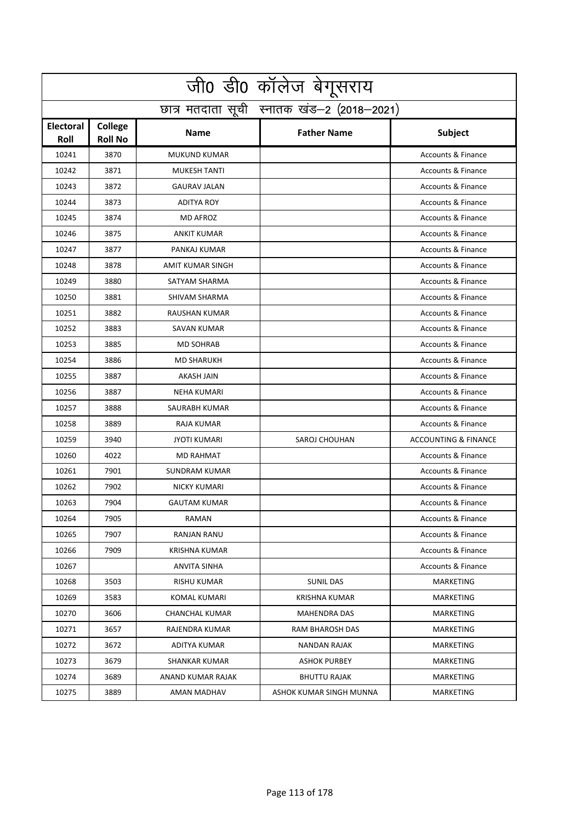|                                            | <u>जी0 डी0 कॉलेज बेगू</u> सराय |                      |                         |                                 |  |
|--------------------------------------------|--------------------------------|----------------------|-------------------------|---------------------------------|--|
| छात्र मतदाता सूची स्नातक खंड-2 (2018-2021) |                                |                      |                         |                                 |  |
| <b>Electoral</b><br>Roll                   | College<br><b>Roll No</b>      | <b>Name</b>          | <b>Father Name</b>      | Subject                         |  |
| 10241                                      | 3870                           | <b>MUKUND KUMAR</b>  |                         | <b>Accounts &amp; Finance</b>   |  |
| 10242                                      | 3871                           | <b>MUKESH TANTI</b>  |                         | <b>Accounts &amp; Finance</b>   |  |
| 10243                                      | 3872                           | <b>GAURAV JALAN</b>  |                         | <b>Accounts &amp; Finance</b>   |  |
| 10244                                      | 3873                           | <b>ADITYA ROY</b>    |                         | <b>Accounts &amp; Finance</b>   |  |
| 10245                                      | 3874                           | <b>MD AFROZ</b>      |                         | <b>Accounts &amp; Finance</b>   |  |
| 10246                                      | 3875                           | <b>ANKIT KUMAR</b>   |                         | <b>Accounts &amp; Finance</b>   |  |
| 10247                                      | 3877                           | PANKAJ KUMAR         |                         | <b>Accounts &amp; Finance</b>   |  |
| 10248                                      | 3878                           | AMIT KUMAR SINGH     |                         | <b>Accounts &amp; Finance</b>   |  |
| 10249                                      | 3880                           | SATYAM SHARMA        |                         | <b>Accounts &amp; Finance</b>   |  |
| 10250                                      | 3881                           | SHIVAM SHARMA        |                         | <b>Accounts &amp; Finance</b>   |  |
| 10251                                      | 3882                           | RAUSHAN KUMAR        |                         | <b>Accounts &amp; Finance</b>   |  |
| 10252                                      | 3883                           | <b>SAVAN KUMAR</b>   |                         | <b>Accounts &amp; Finance</b>   |  |
| 10253                                      | 3885                           | <b>MD SOHRAB</b>     |                         | <b>Accounts &amp; Finance</b>   |  |
| 10254                                      | 3886                           | <b>MD SHARUKH</b>    |                         | <b>Accounts &amp; Finance</b>   |  |
| 10255                                      | 3887                           | <b>AKASH JAIN</b>    |                         | <b>Accounts &amp; Finance</b>   |  |
| 10256                                      | 3887                           | <b>NEHA KUMARI</b>   |                         | <b>Accounts &amp; Finance</b>   |  |
| 10257                                      | 3888                           | SAURABH KUMAR        |                         | <b>Accounts &amp; Finance</b>   |  |
| 10258                                      | 3889                           | RAJA KUMAR           |                         | <b>Accounts &amp; Finance</b>   |  |
| 10259                                      | 3940                           | <b>JYOTI KUMARI</b>  | SAROJ CHOUHAN           | <b>ACCOUNTING &amp; FINANCE</b> |  |
| 10260                                      | 4022                           | <b>MD RAHMAT</b>     |                         | <b>Accounts &amp; Finance</b>   |  |
| 10261                                      | 7901                           | <b>SUNDRAM KUMAR</b> |                         | <b>Accounts &amp; Finance</b>   |  |
| 10262                                      | 7902                           | <b>NICKY KUMARI</b>  |                         | <b>Accounts &amp; Finance</b>   |  |
| 10263                                      | 7904                           | <b>GAUTAM KUMAR</b>  |                         | <b>Accounts &amp; Finance</b>   |  |
| 10264                                      | 7905                           | RAMAN                |                         | <b>Accounts &amp; Finance</b>   |  |
| 10265                                      | 7907                           | RANJAN RANU          |                         | <b>Accounts &amp; Finance</b>   |  |
| 10266                                      | 7909                           | KRISHNA KUMAR        |                         | <b>Accounts &amp; Finance</b>   |  |
| 10267                                      |                                | ANVITA SINHA         |                         | Accounts & Finance              |  |
| 10268                                      | 3503                           | <b>RISHU KUMAR</b>   | <b>SUNIL DAS</b>        | MARKETING                       |  |
| 10269                                      | 3583                           | KOMAL KUMARI         | KRISHNA KUMAR           | MARKETING                       |  |
| 10270                                      | 3606                           | CHANCHAL KUMAR       | <b>MAHENDRA DAS</b>     | MARKETING                       |  |
| 10271                                      | 3657                           | RAJENDRA KUMAR       | <b>RAM BHAROSH DAS</b>  | <b>MARKETING</b>                |  |
| 10272                                      | 3672                           | ADITYA KUMAR         | NANDAN RAJAK            | MARKETING                       |  |
| 10273                                      | 3679                           | SHANKAR KUMAR        | <b>ASHOK PURBEY</b>     | MARKETING                       |  |
| 10274                                      | 3689                           | ANAND KUMAR RAJAK    | <b>BHUTTU RAJAK</b>     | MARKETING                       |  |
| 10275                                      | 3889                           | AMAN MADHAV          | ASHOK KUMAR SINGH MUNNA | MARKETING                       |  |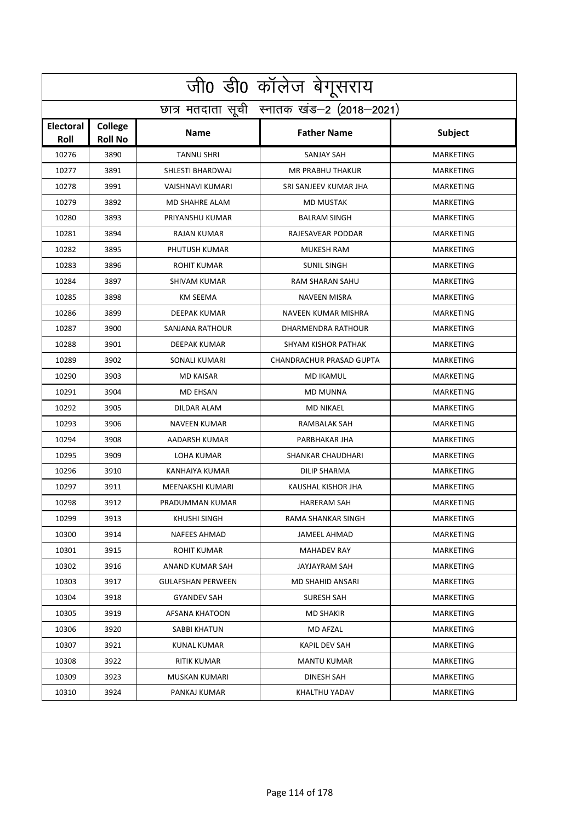|                          | .<br>जीo डीo कॉलेज बेगूसराय                |                          |                                 |                  |  |  |
|--------------------------|--------------------------------------------|--------------------------|---------------------------------|------------------|--|--|
|                          | छात्र मतदाता सूची स्नातक खंड-2 (2018-2021) |                          |                                 |                  |  |  |
| <b>Electoral</b><br>Roll | College<br><b>Roll No</b>                  | <b>Name</b>              | <b>Father Name</b>              | <b>Subject</b>   |  |  |
| 10276                    | 3890                                       | <b>TANNU SHRI</b>        | <b>SANJAY SAH</b>               | <b>MARKETING</b> |  |  |
| 10277                    | 3891                                       | SHLESTI BHARDWAJ         | <b>MR PRABHU THAKUR</b>         | <b>MARKETING</b> |  |  |
| 10278                    | 3991                                       | VAISHNAVI KUMARI         | SRI SANJEEV KUMAR JHA           | <b>MARKETING</b> |  |  |
| 10279                    | 3892                                       | <b>MD SHAHRE ALAM</b>    | <b>MD MUSTAK</b>                | <b>MARKETING</b> |  |  |
| 10280                    | 3893                                       | PRIYANSHU KUMAR          | <b>BALRAM SINGH</b>             | MARKETING        |  |  |
| 10281                    | 3894                                       | <b>RAJAN KUMAR</b>       | RAJESAVEAR PODDAR               | <b>MARKETING</b> |  |  |
| 10282                    | 3895                                       | PHUTUSH KUMAR            | <b>MUKESH RAM</b>               | <b>MARKETING</b> |  |  |
| 10283                    | 3896                                       | ROHIT KUMAR              | <b>SUNIL SINGH</b>              | MARKETING        |  |  |
| 10284                    | 3897                                       | SHIVAM KUMAR             | RAM SHARAN SAHU                 | <b>MARKETING</b> |  |  |
| 10285                    | 3898                                       | <b>KM SEEMA</b>          | <b>NAVEEN MISRA</b>             | <b>MARKETING</b> |  |  |
| 10286                    | 3899                                       | <b>DEEPAK KUMAR</b>      | NAVEEN KUMAR MISHRA             | <b>MARKETING</b> |  |  |
| 10287                    | 3900                                       | <b>SANJANA RATHOUR</b>   | DHARMENDRA RATHOUR              | <b>MARKETING</b> |  |  |
| 10288                    | 3901                                       | DEEPAK KUMAR             | SHYAM KISHOR PATHAK             | MARKETING        |  |  |
| 10289                    | 3902                                       | SONALI KUMARI            | <b>CHANDRACHUR PRASAD GUPTA</b> | MARKETING        |  |  |
| 10290                    | 3903                                       | <b>MD KAISAR</b>         | <b>MD IKAMUL</b>                | MARKETING        |  |  |
| 10291                    | 3904                                       | <b>MD EHSAN</b>          | <b>MD MUNNA</b>                 | <b>MARKETING</b> |  |  |
| 10292                    | 3905                                       | DILDAR ALAM              | <b>MD NIKAEL</b>                | <b>MARKETING</b> |  |  |
| 10293                    | 3906                                       | <b>NAVEEN KUMAR</b>      | RAMBALAK SAH                    | MARKETING        |  |  |
| 10294                    | 3908                                       | AADARSH KUMAR            | PARBHAKAR JHA                   | <b>MARKETING</b> |  |  |
| 10295                    | 3909                                       | LOHA KUMAR               | SHANKAR CHAUDHARI               | <b>MARKETING</b> |  |  |
| 10296                    | 3910                                       | KANHAIYA KUMAR           | <b>DILIP SHARMA</b>             | MARKETING        |  |  |
| 10297                    | 3911                                       | MEENAKSHI KUMARI         | KAUSHAL KISHOR JHA              | MARKETING        |  |  |
| 10298                    | 3912                                       | PRADUMMAN KUMAR          | <b>HARERAM SAH</b>              | MARKETING        |  |  |
| 10299                    | 3913                                       | KHUSHI SINGH             | RAMA SHANKAR SINGH              | MARKETING        |  |  |
| 10300                    | 3914                                       | NAFEES AHMAD             | JAMEEL AHMAD                    | MARKETING        |  |  |
| 10301                    | 3915                                       | ROHIT KUMAR              | <b>MAHADEV RAY</b>              | MARKETING        |  |  |
| 10302                    | 3916                                       | ANAND KUMAR SAH          | JAYJAYRAM SAH                   | <b>MARKETING</b> |  |  |
| 10303                    | 3917                                       | <b>GULAFSHAN PERWEEN</b> | MD SHAHID ANSARI                | MARKETING        |  |  |
| 10304                    | 3918                                       | <b>GYANDEV SAH</b>       | SURESH SAH                      | MARKETING        |  |  |
| 10305                    | 3919                                       | AFSANA KHATOON           | <b>MD SHAKIR</b>                | MARKETING        |  |  |
| 10306                    | 3920                                       | SABBI KHATUN             | MD AFZAL                        | MARKETING        |  |  |
| 10307                    | 3921                                       | KUNAL KUMAR              | KAPIL DEV SAH                   | MARKETING        |  |  |
| 10308                    | 3922                                       | RITIK KUMAR              | <b>MANTU KUMAR</b>              | MARKETING        |  |  |
| 10309                    | 3923                                       | MUSKAN KUMARI            | DINESH SAH                      | MARKETING        |  |  |
| 10310                    | 3924                                       | PANKAJ KUMAR             | KHALTHU YADAV                   | MARKETING        |  |  |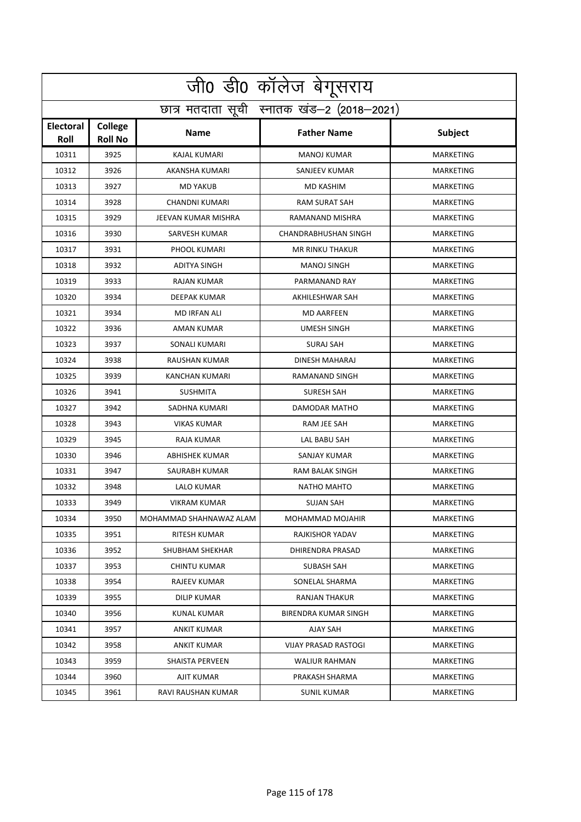|                                            | जी0 डी0 कॉलेज बेगूसराय    |                         |                        |                  |  |
|--------------------------------------------|---------------------------|-------------------------|------------------------|------------------|--|
| छात्र मतदाता सूची स्नातक खंड-2 (2018-2021) |                           |                         |                        |                  |  |
| <b>Electoral</b><br>Roll                   | College<br><b>Roll No</b> | <b>Name</b>             | <b>Father Name</b>     | Subject          |  |
| 10311                                      | 3925                      | <b>KAJAL KUMARI</b>     | <b>MANOJ KUMAR</b>     | <b>MARKETING</b> |  |
| 10312                                      | 3926                      | AKANSHA KUMARI          | SANJEEV KUMAR          | MARKETING        |  |
| 10313                                      | 3927                      | <b>MD YAKUB</b>         | <b>MD KASHIM</b>       | <b>MARKETING</b> |  |
| 10314                                      | 3928                      | <b>CHANDNI KUMARI</b>   | <b>RAM SURAT SAH</b>   | <b>MARKETING</b> |  |
| 10315                                      | 3929                      | JEEVAN KUMAR MISHRA     | RAMANAND MISHRA        | MARKETING        |  |
| 10316                                      | 3930                      | SARVESH KUMAR           | CHANDRABHUSHAN SINGH   | <b>MARKETING</b> |  |
| 10317                                      | 3931                      | PHOOL KUMARI            | <b>MR RINKU THAKUR</b> | MARKETING        |  |
| 10318                                      | 3932                      | ADITYA SINGH            | <b>MANOJ SINGH</b>     | MARKETING        |  |
| 10319                                      | 3933                      | <b>RAJAN KUMAR</b>      | PARMANAND RAY          | <b>MARKETING</b> |  |
| 10320                                      | 3934                      | <b>DEEPAK KUMAR</b>     | AKHILESHWAR SAH        | <b>MARKETING</b> |  |
| 10321                                      | 3934                      | <b>MD IRFAN ALI</b>     | <b>MD AARFEEN</b>      | <b>MARKETING</b> |  |
| 10322                                      | 3936                      | AMAN KUMAR              | <b>UMESH SINGH</b>     | MARKETING        |  |
| 10323                                      | 3937                      | SONALI KUMARI           | <b>SURAJ SAH</b>       | MARKETING        |  |
| 10324                                      | 3938                      | RAUSHAN KUMAR           | DINESH MAHARAJ         | <b>MARKETING</b> |  |
| 10325                                      | 3939                      | <b>KANCHAN KUMARI</b>   | RAMANAND SINGH         | MARKETING        |  |
| 10326                                      | 3941                      | <b>SUSHMITA</b>         | SURESH SAH             | <b>MARKETING</b> |  |
| 10327                                      | 3942                      | SADHNA KUMARI           | <b>DAMODAR MATHO</b>   | MARKETING        |  |
| 10328                                      | 3943                      | <b>VIKAS KUMAR</b>      | RAM JEE SAH            | MARKETING        |  |
| 10329                                      | 3945                      | RAJA KUMAR              | LAL BABU SAH           | <b>MARKETING</b> |  |
| 10330                                      | 3946                      | <b>ABHISHEK KUMAR</b>   | SANJAY KUMAR           | <b>MARKETING</b> |  |
| 10331                                      | 3947                      | <b>SAURABH KUMAR</b>    | RAM BALAK SINGH        | <b>MARKETING</b> |  |
| 10332                                      | 3948                      | LALO KUMAR              | <b>NATHO MAHTO</b>     | MARKETING        |  |
| 10333                                      | 3949                      | <b>VIKRAM KUMAR</b>     | <b>SUJAN SAH</b>       | MARKETING        |  |
| 10334                                      | 3950                      | MOHAMMAD SHAHNAWAZ ALAM | MOHAMMAD MOJAHIR       | MARKETING        |  |
| 10335                                      | 3951                      | RITESH KUMAR            | RAJKISHOR YADAV        | MARKETING        |  |
| 10336                                      | 3952                      | SHUBHAM SHEKHAR         | DHIRENDRA PRASAD       | MARKETING        |  |
| 10337                                      | 3953                      | <b>CHINTU KUMAR</b>     | SUBASH SAH             | MARKETING        |  |
| 10338                                      | 3954                      | RAJEEV KUMAR            | SONELAL SHARMA         | MARKETING        |  |
| 10339                                      | 3955                      | DILIP KUMAR             | <b>RANJAN THAKUR</b>   | MARKETING        |  |
| 10340                                      | 3956                      | KUNAL KUMAR             | BIRENDRA KUMAR SINGH   | MARKETING        |  |
| 10341                                      | 3957                      | ANKIT KUMAR             | AJAY SAH               | MARKETING        |  |
| 10342                                      | 3958                      | ANKIT KUMAR             | VIJAY PRASAD RASTOGI   | MARKETING        |  |
| 10343                                      | 3959                      | SHAISTA PERVEEN         | WALIUR RAHMAN          | MARKETING        |  |
| 10344                                      | 3960                      | AJIT KUMAR              | PRAKASH SHARMA         | MARKETING        |  |
| 10345                                      | 3961                      | RAVI RAUSHAN KUMAR      | SUNIL KUMAR            | MARKETING        |  |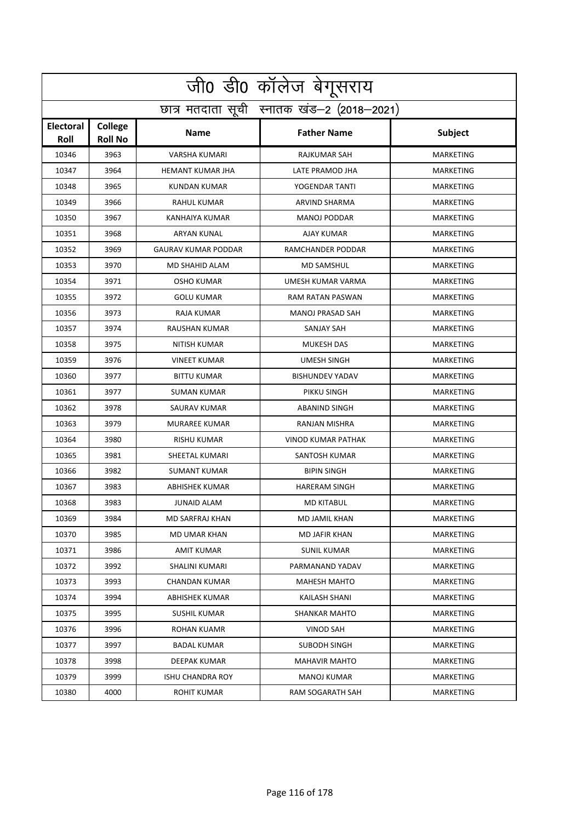|                          | जी0 डी0 कॉलेज बेगूसराय                     |                            |                           |                  |  |  |
|--------------------------|--------------------------------------------|----------------------------|---------------------------|------------------|--|--|
|                          | छात्र मतदाता सूची स्नातक खंड-2 (2018-2021) |                            |                           |                  |  |  |
| <b>Electoral</b><br>Roll | College<br><b>Roll No</b>                  | <b>Name</b>                | <b>Father Name</b>        | Subject          |  |  |
| 10346                    | 3963                                       | <b>VARSHA KUMARI</b>       | <b>RAJKUMAR SAH</b>       | <b>MARKETING</b> |  |  |
| 10347                    | 3964                                       | <b>HEMANT KUMAR JHA</b>    | LATE PRAMOD JHA           | MARKETING        |  |  |
| 10348                    | 3965                                       | <b>KUNDAN KUMAR</b>        | YOGENDAR TANTI            | <b>MARKETING</b> |  |  |
| 10349                    | 3966                                       | <b>RAHUL KUMAR</b>         | <b>ARVIND SHARMA</b>      | <b>MARKETING</b> |  |  |
| 10350                    | 3967                                       | KANHAIYA KUMAR             | <b>MANOJ PODDAR</b>       | MARKETING        |  |  |
| 10351                    | 3968                                       | <b>ARYAN KUNAL</b>         | AJAY KUMAR                | <b>MARKETING</b> |  |  |
| 10352                    | 3969                                       | <b>GAURAV KUMAR PODDAR</b> | RAMCHANDER PODDAR         | MARKETING        |  |  |
| 10353                    | 3970                                       | MD SHAHID ALAM             | <b>MD SAMSHUL</b>         | MARKETING        |  |  |
| 10354                    | 3971                                       | <b>OSHO KUMAR</b>          | UMESH KUMAR VARMA         | <b>MARKETING</b> |  |  |
| 10355                    | 3972                                       | <b>GOLU KUMAR</b>          | RAM RATAN PASWAN          | <b>MARKETING</b> |  |  |
| 10356                    | 3973                                       | <b>RAJA KUMAR</b>          | <b>MANOJ PRASAD SAH</b>   | <b>MARKETING</b> |  |  |
| 10357                    | 3974                                       | RAUSHAN KUMAR              | SANJAY SAH                | MARKETING        |  |  |
| 10358                    | 3975                                       | NITISH KUMAR               | <b>MUKESH DAS</b>         | MARKETING        |  |  |
| 10359                    | 3976                                       | <b>VINEET KUMAR</b>        | <b>UMESH SINGH</b>        | <b>MARKETING</b> |  |  |
| 10360                    | 3977                                       | <b>BITTU KUMAR</b>         | <b>BISHUNDEV YADAV</b>    | MARKETING        |  |  |
| 10361                    | 3977                                       | <b>SUMAN KUMAR</b>         | PIKKU SINGH               | <b>MARKETING</b> |  |  |
| 10362                    | 3978                                       | <b>SAURAV KUMAR</b>        | <b>ABANIND SINGH</b>      | MARKETING        |  |  |
| 10363                    | 3979                                       | MURAREE KUMAR              | RANJAN MISHRA             | <b>MARKETING</b> |  |  |
| 10364                    | 3980                                       | RISHU KUMAR                | <b>VINOD KUMAR PATHAK</b> | MARKETING        |  |  |
| 10365                    | 3981                                       | SHEETAL KUMARI             | <b>SANTOSH KUMAR</b>      | MARKETING        |  |  |
| 10366                    | 3982                                       | <b>SUMANT KUMAR</b>        | <b>BIPIN SINGH</b>        | <b>MARKETING</b> |  |  |
| 10367                    | 3983                                       | ABHISHEK KUMAR             | <b>HARERAM SINGH</b>      | <b>MARKETING</b> |  |  |
| 10368                    | 3983                                       | <b>JUNAID ALAM</b>         | <b>MD KITABUL</b>         | MARKETING        |  |  |
| 10369                    | 3984                                       | MD SARFRAJ KHAN            | MD JAMIL KHAN             | MARKETING        |  |  |
| 10370                    | 3985                                       | MD UMAR KHAN               | MD JAFIR KHAN             | MARKETING        |  |  |
| 10371                    | 3986                                       | AMIT KUMAR                 | SUNIL KUMAR               | MARKETING        |  |  |
| 10372                    | 3992                                       | SHALINI KUMARI             | PARMANAND YADAV           | MARKETING        |  |  |
| 10373                    | 3993                                       | CHANDAN KUMAR              | <b>MAHESH MAHTO</b>       | <b>MARKETING</b> |  |  |
| 10374                    | 3994                                       | ABHISHEK KUMAR             | KAILASH SHANI             | MARKETING        |  |  |
| 10375                    | 3995                                       | SUSHIL KUMAR               | <b>SHANKAR MAHTO</b>      | MARKETING        |  |  |
| 10376                    | 3996                                       | ROHAN KUAMR                | <b>VINOD SAH</b>          | MARKETING        |  |  |
| 10377                    | 3997                                       | BADAL KUMAR                | SUBODH SINGH              | MARKETING        |  |  |
| 10378                    | 3998                                       | DEEPAK KUMAR               | <b>MAHAVIR MAHTO</b>      | MARKETING        |  |  |
| 10379                    | 3999                                       | <b>ISHU CHANDRA ROY</b>    | <b>MANOJ KUMAR</b>        | MARKETING        |  |  |
| 10380                    | 4000                                       | ROHIT KUMAR                | RAM SOGARATH SAH          | MARKETING        |  |  |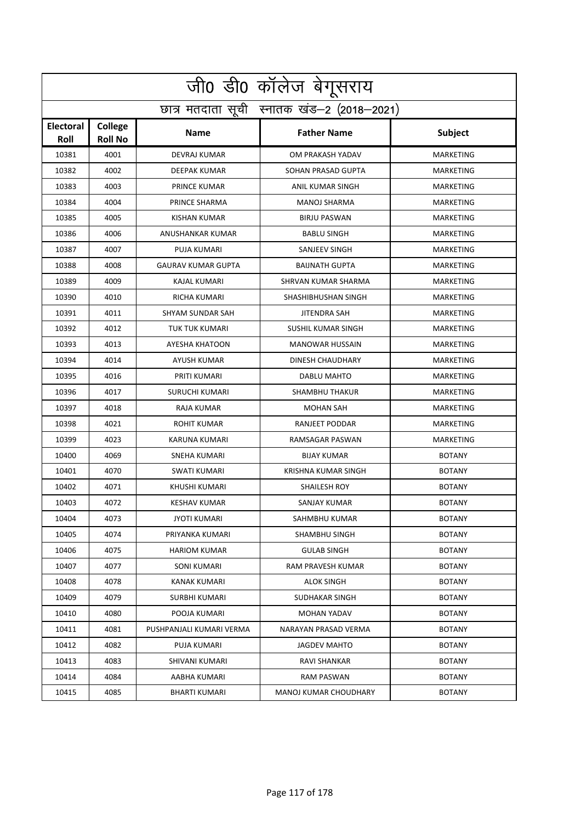|                                            | जी0 डी0 कॉलेज बेगूसराय    |                           |                            |                  |  |
|--------------------------------------------|---------------------------|---------------------------|----------------------------|------------------|--|
| छात्र मतदाता सूची स्नातक खंड-2 (2018-2021) |                           |                           |                            |                  |  |
| Electoral<br>Roll                          | College<br><b>Roll No</b> | <b>Name</b>               | <b>Father Name</b>         | Subject          |  |
| 10381                                      | 4001                      | <b>DEVRAJ KUMAR</b>       | OM PRAKASH YADAV           | <b>MARKETING</b> |  |
| 10382                                      | 4002                      | <b>DEEPAK KUMAR</b>       | SOHAN PRASAD GUPTA         | MARKETING        |  |
| 10383                                      | 4003                      | PRINCE KUMAR              | <b>ANIL KUMAR SINGH</b>    | <b>MARKETING</b> |  |
| 10384                                      | 4004                      | PRINCE SHARMA             | <b>MANOJ SHARMA</b>        | <b>MARKETING</b> |  |
| 10385                                      | 4005                      | <b>KISHAN KUMAR</b>       | <b>BIRJU PASWAN</b>        | MARKETING        |  |
| 10386                                      | 4006                      | ANUSHANKAR KUMAR          | <b>BABLU SINGH</b>         | <b>MARKETING</b> |  |
| 10387                                      | 4007                      | PUJA KUMARI               | SANJEEV SINGH              | MARKETING        |  |
| 10388                                      | 4008                      | <b>GAURAV KUMAR GUPTA</b> | <b>BAIJNATH GUPTA</b>      | <b>MARKETING</b> |  |
| 10389                                      | 4009                      | KAJAL KUMARI              | SHRVAN KUMAR SHARMA        | <b>MARKETING</b> |  |
| 10390                                      | 4010                      | RICHA KUMARI              | SHASHIBHUSHAN SINGH        | MARKETING        |  |
| 10391                                      | 4011                      | SHYAM SUNDAR SAH          | <b>JITENDRA SAH</b>        | <b>MARKETING</b> |  |
| 10392                                      | 4012                      | <b>TUK TUK KUMARI</b>     | SUSHIL KUMAR SINGH         | MARKETING        |  |
| 10393                                      | 4013                      | AYESHA KHATOON            | <b>MANOWAR HUSSAIN</b>     | <b>MARKETING</b> |  |
| 10394                                      | 4014                      | AYUSH KUMAR               | <b>DINESH CHAUDHARY</b>    | <b>MARKETING</b> |  |
| 10395                                      | 4016                      | PRITI KUMARI              | DABLU MAHTO                | MARKETING        |  |
| 10396                                      | 4017                      | <b>SURUCHI KUMARI</b>     | <b>SHAMBHU THAKUR</b>      | <b>MARKETING</b> |  |
| 10397                                      | 4018                      | RAJA KUMAR                | <b>MOHAN SAH</b>           | MARKETING        |  |
| 10398                                      | 4021                      | <b>ROHIT KUMAR</b>        | RANJEET PODDAR             | MARKETING        |  |
| 10399                                      | 4023                      | KARUNA KUMARI             | RAMSAGAR PASWAN            | MARKETING        |  |
| 10400                                      | 4069                      | <b>SNEHA KUMARI</b>       | <b>BIJAY KUMAR</b>         | <b>BOTANY</b>    |  |
| 10401                                      | 4070                      | <b>SWATI KUMARI</b>       | <b>KRISHNA KUMAR SINGH</b> | <b>BOTANY</b>    |  |
| 10402                                      | 4071                      | KHUSHI KUMARI             | <b>SHAILESH ROY</b>        | <b>BOTANY</b>    |  |
| 10403                                      | 4072                      | <b>KESHAV KUMAR</b>       | SANJAY KUMAR               | <b>BOTANY</b>    |  |
| 10404                                      | 4073                      | <b>JYOTI KUMARI</b>       | SAHMBHU KUMAR              | <b>BOTANY</b>    |  |
| 10405                                      | 4074                      | PRIYANKA KUMARI           | SHAMBHU SINGH              | <b>BOTANY</b>    |  |
| 10406                                      | 4075                      | <b>HARIOM KUMAR</b>       | <b>GULAB SINGH</b>         | <b>BOTANY</b>    |  |
| 10407                                      | 4077                      | SONI KUMARI               | RAM PRAVESH KUMAR          | <b>BOTANY</b>    |  |
| 10408                                      | 4078                      | KANAK KUMARI              | <b>ALOK SINGH</b>          | <b>BOTANY</b>    |  |
| 10409                                      | 4079                      | SURBHI KUMARI             | SUDHAKAR SINGH             | <b>BOTANY</b>    |  |
| 10410                                      | 4080                      | POOJA KUMARI              | MOHAN YADAV                | <b>BOTANY</b>    |  |
| 10411                                      | 4081                      | PUSHPANJALI KUMARI VERMA  | NARAYAN PRASAD VERMA       | BOTANY           |  |
| 10412                                      | 4082                      | PUJA KUMARI               | JAGDEV MAHTO               | <b>BOTANY</b>    |  |
| 10413                                      | 4083                      | SHIVANI KUMARI            | RAVI SHANKAR               | <b>BOTANY</b>    |  |
| 10414                                      | 4084                      | AABHA KUMARI              | RAM PASWAN                 | <b>BOTANY</b>    |  |
| 10415                                      | 4085                      | BHARTI KUMARI             | MANOJ KUMAR CHOUDHARY      | BOTANY           |  |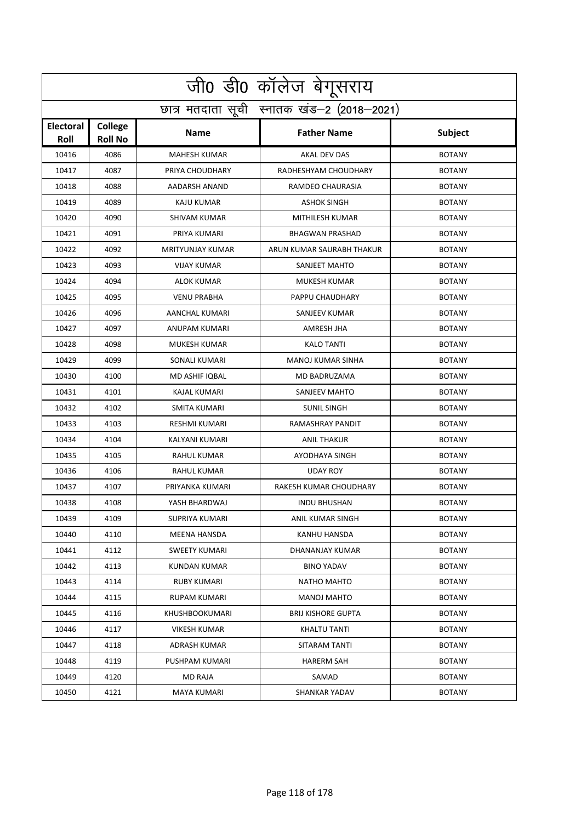|                          | <u>जी0 डी0 कॉलेज बेगू</u> सराय             |                       |                           |               |  |  |
|--------------------------|--------------------------------------------|-----------------------|---------------------------|---------------|--|--|
|                          | छात्र मतदाता सूची स्नातक खंड-2 (2018-2021) |                       |                           |               |  |  |
| <b>Electoral</b><br>Roll | College<br><b>Roll No</b>                  | <b>Name</b>           | <b>Father Name</b>        | Subject       |  |  |
| 10416                    | 4086                                       | <b>MAHESH KUMAR</b>   | <b>AKAL DEV DAS</b>       | <b>BOTANY</b> |  |  |
| 10417                    | 4087                                       | PRIYA CHOUDHARY       | RADHESHYAM CHOUDHARY      | <b>BOTANY</b> |  |  |
| 10418                    | 4088                                       | AADARSH ANAND         | RAMDEO CHAURASIA          | <b>BOTANY</b> |  |  |
| 10419                    | 4089                                       | <b>KAJU KUMAR</b>     | <b>ASHOK SINGH</b>        | <b>BOTANY</b> |  |  |
| 10420                    | 4090                                       | SHIVAM KUMAR          | MITHILESH KUMAR           | <b>BOTANY</b> |  |  |
| 10421                    | 4091                                       | PRIYA KUMARI          | <b>BHAGWAN PRASHAD</b>    | <b>BOTANY</b> |  |  |
| 10422                    | 4092                                       | MRITYUNJAY KUMAR      | ARUN KUMAR SAURABH THAKUR | <b>BOTANY</b> |  |  |
| 10423                    | 4093                                       | <b>VIJAY KUMAR</b>    | SANJEET MAHTO             | <b>BOTANY</b> |  |  |
| 10424                    | 4094                                       | ALOK KUMAR            | <b>MUKESH KUMAR</b>       | <b>BOTANY</b> |  |  |
| 10425                    | 4095                                       | <b>VENU PRABHA</b>    | PAPPU CHAUDHARY           | <b>BOTANY</b> |  |  |
| 10426                    | 4096                                       | AANCHAL KUMARI        | <b>SANJEEV KUMAR</b>      | <b>BOTANY</b> |  |  |
| 10427                    | 4097                                       | ANUPAM KUMARI         | AMRESH JHA                | <b>BOTANY</b> |  |  |
| 10428                    | 4098                                       | MUKESH KUMAR          | <b>KALO TANTI</b>         | <b>BOTANY</b> |  |  |
| 10429                    | 4099                                       | SONALI KUMARI         | <b>MANOJ KUMAR SINHA</b>  | <b>BOTANY</b> |  |  |
| 10430                    | 4100                                       | MD ASHIF IQBAL        | MD BADRUZAMA              | <b>BOTANY</b> |  |  |
| 10431                    | 4101                                       | KAJAL KUMARI          | <b>SANJEEV MAHTO</b>      | <b>BOTANY</b> |  |  |
| 10432                    | 4102                                       | SMITA KUMARI          | <b>SUNIL SINGH</b>        | <b>BOTANY</b> |  |  |
| 10433                    | 4103                                       | <b>RESHMI KUMARI</b>  | RAMASHRAY PANDIT          | <b>BOTANY</b> |  |  |
| 10434                    | 4104                                       | KALYANI KUMARI        | <b>ANIL THAKUR</b>        | <b>BOTANY</b> |  |  |
| 10435                    | 4105                                       | <b>RAHUL KUMAR</b>    | <b>AYODHAYA SINGH</b>     | <b>BOTANY</b> |  |  |
| 10436                    | 4106                                       | <b>RAHUL KUMAR</b>    | <b>UDAY ROY</b>           | <b>BOTANY</b> |  |  |
| 10437                    | 4107                                       | PRIYANKA KUMARI       | RAKESH KUMAR CHOUDHARY    | <b>BOTANY</b> |  |  |
| 10438                    | 4108                                       | YASH BHARDWAJ         | <b>INDU BHUSHAN</b>       | <b>BOTANY</b> |  |  |
| 10439                    | 4109                                       | SUPRIYA KUMARI        | ANIL KUMAR SINGH          | <b>BOTANY</b> |  |  |
| 10440                    | 4110                                       | MEENA HANSDA          | KANHU HANSDA              | <b>BOTANY</b> |  |  |
| 10441                    | 4112                                       | SWEETY KUMARI         | DHANANJAY KUMAR           | <b>BOTANY</b> |  |  |
| 10442                    | 4113                                       | KUNDAN KUMAR          | <b>BINO YADAV</b>         | <b>BOTANY</b> |  |  |
| 10443                    | 4114                                       | RUBY KUMARI           | NATHO MAHTO               | <b>BOTANY</b> |  |  |
| 10444                    | 4115                                       | RUPAM KUMARI          | MANOJ MAHTO               | <b>BOTANY</b> |  |  |
| 10445                    | 4116                                       | <b>KHUSHBOOKUMARI</b> | <b>BRIJ KISHORE GUPTA</b> | <b>BOTANY</b> |  |  |
| 10446                    | 4117                                       | <b>VIKESH KUMAR</b>   | KHALTU TANTI              | <b>BOTANY</b> |  |  |
| 10447                    | 4118                                       | ADRASH KUMAR          | SITARAM TANTI             | <b>BOTANY</b> |  |  |
| 10448                    | 4119                                       | PUSHPAM KUMARI        | <b>HARERM SAH</b>         | <b>BOTANY</b> |  |  |
| 10449                    | 4120                                       | <b>MD RAJA</b>        | SAMAD                     | <b>BOTANY</b> |  |  |
| 10450                    | 4121                                       | MAYA KUMARI           | SHANKAR YADAV             | <b>BOTANY</b> |  |  |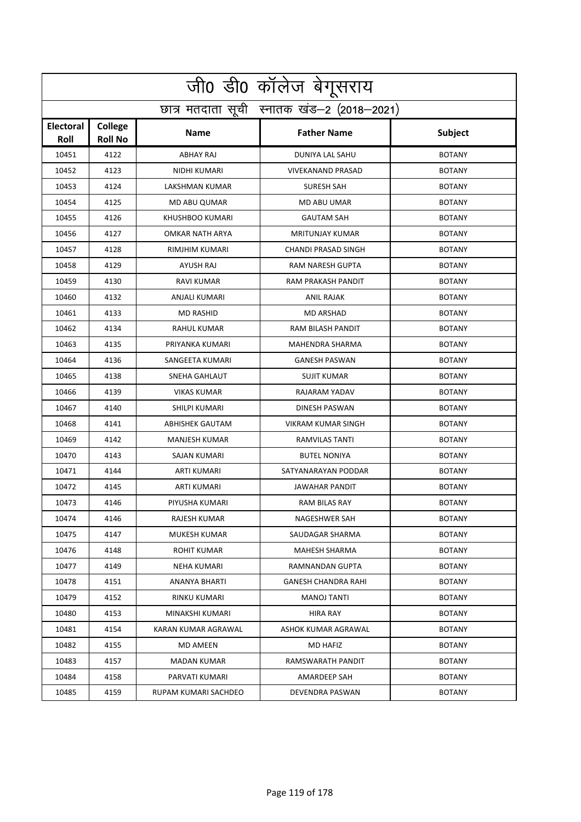|                          | जी0 डी0 कॉलेज बेगूसराय                     |                        |                            |               |  |  |
|--------------------------|--------------------------------------------|------------------------|----------------------------|---------------|--|--|
|                          | छात्र मतदाता सूची स्नातक खंड-2 (2018-2021) |                        |                            |               |  |  |
| <b>Electoral</b><br>Roll | College<br><b>Roll No</b>                  | <b>Name</b>            | <b>Father Name</b>         | Subject       |  |  |
| 10451                    | 4122                                       | <b>ABHAY RAJ</b>       | <b>DUNIYA LAL SAHU</b>     | <b>BOTANY</b> |  |  |
| 10452                    | 4123                                       | NIDHI KUMARI           | <b>VIVEKANAND PRASAD</b>   | <b>BOTANY</b> |  |  |
| 10453                    | 4124                                       | <b>LAKSHMAN KUMAR</b>  | <b>SURESH SAH</b>          | <b>BOTANY</b> |  |  |
| 10454                    | 4125                                       | MD ABU QUMAR           | <b>MD ABU UMAR</b>         | <b>BOTANY</b> |  |  |
| 10455                    | 4126                                       | KHUSHBOO KUMARI        | <b>GAUTAM SAH</b>          | <b>BOTANY</b> |  |  |
| 10456                    | 4127                                       | OMKAR NATH ARYA        | <b>MRITUNJAY KUMAR</b>     | <b>BOTANY</b> |  |  |
| 10457                    | 4128                                       | RIMJHIM KUMARI         | <b>CHANDI PRASAD SINGH</b> | <b>BOTANY</b> |  |  |
| 10458                    | 4129                                       | <b>AYUSH RAJ</b>       | RAM NARESH GUPTA           | <b>BOTANY</b> |  |  |
| 10459                    | 4130                                       | RAVI KUMAR             | RAM PRAKASH PANDIT         | <b>BOTANY</b> |  |  |
| 10460                    | 4132                                       | ANJALI KUMARI          | <b>ANIL RAJAK</b>          | <b>BOTANY</b> |  |  |
| 10461                    | 4133                                       | <b>MD RASHID</b>       | <b>MD ARSHAD</b>           | <b>BOTANY</b> |  |  |
| 10462                    | 4134                                       | RAHUL KUMAR            | RAM BILASH PANDIT          | <b>BOTANY</b> |  |  |
| 10463                    | 4135                                       | PRIYANKA KUMARI        | MAHENDRA SHARMA            | <b>BOTANY</b> |  |  |
| 10464                    | 4136                                       | SANGEETA KUMARI        | <b>GANESH PASWAN</b>       | <b>BOTANY</b> |  |  |
| 10465                    | 4138                                       | SNEHA GAHLAUT          | <b>SUJIT KUMAR</b>         | <b>BOTANY</b> |  |  |
| 10466                    | 4139                                       | <b>VIKAS KUMAR</b>     | RAJARAM YADAV              | <b>BOTANY</b> |  |  |
| 10467                    | 4140                                       | SHILPI KUMARI          | DINESH PASWAN              | <b>BOTANY</b> |  |  |
| 10468                    | 4141                                       | <b>ABHISHEK GAUTAM</b> | <b>VIKRAM KUMAR SINGH</b>  | <b>BOTANY</b> |  |  |
| 10469                    | 4142                                       | MANJESH KUMAR          | RAMVILAS TANTI             | <b>BOTANY</b> |  |  |
| 10470                    | 4143                                       | SAJAN KUMARI           | <b>BUTEL NONIYA</b>        | <b>BOTANY</b> |  |  |
| 10471                    | 4144                                       | ARTI KUMARI            | SATYANARAYAN PODDAR        | <b>BOTANY</b> |  |  |
| 10472                    | 4145                                       | ARTI KUMARI            | JAWAHAR PANDIT             | <b>BOTANY</b> |  |  |
| 10473                    | 4146                                       | PIYUSHA KUMARI         | RAM BILAS RAY              | <b>BOTANY</b> |  |  |
| 10474                    | 4146                                       | RAJESH KUMAR           | NAGESHWER SAH              | <b>BOTANY</b> |  |  |
| 10475                    | 4147                                       | MUKESH KUMAR           | SAUDAGAR SHARMA            | <b>BOTANY</b> |  |  |
| 10476                    | 4148                                       | ROHIT KUMAR            | <b>MAHESH SHARMA</b>       | <b>BOTANY</b> |  |  |
| 10477                    | 4149                                       | <b>NEHA KUMARI</b>     | RAMNANDAN GUPTA            | <b>BOTANY</b> |  |  |
| 10478                    | 4151                                       | ANANYA BHARTI          | <b>GANESH CHANDRA RAHI</b> | BOTANY        |  |  |
| 10479                    | 4152                                       | RINKU KUMARI           | MANOJ TANTI                | BOTANY        |  |  |
| 10480                    | 4153                                       | MINAKSHI KUMARI        | HIRA RAY                   | <b>BOTANY</b> |  |  |
| 10481                    | 4154                                       | KARAN KUMAR AGRAWAL    | ASHOK KUMAR AGRAWAL        | <b>BOTANY</b> |  |  |
| 10482                    | 4155                                       | MD AMEEN               | MD HAFIZ                   | <b>BOTANY</b> |  |  |
| 10483                    | 4157                                       | MADAN KUMAR            | RAMSWARATH PANDIT          | <b>BOTANY</b> |  |  |
| 10484                    | 4158                                       | PARVATI KUMARI         | AMARDEEP SAH               | <b>BOTANY</b> |  |  |
| 10485                    | 4159                                       | RUPAM KUMARI SACHDEO   | DEVENDRA PASWAN            | BOTANY        |  |  |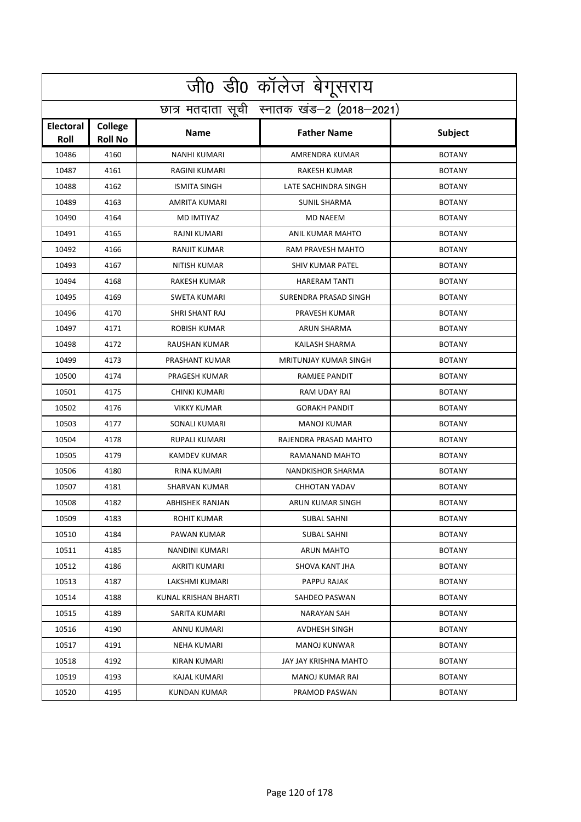|                                 | जी0 डी0 कॉलेज बेगूसराय                     |                        |                          |                |  |  |
|---------------------------------|--------------------------------------------|------------------------|--------------------------|----------------|--|--|
|                                 | छात्र मतदाता सूची स्नातक खंड-2 (2018-2021) |                        |                          |                |  |  |
| <b>Electoral</b><br><b>Roll</b> | College<br><b>Roll No</b>                  | <b>Name</b>            | <b>Father Name</b>       | <b>Subject</b> |  |  |
| 10486                           | 4160                                       | <b>NANHI KUMARI</b>    | AMRENDRA KUMAR           | <b>BOTANY</b>  |  |  |
| 10487                           | 4161                                       | RAGINI KUMARI          | RAKESH KUMAR             | <b>BOTANY</b>  |  |  |
| 10488                           | 4162                                       | <b>ISMITA SINGH</b>    | LATE SACHINDRA SINGH     | <b>BOTANY</b>  |  |  |
| 10489                           | 4163                                       | <b>AMRITA KUMARI</b>   | <b>SUNIL SHARMA</b>      | <b>BOTANY</b>  |  |  |
| 10490                           | 4164                                       | MD IMTIYAZ             | <b>MD NAEEM</b>          | <b>BOTANY</b>  |  |  |
| 10491                           | 4165                                       | RAJNI KUMARI           | ANIL KUMAR MAHTO         | <b>BOTANY</b>  |  |  |
| 10492                           | 4166                                       | RANJIT KUMAR           | RAM PRAVESH MAHTO        | <b>BOTANY</b>  |  |  |
| 10493                           | 4167                                       | <b>NITISH KUMAR</b>    | SHIV KUMAR PATEL         | <b>BOTANY</b>  |  |  |
| 10494                           | 4168                                       | RAKESH KUMAR           | <b>HARERAM TANTI</b>     | <b>BOTANY</b>  |  |  |
| 10495                           | 4169                                       | SWETA KUMARI           | SURENDRA PRASAD SINGH    | <b>BOTANY</b>  |  |  |
| 10496                           | 4170                                       | <b>SHRI SHANT RAJ</b>  | PRAVESH KUMAR            | <b>BOTANY</b>  |  |  |
| 10497                           | 4171                                       | ROBISH KUMAR           | ARUN SHARMA              | <b>BOTANY</b>  |  |  |
| 10498                           | 4172                                       | RAUSHAN KUMAR          | KAILASH SHARMA           | <b>BOTANY</b>  |  |  |
| 10499                           | 4173                                       | PRASHANT KUMAR         | MRITUNJAY KUMAR SINGH    | <b>BOTANY</b>  |  |  |
| 10500                           | 4174                                       | PRAGESH KUMAR          | RAMJEE PANDIT            | <b>BOTANY</b>  |  |  |
| 10501                           | 4175                                       | CHINKI KUMARI          | RAM UDAY RAI             | <b>BOTANY</b>  |  |  |
| 10502                           | 4176                                       | <b>VIKKY KUMAR</b>     | <b>GORAKH PANDIT</b>     | <b>BOTANY</b>  |  |  |
| 10503                           | 4177                                       | SONALI KUMARI          | <b>MANOJ KUMAR</b>       | <b>BOTANY</b>  |  |  |
| 10504                           | 4178                                       | RUPALI KUMARI          | RAJENDRA PRASAD MAHTO    | <b>BOTANY</b>  |  |  |
| 10505                           | 4179                                       | <b>KAMDEV KUMAR</b>    | RAMANAND MAHTO           | <b>BOTANY</b>  |  |  |
| 10506                           | 4180                                       | <b>RINA KUMARI</b>     | <b>NANDKISHOR SHARMA</b> | <b>BOTANY</b>  |  |  |
| 10507                           | 4181                                       | SHARVAN KUMAR          | <b>CHHOTAN YADAV</b>     | <b>BOTANY</b>  |  |  |
| 10508                           | 4182                                       | <b>ABHISHEK RANJAN</b> | ARUN KUMAR SINGH         | <b>BOTANY</b>  |  |  |
| 10509                           | 4183                                       | ROHIT KUMAR            | SUBAL SAHNI              | <b>BOTANY</b>  |  |  |
| 10510                           | 4184                                       | PAWAN KUMAR            | SUBAL SAHNI              | <b>BOTANY</b>  |  |  |
| 10511                           | 4185                                       | NANDINI KUMARI         | <b>ARUN MAHTO</b>        | <b>BOTANY</b>  |  |  |
| 10512                           | 4186                                       | AKRITI KUMARI          | <b>SHOVA KANT JHA</b>    | <b>BOTANY</b>  |  |  |
| 10513                           | 4187                                       | LAKSHMI KUMARI         | PAPPU RAJAK              | <b>BOTANY</b>  |  |  |
| 10514                           | 4188                                       | KUNAL KRISHAN BHARTI   | SAHDEO PASWAN            | <b>BOTANY</b>  |  |  |
| 10515                           | 4189                                       | SARITA KUMARI          | NARAYAN SAH              | <b>BOTANY</b>  |  |  |
| 10516                           | 4190                                       | ANNU KUMARI            | AVDHESH SINGH            | <b>BOTANY</b>  |  |  |
| 10517                           | 4191                                       | NEHA KUMARI            | MANOJ KUNWAR             | <b>BOTANY</b>  |  |  |
| 10518                           | 4192                                       | KIRAN KUMARI           | JAY JAY KRISHNA MAHTO    | <b>BOTANY</b>  |  |  |
| 10519                           | 4193                                       | KAJAL KUMARI           | MANOJ KUMAR RAI          | <b>BOTANY</b>  |  |  |
| 10520                           | 4195                                       | KUNDAN KUMAR           | PRAMOD PASWAN            | <b>BOTANY</b>  |  |  |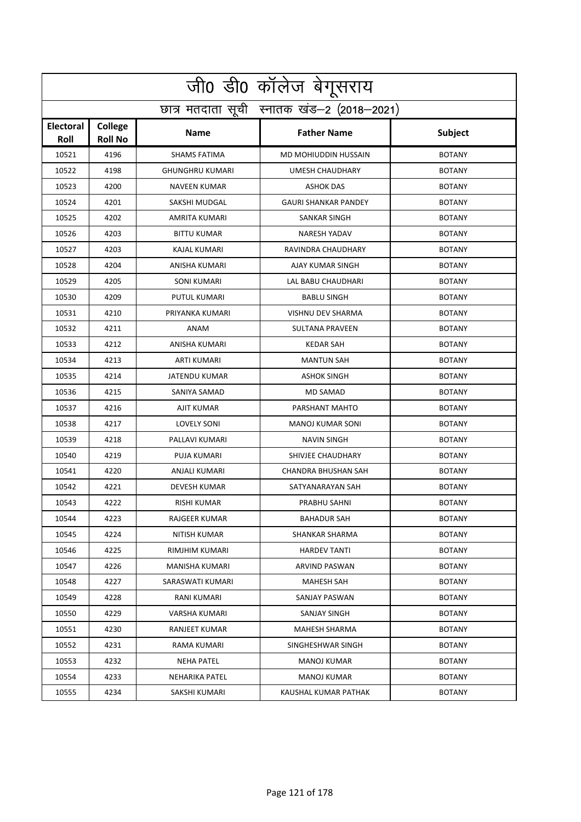|                          | <u>जी0 डी0 कॉलेज बेगू</u> सराय             |                        |                             |                |  |  |
|--------------------------|--------------------------------------------|------------------------|-----------------------------|----------------|--|--|
|                          | छात्र मतदाता सूची स्नातक खंड-2 (2018-2021) |                        |                             |                |  |  |
| <b>Electoral</b><br>Roll | College<br><b>Roll No</b>                  | <b>Name</b>            | <b>Father Name</b>          | <b>Subject</b> |  |  |
| 10521                    | 4196                                       | <b>SHAMS FATIMA</b>    | <b>MD MOHIUDDIN HUSSAIN</b> | <b>BOTANY</b>  |  |  |
| 10522                    | 4198                                       | <b>GHUNGHRU KUMARI</b> | <b>UMESH CHAUDHARY</b>      | <b>BOTANY</b>  |  |  |
| 10523                    | 4200                                       | <b>NAVEEN KUMAR</b>    | <b>ASHOK DAS</b>            | <b>BOTANY</b>  |  |  |
| 10524                    | 4201                                       | SAKSHI MUDGAL          | <b>GAURI SHANKAR PANDEY</b> | <b>BOTANY</b>  |  |  |
| 10525                    | 4202                                       | AMRITA KUMARI          | SANKAR SINGH                | <b>BOTANY</b>  |  |  |
| 10526                    | 4203                                       | <b>BITTU KUMAR</b>     | <b>NARESH YADAV</b>         | <b>BOTANY</b>  |  |  |
| 10527                    | 4203                                       | KAJAL KUMARI           | RAVINDRA CHAUDHARY          | <b>BOTANY</b>  |  |  |
| 10528                    | 4204                                       | ANISHA KUMARI          | AJAY KUMAR SINGH            | <b>BOTANY</b>  |  |  |
| 10529                    | 4205                                       | <b>SONI KUMARI</b>     | LAL BABU CHAUDHARI          | <b>BOTANY</b>  |  |  |
| 10530                    | 4209                                       | PUTUL KUMARI           | <b>BABLU SINGH</b>          | <b>BOTANY</b>  |  |  |
| 10531                    | 4210                                       | PRIYANKA KUMARI        | <b>VISHNU DEV SHARMA</b>    | <b>BOTANY</b>  |  |  |
| 10532                    | 4211                                       | ANAM                   | <b>SULTANA PRAVEEN</b>      | <b>BOTANY</b>  |  |  |
| 10533                    | 4212                                       | ANISHA KUMARI          | <b>KEDAR SAH</b>            | <b>BOTANY</b>  |  |  |
| 10534                    | 4213                                       | ARTI KUMARI            | <b>MANTUN SAH</b>           | <b>BOTANY</b>  |  |  |
| 10535                    | 4214                                       | JATENDU KUMAR          | <b>ASHOK SINGH</b>          | <b>BOTANY</b>  |  |  |
| 10536                    | 4215                                       | SANIYA SAMAD           | <b>MD SAMAD</b>             | <b>BOTANY</b>  |  |  |
| 10537                    | 4216                                       | AJIT KUMAR             | PARSHANT MAHTO              | <b>BOTANY</b>  |  |  |
| 10538                    | 4217                                       | <b>LOVELY SONI</b>     | <b>MANOJ KUMAR SONI</b>     | <b>BOTANY</b>  |  |  |
| 10539                    | 4218                                       | PALLAVI KUMARI         | <b>NAVIN SINGH</b>          | <b>BOTANY</b>  |  |  |
| 10540                    | 4219                                       | PUJA KUMARI            | SHIVJEE CHAUDHARY           | <b>BOTANY</b>  |  |  |
| 10541                    | 4220                                       | ANJALI KUMARI          | <b>CHANDRA BHUSHAN SAH</b>  | <b>BOTANY</b>  |  |  |
| 10542                    | 4221                                       | <b>DEVESH KUMAR</b>    | SATYANARAYAN SAH            | <b>BOTANY</b>  |  |  |
| 10543                    | 4222                                       | RISHI KUMAR            | PRABHU SAHNI                | <b>BOTANY</b>  |  |  |
| 10544                    | 4223                                       | RAJGEER KUMAR          | <b>BAHADUR SAH</b>          | <b>BOTANY</b>  |  |  |
| 10545                    | 4224                                       | NITISH KUMAR           | SHANKAR SHARMA              | <b>BOTANY</b>  |  |  |
| 10546                    | 4225                                       | RIMJHIM KUMARI         | <b>HARDEV TANTI</b>         | <b>BOTANY</b>  |  |  |
| 10547                    | 4226                                       | MANISHA KUMARI         | ARVIND PASWAN               | <b>BOTANY</b>  |  |  |
| 10548                    | 4227                                       | SARASWATI KUMARI       | <b>MAHESH SAH</b>           | <b>BOTANY</b>  |  |  |
| 10549                    | 4228                                       | RANI KUMARI            | SANJAY PASWAN               | <b>BOTANY</b>  |  |  |
| 10550                    | 4229                                       | VARSHA KUMARI          | SANJAY SINGH                | <b>BOTANY</b>  |  |  |
| 10551                    | 4230                                       | RANJEET KUMAR          | <b>MAHESH SHARMA</b>        | <b>BOTANY</b>  |  |  |
| 10552                    | 4231                                       | RAMA KUMARI            | SINGHESHWAR SINGH           | <b>BOTANY</b>  |  |  |
| 10553                    | 4232                                       | NEHA PATEL             | MANOJ KUMAR                 | <b>BOTANY</b>  |  |  |
| 10554                    | 4233                                       | NEHARIKA PATEL         | MANOJ KUMAR                 | <b>BOTANY</b>  |  |  |
| 10555                    | 4234                                       | SAKSHI KUMARI          | KAUSHAL KUMAR PATHAK        | <b>BOTANY</b>  |  |  |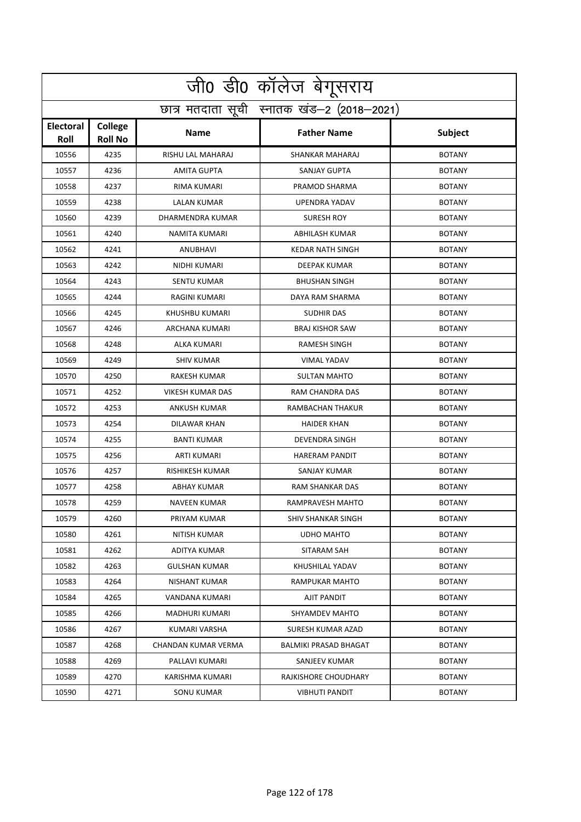|                   | <u>जी0 डी0 कॉलेज बेगू</u> सराय             |                         |                         |               |  |  |
|-------------------|--------------------------------------------|-------------------------|-------------------------|---------------|--|--|
|                   | छात्र मतदाता सूची स्नातक खंड-2 (2018-2021) |                         |                         |               |  |  |
| Electoral<br>Roll | College<br><b>Roll No</b>                  | <b>Name</b>             | <b>Father Name</b>      | Subject       |  |  |
| 10556             | 4235                                       | RISHU LAL MAHARAJ       | <b>SHANKAR MAHARAJ</b>  | <b>BOTANY</b> |  |  |
| 10557             | 4236                                       | <b>AMITA GUPTA</b>      | <b>SANJAY GUPTA</b>     | <b>BOTANY</b> |  |  |
| 10558             | 4237                                       | RIMA KUMARI             | PRAMOD SHARMA           | <b>BOTANY</b> |  |  |
| 10559             | 4238                                       | <b>LALAN KUMAR</b>      | <b>UPENDRA YADAV</b>    | <b>BOTANY</b> |  |  |
| 10560             | 4239                                       | DHARMENDRA KUMAR        | <b>SURESH ROY</b>       | <b>BOTANY</b> |  |  |
| 10561             | 4240                                       | NAMITA KUMARI           | ABHILASH KUMAR          | <b>BOTANY</b> |  |  |
| 10562             | 4241                                       | ANUBHAVI                | <b>KEDAR NATH SINGH</b> | <b>BOTANY</b> |  |  |
| 10563             | 4242                                       | NIDHI KUMARI            | DEEPAK KUMAR            | <b>BOTANY</b> |  |  |
| 10564             | 4243                                       | <b>SENTU KUMAR</b>      | <b>BHUSHAN SINGH</b>    | <b>BOTANY</b> |  |  |
| 10565             | 4244                                       | RAGINI KUMARI           | DAYA RAM SHARMA         | <b>BOTANY</b> |  |  |
| 10566             | 4245                                       | KHUSHBU KUMARI          | <b>SUDHIR DAS</b>       | <b>BOTANY</b> |  |  |
| 10567             | 4246                                       | ARCHANA KUMARI          | <b>BRAJ KISHOR SAW</b>  | <b>BOTANY</b> |  |  |
| 10568             | 4248                                       | ALKA KUMARI             | <b>RAMESH SINGH</b>     | <b>BOTANY</b> |  |  |
| 10569             | 4249                                       | <b>SHIV KUMAR</b>       | <b>VIMAL YADAV</b>      | <b>BOTANY</b> |  |  |
| 10570             | 4250                                       | RAKESH KUMAR            | <b>SULTAN MAHTO</b>     | <b>BOTANY</b> |  |  |
| 10571             | 4252                                       | <b>VIKESH KUMAR DAS</b> | RAM CHANDRA DAS         | <b>BOTANY</b> |  |  |
| 10572             | 4253                                       | ANKUSH KUMAR            | RAMBACHAN THAKUR        | <b>BOTANY</b> |  |  |
| 10573             | 4254                                       | DILAWAR KHAN            | <b>HAIDER KHAN</b>      | <b>BOTANY</b> |  |  |
| 10574             | 4255                                       | <b>BANTI KUMAR</b>      | DEVENDRA SINGH          | <b>BOTANY</b> |  |  |
| 10575             | 4256                                       | ARTI KUMARI             | <b>HARERAM PANDIT</b>   | <b>BOTANY</b> |  |  |
| 10576             | 4257                                       | RISHIKESH KUMAR         | <b>SANJAY KUMAR</b>     | <b>BOTANY</b> |  |  |
| 10577             | 4258                                       | <b>ABHAY KUMAR</b>      | RAM SHANKAR DAS         | <b>BOTANY</b> |  |  |
| 10578             | 4259                                       | NAVEEN KUMAR            | RAMPRAVESH MAHTO        | <b>BOTANY</b> |  |  |
| 10579             | 4260                                       | PRIYAM KUMAR            | SHIV SHANKAR SINGH      | <b>BOTANY</b> |  |  |
| 10580             | 4261                                       | NITISH KUMAR            | UDHO MAHTO              | <b>BOTANY</b> |  |  |
| 10581             | 4262                                       | ADITYA KUMAR            | SITARAM SAH             | <b>BOTANY</b> |  |  |
| 10582             | 4263                                       | GULSHAN KUMAR           | KHUSHILAL YADAV         | <b>BOTANY</b> |  |  |
| 10583             | 4264                                       | NISHANT KUMAR           | RAMPUKAR MAHTO          | <b>BOTANY</b> |  |  |
| 10584             | 4265                                       | VANDANA KUMARI          | AJIT PANDIT             | <b>BOTANY</b> |  |  |
| 10585             | 4266                                       | MADHURI KUMARI          | SHYAMDEV MAHTO          | <b>BOTANY</b> |  |  |
| 10586             | 4267                                       | KUMARI VARSHA           | SURESH KUMAR AZAD       | <b>BOTANY</b> |  |  |
| 10587             | 4268                                       | CHANDAN KUMAR VERMA     | BALMIKI PRASAD BHAGAT   | <b>BOTANY</b> |  |  |
| 10588             | 4269                                       | PALLAVI KUMARI          | SANJEEV KUMAR           | <b>BOTANY</b> |  |  |
| 10589             | 4270                                       | KARISHMA KUMARI         | RAJKISHORE CHOUDHARY    | <b>BOTANY</b> |  |  |
| 10590             | 4271                                       | SONU KUMAR              | VIBHUTI PANDIT          | <b>BOTANY</b> |  |  |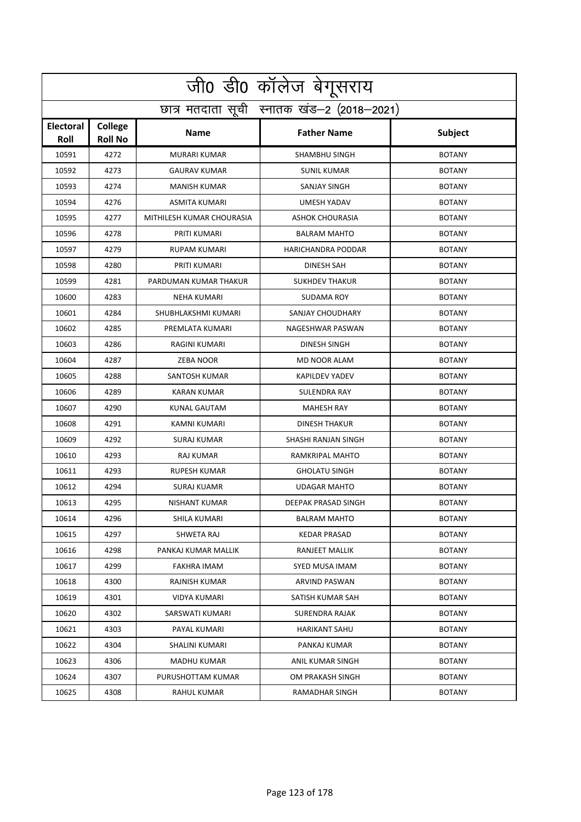|                          | जी0 डी0 कॉलेज बेगूसराय                     |                           |                            |                |  |  |
|--------------------------|--------------------------------------------|---------------------------|----------------------------|----------------|--|--|
|                          | छात्र मतदाता सूची स्नातक खंड-2 (2018-2021) |                           |                            |                |  |  |
| <b>Electoral</b><br>Roll | College<br><b>Roll No</b>                  | <b>Name</b>               | <b>Father Name</b>         | <b>Subject</b> |  |  |
| 10591                    | 4272                                       | <b>MURARI KUMAR</b>       | <b>SHAMBHU SINGH</b>       | <b>BOTANY</b>  |  |  |
| 10592                    | 4273                                       | <b>GAURAV KUMAR</b>       | <b>SUNIL KUMAR</b>         | <b>BOTANY</b>  |  |  |
| 10593                    | 4274                                       | <b>MANISH KUMAR</b>       | SANJAY SINGH               | <b>BOTANY</b>  |  |  |
| 10594                    | 4276                                       | <b>ASMITA KUMARI</b>      | <b>UMESH YADAV</b>         | <b>BOTANY</b>  |  |  |
| 10595                    | 4277                                       | MITHILESH KUMAR CHOURASIA | <b>ASHOK CHOURASIA</b>     | <b>BOTANY</b>  |  |  |
| 10596                    | 4278                                       | PRITI KUMARI              | <b>BALRAM MAHTO</b>        | <b>BOTANY</b>  |  |  |
| 10597                    | 4279                                       | <b>RUPAM KUMARI</b>       | HARICHANDRA PODDAR         | <b>BOTANY</b>  |  |  |
| 10598                    | 4280                                       | PRITI KUMARI              | DINESH SAH                 | <b>BOTANY</b>  |  |  |
| 10599                    | 4281                                       | PARDUMAN KUMAR THAKUR     | <b>SUKHDEV THAKUR</b>      | <b>BOTANY</b>  |  |  |
| 10600                    | 4283                                       | <b>NEHA KUMARI</b>        | <b>SUDAMA ROY</b>          | <b>BOTANY</b>  |  |  |
| 10601                    | 4284                                       | SHUBHLAKSHMI KUMARI       | SANJAY CHOUDHARY           | <b>BOTANY</b>  |  |  |
| 10602                    | 4285                                       | PREMLATA KUMARI           | NAGESHWAR PASWAN           | <b>BOTANY</b>  |  |  |
| 10603                    | 4286                                       | RAGINI KUMARI             | DINESH SINGH               | <b>BOTANY</b>  |  |  |
| 10604                    | 4287                                       | <b>ZEBA NOOR</b>          | <b>MD NOOR ALAM</b>        | <b>BOTANY</b>  |  |  |
| 10605                    | 4288                                       | SANTOSH KUMAR             | <b>KAPILDEV YADEV</b>      | <b>BOTANY</b>  |  |  |
| 10606                    | 4289                                       | <b>KARAN KUMAR</b>        | SULENDRA RAY               | <b>BOTANY</b>  |  |  |
| 10607                    | 4290                                       | <b>KUNAL GAUTAM</b>       | <b>MAHESH RAY</b>          | <b>BOTANY</b>  |  |  |
| 10608                    | 4291                                       | KAMNI KUMARI              | <b>DINESH THAKUR</b>       | <b>BOTANY</b>  |  |  |
| 10609                    | 4292                                       | <b>SURAJ KUMAR</b>        | SHASHI RANJAN SINGH        | <b>BOTANY</b>  |  |  |
| 10610                    | 4293                                       | <b>RAJ KUMAR</b>          | RAMKRIPAL MAHTO            | <b>BOTANY</b>  |  |  |
| 10611                    | 4293                                       | <b>RUPESH KUMAR</b>       | <b>GHOLATU SINGH</b>       | <b>BOTANY</b>  |  |  |
| 10612                    | 4294                                       | <b>SURAJ KUAMR</b>        | <b>UDAGAR MAHTO</b>        | <b>BOTANY</b>  |  |  |
| 10613                    | 4295                                       | <b>NISHANT KUMAR</b>      | <b>DEEPAK PRASAD SINGH</b> | <b>BOTANY</b>  |  |  |
| 10614                    | 4296                                       | SHILA KUMARI              | <b>BALRAM MAHTO</b>        | <b>BOTANY</b>  |  |  |
| 10615                    | 4297                                       | SHWETA RAJ                | <b>KEDAR PRASAD</b>        | <b>BOTANY</b>  |  |  |
| 10616                    | 4298                                       | PANKAJ KUMAR MALLIK       | RANJEET MALLIK             | <b>BOTANY</b>  |  |  |
| 10617                    | 4299                                       | FAKHRA IMAM               | SYED MUSA IMAM             | <b>BOTANY</b>  |  |  |
| 10618                    | 4300                                       | RAJNISH KUMAR             | ARVIND PASWAN              | BOTANY         |  |  |
| 10619                    | 4301                                       | <b>VIDYA KUMARI</b>       | SATISH KUMAR SAH           | <b>BOTANY</b>  |  |  |
| 10620                    | 4302                                       | SARSWATI KUMARI           | SURENDRA RAJAK             | <b>BOTANY</b>  |  |  |
| 10621                    | 4303                                       | PAYAL KUMARI              | <b>HARIKANT SAHU</b>       | <b>BOTANY</b>  |  |  |
| 10622                    | 4304                                       | SHALINI KUMARI            | PANKAJ KUMAR               | <b>BOTANY</b>  |  |  |
| 10623                    | 4306                                       | MADHU KUMAR               | ANIL KUMAR SINGH           | <b>BOTANY</b>  |  |  |
| 10624                    | 4307                                       | PURUSHOTTAM KUMAR         | OM PRAKASH SINGH           | <b>BOTANY</b>  |  |  |
| 10625                    | 4308                                       | RAHUL KUMAR               | RAMADHAR SINGH             | BOTANY         |  |  |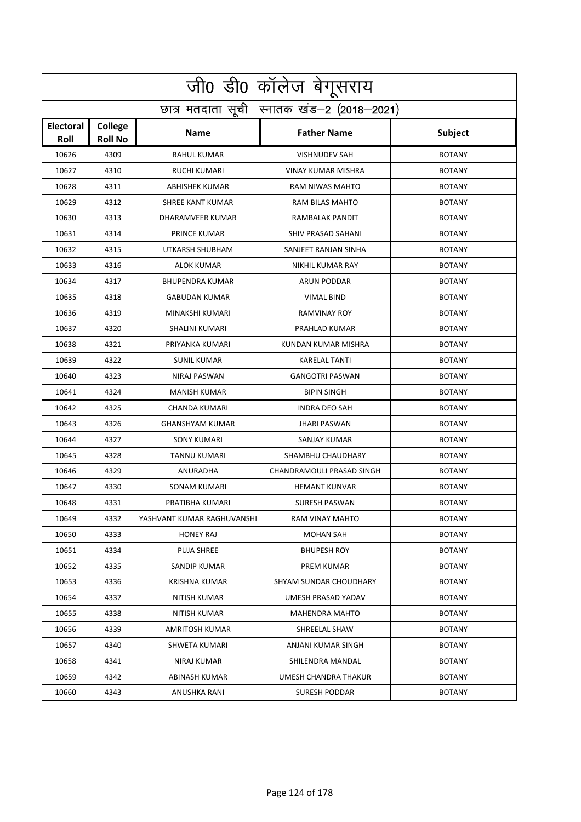|                          | जी0 डी0 कॉलेज बेगूसराय                     |                            |                           |                |  |  |
|--------------------------|--------------------------------------------|----------------------------|---------------------------|----------------|--|--|
|                          | छात्र मतदाता सूची स्नातक खंड-2 (2018-2021) |                            |                           |                |  |  |
| <b>Electoral</b><br>Roll | College<br><b>Roll No</b>                  | <b>Name</b>                | <b>Father Name</b>        | <b>Subject</b> |  |  |
| 10626                    | 4309                                       | <b>RAHUL KUMAR</b>         | <b>VISHNUDEV SAH</b>      | <b>BOTANY</b>  |  |  |
| 10627                    | 4310                                       | <b>RUCHI KUMARI</b>        | <b>VINAY KUMAR MISHRA</b> | <b>BOTANY</b>  |  |  |
| 10628                    | 4311                                       | <b>ABHISHEK KUMAR</b>      | RAM NIWAS MAHTO           | <b>BOTANY</b>  |  |  |
| 10629                    | 4312                                       | <b>SHREE KANT KUMAR</b>    | RAM BILAS MAHTO           | <b>BOTANY</b>  |  |  |
| 10630                    | 4313                                       | DHARAMVEER KUMAR           | RAMBALAK PANDIT           | <b>BOTANY</b>  |  |  |
| 10631                    | 4314                                       | PRINCE KUMAR               | SHIV PRASAD SAHANI        | <b>BOTANY</b>  |  |  |
| 10632                    | 4315                                       | UTKARSH SHUBHAM            | SANJEET RANJAN SINHA      | <b>BOTANY</b>  |  |  |
| 10633                    | 4316                                       | <b>ALOK KUMAR</b>          | NIKHIL KUMAR RAY          | <b>BOTANY</b>  |  |  |
| 10634                    | 4317                                       | <b>BHUPENDRA KUMAR</b>     | <b>ARUN PODDAR</b>        | <b>BOTANY</b>  |  |  |
| 10635                    | 4318                                       | <b>GABUDAN KUMAR</b>       | <b>VIMAL BIND</b>         | <b>BOTANY</b>  |  |  |
| 10636                    | 4319                                       | MINAKSHI KUMARI            | <b>RAMVINAY ROY</b>       | <b>BOTANY</b>  |  |  |
| 10637                    | 4320                                       | SHALINI KUMARI             | PRAHLAD KUMAR             | <b>BOTANY</b>  |  |  |
| 10638                    | 4321                                       | PRIYANKA KUMARI            | KUNDAN KUMAR MISHRA       | <b>BOTANY</b>  |  |  |
| 10639                    | 4322                                       | <b>SUNIL KUMAR</b>         | <b>KARELAL TANTI</b>      | <b>BOTANY</b>  |  |  |
| 10640                    | 4323                                       | NIRAJ PASWAN               | <b>GANGOTRI PASWAN</b>    | <b>BOTANY</b>  |  |  |
| 10641                    | 4324                                       | <b>MANISH KUMAR</b>        | <b>BIPIN SINGH</b>        | <b>BOTANY</b>  |  |  |
| 10642                    | 4325                                       | CHANDA KUMARI              | <b>INDRA DEO SAH</b>      | <b>BOTANY</b>  |  |  |
| 10643                    | 4326                                       | <b>GHANSHYAM KUMAR</b>     | <b>JHARI PASWAN</b>       | <b>BOTANY</b>  |  |  |
| 10644                    | 4327                                       | <b>SONY KUMARI</b>         | SANJAY KUMAR              | <b>BOTANY</b>  |  |  |
| 10645                    | 4328                                       | TANNU KUMARI               | SHAMBHU CHAUDHARY         | <b>BOTANY</b>  |  |  |
| 10646                    | 4329                                       | ANURADHA                   | CHANDRAMOULI PRASAD SINGH | <b>BOTANY</b>  |  |  |
| 10647                    | 4330                                       | SONAM KUMARI               | <b>HEMANT KUNVAR</b>      | <b>BOTANY</b>  |  |  |
| 10648                    | 4331                                       | PRATIBHA KUMARI            | SURESH PASWAN             | <b>BOTANY</b>  |  |  |
| 10649                    | 4332                                       | YASHVANT KUMAR RAGHUVANSHI | RAM VINAY MAHTO           | <b>BOTANY</b>  |  |  |
| 10650                    | 4333                                       | <b>HONEY RAJ</b>           | <b>MOHAN SAH</b>          | <b>BOTANY</b>  |  |  |
| 10651                    | 4334                                       | <b>PUJA SHREE</b>          | <b>BHUPESH ROY</b>        | <b>BOTANY</b>  |  |  |
| 10652                    | 4335                                       | <b>SANDIP KUMAR</b>        | PREM KUMAR                | <b>BOTANY</b>  |  |  |
| 10653                    | 4336                                       | KRISHNA KUMAR              | SHYAM SUNDAR CHOUDHARY    | BOTANY         |  |  |
| 10654                    | 4337                                       | NITISH KUMAR               | UMESH PRASAD YADAV        | BOTANY         |  |  |
| 10655                    | 4338                                       | NITISH KUMAR               | <b>MAHENDRA MAHTO</b>     | <b>BOTANY</b>  |  |  |
| 10656                    | 4339                                       | AMRITOSH KUMAR             | SHREELAL SHAW             | <b>BOTANY</b>  |  |  |
| 10657                    | 4340                                       | SHWETA KUMARI              | ANJANI KUMAR SINGH        | <b>BOTANY</b>  |  |  |
| 10658                    | 4341                                       | NIRAJ KUMAR                | SHILENDRA MANDAL          | <b>BOTANY</b>  |  |  |
| 10659                    | 4342                                       | ABINASH KUMAR              | UMESH CHANDRA THAKUR      | <b>BOTANY</b>  |  |  |
| 10660                    | 4343                                       | ANUSHKA RANI               | SURESH PODDAR             | BOTANY         |  |  |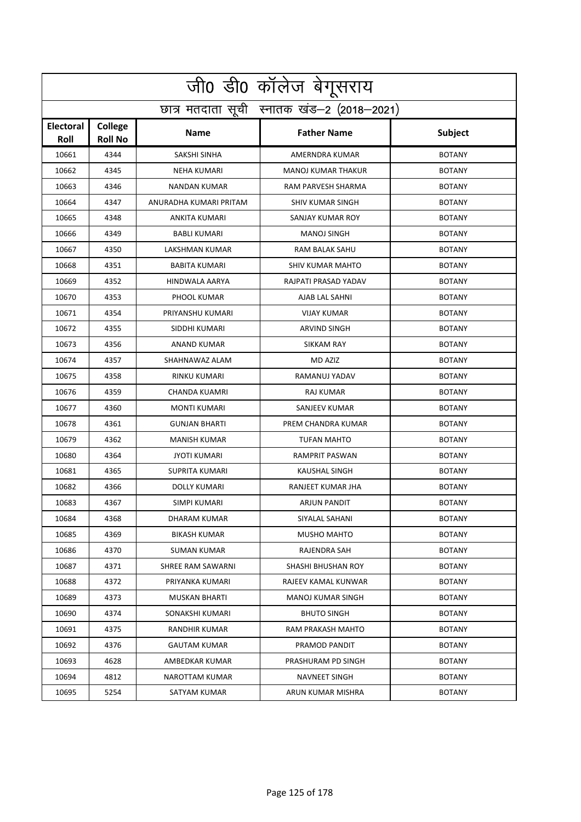|                          | <u>जी0 डी0 कॉलेज बेगू</u> सराय             |                        |                           |                |  |  |
|--------------------------|--------------------------------------------|------------------------|---------------------------|----------------|--|--|
|                          | छात्र मतदाता सूची स्नातक खंड-2 (2018-2021) |                        |                           |                |  |  |
| <b>Electoral</b><br>Roll | College<br><b>Roll No</b>                  | <b>Name</b>            | <b>Father Name</b>        | <b>Subject</b> |  |  |
| 10661                    | 4344                                       | <b>SAKSHI SINHA</b>    | AMERNDRA KUMAR            | <b>BOTANY</b>  |  |  |
| 10662                    | 4345                                       | <b>NEHA KUMARI</b>     | <b>MANOJ KUMAR THAKUR</b> | <b>BOTANY</b>  |  |  |
| 10663                    | 4346                                       | <b>NANDAN KUMAR</b>    | RAM PARVESH SHARMA        | <b>BOTANY</b>  |  |  |
| 10664                    | 4347                                       | ANURADHA KUMARI PRITAM | SHIV KUMAR SINGH          | <b>BOTANY</b>  |  |  |
| 10665                    | 4348                                       | ANKITA KUMARI          | SANJAY KUMAR ROY          | <b>BOTANY</b>  |  |  |
| 10666                    | 4349                                       | <b>BABLI KUMARI</b>    | <b>MANOJ SINGH</b>        | <b>BOTANY</b>  |  |  |
| 10667                    | 4350                                       | LAKSHMAN KUMAR         | RAM BALAK SAHU            | <b>BOTANY</b>  |  |  |
| 10668                    | 4351                                       | <b>BABITA KUMARI</b>   | <b>SHIV KUMAR MAHTO</b>   | <b>BOTANY</b>  |  |  |
| 10669                    | 4352                                       | HINDWALA AARYA         | RAJPATI PRASAD YADAV      | <b>BOTANY</b>  |  |  |
| 10670                    | 4353                                       | PHOOL KUMAR            | AJAB LAL SAHNI            | <b>BOTANY</b>  |  |  |
| 10671                    | 4354                                       | PRIYANSHU KUMARI       | <b>VIJAY KUMAR</b>        | <b>BOTANY</b>  |  |  |
| 10672                    | 4355                                       | SIDDHI KUMARI          | <b>ARVIND SINGH</b>       | <b>BOTANY</b>  |  |  |
| 10673                    | 4356                                       | ANAND KUMAR            | <b>SIKKAM RAY</b>         | <b>BOTANY</b>  |  |  |
| 10674                    | 4357                                       | SHAHNAWAZ ALAM         | <b>MD AZIZ</b>            | <b>BOTANY</b>  |  |  |
| 10675                    | 4358                                       | RINKU KUMARI           | RAMANUJ YADAV             | <b>BOTANY</b>  |  |  |
| 10676                    | 4359                                       | <b>CHANDA KUAMRI</b>   | RAJ KUMAR                 | <b>BOTANY</b>  |  |  |
| 10677                    | 4360                                       | <b>MONTI KUMARI</b>    | SANJEEV KUMAR             | <b>BOTANY</b>  |  |  |
| 10678                    | 4361                                       | <b>GUNJAN BHARTI</b>   | PREM CHANDRA KUMAR        | <b>BOTANY</b>  |  |  |
| 10679                    | 4362                                       | <b>MANISH KUMAR</b>    | <b>TUFAN MAHTO</b>        | <b>BOTANY</b>  |  |  |
| 10680                    | 4364                                       | <b>JYOTI KUMARI</b>    | <b>RAMPRIT PASWAN</b>     | <b>BOTANY</b>  |  |  |
| 10681                    | 4365                                       | SUPRITA KUMARI         | KAUSHAL SINGH             | <b>BOTANY</b>  |  |  |
| 10682                    | 4366                                       | <b>DOLLY KUMARI</b>    | RANJEET KUMAR JHA         | <b>BOTANY</b>  |  |  |
| 10683                    | 4367                                       | SIMPI KUMARI           | ARJUN PANDIT              | <b>BOTANY</b>  |  |  |
| 10684                    | 4368                                       | DHARAM KUMAR           | SIYALAL SAHANI            | <b>BOTANY</b>  |  |  |
| 10685                    | 4369                                       | <b>BIKASH KUMAR</b>    | MUSHO MAHTO               | <b>BOTANY</b>  |  |  |
| 10686                    | 4370                                       | <b>SUMAN KUMAR</b>     | RAJENDRA SAH              | <b>BOTANY</b>  |  |  |
| 10687                    | 4371                                       | SHREE RAM SAWARNI      | SHASHI BHUSHAN ROY        | <b>BOTANY</b>  |  |  |
| 10688                    | 4372                                       | PRIYANKA KUMARI        | RAJEEV KAMAL KUNWAR       | <b>BOTANY</b>  |  |  |
| 10689                    | 4373                                       | MUSKAN BHARTI          | MANOJ KUMAR SINGH         | <b>BOTANY</b>  |  |  |
| 10690                    | 4374                                       | SONAKSHI KUMARI        | <b>BHUTO SINGH</b>        | <b>BOTANY</b>  |  |  |
| 10691                    | 4375                                       | RANDHIR KUMAR          | RAM PRAKASH MAHTO         | <b>BOTANY</b>  |  |  |
| 10692                    | 4376                                       | <b>GAUTAM KUMAR</b>    | PRAMOD PANDIT             | <b>BOTANY</b>  |  |  |
| 10693                    | 4628                                       | AMBEDKAR KUMAR         | PRASHURAM PD SINGH        | <b>BOTANY</b>  |  |  |
| 10694                    | 4812                                       | NAROTTAM KUMAR         | NAVNEET SINGH             | <b>BOTANY</b>  |  |  |
| 10695                    | 5254                                       | SATYAM KUMAR           | ARUN KUMAR MISHRA         | <b>BOTANY</b>  |  |  |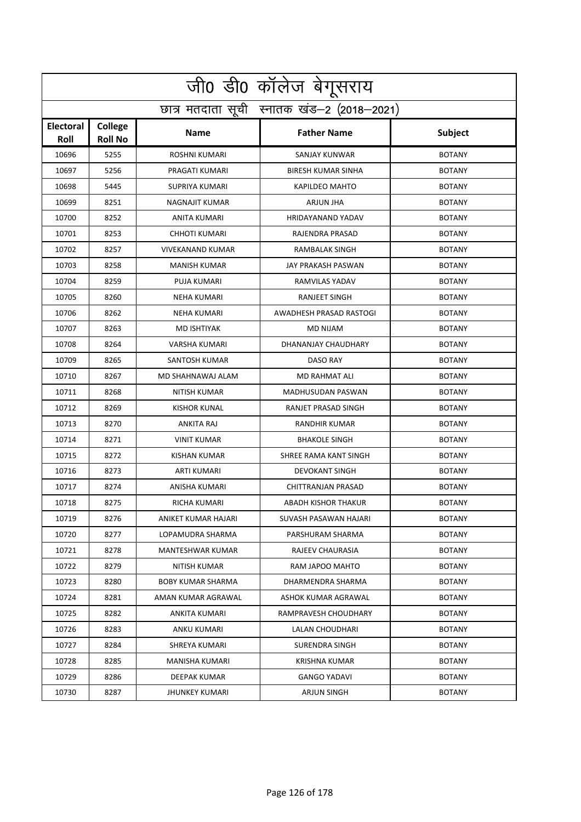|                          | <u>जी0 डी0 कॉलेज बेगू</u> सराय             |                          |                           |                |  |  |
|--------------------------|--------------------------------------------|--------------------------|---------------------------|----------------|--|--|
|                          | छात्र मतदाता सूची स्नातक खंड-2 (2018-2021) |                          |                           |                |  |  |
| <b>Electoral</b><br>Roll | College<br><b>Roll No</b>                  | <b>Name</b>              | <b>Father Name</b>        | <b>Subject</b> |  |  |
| 10696                    | 5255                                       | <b>ROSHNI KUMARI</b>     | <b>SANJAY KUNWAR</b>      | <b>BOTANY</b>  |  |  |
| 10697                    | 5256                                       | PRAGATI KUMARI           | <b>BIRESH KUMAR SINHA</b> | <b>BOTANY</b>  |  |  |
| 10698                    | 5445                                       | SUPRIYA KUMARI           | KAPILDEO MAHTO            | <b>BOTANY</b>  |  |  |
| 10699                    | 8251                                       | NAGNAJIT KUMAR           | <b>ARJUN JHA</b>          | <b>BOTANY</b>  |  |  |
| 10700                    | 8252                                       | ANITA KUMARI             | HRIDAYANAND YADAV         | <b>BOTANY</b>  |  |  |
| 10701                    | 8253                                       | <b>CHHOTI KUMARI</b>     | RAJENDRA PRASAD           | <b>BOTANY</b>  |  |  |
| 10702                    | 8257                                       | <b>VIVEKANAND KUMAR</b>  | RAMBALAK SINGH            | <b>BOTANY</b>  |  |  |
| 10703                    | 8258                                       | <b>MANISH KUMAR</b>      | JAY PRAKASH PASWAN        | <b>BOTANY</b>  |  |  |
| 10704                    | 8259                                       | PUJA KUMARI              | RAMVILAS YADAV            | <b>BOTANY</b>  |  |  |
| 10705                    | 8260                                       | <b>NEHA KUMARI</b>       | <b>RANJEET SINGH</b>      | <b>BOTANY</b>  |  |  |
| 10706                    | 8262                                       | <b>NEHA KUMARI</b>       | AWADHESH PRASAD RASTOGI   | <b>BOTANY</b>  |  |  |
| 10707                    | 8263                                       | MD ISHTIYAK              | MD NIJAM                  | <b>BOTANY</b>  |  |  |
| 10708                    | 8264                                       | <b>VARSHA KUMARI</b>     | DHANANJAY CHAUDHARY       | <b>BOTANY</b>  |  |  |
| 10709                    | 8265                                       | SANTOSH KUMAR            | <b>DASO RAY</b>           | <b>BOTANY</b>  |  |  |
| 10710                    | 8267                                       | MD SHAHNAWAJ ALAM        | MD RAHMAT ALI             | <b>BOTANY</b>  |  |  |
| 10711                    | 8268                                       | <b>NITISH KUMAR</b>      | MADHUSUDAN PASWAN         | <b>BOTANY</b>  |  |  |
| 10712                    | 8269                                       | <b>KISHOR KUNAL</b>      | RANJET PRASAD SINGH       | <b>BOTANY</b>  |  |  |
| 10713                    | 8270                                       | ANKITA RAJ               | RANDHIR KUMAR             | <b>BOTANY</b>  |  |  |
| 10714                    | 8271                                       | <b>VINIT KUMAR</b>       | <b>BHAKOLE SINGH</b>      | <b>BOTANY</b>  |  |  |
| 10715                    | 8272                                       | <b>KISHAN KUMAR</b>      | SHREE RAMA KANT SINGH     | <b>BOTANY</b>  |  |  |
| 10716                    | 8273                                       | <b>ARTI KUMARI</b>       | <b>DEVOKANT SINGH</b>     | <b>BOTANY</b>  |  |  |
| 10717                    | 8274                                       | ANISHA KUMARI            | CHITTRANJAN PRASAD        | <b>BOTANY</b>  |  |  |
| 10718                    | 8275                                       | RICHA KUMARI             | ABADH KISHOR THAKUR       | <b>BOTANY</b>  |  |  |
| 10719                    | 8276                                       | ANIKET KUMAR HAJARI      | SUVASH PASAWAN HAJARI     | <b>BOTANY</b>  |  |  |
| 10720                    | 8277                                       | LOPAMUDRA SHARMA         | PARSHURAM SHARMA          | <b>BOTANY</b>  |  |  |
| 10721                    | 8278                                       | MANTESHWAR KUMAR         | RAJEEV CHAURASIA          | <b>BOTANY</b>  |  |  |
| 10722                    | 8279                                       | NITISH KUMAR             | RAM JAPOO MAHTO           | <b>BOTANY</b>  |  |  |
| 10723                    | 8280                                       | <b>BOBY KUMAR SHARMA</b> | DHARMENDRA SHARMA         | <b>BOTANY</b>  |  |  |
| 10724                    | 8281                                       | AMAN KUMAR AGRAWAL       | ASHOK KUMAR AGRAWAL       | <b>BOTANY</b>  |  |  |
| 10725                    | 8282                                       | ANKITA KUMARI            | RAMPRAVESH CHOUDHARY      | <b>BOTANY</b>  |  |  |
| 10726                    | 8283                                       | ANKU KUMARI              | LALAN CHOUDHARI           | <b>BOTANY</b>  |  |  |
| 10727                    | 8284                                       | SHREYA KUMARI            | SURENDRA SINGH            | <b>BOTANY</b>  |  |  |
| 10728                    | 8285                                       | MANISHA KUMARI           | <b>KRISHNA KUMAR</b>      | <b>BOTANY</b>  |  |  |
| 10729                    | 8286                                       | DEEPAK KUMAR             | <b>GANGO YADAVI</b>       | <b>BOTANY</b>  |  |  |
| 10730                    | 8287                                       | JHUNKEY KUMARI           | ARJUN SINGH               | <b>BOTANY</b>  |  |  |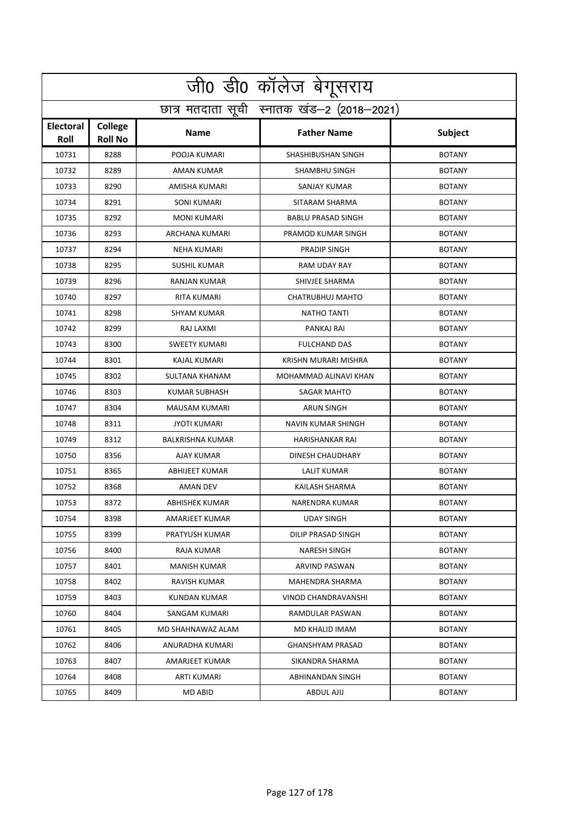|                          | जी0 डी0 कॉलेज बेगूसराय                     |                         |                           |                |  |  |
|--------------------------|--------------------------------------------|-------------------------|---------------------------|----------------|--|--|
|                          | छात्र मतदाता सूची स्नातक खंड-2 (2018-2021) |                         |                           |                |  |  |
| <b>Electoral</b><br>Roll | College<br><b>Roll No</b>                  | <b>Name</b>             | <b>Father Name</b>        | <b>Subject</b> |  |  |
| 10731                    | 8288                                       | POOJA KUMARI            | <b>SHASHIBUSHAN SINGH</b> | <b>BOTANY</b>  |  |  |
| 10732                    | 8289                                       | AMAN KUMAR              | SHAMBHU SINGH             | <b>BOTANY</b>  |  |  |
| 10733                    | 8290                                       | <b>AMISHA KUMARI</b>    | <b>SANJAY KUMAR</b>       | <b>BOTANY</b>  |  |  |
| 10734                    | 8291                                       | <b>SONI KUMARI</b>      | SITARAM SHARMA            | <b>BOTANY</b>  |  |  |
| 10735                    | 8292                                       | <b>MONI KUMARI</b>      | <b>BABLU PRASAD SINGH</b> | <b>BOTANY</b>  |  |  |
| 10736                    | 8293                                       | ARCHANA KUMARI          | PRAMOD KUMAR SINGH        | <b>BOTANY</b>  |  |  |
| 10737                    | 8294                                       | <b>NEHA KUMARI</b>      | <b>PRADIP SINGH</b>       | <b>BOTANY</b>  |  |  |
| 10738                    | 8295                                       | <b>SUSHIL KUMAR</b>     | RAM UDAY RAY              | <b>BOTANY</b>  |  |  |
| 10739                    | 8296                                       | <b>RANJAN KUMAR</b>     | SHIVJEE SHARMA            | <b>BOTANY</b>  |  |  |
| 10740                    | 8297                                       | <b>RITA KUMARI</b>      | <b>CHATRUBHUJ MAHTO</b>   | <b>BOTANY</b>  |  |  |
| 10741                    | 8298                                       | <b>SHYAM KUMAR</b>      | <b>NATHO TANTI</b>        | <b>BOTANY</b>  |  |  |
| 10742                    | 8299                                       | RAJ LAXMI               | PANKAJ RAI                | <b>BOTANY</b>  |  |  |
| 10743                    | 8300                                       | <b>SWEETY KUMARI</b>    | <b>FULCHAND DAS</b>       | BOTANY         |  |  |
| 10744                    | 8301                                       | KAJAL KUMARI            | KRISHN MURARI MISHRA      | <b>BOTANY</b>  |  |  |
| 10745                    | 8302                                       | SULTANA KHANAM          | MOHAMMAD ALINAVI KHAN     | <b>BOTANY</b>  |  |  |
| 10746                    | 8303                                       | KUMAR SUBHASH           | SAGAR MAHTO               | <b>BOTANY</b>  |  |  |
| 10747                    | 8304                                       | MAUSAM KUMARI           | <b>ARUN SINGH</b>         | <b>BOTANY</b>  |  |  |
| 10748                    | 8311                                       | <b>JYOTI KUMARI</b>     | NAVIN KUMAR SHINGH        | <b>BOTANY</b>  |  |  |
| 10749                    | 8312                                       | <b>BALKRISHNA KUMAR</b> | HARISHANKAR RAI           | <b>BOTANY</b>  |  |  |
| 10750                    | 8356                                       | AJAY KUMAR              | DINESH CHAUDHARY          | <b>BOTANY</b>  |  |  |
| 10751                    | 8365                                       | <b>ABHIJEET KUMAR</b>   | <b>LALIT KUMAR</b>        | <b>BOTANY</b>  |  |  |
| 10752                    | 8368                                       | <b>AMAN DEV</b>         | KAILASH SHARMA            | <b>BOTANY</b>  |  |  |
| 10753                    | 8372                                       | ABHISHEK KUMAR          | <b>NARENDRA KUMAR</b>     | <b>BOTANY</b>  |  |  |
| 10754                    | 8398                                       | AMARJEET KUMAR          | <b>UDAY SINGH</b>         | <b>BOTANY</b>  |  |  |
| 10755                    | 8399                                       | PRATYUSH KUMAR          | DILIP PRASAD SINGH        | <b>BOTANY</b>  |  |  |
| 10756                    | 8400                                       | RAJA KUMAR              | <b>NARESH SINGH</b>       | <b>BOTANY</b>  |  |  |
| 10757                    | 8401                                       | <b>MANISH KUMAR</b>     | ARVIND PASWAN             | <b>BOTANY</b>  |  |  |
| 10758                    | 8402                                       | RAVISH KUMAR            | MAHENDRA SHARMA           | BOTANY         |  |  |
| 10759                    | 8403                                       | KUNDAN KUMAR            | VINOD CHANDRAVANSHI       | BOTANY         |  |  |
| 10760                    | 8404                                       | SANGAM KUMARI           | RAMDULAR PASWAN           | <b>BOTANY</b>  |  |  |
| 10761                    | 8405                                       | MD SHAHNAWAZ ALAM       | MD KHALID IMAM            | <b>BOTANY</b>  |  |  |
| 10762                    | 8406                                       | ANURADHA KUMARI         | GHANSHYAM PRASAD          | <b>BOTANY</b>  |  |  |
| 10763                    | 8407                                       | AMARJEET KUMAR          | SIKANDRA SHARMA           | <b>BOTANY</b>  |  |  |
| 10764                    | 8408                                       | ARTI KUMARI             | ABHINANDAN SINGH          | <b>BOTANY</b>  |  |  |
| 10765                    | 8409                                       | MD ABID                 | ABDUL AJIJ                | <b>BOTANY</b>  |  |  |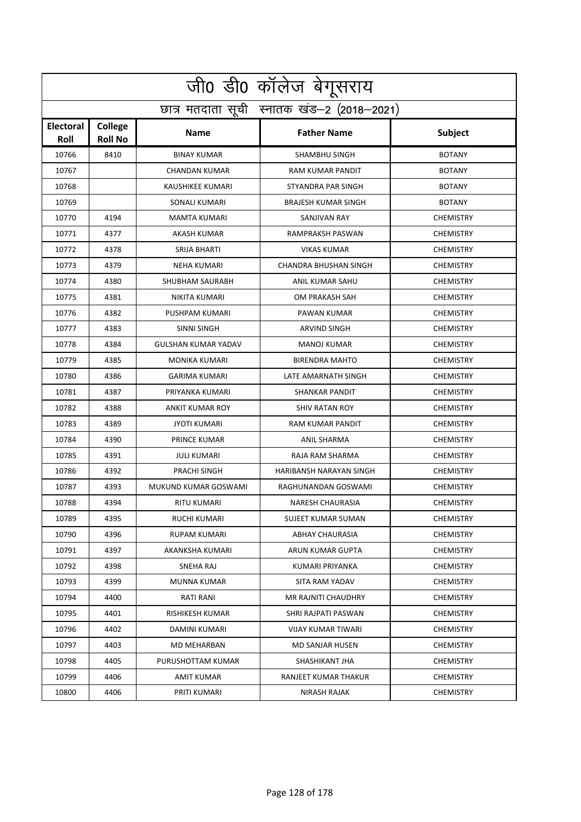|                          | <u>जी0 डी0 कॉलेज बेगू</u> सराय             |                            |                            |                  |  |  |
|--------------------------|--------------------------------------------|----------------------------|----------------------------|------------------|--|--|
|                          | छात्र मतदाता सूची स्नातक खंड-2 (2018-2021) |                            |                            |                  |  |  |
| <b>Electoral</b><br>Roll | College<br><b>Roll No</b>                  | <b>Name</b>                | <b>Father Name</b>         | Subject          |  |  |
| 10766                    | 8410                                       | <b>BINAY KUMAR</b>         | <b>SHAMBHU SINGH</b>       | <b>BOTANY</b>    |  |  |
| 10767                    |                                            | <b>CHANDAN KUMAR</b>       | <b>RAM KUMAR PANDIT</b>    | <b>BOTANY</b>    |  |  |
| 10768                    |                                            | KAUSHIKEE KUMARI           | STYANDRA PAR SINGH         | <b>BOTANY</b>    |  |  |
| 10769                    |                                            | SONALI KUMARI              | <b>BRAJESH KUMAR SINGH</b> | <b>BOTANY</b>    |  |  |
| 10770                    | 4194                                       | MAMTA KUMARI               | SANJIVAN RAY               | <b>CHEMISTRY</b> |  |  |
| 10771                    | 4377                                       | AKASH KUMAR                | RAMPRAKSH PASWAN           | <b>CHEMISTRY</b> |  |  |
| 10772                    | 4378                                       | SRIJA BHARTI               | <b>VIKAS KUMAR</b>         | <b>CHEMISTRY</b> |  |  |
| 10773                    | 4379                                       | <b>NEHA KUMARI</b>         | CHANDRA BHUSHAN SINGH      | <b>CHEMISTRY</b> |  |  |
| 10774                    | 4380                                       | SHUBHAM SAURABH            | <b>ANIL KUMAR SAHU</b>     | <b>CHEMISTRY</b> |  |  |
| 10775                    | 4381                                       | NIKITA KUMARI              | OM PRAKASH SAH             | <b>CHEMISTRY</b> |  |  |
| 10776                    | 4382                                       | PUSHPAM KUMARI             | PAWAN KUMAR                | <b>CHEMISTRY</b> |  |  |
| 10777                    | 4383                                       | <b>SINNI SINGH</b>         | <b>ARVIND SINGH</b>        | <b>CHEMISTRY</b> |  |  |
| 10778                    | 4384                                       | <b>GULSHAN KUMAR YADAV</b> | <b>MANOJ KUMAR</b>         | <b>CHEMISTRY</b> |  |  |
| 10779                    | 4385                                       | <b>MONIKA KUMARI</b>       | <b>BIRENDRA MAHTO</b>      | <b>CHEMISTRY</b> |  |  |
| 10780                    | 4386                                       | <b>GARIMA KUMARI</b>       | LATE AMARNATH SINGH        | <b>CHEMISTRY</b> |  |  |
| 10781                    | 4387                                       | PRIYANKA KUMARI            | SHANKAR PANDIT             | <b>CHEMISTRY</b> |  |  |
| 10782                    | 4388                                       | <b>ANKIT KUMAR ROY</b>     | <b>SHIV RATAN ROY</b>      | <b>CHEMISTRY</b> |  |  |
| 10783                    | 4389                                       | <b>JYOTI KUMARI</b>        | RAM KUMAR PANDIT           | <b>CHEMISTRY</b> |  |  |
| 10784                    | 4390                                       | PRINCE KUMAR               | ANIL SHARMA                | <b>CHEMISTRY</b> |  |  |
| 10785                    | 4391                                       | <b>JULI KUMARI</b>         | RAJA RAM SHARMA            | <b>CHEMISTRY</b> |  |  |
| 10786                    | 4392                                       | PRACHI SINGH               | HARIBANSH NARAYAN SINGH    | <b>CHEMISTRY</b> |  |  |
| 10787                    | 4393                                       | MUKUND KUMAR GOSWAMI       | RAGHUNANDAN GOSWAMI        | <b>CHEMISTRY</b> |  |  |
| 10788                    | 4394                                       | <b>RITU KUMARI</b>         | NARESH CHAURASIA           | <b>CHEMISTRY</b> |  |  |
| 10789                    | 4395                                       | RUCHI KUMARI               | SUJEET KUMAR SUMAN         | <b>CHEMISTRY</b> |  |  |
| 10790                    | 4396                                       | <b>RUPAM KUMARI</b>        | ABHAY CHAURASIA            | <b>CHEMISTRY</b> |  |  |
| 10791                    | 4397                                       | AKANKSHA KUMARI            | ARUN KUMAR GUPTA           | <b>CHEMISTRY</b> |  |  |
| 10792                    | 4398                                       | SNEHA RAJ                  | KUMARI PRIYANKA            | <b>CHEMISTRY</b> |  |  |
| 10793                    | 4399                                       | MUNNA KUMAR                | SITA RAM YADAV             | <b>CHEMISTRY</b> |  |  |
| 10794                    | 4400                                       | RATI RANI                  | <b>MR RAJNITI CHAUDHRY</b> | <b>CHEMISTRY</b> |  |  |
| 10795                    | 4401                                       | <b>RISHIKESH KUMAR</b>     | SHRI RAJPATI PASWAN        | <b>CHEMISTRY</b> |  |  |
| 10796                    | 4402                                       | DAMINI KUMARI              | <b>VIJAY KUMAR TIWARI</b>  | <b>CHEMISTRY</b> |  |  |
| 10797                    | 4403                                       | MD MEHARBAN                | MD SANJAR HUSEN            | <b>CHEMISTRY</b> |  |  |
| 10798                    | 4405                                       | PURUSHOTTAM KUMAR          | SHASHIKANT JHA             | <b>CHEMISTRY</b> |  |  |
| 10799                    | 4406                                       | AMIT KUMAR                 | RANJEET KUMAR THAKUR       | <b>CHEMISTRY</b> |  |  |
| 10800                    | 4406                                       | PRITI KUMARI               | NIRASH RAJAK               | <b>CHEMISTRY</b> |  |  |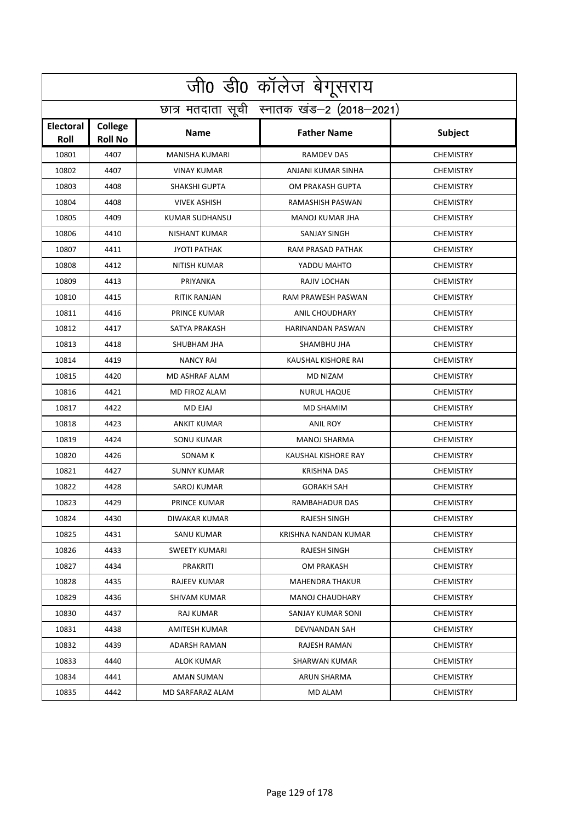|                          | जी0 डी0 कॉलेज बेगूसराय                     |                       |                           |                  |  |  |
|--------------------------|--------------------------------------------|-----------------------|---------------------------|------------------|--|--|
|                          | छात्र मतदाता सूची स्नातक खंड-2 (2018-2021) |                       |                           |                  |  |  |
| <b>Electoral</b><br>Roll | College<br><b>Roll No</b>                  | <b>Name</b>           | <b>Father Name</b>        | Subject          |  |  |
| 10801                    | 4407                                       | <b>MANISHA KUMARI</b> | <b>RAMDEV DAS</b>         | <b>CHEMISTRY</b> |  |  |
| 10802                    | 4407                                       | <b>VINAY KUMAR</b>    | ANJANI KUMAR SINHA        | <b>CHEMISTRY</b> |  |  |
| 10803                    | 4408                                       | <b>SHAKSHI GUPTA</b>  | OM PRAKASH GUPTA          | <b>CHEMISTRY</b> |  |  |
| 10804                    | 4408                                       | <b>VIVEK ASHISH</b>   | RAMASHISH PASWAN          | <b>CHEMISTRY</b> |  |  |
| 10805                    | 4409                                       | KUMAR SUDHANSU        | MANOJ KUMAR JHA           | <b>CHEMISTRY</b> |  |  |
| 10806                    | 4410                                       | NISHANT KUMAR         | SANJAY SINGH              | <b>CHEMISTRY</b> |  |  |
| 10807                    | 4411                                       | <b>JYOTI PATHAK</b>   | RAM PRASAD PATHAK         | <b>CHEMISTRY</b> |  |  |
| 10808                    | 4412                                       | <b>NITISH KUMAR</b>   | YADDU MAHTO               | <b>CHEMISTRY</b> |  |  |
| 10809                    | 4413                                       | PRIYANKA              | RAJIV LOCHAN              | <b>CHEMISTRY</b> |  |  |
| 10810                    | 4415                                       | <b>RITIK RANJAN</b>   | <b>RAM PRAWESH PASWAN</b> | <b>CHEMISTRY</b> |  |  |
| 10811                    | 4416                                       | PRINCE KUMAR          | <b>ANIL CHOUDHARY</b>     | <b>CHEMISTRY</b> |  |  |
| 10812                    | 4417                                       | SATYA PRAKASH         | HARINANDAN PASWAN         | <b>CHEMISTRY</b> |  |  |
| 10813                    | 4418                                       | SHUBHAM JHA           | SHAMBHU JHA               | <b>CHEMISTRY</b> |  |  |
| 10814                    | 4419                                       | <b>NANCY RAI</b>      | KAUSHAL KISHORE RAI       | <b>CHEMISTRY</b> |  |  |
| 10815                    | 4420                                       | MD ASHRAF ALAM        | <b>MD NIZAM</b>           | <b>CHEMISTRY</b> |  |  |
| 10816                    | 4421                                       | MD FIROZ ALAM         | <b>NURUL HAQUE</b>        | <b>CHEMISTRY</b> |  |  |
| 10817                    | 4422                                       | <b>MD EJAJ</b>        | <b>MD SHAMIM</b>          | <b>CHEMISTRY</b> |  |  |
| 10818                    | 4423                                       | <b>ANKIT KUMAR</b>    | <b>ANIL ROY</b>           | <b>CHEMISTRY</b> |  |  |
| 10819                    | 4424                                       | SONU KUMAR            | <b>MANOJ SHARMA</b>       | <b>CHEMISTRY</b> |  |  |
| 10820                    | 4426                                       | <b>SONAM K</b>        | KAUSHAL KISHORE RAY       | <b>CHEMISTRY</b> |  |  |
| 10821                    | 4427                                       | <b>SUNNY KUMAR</b>    | <b>KRISHNA DAS</b>        | <b>CHEMISTRY</b> |  |  |
| 10822                    | 4428                                       | SAROJ KUMAR           | <b>GORAKH SAH</b>         | <b>CHEMISTRY</b> |  |  |
| 10823                    | 4429                                       | <b>PRINCE KUMAR</b>   | RAMBAHADUR DAS            | <b>CHEMISTRY</b> |  |  |
| 10824                    | 4430                                       | DIWAKAR KUMAR         | RAJESH SINGH              | <b>CHEMISTRY</b> |  |  |
| 10825                    | 4431                                       | SANU KUMAR            | KRISHNA NANDAN KUMAR      | <b>CHEMISTRY</b> |  |  |
| 10826                    | 4433                                       | SWEETY KUMARI         | RAJESH SINGH              | <b>CHEMISTRY</b> |  |  |
| 10827                    | 4434                                       | PRAKRITI              | OM PRAKASH                | <b>CHEMISTRY</b> |  |  |
| 10828                    | 4435                                       | RAJEEV KUMAR          | <b>MAHENDRA THAKUR</b>    | <b>CHEMISTRY</b> |  |  |
| 10829                    | 4436                                       | SHIVAM KUMAR          | MANOJ CHAUDHARY           | <b>CHEMISTRY</b> |  |  |
| 10830                    | 4437                                       | RAJ KUMAR             | SANJAY KUMAR SONI         | <b>CHEMISTRY</b> |  |  |
| 10831                    | 4438                                       | AMITESH KUMAR         | DEVNANDAN SAH             | <b>CHEMISTRY</b> |  |  |
| 10832                    | 4439                                       | ADARSH RAMAN          | RAJESH RAMAN              | <b>CHEMISTRY</b> |  |  |
| 10833                    | 4440                                       | ALOK KUMAR            | SHARWAN KUMAR             | <b>CHEMISTRY</b> |  |  |
| 10834                    | 4441                                       | AMAN SUMAN            | ARUN SHARMA               | <b>CHEMISTRY</b> |  |  |
| 10835                    | 4442                                       | MD SARFARAZ ALAM      | MD ALAM                   | <b>CHEMISTRY</b> |  |  |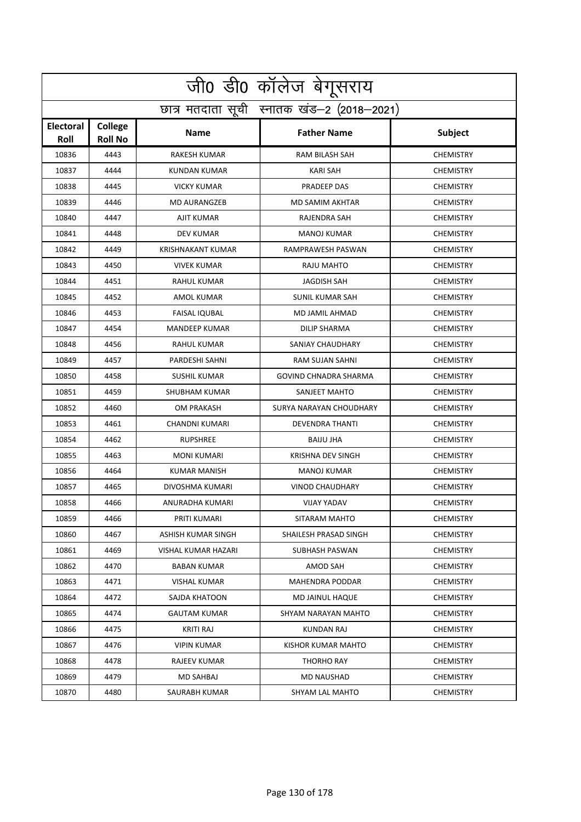|                          | जी0 डी0 कॉलेज बेगूसराय                     |                          |                              |                  |  |  |
|--------------------------|--------------------------------------------|--------------------------|------------------------------|------------------|--|--|
|                          | छात्र मतदाता सूची स्नातक खंड-2 (2018-2021) |                          |                              |                  |  |  |
| <b>Electoral</b><br>Roll | <b>College</b><br><b>Roll No</b>           | <b>Name</b>              | <b>Father Name</b>           | Subject          |  |  |
| 10836                    | 4443                                       | <b>RAKESH KUMAR</b>      | <b>RAM BILASH SAH</b>        | <b>CHEMISTRY</b> |  |  |
| 10837                    | 4444                                       | KUNDAN KUMAR             | <b>KARI SAH</b>              | <b>CHEMISTRY</b> |  |  |
| 10838                    | 4445                                       | <b>VICKY KUMAR</b>       | <b>PRADEEP DAS</b>           | <b>CHEMISTRY</b> |  |  |
| 10839                    | 4446                                       | <b>MD AURANGZEB</b>      | <b>MD SAMIM AKHTAR</b>       | <b>CHEMISTRY</b> |  |  |
| 10840                    | 4447                                       | AJIT KUMAR               | RAJENDRA SAH                 | <b>CHEMISTRY</b> |  |  |
| 10841                    | 4448                                       | <b>DEV KUMAR</b>         | <b>MANOJ KUMAR</b>           | <b>CHEMISTRY</b> |  |  |
| 10842                    | 4449                                       | <b>KRISHNAKANT KUMAR</b> | RAMPRAWESH PASWAN            | <b>CHEMISTRY</b> |  |  |
| 10843                    | 4450                                       | <b>VIVEK KUMAR</b>       | RAJU MAHTO                   | <b>CHEMISTRY</b> |  |  |
| 10844                    | 4451                                       | <b>RAHUL KUMAR</b>       | <b>JAGDISH SAH</b>           | <b>CHEMISTRY</b> |  |  |
| 10845                    | 4452                                       | AMOL KUMAR               | SUNIL KUMAR SAH              | <b>CHEMISTRY</b> |  |  |
| 10846                    | 4453                                       | FAISAL IQUBAL            | MD JAMIL AHMAD               | <b>CHEMISTRY</b> |  |  |
| 10847                    | 4454                                       | <b>MANDEEP KUMAR</b>     | <b>DILIP SHARMA</b>          | <b>CHEMISTRY</b> |  |  |
| 10848                    | 4456                                       | <b>RAHUL KUMAR</b>       | <b>SANIAY CHAUDHARY</b>      | <b>CHEMISTRY</b> |  |  |
| 10849                    | 4457                                       | <b>PARDESHI SAHNI</b>    | <b>RAM SUJAN SAHNI</b>       | <b>CHEMISTRY</b> |  |  |
| 10850                    | 4458                                       | <b>SUSHIL KUMAR</b>      | <b>GOVIND CHNADRA SHARMA</b> | <b>CHEMISTRY</b> |  |  |
| 10851                    | 4459                                       | <b>SHUBHAM KUMAR</b>     | SANJEET MAHTO                | <b>CHEMISTRY</b> |  |  |
| 10852                    | 4460                                       | OM PRAKASH               | SURYA NARAYAN CHOUDHARY      | <b>CHEMISTRY</b> |  |  |
| 10853                    | 4461                                       | CHANDNI KUMARI           | <b>DEVENDRA THANTI</b>       | <b>CHEMISTRY</b> |  |  |
| 10854                    | 4462                                       | <b>RUPSHREE</b>          | <b>BAIJU JHA</b>             | <b>CHEMISTRY</b> |  |  |
| 10855                    | 4463                                       | <b>MONI KUMARI</b>       | <b>KRISHNA DEV SINGH</b>     | <b>CHEMISTRY</b> |  |  |
| 10856                    | 4464                                       | <b>KUMAR MANISH</b>      | MANOJ KUMAR                  | <b>CHEMISTRY</b> |  |  |
| 10857                    | 4465                                       | DIVOSHMA KUMARI          | <b>VINOD CHAUDHARY</b>       | <b>CHEMISTRY</b> |  |  |
| 10858                    | 4466                                       | ANURADHA KUMARI          | <b>VIJAY YADAV</b>           | <b>CHEMISTRY</b> |  |  |
| 10859                    | 4466                                       | PRITI KUMARI             | SITARAM MAHTO                | <b>CHEMISTRY</b> |  |  |
| 10860                    | 4467                                       | ASHISH KUMAR SINGH       | SHAILESH PRASAD SINGH        | <b>CHEMISTRY</b> |  |  |
| 10861                    | 4469                                       | VISHAL KUMAR HAZARI      | SUBHASH PASWAN               | <b>CHEMISTRY</b> |  |  |
| 10862                    | 4470                                       | BABAN KUMAR              | AMOD SAH                     | <b>CHEMISTRY</b> |  |  |
| 10863                    | 4471                                       | VISHAL KUMAR             | <b>MAHENDRA PODDAR</b>       | <b>CHEMISTRY</b> |  |  |
| 10864                    | 4472                                       | SAJDA KHATOON            | MD JAINUL HAQUE              | <b>CHEMISTRY</b> |  |  |
| 10865                    | 4474                                       | <b>GAUTAM KUMAR</b>      | SHYAM NARAYAN MAHTO          | <b>CHEMISTRY</b> |  |  |
| 10866                    | 4475                                       | KRITI RAJ                | KUNDAN RAJ                   | <b>CHEMISTRY</b> |  |  |
| 10867                    | 4476                                       | VIPIN KUMAR              | KISHOR KUMAR MAHTO           | <b>CHEMISTRY</b> |  |  |
| 10868                    | 4478                                       | RAJEEV KUMAR             | THORHO RAY                   | <b>CHEMISTRY</b> |  |  |
| 10869                    | 4479                                       | MD SAHBAJ                | <b>MD NAUSHAD</b>            | <b>CHEMISTRY</b> |  |  |
| 10870                    | 4480                                       | SAURABH KUMAR            | SHYAM LAL MAHTO              | <b>CHEMISTRY</b> |  |  |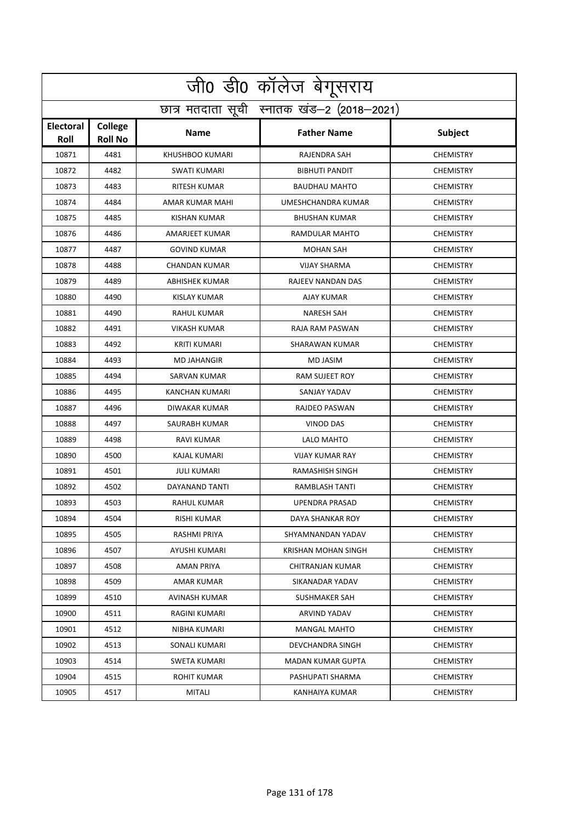|                          | जी0 डी0 कॉलेज बेगूसराय                     |                       |                        |                  |  |  |
|--------------------------|--------------------------------------------|-----------------------|------------------------|------------------|--|--|
|                          | छात्र मतदाता सूची स्नातक खंड-2 (2018-2021) |                       |                        |                  |  |  |
| <b>Electoral</b><br>Roll | College<br><b>Roll No</b>                  | <b>Name</b>           | <b>Father Name</b>     | Subject          |  |  |
| 10871                    | 4481                                       | KHUSHBOO KUMARI       | <b>RAJENDRA SAH</b>    | <b>CHEMISTRY</b> |  |  |
| 10872                    | 4482                                       | SWATI KUMARI          | <b>BIBHUTI PANDIT</b>  | <b>CHEMISTRY</b> |  |  |
| 10873                    | 4483                                       | RITESH KUMAR          | <b>BAUDHAU MAHTO</b>   | <b>CHEMISTRY</b> |  |  |
| 10874                    | 4484                                       | AMAR KUMAR MAHI       | UMESHCHANDRA KUMAR     | <b>CHEMISTRY</b> |  |  |
| 10875                    | 4485                                       | <b>KISHAN KUMAR</b>   | <b>BHUSHAN KUMAR</b>   | <b>CHEMISTRY</b> |  |  |
| 10876                    | 4486                                       | AMARJEET KUMAR        | RAMDULAR MAHTO         | <b>CHEMISTRY</b> |  |  |
| 10877                    | 4487                                       | <b>GOVIND KUMAR</b>   | <b>MOHAN SAH</b>       | <b>CHEMISTRY</b> |  |  |
| 10878                    | 4488                                       | <b>CHANDAN KUMAR</b>  | <b>VIJAY SHARMA</b>    | <b>CHEMISTRY</b> |  |  |
| 10879                    | 4489                                       | <b>ABHISHEK KUMAR</b> | RAJEEV NANDAN DAS      | <b>CHEMISTRY</b> |  |  |
| 10880                    | 4490                                       | <b>KISLAY KUMAR</b>   | <b>AJAY KUMAR</b>      | <b>CHEMISTRY</b> |  |  |
| 10881                    | 4490                                       | <b>RAHUL KUMAR</b>    | <b>NARESH SAH</b>      | <b>CHEMISTRY</b> |  |  |
| 10882                    | 4491                                       | <b>VIKASH KUMAR</b>   | RAJA RAM PASWAN        | <b>CHEMISTRY</b> |  |  |
| 10883                    | 4492                                       | <b>KRITI KUMARI</b>   | <b>SHARAWAN KUMAR</b>  | <b>CHEMISTRY</b> |  |  |
| 10884                    | 4493                                       | <b>MD JAHANGIR</b>    | MD JASIM               | <b>CHEMISTRY</b> |  |  |
| 10885                    | 4494                                       | SARVAN KUMAR          | <b>RAM SUJEET ROY</b>  | <b>CHEMISTRY</b> |  |  |
| 10886                    | 4495                                       | <b>KANCHAN KUMARI</b> | SANJAY YADAV           | <b>CHEMISTRY</b> |  |  |
| 10887                    | 4496                                       | DIWAKAR KUMAR         | RAJDEO PASWAN          | <b>CHEMISTRY</b> |  |  |
| 10888                    | 4497                                       | SAURABH KUMAR         | <b>VINOD DAS</b>       | <b>CHEMISTRY</b> |  |  |
| 10889                    | 4498                                       | RAVI KUMAR            | LALO MAHTO             | <b>CHEMISTRY</b> |  |  |
| 10890                    | 4500                                       | <b>KAJAL KUMARI</b>   | <b>VIJAY KUMAR RAY</b> | <b>CHEMISTRY</b> |  |  |
| 10891                    | 4501                                       | <b>JULI KUMARI</b>    | RAMASHISH SINGH        | <b>CHEMISTRY</b> |  |  |
| 10892                    | 4502                                       | DAYANAND TANTI        | RAMBLASH TANTI         | <b>CHEMISTRY</b> |  |  |
| 10893                    | 4503                                       | RAHUL KUMAR           | <b>UPENDRA PRASAD</b>  | <b>CHEMISTRY</b> |  |  |
| 10894                    | 4504                                       | RISHI KUMAR           | DAYA SHANKAR ROY       | <b>CHEMISTRY</b> |  |  |
| 10895                    | 4505                                       | RASHMI PRIYA          | SHYAMNANDAN YADAV      | <b>CHEMISTRY</b> |  |  |
| 10896                    | 4507                                       | AYUSHI KUMARI         | KRISHAN MOHAN SINGH    | <b>CHEMISTRY</b> |  |  |
| 10897                    | 4508                                       | AMAN PRIYA            | CHITRANJAN KUMAR       | <b>CHEMISTRY</b> |  |  |
| 10898                    | 4509                                       | AMAR KUMAR            | SIKANADAR YADAV        | <b>CHEMISTRY</b> |  |  |
| 10899                    | 4510                                       | AVINASH KUMAR         | SUSHMAKER SAH          | <b>CHEMISTRY</b> |  |  |
| 10900                    | 4511                                       | RAGINI KUMARI         | ARVIND YADAV           | <b>CHEMISTRY</b> |  |  |
| 10901                    | 4512                                       | NIBHA KUMARI          | <b>MANGAL MAHTO</b>    | <b>CHEMISTRY</b> |  |  |
| 10902                    | 4513                                       | SONALI KUMARI         | DEVCHANDRA SINGH       | <b>CHEMISTRY</b> |  |  |
| 10903                    | 4514                                       | SWETA KUMARI          | MADAN KUMAR GUPTA      | <b>CHEMISTRY</b> |  |  |
| 10904                    | 4515                                       | ROHIT KUMAR           | PASHUPATI SHARMA       | <b>CHEMISTRY</b> |  |  |
| 10905                    | 4517                                       | <b>MITALI</b>         | KANHAIYA KUMAR         | <b>CHEMISTRY</b> |  |  |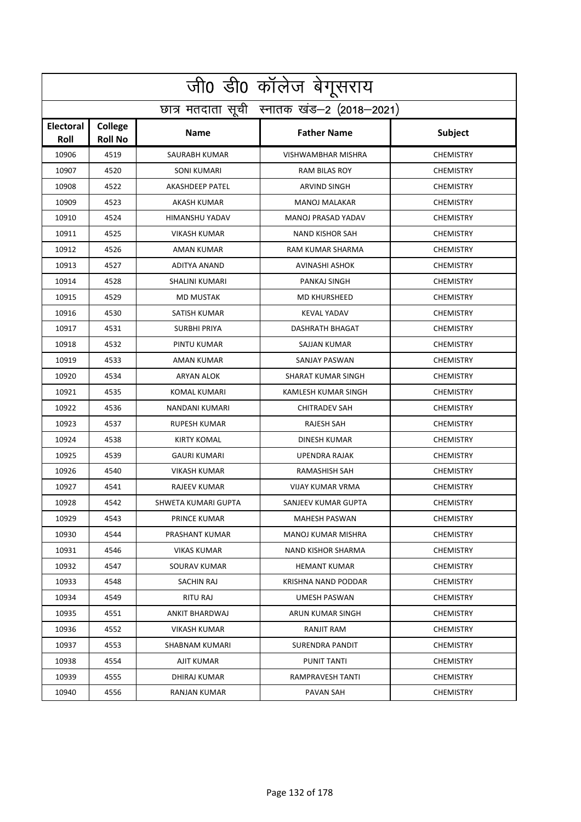|                          | जी0 डी0 कॉलेज बेगूसराय                     |                        |                           |                  |  |  |
|--------------------------|--------------------------------------------|------------------------|---------------------------|------------------|--|--|
|                          | छात्र मतदाता सूची स्नातक खंड-2 (2018-2021) |                        |                           |                  |  |  |
| <b>Electoral</b><br>Roll | College<br><b>Roll No</b>                  | <b>Name</b>            | <b>Father Name</b>        | Subject          |  |  |
| 10906                    | 4519                                       | <b>SAURABH KUMAR</b>   | <b>VISHWAMBHAR MISHRA</b> | <b>CHEMISTRY</b> |  |  |
| 10907                    | 4520                                       | <b>SONI KUMARI</b>     | RAM BILAS ROY             | <b>CHEMISTRY</b> |  |  |
| 10908                    | 4522                                       | <b>AKASHDEEP PATEL</b> | ARVIND SINGH              | <b>CHEMISTRY</b> |  |  |
| 10909                    | 4523                                       | <b>AKASH KUMAR</b>     | <b>MANOJ MALAKAR</b>      | <b>CHEMISTRY</b> |  |  |
| 10910                    | 4524                                       | HIMANSHU YADAV         | MANOJ PRASAD YADAV        | <b>CHEMISTRY</b> |  |  |
| 10911                    | 4525                                       | <b>VIKASH KUMAR</b>    | <b>NAND KISHOR SAH</b>    | <b>CHEMISTRY</b> |  |  |
| 10912                    | 4526                                       | AMAN KUMAR             | RAM KUMAR SHARMA          | <b>CHEMISTRY</b> |  |  |
| 10913                    | 4527                                       | ADITYA ANAND           | AVINASHI ASHOK            | <b>CHEMISTRY</b> |  |  |
| 10914                    | 4528                                       | <b>SHALINI KUMARI</b>  | PANKAJ SINGH              | <b>CHEMISTRY</b> |  |  |
| 10915                    | 4529                                       | <b>MD MUSTAK</b>       | <b>MD KHURSHEED</b>       | <b>CHEMISTRY</b> |  |  |
| 10916                    | 4530                                       | <b>SATISH KUMAR</b>    | <b>KEVAL YADAV</b>        | <b>CHEMISTRY</b> |  |  |
| 10917                    | 4531                                       | <b>SURBHI PRIYA</b>    | <b>DASHRATH BHAGAT</b>    | <b>CHEMISTRY</b> |  |  |
| 10918                    | 4532                                       | PINTU KUMAR            | SAJJAN KUMAR              | <b>CHEMISTRY</b> |  |  |
| 10919                    | 4533                                       | AMAN KUMAR             | <b>SANJAY PASWAN</b>      | <b>CHEMISTRY</b> |  |  |
| 10920                    | 4534                                       | <b>ARYAN ALOK</b>      | SHARAT KUMAR SINGH        | <b>CHEMISTRY</b> |  |  |
| 10921                    | 4535                                       | KOMAL KUMARI           | KAMLESH KUMAR SINGH       | <b>CHEMISTRY</b> |  |  |
| 10922                    | 4536                                       | NANDANI KUMARI         | <b>CHITRADEV SAH</b>      | <b>CHEMISTRY</b> |  |  |
| 10923                    | 4537                                       | <b>RUPESH KUMAR</b>    | RAJESH SAH                | <b>CHEMISTRY</b> |  |  |
| 10924                    | 4538                                       | <b>KIRTY KOMAL</b>     | DINESH KUMAR              | <b>CHEMISTRY</b> |  |  |
| 10925                    | 4539                                       | <b>GAURI KUMARI</b>    | <b>UPENDRA RAJAK</b>      | <b>CHEMISTRY</b> |  |  |
| 10926                    | 4540                                       | <b>VIKASH KUMAR</b>    | <b>RAMASHISH SAH</b>      | <b>CHEMISTRY</b> |  |  |
| 10927                    | 4541                                       | <b>RAJEEV KUMAR</b>    | <b>VIJAY KUMAR VRMA</b>   | <b>CHEMISTRY</b> |  |  |
| 10928                    | 4542                                       | SHWETA KUMARI GUPTA    | SANJEEV KUMAR GUPTA       | <b>CHEMISTRY</b> |  |  |
| 10929                    | 4543                                       | PRINCE KUMAR           | MAHESH PASWAN             | <b>CHEMISTRY</b> |  |  |
| 10930                    | 4544                                       | PRASHANT KUMAR         | MANOJ KUMAR MISHRA        | <b>CHEMISTRY</b> |  |  |
| 10931                    | 4546                                       | VIKAS KUMAR            | NAND KISHOR SHARMA        | <b>CHEMISTRY</b> |  |  |
| 10932                    | 4547                                       | SOURAV KUMAR           | HEMANT KUMAR              | <b>CHEMISTRY</b> |  |  |
| 10933                    | 4548                                       | SACHIN RAJ             | KRISHNA NAND PODDAR       | <b>CHEMISTRY</b> |  |  |
| 10934                    | 4549                                       | RITU RAJ               | UMESH PASWAN              | <b>CHEMISTRY</b> |  |  |
| 10935                    | 4551                                       | ANKIT BHARDWAJ         | ARUN KUMAR SINGH          | <b>CHEMISTRY</b> |  |  |
| 10936                    | 4552                                       | <b>VIKASH KUMAR</b>    | RANJIT RAM                | <b>CHEMISTRY</b> |  |  |
| 10937                    | 4553                                       | SHABNAM KUMARI         | SURENDRA PANDIT           | <b>CHEMISTRY</b> |  |  |
| 10938                    | 4554                                       | AJIT KUMAR             | PUNIT TANTI               | <b>CHEMISTRY</b> |  |  |
| 10939                    | 4555                                       | DHIRAJ KUMAR           | RAMPRAVESH TANTI          | <b>CHEMISTRY</b> |  |  |
| 10940                    | 4556                                       | RANJAN KUMAR           | PAVAN SAH                 | <b>CHEMISTRY</b> |  |  |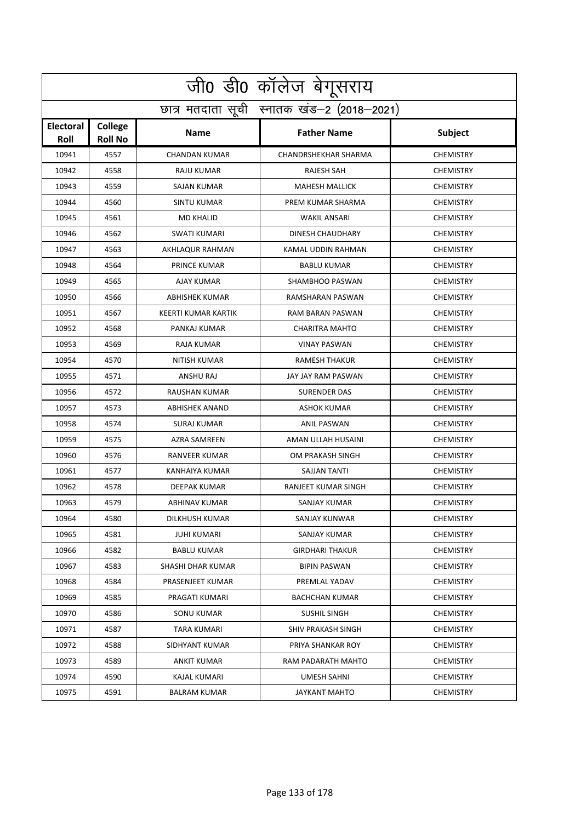|                          | जी0 डी0 कॉलेज बेगूसराय                     |                       |                             |                  |  |  |
|--------------------------|--------------------------------------------|-----------------------|-----------------------------|------------------|--|--|
|                          | छात्र मतदाता सूची स्नातक खंड-2 (2018-2021) |                       |                             |                  |  |  |
| <b>Electoral</b><br>Roll | College<br><b>Roll No</b>                  | <b>Name</b>           | <b>Father Name</b>          | Subject          |  |  |
| 10941                    | 4557                                       | <b>CHANDAN KUMAR</b>  | <b>CHANDRSHEKHAR SHARMA</b> | <b>CHEMISTRY</b> |  |  |
| 10942                    | 4558                                       | <b>RAJU KUMAR</b>     | <b>RAJESH SAH</b>           | <b>CHEMISTRY</b> |  |  |
| 10943                    | 4559                                       | SAJAN KUMAR           | <b>MAHESH MALLICK</b>       | <b>CHEMISTRY</b> |  |  |
| 10944                    | 4560                                       | <b>SINTU KUMAR</b>    | PREM KUMAR SHARMA           | <b>CHEMISTRY</b> |  |  |
| 10945                    | 4561                                       | <b>MD KHALID</b>      | <b>WAKIL ANSARI</b>         | <b>CHEMISTRY</b> |  |  |
| 10946                    | 4562                                       | SWATI KUMARI          | DINESH CHAUDHARY            | <b>CHEMISTRY</b> |  |  |
| 10947                    | 4563                                       | AKHLAQUR RAHMAN       | KAMAL UDDIN RAHMAN          | <b>CHEMISTRY</b> |  |  |
| 10948                    | 4564                                       | PRINCE KUMAR          | <b>BABLU KUMAR</b>          | <b>CHEMISTRY</b> |  |  |
| 10949                    | 4565                                       | AJAY KUMAR            | SHAMBHOO PASWAN             | <b>CHEMISTRY</b> |  |  |
| 10950                    | 4566                                       | <b>ABHISHEK KUMAR</b> | RAMSHARAN PASWAN            | <b>CHEMISTRY</b> |  |  |
| 10951                    | 4567                                       | KEERTI KUMAR KARTIK   | <b>RAM BARAN PASWAN</b>     | <b>CHEMISTRY</b> |  |  |
| 10952                    | 4568                                       | PANKAJ KUMAR          | <b>CHARITRA MAHTO</b>       | <b>CHEMISTRY</b> |  |  |
| 10953                    | 4569                                       | RAJA KUMAR            | <b>VINAY PASWAN</b>         | <b>CHEMISTRY</b> |  |  |
| 10954                    | 4570                                       | <b>NITISH KUMAR</b>   | <b>RAMESH THAKUR</b>        | <b>CHEMISTRY</b> |  |  |
| 10955                    | 4571                                       | ANSHU RAJ             | JAY JAY RAM PASWAN          | <b>CHEMISTRY</b> |  |  |
| 10956                    | 4572                                       | RAUSHAN KUMAR         | <b>SURENDER DAS</b>         | <b>CHEMISTRY</b> |  |  |
| 10957                    | 4573                                       | <b>ABHISHEK ANAND</b> | <b>ASHOK KUMAR</b>          | <b>CHEMISTRY</b> |  |  |
| 10958                    | 4574                                       | <b>SURAJ KUMAR</b>    | <b>ANIL PASWAN</b>          | <b>CHEMISTRY</b> |  |  |
| 10959                    | 4575                                       | AZRA SAMREEN          | AMAN ULLAH HUSAINI          | <b>CHEMISTRY</b> |  |  |
| 10960                    | 4576                                       | <b>RANVEER KUMAR</b>  | OM PRAKASH SINGH            | <b>CHEMISTRY</b> |  |  |
| 10961                    | 4577                                       | KANHAIYA KUMAR        | SAJJAN TANTI                | <b>CHEMISTRY</b> |  |  |
| 10962                    | 4578                                       | DEEPAK KUMAR          | RANJEET KUMAR SINGH         | <b>CHEMISTRY</b> |  |  |
| 10963                    | 4579                                       | ABHINAV KUMAR         | <b>SANJAY KUMAR</b>         | <b>CHEMISTRY</b> |  |  |
| 10964                    | 4580                                       | DILKHUSH KUMAR        | SANJAY KUNWAR               | <b>CHEMISTRY</b> |  |  |
| 10965                    | 4581                                       | JUHI KUMARI           | SANJAY KUMAR                | <b>CHEMISTRY</b> |  |  |
| 10966                    | 4582                                       | <b>BABLU KUMAR</b>    | <b>GIRDHARI THAKUR</b>      | <b>CHEMISTRY</b> |  |  |
| 10967                    | 4583                                       | SHASHI DHAR KUMAR     | <b>BIPIN PASWAN</b>         | <b>CHEMISTRY</b> |  |  |
| 10968                    | 4584                                       | PRASENJEET KUMAR      | PREMLAL YADAV               | <b>CHEMISTRY</b> |  |  |
| 10969                    | 4585                                       | PRAGATI KUMARI        | <b>BACHCHAN KUMAR</b>       | <b>CHEMISTRY</b> |  |  |
| 10970                    | 4586                                       | SONU KUMAR            | SUSHIL SINGH                | <b>CHEMISTRY</b> |  |  |
| 10971                    | 4587                                       | TARA KUMARI           | SHIV PRAKASH SINGH          | <b>CHEMISTRY</b> |  |  |
| 10972                    | 4588                                       | SIDHYANT KUMAR        | PRIYA SHANKAR ROY           | <b>CHEMISTRY</b> |  |  |
| 10973                    | 4589                                       | ANKIT KUMAR           | RAM PADARATH MAHTO          | <b>CHEMISTRY</b> |  |  |
| 10974                    | 4590                                       | KAJAL KUMARI          | UMESH SAHNI                 | <b>CHEMISTRY</b> |  |  |
| 10975                    | 4591                                       | BALRAM KUMAR          | JAYKANT MAHTO               | <b>CHEMISTRY</b> |  |  |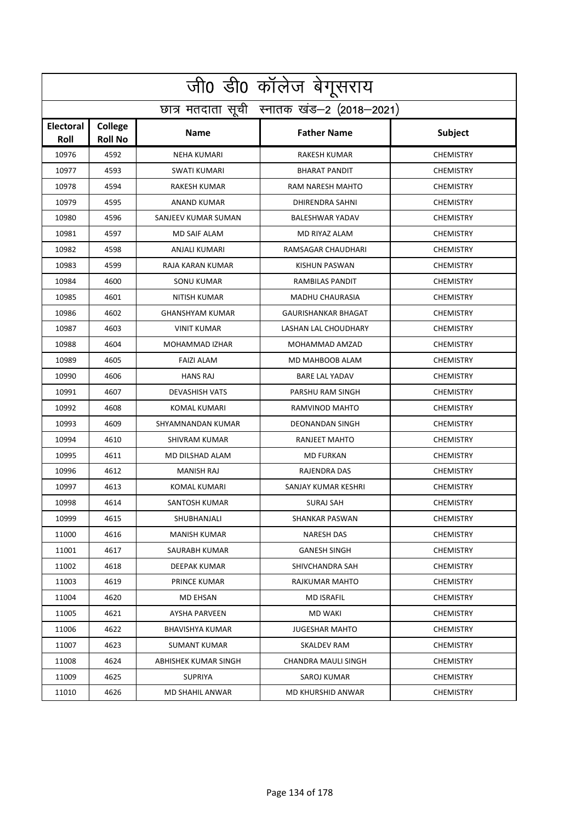|                          | जी0 डी0 कॉलेज बेगूसराय                     |                        |                            |                  |  |  |
|--------------------------|--------------------------------------------|------------------------|----------------------------|------------------|--|--|
|                          | छात्र मतदाता सूची स्नातक खंड-2 (2018-2021) |                        |                            |                  |  |  |
| <b>Electoral</b><br>Roll | College<br><b>Roll No</b>                  | <b>Name</b>            | <b>Father Name</b>         | Subject          |  |  |
| 10976                    | 4592                                       | <b>NEHA KUMARI</b>     | <b>RAKESH KUMAR</b>        | <b>CHEMISTRY</b> |  |  |
| 10977                    | 4593                                       | SWATI KUMARI           | <b>BHARAT PANDIT</b>       | <b>CHEMISTRY</b> |  |  |
| 10978                    | 4594                                       | RAKESH KUMAR           | RAM NARESH MAHTO           | <b>CHEMISTRY</b> |  |  |
| 10979                    | 4595                                       | <b>ANAND KUMAR</b>     | <b>DHIRENDRA SAHNI</b>     | <b>CHEMISTRY</b> |  |  |
| 10980                    | 4596                                       | SANJEEV KUMAR SUMAN    | <b>BALESHWAR YADAV</b>     | <b>CHEMISTRY</b> |  |  |
| 10981                    | 4597                                       | <b>MD SAIF ALAM</b>    | MD RIYAZ ALAM              | <b>CHEMISTRY</b> |  |  |
| 10982                    | 4598                                       | ANJALI KUMARI          | RAMSAGAR CHAUDHARI         | <b>CHEMISTRY</b> |  |  |
| 10983                    | 4599                                       | RAJA KARAN KUMAR       | KISHUN PASWAN              | <b>CHEMISTRY</b> |  |  |
| 10984                    | 4600                                       | <b>SONU KUMAR</b>      | RAMBILAS PANDIT            | <b>CHEMISTRY</b> |  |  |
| 10985                    | 4601                                       | <b>NITISH KUMAR</b>    | <b>MADHU CHAURASIA</b>     | <b>CHEMISTRY</b> |  |  |
| 10986                    | 4602                                       | <b>GHANSHYAM KUMAR</b> | <b>GAURISHANKAR BHAGAT</b> | <b>CHEMISTRY</b> |  |  |
| 10987                    | 4603                                       | <b>VINIT KUMAR</b>     | LASHAN LAL CHOUDHARY       | <b>CHEMISTRY</b> |  |  |
| 10988                    | 4604                                       | MOHAMMAD IZHAR         | MOHAMMAD AMZAD             | <b>CHEMISTRY</b> |  |  |
| 10989                    | 4605                                       | <b>FAIZI ALAM</b>      | MD MAHBOOB ALAM            | <b>CHEMISTRY</b> |  |  |
| 10990                    | 4606                                       | <b>HANS RAJ</b>        | <b>BARE LAL YADAV</b>      | <b>CHEMISTRY</b> |  |  |
| 10991                    | 4607                                       | <b>DEVASHISH VATS</b>  | PARSHU RAM SINGH           | <b>CHEMISTRY</b> |  |  |
| 10992                    | 4608                                       | KOMAL KUMARI           | RAMVINOD MAHTO             | <b>CHEMISTRY</b> |  |  |
| 10993                    | 4609                                       | SHYAMNANDAN KUMAR      | DEONANDAN SINGH            | <b>CHEMISTRY</b> |  |  |
| 10994                    | 4610                                       | SHIVRAM KUMAR          | RANJEET MAHTO              | <b>CHEMISTRY</b> |  |  |
| 10995                    | 4611                                       | MD DILSHAD ALAM        | <b>MD FURKAN</b>           | <b>CHEMISTRY</b> |  |  |
| 10996                    | 4612                                       | <b>MANISH RAJ</b>      | RAJENDRA DAS               | <b>CHEMISTRY</b> |  |  |
| 10997                    | 4613                                       | KOMAL KUMARI           | SANJAY KUMAR KESHRI        | <b>CHEMISTRY</b> |  |  |
| 10998                    | 4614                                       | SANTOSH KUMAR          | <b>SURAJ SAH</b>           | <b>CHEMISTRY</b> |  |  |
| 10999                    | 4615                                       | SHUBHANJALI            | SHANKAR PASWAN             | <b>CHEMISTRY</b> |  |  |
| 11000                    | 4616                                       | MANISH KUMAR           | <b>NARESH DAS</b>          | <b>CHEMISTRY</b> |  |  |
| 11001                    | 4617                                       | SAURABH KUMAR          | <b>GANESH SINGH</b>        | <b>CHEMISTRY</b> |  |  |
| 11002                    | 4618                                       | DEEPAK KUMAR           | SHIVCHANDRA SAH            | <b>CHEMISTRY</b> |  |  |
| 11003                    | 4619                                       | PRINCE KUMAR           | RAJKUMAR MAHTO             | <b>CHEMISTRY</b> |  |  |
| 11004                    | 4620                                       | MD EHSAN               | <b>MD ISRAFIL</b>          | <b>CHEMISTRY</b> |  |  |
| 11005                    | 4621                                       | <b>AYSHA PARVEEN</b>   | <b>MD WAKI</b>             | <b>CHEMISTRY</b> |  |  |
| 11006                    | 4622                                       | BHAVISHYA KUMAR        | <b>JUGESHAR MAHTO</b>      | <b>CHEMISTRY</b> |  |  |
| 11007                    | 4623                                       | SUMANT KUMAR           | SKALDEV RAM                | <b>CHEMISTRY</b> |  |  |
| 11008                    | 4624                                       | ABHISHEK KUMAR SINGH   | CHANDRA MAULI SINGH        | <b>CHEMISTRY</b> |  |  |
| 11009                    | 4625                                       | <b>SUPRIYA</b>         | SAROJ KUMAR                | <b>CHEMISTRY</b> |  |  |
| 11010                    | 4626                                       | MD SHAHIL ANWAR        | MD KHURSHID ANWAR          | <b>CHEMISTRY</b> |  |  |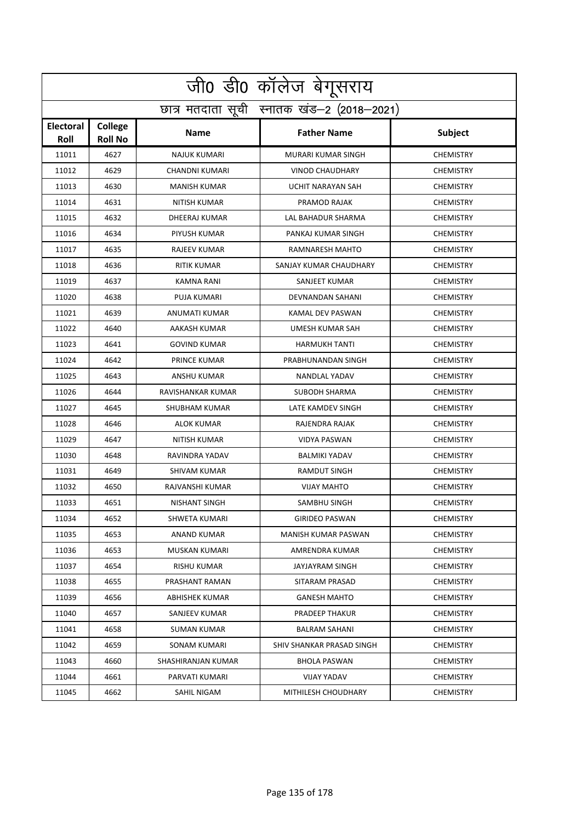|                          | जी0 डी0 कॉलेज बेगूसराय                     |                      |                           |                  |  |  |
|--------------------------|--------------------------------------------|----------------------|---------------------------|------------------|--|--|
|                          | छात्र मतदाता सूची स्नातक खंड-2 (2018-2021) |                      |                           |                  |  |  |
| <b>Electoral</b><br>Roll | <b>College</b><br><b>Roll No</b>           | <b>Name</b>          | <b>Father Name</b>        | Subject          |  |  |
| 11011                    | 4627                                       | <b>NAJUK KUMARI</b>  | MURARI KUMAR SINGH        | <b>CHEMISTRY</b> |  |  |
| 11012                    | 4629                                       | CHANDNI KUMARI       | <b>VINOD CHAUDHARY</b>    | <b>CHEMISTRY</b> |  |  |
| 11013                    | 4630                                       | <b>MANISH KUMAR</b>  | UCHIT NARAYAN SAH         | <b>CHEMISTRY</b> |  |  |
| 11014                    | 4631                                       | <b>NITISH KUMAR</b>  | PRAMOD RAJAK              | <b>CHEMISTRY</b> |  |  |
| 11015                    | 4632                                       | DHEERAJ KUMAR        | LAL BAHADUR SHARMA        | <b>CHEMISTRY</b> |  |  |
| 11016                    | 4634                                       | PIYUSH KUMAR         | PANKAJ KUMAR SINGH        | <b>CHEMISTRY</b> |  |  |
| 11017                    | 4635                                       | <b>RAJEEV KUMAR</b>  | RAMNARESH MAHTO           | <b>CHEMISTRY</b> |  |  |
| 11018                    | 4636                                       | <b>RITIK KUMAR</b>   | SANJAY KUMAR CHAUDHARY    | <b>CHEMISTRY</b> |  |  |
| 11019                    | 4637                                       | <b>KAMNA RANI</b>    | SANJEET KUMAR             | <b>CHEMISTRY</b> |  |  |
| 11020                    | 4638                                       | PUJA KUMARI          | DEVNANDAN SAHANI          | <b>CHEMISTRY</b> |  |  |
| 11021                    | 4639                                       | <b>ANUMATI KUMAR</b> | KAMAL DEV PASWAN          | <b>CHEMISTRY</b> |  |  |
| 11022                    | 4640                                       | AAKASH KUMAR         | UMESH KUMAR SAH           | <b>CHEMISTRY</b> |  |  |
| 11023                    | 4641                                       | <b>GOVIND KUMAR</b>  | <b>HARMUKH TANTI</b>      | <b>CHEMISTRY</b> |  |  |
| 11024                    | 4642                                       | PRINCE KUMAR         | PRABHUNANDAN SINGH        | <b>CHEMISTRY</b> |  |  |
| 11025                    | 4643                                       | ANSHU KUMAR          | NANDLAL YADAV             | <b>CHEMISTRY</b> |  |  |
| 11026                    | 4644                                       | RAVISHANKAR KUMAR    | SUBODH SHARMA             | <b>CHEMISTRY</b> |  |  |
| 11027                    | 4645                                       | <b>SHUBHAM KUMAR</b> | LATE KAMDEV SINGH         | <b>CHEMISTRY</b> |  |  |
| 11028                    | 4646                                       | ALOK KUMAR           | RAJENDRA RAJAK            | <b>CHEMISTRY</b> |  |  |
| 11029                    | 4647                                       | <b>NITISH KUMAR</b>  | <b>VIDYA PASWAN</b>       | <b>CHEMISTRY</b> |  |  |
| 11030                    | 4648                                       | RAVINDRA YADAV       | <b>BALMIKI YADAV</b>      | <b>CHEMISTRY</b> |  |  |
| 11031                    | 4649                                       | <b>SHIVAM KUMAR</b>  | <b>RAMDUT SINGH</b>       | <b>CHEMISTRY</b> |  |  |
| 11032                    | 4650                                       | RAJVANSHI KUMAR      | <b>VIJAY MAHTO</b>        | <b>CHEMISTRY</b> |  |  |
| 11033                    | 4651                                       | NISHANT SINGH        | SAMBHU SINGH              | <b>CHEMISTRY</b> |  |  |
| 11034                    | 4652                                       | SHWETA KUMARI        | <b>GIRIDEO PASWAN</b>     | <b>CHEMISTRY</b> |  |  |
| 11035                    | 4653                                       | ANAND KUMAR          | MANISH KUMAR PASWAN       | <b>CHEMISTRY</b> |  |  |
| 11036                    | 4653                                       | MUSKAN KUMARI        | AMRENDRA KUMAR            | <b>CHEMISTRY</b> |  |  |
| 11037                    | 4654                                       | RISHU KUMAR          | JAYJAYRAM SINGH           | <b>CHEMISTRY</b> |  |  |
| 11038                    | 4655                                       | PRASHANT RAMAN       | SITARAM PRASAD            | <b>CHEMISTRY</b> |  |  |
| 11039                    | 4656                                       | ABHISHEK KUMAR       | <b>GANESH MAHTO</b>       | <b>CHEMISTRY</b> |  |  |
| 11040                    | 4657                                       | <b>SANJEEV KUMAR</b> | PRADEEP THAKUR            | <b>CHEMISTRY</b> |  |  |
| 11041                    | 4658                                       | <b>SUMAN KUMAR</b>   | <b>BALRAM SAHANI</b>      | <b>CHEMISTRY</b> |  |  |
| 11042                    | 4659                                       | SONAM KUMARI         | SHIV SHANKAR PRASAD SINGH | <b>CHEMISTRY</b> |  |  |
| 11043                    | 4660                                       | SHASHIRANJAN KUMAR   | <b>BHOLA PASWAN</b>       | <b>CHEMISTRY</b> |  |  |
| 11044                    | 4661                                       | PARVATI KUMARI       | <b>VIJAY YADAV</b>        | <b>CHEMISTRY</b> |  |  |
| 11045                    | 4662                                       | SAHIL NIGAM          | MITHILESH CHOUDHARY       | <b>CHEMISTRY</b> |  |  |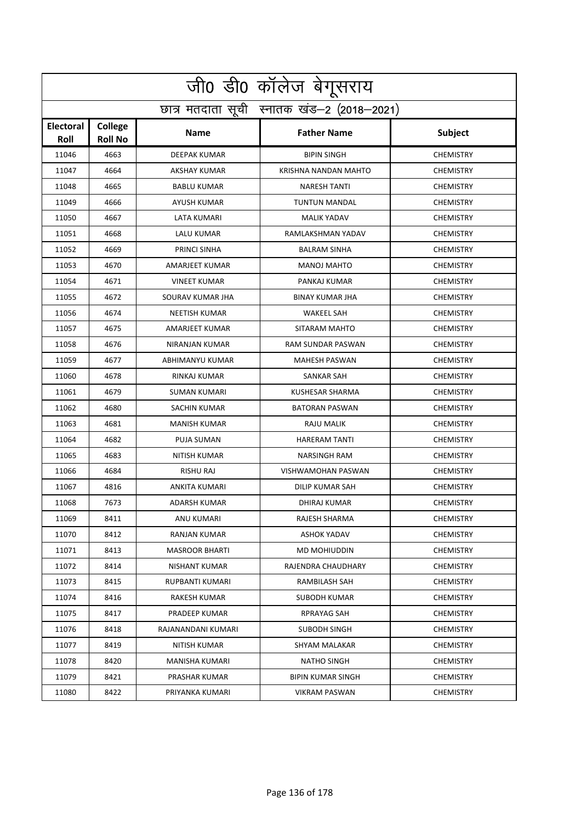|                          | जी0 डी0 कॉलेज बेगूसराय                     |                       |                           |                  |  |  |
|--------------------------|--------------------------------------------|-----------------------|---------------------------|------------------|--|--|
|                          | छात्र मतदाता सूची स्नातक खंड-2 (2018-2021) |                       |                           |                  |  |  |
| <b>Electoral</b><br>Roll | College<br><b>Roll No</b>                  | <b>Name</b>           | <b>Father Name</b>        | Subject          |  |  |
| 11046                    | 4663                                       | <b>DEEPAK KUMAR</b>   | <b>BIPIN SINGH</b>        | <b>CHEMISTRY</b> |  |  |
| 11047                    | 4664                                       | <b>AKSHAY KUMAR</b>   | KRISHNA NANDAN MAHTO      | <b>CHEMISTRY</b> |  |  |
| 11048                    | 4665                                       | <b>BABLU KUMAR</b>    | <b>NARESH TANTI</b>       | <b>CHEMISTRY</b> |  |  |
| 11049                    | 4666                                       | <b>AYUSH KUMAR</b>    | <b>TUNTUN MANDAL</b>      | <b>CHEMISTRY</b> |  |  |
| 11050                    | 4667                                       | LATA KUMARI           | <b>MALIK YADAV</b>        | <b>CHEMISTRY</b> |  |  |
| 11051                    | 4668                                       | LALU KUMAR            | RAMLAKSHMAN YADAV         | <b>CHEMISTRY</b> |  |  |
| 11052                    | 4669                                       | PRINCI SINHA          | <b>BALRAM SINHA</b>       | <b>CHEMISTRY</b> |  |  |
| 11053                    | 4670                                       | AMARJEET KUMAR        | <b>MANOJ MAHTO</b>        | <b>CHEMISTRY</b> |  |  |
| 11054                    | 4671                                       | <b>VINEET KUMAR</b>   | PANKAJ KUMAR              | <b>CHEMISTRY</b> |  |  |
| 11055                    | 4672                                       | SOURAV KUMAR JHA      | <b>BINAY KUMAR JHA</b>    | <b>CHEMISTRY</b> |  |  |
| 11056                    | 4674                                       | <b>NEETISH KUMAR</b>  | <b>WAKEEL SAH</b>         | <b>CHEMISTRY</b> |  |  |
| 11057                    | 4675                                       | AMARJEET KUMAR        | SITARAM MAHTO             | <b>CHEMISTRY</b> |  |  |
| 11058                    | 4676                                       | NIRANJAN KUMAR        | <b>RAM SUNDAR PASWAN</b>  | <b>CHEMISTRY</b> |  |  |
| 11059                    | 4677                                       | ABHIMANYU KUMAR       | <b>MAHESH PASWAN</b>      | <b>CHEMISTRY</b> |  |  |
| 11060                    | 4678                                       | RINKAJ KUMAR          | SANKAR SAH                | <b>CHEMISTRY</b> |  |  |
| 11061                    | 4679                                       | <b>SUMAN KUMARI</b>   | KUSHESAR SHARMA           | <b>CHEMISTRY</b> |  |  |
| 11062                    | 4680                                       | SACHIN KUMAR          | <b>BATORAN PASWAN</b>     | <b>CHEMISTRY</b> |  |  |
| 11063                    | 4681                                       | <b>MANISH KUMAR</b>   | RAJU MALIK                | <b>CHEMISTRY</b> |  |  |
| 11064                    | 4682                                       | PUJA SUMAN            | <b>HARERAM TANTI</b>      | <b>CHEMISTRY</b> |  |  |
| 11065                    | 4683                                       | <b>NITISH KUMAR</b>   | <b>NARSINGH RAM</b>       | <b>CHEMISTRY</b> |  |  |
| 11066                    | 4684                                       | <b>RISHU RAJ</b>      | <b>VISHWAMOHAN PASWAN</b> | <b>CHEMISTRY</b> |  |  |
| 11067                    | 4816                                       | ANKITA KUMARI         | DILIP KUMAR SAH           | <b>CHEMISTRY</b> |  |  |
| 11068                    | 7673                                       | <b>ADARSH KUMAR</b>   | DHIRAJ KUMAR              | <b>CHEMISTRY</b> |  |  |
| 11069                    | 8411                                       | ANU KUMARI            | RAJESH SHARMA             | <b>CHEMISTRY</b> |  |  |
| 11070                    | 8412                                       | RANJAN KUMAR          | <b>ASHOK YADAV</b>        | <b>CHEMISTRY</b> |  |  |
| 11071                    | 8413                                       | <b>MASROOR BHARTI</b> | MD MOHIUDDIN              | <b>CHEMISTRY</b> |  |  |
| 11072                    | 8414                                       | NISHANT KUMAR         | RAJENDRA CHAUDHARY        | <b>CHEMISTRY</b> |  |  |
| 11073                    | 8415                                       | RUPBANTI KUMARI       | RAMBILASH SAH             | <b>CHEMISTRY</b> |  |  |
| 11074                    | 8416                                       | RAKESH KUMAR          | SUBODH KUMAR              | <b>CHEMISTRY</b> |  |  |
| 11075                    | 8417                                       | PRADEEP KUMAR         | <b>RPRAYAG SAH</b>        | <b>CHEMISTRY</b> |  |  |
| 11076                    | 8418                                       | RAJANANDANI KUMARI    | <b>SUBODH SINGH</b>       | <b>CHEMISTRY</b> |  |  |
| 11077                    | 8419                                       | NITISH KUMAR          | SHYAM MALAKAR             | <b>CHEMISTRY</b> |  |  |
| 11078                    | 8420                                       | MANISHA KUMARI        | NATHO SINGH               | <b>CHEMISTRY</b> |  |  |
| 11079                    | 8421                                       | PRASHAR KUMAR         | BIPIN KUMAR SINGH         | <b>CHEMISTRY</b> |  |  |
| 11080                    | 8422                                       | PRIYANKA KUMARI       | <b>VIKRAM PASWAN</b>      | <b>CHEMISTRY</b> |  |  |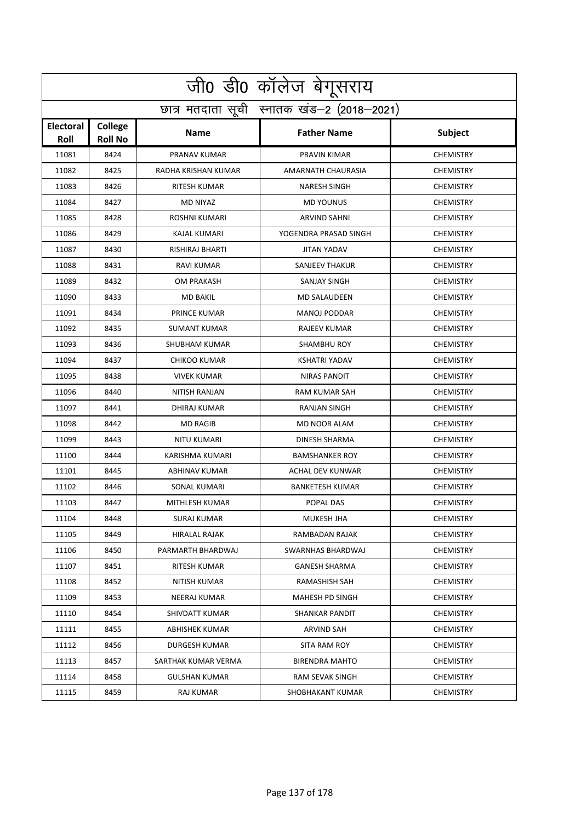| जी0 डी0 कॉलेज बेगूसराय                     |                           |                       |                        |                  |  |
|--------------------------------------------|---------------------------|-----------------------|------------------------|------------------|--|
| छात्र मतदाता सूची स्नातक खंड-2 (2018-2021) |                           |                       |                        |                  |  |
| <b>Electoral</b><br><b>Roll</b>            | College<br><b>Roll No</b> | <b>Name</b>           | <b>Father Name</b>     | Subject          |  |
| 11081                                      | 8424                      | PRANAV KUMAR          | PRAVIN KIMAR           | <b>CHEMISTRY</b> |  |
| 11082                                      | 8425                      | RADHA KRISHAN KUMAR   | AMARNATH CHAURASIA     | <b>CHEMISTRY</b> |  |
| 11083                                      | 8426                      | <b>RITESH KUMAR</b>   | <b>NARESH SINGH</b>    | <b>CHEMISTRY</b> |  |
| 11084                                      | 8427                      | <b>MD NIYAZ</b>       | <b>MD YOUNUS</b>       | <b>CHEMISTRY</b> |  |
| 11085                                      | 8428                      | ROSHNI KUMARI         | <b>ARVIND SAHNI</b>    | <b>CHEMISTRY</b> |  |
| 11086                                      | 8429                      | KAJAL KUMARI          | YOGENDRA PRASAD SINGH  | <b>CHEMISTRY</b> |  |
| 11087                                      | 8430                      | RISHIRAJ BHARTI       | <b>JITAN YADAV</b>     | <b>CHEMISTRY</b> |  |
| 11088                                      | 8431                      | RAVI KUMAR            | <b>SANJEEV THAKUR</b>  | <b>CHEMISTRY</b> |  |
| 11089                                      | 8432                      | <b>OM PRAKASH</b>     | <b>SANJAY SINGH</b>    | <b>CHEMISTRY</b> |  |
| 11090                                      | 8433                      | <b>MD BAKIL</b>       | <b>MD SALAUDEEN</b>    | <b>CHEMISTRY</b> |  |
| 11091                                      | 8434                      | PRINCE KUMAR          | <b>MANOJ PODDAR</b>    | <b>CHEMISTRY</b> |  |
| 11092                                      | 8435                      | <b>SUMANT KUMAR</b>   | <b>RAJEEV KUMAR</b>    | <b>CHEMISTRY</b> |  |
| 11093                                      | 8436                      | SHUBHAM KUMAR         | <b>SHAMBHU ROY</b>     | <b>CHEMISTRY</b> |  |
| 11094                                      | 8437                      | <b>CHIKOO KUMAR</b>   | <b>KSHATRI YADAV</b>   | <b>CHEMISTRY</b> |  |
| 11095                                      | 8438                      | <b>VIVEK KUMAR</b>    | <b>NIRAS PANDIT</b>    | <b>CHEMISTRY</b> |  |
| 11096                                      | 8440                      | NITISH RANJAN         | <b>RAM KUMAR SAH</b>   | <b>CHEMISTRY</b> |  |
| 11097                                      | 8441                      | DHIRAJ KUMAR          | <b>RANJAN SINGH</b>    | <b>CHEMISTRY</b> |  |
| 11098                                      | 8442                      | <b>MD RAGIB</b>       | MD NOOR ALAM           | <b>CHEMISTRY</b> |  |
| 11099                                      | 8443                      | NITU KUMARI           | DINESH SHARMA          | <b>CHEMISTRY</b> |  |
| 11100                                      | 8444                      | KARISHMA KUMARI       | <b>BAMSHANKER ROY</b>  | <b>CHEMISTRY</b> |  |
| 11101                                      | 8445                      | ABHINAV KUMAR         | ACHAL DEV KUNWAR       | <b>CHEMISTRY</b> |  |
| 11102                                      | 8446                      | SONAL KUMARI          | <b>BANKETESH KUMAR</b> | <b>CHEMISTRY</b> |  |
| 11103                                      | 8447                      | MITHLESH KUMAR        | POPAL DAS              | <b>CHEMISTRY</b> |  |
| 11104                                      | 8448                      | SURAJ KUMAR           | MUKESH JHA             | <b>CHEMISTRY</b> |  |
| 11105                                      | 8449                      | HIRALAL RAJAK         | RAMBADAN RAJAK         | <b>CHEMISTRY</b> |  |
| 11106                                      | 8450                      | PARMARTH BHARDWAJ     | SWARNHAS BHARDWAJ      | <b>CHEMISTRY</b> |  |
| 11107                                      | 8451                      | RITESH KUMAR          | <b>GANESH SHARMA</b>   | <b>CHEMISTRY</b> |  |
| 11108                                      | 8452                      | NITISH KUMAR          | <b>RAMASHISH SAH</b>   | <b>CHEMISTRY</b> |  |
| 11109                                      | 8453                      | NEERAJ KUMAR          | MAHESH PD SINGH        | <b>CHEMISTRY</b> |  |
| 11110                                      | 8454                      | SHIVDATT KUMAR        | SHANKAR PANDIT         | <b>CHEMISTRY</b> |  |
| 11111                                      | 8455                      | <b>ABHISHEK KUMAR</b> | ARVIND SAH             | <b>CHEMISTRY</b> |  |
| 11112                                      | 8456                      | DURGESH KUMAR         | SITA RAM ROY           | <b>CHEMISTRY</b> |  |
| 11113                                      | 8457                      | SARTHAK KUMAR VERMA   | BIRENDRA MAHTO         | <b>CHEMISTRY</b> |  |
| 11114                                      | 8458                      | <b>GULSHAN KUMAR</b>  | RAM SEVAK SINGH        | <b>CHEMISTRY</b> |  |
| 11115                                      | 8459                      | RAJ KUMAR             | SHOBHAKANT KUMAR       | <b>CHEMISTRY</b> |  |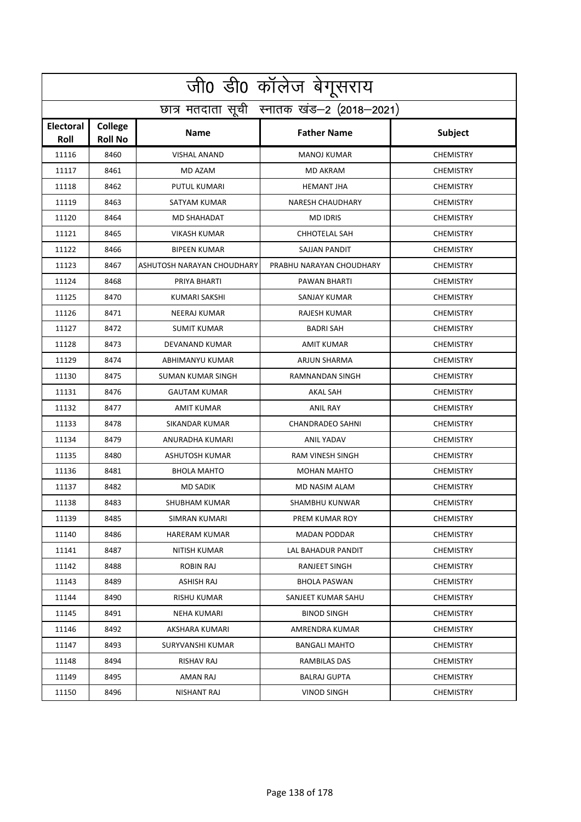| जी0 डी0 कॉलेज बेगूसराय          |                                            |                            |                          |                  |  |  |
|---------------------------------|--------------------------------------------|----------------------------|--------------------------|------------------|--|--|
|                                 | छात्र मतदाता सूची स्नातक खंड-2 (2018-2021) |                            |                          |                  |  |  |
| <b>Electoral</b><br><b>Roll</b> | College<br><b>Roll No</b>                  | <b>Name</b>                | <b>Father Name</b>       | Subject          |  |  |
| 11116                           | 8460                                       | <b>VISHAL ANAND</b>        | <b>MANOJ KUMAR</b>       | <b>CHEMISTRY</b> |  |  |
| 11117                           | 8461                                       | MD AZAM                    | <b>MD AKRAM</b>          | <b>CHEMISTRY</b> |  |  |
| 11118                           | 8462                                       | <b>PUTUL KUMARI</b>        | <b>HEMANT JHA</b>        | <b>CHEMISTRY</b> |  |  |
| 11119                           | 8463                                       | SATYAM KUMAR               | <b>NARESH CHAUDHARY</b>  | <b>CHEMISTRY</b> |  |  |
| 11120                           | 8464                                       | MD SHAHADAT                | <b>MD IDRIS</b>          | <b>CHEMISTRY</b> |  |  |
| 11121                           | 8465                                       | <b>VIKASH KUMAR</b>        | <b>CHHOTELAL SAH</b>     | <b>CHEMISTRY</b> |  |  |
| 11122                           | 8466                                       | <b>BIPEEN KUMAR</b>        | SAJJAN PANDIT            | <b>CHEMISTRY</b> |  |  |
| 11123                           | 8467                                       | ASHUTOSH NARAYAN CHOUDHARY | PRABHU NARAYAN CHOUDHARY | <b>CHEMISTRY</b> |  |  |
| 11124                           | 8468                                       | PRIYA BHARTI               | PAWAN BHARTI             | <b>CHEMISTRY</b> |  |  |
| 11125                           | 8470                                       | KUMARI SAKSHI              | SANJAY KUMAR             | <b>CHEMISTRY</b> |  |  |
| 11126                           | 8471                                       | <b>NEERAJ KUMAR</b>        | <b>RAJESH KUMAR</b>      | <b>CHEMISTRY</b> |  |  |
| 11127                           | 8472                                       | <b>SUMIT KUMAR</b>         | <b>BADRI SAH</b>         | <b>CHEMISTRY</b> |  |  |
| 11128                           | 8473                                       | DEVANAND KUMAR             | <b>AMIT KUMAR</b>        | <b>CHEMISTRY</b> |  |  |
| 11129                           | 8474                                       | ABHIMANYU KUMAR            | <b>ARJUN SHARMA</b>      | <b>CHEMISTRY</b> |  |  |
| 11130                           | 8475                                       | SUMAN KUMAR SINGH          | RAMNANDAN SINGH          | <b>CHEMISTRY</b> |  |  |
| 11131                           | 8476                                       | <b>GAUTAM KUMAR</b>        | <b>AKAL SAH</b>          | <b>CHEMISTRY</b> |  |  |
| 11132                           | 8477                                       | AMIT KUMAR                 | <b>ANIL RAY</b>          | <b>CHEMISTRY</b> |  |  |
| 11133                           | 8478                                       | SIKANDAR KUMAR             | <b>CHANDRADEO SAHNI</b>  | <b>CHEMISTRY</b> |  |  |
| 11134                           | 8479                                       | ANURADHA KUMARI            | <b>ANIL YADAV</b>        | <b>CHEMISTRY</b> |  |  |
| 11135                           | 8480                                       | <b>ASHUTOSH KUMAR</b>      | <b>RAM VINESH SINGH</b>  | <b>CHEMISTRY</b> |  |  |
| 11136                           | 8481                                       | <b>BHOLA MAHTO</b>         | <b>MOHAN MAHTO</b>       | <b>CHEMISTRY</b> |  |  |
| 11137                           | 8482                                       | <b>MD SADIK</b>            | MD NASIM ALAM            | <b>CHEMISTRY</b> |  |  |
| 11138                           | 8483                                       | <b>SHUBHAM KUMAR</b>       | SHAMBHU KUNWAR           | <b>CHEMISTRY</b> |  |  |
| 11139                           | 8485                                       | SIMRAN KUMARI              | PREM KUMAR ROY           | <b>CHEMISTRY</b> |  |  |
| 11140                           | 8486                                       | HARERAM KUMAR              | MADAN PODDAR             | <b>CHEMISTRY</b> |  |  |
| 11141                           | 8487                                       | NITISH KUMAR               | LAL BAHADUR PANDIT       | <b>CHEMISTRY</b> |  |  |
| 11142                           | 8488                                       | ROBIN RAJ                  | RANJEET SINGH            | <b>CHEMISTRY</b> |  |  |
| 11143                           | 8489                                       | ASHISH RAJ                 | <b>BHOLA PASWAN</b>      | <b>CHEMISTRY</b> |  |  |
| 11144                           | 8490                                       | RISHU KUMAR                | SANJEET KUMAR SAHU       | <b>CHEMISTRY</b> |  |  |
| 11145                           | 8491                                       | <b>NEHA KUMARI</b>         | BINOD SINGH              | <b>CHEMISTRY</b> |  |  |
| 11146                           | 8492                                       | AKSHARA KUMARI             | AMRENDRA KUMAR           | <b>CHEMISTRY</b> |  |  |
| 11147                           | 8493                                       | SURYVANSHI KUMAR           | <b>BANGALI MAHTO</b>     | <b>CHEMISTRY</b> |  |  |
| 11148                           | 8494                                       | RISHAV RAJ                 | RAMBILAS DAS             | <b>CHEMISTRY</b> |  |  |
| 11149                           | 8495                                       | AMAN RAJ                   | <b>BALRAJ GUPTA</b>      | <b>CHEMISTRY</b> |  |  |
| 11150                           | 8496                                       | NISHANT RAJ                | VINOD SINGH              | <b>CHEMISTRY</b> |  |  |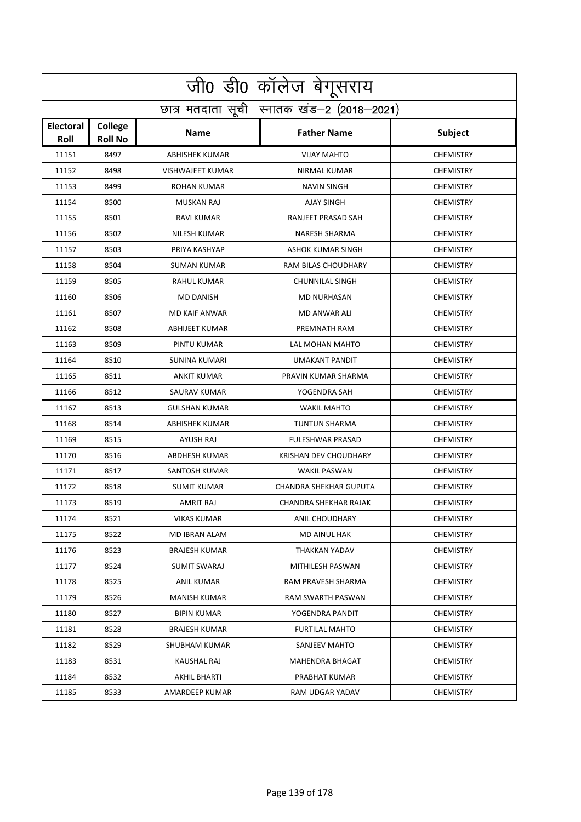|                                 | जी0 डी0 कॉलेज बेगूसराय                     |                       |                              |                  |  |  |
|---------------------------------|--------------------------------------------|-----------------------|------------------------------|------------------|--|--|
|                                 | छात्र मतदाता सूची स्नातक खंड-2 (2018-2021) |                       |                              |                  |  |  |
| <b>Electoral</b><br><b>Roll</b> | College<br><b>Roll No</b>                  | <b>Name</b>           | <b>Father Name</b>           | Subject          |  |  |
| 11151                           | 8497                                       | <b>ABHISHEK KUMAR</b> | <b>VIJAY MAHTO</b>           | <b>CHEMISTRY</b> |  |  |
| 11152                           | 8498                                       | VISHWAJEET KUMAR      | NIRMAL KUMAR                 | <b>CHEMISTRY</b> |  |  |
| 11153                           | 8499                                       | ROHAN KUMAR           | <b>NAVIN SINGH</b>           | <b>CHEMISTRY</b> |  |  |
| 11154                           | 8500                                       | <b>MUSKAN RAJ</b>     | <b>AJAY SINGH</b>            | <b>CHEMISTRY</b> |  |  |
| 11155                           | 8501                                       | <b>RAVI KUMAR</b>     | RANJEET PRASAD SAH           | <b>CHEMISTRY</b> |  |  |
| 11156                           | 8502                                       | <b>NILESH KUMAR</b>   | <b>NARESH SHARMA</b>         | <b>CHEMISTRY</b> |  |  |
| 11157                           | 8503                                       | PRIYA KASHYAP         | ASHOK KUMAR SINGH            | <b>CHEMISTRY</b> |  |  |
| 11158                           | 8504                                       | <b>SUMAN KUMAR</b>    | <b>RAM BILAS CHOUDHARY</b>   | <b>CHEMISTRY</b> |  |  |
| 11159                           | 8505                                       | <b>RAHUL KUMAR</b>    | <b>CHUNNILAL SINGH</b>       | <b>CHEMISTRY</b> |  |  |
| 11160                           | 8506                                       | <b>MD DANISH</b>      | <b>MD NURHASAN</b>           | <b>CHEMISTRY</b> |  |  |
| 11161                           | 8507                                       | <b>MD KAIF ANWAR</b>  | <b>MD ANWAR ALI</b>          | <b>CHEMISTRY</b> |  |  |
| 11162                           | 8508                                       | ABHIJEET KUMAR        | PREMNATH RAM                 | <b>CHEMISTRY</b> |  |  |
| 11163                           | 8509                                       | PINTU KUMAR           | LAL MOHAN MAHTO              | <b>CHEMISTRY</b> |  |  |
| 11164                           | 8510                                       | SUNINA KUMARI         | <b>UMAKANT PANDIT</b>        | <b>CHEMISTRY</b> |  |  |
| 11165                           | 8511                                       | <b>ANKIT KUMAR</b>    | PRAVIN KUMAR SHARMA          | <b>CHEMISTRY</b> |  |  |
| 11166                           | 8512                                       | SAURAV KUMAR          | YOGENDRA SAH                 | <b>CHEMISTRY</b> |  |  |
| 11167                           | 8513                                       | <b>GULSHAN KUMAR</b>  | <b>WAKIL MAHTO</b>           | <b>CHEMISTRY</b> |  |  |
| 11168                           | 8514                                       | ABHISHEK KUMAR        | TUNTUN SHARMA                | <b>CHEMISTRY</b> |  |  |
| 11169                           | 8515                                       | AYUSH RAJ             | FULESHWAR PRASAD             | <b>CHEMISTRY</b> |  |  |
| 11170                           | 8516                                       | ABDHESH KUMAR         | <b>KRISHAN DEV CHOUDHARY</b> | <b>CHEMISTRY</b> |  |  |
| 11171                           | 8517                                       | <b>SANTOSH KUMAR</b>  | <b>WAKIL PASWAN</b>          | <b>CHEMISTRY</b> |  |  |
| 11172                           | 8518                                       | <b>SUMIT KUMAR</b>    | CHANDRA SHEKHAR GUPUTA       | <b>CHEMISTRY</b> |  |  |
| 11173                           | 8519                                       | AMRIT RAJ             | CHANDRA SHEKHAR RAJAK        | <b>CHEMISTRY</b> |  |  |
| 11174                           | 8521                                       | VIKAS KUMAR           | ANIL CHOUDHARY               | <b>CHEMISTRY</b> |  |  |
| 11175                           | 8522                                       | MD IBRAN ALAM         | MD AINUL HAK                 | <b>CHEMISTRY</b> |  |  |
| 11176                           | 8523                                       | BRAJESH KUMAR         | THAKKAN YADAV                | <b>CHEMISTRY</b> |  |  |
| 11177                           | 8524                                       | <b>SUMIT SWARAJ</b>   | MITHILESH PASWAN             | <b>CHEMISTRY</b> |  |  |
| 11178                           | 8525                                       | ANIL KUMAR            | RAM PRAVESH SHARMA           | <b>CHEMISTRY</b> |  |  |
| 11179                           | 8526                                       | MANISH KUMAR          | RAM SWARTH PASWAN            | <b>CHEMISTRY</b> |  |  |
| 11180                           | 8527                                       | <b>BIPIN KUMAR</b>    | YOGENDRA PANDIT              | <b>CHEMISTRY</b> |  |  |
| 11181                           | 8528                                       | <b>BRAJESH KUMAR</b>  | <b>FURTILAL MAHTO</b>        | <b>CHEMISTRY</b> |  |  |
| 11182                           | 8529                                       | SHUBHAM KUMAR         | SANJEEV MAHTO                | <b>CHEMISTRY</b> |  |  |
| 11183                           | 8531                                       | KAUSHAL RAJ           | MAHENDRA BHAGAT              | <b>CHEMISTRY</b> |  |  |
| 11184                           | 8532                                       | AKHIL BHARTI          | PRABHAT KUMAR                | <b>CHEMISTRY</b> |  |  |
| 11185                           | 8533                                       | AMARDEEP KUMAR        | RAM UDGAR YADAV              | <b>CHEMISTRY</b> |  |  |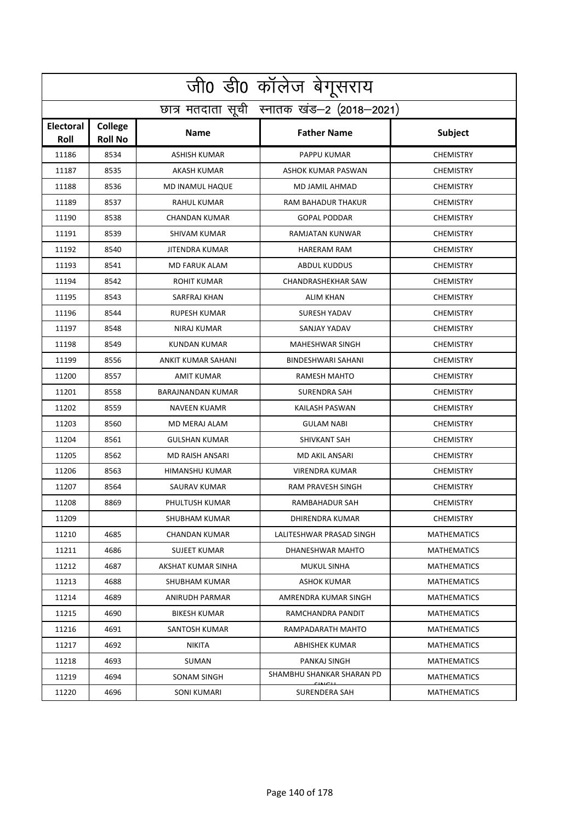| जी0 डी0 कॉलेज बेगूसराय                     |                           |                        |                           |                    |  |
|--------------------------------------------|---------------------------|------------------------|---------------------------|--------------------|--|
| छात्र मतदाता सूची स्नातक खंड-2 (2018-2021) |                           |                        |                           |                    |  |
| <b>Electoral</b><br><b>Roll</b>            | College<br><b>Roll No</b> | <b>Name</b>            | <b>Father Name</b>        | Subject            |  |
| 11186                                      | 8534                      | <b>ASHISH KUMAR</b>    | PAPPU KUMAR               | <b>CHEMISTRY</b>   |  |
| 11187                                      | 8535                      | AKASH KUMAR            | ASHOK KUMAR PASWAN        | <b>CHEMISTRY</b>   |  |
| 11188                                      | 8536                      | MD INAMUL HAQUE        | MD JAMIL AHMAD            | <b>CHEMISTRY</b>   |  |
| 11189                                      | 8537                      | <b>RAHUL KUMAR</b>     | <b>RAM BAHADUR THAKUR</b> | <b>CHEMISTRY</b>   |  |
| 11190                                      | 8538                      | <b>CHANDAN KUMAR</b>   | <b>GOPAL PODDAR</b>       | <b>CHEMISTRY</b>   |  |
| 11191                                      | 8539                      | <b>SHIVAM KUMAR</b>    | RAMJATAN KUNWAR           | <b>CHEMISTRY</b>   |  |
| 11192                                      | 8540                      | <b>JITENDRA KUMAR</b>  | <b>HARERAM RAM</b>        | <b>CHEMISTRY</b>   |  |
| 11193                                      | 8541                      | <b>MD FARUK ALAM</b>   | <b>ABDUL KUDDUS</b>       | <b>CHEMISTRY</b>   |  |
| 11194                                      | 8542                      | ROHIT KUMAR            | <b>CHANDRASHEKHAR SAW</b> | <b>CHEMISTRY</b>   |  |
| 11195                                      | 8543                      | SARFRAJ KHAN           | <b>ALIM KHAN</b>          | <b>CHEMISTRY</b>   |  |
| 11196                                      | 8544                      | <b>RUPESH KUMAR</b>    | <b>SURESH YADAV</b>       | <b>CHEMISTRY</b>   |  |
| 11197                                      | 8548                      | <b>NIRAJ KUMAR</b>     | SANJAY YADAV              | <b>CHEMISTRY</b>   |  |
| 11198                                      | 8549                      | KUNDAN KUMAR           | MAHESHWAR SINGH           | <b>CHEMISTRY</b>   |  |
| 11199                                      | 8556                      | ANKIT KUMAR SAHANI     | <b>BINDESHWARI SAHANI</b> | <b>CHEMISTRY</b>   |  |
| 11200                                      | 8557                      | <b>AMIT KUMAR</b>      | RAMESH MAHTO              | <b>CHEMISTRY</b>   |  |
| 11201                                      | 8558                      | BARAJNANDAN KUMAR      | SURENDRA SAH              | <b>CHEMISTRY</b>   |  |
| 11202                                      | 8559                      | <b>NAVEEN KUAMR</b>    | KAILASH PASWAN            | <b>CHEMISTRY</b>   |  |
| 11203                                      | 8560                      | MD MERAJ ALAM          | <b>GULAM NABI</b>         | <b>CHEMISTRY</b>   |  |
| 11204                                      | 8561                      | <b>GULSHAN KUMAR</b>   | <b>SHIVKANT SAH</b>       | <b>CHEMISTRY</b>   |  |
| 11205                                      | 8562                      | <b>MD RAISH ANSARI</b> | MD AKIL ANSARI            | <b>CHEMISTRY</b>   |  |
| 11206                                      | 8563                      | <b>HIMANSHU KUMAR</b>  | <b>VIRENDRA KUMAR</b>     | <b>CHEMISTRY</b>   |  |
| 11207                                      | 8564                      | SAURAV KUMAR           | RAM PRAVESH SINGH         | <b>CHEMISTRY</b>   |  |
| 11208                                      | 8869                      | PHULTUSH KUMAR         | RAMBAHADUR SAH            | <b>CHEMISTRY</b>   |  |
| 11209                                      |                           | SHUBHAM KUMAR          | DHIRENDRA KUMAR           | <b>CHEMISTRY</b>   |  |
| 11210                                      | 4685                      | CHANDAN KUMAR          | LALITESHWAR PRASAD SINGH  | <b>MATHEMATICS</b> |  |
| 11211                                      | 4686                      | <b>SUJEET KUMAR</b>    | DHANESHWAR MAHTO          | <b>MATHEMATICS</b> |  |
| 11212                                      | 4687                      | AKSHAT KUMAR SINHA     | MUKUL SINHA               | <b>MATHEMATICS</b> |  |
| 11213                                      | 4688                      | SHUBHAM KUMAR          | ASHOK KUMAR               | <b>MATHEMATICS</b> |  |
| 11214                                      | 4689                      | ANIRUDH PARMAR         | AMRENDRA KUMAR SINGH      | <b>MATHEMATICS</b> |  |
| 11215                                      | 4690                      | <b>BIKESH KUMAR</b>    | RAMCHANDRA PANDIT         | <b>MATHEMATICS</b> |  |
| 11216                                      | 4691                      | SANTOSH KUMAR          | RAMPADARATH MAHTO         | <b>MATHEMATICS</b> |  |
| 11217                                      | 4692                      | NIKITA                 | ABHISHEK KUMAR            | <b>MATHEMATICS</b> |  |
| 11218                                      | 4693                      | SUMAN                  | PANKAJ SINGH              | <b>MATHEMATICS</b> |  |
| 11219                                      | 4694                      | SONAM SINGH            | SHAMBHU SHANKAR SHARAN PD | <b>MATHEMATICS</b> |  |
| 11220                                      | 4696                      | SONI KUMARI            | SURENDERA SAH             | <b>MATHEMATICS</b> |  |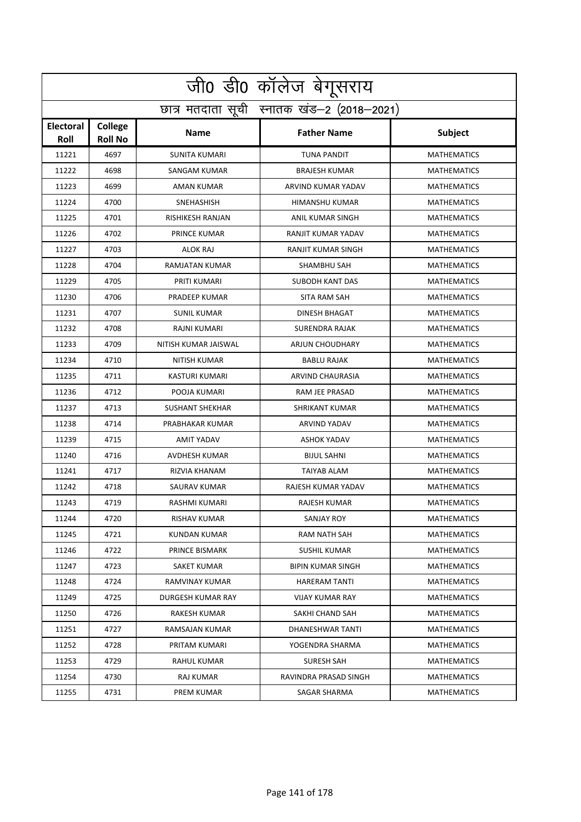| <u>जी0 डी0 कॉलेज बेगू</u> सराय |                                            |                         |                          |                    |  |  |
|--------------------------------|--------------------------------------------|-------------------------|--------------------------|--------------------|--|--|
|                                | छात्र मतदाता सूची स्नातक खंड-2 (2018-2021) |                         |                          |                    |  |  |
| Electoral<br>Roll              | College<br><b>Roll No</b>                  | <b>Name</b>             | <b>Father Name</b>       | Subject            |  |  |
| 11221                          | 4697                                       | <b>SUNITA KUMARI</b>    | <b>TUNA PANDIT</b>       | <b>MATHEMATICS</b> |  |  |
| 11222                          | 4698                                       | SANGAM KUMAR            | <b>BRAJESH KUMAR</b>     | <b>MATHEMATICS</b> |  |  |
| 11223                          | 4699                                       | AMAN KUMAR              | ARVIND KUMAR YADAV       | <b>MATHEMATICS</b> |  |  |
| 11224                          | 4700                                       | SNEHASHISH              | <b>HIMANSHU KUMAR</b>    | <b>MATHEMATICS</b> |  |  |
| 11225                          | 4701                                       | <b>RISHIKESH RANJAN</b> | ANIL KUMAR SINGH         | <b>MATHEMATICS</b> |  |  |
| 11226                          | 4702                                       | <b>PRINCE KUMAR</b>     | RANJIT KUMAR YADAV       | <b>MATHEMATICS</b> |  |  |
| 11227                          | 4703                                       | <b>ALOK RAJ</b>         | RANJIT KUMAR SINGH       | <b>MATHEMATICS</b> |  |  |
| 11228                          | 4704                                       | <b>RAMJATAN KUMAR</b>   | <b>SHAMBHU SAH</b>       | <b>MATHEMATICS</b> |  |  |
| 11229                          | 4705                                       | PRITI KUMARI            | <b>SUBODH KANT DAS</b>   | <b>MATHEMATICS</b> |  |  |
| 11230                          | 4706                                       | PRADEEP KUMAR           | <b>SITA RAM SAH</b>      | <b>MATHEMATICS</b> |  |  |
| 11231                          | 4707                                       | <b>SUNIL KUMAR</b>      | <b>DINESH BHAGAT</b>     | <b>MATHEMATICS</b> |  |  |
| 11232                          | 4708                                       | RAJNI KUMARI            | <b>SURENDRA RAJAK</b>    | <b>MATHEMATICS</b> |  |  |
| 11233                          | 4709                                       | NITISH KUMAR JAISWAL    | ARJUN CHOUDHARY          | <b>MATHEMATICS</b> |  |  |
| 11234                          | 4710                                       | <b>NITISH KUMAR</b>     | <b>BABLU RAJAK</b>       | <b>MATHEMATICS</b> |  |  |
| 11235                          | 4711                                       | <b>KASTURI KUMARI</b>   | ARVIND CHAURASIA         | <b>MATHEMATICS</b> |  |  |
| 11236                          | 4712                                       | POOJA KUMARI            | RAM JEE PRASAD           | <b>MATHEMATICS</b> |  |  |
| 11237                          | 4713                                       | <b>SUSHANT SHEKHAR</b>  | <b>SHRIKANT KUMAR</b>    | <b>MATHEMATICS</b> |  |  |
| 11238                          | 4714                                       | PRABHAKAR KUMAR         | ARVIND YADAV             | <b>MATHEMATICS</b> |  |  |
| 11239                          | 4715                                       | <b>AMIT YADAV</b>       | <b>ASHOK YADAV</b>       | <b>MATHEMATICS</b> |  |  |
| 11240                          | 4716                                       | AVDHESH KUMAR           | <b>BIJUL SAHNI</b>       | <b>MATHEMATICS</b> |  |  |
| 11241                          | 4717                                       | <b>RIZVIA KHANAM</b>    | <b>TAIYAB ALAM</b>       | <b>MATHEMATICS</b> |  |  |
| 11242                          | 4718                                       | SAURAV KUMAR            | RAJESH KUMAR YADAV       | <b>MATHEMATICS</b> |  |  |
| 11243                          | 4719                                       | RASHMI KUMARI           | RAJESH KUMAR             | <b>MATHEMATICS</b> |  |  |
| 11244                          | 4720                                       | RISHAV KUMAR            | <b>SANJAY ROY</b>        | <b>MATHEMATICS</b> |  |  |
| 11245                          | 4721                                       | KUNDAN KUMAR            | RAM NATH SAH             | <b>MATHEMATICS</b> |  |  |
| 11246                          | 4722                                       | PRINCE BISMARK          | SUSHIL KUMAR             | <b>MATHEMATICS</b> |  |  |
| 11247                          | 4723                                       | SAKET KUMAR             | <b>BIPIN KUMAR SINGH</b> | <b>MATHEMATICS</b> |  |  |
| 11248                          | 4724                                       | RAMVINAY KUMAR          | <b>HARERAM TANTI</b>     | <b>MATHEMATICS</b> |  |  |
| 11249                          | 4725                                       | DURGESH KUMAR RAY       | <b>VIJAY KUMAR RAY</b>   | MATHEMATICS        |  |  |
| 11250                          | 4726                                       | RAKESH KUMAR            | SAKHI CHAND SAH          | <b>MATHEMATICS</b> |  |  |
| 11251                          | 4727                                       | RAMSAJAN KUMAR          | <b>DHANESHWAR TANTI</b>  | <b>MATHEMATICS</b> |  |  |
| 11252                          | 4728                                       | PRITAM KUMARI           | YOGENDRA SHARMA          | <b>MATHEMATICS</b> |  |  |
| 11253                          | 4729                                       | RAHUL KUMAR             | SURESH SAH               | MATHEMATICS        |  |  |
| 11254                          | 4730                                       | RAJ KUMAR               | RAVINDRA PRASAD SINGH    | MATHEMATICS        |  |  |
| 11255                          | 4731                                       | PREM KUMAR              | SAGAR SHARMA             | MATHEMATICS        |  |  |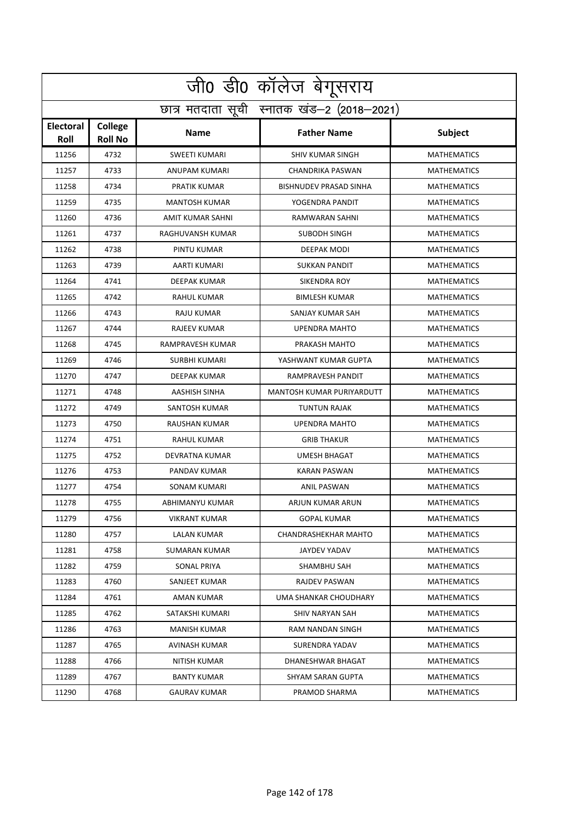| जी0 डी0 कॉलेज बेगूसराय |                                            |                      |                               |                    |  |  |
|------------------------|--------------------------------------------|----------------------|-------------------------------|--------------------|--|--|
|                        | छात्र मतदाता सूची स्नातक खंड-2 (2018-2021) |                      |                               |                    |  |  |
| Electoral<br>Roll      | College<br><b>Roll No</b>                  | <b>Name</b>          | <b>Father Name</b>            | Subject            |  |  |
| 11256                  | 4732                                       | <b>SWEETI KUMARI</b> | <b>SHIV KUMAR SINGH</b>       | <b>MATHEMATICS</b> |  |  |
| 11257                  | 4733                                       | <b>ANUPAM KUMARI</b> | <b>CHANDRIKA PASWAN</b>       | <b>MATHEMATICS</b> |  |  |
| 11258                  | 4734                                       | PRATIK KUMAR         | <b>BISHNUDEV PRASAD SINHA</b> | <b>MATHEMATICS</b> |  |  |
| 11259                  | 4735                                       | <b>MANTOSH KUMAR</b> | YOGENDRA PANDIT               | <b>MATHEMATICS</b> |  |  |
| 11260                  | 4736                                       | AMIT KUMAR SAHNI     | RAMWARAN SAHNI                | <b>MATHEMATICS</b> |  |  |
| 11261                  | 4737                                       | RAGHUVANSH KUMAR     | <b>SUBODH SINGH</b>           | <b>MATHEMATICS</b> |  |  |
| 11262                  | 4738                                       | PINTU KUMAR          | <b>DEEPAK MODI</b>            | <b>MATHEMATICS</b> |  |  |
| 11263                  | 4739                                       | AARTI KUMARI         | <b>SUKKAN PANDIT</b>          | <b>MATHEMATICS</b> |  |  |
| 11264                  | 4741                                       | <b>DEEPAK KUMAR</b>  | <b>SIKENDRA ROY</b>           | <b>MATHEMATICS</b> |  |  |
| 11265                  | 4742                                       | <b>RAHUL KUMAR</b>   | <b>BIMLESH KUMAR</b>          | <b>MATHEMATICS</b> |  |  |
| 11266                  | 4743                                       | RAJU KUMAR           | SANJAY KUMAR SAH              | <b>MATHEMATICS</b> |  |  |
| 11267                  | 4744                                       | <b>RAJEEV KUMAR</b>  | <b>UPENDRA MAHTO</b>          | <b>MATHEMATICS</b> |  |  |
| 11268                  | 4745                                       | RAMPRAVESH KUMAR     | PRAKASH MAHTO                 | <b>MATHEMATICS</b> |  |  |
| 11269                  | 4746                                       | <b>SURBHI KUMARI</b> | YASHWANT KUMAR GUPTA          | <b>MATHEMATICS</b> |  |  |
| 11270                  | 4747                                       | <b>DEEPAK KUMAR</b>  | RAMPRAVESH PANDIT             | <b>MATHEMATICS</b> |  |  |
| 11271                  | 4748                                       | AASHISH SINHA        | MANTOSH KUMAR PURIYARDUTT     | <b>MATHEMATICS</b> |  |  |
| 11272                  | 4749                                       | SANTOSH KUMAR        | <b>TUNTUN RAJAK</b>           | <b>MATHEMATICS</b> |  |  |
| 11273                  | 4750                                       | RAUSHAN KUMAR        | <b>UPENDRA MAHTO</b>          | <b>MATHEMATICS</b> |  |  |
| 11274                  | 4751                                       | RAHUL KUMAR          | <b>GRIB THAKUR</b>            | <b>MATHEMATICS</b> |  |  |
| 11275                  | 4752                                       | DEVRATNA KUMAR       | <b>UMESH BHAGAT</b>           | <b>MATHEMATICS</b> |  |  |
| 11276                  | 4753                                       | PANDAV KUMAR         | <b>KARAN PASWAN</b>           | <b>MATHEMATICS</b> |  |  |
| 11277                  | 4754                                       | SONAM KUMARI         | <b>ANIL PASWAN</b>            | <b>MATHEMATICS</b> |  |  |
| 11278                  | 4755                                       | ABHIMANYU KUMAR      | ARJUN KUMAR ARUN              | <b>MATHEMATICS</b> |  |  |
| 11279                  | 4756                                       | <b>VIKRANT KUMAR</b> | <b>GOPAL KUMAR</b>            | <b>MATHEMATICS</b> |  |  |
| 11280                  | 4757                                       | <b>LALAN KUMAR</b>   | CHANDRASHEKHAR MAHTO          | <b>MATHEMATICS</b> |  |  |
| 11281                  | 4758                                       | <b>SUMARAN KUMAR</b> | JAYDEV YADAV                  | <b>MATHEMATICS</b> |  |  |
| 11282                  | 4759                                       | SONAL PRIYA          | SHAMBHU SAH                   | <b>MATHEMATICS</b> |  |  |
| 11283                  | 4760                                       | SANJEET KUMAR        | RAJDEV PASWAN                 | <b>MATHEMATICS</b> |  |  |
| 11284                  | 4761                                       | AMAN KUMAR           | UMA SHANKAR CHOUDHARY         | MATHEMATICS        |  |  |
| 11285                  | 4762                                       | SATAKSHI KUMARI      | SHIV NARYAN SAH               | <b>MATHEMATICS</b> |  |  |
| 11286                  | 4763                                       | <b>MANISH KUMAR</b>  | RAM NANDAN SINGH              | <b>MATHEMATICS</b> |  |  |
| 11287                  | 4765                                       | AVINASH KUMAR        | SURENDRA YADAV                | <b>MATHEMATICS</b> |  |  |
| 11288                  | 4766                                       | NITISH KUMAR         | DHANESHWAR BHAGAT             | <b>MATHEMATICS</b> |  |  |
| 11289                  | 4767                                       | BANTY KUMAR          | SHYAM SARAN GUPTA             | MATHEMATICS        |  |  |
| 11290                  | 4768                                       | GAURAV KUMAR         | PRAMOD SHARMA                 | <b>MATHEMATICS</b> |  |  |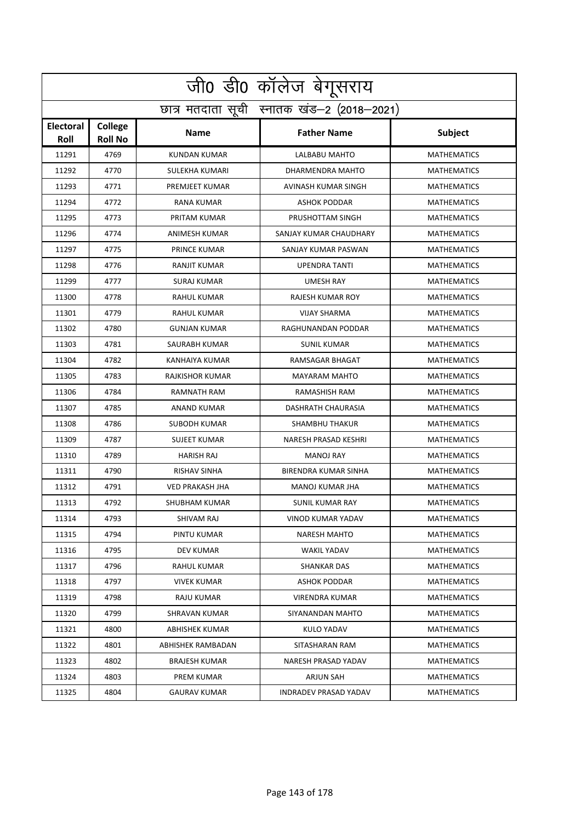| <u>जी0 डी0 कॉलेज बेगू</u> सराय |                                            |                        |                              |                    |  |  |
|--------------------------------|--------------------------------------------|------------------------|------------------------------|--------------------|--|--|
|                                | छात्र मतदाता सूची स्नातक खंड-2 (2018-2021) |                        |                              |                    |  |  |
| <b>Electoral</b><br>Roll       | College<br><b>Roll No</b>                  | <b>Name</b>            | <b>Father Name</b>           | Subject            |  |  |
| 11291                          | 4769                                       | <b>KUNDAN KUMAR</b>    | <b>LALBABU MAHTO</b>         | <b>MATHEMATICS</b> |  |  |
| 11292                          | 4770                                       | SULEKHA KUMARI         | DHARMENDRA MAHTO             | <b>MATHEMATICS</b> |  |  |
| 11293                          | 4771                                       | PREMJEET KUMAR         | AVINASH KUMAR SINGH          | <b>MATHEMATICS</b> |  |  |
| 11294                          | 4772                                       | <b>RANA KUMAR</b>      | <b>ASHOK PODDAR</b>          | <b>MATHEMATICS</b> |  |  |
| 11295                          | 4773                                       | PRITAM KUMAR           | PRUSHOTTAM SINGH             | <b>MATHEMATICS</b> |  |  |
| 11296                          | 4774                                       | ANIMESH KUMAR          | SANJAY KUMAR CHAUDHARY       | <b>MATHEMATICS</b> |  |  |
| 11297                          | 4775                                       | PRINCE KUMAR           | SANJAY KUMAR PASWAN          | <b>MATHEMATICS</b> |  |  |
| 11298                          | 4776                                       | RANJIT KUMAR           | <b>UPENDRA TANTI</b>         | <b>MATHEMATICS</b> |  |  |
| 11299                          | 4777                                       | <b>SURAJ KUMAR</b>     | <b>UMESH RAY</b>             | <b>MATHEMATICS</b> |  |  |
| 11300                          | 4778                                       | <b>RAHUL KUMAR</b>     | <b>RAJESH KUMAR ROY</b>      | <b>MATHEMATICS</b> |  |  |
| 11301                          | 4779                                       | RAHUL KUMAR            | <b>VIJAY SHARMA</b>          | <b>MATHEMATICS</b> |  |  |
| 11302                          | 4780                                       | <b>GUNJAN KUMAR</b>    | RAGHUNANDAN PODDAR           | <b>MATHEMATICS</b> |  |  |
| 11303                          | 4781                                       | SAURABH KUMAR          | SUNIL KUMAR                  | <b>MATHEMATICS</b> |  |  |
| 11304                          | 4782                                       | KANHAIYA KUMAR         | RAMSAGAR BHAGAT              | <b>MATHEMATICS</b> |  |  |
| 11305                          | 4783                                       | RAJKISHOR KUMAR        | <b>MAYARAM MAHTO</b>         | <b>MATHEMATICS</b> |  |  |
| 11306                          | 4784                                       | <b>RAMNATH RAM</b>     | RAMASHISH RAM                | <b>MATHEMATICS</b> |  |  |
| 11307                          | 4785                                       | <b>ANAND KUMAR</b>     | DASHRATH CHAURASIA           | <b>MATHEMATICS</b> |  |  |
| 11308                          | 4786                                       | <b>SUBODH KUMAR</b>    | <b>SHAMBHU THAKUR</b>        | <b>MATHEMATICS</b> |  |  |
| 11309                          | 4787                                       | <b>SUJEET KUMAR</b>    | NARESH PRASAD KESHRI         | <b>MATHEMATICS</b> |  |  |
| 11310                          | 4789                                       | <b>HARISH RAJ</b>      | <b>MANOJ RAY</b>             | <b>MATHEMATICS</b> |  |  |
| 11311                          | 4790                                       | RISHAV SINHA           | <b>BIRENDRA KUMAR SINHA</b>  | <b>MATHEMATICS</b> |  |  |
| 11312                          | 4791                                       | <b>VED PRAKASH JHA</b> | MANOJ KUMAR JHA              | <b>MATHEMATICS</b> |  |  |
| 11313                          | 4792                                       | SHUBHAM KUMAR          | SUNIL KUMAR RAY              | <b>MATHEMATICS</b> |  |  |
| 11314                          | 4793                                       | SHIVAM RAJ             | VINOD KUMAR YADAV            | <b>MATHEMATICS</b> |  |  |
| 11315                          | 4794                                       | PINTU KUMAR            | <b>NARESH MAHTO</b>          | <b>MATHEMATICS</b> |  |  |
| 11316                          | 4795                                       | DEV KUMAR              | WAKIL YADAV                  | <b>MATHEMATICS</b> |  |  |
| 11317                          | 4796                                       | RAHUL KUMAR            | <b>SHANKAR DAS</b>           | <b>MATHEMATICS</b> |  |  |
| 11318                          | 4797                                       | <b>VIVEK KUMAR</b>     | <b>ASHOK PODDAR</b>          | <b>MATHEMATICS</b> |  |  |
| 11319                          | 4798                                       | RAJU KUMAR             | VIRENDRA KUMAR               | MATHEMATICS        |  |  |
| 11320                          | 4799                                       | SHRAVAN KUMAR          | SIYANANDAN MAHTO             | <b>MATHEMATICS</b> |  |  |
| 11321                          | 4800                                       | ABHISHEK KUMAR         | KULO YADAV                   | <b>MATHEMATICS</b> |  |  |
| 11322                          | 4801                                       | ABHISHEK RAMBADAN      | SITASHARAN RAM               | <b>MATHEMATICS</b> |  |  |
| 11323                          | 4802                                       | BRAJESH KUMAR          | NARESH PRASAD YADAV          | MATHEMATICS        |  |  |
| 11324                          | 4803                                       | PREM KUMAR             | ARJUN SAH                    | MATHEMATICS        |  |  |
| 11325                          | 4804                                       | GAURAV KUMAR           | <b>INDRADEV PRASAD YADAV</b> | <b>MATHEMATICS</b> |  |  |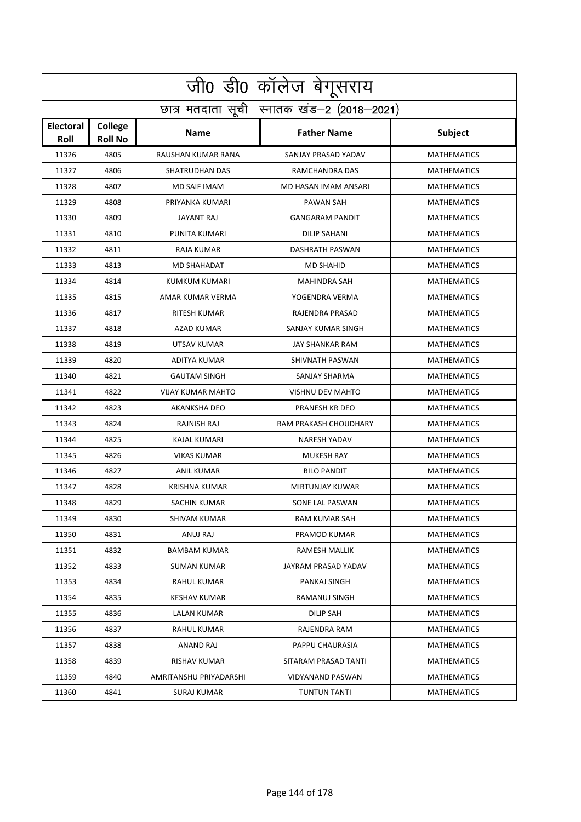| जी0 डी0 कॉलेज बेगूसराय   |                                            |                           |                         |                    |  |  |
|--------------------------|--------------------------------------------|---------------------------|-------------------------|--------------------|--|--|
|                          | छात्र मतदाता सूची स्नातक खंड-2 (2018-2021) |                           |                         |                    |  |  |
| <b>Electoral</b><br>Roll | College<br><b>Roll No</b>                  | <b>Name</b>               | <b>Father Name</b>      | Subject            |  |  |
| 11326                    | 4805                                       | <b>RAUSHAN KUMAR RANA</b> | SANJAY PRASAD YADAV     | <b>MATHEMATICS</b> |  |  |
| 11327                    | 4806                                       | SHATRUDHAN DAS            | RAMCHANDRA DAS          | <b>MATHEMATICS</b> |  |  |
| 11328                    | 4807                                       | <b>MD SAIF IMAM</b>       | MD HASAN IMAM ANSARI    | <b>MATHEMATICS</b> |  |  |
| 11329                    | 4808                                       | PRIYANKA KUMARI           | <b>PAWAN SAH</b>        | <b>MATHEMATICS</b> |  |  |
| 11330                    | 4809                                       | <b>JAYANT RAJ</b>         | <b>GANGARAM PANDIT</b>  | <b>MATHEMATICS</b> |  |  |
| 11331                    | 4810                                       | PUNITA KUMARI             | <b>DILIP SAHANI</b>     | <b>MATHEMATICS</b> |  |  |
| 11332                    | 4811                                       | RAJA KUMAR                | DASHRATH PASWAN         | <b>MATHEMATICS</b> |  |  |
| 11333                    | 4813                                       | <b>MD SHAHADAT</b>        | <b>MD SHAHID</b>        | <b>MATHEMATICS</b> |  |  |
| 11334                    | 4814                                       | KUMKUM KUMARI             | <b>MAHINDRA SAH</b>     | <b>MATHEMATICS</b> |  |  |
| 11335                    | 4815                                       | AMAR KUMAR VERMA          | YOGENDRA VERMA          | <b>MATHEMATICS</b> |  |  |
| 11336                    | 4817                                       | <b>RITESH KUMAR</b>       | RAJENDRA PRASAD         | <b>MATHEMATICS</b> |  |  |
| 11337                    | 4818                                       | AZAD KUMAR                | SANJAY KUMAR SINGH      | <b>MATHEMATICS</b> |  |  |
| 11338                    | 4819                                       | UTSAV KUMAR               | JAY SHANKAR RAM         | <b>MATHEMATICS</b> |  |  |
| 11339                    | 4820                                       | ADITYA KUMAR              | SHIVNATH PASWAN         | <b>MATHEMATICS</b> |  |  |
| 11340                    | 4821                                       | <b>GAUTAM SINGH</b>       | SANJAY SHARMA           | <b>MATHEMATICS</b> |  |  |
| 11341                    | 4822                                       | <b>VIJAY KUMAR MAHTO</b>  | <b>VISHNU DEV MAHTO</b> | <b>MATHEMATICS</b> |  |  |
| 11342                    | 4823                                       | AKANKSHA DEO              | PRANESH KR DEO          | <b>MATHEMATICS</b> |  |  |
| 11343                    | 4824                                       | RAJNISH RAJ               | RAM PRAKASH CHOUDHARY   | <b>MATHEMATICS</b> |  |  |
| 11344                    | 4825                                       | KAJAL KUMARI              | <b>NARESH YADAV</b>     | <b>MATHEMATICS</b> |  |  |
| 11345                    | 4826                                       | <b>VIKAS KUMAR</b>        | <b>MUKESH RAY</b>       | <b>MATHEMATICS</b> |  |  |
| 11346                    | 4827                                       | <b>ANIL KUMAR</b>         | <b>BILO PANDIT</b>      | <b>MATHEMATICS</b> |  |  |
| 11347                    | 4828                                       | <b>KRISHNA KUMAR</b>      | MIRTUNJAY KUWAR         | <b>MATHEMATICS</b> |  |  |
| 11348                    | 4829                                       | SACHIN KUMAR              | SONE LAL PASWAN         | <b>MATHEMATICS</b> |  |  |
| 11349                    | 4830                                       | SHIVAM KUMAR              | RAM KUMAR SAH           | <b>MATHEMATICS</b> |  |  |
| 11350                    | 4831                                       | ANUJ RAJ                  | PRAMOD KUMAR            | <b>MATHEMATICS</b> |  |  |
| 11351                    | 4832                                       | <b>BAMBAM KUMAR</b>       | RAMESH MALLIK           | <b>MATHEMATICS</b> |  |  |
| 11352                    | 4833                                       | SUMAN KUMAR               | JAYRAM PRASAD YADAV     | <b>MATHEMATICS</b> |  |  |
| 11353                    | 4834                                       | RAHUL KUMAR               | PANKAJ SINGH            | <b>MATHEMATICS</b> |  |  |
| 11354                    | 4835                                       | KESHAV KUMAR              | RAMANUJ SINGH           | <b>MATHEMATICS</b> |  |  |
| 11355                    | 4836                                       | LALAN KUMAR               | DILIP SAH               | <b>MATHEMATICS</b> |  |  |
| 11356                    | 4837                                       | RAHUL KUMAR               | RAJENDRA RAM            | <b>MATHEMATICS</b> |  |  |
| 11357                    | 4838                                       | ANAND RAJ                 | PAPPU CHAURASIA         | <b>MATHEMATICS</b> |  |  |
| 11358                    | 4839                                       | RISHAV KUMAR              | SITARAM PRASAD TANTI    | <b>MATHEMATICS</b> |  |  |
| 11359                    | 4840                                       | AMRITANSHU PRIYADARSHI    | VIDYANAND PASWAN        | <b>MATHEMATICS</b> |  |  |
| 11360                    | 4841                                       | SURAJ KUMAR               | TUNTUN TANTI            | MATHEMATICS        |  |  |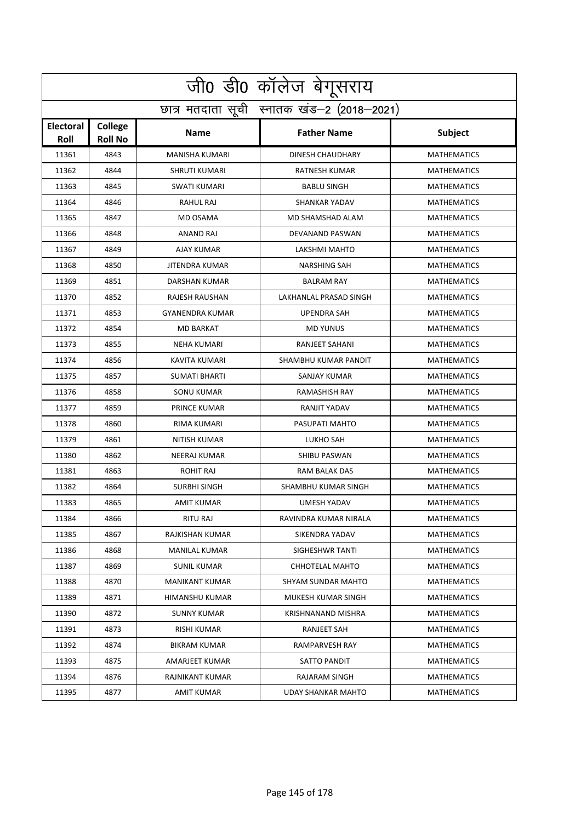| जी0 डी0 कॉलेज बेगूसराय                     |                           |                        |                         |                    |  |
|--------------------------------------------|---------------------------|------------------------|-------------------------|--------------------|--|
| छात्र मतदाता सूची स्नातक खंड-2 (2018-2021) |                           |                        |                         |                    |  |
| <b>Electoral</b><br>Roll                   | College<br><b>Roll No</b> | <b>Name</b>            | <b>Father Name</b>      | Subject            |  |
| 11361                                      | 4843                      | MANISHA KUMARI         | <b>DINESH CHAUDHARY</b> | <b>MATHEMATICS</b> |  |
| 11362                                      | 4844                      | <b>SHRUTI KUMARI</b>   | <b>RATNESH KUMAR</b>    | <b>MATHEMATICS</b> |  |
| 11363                                      | 4845                      | <b>SWATI KUMARI</b>    | <b>BABLU SINGH</b>      | <b>MATHEMATICS</b> |  |
| 11364                                      | 4846                      | <b>RAHUL RAJ</b>       | <b>SHANKAR YADAV</b>    | <b>MATHEMATICS</b> |  |
| 11365                                      | 4847                      | MD OSAMA               | MD SHAMSHAD ALAM        | <b>MATHEMATICS</b> |  |
| 11366                                      | 4848                      | ANAND RAJ              | DEVANAND PASWAN         | <b>MATHEMATICS</b> |  |
| 11367                                      | 4849                      | <b>AJAY KUMAR</b>      | LAKSHMI MAHTO           | <b>MATHEMATICS</b> |  |
| 11368                                      | 4850                      | <b>JITENDRA KUMAR</b>  | <b>NARSHING SAH</b>     | <b>MATHEMATICS</b> |  |
| 11369                                      | 4851                      | <b>DARSHAN KUMAR</b>   | <b>BALRAM RAY</b>       | <b>MATHEMATICS</b> |  |
| 11370                                      | 4852                      | RAJESH RAUSHAN         | LAKHANLAL PRASAD SINGH  | <b>MATHEMATICS</b> |  |
| 11371                                      | 4853                      | <b>GYANENDRA KUMAR</b> | <b>UPENDRA SAH</b>      | <b>MATHEMATICS</b> |  |
| 11372                                      | 4854                      | <b>MD BARKAT</b>       | <b>MD YUNUS</b>         | <b>MATHEMATICS</b> |  |
| 11373                                      | 4855                      | <b>NEHA KUMARI</b>     | RANJEET SAHANI          | <b>MATHEMATICS</b> |  |
| 11374                                      | 4856                      | <b>KAVITA KUMARI</b>   | SHAMBHU KUMAR PANDIT    | <b>MATHEMATICS</b> |  |
| 11375                                      | 4857                      | <b>SUMATI BHARTI</b>   | SANJAY KUMAR            | <b>MATHEMATICS</b> |  |
| 11376                                      | 4858                      | <b>SONU KUMAR</b>      | RAMASHISH RAY           | <b>MATHEMATICS</b> |  |
| 11377                                      | 4859                      | PRINCE KUMAR           | RANJIT YADAV            | <b>MATHEMATICS</b> |  |
| 11378                                      | 4860                      | RIMA KUMARI            | PASUPATI MAHTO          | <b>MATHEMATICS</b> |  |
| 11379                                      | 4861                      | <b>NITISH KUMAR</b>    | LUKHO SAH               | <b>MATHEMATICS</b> |  |
| 11380                                      | 4862                      | <b>NEERAJ KUMAR</b>    | SHIBU PASWAN            | <b>MATHEMATICS</b> |  |
| 11381                                      | 4863                      | ROHIT RAJ              | RAM BALAK DAS           | <b>MATHEMATICS</b> |  |
| 11382                                      | 4864                      | <b>SURBHI SINGH</b>    | SHAMBHU KUMAR SINGH     | <b>MATHEMATICS</b> |  |
| 11383                                      | 4865                      | AMIT KUMAR             | UMESH YADAV             | <b>MATHEMATICS</b> |  |
| 11384                                      | 4866                      | RITU RAJ               | RAVINDRA KUMAR NIRALA   | <b>MATHEMATICS</b> |  |
| 11385                                      | 4867                      | RAJKISHAN KUMAR        | SIKENDRA YADAV          | <b>MATHEMATICS</b> |  |
| 11386                                      | 4868                      | MANILAL KUMAR          | SIGHESHWR TANTI         | <b>MATHEMATICS</b> |  |
| 11387                                      | 4869                      | SUNIL KUMAR            | CHHOTELAL MAHTO         | <b>MATHEMATICS</b> |  |
| 11388                                      | 4870                      | MANIKANT KUMAR         | SHYAM SUNDAR MAHTO      | <b>MATHEMATICS</b> |  |
| 11389                                      | 4871                      | HIMANSHU KUMAR         | MUKESH KUMAR SINGH      | <b>MATHEMATICS</b> |  |
| 11390                                      | 4872                      | <b>SUNNY KUMAR</b>     | KRISHNANAND MISHRA      | <b>MATHEMATICS</b> |  |
| 11391                                      | 4873                      | RISHI KUMAR            | RANJEET SAH             | <b>MATHEMATICS</b> |  |
| 11392                                      | 4874                      | BIKRAM KUMAR           | RAMPARVESH RAY          | <b>MATHEMATICS</b> |  |
| 11393                                      | 4875                      | AMARJEET KUMAR         | SATTO PANDIT            | MATHEMATICS        |  |
| 11394                                      | 4876                      | RAJNIKANT KUMAR        | RAJARAM SINGH           | <b>MATHEMATICS</b> |  |
| 11395                                      | 4877                      | AMIT KUMAR             | UDAY SHANKAR MAHTO      | <b>MATHEMATICS</b> |  |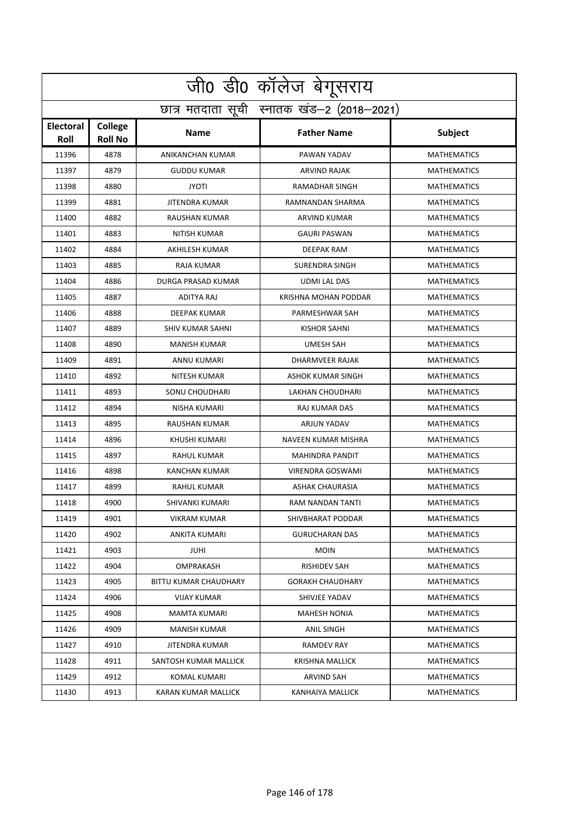| <u>जी0 डी0 कॉलेज बेगू</u> सराय |                                            |                           |                         |                    |  |  |
|--------------------------------|--------------------------------------------|---------------------------|-------------------------|--------------------|--|--|
|                                | छात्र मतदाता सूची स्नातक खंड-2 (2018-2021) |                           |                         |                    |  |  |
| <b>Electoral</b><br>Roll       | College<br><b>Roll No</b>                  | <b>Name</b>               | <b>Father Name</b>      | <b>Subject</b>     |  |  |
| 11396                          | 4878                                       | ANIKANCHAN KUMAR          | PAWAN YADAV             | <b>MATHEMATICS</b> |  |  |
| 11397                          | 4879                                       | <b>GUDDU KUMAR</b>        | <b>ARVIND RAJAK</b>     | <b>MATHEMATICS</b> |  |  |
| 11398                          | 4880                                       | <b>JYOTI</b>              | <b>RAMADHAR SINGH</b>   | <b>MATHEMATICS</b> |  |  |
| 11399                          | 4881                                       | <b>JITENDRA KUMAR</b>     | RAMNANDAN SHARMA        | <b>MATHEMATICS</b> |  |  |
| 11400                          | 4882                                       | RAUSHAN KUMAR             | <b>ARVIND KUMAR</b>     | <b>MATHEMATICS</b> |  |  |
| 11401                          | 4883                                       | <b>NITISH KUMAR</b>       | <b>GAURI PASWAN</b>     | <b>MATHEMATICS</b> |  |  |
| 11402                          | 4884                                       | AKHILESH KUMAR            | DEEPAK RAM              | <b>MATHEMATICS</b> |  |  |
| 11403                          | 4885                                       | <b>RAJA KUMAR</b>         | <b>SURENDRA SINGH</b>   | <b>MATHEMATICS</b> |  |  |
| 11404                          | 4886                                       | <b>DURGA PRASAD KUMAR</b> | <b>UDMI LAL DAS</b>     | <b>MATHEMATICS</b> |  |  |
| 11405                          | 4887                                       | <b>ADITYA RAJ</b>         | KRISHNA MOHAN PODDAR    | <b>MATHEMATICS</b> |  |  |
| 11406                          | 4888                                       | <b>DEEPAK KUMAR</b>       | PARMESHWAR SAH          | <b>MATHEMATICS</b> |  |  |
| 11407                          | 4889                                       | <b>SHIV KUMAR SAHNI</b>   | <b>KISHOR SAHNI</b>     | <b>MATHEMATICS</b> |  |  |
| 11408                          | 4890                                       | <b>MANISH KUMAR</b>       | <b>UMESH SAH</b>        | <b>MATHEMATICS</b> |  |  |
| 11409                          | 4891                                       | ANNU KUMARI               | <b>DHARMVEER RAJAK</b>  | <b>MATHEMATICS</b> |  |  |
| 11410                          | 4892                                       | <b>NITESH KUMAR</b>       | ASHOK KUMAR SINGH       | <b>MATHEMATICS</b> |  |  |
| 11411                          | 4893                                       | <b>SONU CHOUDHARI</b>     | LAKHAN CHOUDHARI        | <b>MATHEMATICS</b> |  |  |
| 11412                          | 4894                                       | NISHA KUMARI              | RAJ KUMAR DAS           | <b>MATHEMATICS</b> |  |  |
| 11413                          | 4895                                       | RAUSHAN KUMAR             | ARJUN YADAV             | <b>MATHEMATICS</b> |  |  |
| 11414                          | 4896                                       | KHUSHI KUMARI             | NAVEEN KUMAR MISHRA     | <b>MATHEMATICS</b> |  |  |
| 11415                          | 4897                                       | <b>RAHUL KUMAR</b>        | <b>MAHINDRA PANDIT</b>  | <b>MATHEMATICS</b> |  |  |
| 11416                          | 4898                                       | <b>KANCHAN KUMAR</b>      | <b>VIRENDRA GOSWAMI</b> | <b>MATHEMATICS</b> |  |  |
| 11417                          | 4899                                       | <b>RAHUL KUMAR</b>        | <b>ASHAK CHAURASIA</b>  | <b>MATHEMATICS</b> |  |  |
| 11418                          | 4900                                       | SHIVANKI KUMARI           | RAM NANDAN TANTI        | <b>MATHEMATICS</b> |  |  |
| 11419                          | 4901                                       | <b>VIKRAM KUMAR</b>       | SHIVBHARAT PODDAR       | <b>MATHEMATICS</b> |  |  |
| 11420                          | 4902                                       | ANKITA KUMARI             | <b>GURUCHARAN DAS</b>   | <b>MATHEMATICS</b> |  |  |
| 11421                          | 4903                                       | JUHI                      | <b>MOIN</b>             | <b>MATHEMATICS</b> |  |  |
| 11422                          | 4904                                       | OMPRAKASH                 | RISHIDEV SAH            | <b>MATHEMATICS</b> |  |  |
| 11423                          | 4905                                       | BITTU KUMAR CHAUDHARY     | <b>GORAKH CHAUDHARY</b> | <b>MATHEMATICS</b> |  |  |
| 11424                          | 4906                                       | VIJAY KUMAR               | SHIVJEE YADAV           | MATHEMATICS        |  |  |
| 11425                          | 4908                                       | MAMTA KUMARI              | <b>MAHESH NONIA</b>     | <b>MATHEMATICS</b> |  |  |
| 11426                          | 4909                                       | <b>MANISH KUMAR</b>       | ANIL SINGH              | <b>MATHEMATICS</b> |  |  |
| 11427                          | 4910                                       | JITENDRA KUMAR            | RAMDEV RAY              | <b>MATHEMATICS</b> |  |  |
| 11428                          | 4911                                       | SANTOSH KUMAR MALLICK     | <b>KRISHNA MALLICK</b>  | <b>MATHEMATICS</b> |  |  |
| 11429                          | 4912                                       | KOMAL KUMARI              | ARVIND SAH              | MATHEMATICS        |  |  |
| 11430                          | 4913                                       | KARAN KUMAR MALLICK       | KANHAIYA MALLICK        | <b>MATHEMATICS</b> |  |  |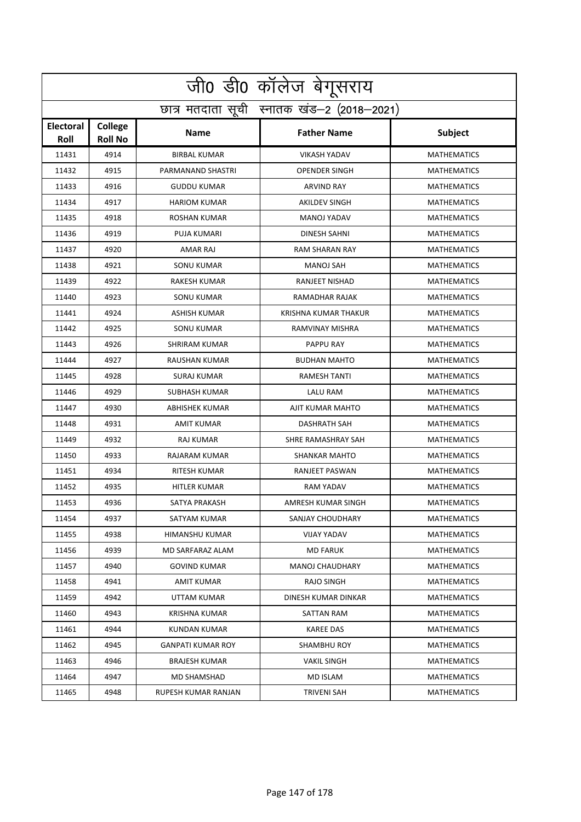| जी0 डी0 कॉलेज बेगूसराय                     |                           |                          |                        |                    |  |
|--------------------------------------------|---------------------------|--------------------------|------------------------|--------------------|--|
| छात्र मतदाता सूची स्नातक खंड-2 (2018-2021) |                           |                          |                        |                    |  |
| <b>Electoral</b><br>Roll                   | College<br><b>Roll No</b> | <b>Name</b>              | <b>Father Name</b>     | <b>Subject</b>     |  |
| 11431                                      | 4914                      | <b>BIRBAL KUMAR</b>      | <b>VIKASH YADAV</b>    | <b>MATHEMATICS</b> |  |
| 11432                                      | 4915                      | PARMANAND SHASTRI        | <b>OPENDER SINGH</b>   | <b>MATHEMATICS</b> |  |
| 11433                                      | 4916                      | <b>GUDDU KUMAR</b>       | <b>ARVIND RAY</b>      | <b>MATHEMATICS</b> |  |
| 11434                                      | 4917                      | <b>HARIOM KUMAR</b>      | <b>AKILDEV SINGH</b>   | <b>MATHEMATICS</b> |  |
| 11435                                      | 4918                      | ROSHAN KUMAR             | <b>MANOJ YADAV</b>     | <b>MATHEMATICS</b> |  |
| 11436                                      | 4919                      | PUJA KUMARI              | <b>DINESH SAHNI</b>    | <b>MATHEMATICS</b> |  |
| 11437                                      | 4920                      | <b>AMAR RAJ</b>          | <b>RAM SHARAN RAY</b>  | <b>MATHEMATICS</b> |  |
| 11438                                      | 4921                      | <b>SONU KUMAR</b>        | <b>MANOJ SAH</b>       | <b>MATHEMATICS</b> |  |
| 11439                                      | 4922                      | <b>RAKESH KUMAR</b>      | RANJEET NISHAD         | <b>MATHEMATICS</b> |  |
| 11440                                      | 4923                      | <b>SONU KUMAR</b>        | <b>RAMADHAR RAJAK</b>  | <b>MATHEMATICS</b> |  |
| 11441                                      | 4924                      | <b>ASHISH KUMAR</b>      | KRISHNA KUMAR THAKUR   | <b>MATHEMATICS</b> |  |
| 11442                                      | 4925                      | SONU KUMAR               | RAMVINAY MISHRA        | <b>MATHEMATICS</b> |  |
| 11443                                      | 4926                      | SHRIRAM KUMAR            | PAPPU RAY              | <b>MATHEMATICS</b> |  |
| 11444                                      | 4927                      | RAUSHAN KUMAR            | <b>BUDHAN MAHTO</b>    | <b>MATHEMATICS</b> |  |
| 11445                                      | 4928                      | <b>SURAJ KUMAR</b>       | <b>RAMESH TANTI</b>    | <b>MATHEMATICS</b> |  |
| 11446                                      | 4929                      | SUBHASH KUMAR            | <b>LALU RAM</b>        | <b>MATHEMATICS</b> |  |
| 11447                                      | 4930                      | <b>ABHISHEK KUMAR</b>    | AJIT KUMAR MAHTO       | <b>MATHEMATICS</b> |  |
| 11448                                      | 4931                      | AMIT KUMAR               | DASHRATH SAH           | <b>MATHEMATICS</b> |  |
| 11449                                      | 4932                      | <b>RAJ KUMAR</b>         | SHRE RAMASHRAY SAH     | <b>MATHEMATICS</b> |  |
| 11450                                      | 4933                      | RAJARAM KUMAR            | <b>SHANKAR MAHTO</b>   | <b>MATHEMATICS</b> |  |
| 11451                                      | 4934                      | <b>RITESH KUMAR</b>      | RANJEET PASWAN         | <b>MATHEMATICS</b> |  |
| 11452                                      | 4935                      | <b>HITLER KUMAR</b>      | <b>RAM YADAV</b>       | <b>MATHEMATICS</b> |  |
| 11453                                      | 4936                      | SATYA PRAKASH            | AMRESH KUMAR SINGH     | <b>MATHEMATICS</b> |  |
| 11454                                      | 4937                      | SATYAM KUMAR             | SANJAY CHOUDHARY       | <b>MATHEMATICS</b> |  |
| 11455                                      | 4938                      | HIMANSHU KUMAR           | VIJAY YADAV            | <b>MATHEMATICS</b> |  |
| 11456                                      | 4939                      | MD SARFARAZ ALAM         | <b>MD FARUK</b>        | <b>MATHEMATICS</b> |  |
| 11457                                      | 4940                      | <b>GOVIND KUMAR</b>      | <b>MANOJ CHAUDHARY</b> | <b>MATHEMATICS</b> |  |
| 11458                                      | 4941                      | AMIT KUMAR               | RAJO SINGH             | <b>MATHEMATICS</b> |  |
| 11459                                      | 4942                      | UTTAM KUMAR              | DINESH KUMAR DINKAR    | MATHEMATICS        |  |
| 11460                                      | 4943                      | KRISHNA KUMAR            | SATTAN RAM             | MATHEMATICS        |  |
| 11461                                      | 4944                      | <b>KUNDAN KUMAR</b>      | <b>KAREE DAS</b>       | <b>MATHEMATICS</b> |  |
| 11462                                      | 4945                      | <b>GANPATI KUMAR ROY</b> | SHAMBHU ROY            | <b>MATHEMATICS</b> |  |
| 11463                                      | 4946                      | BRAJESH KUMAR            | VAKIL SINGH            | MATHEMATICS        |  |
| 11464                                      | 4947                      | MD SHAMSHAD              | MD ISLAM               | MATHEMATICS        |  |
| 11465                                      | 4948                      | RUPESH KUMAR RANJAN      | TRIVENI SAH            | MATHEMATICS        |  |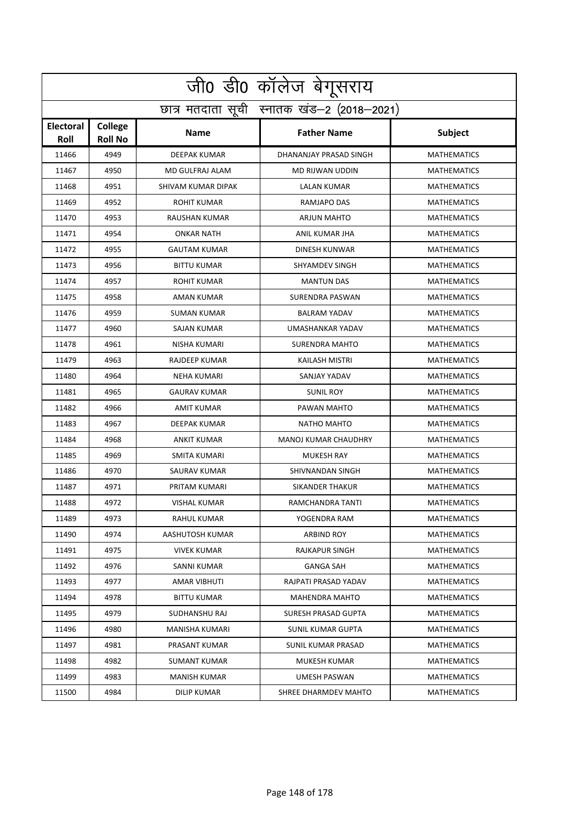| जी0 डी0 कॉलेज बेगूसराय                     |                           |                     |                             |                    |  |
|--------------------------------------------|---------------------------|---------------------|-----------------------------|--------------------|--|
| छात्र मतदाता सूची स्नातक खंड-2 (2018-2021) |                           |                     |                             |                    |  |
| <b>Electoral</b><br>Roll                   | College<br><b>Roll No</b> | <b>Name</b>         | <b>Father Name</b>          | Subject            |  |
| 11466                                      | 4949                      | <b>DEEPAK KUMAR</b> | DHANANJAY PRASAD SINGH      | <b>MATHEMATICS</b> |  |
| 11467                                      | 4950                      | MD GULFRAJ ALAM     | <b>MD RIJWAN UDDIN</b>      | <b>MATHEMATICS</b> |  |
| 11468                                      | 4951                      | SHIVAM KUMAR DIPAK  | LALAN KUMAR                 | <b>MATHEMATICS</b> |  |
| 11469                                      | 4952                      | <b>ROHIT KUMAR</b>  | RAMJAPO DAS                 | <b>MATHEMATICS</b> |  |
| 11470                                      | 4953                      | RAUSHAN KUMAR       | <b>ARJUN MAHTO</b>          | <b>MATHEMATICS</b> |  |
| 11471                                      | 4954                      | <b>ONKAR NATH</b>   | ANIL KUMAR JHA              | <b>MATHEMATICS</b> |  |
| 11472                                      | 4955                      | <b>GAUTAM KUMAR</b> | <b>DINESH KUNWAR</b>        | <b>MATHEMATICS</b> |  |
| 11473                                      | 4956                      | <b>BITTU KUMAR</b>  | <b>SHYAMDEV SINGH</b>       | <b>MATHEMATICS</b> |  |
| 11474                                      | 4957                      | <b>ROHIT KUMAR</b>  | <b>MANTUN DAS</b>           | <b>MATHEMATICS</b> |  |
| 11475                                      | 4958                      | AMAN KUMAR          | <b>SURENDRA PASWAN</b>      | <b>MATHEMATICS</b> |  |
| 11476                                      | 4959                      | <b>SUMAN KUMAR</b>  | <b>BALRAM YADAV</b>         | <b>MATHEMATICS</b> |  |
| 11477                                      | 4960                      | SAJAN KUMAR         | UMASHANKAR YADAV            | <b>MATHEMATICS</b> |  |
| 11478                                      | 4961                      | NISHA KUMARI        | <b>SURENDRA MAHTO</b>       | <b>MATHEMATICS</b> |  |
| 11479                                      | 4963                      | RAJDEEP KUMAR       | <b>KAILASH MISTRI</b>       | <b>MATHEMATICS</b> |  |
| 11480                                      | 4964                      | <b>NEHA KUMARI</b>  | SANJAY YADAV                | <b>MATHEMATICS</b> |  |
| 11481                                      | 4965                      | <b>GAURAV KUMAR</b> | <b>SUNIL ROY</b>            | <b>MATHEMATICS</b> |  |
| 11482                                      | 4966                      | AMIT KUMAR          | PAWAN MAHTO                 | <b>MATHEMATICS</b> |  |
| 11483                                      | 4967                      | DEEPAK KUMAR        | NATHO MAHTO                 | <b>MATHEMATICS</b> |  |
| 11484                                      | 4968                      | ANKIT KUMAR         | <b>MANOJ KUMAR CHAUDHRY</b> | <b>MATHEMATICS</b> |  |
| 11485                                      | 4969                      | SMITA KUMARI        | <b>MUKESH RAY</b>           | <b>MATHEMATICS</b> |  |
| 11486                                      | 4970                      | SAURAV KUMAR        | SHIVNANDAN SINGH            | <b>MATHEMATICS</b> |  |
| 11487                                      | 4971                      | PRITAM KUMARI       | <b>SIKANDER THAKUR</b>      | <b>MATHEMATICS</b> |  |
| 11488                                      | 4972                      | VISHAL KUMAR        | RAMCHANDRA TANTI            | <b>MATHEMATICS</b> |  |
| 11489                                      | 4973                      | RAHUL KUMAR         | YOGENDRA RAM                | <b>MATHEMATICS</b> |  |
| 11490                                      | 4974                      | AASHUTOSH KUMAR     | ARBIND ROY                  | <b>MATHEMATICS</b> |  |
| 11491                                      | 4975                      | VIVEK KUMAR         | RAJKAPUR SINGH              | <b>MATHEMATICS</b> |  |
| 11492                                      | 4976                      | SANNI KUMAR         | <b>GANGA SAH</b>            | <b>MATHEMATICS</b> |  |
| 11493                                      | 4977                      | AMAR VIBHUTI        | RAJPATI PRASAD YADAV        | <b>MATHEMATICS</b> |  |
| 11494                                      | 4978                      | BITTU KUMAR         | <b>MAHENDRA MAHTO</b>       | MATHEMATICS        |  |
| 11495                                      | 4979                      | SUDHANSHU RAJ       | SURESH PRASAD GUPTA         | <b>MATHEMATICS</b> |  |
| 11496                                      | 4980                      | MANISHA KUMARI      | SUNIL KUMAR GUPTA           | <b>MATHEMATICS</b> |  |
| 11497                                      | 4981                      | PRASANT KUMAR       | SUNIL KUMAR PRASAD          | <b>MATHEMATICS</b> |  |
| 11498                                      | 4982                      | SUMANT KUMAR        | MUKESH KUMAR                | MATHEMATICS        |  |
| 11499                                      | 4983                      | MANISH KUMAR        | UMESH PASWAN                | MATHEMATICS        |  |
| 11500                                      | 4984                      | DILIP KUMAR         | SHREE DHARMDEV MAHTO        | MATHEMATICS        |  |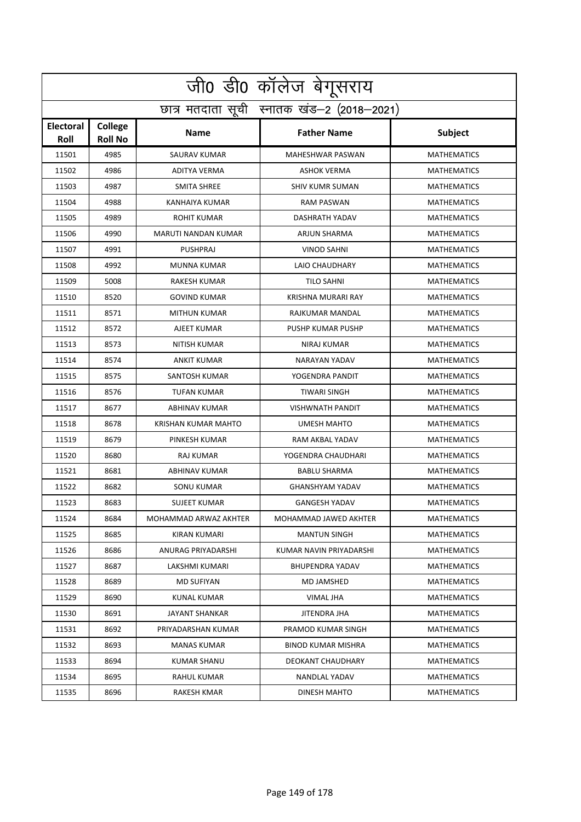|                          | जी0 डी0 कॉलेज बेगूसराय                     |                            |                         |                    |  |  |
|--------------------------|--------------------------------------------|----------------------------|-------------------------|--------------------|--|--|
|                          | छात्र मतदाता सूची स्नातक खंड-2 (2018-2021) |                            |                         |                    |  |  |
| <b>Electoral</b><br>Roll | College<br><b>Roll No</b>                  | <b>Name</b>                | <b>Father Name</b>      | Subject            |  |  |
| 11501                    | 4985                                       | <b>SAURAV KUMAR</b>        | <b>MAHESHWAR PASWAN</b> | <b>MATHEMATICS</b> |  |  |
| 11502                    | 4986                                       | <b>ADITYA VERMA</b>        | <b>ASHOK VERMA</b>      | <b>MATHEMATICS</b> |  |  |
| 11503                    | 4987                                       | <b>SMITA SHREE</b>         | <b>SHIV KUMR SUMAN</b>  | <b>MATHEMATICS</b> |  |  |
| 11504                    | 4988                                       | KANHAIYA KUMAR             | <b>RAM PASWAN</b>       | <b>MATHEMATICS</b> |  |  |
| 11505                    | 4989                                       | <b>ROHIT KUMAR</b>         | DASHRATH YADAV          | <b>MATHEMATICS</b> |  |  |
| 11506                    | 4990                                       | <b>MARUTI NANDAN KUMAR</b> | ARJUN SHARMA            | <b>MATHEMATICS</b> |  |  |
| 11507                    | 4991                                       | <b>PUSHPRAJ</b>            | <b>VINOD SAHNI</b>      | <b>MATHEMATICS</b> |  |  |
| 11508                    | 4992                                       | <b>MUNNA KUMAR</b>         | <b>LAIO CHAUDHARY</b>   | <b>MATHEMATICS</b> |  |  |
| 11509                    | 5008                                       | <b>RAKESH KUMAR</b>        | <b>TILO SAHNI</b>       | <b>MATHEMATICS</b> |  |  |
| 11510                    | 8520                                       | <b>GOVIND KUMAR</b>        | KRISHNA MURARI RAY      | <b>MATHEMATICS</b> |  |  |
| 11511                    | 8571                                       | MITHUN KUMAR               | RAJKUMAR MANDAL         | <b>MATHEMATICS</b> |  |  |
| 11512                    | 8572                                       | AJEET KUMAR                | PUSHP KUMAR PUSHP       | <b>MATHEMATICS</b> |  |  |
| 11513                    | 8573                                       | <b>NITISH KUMAR</b>        | <b>NIRAJ KUMAR</b>      | <b>MATHEMATICS</b> |  |  |
| 11514                    | 8574                                       | <b>ANKIT KUMAR</b>         | NARAYAN YADAV           | <b>MATHEMATICS</b> |  |  |
| 11515                    | 8575                                       | SANTOSH KUMAR              | YOGENDRA PANDIT         | <b>MATHEMATICS</b> |  |  |
| 11516                    | 8576                                       | <b>TUFAN KUMAR</b>         | <b>TIWARI SINGH</b>     | <b>MATHEMATICS</b> |  |  |
| 11517                    | 8677                                       | ABHINAV KUMAR              | <b>VISHWNATH PANDIT</b> | <b>MATHEMATICS</b> |  |  |
| 11518                    | 8678                                       | KRISHAN KUMAR MAHTO        | <b>UMESH MAHTO</b>      | <b>MATHEMATICS</b> |  |  |
| 11519                    | 8679                                       | PINKESH KUMAR              | RAM AKBAL YADAV         | <b>MATHEMATICS</b> |  |  |
| 11520                    | 8680                                       | <b>RAJ KUMAR</b>           | YOGENDRA CHAUDHARI      | <b>MATHEMATICS</b> |  |  |
| 11521                    | 8681                                       | ABHINAV KUMAR              | <b>BABLU SHARMA</b>     | <b>MATHEMATICS</b> |  |  |
| 11522                    | 8682                                       | <b>SONU KUMAR</b>          | <b>GHANSHYAM YADAV</b>  | <b>MATHEMATICS</b> |  |  |
| 11523                    | 8683                                       | <b>SUJEET KUMAR</b>        | <b>GANGESH YADAV</b>    | <b>MATHEMATICS</b> |  |  |
| 11524                    | 8684                                       | MOHAMMAD ARWAZ AKHTER      | MOHAMMAD JAWED AKHTER   | <b>MATHEMATICS</b> |  |  |
| 11525                    | 8685                                       | KIRAN KUMARI               | <b>MANTUN SINGH</b>     | <b>MATHEMATICS</b> |  |  |
| 11526                    | 8686                                       | ANURAG PRIYADARSHI         | KUMAR NAVIN PRIYADARSHI | <b>MATHEMATICS</b> |  |  |
| 11527                    | 8687                                       | LAKSHMI KUMARI             | <b>BHUPENDRA YADAV</b>  | <b>MATHEMATICS</b> |  |  |
| 11528                    | 8689                                       | <b>MD SUFIYAN</b>          | MD JAMSHED              | <b>MATHEMATICS</b> |  |  |
| 11529                    | 8690                                       | KUNAL KUMAR                | VIMAL JHA               | <b>MATHEMATICS</b> |  |  |
| 11530                    | 8691                                       | JAYANT SHANKAR             | JITENDRA JHA            | <b>MATHEMATICS</b> |  |  |
| 11531                    | 8692                                       | PRIYADARSHAN KUMAR         | PRAMOD KUMAR SINGH      | <b>MATHEMATICS</b> |  |  |
| 11532                    | 8693                                       | MANAS KUMAR                | BINOD KUMAR MISHRA      | <b>MATHEMATICS</b> |  |  |
| 11533                    | 8694                                       | <b>KUMAR SHANU</b>         | DEOKANT CHAUDHARY       | <b>MATHEMATICS</b> |  |  |
| 11534                    | 8695                                       | RAHUL KUMAR                | NANDLAL YADAV           | <b>MATHEMATICS</b> |  |  |
| 11535                    | 8696                                       | RAKESH KMAR                | DINESH MAHTO            | MATHEMATICS        |  |  |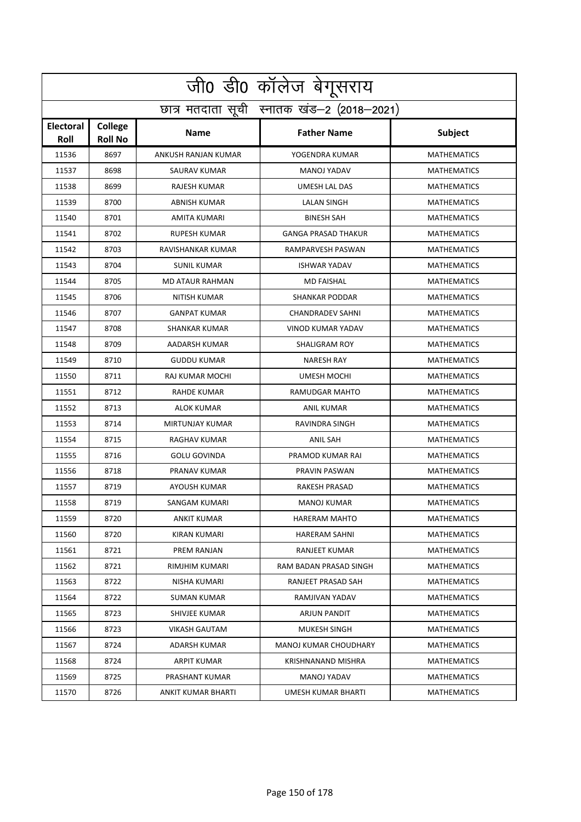| <u>जी0 डी0 कॉलेज बेगू</u> सराय |                                            |                        |                            |                    |  |  |
|--------------------------------|--------------------------------------------|------------------------|----------------------------|--------------------|--|--|
|                                | छात्र मतदाता सूची स्नातक खंड-2 (2018-2021) |                        |                            |                    |  |  |
| <b>Electoral</b><br>Roll       | College<br><b>Roll No</b>                  | <b>Name</b>            | <b>Father Name</b>         | <b>Subject</b>     |  |  |
| 11536                          | 8697                                       | ANKUSH RANJAN KUMAR    | YOGENDRA KUMAR             | <b>MATHEMATICS</b> |  |  |
| 11537                          | 8698                                       | SAURAV KUMAR           | <b>MANOJ YADAV</b>         | <b>MATHEMATICS</b> |  |  |
| 11538                          | 8699                                       | RAJESH KUMAR           | <b>UMESH LAL DAS</b>       | <b>MATHEMATICS</b> |  |  |
| 11539                          | 8700                                       | <b>ABNISH KUMAR</b>    | <b>LALAN SINGH</b>         | <b>MATHEMATICS</b> |  |  |
| 11540                          | 8701                                       | AMITA KUMARI           | <b>BINESH SAH</b>          | <b>MATHEMATICS</b> |  |  |
| 11541                          | 8702                                       | <b>RUPESH KUMAR</b>    | <b>GANGA PRASAD THAKUR</b> | <b>MATHEMATICS</b> |  |  |
| 11542                          | 8703                                       | RAVISHANKAR KUMAR      | RAMPARVESH PASWAN          | <b>MATHEMATICS</b> |  |  |
| 11543                          | 8704                                       | <b>SUNIL KUMAR</b>     | <b>ISHWAR YADAV</b>        | <b>MATHEMATICS</b> |  |  |
| 11544                          | 8705                                       | <b>MD ATAUR RAHMAN</b> | <b>MD FAISHAL</b>          | <b>MATHEMATICS</b> |  |  |
| 11545                          | 8706                                       | <b>NITISH KUMAR</b>    | <b>SHANKAR PODDAR</b>      | <b>MATHEMATICS</b> |  |  |
| 11546                          | 8707                                       | <b>GANPAT KUMAR</b>    | <b>CHANDRADEV SAHNI</b>    | <b>MATHEMATICS</b> |  |  |
| 11547                          | 8708                                       | <b>SHANKAR KUMAR</b>   | VINOD KUMAR YADAV          | <b>MATHEMATICS</b> |  |  |
| 11548                          | 8709                                       | AADARSH KUMAR          | <b>SHALIGRAM ROY</b>       | <b>MATHEMATICS</b> |  |  |
| 11549                          | 8710                                       | <b>GUDDU KUMAR</b>     | <b>NARESH RAY</b>          | <b>MATHEMATICS</b> |  |  |
| 11550                          | 8711                                       | RAJ KUMAR MOCHI        | <b>UMESH MOCHI</b>         | <b>MATHEMATICS</b> |  |  |
| 11551                          | 8712                                       | <b>RAHDE KUMAR</b>     | RAMUDGAR MAHTO             | <b>MATHEMATICS</b> |  |  |
| 11552                          | 8713                                       | ALOK KUMAR             | <b>ANIL KUMAR</b>          | <b>MATHEMATICS</b> |  |  |
| 11553                          | 8714                                       | MIRTUNJAY KUMAR        | RAVINDRA SINGH             | <b>MATHEMATICS</b> |  |  |
| 11554                          | 8715                                       | RAGHAV KUMAR           | <b>ANIL SAH</b>            | <b>MATHEMATICS</b> |  |  |
| 11555                          | 8716                                       | <b>GOLU GOVINDA</b>    | PRAMOD KUMAR RAI           | <b>MATHEMATICS</b> |  |  |
| 11556                          | 8718                                       | PRANAV KUMAR           | PRAVIN PASWAN              | <b>MATHEMATICS</b> |  |  |
| 11557                          | 8719                                       | AYOUSH KUMAR           | <b>RAKESH PRASAD</b>       | <b>MATHEMATICS</b> |  |  |
| 11558                          | 8719                                       | <b>SANGAM KUMARI</b>   | <b>MANOJ KUMAR</b>         | <b>MATHEMATICS</b> |  |  |
| 11559                          | 8720                                       | ANKIT KUMAR            | HARERAM MAHTO              | <b>MATHEMATICS</b> |  |  |
| 11560                          | 8720                                       | KIRAN KUMARI           | <b>HARERAM SAHNI</b>       | <b>MATHEMATICS</b> |  |  |
| 11561                          | 8721                                       | PREM RANJAN            | <b>RANJEET KUMAR</b>       | <b>MATHEMATICS</b> |  |  |
| 11562                          | 8721                                       | RIMJHIM KUMARI         | RAM BADAN PRASAD SINGH     | <b>MATHEMATICS</b> |  |  |
| 11563                          | 8722                                       | NISHA KUMARI           | RANJEET PRASAD SAH         | <b>MATHEMATICS</b> |  |  |
| 11564                          | 8722                                       | SUMAN KUMAR            | RAMJIVAN YADAV             | MATHEMATICS        |  |  |
| 11565                          | 8723                                       | SHIVJEE KUMAR          | ARJUN PANDIT               | <b>MATHEMATICS</b> |  |  |
| 11566                          | 8723                                       | <b>VIKASH GAUTAM</b>   | MUKESH SINGH               | <b>MATHEMATICS</b> |  |  |
| 11567                          | 8724                                       | ADARSH KUMAR           | MANOJ KUMAR CHOUDHARY      | <b>MATHEMATICS</b> |  |  |
| 11568                          | 8724                                       | ARPIT KUMAR            | KRISHNANAND MISHRA         | <b>MATHEMATICS</b> |  |  |
| 11569                          | 8725                                       | PRASHANT KUMAR         | MANOJ YADAV                | <b>MATHEMATICS</b> |  |  |
| 11570                          | 8726                                       | ANKIT KUMAR BHARTI     | UMESH KUMAR BHARTI         | <b>MATHEMATICS</b> |  |  |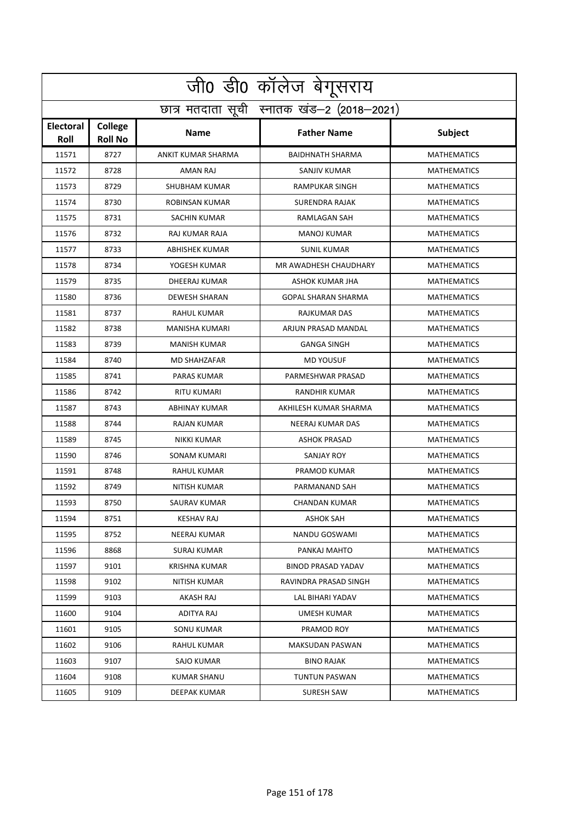| <u>जी0 डी0 कॉलेज बेगू</u> सराय             |                           |                       |                            |                    |  |
|--------------------------------------------|---------------------------|-----------------------|----------------------------|--------------------|--|
| छात्र मतदाता सूची स्नातक खंड-2 (2018-2021) |                           |                       |                            |                    |  |
| <b>Electoral</b><br>Roll                   | College<br><b>Roll No</b> | <b>Name</b>           | <b>Father Name</b>         | <b>Subject</b>     |  |
| 11571                                      | 8727                      | ANKIT KUMAR SHARMA    | <b>BAIDHNATH SHARMA</b>    | <b>MATHEMATICS</b> |  |
| 11572                                      | 8728                      | AMAN RAJ              | SANJIV KUMAR               | <b>MATHEMATICS</b> |  |
| 11573                                      | 8729                      | <b>SHUBHAM KUMAR</b>  | <b>RAMPUKAR SINGH</b>      | <b>MATHEMATICS</b> |  |
| 11574                                      | 8730                      | <b>ROBINSAN KUMAR</b> | <b>SURENDRA RAJAK</b>      | <b>MATHEMATICS</b> |  |
| 11575                                      | 8731                      | <b>SACHIN KUMAR</b>   | RAMLAGAN SAH               | <b>MATHEMATICS</b> |  |
| 11576                                      | 8732                      | RAJ KUMAR RAJA        | <b>MANOJ KUMAR</b>         | <b>MATHEMATICS</b> |  |
| 11577                                      | 8733                      | <b>ABHISHEK KUMAR</b> | <b>SUNIL KUMAR</b>         | <b>MATHEMATICS</b> |  |
| 11578                                      | 8734                      | YOGESH KUMAR          | MR AWADHESH CHAUDHARY      | <b>MATHEMATICS</b> |  |
| 11579                                      | 8735                      | <b>DHEERAJ KUMAR</b>  | ASHOK KUMAR JHA            | <b>MATHEMATICS</b> |  |
| 11580                                      | 8736                      | <b>DEWESH SHARAN</b>  | <b>GOPAL SHARAN SHARMA</b> | <b>MATHEMATICS</b> |  |
| 11581                                      | 8737                      | <b>RAHUL KUMAR</b>    | RAJKUMAR DAS               | <b>MATHEMATICS</b> |  |
| 11582                                      | 8738                      | MANISHA KUMARI        | ARJUN PRASAD MANDAL        | <b>MATHEMATICS</b> |  |
| 11583                                      | 8739                      | <b>MANISH KUMAR</b>   | <b>GANGA SINGH</b>         | <b>MATHEMATICS</b> |  |
| 11584                                      | 8740                      | <b>MD SHAHZAFAR</b>   | <b>MD YOUSUF</b>           | <b>MATHEMATICS</b> |  |
| 11585                                      | 8741                      | <b>PARAS KUMAR</b>    | PARMESHWAR PRASAD          | <b>MATHEMATICS</b> |  |
| 11586                                      | 8742                      | RITU KUMARI           | RANDHIR KUMAR              | <b>MATHEMATICS</b> |  |
| 11587                                      | 8743                      | ABHINAY KUMAR         | AKHILESH KUMAR SHARMA      | <b>MATHEMATICS</b> |  |
| 11588                                      | 8744                      | <b>RAJAN KUMAR</b>    | NEERAJ KUMAR DAS           | <b>MATHEMATICS</b> |  |
| 11589                                      | 8745                      | NIKKI KUMAR           | <b>ASHOK PRASAD</b>        | <b>MATHEMATICS</b> |  |
| 11590                                      | 8746                      | <b>SONAM KUMARI</b>   | <b>SANJAY ROY</b>          | <b>MATHEMATICS</b> |  |
| 11591                                      | 8748                      | <b>RAHUL KUMAR</b>    | PRAMOD KUMAR               | <b>MATHEMATICS</b> |  |
| 11592                                      | 8749                      | <b>NITISH KUMAR</b>   | PARMANAND SAH              | <b>MATHEMATICS</b> |  |
| 11593                                      | 8750                      | SAURAV KUMAR          | CHANDAN KUMAR              | <b>MATHEMATICS</b> |  |
| 11594                                      | 8751                      | <b>KESHAV RAJ</b>     | ASHOK SAH                  | <b>MATHEMATICS</b> |  |
| 11595                                      | 8752                      | NEERAJ KUMAR          | NANDU GOSWAMI              | <b>MATHEMATICS</b> |  |
| 11596                                      | 8868                      | SURAJ KUMAR           | PANKAJ MAHTO               | <b>MATHEMATICS</b> |  |
| 11597                                      | 9101                      | KRISHNA KUMAR         | <b>BINOD PRASAD YADAV</b>  | <b>MATHEMATICS</b> |  |
| 11598                                      | 9102                      | NITISH KUMAR          | RAVINDRA PRASAD SINGH      | <b>MATHEMATICS</b> |  |
| 11599                                      | 9103                      | AKASH RAJ             | LAL BIHARI YADAV           | MATHEMATICS        |  |
| 11600                                      | 9104                      | ADITYA RAJ            | UMESH KUMAR                | <b>MATHEMATICS</b> |  |
| 11601                                      | 9105                      | SONU KUMAR            | PRAMOD ROY                 | <b>MATHEMATICS</b> |  |
| 11602                                      | 9106                      | RAHUL KUMAR           | MAKSUDAN PASWAN            | <b>MATHEMATICS</b> |  |
| 11603                                      | 9107                      | SAJO KUMAR            | <b>BINO RAJAK</b>          | <b>MATHEMATICS</b> |  |
| 11604                                      | 9108                      | KUMAR SHANU           | TUNTUN PASWAN              | MATHEMATICS        |  |
| 11605                                      | 9109                      | DEEPAK KUMAR          | SURESH SAW                 | <b>MATHEMATICS</b> |  |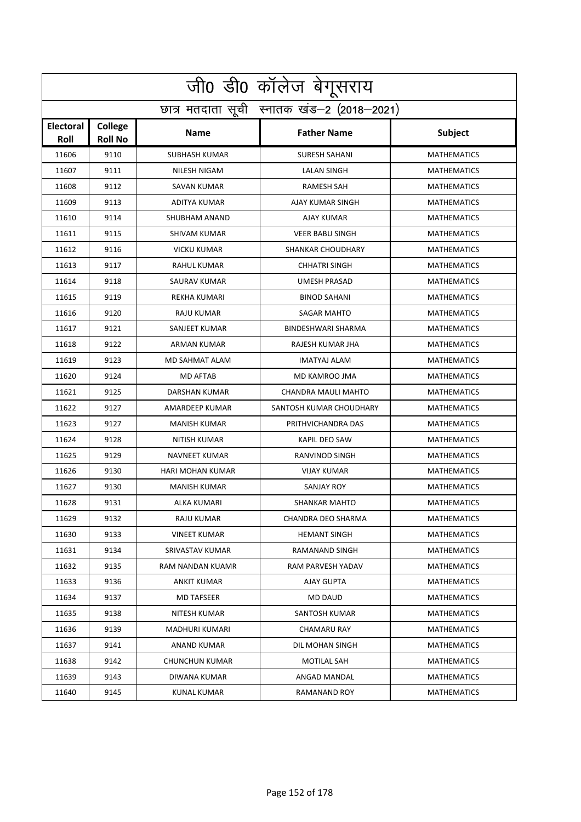| <u>जी0 डी0 कॉलेज बेगू</u> सराय |                                            |                         |                         |                    |  |  |
|--------------------------------|--------------------------------------------|-------------------------|-------------------------|--------------------|--|--|
|                                | छात्र मतदाता सूची स्नातक खंड-2 (2018-2021) |                         |                         |                    |  |  |
| <b>Electoral</b><br>Roll       | College<br><b>Roll No</b>                  | <b>Name</b>             | <b>Father Name</b>      | <b>Subject</b>     |  |  |
| 11606                          | 9110                                       | <b>SUBHASH KUMAR</b>    | <b>SURESH SAHANI</b>    | <b>MATHEMATICS</b> |  |  |
| 11607                          | 9111                                       | NILESH NIGAM            | <b>LALAN SINGH</b>      | <b>MATHEMATICS</b> |  |  |
| 11608                          | 9112                                       | <b>SAVAN KUMAR</b>      | <b>RAMESH SAH</b>       | <b>MATHEMATICS</b> |  |  |
| 11609                          | 9113                                       | <b>ADITYA KUMAR</b>     | <b>AJAY KUMAR SINGH</b> | <b>MATHEMATICS</b> |  |  |
| 11610                          | 9114                                       | SHUBHAM ANAND           | AJAY KUMAR              | <b>MATHEMATICS</b> |  |  |
| 11611                          | 9115                                       | SHIVAM KUMAR            | <b>VEER BABU SINGH</b>  | <b>MATHEMATICS</b> |  |  |
| 11612                          | 9116                                       | <b>VICKU KUMAR</b>      | SHANKAR CHOUDHARY       | <b>MATHEMATICS</b> |  |  |
| 11613                          | 9117                                       | RAHUL KUMAR             | <b>CHHATRI SINGH</b>    | <b>MATHEMATICS</b> |  |  |
| 11614                          | 9118                                       | SAURAV KUMAR            | <b>UMESH PRASAD</b>     | <b>MATHEMATICS</b> |  |  |
| 11615                          | 9119                                       | REKHA KUMARI            | <b>BINOD SAHANI</b>     | <b>MATHEMATICS</b> |  |  |
| 11616                          | 9120                                       | <b>RAJU KUMAR</b>       | <b>SAGAR MAHTO</b>      | <b>MATHEMATICS</b> |  |  |
| 11617                          | 9121                                       | SANJEET KUMAR           | BINDESHWARI SHARMA      | <b>MATHEMATICS</b> |  |  |
| 11618                          | 9122                                       | ARMAN KUMAR             | RAJESH KUMAR JHA        | <b>MATHEMATICS</b> |  |  |
| 11619                          | 9123                                       | <b>MD SAHMAT ALAM</b>   | <b>IMATYAJ ALAM</b>     | <b>MATHEMATICS</b> |  |  |
| 11620                          | 9124                                       | <b>MD AFTAB</b>         | MD KAMROO JMA           | <b>MATHEMATICS</b> |  |  |
| 11621                          | 9125                                       | DARSHAN KUMAR           | CHANDRA MAULI MAHTO     | <b>MATHEMATICS</b> |  |  |
| 11622                          | 9127                                       | AMARDEEP KUMAR          | SANTOSH KUMAR CHOUDHARY | <b>MATHEMATICS</b> |  |  |
| 11623                          | 9127                                       | <b>MANISH KUMAR</b>     | PRITHVICHANDRA DAS      | <b>MATHEMATICS</b> |  |  |
| 11624                          | 9128                                       | <b>NITISH KUMAR</b>     | <b>KAPIL DEO SAW</b>    | <b>MATHEMATICS</b> |  |  |
| 11625                          | 9129                                       | NAVNEET KUMAR           | <b>RANVINOD SINGH</b>   | <b>MATHEMATICS</b> |  |  |
| 11626                          | 9130                                       | <b>HARI MOHAN KUMAR</b> | <b>VIJAY KUMAR</b>      | <b>MATHEMATICS</b> |  |  |
| 11627                          | 9130                                       | <b>MANISH KUMAR</b>     | <b>SANJAY ROY</b>       | <b>MATHEMATICS</b> |  |  |
| 11628                          | 9131                                       | ALKA KUMARI             | SHANKAR MAHTO           | <b>MATHEMATICS</b> |  |  |
| 11629                          | 9132                                       | RAJU KUMAR              | CHANDRA DEO SHARMA      | <b>MATHEMATICS</b> |  |  |
| 11630                          | 9133                                       | VINEET KUMAR            | <b>HEMANT SINGH</b>     | <b>MATHEMATICS</b> |  |  |
| 11631                          | 9134                                       | SRIVASTAV KUMAR         | RAMANAND SINGH          | <b>MATHEMATICS</b> |  |  |
| 11632                          | 9135                                       | RAM NANDAN KUAMR        | RAM PARVESH YADAV       | <b>MATHEMATICS</b> |  |  |
| 11633                          | 9136                                       | ANKIT KUMAR             | AJAY GUPTA              | <b>MATHEMATICS</b> |  |  |
| 11634                          | 9137                                       | MD TAFSEER              | MD DAUD                 | MATHEMATICS        |  |  |
| 11635                          | 9138                                       | NITESH KUMAR            | SANTOSH KUMAR           | MATHEMATICS        |  |  |
| 11636                          | 9139                                       | MADHURI KUMARI          | <b>CHAMARU RAY</b>      | <b>MATHEMATICS</b> |  |  |
| 11637                          | 9141                                       | ANAND KUMAR             | DIL MOHAN SINGH         | <b>MATHEMATICS</b> |  |  |
| 11638                          | 9142                                       | CHUNCHUN KUMAR          | MOTILAL SAH             | MATHEMATICS        |  |  |
| 11639                          | 9143                                       | DIWANA KUMAR            | ANGAD MANDAL            | MATHEMATICS        |  |  |
| 11640                          | 9145                                       | KUNAL KUMAR             | RAMANAND ROY            | MATHEMATICS        |  |  |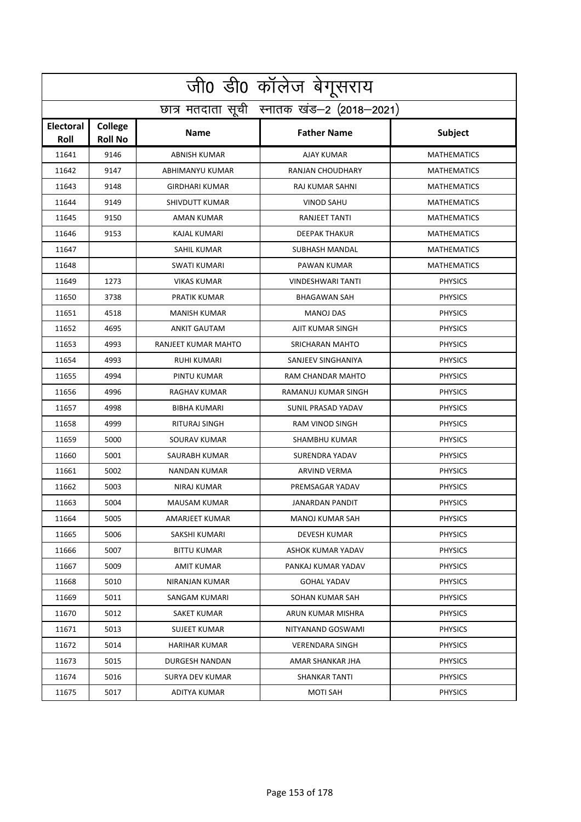| <u>जी0 डी0 कॉलेज बेगू</u> सराय             |                           |                       |                          |                    |  |
|--------------------------------------------|---------------------------|-----------------------|--------------------------|--------------------|--|
| छात्र मतदाता सूची स्नातक खंड-2 (2018-2021) |                           |                       |                          |                    |  |
| Electoral<br>Roll                          | College<br><b>Roll No</b> | <b>Name</b>           | <b>Father Name</b>       | <b>Subject</b>     |  |
| 11641                                      | 9146                      | <b>ABNISH KUMAR</b>   | <b>AJAY KUMAR</b>        | <b>MATHEMATICS</b> |  |
| 11642                                      | 9147                      | ABHIMANYU KUMAR       | <b>RANJAN CHOUDHARY</b>  | <b>MATHEMATICS</b> |  |
| 11643                                      | 9148                      | <b>GIRDHARI KUMAR</b> | RAJ KUMAR SAHNI          | <b>MATHEMATICS</b> |  |
| 11644                                      | 9149                      | <b>SHIVDUTT KUMAR</b> | <b>VINOD SAHU</b>        | <b>MATHEMATICS</b> |  |
| 11645                                      | 9150                      | AMAN KUMAR            | RANJEET TANTI            | <b>MATHEMATICS</b> |  |
| 11646                                      | 9153                      | <b>KAJAL KUMARI</b>   | <b>DEEPAK THAKUR</b>     | <b>MATHEMATICS</b> |  |
| 11647                                      |                           | SAHIL KUMAR           | SUBHASH MANDAL           | <b>MATHEMATICS</b> |  |
| 11648                                      |                           | SWATI KUMARI          | PAWAN KUMAR              | <b>MATHEMATICS</b> |  |
| 11649                                      | 1273                      | <b>VIKAS KUMAR</b>    | <b>VINDESHWARI TANTI</b> | <b>PHYSICS</b>     |  |
| 11650                                      | 3738                      | PRATIK KUMAR          | <b>BHAGAWAN SAH</b>      | <b>PHYSICS</b>     |  |
| 11651                                      | 4518                      | <b>MANISH KUMAR</b>   | <b>MANOJ DAS</b>         | <b>PHYSICS</b>     |  |
| 11652                                      | 4695                      | <b>ANKIT GAUTAM</b>   | AJIT KUMAR SINGH         | <b>PHYSICS</b>     |  |
| 11653                                      | 4993                      | RANJEET KUMAR MAHTO   | SRICHARAN MAHTO          | <b>PHYSICS</b>     |  |
| 11654                                      | 4993                      | RUHI KUMARI           | SANJEEV SINGHANIYA       | <b>PHYSICS</b>     |  |
| 11655                                      | 4994                      | PINTU KUMAR           | RAM CHANDAR MAHTO        | <b>PHYSICS</b>     |  |
| 11656                                      | 4996                      | RAGHAV KUMAR          | RAMANUJ KUMAR SINGH      | <b>PHYSICS</b>     |  |
| 11657                                      | 4998                      | <b>BIBHA KUMARI</b>   | SUNIL PRASAD YADAV       | <b>PHYSICS</b>     |  |
| 11658                                      | 4999                      | RITURAJ SINGH         | RAM VINOD SINGH          | <b>PHYSICS</b>     |  |
| 11659                                      | 5000                      | SOURAV KUMAR          | SHAMBHU KUMAR            | <b>PHYSICS</b>     |  |
| 11660                                      | 5001                      | SAURABH KUMAR         | SURENDRA YADAV           | <b>PHYSICS</b>     |  |
| 11661                                      | 5002                      | <b>NANDAN KUMAR</b>   | ARVIND VERMA             | <b>PHYSICS</b>     |  |
| 11662                                      | 5003                      | NIRAJ KUMAR           | PREMSAGAR YADAV          | <b>PHYSICS</b>     |  |
| 11663                                      | 5004                      | <b>MAUSAM KUMAR</b>   | JANARDAN PANDIT          | <b>PHYSICS</b>     |  |
| 11664                                      | 5005                      | AMARJEET KUMAR        | MANOJ KUMAR SAH          | <b>PHYSICS</b>     |  |
| 11665                                      | 5006                      | SAKSHI KUMARI         | <b>DEVESH KUMAR</b>      | <b>PHYSICS</b>     |  |
| 11666                                      | 5007                      | <b>BITTU KUMAR</b>    | ASHOK KUMAR YADAV        | <b>PHYSICS</b>     |  |
| 11667                                      | 5009                      | AMIT KUMAR            | PANKAJ KUMAR YADAV       | <b>PHYSICS</b>     |  |
| 11668                                      | 5010                      | NIRANJAN KUMAR        | <b>GOHAL YADAV</b>       | <b>PHYSICS</b>     |  |
| 11669                                      | 5011                      | SANGAM KUMARI         | SOHAN KUMAR SAH          | <b>PHYSICS</b>     |  |
| 11670                                      | 5012                      | SAKET KUMAR           | ARUN KUMAR MISHRA        | <b>PHYSICS</b>     |  |
| 11671                                      | 5013                      | <b>SUJEET KUMAR</b>   | NITYANAND GOSWAMI        | <b>PHYSICS</b>     |  |
| 11672                                      | 5014                      | HARIHAR KUMAR         | VERENDARA SINGH          | <b>PHYSICS</b>     |  |
| 11673                                      | 5015                      | DURGESH NANDAN        | AMAR SHANKAR JHA         | <b>PHYSICS</b>     |  |
| 11674                                      | 5016                      | SURYA DEV KUMAR       | SHANKAR TANTI            | <b>PHYSICS</b>     |  |
| 11675                                      | 5017                      | ADITYA KUMAR          | MOTI SAH                 | <b>PHYSICS</b>     |  |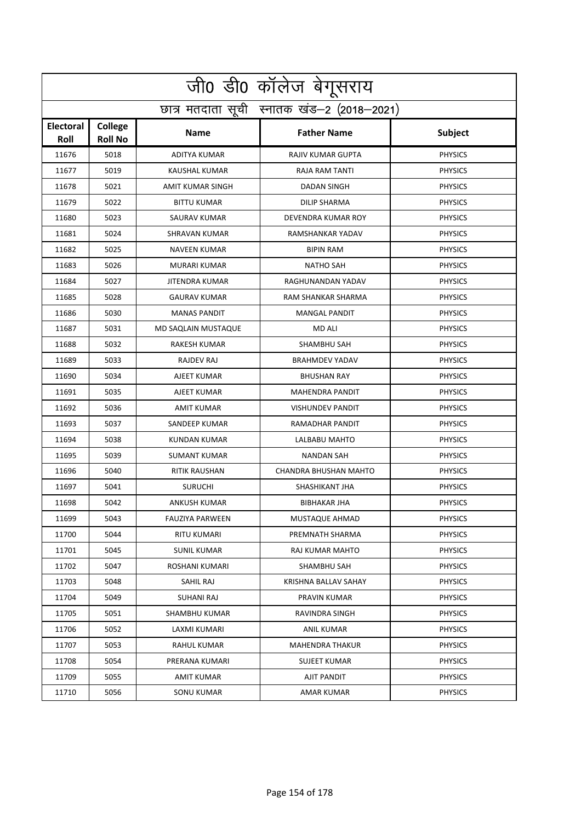| <u>जी</u> 0 डी0 कॉलेज बेगूसराय |                                            |                            |                              |                |  |  |
|--------------------------------|--------------------------------------------|----------------------------|------------------------------|----------------|--|--|
|                                | छात्र मतदाता सूची स्नातक खंड-2 (2018-2021) |                            |                              |                |  |  |
| Electoral<br><b>Roll</b>       | College<br><b>Roll No</b>                  | <b>Name</b>                | <b>Father Name</b>           | Subject        |  |  |
| 11676                          | 5018                                       | <b>ADITYA KUMAR</b>        | <b>RAJIV KUMAR GUPTA</b>     | <b>PHYSICS</b> |  |  |
| 11677                          | 5019                                       | KAUSHAL KUMAR              | RAJA RAM TANTI               | <b>PHYSICS</b> |  |  |
| 11678                          | 5021                                       | AMIT KUMAR SINGH           | <b>DADAN SINGH</b>           | <b>PHYSICS</b> |  |  |
| 11679                          | 5022                                       | <b>BITTU KUMAR</b>         | <b>DILIP SHARMA</b>          | <b>PHYSICS</b> |  |  |
| 11680                          | 5023                                       | SAURAV KUMAR               | DEVENDRA KUMAR ROY           | <b>PHYSICS</b> |  |  |
| 11681                          | 5024                                       | <b>SHRAVAN KUMAR</b>       | RAMSHANKAR YADAV             | <b>PHYSICS</b> |  |  |
| 11682                          | 5025                                       | <b>NAVEEN KUMAR</b>        | <b>BIPIN RAM</b>             | <b>PHYSICS</b> |  |  |
| 11683                          | 5026                                       | <b>MURARI KUMAR</b>        | <b>NATHO SAH</b>             | <b>PHYSICS</b> |  |  |
| 11684                          | 5027                                       | JITENDRA KUMAR             | RAGHUNANDAN YADAV            | <b>PHYSICS</b> |  |  |
| 11685                          | 5028                                       | <b>GAURAV KUMAR</b>        | RAM SHANKAR SHARMA           | <b>PHYSICS</b> |  |  |
| 11686                          | 5030                                       | <b>MANAS PANDIT</b>        | <b>MANGAL PANDIT</b>         | <b>PHYSICS</b> |  |  |
| 11687                          | 5031                                       | <b>MD SAQLAIN MUSTAQUE</b> | MD ALI                       | <b>PHYSICS</b> |  |  |
| 11688                          | 5032                                       | RAKESH KUMAR               | SHAMBHU SAH                  | <b>PHYSICS</b> |  |  |
| 11689                          | 5033                                       | <b>RAJDEV RAJ</b>          | <b>BRAHMDEV YADAV</b>        | <b>PHYSICS</b> |  |  |
| 11690                          | 5034                                       | AJEET KUMAR                | <b>BHUSHAN RAY</b>           | <b>PHYSICS</b> |  |  |
| 11691                          | 5035                                       | AJEET KUMAR                | <b>MAHENDRA PANDIT</b>       | <b>PHYSICS</b> |  |  |
| 11692                          | 5036                                       | AMIT KUMAR                 | <b>VISHUNDEV PANDIT</b>      | <b>PHYSICS</b> |  |  |
| 11693                          | 5037                                       | SANDEEP KUMAR              | RAMADHAR PANDIT              | <b>PHYSICS</b> |  |  |
| 11694                          | 5038                                       | <b>KUNDAN KUMAR</b>        | LALBABU MAHTO                | <b>PHYSICS</b> |  |  |
| 11695                          | 5039                                       | <b>SUMANT KUMAR</b>        | <b>NANDAN SAH</b>            | <b>PHYSICS</b> |  |  |
| 11696                          | 5040                                       | <b>RITIK RAUSHAN</b>       | <b>CHANDRA BHUSHAN MAHTO</b> | <b>PHYSICS</b> |  |  |
| 11697                          | 5041                                       | <b>SURUCHI</b>             | SHASHIKANT JHA               | <b>PHYSICS</b> |  |  |
| 11698                          | 5042                                       | <b>ANKUSH KUMAR</b>        | BIBHAKAR JHA                 | <b>PHYSICS</b> |  |  |
| 11699                          | 5043                                       | <b>FAUZIYA PARWEEN</b>     | MUSTAQUE AHMAD               | <b>PHYSICS</b> |  |  |
| 11700                          | 5044                                       | <b>RITU KUMARI</b>         | PREMNATH SHARMA              | <b>PHYSICS</b> |  |  |
| 11701                          | 5045                                       | <b>SUNIL KUMAR</b>         | RAJ KUMAR MAHTO              | <b>PHYSICS</b> |  |  |
| 11702                          | 5047                                       | ROSHANI KUMARI             | SHAMBHU SAH                  | <b>PHYSICS</b> |  |  |
| 11703                          | 5048                                       | SAHIL RAJ                  | KRISHNA BALLAV SAHAY         | <b>PHYSICS</b> |  |  |
| 11704                          | 5049                                       | SUHANI RAJ                 | PRAVIN KUMAR                 | <b>PHYSICS</b> |  |  |
| 11705                          | 5051                                       | <b>SHAMBHU KUMAR</b>       | RAVINDRA SINGH               | <b>PHYSICS</b> |  |  |
| 11706                          | 5052                                       | LAXMI KUMARI               | ANIL KUMAR                   | <b>PHYSICS</b> |  |  |
| 11707                          | 5053                                       | RAHUL KUMAR                | MAHENDRA THAKUR              | <b>PHYSICS</b> |  |  |
| 11708                          | 5054                                       | PRERANA KUMARI             | SUJEET KUMAR                 | <b>PHYSICS</b> |  |  |
| 11709                          | 5055                                       | AMIT KUMAR                 | AJIT PANDIT                  | <b>PHYSICS</b> |  |  |
| 11710                          | 5056                                       | SONU KUMAR                 | AMAR KUMAR                   | <b>PHYSICS</b> |  |  |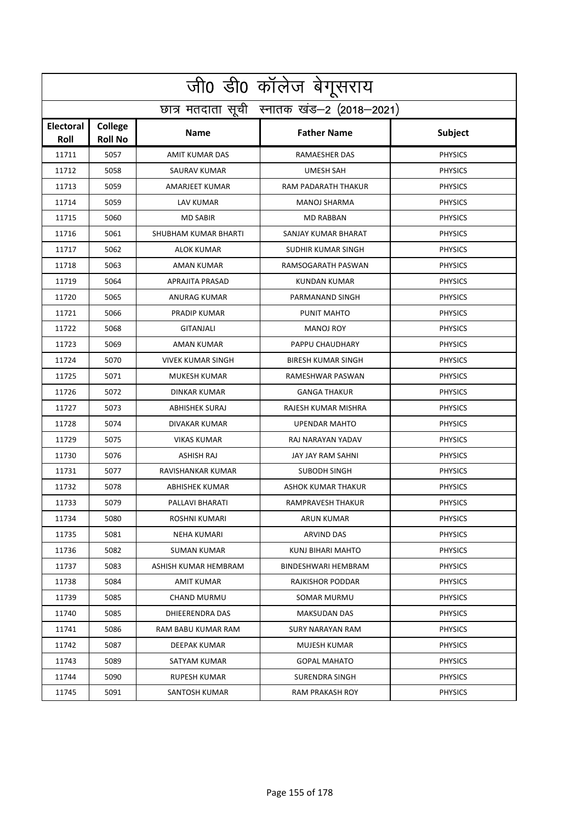| जी0 डी0 कॉलेज बेगूसराय                     |                           |                          |                            |                |  |
|--------------------------------------------|---------------------------|--------------------------|----------------------------|----------------|--|
| छात्र मतदाता सूची स्नातक खंड-2 (2018-2021) |                           |                          |                            |                |  |
| <b>Electoral</b><br><b>Roll</b>            | College<br><b>Roll No</b> | <b>Name</b>              | <b>Father Name</b>         | Subject        |  |
| 11711                                      | 5057                      | <b>AMIT KUMAR DAS</b>    | <b>RAMAESHER DAS</b>       | <b>PHYSICS</b> |  |
| 11712                                      | 5058                      | <b>SAURAV KUMAR</b>      | <b>UMESH SAH</b>           | <b>PHYSICS</b> |  |
| 11713                                      | 5059                      | AMARJEET KUMAR           | RAM PADARATH THAKUR        | <b>PHYSICS</b> |  |
| 11714                                      | 5059                      | <b>LAV KUMAR</b>         | <b>MANOJ SHARMA</b>        | <b>PHYSICS</b> |  |
| 11715                                      | 5060                      | <b>MD SABIR</b>          | <b>MD RABBAN</b>           | <b>PHYSICS</b> |  |
| 11716                                      | 5061                      | SHUBHAM KUMAR BHARTI     | SANJAY KUMAR BHARAT        | <b>PHYSICS</b> |  |
| 11717                                      | 5062                      | ALOK KUMAR               | SUDHIR KUMAR SINGH         | <b>PHYSICS</b> |  |
| 11718                                      | 5063                      | AMAN KUMAR               | RAMSOGARATH PASWAN         | <b>PHYSICS</b> |  |
| 11719                                      | 5064                      | <b>APRAJITA PRASAD</b>   | <b>KUNDAN KUMAR</b>        | <b>PHYSICS</b> |  |
| 11720                                      | 5065                      | <b>ANURAG KUMAR</b>      | PARMANAND SINGH            | <b>PHYSICS</b> |  |
| 11721                                      | 5066                      | PRADIP KUMAR             | PUNIT MAHTO                | <b>PHYSICS</b> |  |
| 11722                                      | 5068                      | <b>GITANJALI</b>         | <b>MANOJ ROY</b>           | <b>PHYSICS</b> |  |
| 11723                                      | 5069                      | AMAN KUMAR               | PAPPU CHAUDHARY            | <b>PHYSICS</b> |  |
| 11724                                      | 5070                      | <b>VIVEK KUMAR SINGH</b> | <b>BIRESH KUMAR SINGH</b>  | <b>PHYSICS</b> |  |
| 11725                                      | 5071                      | MUKESH KUMAR             | RAMESHWAR PASWAN           | <b>PHYSICS</b> |  |
| 11726                                      | 5072                      | <b>DINKAR KUMAR</b>      | <b>GANGA THAKUR</b>        | <b>PHYSICS</b> |  |
| 11727                                      | 5073                      | <b>ABHISHEK SURAJ</b>    | RAJESH KUMAR MISHRA        | <b>PHYSICS</b> |  |
| 11728                                      | 5074                      | DIVAKAR KUMAR            | <b>UPENDAR MAHTO</b>       | <b>PHYSICS</b> |  |
| 11729                                      | 5075                      | <b>VIKAS KUMAR</b>       | RAJ NARAYAN YADAV          | <b>PHYSICS</b> |  |
| 11730                                      | 5076                      | <b>ASHISH RAJ</b>        | JAY JAY RAM SAHNI          | <b>PHYSICS</b> |  |
| 11731                                      | 5077                      | RAVISHANKAR KUMAR        | <b>SUBODH SINGH</b>        | <b>PHYSICS</b> |  |
| 11732                                      | 5078                      | ABHISHEK KUMAR           | ASHOK KUMAR THAKUR         | <b>PHYSICS</b> |  |
| 11733                                      | 5079                      | PALLAVI BHARATI          | RAMPRAVESH THAKUR          | <b>PHYSICS</b> |  |
| 11734                                      | 5080                      | ROSHNI KUMARI            | ARUN KUMAR                 | <b>PHYSICS</b> |  |
| 11735                                      | 5081                      | NEHA KUMARI              | ARVIND DAS                 | <b>PHYSICS</b> |  |
| 11736                                      | 5082                      | SUMAN KUMAR              | KUNJ BIHARI MAHTO          | <b>PHYSICS</b> |  |
| 11737                                      | 5083                      | ASHISH KUMAR HEMBRAM     | <b>BINDESHWARI HEMBRAM</b> | <b>PHYSICS</b> |  |
| 11738                                      | 5084                      | AMIT KUMAR               | <b>RAJKISHOR PODDAR</b>    | <b>PHYSICS</b> |  |
| 11739                                      | 5085                      | <b>CHAND MURMU</b>       | SOMAR MURMU                | <b>PHYSICS</b> |  |
| 11740                                      | 5085                      | DHIEERENDRA DAS          | <b>MAKSUDAN DAS</b>        | <b>PHYSICS</b> |  |
| 11741                                      | 5086                      | RAM BABU KUMAR RAM       | SURY NARAYAN RAM           | <b>PHYSICS</b> |  |
| 11742                                      | 5087                      | DEEPAK KUMAR             | MUJESH KUMAR               | <b>PHYSICS</b> |  |
| 11743                                      | 5089                      | SATYAM KUMAR             | <b>GOPAL MAHATO</b>        | <b>PHYSICS</b> |  |
| 11744                                      | 5090                      | RUPESH KUMAR             | SURENDRA SINGH             | <b>PHYSICS</b> |  |
| 11745                                      | 5091                      | SANTOSH KUMAR            | RAM PRAKASH ROY            | <b>PHYSICS</b> |  |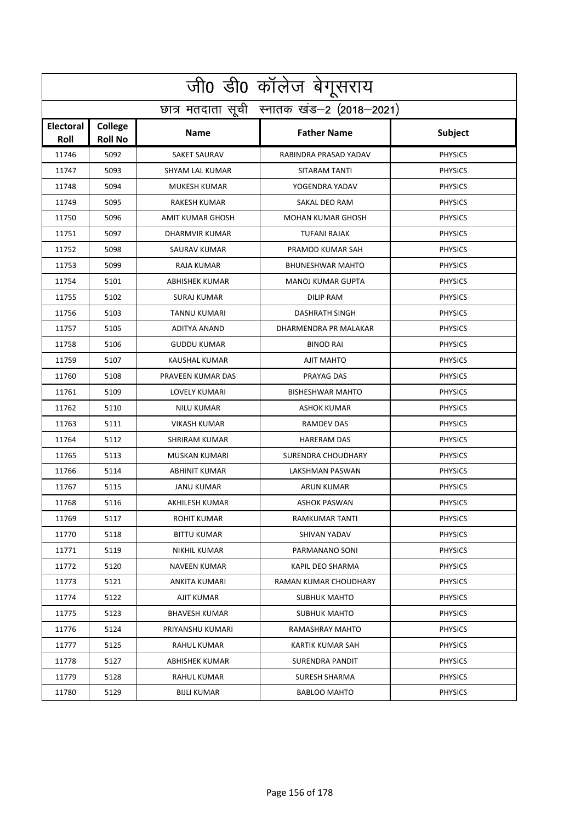| जी0 डी0 कॉलेज बेगूसराय          |                                            |                       |                           |                |  |  |
|---------------------------------|--------------------------------------------|-----------------------|---------------------------|----------------|--|--|
|                                 | छात्र मतदाता सूची स्नातक खंड-2 (2018-2021) |                       |                           |                |  |  |
| <b>Electoral</b><br><b>Roll</b> | College<br><b>Roll No</b>                  | <b>Name</b>           | <b>Father Name</b>        | Subject        |  |  |
| 11746                           | 5092                                       | <b>SAKET SAURAV</b>   | RABINDRA PRASAD YADAV     | <b>PHYSICS</b> |  |  |
| 11747                           | 5093                                       | SHYAM LAL KUMAR       | SITARAM TANTI             | <b>PHYSICS</b> |  |  |
| 11748                           | 5094                                       | MUKESH KUMAR          | YOGENDRA YADAV            | <b>PHYSICS</b> |  |  |
| 11749                           | 5095                                       | <b>RAKESH KUMAR</b>   | SAKAL DEO RAM             | <b>PHYSICS</b> |  |  |
| 11750                           | 5096                                       | AMIT KUMAR GHOSH      | <b>MOHAN KUMAR GHOSH</b>  | <b>PHYSICS</b> |  |  |
| 11751                           | 5097                                       | DHARMVIR KUMAR        | <b>TUFANI RAJAK</b>       | <b>PHYSICS</b> |  |  |
| 11752                           | 5098                                       | SAURAV KUMAR          | PRAMOD KUMAR SAH          | <b>PHYSICS</b> |  |  |
| 11753                           | 5099                                       | RAJA KUMAR            | <b>BHUNESHWAR MAHTO</b>   | <b>PHYSICS</b> |  |  |
| 11754                           | 5101                                       | <b>ABHISHEK KUMAR</b> | <b>MANOJ KUMAR GUPTA</b>  | <b>PHYSICS</b> |  |  |
| 11755                           | 5102                                       | <b>SURAJ KUMAR</b>    | <b>DILIP RAM</b>          | <b>PHYSICS</b> |  |  |
| 11756                           | 5103                                       | <b>TANNU KUMARI</b>   | <b>DASHRATH SINGH</b>     | <b>PHYSICS</b> |  |  |
| 11757                           | 5105                                       | ADITYA ANAND          | DHARMENDRA PR MALAKAR     | <b>PHYSICS</b> |  |  |
| 11758                           | 5106                                       | <b>GUDDU KUMAR</b>    | <b>BINOD RAI</b>          | <b>PHYSICS</b> |  |  |
| 11759                           | 5107                                       | KAUSHAL KUMAR         | AJIT MAHTO                | <b>PHYSICS</b> |  |  |
| 11760                           | 5108                                       | PRAVEEN KUMAR DAS     | PRAYAG DAS                | <b>PHYSICS</b> |  |  |
| 11761                           | 5109                                       | LOVELY KUMARI         | <b>BISHESHWAR MAHTO</b>   | <b>PHYSICS</b> |  |  |
| 11762                           | 5110                                       | <b>NILU KUMAR</b>     | <b>ASHOK KUMAR</b>        | <b>PHYSICS</b> |  |  |
| 11763                           | 5111                                       | VIKASH KUMAR          | <b>RAMDEV DAS</b>         | <b>PHYSICS</b> |  |  |
| 11764                           | 5112                                       | <b>SHRIRAM KUMAR</b>  | <b>HARERAM DAS</b>        | <b>PHYSICS</b> |  |  |
| 11765                           | 5113                                       | MUSKAN KUMARI         | <b>SURENDRA CHOUDHARY</b> | <b>PHYSICS</b> |  |  |
| 11766                           | 5114                                       | <b>ABHINIT KUMAR</b>  | LAKSHMAN PASWAN           | <b>PHYSICS</b> |  |  |
| 11767                           | 5115                                       | <b>JANU KUMAR</b>     | ARUN KUMAR                | <b>PHYSICS</b> |  |  |
| 11768                           | 5116                                       | AKHILESH KUMAR        | <b>ASHOK PASWAN</b>       | <b>PHYSICS</b> |  |  |
| 11769                           | 5117                                       | ROHIT KUMAR           | RAMKUMAR TANTI            | <b>PHYSICS</b> |  |  |
| 11770                           | 5118                                       | <b>BITTU KUMAR</b>    | SHIVAN YADAV              | <b>PHYSICS</b> |  |  |
| 11771                           | 5119                                       | NIKHIL KUMAR          | PARMANANO SONI            | <b>PHYSICS</b> |  |  |
| 11772                           | 5120                                       | NAVEEN KUMAR          | KAPIL DEO SHARMA          | <b>PHYSICS</b> |  |  |
| 11773                           | 5121                                       | ANKITA KUMARI         | RAMAN KUMAR CHOUDHARY     | <b>PHYSICS</b> |  |  |
| 11774                           | 5122                                       | AJIT KUMAR            | <b>SUBHUK MAHTO</b>       | <b>PHYSICS</b> |  |  |
| 11775                           | 5123                                       | <b>BHAVESH KUMAR</b>  | <b>SUBHUK MAHTO</b>       | <b>PHYSICS</b> |  |  |
| 11776                           | 5124                                       | PRIYANSHU KUMARI      | RAMASHRAY MAHTO           | <b>PHYSICS</b> |  |  |
| 11777                           | 5125                                       | RAHUL KUMAR           | KARTIK KUMAR SAH          | <b>PHYSICS</b> |  |  |
| 11778                           | 5127                                       | ABHISHEK KUMAR        | SURENDRA PANDIT           | <b>PHYSICS</b> |  |  |
| 11779                           | 5128                                       | RAHUL KUMAR           | SURESH SHARMA             | <b>PHYSICS</b> |  |  |
| 11780                           | 5129                                       | BIJLI KUMAR           | <b>BABLOO MAHTO</b>       | <b>PHYSICS</b> |  |  |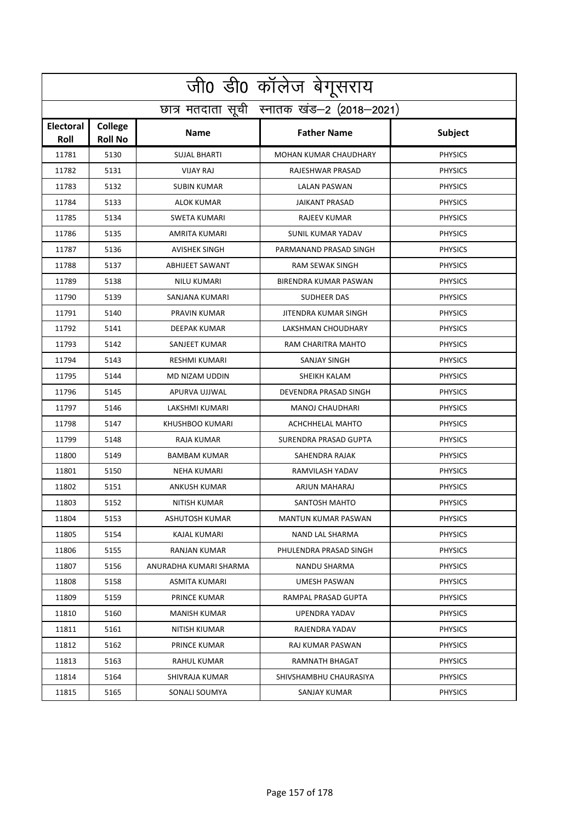|                                 | जी0 डी0 कॉलेज बेगूसराय                     |                        |                              |                |  |  |
|---------------------------------|--------------------------------------------|------------------------|------------------------------|----------------|--|--|
|                                 | छात्र मतदाता सूची स्नातक खंड-2 (2018-2021) |                        |                              |                |  |  |
| <b>Electoral</b><br><b>Roll</b> | College<br><b>Roll No</b>                  | <b>Name</b>            | <b>Father Name</b>           | Subject        |  |  |
| 11781                           | 5130                                       | <b>SUJAL BHARTI</b>    | <b>MOHAN KUMAR CHAUDHARY</b> | <b>PHYSICS</b> |  |  |
| 11782                           | 5131                                       | <b>VIJAY RAJ</b>       | RAJESHWAR PRASAD             | <b>PHYSICS</b> |  |  |
| 11783                           | 5132                                       | <b>SUBIN KUMAR</b>     | <b>LALAN PASWAN</b>          | <b>PHYSICS</b> |  |  |
| 11784                           | 5133                                       | <b>ALOK KUMAR</b>      | <b>JAIKANT PRASAD</b>        | <b>PHYSICS</b> |  |  |
| 11785                           | 5134                                       | SWETA KUMARI           | RAJEEV KUMAR                 | <b>PHYSICS</b> |  |  |
| 11786                           | 5135                                       | AMRITA KUMARI          | <b>SUNIL KUMAR YADAV</b>     | <b>PHYSICS</b> |  |  |
| 11787                           | 5136                                       | <b>AVISHEK SINGH</b>   | PARMANAND PRASAD SINGH       | <b>PHYSICS</b> |  |  |
| 11788                           | 5137                                       | <b>ABHIJEET SAWANT</b> | RAM SEWAK SINGH              | <b>PHYSICS</b> |  |  |
| 11789                           | 5138                                       | NILU KUMARI            | <b>BIRENDRA KUMAR PASWAN</b> | <b>PHYSICS</b> |  |  |
| 11790                           | 5139                                       | SANJANA KUMARI         | <b>SUDHEER DAS</b>           | <b>PHYSICS</b> |  |  |
| 11791                           | 5140                                       | PRAVIN KUMAR           | JITENDRA KUMAR SINGH         | <b>PHYSICS</b> |  |  |
| 11792                           | 5141                                       | DEEPAK KUMAR           | LAKSHMAN CHOUDHARY           | <b>PHYSICS</b> |  |  |
| 11793                           | 5142                                       | <b>SANJEET KUMAR</b>   | RAM CHARITRA MAHTO           | <b>PHYSICS</b> |  |  |
| 11794                           | 5143                                       | <b>RESHMI KUMARI</b>   | <b>SANJAY SINGH</b>          | <b>PHYSICS</b> |  |  |
| 11795                           | 5144                                       | MD NIZAM UDDIN         | SHEIKH KALAM                 | <b>PHYSICS</b> |  |  |
| 11796                           | 5145                                       | APURVA UJJWAL          | DEVENDRA PRASAD SINGH        | <b>PHYSICS</b> |  |  |
| 11797                           | 5146                                       | LAKSHMI KUMARI         | MANOJ CHAUDHARI              | <b>PHYSICS</b> |  |  |
| 11798                           | 5147                                       | KHUSHBOO KUMARI        | ACHCHHELAL MAHTO             | <b>PHYSICS</b> |  |  |
| 11799                           | 5148                                       | RAJA KUMAR             | SURENDRA PRASAD GUPTA        | <b>PHYSICS</b> |  |  |
| 11800                           | 5149                                       | <b>BAMBAM KUMAR</b>    | SAHENDRA RAJAK               | <b>PHYSICS</b> |  |  |
| 11801                           | 5150                                       | <b>NEHA KUMARI</b>     | RAMVILASH YADAV              | <b>PHYSICS</b> |  |  |
| 11802                           | 5151                                       | ANKUSH KUMAR           | ARJUN MAHARAJ                | <b>PHYSICS</b> |  |  |
| 11803                           | 5152                                       | NITISH KUMAR           | SANTOSH MAHTO                | <b>PHYSICS</b> |  |  |
| 11804                           | 5153                                       | ASHUTOSH KUMAR         | <b>MANTUN KUMAR PASWAN</b>   | <b>PHYSICS</b> |  |  |
| 11805                           | 5154                                       | KAJAL KUMARI           | NAND LAL SHARMA              | <b>PHYSICS</b> |  |  |
| 11806                           | 5155                                       | RANJAN KUMAR           | PHULENDRA PRASAD SINGH       | <b>PHYSICS</b> |  |  |
| 11807                           | 5156                                       | ANURADHA KUMARI SHARMA | NANDU SHARMA                 | <b>PHYSICS</b> |  |  |
| 11808                           | 5158                                       | ASMITA KUMARI          | UMESH PASWAN                 | <b>PHYSICS</b> |  |  |
| 11809                           | 5159                                       | PRINCE KUMAR           | RAMPAL PRASAD GUPTA          | <b>PHYSICS</b> |  |  |
| 11810                           | 5160                                       | <b>MANISH KUMAR</b>    | UPENDRA YADAV                | <b>PHYSICS</b> |  |  |
| 11811                           | 5161                                       | NITISH KIUMAR          | RAJENDRA YADAV               | <b>PHYSICS</b> |  |  |
| 11812                           | 5162                                       | PRINCE KUMAR           | RAJ KUMAR PASWAN             | <b>PHYSICS</b> |  |  |
| 11813                           | 5163                                       | RAHUL KUMAR            | RAMNATH BHAGAT               | <b>PHYSICS</b> |  |  |
| 11814                           | 5164                                       | SHIVRAJA KUMAR         | SHIVSHAMBHU CHAURASIYA       | <b>PHYSICS</b> |  |  |
| 11815                           | 5165                                       | SONALI SOUMYA          | SANJAY KUMAR                 | <b>PHYSICS</b> |  |  |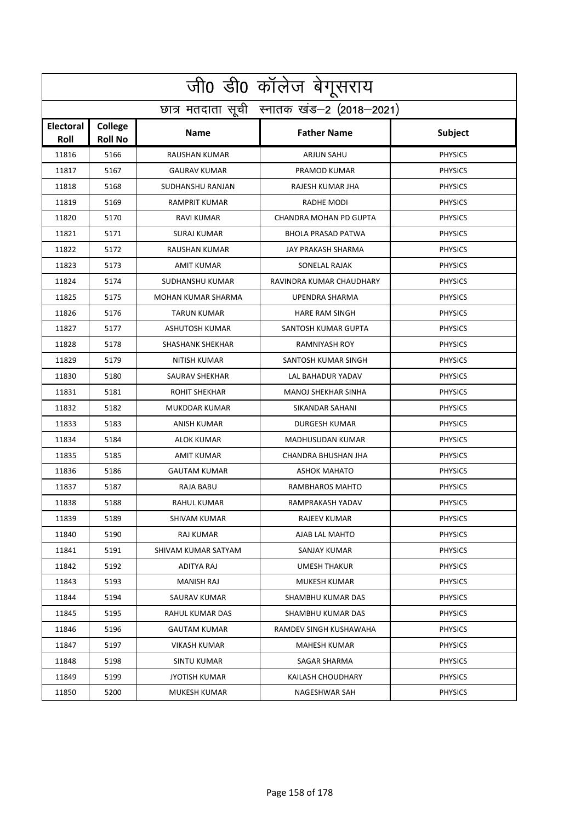| जी0 डी0 कॉलेज बेगूसराय          |                           |                           |                                            |                |
|---------------------------------|---------------------------|---------------------------|--------------------------------------------|----------------|
|                                 |                           |                           | छात्र मतदाता सूची स्नातक खंड-2 (2018-2021) |                |
| <b>Electoral</b><br><b>Roll</b> | College<br><b>Roll No</b> | <b>Name</b>               | <b>Father Name</b>                         | Subject        |
| 11816                           | 5166                      | <b>RAUSHAN KUMAR</b>      | <b>ARJUN SAHU</b>                          | <b>PHYSICS</b> |
| 11817                           | 5167                      | <b>GAURAV KUMAR</b>       | PRAMOD KUMAR                               | <b>PHYSICS</b> |
| 11818                           | 5168                      | SUDHANSHU RANJAN          | RAJESH KUMAR JHA                           | <b>PHYSICS</b> |
| 11819                           | 5169                      | <b>RAMPRIT KUMAR</b>      | RADHE MODI                                 | <b>PHYSICS</b> |
| 11820                           | 5170                      | RAVI KUMAR                | CHANDRA MOHAN PD GUPTA                     | <b>PHYSICS</b> |
| 11821                           | 5171                      | <b>SURAJ KUMAR</b>        | <b>BHOLA PRASAD PATWA</b>                  | <b>PHYSICS</b> |
| 11822                           | 5172                      | RAUSHAN KUMAR             | JAY PRAKASH SHARMA                         | <b>PHYSICS</b> |
| 11823                           | 5173                      | AMIT KUMAR                | <b>SONELAL RAJAK</b>                       | <b>PHYSICS</b> |
| 11824                           | 5174                      | SUDHANSHU KUMAR           | RAVINDRA KUMAR CHAUDHARY                   | <b>PHYSICS</b> |
| 11825                           | 5175                      | <b>MOHAN KUMAR SHARMA</b> | <b>UPENDRA SHARMA</b>                      | <b>PHYSICS</b> |
| 11826                           | 5176                      | <b>TARUN KUMAR</b>        | <b>HARE RAM SINGH</b>                      | <b>PHYSICS</b> |
| 11827                           | 5177                      | <b>ASHUTOSH KUMAR</b>     | SANTOSH KUMAR GUPTA                        | <b>PHYSICS</b> |
| 11828                           | 5178                      | <b>SHASHANK SHEKHAR</b>   | <b>RAMNIYASH ROY</b>                       | <b>PHYSICS</b> |
| 11829                           | 5179                      | NITISH KUMAR              | SANTOSH KUMAR SINGH                        | <b>PHYSICS</b> |
| 11830                           | 5180                      | SAURAV SHEKHAR            | LAL BAHADUR YADAV                          | <b>PHYSICS</b> |
| 11831                           | 5181                      | <b>ROHIT SHEKHAR</b>      | <b>MANOJ SHEKHAR SINHA</b>                 | <b>PHYSICS</b> |
| 11832                           | 5182                      | MUKDDAR KUMAR             | SIKANDAR SAHANI                            | <b>PHYSICS</b> |
| 11833                           | 5183                      | ANISH KUMAR               | <b>DURGESH KUMAR</b>                       | <b>PHYSICS</b> |
| 11834                           | 5184                      | ALOK KUMAR                | MADHUSUDAN KUMAR                           | <b>PHYSICS</b> |
| 11835                           | 5185                      | AMIT KUMAR                | CHANDRA BHUSHAN JHA                        | <b>PHYSICS</b> |
| 11836                           | 5186                      | <b>GAUTAM KUMAR</b>       | <b>ASHOK MAHATO</b>                        | <b>PHYSICS</b> |
| 11837                           | 5187                      | RAJA BABU                 | RAMBHAROS MAHTO                            | <b>PHYSICS</b> |
| 11838                           | 5188                      | RAHUL KUMAR               | RAMPRAKASH YADAV                           | <b>PHYSICS</b> |
| 11839                           | 5189                      | SHIVAM KUMAR              | RAJEEV KUMAR                               | <b>PHYSICS</b> |
| 11840                           | 5190                      | RAJ KUMAR                 | AJAB LAL MAHTO                             | <b>PHYSICS</b> |
| 11841                           | 5191                      | SHIVAM KUMAR SATYAM       | SANJAY KUMAR                               | <b>PHYSICS</b> |
| 11842                           | 5192                      | ADITYA RAJ                | <b>UMESH THAKUR</b>                        | <b>PHYSICS</b> |
| 11843                           | 5193                      | <b>MANISH RAJ</b>         | MUKESH KUMAR                               | <b>PHYSICS</b> |
| 11844                           | 5194                      | SAURAV KUMAR              | SHAMBHU KUMAR DAS                          | <b>PHYSICS</b> |
| 11845                           | 5195                      | RAHUL KUMAR DAS           | SHAMBHU KUMAR DAS                          | <b>PHYSICS</b> |
| 11846                           | 5196                      | <b>GAUTAM KUMAR</b>       | RAMDEV SINGH KUSHAWAHA                     | <b>PHYSICS</b> |
| 11847                           | 5197                      | VIKASH KUMAR              | MAHESH KUMAR                               | <b>PHYSICS</b> |
| 11848                           | 5198                      | SINTU KUMAR               | SAGAR SHARMA                               | <b>PHYSICS</b> |
| 11849                           | 5199                      | JYOTISH KUMAR             | KAILASH CHOUDHARY                          | <b>PHYSICS</b> |
| 11850                           | 5200                      | MUKESH KUMAR              | NAGESHWAR SAH                              | <b>PHYSICS</b> |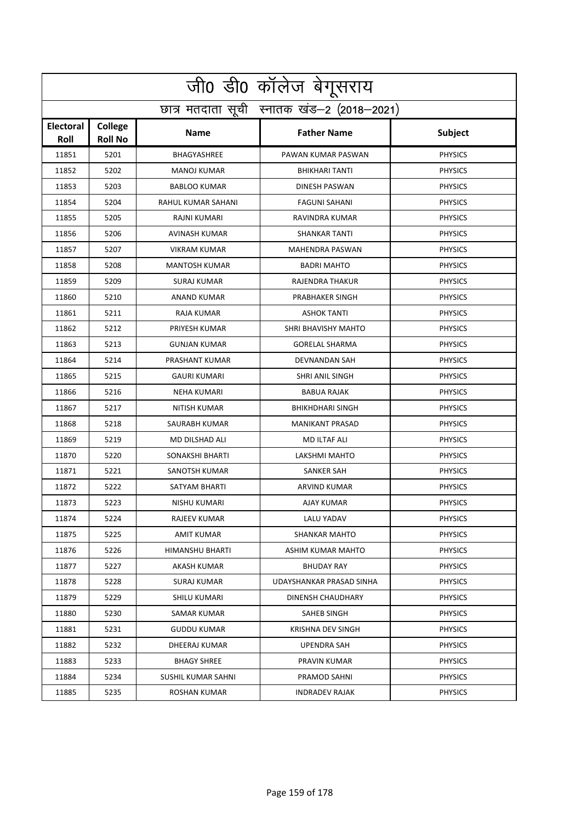| जी0 डी0 कॉलेज बेगूसराय   |                                            |                      |                            |                |  |  |
|--------------------------|--------------------------------------------|----------------------|----------------------------|----------------|--|--|
|                          | छात्र मतदाता सूची स्नातक खंड-2 (2018-2021) |                      |                            |                |  |  |
| <b>Electoral</b><br>Roll | College<br><b>Roll No</b>                  | <b>Name</b>          | <b>Father Name</b>         | Subject        |  |  |
| 11851                    | 5201                                       | BHAGYASHREE          | PAWAN KUMAR PASWAN         | <b>PHYSICS</b> |  |  |
| 11852                    | 5202                                       | <b>MANOJ KUMAR</b>   | <b>BHIKHARI TANTI</b>      | <b>PHYSICS</b> |  |  |
| 11853                    | 5203                                       | <b>BABLOO KUMAR</b>  | DINESH PASWAN              | <b>PHYSICS</b> |  |  |
| 11854                    | 5204                                       | RAHUL KUMAR SAHANI   | <b>FAGUNI SAHANI</b>       | <b>PHYSICS</b> |  |  |
| 11855                    | 5205                                       | RAJNI KUMARI         | RAVINDRA KUMAR             | <b>PHYSICS</b> |  |  |
| 11856                    | 5206                                       | AVINASH KUMAR        | <b>SHANKAR TANTI</b>       | <b>PHYSICS</b> |  |  |
| 11857                    | 5207                                       | <b>VIKRAM KUMAR</b>  | MAHENDRA PASWAN            | <b>PHYSICS</b> |  |  |
| 11858                    | 5208                                       | <b>MANTOSH KUMAR</b> | <b>BADRI MAHTO</b>         | <b>PHYSICS</b> |  |  |
| 11859                    | 5209                                       | <b>SURAJ KUMAR</b>   | RAJENDRA THAKUR            | <b>PHYSICS</b> |  |  |
| 11860                    | 5210                                       | <b>ANAND KUMAR</b>   | PRABHAKER SINGH            | <b>PHYSICS</b> |  |  |
| 11861                    | 5211                                       | RAJA KUMAR           | <b>ASHOK TANTI</b>         | <b>PHYSICS</b> |  |  |
| 11862                    | 5212                                       | PRIYESH KUMAR        | <b>SHRI BHAVISHY MAHTO</b> | <b>PHYSICS</b> |  |  |
| 11863                    | 5213                                       | <b>GUNJAN KUMAR</b>  | <b>GORELAL SHARMA</b>      | <b>PHYSICS</b> |  |  |
| 11864                    | 5214                                       | PRASHANT KUMAR       | <b>DEVNANDAN SAH</b>       | <b>PHYSICS</b> |  |  |
| 11865                    | 5215                                       | <b>GAURI KUMARI</b>  | SHRI ANIL SINGH            | <b>PHYSICS</b> |  |  |
| 11866                    | 5216                                       | <b>NEHA KUMARI</b>   | <b>BABUA RAJAK</b>         | <b>PHYSICS</b> |  |  |
| 11867                    | 5217                                       | NITISH KUMAR         | <b>BHIKHDHARI SINGH</b>    | <b>PHYSICS</b> |  |  |
| 11868                    | 5218                                       | SAURABH KUMAR        | <b>MANIKANT PRASAD</b>     | <b>PHYSICS</b> |  |  |
| 11869                    | 5219                                       | MD DILSHAD ALI       | MD ILTAF ALI               | <b>PHYSICS</b> |  |  |
| 11870                    | 5220                                       | SONAKSHI BHARTI      | <b>LAKSHMI MAHTO</b>       | <b>PHYSICS</b> |  |  |
| 11871                    | 5221                                       | SANOTSH KUMAR        | SANKER SAH                 | <b>PHYSICS</b> |  |  |
| 11872                    | 5222                                       | SATYAM BHARTI        | <b>ARVIND KUMAR</b>        | <b>PHYSICS</b> |  |  |
| 11873                    | 5223                                       | NISHU KUMARI         | AJAY KUMAR                 | <b>PHYSICS</b> |  |  |
| 11874                    | 5224                                       | RAJEEV KUMAR         | LALU YADAV                 | <b>PHYSICS</b> |  |  |
| 11875                    | 5225                                       | AMIT KUMAR           | <b>SHANKAR MAHTO</b>       | <b>PHYSICS</b> |  |  |
| 11876                    | 5226                                       | HIMANSHU BHARTI      | ASHIM KUMAR MAHTO          | <b>PHYSICS</b> |  |  |
| 11877                    | 5227                                       | AKASH KUMAR          | BHUDAY RAY                 | <b>PHYSICS</b> |  |  |
| 11878                    | 5228                                       | SURAJ KUMAR          | UDAYSHANKAR PRASAD SINHA   | <b>PHYSICS</b> |  |  |
| 11879                    | 5229                                       | SHILU KUMARI         | DINENSH CHAUDHARY          | <b>PHYSICS</b> |  |  |
| 11880                    | 5230                                       | SAMAR KUMAR          | SAHEB SINGH                | <b>PHYSICS</b> |  |  |
| 11881                    | 5231                                       | <b>GUDDU KUMAR</b>   | KRISHNA DEV SINGH          | <b>PHYSICS</b> |  |  |
| 11882                    | 5232                                       | DHEERAJ KUMAR        | UPENDRA SAH                | <b>PHYSICS</b> |  |  |
| 11883                    | 5233                                       | BHAGY SHREE          | PRAVIN KUMAR               | <b>PHYSICS</b> |  |  |
| 11884                    | 5234                                       | SUSHIL KUMAR SAHNI   | PRAMOD SAHNI               | <b>PHYSICS</b> |  |  |
| 11885                    | 5235                                       | ROSHAN KUMAR         | <b>INDRADEV RAJAK</b>      | <b>PHYSICS</b> |  |  |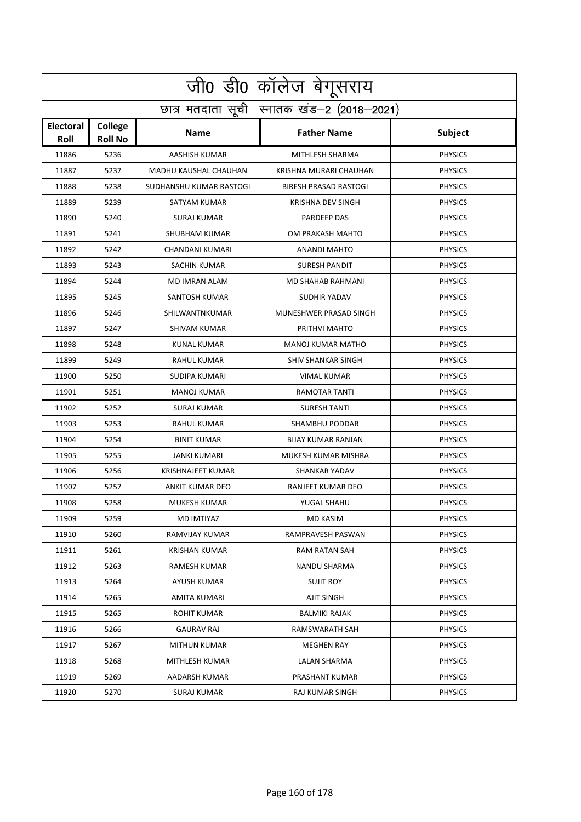| <u>जी</u> 0 डी0 कॉलेज बेगूसराय             |                           |                          |                           |                |  |
|--------------------------------------------|---------------------------|--------------------------|---------------------------|----------------|--|
| छात्र मतदाता सूची स्नातक खंड-2 (2018-2021) |                           |                          |                           |                |  |
| <b>Electoral</b><br><b>Roll</b>            | College<br><b>Roll No</b> | <b>Name</b>              | <b>Father Name</b>        | Subject        |  |
| 11886                                      | 5236                      | AASHISH KUMAR            | MITHLESH SHARMA           | <b>PHYSICS</b> |  |
| 11887                                      | 5237                      | MADHU KAUSHAL CHAUHAN    | KRISHNA MURARI CHAUHAN    | <b>PHYSICS</b> |  |
| 11888                                      | 5238                      | SUDHANSHU KUMAR RASTOGI  | BIRESH PRASAD RASTOGI     | <b>PHYSICS</b> |  |
| 11889                                      | 5239                      | SATYAM KUMAR             | <b>KRISHNA DEV SINGH</b>  | <b>PHYSICS</b> |  |
| 11890                                      | 5240                      | <b>SURAJ KUMAR</b>       | PARDEEP DAS               | <b>PHYSICS</b> |  |
| 11891                                      | 5241                      | <b>SHUBHAM KUMAR</b>     | OM PRAKASH MAHTO          | <b>PHYSICS</b> |  |
| 11892                                      | 5242                      | CHANDANI KUMARI          | <b>ANANDI MAHTO</b>       | <b>PHYSICS</b> |  |
| 11893                                      | 5243                      | SACHIN KUMAR             | <b>SURESH PANDIT</b>      | <b>PHYSICS</b> |  |
| 11894                                      | 5244                      | MD IMRAN ALAM            | <b>MD SHAHAB RAHMANI</b>  | <b>PHYSICS</b> |  |
| 11895                                      | 5245                      | SANTOSH KUMAR            | <b>SUDHIR YADAV</b>       | <b>PHYSICS</b> |  |
| 11896                                      | 5246                      | SHILWANTNKUMAR           | MUNESHWER PRASAD SINGH    | <b>PHYSICS</b> |  |
| 11897                                      | 5247                      | SHIVAM KUMAR             | PRITHVI MAHTO             | <b>PHYSICS</b> |  |
| 11898                                      | 5248                      | <b>KUNAL KUMAR</b>       | <b>MANOJ KUMAR MATHO</b>  | <b>PHYSICS</b> |  |
| 11899                                      | 5249                      | <b>RAHUL KUMAR</b>       | SHIV SHANKAR SINGH        | <b>PHYSICS</b> |  |
| 11900                                      | 5250                      | SUDIPA KUMARI            | <b>VIMAL KUMAR</b>        | <b>PHYSICS</b> |  |
| 11901                                      | 5251                      | <b>MANOJ KUMAR</b>       | RAMOTAR TANTI             | <b>PHYSICS</b> |  |
| 11902                                      | 5252                      | SURAJ KUMAR              | <b>SURESH TANTI</b>       | <b>PHYSICS</b> |  |
| 11903                                      | 5253                      | RAHUL KUMAR              | SHAMBHU PODDAR            | <b>PHYSICS</b> |  |
| 11904                                      | 5254                      | <b>BINIT KUMAR</b>       | <b>BIJAY KUMAR RANJAN</b> | <b>PHYSICS</b> |  |
| 11905                                      | 5255                      | <b>JANKI KUMARI</b>      | MUKESH KUMAR MISHRA       | <b>PHYSICS</b> |  |
| 11906                                      | 5256                      | <b>KRISHNAJEET KUMAR</b> | <b>SHANKAR YADAV</b>      | <b>PHYSICS</b> |  |
| 11907                                      | 5257                      | ANKIT KUMAR DEO          | RANJEET KUMAR DEO         | <b>PHYSICS</b> |  |
| 11908                                      | 5258                      | MUKESH KUMAR             | YUGAL SHAHU               | <b>PHYSICS</b> |  |
| 11909                                      | 5259                      | MD IMTIYAZ               | MD KASIM                  | <b>PHYSICS</b> |  |
| 11910                                      | 5260                      | RAMVIJAY KUMAR           | RAMPRAVESH PASWAN         | <b>PHYSICS</b> |  |
| 11911                                      | 5261                      | KRISHAN KUMAR            | <b>RAM RATAN SAH</b>      | <b>PHYSICS</b> |  |
| 11912                                      | 5263                      | RAMESH KUMAR             | NANDU SHARMA              | <b>PHYSICS</b> |  |
| 11913                                      | 5264                      | AYUSH KUMAR              | <b>SUJIT ROY</b>          | <b>PHYSICS</b> |  |
| 11914                                      | 5265                      | AMITA KUMARI             | AJIT SINGH                | <b>PHYSICS</b> |  |
| 11915                                      | 5265                      | <b>ROHIT KUMAR</b>       | <b>BALMIKI RAJAK</b>      | <b>PHYSICS</b> |  |
| 11916                                      | 5266                      | <b>GAURAV RAJ</b>        | RAMSWARATH SAH            | <b>PHYSICS</b> |  |
| 11917                                      | 5267                      | MITHUN KUMAR             | MEGHEN RAY                | <b>PHYSICS</b> |  |
| 11918                                      | 5268                      | MITHLESH KUMAR           | LALAN SHARMA              | <b>PHYSICS</b> |  |
| 11919                                      | 5269                      | AADARSH KUMAR            | PRASHANT KUMAR            | <b>PHYSICS</b> |  |
| 11920                                      | 5270                      | SURAJ KUMAR              | RAJ KUMAR SINGH           | <b>PHYSICS</b> |  |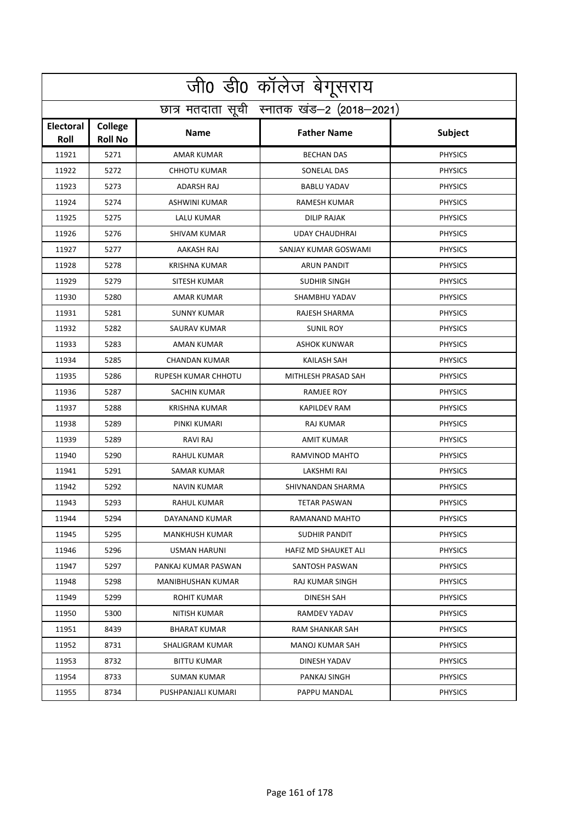| जी0 डी0 कॉलेज बेगूसराय                     |                           |                       |                        |                |  |
|--------------------------------------------|---------------------------|-----------------------|------------------------|----------------|--|
| छात्र मतदाता सूची स्नातक खंड-2 (2018-2021) |                           |                       |                        |                |  |
| <b>Electoral</b><br>Roll                   | College<br><b>Roll No</b> | <b>Name</b>           | <b>Father Name</b>     | Subject        |  |
| 11921                                      | 5271                      | <b>AMAR KUMAR</b>     | <b>BECHAN DAS</b>      | <b>PHYSICS</b> |  |
| 11922                                      | 5272                      | <b>CHHOTU KUMAR</b>   | <b>SONELAL DAS</b>     | <b>PHYSICS</b> |  |
| 11923                                      | 5273                      | <b>ADARSH RAJ</b>     | <b>BABLU YADAV</b>     | <b>PHYSICS</b> |  |
| 11924                                      | 5274                      | <b>ASHWINI KUMAR</b>  | <b>RAMESH KUMAR</b>    | <b>PHYSICS</b> |  |
| 11925                                      | 5275                      | LALU KUMAR            | DILIP RAJAK            | <b>PHYSICS</b> |  |
| 11926                                      | 5276                      | SHIVAM KUMAR          | <b>UDAY CHAUDHRAI</b>  | <b>PHYSICS</b> |  |
| 11927                                      | 5277                      | AAKASH RAJ            | SANJAY KUMAR GOSWAMI   | <b>PHYSICS</b> |  |
| 11928                                      | 5278                      | KRISHNA KUMAR         | <b>ARUN PANDIT</b>     | <b>PHYSICS</b> |  |
| 11929                                      | 5279                      | <b>SITESH KUMAR</b>   | <b>SUDHIR SINGH</b>    | <b>PHYSICS</b> |  |
| 11930                                      | 5280                      | AMAR KUMAR            | SHAMBHU YADAV          | <b>PHYSICS</b> |  |
| 11931                                      | 5281                      | <b>SUNNY KUMAR</b>    | RAJESH SHARMA          | <b>PHYSICS</b> |  |
| 11932                                      | 5282                      | SAURAV KUMAR          | <b>SUNIL ROY</b>       | <b>PHYSICS</b> |  |
| 11933                                      | 5283                      | AMAN KUMAR            | <b>ASHOK KUNWAR</b>    | <b>PHYSICS</b> |  |
| 11934                                      | 5285                      | <b>CHANDAN KUMAR</b>  | <b>KAILASH SAH</b>     | <b>PHYSICS</b> |  |
| 11935                                      | 5286                      | RUPESH KUMAR CHHOTU   | MITHLESH PRASAD SAH    | <b>PHYSICS</b> |  |
| 11936                                      | 5287                      | SACHIN KUMAR          | RAMJEE ROY             | <b>PHYSICS</b> |  |
| 11937                                      | 5288                      | <b>KRISHNA KUMAR</b>  | <b>KAPILDEV RAM</b>    | <b>PHYSICS</b> |  |
| 11938                                      | 5289                      | PINKI KUMARI          | RAJ KUMAR              | <b>PHYSICS</b> |  |
| 11939                                      | 5289                      | <b>RAVI RAJ</b>       | <b>AMIT KUMAR</b>      | <b>PHYSICS</b> |  |
| 11940                                      | 5290                      | <b>RAHUL KUMAR</b>    | RAMVINOD MAHTO         | <b>PHYSICS</b> |  |
| 11941                                      | 5291                      | SAMAR KUMAR           | LAKSHMI RAI            | <b>PHYSICS</b> |  |
| 11942                                      | 5292                      | NAVIN KUMAR           | SHIVNANDAN SHARMA      | <b>PHYSICS</b> |  |
| 11943                                      | 5293                      | RAHUL KUMAR           | <b>TETAR PASWAN</b>    | <b>PHYSICS</b> |  |
| 11944                                      | 5294                      | DAYANAND KUMAR        | RAMANAND MAHTO         | <b>PHYSICS</b> |  |
| 11945                                      | 5295                      | <b>MANKHUSH KUMAR</b> | <b>SUDHIR PANDIT</b>   | <b>PHYSICS</b> |  |
| 11946                                      | 5296                      | <b>USMAN HARUNI</b>   | HAFIZ MD SHAUKET ALI   | <b>PHYSICS</b> |  |
| 11947                                      | 5297                      | PANKAJ KUMAR PASWAN   | SANTOSH PASWAN         | <b>PHYSICS</b> |  |
| 11948                                      | 5298                      | MANIBHUSHAN KUMAR     | RAJ KUMAR SINGH        | <b>PHYSICS</b> |  |
| 11949                                      | 5299                      | <b>ROHIT KUMAR</b>    | <b>DINESH SAH</b>      | <b>PHYSICS</b> |  |
| 11950                                      | 5300                      | NITISH KUMAR          | RAMDEV YADAV           | <b>PHYSICS</b> |  |
| 11951                                      | 8439                      | <b>BHARAT KUMAR</b>   | <b>RAM SHANKAR SAH</b> | <b>PHYSICS</b> |  |
| 11952                                      | 8731                      | SHALIGRAM KUMAR       | MANOJ KUMAR SAH        | <b>PHYSICS</b> |  |
| 11953                                      | 8732                      | BITTU KUMAR           | DINESH YADAV           | <b>PHYSICS</b> |  |
| 11954                                      | 8733                      | <b>SUMAN KUMAR</b>    | PANKAJ SINGH           | <b>PHYSICS</b> |  |
| 11955                                      | 8734                      | PUSHPANJALI KUMARI    | PAPPU MANDAL           | <b>PHYSICS</b> |  |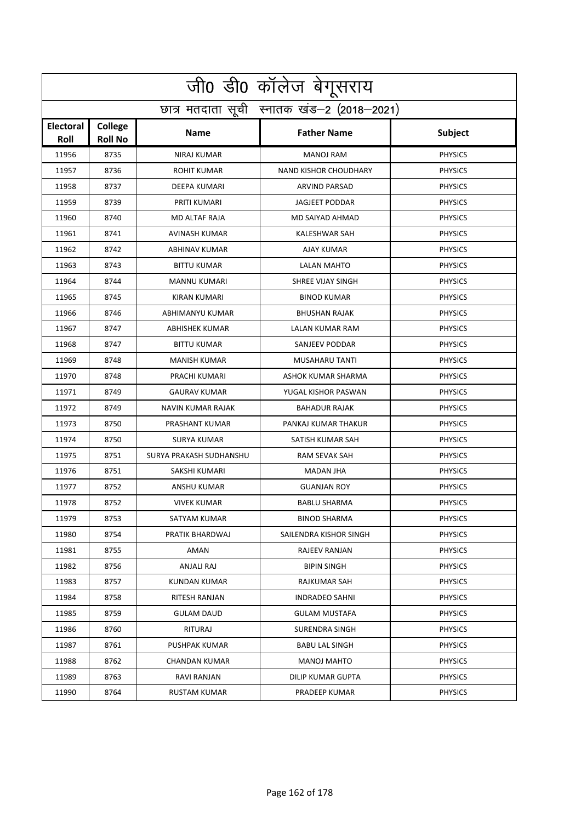|                          | <u>जी0 डी0 कॉलेज बेगू</u> सराय             |                         |                        |                |  |  |
|--------------------------|--------------------------------------------|-------------------------|------------------------|----------------|--|--|
|                          | छात्र मतदाता सूची स्नातक खंड-2 (2018-2021) |                         |                        |                |  |  |
| <b>Electoral</b><br>Roll | College<br><b>Roll No</b>                  | <b>Name</b>             | <b>Father Name</b>     | <b>Subject</b> |  |  |
| 11956                    | 8735                                       | <b>NIRAJ KUMAR</b>      | <b>MANOJ RAM</b>       | <b>PHYSICS</b> |  |  |
| 11957                    | 8736                                       | <b>ROHIT KUMAR</b>      | NAND KISHOR CHOUDHARY  | <b>PHYSICS</b> |  |  |
| 11958                    | 8737                                       | DEEPA KUMARI            | <b>ARVIND PARSAD</b>   | <b>PHYSICS</b> |  |  |
| 11959                    | 8739                                       | PRITI KUMARI            | <b>JAGJEET PODDAR</b>  | <b>PHYSICS</b> |  |  |
| 11960                    | 8740                                       | MD ALTAF RAJA           | MD SAIYAD AHMAD        | <b>PHYSICS</b> |  |  |
| 11961                    | 8741                                       | AVINASH KUMAR           | <b>KALESHWAR SAH</b>   | <b>PHYSICS</b> |  |  |
| 11962                    | 8742                                       | ABHINAV KUMAR           | <b>AJAY KUMAR</b>      | <b>PHYSICS</b> |  |  |
| 11963                    | 8743                                       | <b>BITTU KUMAR</b>      | LALAN MAHTO            | <b>PHYSICS</b> |  |  |
| 11964                    | 8744                                       | <b>MANNU KUMARI</b>     | SHREE VIJAY SINGH      | <b>PHYSICS</b> |  |  |
| 11965                    | 8745                                       | <b>KIRAN KUMARI</b>     | <b>BINOD KUMAR</b>     | <b>PHYSICS</b> |  |  |
| 11966                    | 8746                                       | ABHIMANYU KUMAR         | <b>BHUSHAN RAJAK</b>   | <b>PHYSICS</b> |  |  |
| 11967                    | 8747                                       | ABHISHEK KUMAR          | <b>LALAN KUMAR RAM</b> | <b>PHYSICS</b> |  |  |
| 11968                    | 8747                                       | <b>BITTU KUMAR</b>      | SANJEEV PODDAR         | <b>PHYSICS</b> |  |  |
| 11969                    | 8748                                       | <b>MANISH KUMAR</b>     | MUSAHARU TANTI         | <b>PHYSICS</b> |  |  |
| 11970                    | 8748                                       | PRACHI KUMARI           | ASHOK KUMAR SHARMA     | <b>PHYSICS</b> |  |  |
| 11971                    | 8749                                       | <b>GAURAV KUMAR</b>     | YUGAL KISHOR PASWAN    | <b>PHYSICS</b> |  |  |
| 11972                    | 8749                                       | NAVIN KUMAR RAJAK       | <b>BAHADUR RAJAK</b>   | <b>PHYSICS</b> |  |  |
| 11973                    | 8750                                       | PRASHANT KUMAR          | PANKAJ KUMAR THAKUR    | <b>PHYSICS</b> |  |  |
| 11974                    | 8750                                       | <b>SURYA KUMAR</b>      | SATISH KUMAR SAH       | <b>PHYSICS</b> |  |  |
| 11975                    | 8751                                       | SURYA PRAKASH SUDHANSHU | RAM SEVAK SAH          | <b>PHYSICS</b> |  |  |
| 11976                    | 8751                                       | SAKSHI KUMARI           | <b>MADAN JHA</b>       | <b>PHYSICS</b> |  |  |
| 11977                    | 8752                                       | ANSHU KUMAR             | <b>GUANJAN ROY</b>     | <b>PHYSICS</b> |  |  |
| 11978                    | 8752                                       | <b>VIVEK KUMAR</b>      | <b>BABLU SHARMA</b>    | <b>PHYSICS</b> |  |  |
| 11979                    | 8753                                       | SATYAM KUMAR            | <b>BINOD SHARMA</b>    | <b>PHYSICS</b> |  |  |
| 11980                    | 8754                                       | PRATIK BHARDWAJ         | SAILENDRA KISHOR SINGH | <b>PHYSICS</b> |  |  |
| 11981                    | 8755                                       | <b>AMAN</b>             | <b>RAJEEV RANJAN</b>   | <b>PHYSICS</b> |  |  |
| 11982                    | 8756                                       | ANJALI RAJ              | <b>BIPIN SINGH</b>     | <b>PHYSICS</b> |  |  |
| 11983                    | 8757                                       | KUNDAN KUMAR            | RAJKUMAR SAH           | <b>PHYSICS</b> |  |  |
| 11984                    | 8758                                       | RITESH RANJAN           | INDRADEO SAHNI         | <b>PHYSICS</b> |  |  |
| 11985                    | 8759                                       | <b>GULAM DAUD</b>       | <b>GULAM MUSTAFA</b>   | <b>PHYSICS</b> |  |  |
| 11986                    | 8760                                       | RITURAJ                 | SURENDRA SINGH         | <b>PHYSICS</b> |  |  |
| 11987                    | 8761                                       | PUSHPAK KUMAR           | <b>BABU LAL SINGH</b>  | <b>PHYSICS</b> |  |  |
| 11988                    | 8762                                       | CHANDAN KUMAR           | MANOJ MAHTO            | <b>PHYSICS</b> |  |  |
| 11989                    | 8763                                       | RAVI RANJAN             | DILIP KUMAR GUPTA      | <b>PHYSICS</b> |  |  |
| 11990                    | 8764                                       | RUSTAM KUMAR            | PRADEEP KUMAR          | <b>PHYSICS</b> |  |  |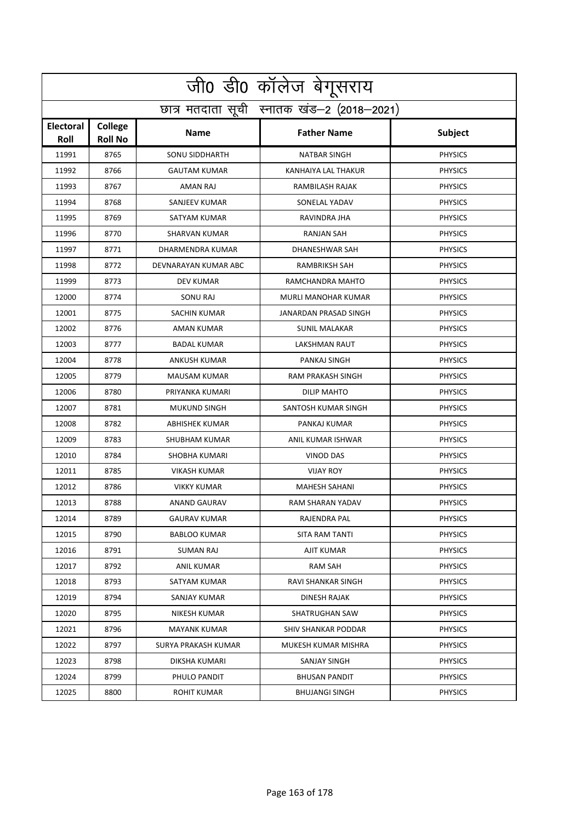| जी0 डी0 कॉलेज बेगूसराय                     |                           |                       |                           |                |  |
|--------------------------------------------|---------------------------|-----------------------|---------------------------|----------------|--|
| छात्र मतदाता सूची स्नातक खंड-2 (2018-2021) |                           |                       |                           |                |  |
| Electoral<br>Roll                          | College<br><b>Roll No</b> | <b>Name</b>           | <b>Father Name</b>        | <b>Subject</b> |  |
| 11991                                      | 8765                      | <b>SONU SIDDHARTH</b> | <b>NATBAR SINGH</b>       | <b>PHYSICS</b> |  |
| 11992                                      | 8766                      | <b>GAUTAM KUMAR</b>   | KANHAIYA LAL THAKUR       | <b>PHYSICS</b> |  |
| 11993                                      | 8767                      | AMAN RAJ              | RAMBILASH RAJAK           | <b>PHYSICS</b> |  |
| 11994                                      | 8768                      | <b>SANJEEV KUMAR</b>  | SONELAL YADAV             | <b>PHYSICS</b> |  |
| 11995                                      | 8769                      | SATYAM KUMAR          | RAVINDRA JHA              | <b>PHYSICS</b> |  |
| 11996                                      | 8770                      | SHARVAN KUMAR         | RANJAN SAH                | <b>PHYSICS</b> |  |
| 11997                                      | 8771                      | DHARMENDRA KUMAR      | DHANESHWAR SAH            | <b>PHYSICS</b> |  |
| 11998                                      | 8772                      | DEVNARAYAN KUMAR ABC  | RAMBRIKSH SAH             | <b>PHYSICS</b> |  |
| 11999                                      | 8773                      | DEV KUMAR             | RAMCHANDRA MAHTO          | <b>PHYSICS</b> |  |
| 12000                                      | 8774                      | <b>SONU RAJ</b>       | MURLI MANOHAR KUMAR       | <b>PHYSICS</b> |  |
| 12001                                      | 8775                      | <b>SACHIN KUMAR</b>   | JANARDAN PRASAD SINGH     | <b>PHYSICS</b> |  |
| 12002                                      | 8776                      | AMAN KUMAR            | <b>SUNIL MALAKAR</b>      | <b>PHYSICS</b> |  |
| 12003                                      | 8777                      | <b>BADAL KUMAR</b>    | LAKSHMAN RAUT             | <b>PHYSICS</b> |  |
| 12004                                      | 8778                      | ANKUSH KUMAR          | PANKAJ SINGH              | <b>PHYSICS</b> |  |
| 12005                                      | 8779                      | <b>MAUSAM KUMAR</b>   | RAM PRAKASH SINGH         | <b>PHYSICS</b> |  |
| 12006                                      | 8780                      | PRIYANKA KUMARI       | <b>DILIP MAHTO</b>        | <b>PHYSICS</b> |  |
| 12007                                      | 8781                      | <b>MUKUND SINGH</b>   | SANTOSH KUMAR SINGH       | <b>PHYSICS</b> |  |
| 12008                                      | 8782                      | ABHISHEK KUMAR        | PANKAJ KUMAR              | <b>PHYSICS</b> |  |
| 12009                                      | 8783                      | <b>SHUBHAM KUMAR</b>  | ANIL KUMAR ISHWAR         | <b>PHYSICS</b> |  |
| 12010                                      | 8784                      | SHOBHA KUMARI         | <b>VINOD DAS</b>          | <b>PHYSICS</b> |  |
| 12011                                      | 8785                      | <b>VIKASH KUMAR</b>   | <b>VIJAY ROY</b>          | <b>PHYSICS</b> |  |
| 12012                                      | 8786                      | <b>VIKKY KUMAR</b>    | <b>MAHESH SAHANI</b>      | <b>PHYSICS</b> |  |
| 12013                                      | 8788                      | <b>ANAND GAURAV</b>   | RAM SHARAN YADAV          | <b>PHYSICS</b> |  |
| 12014                                      | 8789                      | <b>GAURAV KUMAR</b>   | RAJENDRA PAL              | <b>PHYSICS</b> |  |
| 12015                                      | 8790                      | BABLOO KUMAR          | SITA RAM TANTI            | <b>PHYSICS</b> |  |
| 12016                                      | 8791                      | SUMAN RAJ             | AJIT KUMAR                | <b>PHYSICS</b> |  |
| 12017                                      | 8792                      | ANIL KUMAR            | <b>RAM SAH</b>            | <b>PHYSICS</b> |  |
| 12018                                      | 8793                      | SATYAM KUMAR          | <b>RAVI SHANKAR SINGH</b> | <b>PHYSICS</b> |  |
| 12019                                      | 8794                      | SANJAY KUMAR          | DINESH RAJAK              | <b>PHYSICS</b> |  |
| 12020                                      | 8795                      | NIKESH KUMAR          | SHATRUGHAN SAW            | <b>PHYSICS</b> |  |
| 12021                                      | 8796                      | <b>MAYANK KUMAR</b>   | SHIV SHANKAR PODDAR       | <b>PHYSICS</b> |  |
| 12022                                      | 8797                      | SURYA PRAKASH KUMAR   | MUKESH KUMAR MISHRA       | <b>PHYSICS</b> |  |
| 12023                                      | 8798                      | DIKSHA KUMARI         | SANJAY SINGH              | <b>PHYSICS</b> |  |
| 12024                                      | 8799                      | PHULO PANDIT          | <b>BHUSAN PANDIT</b>      | <b>PHYSICS</b> |  |
| 12025                                      | 8800                      | ROHIT KUMAR           | BHUJANGI SINGH            | <b>PHYSICS</b> |  |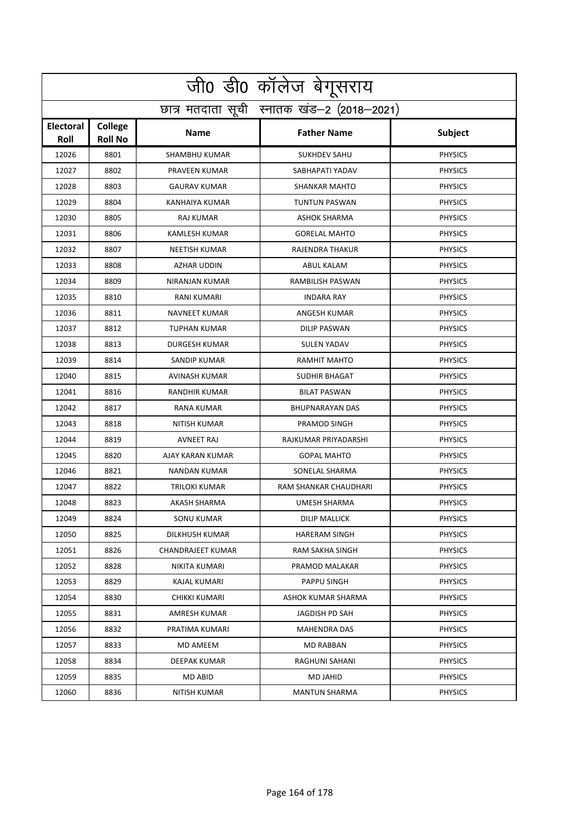| जी0 डी0 कॉलेज बेगूसराय                     |                           |                      |                         |                |  |
|--------------------------------------------|---------------------------|----------------------|-------------------------|----------------|--|
| छात्र मतदाता सूची स्नातक खंड-2 (2018-2021) |                           |                      |                         |                |  |
| <b>Electoral</b><br>Roll                   | College<br><b>Roll No</b> | <b>Name</b>          | <b>Father Name</b>      | <b>Subject</b> |  |
| 12026                                      | 8801                      | <b>SHAMBHU KUMAR</b> | <b>SUKHDEV SAHU</b>     | <b>PHYSICS</b> |  |
| 12027                                      | 8802                      | PRAVEEN KUMAR        | SABHAPATI YADAV         | <b>PHYSICS</b> |  |
| 12028                                      | 8803                      | <b>GAURAV KUMAR</b>  | <b>SHANKAR MAHTO</b>    | <b>PHYSICS</b> |  |
| 12029                                      | 8804                      | KANHAIYA KUMAR       | <b>TUNTUN PASWAN</b>    | <b>PHYSICS</b> |  |
| 12030                                      | 8805                      | <b>RAJ KUMAR</b>     | <b>ASHOK SHARMA</b>     | <b>PHYSICS</b> |  |
| 12031                                      | 8806                      | <b>KAMLESH KUMAR</b> | <b>GORELAL MAHTO</b>    | <b>PHYSICS</b> |  |
| 12032                                      | 8807                      | <b>NEETISH KUMAR</b> | RAJENDRA THAKUR         | <b>PHYSICS</b> |  |
| 12033                                      | 8808                      | AZHAR UDDIN          | ABUL KALAM              | <b>PHYSICS</b> |  |
| 12034                                      | 8809                      | NIRANJAN KUMAR       | <b>RAMBILISH PASWAN</b> | <b>PHYSICS</b> |  |
| 12035                                      | 8810                      | RANI KUMARI          | <b>INDARA RAY</b>       | <b>PHYSICS</b> |  |
| 12036                                      | 8811                      | NAVNEET KUMAR        | ANGESH KUMAR            | <b>PHYSICS</b> |  |
| 12037                                      | 8812                      | TUPHAN KUMAR         | <b>DILIP PASWAN</b>     | <b>PHYSICS</b> |  |
| 12038                                      | 8813                      | <b>DURGESH KUMAR</b> | <b>SULEN YADAV</b>      | <b>PHYSICS</b> |  |
| 12039                                      | 8814                      | <b>SANDIP KUMAR</b>  | RAMHIT MAHTO            | <b>PHYSICS</b> |  |
| 12040                                      | 8815                      | AVINASH KUMAR        | <b>SUDHIR BHAGAT</b>    | <b>PHYSICS</b> |  |
| 12041                                      | 8816                      | RANDHIR KUMAR        | <b>BILAT PASWAN</b>     | <b>PHYSICS</b> |  |
| 12042                                      | 8817                      | RANA KUMAR           | <b>BHUPNARAYAN DAS</b>  | <b>PHYSICS</b> |  |
| 12043                                      | 8818                      | NITISH KUMAR         | PRAMOD SINGH            | <b>PHYSICS</b> |  |
| 12044                                      | 8819                      | <b>AVNEET RAJ</b>    | RAJKUMAR PRIYADARSHI    | <b>PHYSICS</b> |  |
| 12045                                      | 8820                      | AJAY KARAN KUMAR     | <b>GOPAL MAHTO</b>      | <b>PHYSICS</b> |  |
| 12046                                      | 8821                      | <b>NANDAN KUMAR</b>  | SONELAL SHARMA          | <b>PHYSICS</b> |  |
| 12047                                      | 8822                      | TRILOKI KUMAR        | RAM SHANKAR CHAUDHARI   | <b>PHYSICS</b> |  |
| 12048                                      | 8823                      | AKASH SHARMA         | UMESH SHARMA            | <b>PHYSICS</b> |  |
| 12049                                      | 8824                      | SONU KUMAR           | <b>DILIP MALLICK</b>    | <b>PHYSICS</b> |  |
| 12050                                      | 8825                      | DILKHUSH KUMAR       | <b>HARERAM SINGH</b>    | <b>PHYSICS</b> |  |
| 12051                                      | 8826                      | CHANDRAJEET KUMAR    | RAM SAKHA SINGH         | <b>PHYSICS</b> |  |
| 12052                                      | 8828                      | NIKITA KUMARI        | PRAMOD MALAKAR          | <b>PHYSICS</b> |  |
| 12053                                      | 8829                      | KAJAL KUMARI         | PAPPU SINGH             | <b>PHYSICS</b> |  |
| 12054                                      | 8830                      | CHIKKI KUMARI        | ASHOK KUMAR SHARMA      | <b>PHYSICS</b> |  |
| 12055                                      | 8831                      | AMRESH KUMAR         | JAGDISH PD SAH          | <b>PHYSICS</b> |  |
| 12056                                      | 8832                      | PRATIMA KUMARI       | <b>MAHENDRA DAS</b>     | <b>PHYSICS</b> |  |
| 12057                                      | 8833                      | MD AMEEM             | MD RABBAN               | <b>PHYSICS</b> |  |
| 12058                                      | 8834                      | DEEPAK KUMAR         | RAGHUNI SAHANI          | <b>PHYSICS</b> |  |
| 12059                                      | 8835                      | MD ABID              | MD JAHID                | <b>PHYSICS</b> |  |
| 12060                                      | 8836                      | NITISH KUMAR         | <b>MANTUN SHARMA</b>    | <b>PHYSICS</b> |  |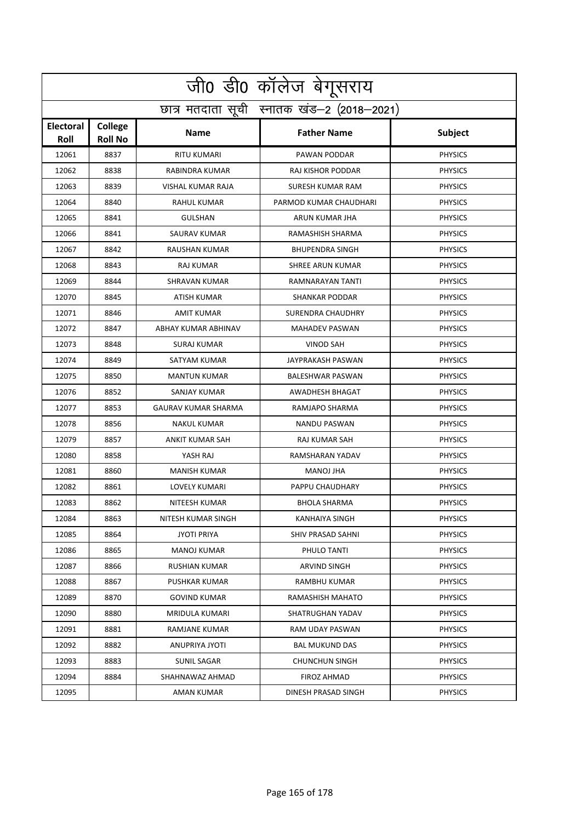|                   | जी0 डी0 कॉलेज बेगूसराय                     |                            |                          |                |  |  |
|-------------------|--------------------------------------------|----------------------------|--------------------------|----------------|--|--|
|                   | छात्र मतदाता सूची स्नातक खंड-2 (2018-2021) |                            |                          |                |  |  |
| Electoral<br>Roll | <b>College</b><br><b>Roll No</b>           | <b>Name</b>                | <b>Father Name</b>       | <b>Subject</b> |  |  |
| 12061             | 8837                                       | <b>RITU KUMARI</b>         | PAWAN PODDAR             | <b>PHYSICS</b> |  |  |
| 12062             | 8838                                       | RABINDRA KUMAR             | <b>RAJ KISHOR PODDAR</b> | <b>PHYSICS</b> |  |  |
| 12063             | 8839                                       | VISHAL KUMAR RAJA          | SURESH KUMAR RAM         | <b>PHYSICS</b> |  |  |
| 12064             | 8840                                       | <b>RAHUL KUMAR</b>         | PARMOD KUMAR CHAUDHARI   | <b>PHYSICS</b> |  |  |
| 12065             | 8841                                       | <b>GULSHAN</b>             | ARUN KUMAR JHA           | <b>PHYSICS</b> |  |  |
| 12066             | 8841                                       | SAURAV KUMAR               | RAMASHISH SHARMA         | <b>PHYSICS</b> |  |  |
| 12067             | 8842                                       | RAUSHAN KUMAR              | <b>BHUPENDRA SINGH</b>   | <b>PHYSICS</b> |  |  |
| 12068             | 8843                                       | <b>RAJ KUMAR</b>           | SHREE ARUN KUMAR         | <b>PHYSICS</b> |  |  |
| 12069             | 8844                                       | <b>SHRAVAN KUMAR</b>       | RAMNARAYAN TANTI         | <b>PHYSICS</b> |  |  |
| 12070             | 8845                                       | ATISH KUMAR                | <b>SHANKAR PODDAR</b>    | <b>PHYSICS</b> |  |  |
| 12071             | 8846                                       | <b>AMIT KUMAR</b>          | SURENDRA CHAUDHRY        | <b>PHYSICS</b> |  |  |
| 12072             | 8847                                       | ABHAY KUMAR ABHINAV        | <b>MAHADEV PASWAN</b>    | <b>PHYSICS</b> |  |  |
| 12073             | 8848                                       | <b>SURAJ KUMAR</b>         | <b>VINOD SAH</b>         | <b>PHYSICS</b> |  |  |
| 12074             | 8849                                       | SATYAM KUMAR               | JAYPRAKASH PASWAN        | <b>PHYSICS</b> |  |  |
| 12075             | 8850                                       | <b>MANTUN KUMAR</b>        | BALESHWAR PASWAN         | <b>PHYSICS</b> |  |  |
| 12076             | 8852                                       | SANJAY KUMAR               | AWADHESH BHAGAT          | <b>PHYSICS</b> |  |  |
| 12077             | 8853                                       | <b>GAURAV KUMAR SHARMA</b> | RAMJAPO SHARMA           | <b>PHYSICS</b> |  |  |
| 12078             | 8856                                       | <b>NAKUL KUMAR</b>         | NANDU PASWAN             | <b>PHYSICS</b> |  |  |
| 12079             | 8857                                       | ANKIT KUMAR SAH            | RAJ KUMAR SAH            | <b>PHYSICS</b> |  |  |
| 12080             | 8858                                       | YASH RAJ                   | RAMSHARAN YADAV          | <b>PHYSICS</b> |  |  |
| 12081             | 8860                                       | <b>MANISH KUMAR</b>        | <b>MANOJ JHA</b>         | <b>PHYSICS</b> |  |  |
| 12082             | 8861                                       | <b>LOVELY KUMARI</b>       | PAPPU CHAUDHARY          | <b>PHYSICS</b> |  |  |
| 12083             | 8862                                       | NITEESH KUMAR              | <b>BHOLA SHARMA</b>      | <b>PHYSICS</b> |  |  |
| 12084             | 8863                                       | NITESH KUMAR SINGH         | KANHAIYA SINGH           | <b>PHYSICS</b> |  |  |
| 12085             | 8864                                       | <b>JYOTI PRIYA</b>         | SHIV PRASAD SAHNI        | <b>PHYSICS</b> |  |  |
| 12086             | 8865                                       | MANOJ KUMAR                | PHULO TANTI              | <b>PHYSICS</b> |  |  |
| 12087             | 8866                                       | RUSHIAN KUMAR              | ARVIND SINGH             | <b>PHYSICS</b> |  |  |
| 12088             | 8867                                       | PUSHKAR KUMAR              | RAMBHU KUMAR             | <b>PHYSICS</b> |  |  |
| 12089             | 8870                                       | <b>GOVIND KUMAR</b>        | RAMASHISH MAHATO         | <b>PHYSICS</b> |  |  |
| 12090             | 8880                                       | <b>MRIDULA KUMARI</b>      | SHATRUGHAN YADAV         | <b>PHYSICS</b> |  |  |
| 12091             | 8881                                       | RAMJANE KUMAR              | RAM UDAY PASWAN          | <b>PHYSICS</b> |  |  |
| 12092             | 8882                                       | ANUPRIYA JYOTI             | <b>BAL MUKUND DAS</b>    | <b>PHYSICS</b> |  |  |
| 12093             | 8883                                       | SUNIL SAGAR                | CHUNCHUN SINGH           | <b>PHYSICS</b> |  |  |
| 12094             | 8884                                       | SHAHNAWAZ AHMAD            | FIROZ AHMAD              | <b>PHYSICS</b> |  |  |
| 12095             |                                            | AMAN KUMAR                 | DINESH PRASAD SINGH      | <b>PHYSICS</b> |  |  |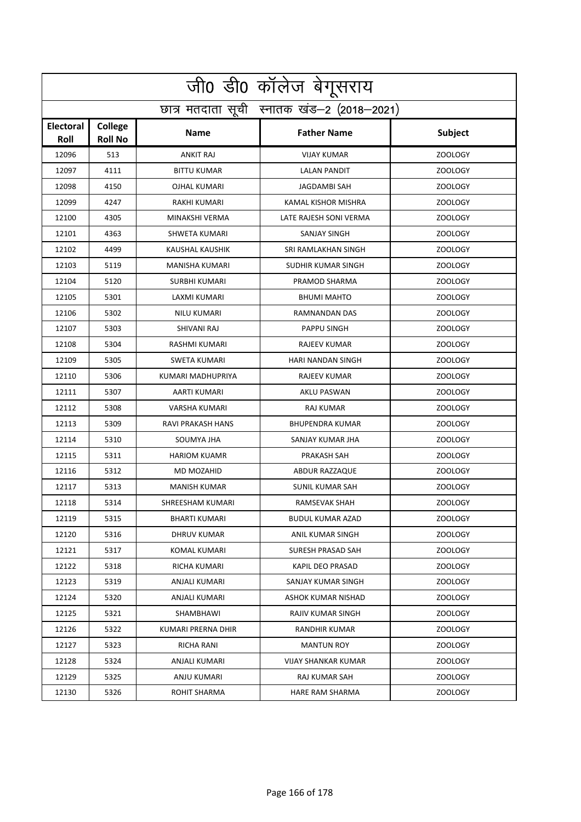|                          | जी0 डी0 कॉलेज बेगूसराय                     |                      |                           |                |  |  |
|--------------------------|--------------------------------------------|----------------------|---------------------------|----------------|--|--|
|                          | छात्र मतदाता सूची स्नातक खंड-2 (2018-2021) |                      |                           |                |  |  |
| <b>Electoral</b><br>Roll | College<br><b>Roll No</b>                  | <b>Name</b>          | <b>Father Name</b>        | Subject        |  |  |
| 12096                    | 513                                        | <b>ANKIT RAJ</b>     | <b>VIJAY KUMAR</b>        | ZOOLOGY        |  |  |
| 12097                    | 4111                                       | <b>BITTU KUMAR</b>   | <b>LALAN PANDIT</b>       | <b>ZOOLOGY</b> |  |  |
| 12098                    | 4150                                       | OJHAL KUMARI         | JAGDAMBI SAH              | <b>ZOOLOGY</b> |  |  |
| 12099                    | 4247                                       | RAKHI KUMARI         | KAMAL KISHOR MISHRA       | <b>ZOOLOGY</b> |  |  |
| 12100                    | 4305                                       | MINAKSHI VERMA       | LATE RAJESH SONI VERMA    | <b>ZOOLOGY</b> |  |  |
| 12101                    | 4363                                       | SHWETA KUMARI        | SANJAY SINGH              | <b>ZOOLOGY</b> |  |  |
| 12102                    | 4499                                       | KAUSHAL KAUSHIK      | SRI RAMLAKHAN SINGH       | ZOOLOGY        |  |  |
| 12103                    | 5119                                       | MANISHA KUMARI       | <b>SUDHIR KUMAR SINGH</b> | <b>ZOOLOGY</b> |  |  |
| 12104                    | 5120                                       | <b>SURBHI KUMARI</b> | PRAMOD SHARMA             | ZOOLOGY        |  |  |
| 12105                    | 5301                                       | <b>LAXMI KUMARI</b>  | <b>BHUMI MAHTO</b>        | <b>ZOOLOGY</b> |  |  |
| 12106                    | 5302                                       | <b>NILU KUMARI</b>   | RAMNANDAN DAS             | <b>ZOOLOGY</b> |  |  |
| 12107                    | 5303                                       | SHIVANI RAJ          | PAPPU SINGH               | <b>ZOOLOGY</b> |  |  |
| 12108                    | 5304                                       | <b>RASHMI KUMARI</b> | <b>RAJEEV KUMAR</b>       | <b>ZOOLOGY</b> |  |  |
| 12109                    | 5305                                       | <b>SWETA KUMARI</b>  | HARI NANDAN SINGH         | ZOOLOGY        |  |  |
| 12110                    | 5306                                       | KUMARI MADHUPRIYA    | RAJEEV KUMAR              | <b>ZOOLOGY</b> |  |  |
| 12111                    | 5307                                       | AARTI KUMARI         | AKLU PASWAN               | <b>ZOOLOGY</b> |  |  |
| 12112                    | 5308                                       | <b>VARSHA KUMARI</b> | RAJ KUMAR                 | ZOOLOGY        |  |  |
| 12113                    | 5309                                       | RAVI PRAKASH HANS    | <b>BHUPENDRA KUMAR</b>    | <b>ZOOLOGY</b> |  |  |
| 12114                    | 5310                                       | SOUMYA JHA           | SANJAY KUMAR JHA          | ZOOLOGY        |  |  |
| 12115                    | 5311                                       | <b>HARIOM KUAMR</b>  | PRAKASH SAH               | ZOOLOGY        |  |  |
| 12116                    | 5312                                       | MD MOZAHID           | ABDUR RAZZAQUE            | <b>ZOOLOGY</b> |  |  |
| 12117                    | 5313                                       | <b>MANISH KUMAR</b>  | SUNIL KUMAR SAH           | <b>ZOOLOGY</b> |  |  |
| 12118                    | 5314                                       | SHREESHAM KUMARI     | RAMSEVAK SHAH             | <b>ZOOLOGY</b> |  |  |
| 12119                    | 5315                                       | <b>BHARTI KUMARI</b> | <b>BUDUL KUMAR AZAD</b>   | ZOOLOGY        |  |  |
| 12120                    | 5316                                       | DHRUV KUMAR          | ANIL KUMAR SINGH          | <b>ZOOLOGY</b> |  |  |
| 12121                    | 5317                                       | KOMAL KUMARI         | SURESH PRASAD SAH         | <b>ZOOLOGY</b> |  |  |
| 12122                    | 5318                                       | RICHA KUMARI         | KAPIL DEO PRASAD          | ZOOLOGY        |  |  |
| 12123                    | 5319                                       | ANJALI KUMARI        | SANJAY KUMAR SINGH        | <b>ZOOLOGY</b> |  |  |
| 12124                    | 5320                                       | ANJALI KUMARI        | ASHOK KUMAR NISHAD        | ZOOLOGY        |  |  |
| 12125                    | 5321                                       | SHAMBHAWI            | <b>RAJIV KUMAR SINGH</b>  | <b>ZOOLOGY</b> |  |  |
| 12126                    | 5322                                       | KUMARI PRERNA DHIR   | RANDHIR KUMAR             | <b>ZOOLOGY</b> |  |  |
| 12127                    | 5323                                       | RICHA RANI           | <b>MANTUN ROY</b>         | ZOOLOGY        |  |  |
| 12128                    | 5324                                       | ANJALI KUMARI        | VIJAY SHANKAR KUMAR       | ZOOLOGY        |  |  |
| 12129                    | 5325                                       | ANJU KUMARI          | RAJ KUMAR SAH             | ZOOLOGY        |  |  |
| 12130                    | 5326                                       | ROHIT SHARMA         | HARE RAM SHARMA           | ZOOLOGY        |  |  |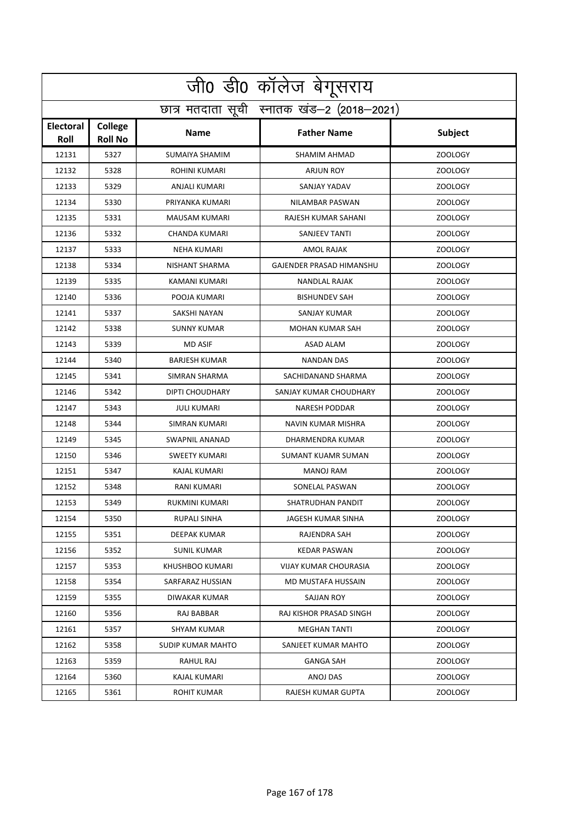|                                 | जी0 डी0 कॉलेज बेगूसराय    |                       |                                            |                |  |
|---------------------------------|---------------------------|-----------------------|--------------------------------------------|----------------|--|
|                                 |                           |                       | छात्र मतदाता सूची स्नातक खंड-2 (2018-2021) |                |  |
| <b>Electoral</b><br><b>Roll</b> | College<br><b>Roll No</b> | <b>Name</b>           | <b>Father Name</b>                         | Subject        |  |
| 12131                           | 5327                      | SUMAIYA SHAMIM        | SHAMIM AHMAD                               | ZOOLOGY        |  |
| 12132                           | 5328                      | ROHINI KUMARI         | <b>ARJUN ROY</b>                           | <b>ZOOLOGY</b> |  |
| 12133                           | 5329                      | ANJALI KUMARI         | SANJAY YADAV                               | <b>ZOOLOGY</b> |  |
| 12134                           | 5330                      | PRIYANKA KUMARI       | <b>NILAMBAR PASWAN</b>                     | <b>ZOOLOGY</b> |  |
| 12135                           | 5331                      | MAUSAM KUMARI         | RAJESH KUMAR SAHANI                        | <b>ZOOLOGY</b> |  |
| 12136                           | 5332                      | CHANDA KUMARI         | SANJEEV TANTI                              | <b>ZOOLOGY</b> |  |
| 12137                           | 5333                      | <b>NEHA KUMARI</b>    | AMOL RAJAK                                 | <b>ZOOLOGY</b> |  |
| 12138                           | 5334                      | NISHANT SHARMA        | GAJENDER PRASAD HIMANSHU                   | <b>ZOOLOGY</b> |  |
| 12139                           | 5335                      | KAMANI KUMARI         | <b>NANDLAL RAJAK</b>                       | <b>ZOOLOGY</b> |  |
| 12140                           | 5336                      | POOJA KUMARI          | <b>BISHUNDEV SAH</b>                       | <b>ZOOLOGY</b> |  |
| 12141                           | 5337                      | SAKSHI NAYAN          | SANJAY KUMAR                               | <b>ZOOLOGY</b> |  |
| 12142                           | 5338                      | <b>SUNNY KUMAR</b>    | <b>MOHAN KUMAR SAH</b>                     | <b>ZOOLOGY</b> |  |
| 12143                           | 5339                      | <b>MD ASIF</b>        | ASAD ALAM                                  | <b>ZOOLOGY</b> |  |
| 12144                           | 5340                      | <b>BARJESH KUMAR</b>  | <b>NANDAN DAS</b>                          | ZOOLOGY        |  |
| 12145                           | 5341                      | SIMRAN SHARMA         | SACHIDANAND SHARMA                         | <b>ZOOLOGY</b> |  |
| 12146                           | 5342                      | DIPTI CHOUDHARY       | SANJAY KUMAR CHOUDHARY                     | <b>ZOOLOGY</b> |  |
| 12147                           | 5343                      | <b>JULI KUMARI</b>    | <b>NARESH PODDAR</b>                       | <b>ZOOLOGY</b> |  |
| 12148                           | 5344                      | SIMRAN KUMARI         | NAVIN KUMAR MISHRA                         | <b>ZOOLOGY</b> |  |
| 12149                           | 5345                      | <b>SWAPNIL ANANAD</b> | DHARMENDRA KUMAR                           | ZOOLOGY        |  |
| 12150                           | 5346                      | <b>SWEETY KUMARI</b>  | SUMANT KUAMR SUMAN                         | ZOOLOGY        |  |
| 12151                           | 5347                      | <b>KAJAL KUMARI</b>   | MANOJ RAM                                  | <b>ZOOLOGY</b> |  |
| 12152                           | 5348                      | RANI KUMARI           | SONELAL PASWAN                             | <b>ZOOLOGY</b> |  |
| 12153                           | 5349                      | RUKMINI KUMARI        | SHATRUDHAN PANDIT                          | <b>ZOOLOGY</b> |  |
| 12154                           | 5350                      | RUPALI SINHA          | JAGESH KUMAR SINHA                         | ZOOLOGY        |  |
| 12155                           | 5351                      | DEEPAK KUMAR          | RAJENDRA SAH                               | <b>ZOOLOGY</b> |  |
| 12156                           | 5352                      | SUNIL KUMAR           | <b>KEDAR PASWAN</b>                        | <b>ZOOLOGY</b> |  |
| 12157                           | 5353                      | KHUSHBOO KUMARI       | VIJAY KUMAR CHOURASIA                      | ZOOLOGY        |  |
| 12158                           | 5354                      | SARFARAZ HUSSIAN      | MD MUSTAFA HUSSAIN                         | <b>ZOOLOGY</b> |  |
| 12159                           | 5355                      | DIWAKAR KUMAR         | SAJJAN ROY                                 | <b>ZOOLOGY</b> |  |
| 12160                           | 5356                      | <b>RAJ BABBAR</b>     | RAJ KISHOR PRASAD SINGH                    | <b>ZOOLOGY</b> |  |
| 12161                           | 5357                      | <b>SHYAM KUMAR</b>    | <b>MEGHAN TANTI</b>                        | <b>ZOOLOGY</b> |  |
| 12162                           | 5358                      | SUDIP KUMAR MAHTO     | SANJEET KUMAR MAHTO                        | ZOOLOGY        |  |
| 12163                           | 5359                      | RAHUL RAJ             | <b>GANGA SAH</b>                           | ZOOLOGY        |  |
| 12164                           | 5360                      | KAJAL KUMARI          | ANOJ DAS                                   | <b>ZOOLOGY</b> |  |
| 12165                           | 5361                      | ROHIT KUMAR           | RAJESH KUMAR GUPTA                         | ZOOLOGY        |  |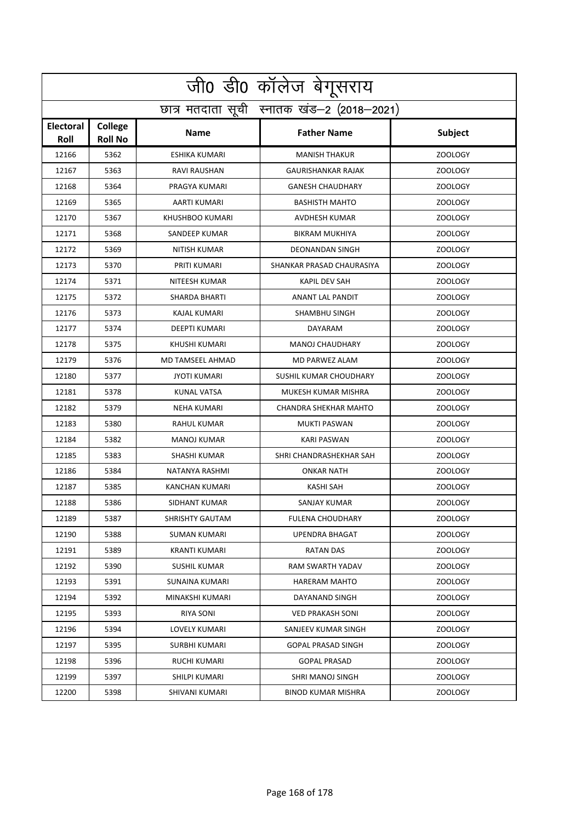| जी0 डी0 कॉलेज बेगूसराय          |                                            |                       |                              |                |  |  |
|---------------------------------|--------------------------------------------|-----------------------|------------------------------|----------------|--|--|
|                                 | छात्र मतदाता सूची स्नातक खंड-2 (2018-2021) |                       |                              |                |  |  |
| <b>Electoral</b><br><b>Roll</b> | College<br><b>Roll No</b>                  | <b>Name</b>           | <b>Father Name</b>           | Subject        |  |  |
| 12166                           | 5362                                       | <b>ESHIKA KUMARI</b>  | <b>MANISH THAKUR</b>         | <b>ZOOLOGY</b> |  |  |
| 12167                           | 5363                                       | RAVI RAUSHAN          | <b>GAURISHANKAR RAJAK</b>    | <b>ZOOLOGY</b> |  |  |
| 12168                           | 5364                                       | PRAGYA KUMARI         | <b>GANESH CHAUDHARY</b>      | <b>ZOOLOGY</b> |  |  |
| 12169                           | 5365                                       | AARTI KUMARI          | <b>BASHISTH MAHTO</b>        | <b>ZOOLOGY</b> |  |  |
| 12170                           | 5367                                       | KHUSHBOO KUMARI       | AVDHESH KUMAR                | <b>ZOOLOGY</b> |  |  |
| 12171                           | 5368                                       | SANDEEP KUMAR         | <b>BIKRAM MUKHIYA</b>        | <b>ZOOLOGY</b> |  |  |
| 12172                           | 5369                                       | NITISH KUMAR          | DEONANDAN SINGH              | <b>ZOOLOGY</b> |  |  |
| 12173                           | 5370                                       | PRITI KUMARI          | SHANKAR PRASAD CHAURASIYA    | <b>ZOOLOGY</b> |  |  |
| 12174                           | 5371                                       | NITEESH KUMAR         | KAPIL DEV SAH                | <b>ZOOLOGY</b> |  |  |
| 12175                           | 5372                                       | <b>SHARDA BHARTI</b>  | <b>ANANT LAL PANDIT</b>      | <b>ZOOLOGY</b> |  |  |
| 12176                           | 5373                                       | KAJAL KUMARI          | <b>SHAMBHU SINGH</b>         | ZOOLOGY        |  |  |
| 12177                           | 5374                                       | DEEPTI KUMARI         | <b>DAYARAM</b>               | <b>ZOOLOGY</b> |  |  |
| 12178                           | 5375                                       | KHUSHI KUMARI         | <b>MANOJ CHAUDHARY</b>       | <b>ZOOLOGY</b> |  |  |
| 12179                           | 5376                                       | MD TAMSEEL AHMAD      | <b>MD PARWEZ ALAM</b>        | <b>ZOOLOGY</b> |  |  |
| 12180                           | 5377                                       | <b>JYOTI KUMARI</b>   | SUSHIL KUMAR CHOUDHARY       | <b>ZOOLOGY</b> |  |  |
| 12181                           | 5378                                       | <b>KUNAL VATSA</b>    | MUKESH KUMAR MISHRA          | <b>ZOOLOGY</b> |  |  |
| 12182                           | 5379                                       | <b>NEHA KUMARI</b>    | <b>CHANDRA SHEKHAR MAHTO</b> | <b>ZOOLOGY</b> |  |  |
| 12183                           | 5380                                       | <b>RAHUL KUMAR</b>    | MUKTI PASWAN                 | <b>ZOOLOGY</b> |  |  |
| 12184                           | 5382                                       | MANOJ KUMAR           | <b>KARI PASWAN</b>           | <b>ZOOLOGY</b> |  |  |
| 12185                           | 5383                                       | SHASHI KUMAR          | SHRI CHANDRASHEKHAR SAH      | <b>ZOOLOGY</b> |  |  |
| 12186                           | 5384                                       | NATANYA RASHMI        | <b>ONKAR NATH</b>            | <b>ZOOLOGY</b> |  |  |
| 12187                           | 5385                                       | <b>KANCHAN KUMARI</b> | KASHI SAH                    | <b>ZOOLOGY</b> |  |  |
| 12188                           | 5386                                       | SIDHANT KUMAR         | SANJAY KUMAR                 | <b>ZOOLOGY</b> |  |  |
| 12189                           | 5387                                       | SHRISHTY GAUTAM       | <b>FULENA CHOUDHARY</b>      | ZOOLOGY        |  |  |
| 12190                           | 5388                                       | <b>SUMAN KUMARI</b>   | <b>UPENDRA BHAGAT</b>        | ZOOLOGY        |  |  |
| 12191                           | 5389                                       | KRANTI KUMARI         | <b>RATAN DAS</b>             | <b>ZOOLOGY</b> |  |  |
| 12192                           | 5390                                       | SUSHIL KUMAR          | RAM SWARTH YADAV             | <b>ZOOLOGY</b> |  |  |
| 12193                           | 5391                                       | SUNAINA KUMARI        | <b>HARERAM MAHTO</b>         | ZOOLOGY        |  |  |
| 12194                           | 5392                                       | MINAKSHI KUMARI       | DAYANAND SINGH               | ZOOLOGY        |  |  |
| 12195                           | 5393                                       | RIYA SONI             | <b>VED PRAKASH SONI</b>      | <b>ZOOLOGY</b> |  |  |
| 12196                           | 5394                                       | LOVELY KUMARI         | SANJEEV KUMAR SINGH          | <b>ZOOLOGY</b> |  |  |
| 12197                           | 5395                                       | SURBHI KUMARI         | <b>GOPAL PRASAD SINGH</b>    | ZOOLOGY        |  |  |
| 12198                           | 5396                                       | RUCHI KUMARI          | <b>GOPAL PRASAD</b>          | ZOOLOGY        |  |  |
| 12199                           | 5397                                       | SHILPI KUMARI         | SHRI MANOJ SINGH             | <b>ZOOLOGY</b> |  |  |
| 12200                           | 5398                                       | SHIVANI KUMARI        | BINOD KUMAR MISHRA           | ZOOLOGY        |  |  |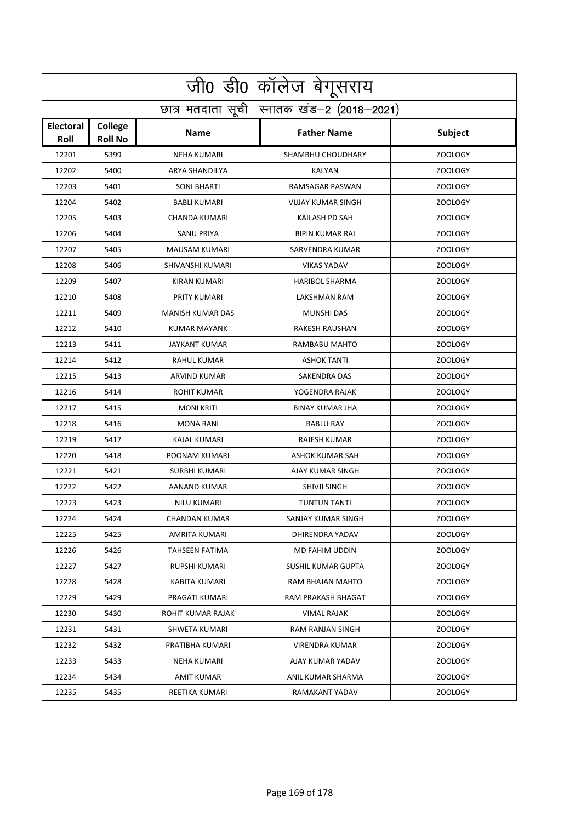| जी0 डी0 कॉलेज बेगूसराय                     |                           |                         |                           |                |  |
|--------------------------------------------|---------------------------|-------------------------|---------------------------|----------------|--|
| छात्र मतदाता सूची स्नातक खंड-2 (2018-2021) |                           |                         |                           |                |  |
| <b>Electoral</b><br><b>Roll</b>            | College<br><b>Roll No</b> | <b>Name</b>             | <b>Father Name</b>        | <b>Subject</b> |  |
| 12201                                      | 5399                      | <b>NEHA KUMARI</b>      | SHAMBHU CHOUDHARY         | <b>ZOOLOGY</b> |  |
| 12202                                      | 5400                      | ARYA SHANDILYA          | KALYAN                    | <b>ZOOLOGY</b> |  |
| 12203                                      | 5401                      | <b>SONI BHARTI</b>      | RAMSAGAR PASWAN           | <b>ZOOLOGY</b> |  |
| 12204                                      | 5402                      | <b>BABLI KUMARI</b>     | <b>VIJJAY KUMAR SINGH</b> | <b>ZOOLOGY</b> |  |
| 12205                                      | 5403                      | CHANDA KUMARI           | KAILASH PD SAH            | <b>ZOOLOGY</b> |  |
| 12206                                      | 5404                      | <b>SANU PRIYA</b>       | <b>BIPIN KUMAR RAI</b>    | ZOOLOGY        |  |
| 12207                                      | 5405                      | MAUSAM KUMARI           | SARVENDRA KUMAR           | <b>ZOOLOGY</b> |  |
| 12208                                      | 5406                      | SHIVANSHI KUMARI        | <b>VIKAS YADAV</b>        | <b>ZOOLOGY</b> |  |
| 12209                                      | 5407                      | KIRAN KUMARI            | <b>HARIBOL SHARMA</b>     | <b>ZOOLOGY</b> |  |
| 12210                                      | 5408                      | PRITY KUMARI            | LAKSHMAN RAM              | <b>ZOOLOGY</b> |  |
| 12211                                      | 5409                      | <b>MANISH KUMAR DAS</b> | <b>MUNSHI DAS</b>         | ZOOLOGY        |  |
| 12212                                      | 5410                      | <b>KUMAR MAYANK</b>     | <b>RAKESH RAUSHAN</b>     | <b>ZOOLOGY</b> |  |
| 12213                                      | 5411                      | <b>JAYKANT KUMAR</b>    | RAMBABU MAHTO             | <b>ZOOLOGY</b> |  |
| 12214                                      | 5412                      | <b>RAHUL KUMAR</b>      | <b>ASHOK TANTI</b>        | ZOOLOGY        |  |
| 12215                                      | 5413                      | <b>ARVIND KUMAR</b>     | SAKENDRA DAS              | <b>ZOOLOGY</b> |  |
| 12216                                      | 5414                      | <b>ROHIT KUMAR</b>      | YOGENDRA RAJAK            | <b>ZOOLOGY</b> |  |
| 12217                                      | 5415                      | <b>MONI KRITI</b>       | <b>BINAY KUMAR JHA</b>    | <b>ZOOLOGY</b> |  |
| 12218                                      | 5416                      | <b>MONA RANI</b>        | <b>BABLU RAY</b>          | <b>ZOOLOGY</b> |  |
| 12219                                      | 5417                      | KAJAL KUMARI            | RAJESH KUMAR              | <b>ZOOLOGY</b> |  |
| 12220                                      | 5418                      | POONAM KUMARI           | ASHOK KUMAR SAH           | ZOOLOGY        |  |
| 12221                                      | 5421                      | <b>SURBHI KUMARI</b>    | AJAY KUMAR SINGH          | ZOOLOGY        |  |
| 12222                                      | 5422                      | AANAND KUMAR            | SHIVJI SINGH              | <b>ZOOLOGY</b> |  |
| 12223                                      | 5423                      | NILU KUMARI             | <b>TUNTUN TANTI</b>       | <b>ZOOLOGY</b> |  |
| 12224                                      | 5424                      | CHANDAN KUMAR           | SANJAY KUMAR SINGH        | ZOOLOGY        |  |
| 12225                                      | 5425                      | AMRITA KUMARI           | DHIRENDRA YADAV           | ZOOLOGY        |  |
| 12226                                      | 5426                      | TAHSEEN FATIMA          | MD FAHIM UDDIN            | <b>ZOOLOGY</b> |  |
| 12227                                      | 5427                      | RUPSHI KUMARI           | SUSHIL KUMAR GUPTA        | ZOOLOGY        |  |
| 12228                                      | 5428                      | KABITA KUMARI           | RAM BHAJAN MAHTO          | ZOOLOGY        |  |
| 12229                                      | 5429                      | PRAGATI KUMARI          | RAM PRAKASH BHAGAT        | ZOOLOGY        |  |
| 12230                                      | 5430                      | ROHIT KUMAR RAJAK       | <b>VIMAL RAJAK</b>        | ZOOLOGY        |  |
| 12231                                      | 5431                      | SHWETA KUMARI           | RAM RANJAN SINGH          | <b>ZOOLOGY</b> |  |
| 12232                                      | 5432                      | PRATIBHA KUMARI         | VIRENDRA KUMAR            | ZOOLOGY        |  |
| 12233                                      | 5433                      | NEHA KUMARI             | AJAY KUMAR YADAV          | ZOOLOGY        |  |
| 12234                                      | 5434                      | AMIT KUMAR              | ANIL KUMAR SHARMA         | ZOOLOGY        |  |
| 12235                                      | 5435                      | REETIKA KUMARI          | RAMAKANT YADAV            | ZOOLOGY        |  |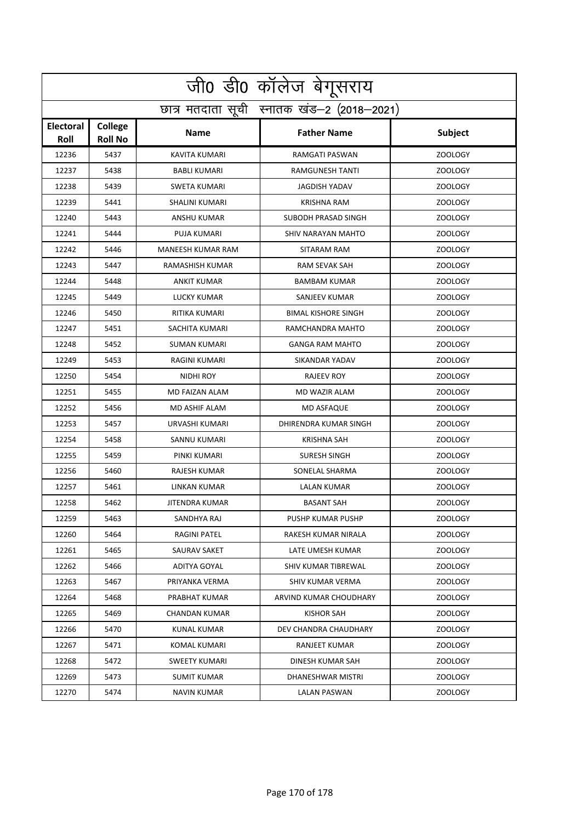| जी0 डी0 कॉलेज बेगूसराय                     |                           |                        |                            |                |  |
|--------------------------------------------|---------------------------|------------------------|----------------------------|----------------|--|
| छात्र मतदाता सूची स्नातक खंड-2 (2018-2021) |                           |                        |                            |                |  |
| Electoral<br><b>Roll</b>                   | College<br><b>Roll No</b> | <b>Name</b>            | <b>Father Name</b>         | Subject        |  |
| 12236                                      | 5437                      | <b>KAVITA KUMARI</b>   | RAMGATI PASWAN             | <b>ZOOLOGY</b> |  |
| 12237                                      | 5438                      | <b>BABLI KUMARI</b>    | <b>RAMGUNESH TANTI</b>     | <b>ZOOLOGY</b> |  |
| 12238                                      | 5439                      | <b>SWETA KUMARI</b>    | <b>JAGDISH YADAV</b>       | <b>ZOOLOGY</b> |  |
| 12239                                      | 5441                      | <b>SHALINI KUMARI</b>  | <b>KRISHNA RAM</b>         | <b>ZOOLOGY</b> |  |
| 12240                                      | 5443                      | ANSHU KUMAR            | SUBODH PRASAD SINGH        | <b>ZOOLOGY</b> |  |
| 12241                                      | 5444                      | PUJA KUMARI            | SHIV NARAYAN MAHTO         | ZOOLOGY        |  |
| 12242                                      | 5446                      | MANEESH KUMAR RAM      | SITARAM RAM                | <b>ZOOLOGY</b> |  |
| 12243                                      | 5447                      | <b>RAMASHISH KUMAR</b> | RAM SEVAK SAH              | <b>ZOOLOGY</b> |  |
| 12244                                      | 5448                      | <b>ANKIT KUMAR</b>     | <b>BAMBAM KUMAR</b>        | <b>ZOOLOGY</b> |  |
| 12245                                      | 5449                      | <b>LUCKY KUMAR</b>     | SANJEEV KUMAR              | <b>ZOOLOGY</b> |  |
| 12246                                      | 5450                      | <b>RITIKA KUMARI</b>   | <b>BIMAL KISHORE SINGH</b> | ZOOLOGY        |  |
| 12247                                      | 5451                      | SACHITA KUMARI         | RAMCHANDRA MAHTO           | <b>ZOOLOGY</b> |  |
| 12248                                      | 5452                      | <b>SUMAN KUMARI</b>    | <b>GANGA RAM MAHTO</b>     | <b>ZOOLOGY</b> |  |
| 12249                                      | 5453                      | RAGINI KUMARI          | SIKANDAR YADAV             | <b>ZOOLOGY</b> |  |
| 12250                                      | 5454                      | NIDHI ROY              | RAJEEV ROY                 | <b>ZOOLOGY</b> |  |
| 12251                                      | 5455                      | MD FAIZAN ALAM         | MD WAZIR ALAM              | <b>ZOOLOGY</b> |  |
| 12252                                      | 5456                      | MD ASHIF ALAM          | MD ASFAQUE                 | <b>ZOOLOGY</b> |  |
| 12253                                      | 5457                      | URVASHI KUMARI         | DHIRENDRA KUMAR SINGH      | <b>ZOOLOGY</b> |  |
| 12254                                      | 5458                      | SANNU KUMARI           | <b>KRISHNA SAH</b>         | <b>ZOOLOGY</b> |  |
| 12255                                      | 5459                      | PINKI KUMARI           | <b>SURESH SINGH</b>        | ZOOLOGY        |  |
| 12256                                      | 5460                      | RAJESH KUMAR           | SONELAL SHARMA             | ZOOLOGY        |  |
| 12257                                      | 5461                      | LINKAN KUMAR           | LALAN KUMAR                | <b>ZOOLOGY</b> |  |
| 12258                                      | 5462                      | JITENDRA KUMAR         | <b>BASANT SAH</b>          | <b>ZOOLOGY</b> |  |
| 12259                                      | 5463                      | SANDHYA RAJ            | PUSHP KUMAR PUSHP          | ZOOLOGY        |  |
| 12260                                      | 5464                      | RAGINI PATEL           | RAKESH KUMAR NIRALA        | ZOOLOGY        |  |
| 12261                                      | 5465                      | SAURAV SAKET           | LATE UMESH KUMAR           | <b>ZOOLOGY</b> |  |
| 12262                                      | 5466                      | <b>ADITYA GOYAL</b>    | SHIV KUMAR TIBREWAL        | ZOOLOGY        |  |
| 12263                                      | 5467                      | PRIYANKA VERMA         | SHIV KUMAR VERMA           | ZOOLOGY        |  |
| 12264                                      | 5468                      | PRABHAT KUMAR          | ARVIND KUMAR CHOUDHARY     | ZOOLOGY        |  |
| 12265                                      | 5469                      | <b>CHANDAN KUMAR</b>   | KISHOR SAH                 | ZOOLOGY        |  |
| 12266                                      | 5470                      | KUNAL KUMAR            | DEV CHANDRA CHAUDHARY      | ZOOLOGY        |  |
| 12267                                      | 5471                      | KOMAL KUMARI           | RANJEET KUMAR              | ZOOLOGY        |  |
| 12268                                      | 5472                      | SWEETY KUMARI          | DINESH KUMAR SAH           | <b>ZOOLOGY</b> |  |
| 12269                                      | 5473                      | SUMIT KUMAR            | DHANESHWAR MISTRI          | ZOOLOGY        |  |
| 12270                                      | 5474                      | NAVIN KUMAR            | LALAN PASWAN               | ZOOLOGY        |  |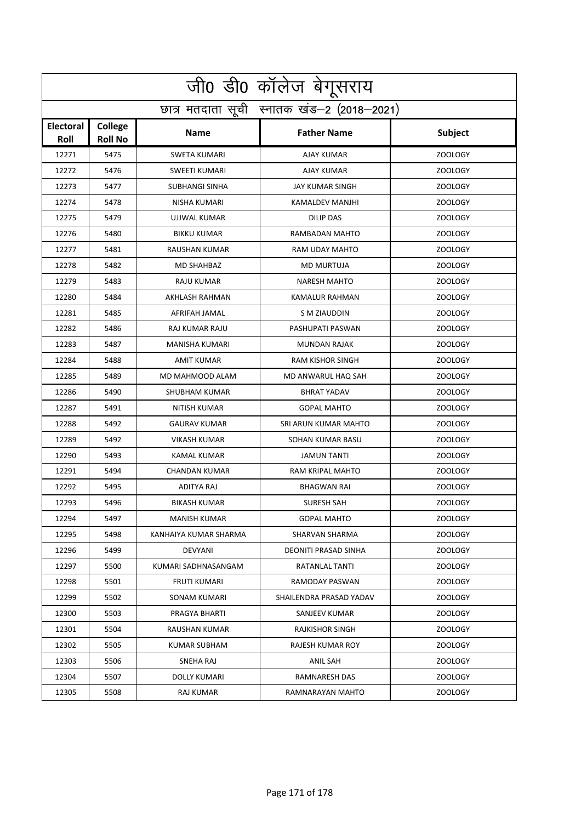| जी0 डी0 कॉलेज बेगूसराय                     |                           |                       |                         |                |  |
|--------------------------------------------|---------------------------|-----------------------|-------------------------|----------------|--|
| छात्र मतदाता सूची स्नातक खंड-2 (2018-2021) |                           |                       |                         |                |  |
| Electoral<br>Roll                          | College<br><b>Roll No</b> | <b>Name</b>           | <b>Father Name</b>      | Subject        |  |
| 12271                                      | 5475                      | <b>SWETA KUMARI</b>   | <b>AJAY KUMAR</b>       | <b>ZOOLOGY</b> |  |
| 12272                                      | 5476                      | <b>SWEETI KUMARI</b>  | AJAY KUMAR              | <b>ZOOLOGY</b> |  |
| 12273                                      | 5477                      | <b>SUBHANGI SINHA</b> | <b>JAY KUMAR SINGH</b>  | <b>ZOOLOGY</b> |  |
| 12274                                      | 5478                      | <b>NISHA KUMARI</b>   | KAMALDEV MANJHI         | ZOOLOGY        |  |
| 12275                                      | 5479                      | UJJWAL KUMAR          | <b>DILIP DAS</b>        | <b>ZOOLOGY</b> |  |
| 12276                                      | 5480                      | <b>BIKKU KUMAR</b>    | RAMBADAN MAHTO          | ZOOLOGY        |  |
| 12277                                      | 5481                      | RAUSHAN KUMAR         | RAM UDAY MAHTO          | ZOOLOGY        |  |
| 12278                                      | 5482                      | <b>MD SHAHBAZ</b>     | <b>MD MURTUJA</b>       | <b>ZOOLOGY</b> |  |
| 12279                                      | 5483                      | RAJU KUMAR            | <b>NARESH MAHTO</b>     | ZOOLOGY        |  |
| 12280                                      | 5484                      | AKHLASH RAHMAN        | <b>KAMALUR RAHMAN</b>   | <b>ZOOLOGY</b> |  |
| 12281                                      | 5485                      | AFRIFAH JAMAL         | S M ZIAUDDIN            | ZOOLOGY        |  |
| 12282                                      | 5486                      | <b>RAJ KUMAR RAJU</b> | PASHUPATI PASWAN        | <b>ZOOLOGY</b> |  |
| 12283                                      | 5487                      | MANISHA KUMARI        | <b>MUNDAN RAJAK</b>     | <b>ZOOLOGY</b> |  |
| 12284                                      | 5488                      | <b>AMIT KUMAR</b>     | RAM KISHOR SINGH        | ZOOLOGY        |  |
| 12285                                      | 5489                      | MD MAHMOOD ALAM       | MD ANWARUL HAQ SAH      | <b>ZOOLOGY</b> |  |
| 12286                                      | 5490                      | <b>SHUBHAM KUMAR</b>  | <b>BHRAT YADAV</b>      | <b>ZOOLOGY</b> |  |
| 12287                                      | 5491                      | NITISH KUMAR          | <b>GOPAL MAHTO</b>      | ZOOLOGY        |  |
| 12288                                      | 5492                      | <b>GAURAV KUMAR</b>   | SRI ARUN KUMAR MAHTO    | <b>ZOOLOGY</b> |  |
| 12289                                      | 5492                      | <b>VIKASH KUMAR</b>   | SOHAN KUMAR BASU        | <b>ZOOLOGY</b> |  |
| 12290                                      | 5493                      | <b>KAMAL KUMAR</b>    | <b>JAMUN TANTI</b>      | ZOOLOGY        |  |
| 12291                                      | 5494                      | <b>CHANDAN KUMAR</b>  | <b>RAM KRIPAL MAHTO</b> | ZOOLOGY        |  |
| 12292                                      | 5495                      | <b>ADITYA RAJ</b>     | <b>BHAGWAN RAI</b>      | <b>ZOOLOGY</b> |  |
| 12293                                      | 5496                      | <b>BIKASH KUMAR</b>   | SURESH SAH              | <b>ZOOLOGY</b> |  |
| 12294                                      | 5497                      | <b>MANISH KUMAR</b>   | <b>GOPAL MAHTO</b>      | ZOOLOGY        |  |
| 12295                                      | 5498                      | KANHAIYA KUMAR SHARMA | SHARVAN SHARMA          | <b>ZOOLOGY</b> |  |
| 12296                                      | 5499                      | DEVYANI               | DEONITI PRASAD SINHA    | <b>ZOOLOGY</b> |  |
| 12297                                      | 5500                      | KUMARI SADHNASANGAM   | RATANLAL TANTI          | <b>ZOOLOGY</b> |  |
| 12298                                      | 5501                      | <b>FRUTI KUMARI</b>   | RAMODAY PASWAN          | ZOOLOGY        |  |
| 12299                                      | 5502                      | SONAM KUMARI          | SHAILENDRA PRASAD YADAV | ZOOLOGY        |  |
| 12300                                      | 5503                      | PRAGYA BHARTI         | SANJEEV KUMAR           | <b>ZOOLOGY</b> |  |
| 12301                                      | 5504                      | RAUSHAN KUMAR         | RAJKISHOR SINGH         | ZOOLOGY        |  |
| 12302                                      | 5505                      | KUMAR SUBHAM          | RAJESH KUMAR ROY        | <b>ZOOLOGY</b> |  |
| 12303                                      | 5506                      | SNEHA RAJ             | ANIL SAH                | <b>ZOOLOGY</b> |  |
| 12304                                      | 5507                      | DOLLY KUMARI          | RAMNARESH DAS           | ZOOLOGY        |  |
| 12305                                      | 5508                      | RAJ KUMAR             | RAMNARAYAN MAHTO        | ZOOLOGY        |  |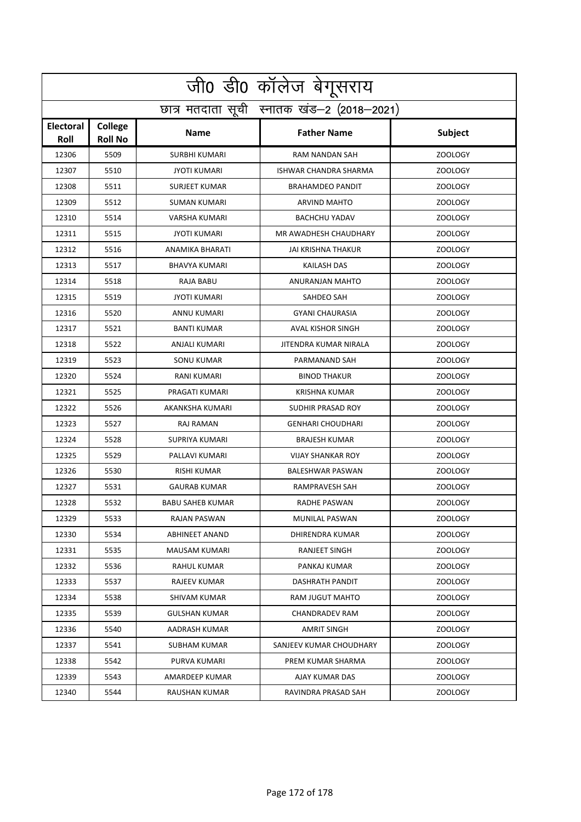| जी0 डी0 कॉलेज बेगूसराय                     |                           |                         |                          |                |  |
|--------------------------------------------|---------------------------|-------------------------|--------------------------|----------------|--|
| छात्र मतदाता सूची स्नातक खंड-2 (2018-2021) |                           |                         |                          |                |  |
| <b>Electoral</b><br><b>Roll</b>            | College<br><b>Roll No</b> | <b>Name</b>             | <b>Father Name</b>       | <b>Subject</b> |  |
| 12306                                      | 5509                      | <b>SURBHI KUMARI</b>    | RAM NANDAN SAH           | ZOOLOGY        |  |
| 12307                                      | 5510                      | <b>JYOTI KUMARI</b>     | ISHWAR CHANDRA SHARMA    | <b>ZOOLOGY</b> |  |
| 12308                                      | 5511                      | <b>SURJEET KUMAR</b>    | <b>BRAHAMDEO PANDIT</b>  | <b>ZOOLOGY</b> |  |
| 12309                                      | 5512                      | <b>SUMAN KUMARI</b>     | <b>ARVIND MAHTO</b>      | <b>ZOOLOGY</b> |  |
| 12310                                      | 5514                      | VARSHA KUMARI           | <b>BACHCHU YADAV</b>     | <b>ZOOLOGY</b> |  |
| 12311                                      | 5515                      | <b>JYOTI KUMARI</b>     | MR AWADHESH CHAUDHARY    | <b>ZOOLOGY</b> |  |
| 12312                                      | 5516                      | ANAMIKA BHARATI         | JAI KRISHNA THAKUR       | <b>ZOOLOGY</b> |  |
| 12313                                      | 5517                      | <b>BHAVYA KUMARI</b>    | KAILASH DAS              | <b>ZOOLOGY</b> |  |
| 12314                                      | 5518                      | RAJA BABU               | ANURANJAN MAHTO          | <b>ZOOLOGY</b> |  |
| 12315                                      | 5519                      | <b>JYOTI KUMARI</b>     | SAHDEO SAH               | <b>ZOOLOGY</b> |  |
| 12316                                      | 5520                      | <b>ANNU KUMARI</b>      | <b>GYANI CHAURASIA</b>   | <b>ZOOLOGY</b> |  |
| 12317                                      | 5521                      | <b>BANTI KUMAR</b>      | AVAL KISHOR SINGH        | <b>ZOOLOGY</b> |  |
| 12318                                      | 5522                      | ANJALI KUMARI           | JITENDRA KUMAR NIRALA    | <b>ZOOLOGY</b> |  |
| 12319                                      | 5523                      | <b>SONU KUMAR</b>       | PARMANAND SAH            | ZOOLOGY        |  |
| 12320                                      | 5524                      | RANI KUMARI             | <b>BINOD THAKUR</b>      | <b>ZOOLOGY</b> |  |
| 12321                                      | 5525                      | PRAGATI KUMARI          | <b>KRISHNA KUMAR</b>     | <b>ZOOLOGY</b> |  |
| 12322                                      | 5526                      | AKANKSHA KUMARI         | SUDHIR PRASAD ROY        | <b>ZOOLOGY</b> |  |
| 12323                                      | 5527                      | RAJ RAMAN               | <b>GENHARI CHOUDHARI</b> | <b>ZOOLOGY</b> |  |
| 12324                                      | 5528                      | SUPRIYA KUMARI          | <b>BRAJESH KUMAR</b>     | <b>ZOOLOGY</b> |  |
| 12325                                      | 5529                      | PALLAVI KUMARI          | <b>VIJAY SHANKAR ROY</b> | <b>ZOOLOGY</b> |  |
| 12326                                      | 5530                      | <b>RISHI KUMAR</b>      | BALESHWAR PASWAN         | <b>ZOOLOGY</b> |  |
| 12327                                      | 5531                      | <b>GAURAB KUMAR</b>     | RAMPRAVESH SAH           | <b>ZOOLOGY</b> |  |
| 12328                                      | 5532                      | <b>BABU SAHEB KUMAR</b> | RADHE PASWAN             | <b>ZOOLOGY</b> |  |
| 12329                                      | 5533                      | RAJAN PASWAN            | MUNILAL PASWAN           | ZOOLOGY        |  |
| 12330                                      | 5534                      | <b>ABHINEET ANAND</b>   | DHIRENDRA KUMAR          | ZOOLOGY        |  |
| 12331                                      | 5535                      | MAUSAM KUMARI           | RANJEET SINGH            | <b>ZOOLOGY</b> |  |
| 12332                                      | 5536                      | RAHUL KUMAR             | PANKAJ KUMAR             | ZOOLOGY        |  |
| 12333                                      | 5537                      | RAJEEV KUMAR            | DASHRATH PANDIT          | ZOOLOGY        |  |
| 12334                                      | 5538                      | SHIVAM KUMAR            | RAM JUGUT MAHTO          | <b>ZOOLOGY</b> |  |
| 12335                                      | 5539                      | <b>GULSHAN KUMAR</b>    | <b>CHANDRADEV RAM</b>    | ZOOLOGY        |  |
| 12336                                      | 5540                      | AADRASH KUMAR           | AMRIT SINGH              | ZOOLOGY        |  |
| 12337                                      | 5541                      | SUBHAM KUMAR            | SANJEEV KUMAR CHOUDHARY  | ZOOLOGY        |  |
| 12338                                      | 5542                      | PURVA KUMARI            | PREM KUMAR SHARMA        | <b>ZOOLOGY</b> |  |
| 12339                                      | 5543                      | AMARDEEP KUMAR          | AJAY KUMAR DAS           | ZOOLOGY        |  |
| 12340                                      | 5544                      | RAUSHAN KUMAR           | RAVINDRA PRASAD SAH      | ZOOLOGY        |  |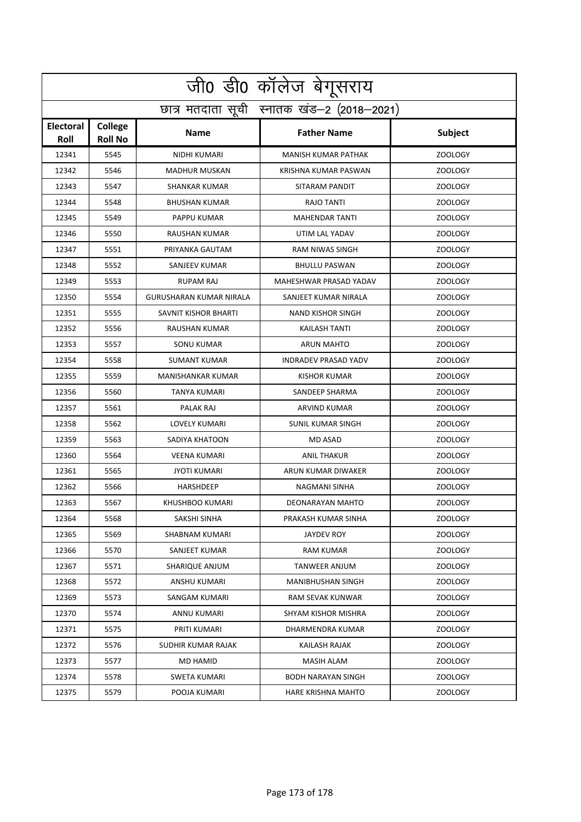| जी0 डी0 कॉलेज बेगूसराय                     |                           |                         |                             |                |  |
|--------------------------------------------|---------------------------|-------------------------|-----------------------------|----------------|--|
| छात्र मतदाता सूची स्नातक खंड-2 (2018-2021) |                           |                         |                             |                |  |
| <b>Electoral</b><br>Roll                   | College<br><b>Roll No</b> | <b>Name</b>             | <b>Father Name</b>          | <b>Subject</b> |  |
| 12341                                      | 5545                      | NIDHI KUMARI            | <b>MANISH KUMAR PATHAK</b>  | <b>ZOOLOGY</b> |  |
| 12342                                      | 5546                      | <b>MADHUR MUSKAN</b>    | KRISHNA KUMAR PASWAN        | ZOOLOGY        |  |
| 12343                                      | 5547                      | <b>SHANKAR KUMAR</b>    | <b>SITARAM PANDIT</b>       | <b>ZOOLOGY</b> |  |
| 12344                                      | 5548                      | <b>BHUSHAN KUMAR</b>    | RAJO TANTI                  | ZOOLOGY        |  |
| 12345                                      | 5549                      | PAPPU KUMAR             | <b>MAHENDAR TANTI</b>       | <b>ZOOLOGY</b> |  |
| 12346                                      | 5550                      | RAUSHAN KUMAR           | UTIM LAL YADAV              | <b>ZOOLOGY</b> |  |
| 12347                                      | 5551                      | PRIYANKA GAUTAM         | RAM NIWAS SINGH             | <b>ZOOLOGY</b> |  |
| 12348                                      | 5552                      | SANJEEV KUMAR           | <b>BHULLU PASWAN</b>        | <b>ZOOLOGY</b> |  |
| 12349                                      | 5553                      | <b>RUPAM RAJ</b>        | MAHESHWAR PRASAD YADAV      | ZOOLOGY        |  |
| 12350                                      | 5554                      | GURUSHARAN KUMAR NIRALA | SANJEET KUMAR NIRALA        | <b>ZOOLOGY</b> |  |
| 12351                                      | 5555                      | SAVNIT KISHOR BHARTI    | <b>NAND KISHOR SINGH</b>    | ZOOLOGY        |  |
| 12352                                      | 5556                      | RAUSHAN KUMAR           | KAILASH TANTI               | <b>ZOOLOGY</b> |  |
| 12353                                      | 5557                      | <b>SONU KUMAR</b>       | <b>ARUN MAHTO</b>           | <b>ZOOLOGY</b> |  |
| 12354                                      | 5558                      | <b>SUMANT KUMAR</b>     | <b>INDRADEV PRASAD YADV</b> | ZOOLOGY        |  |
| 12355                                      | 5559                      | MANISHANKAR KUMAR       | <b>KISHOR KUMAR</b>         | ZOOLOGY        |  |
| 12356                                      | 5560                      | TANYA KUMARI            | SANDEEP SHARMA              | <b>ZOOLOGY</b> |  |
| 12357                                      | 5561                      | PALAK RAJ               | <b>ARVIND KUMAR</b>         | ZOOLOGY        |  |
| 12358                                      | 5562                      | LOVELY KUMARI           | SUNIL KUMAR SINGH           | <b>ZOOLOGY</b> |  |
| 12359                                      | 5563                      | SADIYA KHATOON          | <b>MD ASAD</b>              | <b>ZOOLOGY</b> |  |
| 12360                                      | 5564                      | <b>VEENA KUMARI</b>     | <b>ANIL THAKUR</b>          | ZOOLOGY        |  |
| 12361                                      | 5565                      | <b>JYOTI KUMARI</b>     | ARUN KUMAR DIWAKER          | ZOOLOGY        |  |
| 12362                                      | 5566                      | <b>HARSHDEEP</b>        | NAGMANI SINHA               | <b>ZOOLOGY</b> |  |
| 12363                                      | 5567                      | KHUSHBOO KUMARI         | DEONARAYAN MAHTO            | <b>ZOOLOGY</b> |  |
| 12364                                      | 5568                      | SAKSHI SINHA            | PRAKASH KUMAR SINHA         | <b>ZOOLOGY</b> |  |
| 12365                                      | 5569                      | SHABNAM KUMARI          | JAYDEV ROY                  | ZOOLOGY        |  |
| 12366                                      | 5570                      | SANJEET KUMAR           | RAM KUMAR                   | <b>ZOOLOGY</b> |  |
| 12367                                      | 5571                      | SHARIQUE ANJUM          | TANWEER ANJUM               | ZOOLOGY        |  |
| 12368                                      | 5572                      | ANSHU KUMARI            | MANIBHUSHAN SINGH           | ZOOLOGY        |  |
| 12369                                      | 5573                      | SANGAM KUMARI           | RAM SEVAK KUNWAR            | ZOOLOGY        |  |
| 12370                                      | 5574                      | ANNU KUMARI             | SHYAM KISHOR MISHRA         | ZOOLOGY        |  |
| 12371                                      | 5575                      | PRITI KUMARI            | DHARMENDRA KUMAR            | ZOOLOGY        |  |
| 12372                                      | 5576                      | SUDHIR KUMAR RAJAK      | KAILASH RAJAK               | ZOOLOGY        |  |
| 12373                                      | 5577                      | MD HAMID                | MASIH ALAM                  | ZOOLOGY        |  |
| 12374                                      | 5578                      | SWETA KUMARI            | <b>BODH NARAYAN SINGH</b>   | ZOOLOGY        |  |
| 12375                                      | 5579                      | POOJA KUMARI            | HARE KRISHNA MAHTO          | <b>ZOOLOGY</b> |  |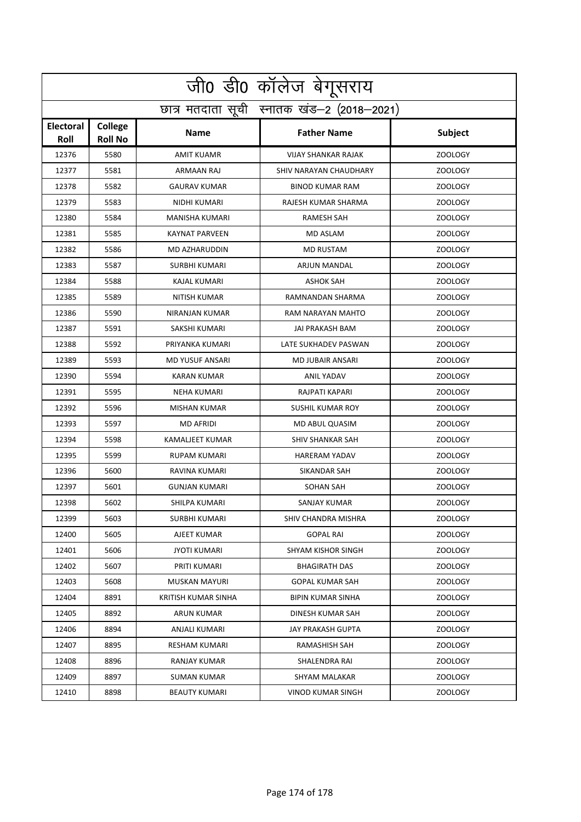| जी0 डी0 कॉलेज बेगूसराय                     |                           |                        |                            |                |  |
|--------------------------------------------|---------------------------|------------------------|----------------------------|----------------|--|
| छात्र मतदाता सूची स्नातक खंड-2 (2018-2021) |                           |                        |                            |                |  |
| <b>Electoral</b><br>Roll                   | College<br><b>Roll No</b> | <b>Name</b>            | <b>Father Name</b>         | Subject        |  |
| 12376                                      | 5580                      | <b>AMIT KUAMR</b>      | <b>VIJAY SHANKAR RAJAK</b> | <b>ZOOLOGY</b> |  |
| 12377                                      | 5581                      | ARMAAN RAJ             | SHIV NARAYAN CHAUDHARY     | <b>ZOOLOGY</b> |  |
| 12378                                      | 5582                      | <b>GAURAV KUMAR</b>    | <b>BINOD KUMAR RAM</b>     | <b>ZOOLOGY</b> |  |
| 12379                                      | 5583                      | NIDHI KUMARI           | RAJESH KUMAR SHARMA        | <b>ZOOLOGY</b> |  |
| 12380                                      | 5584                      | MANISHA KUMARI         | RAMESH SAH                 | <b>ZOOLOGY</b> |  |
| 12381                                      | 5585                      | <b>KAYNAT PARVEEN</b>  | <b>MD ASLAM</b>            | ZOOLOGY        |  |
| 12382                                      | 5586                      | MD AZHARUDDIN          | <b>MD RUSTAM</b>           | ZOOLOGY        |  |
| 12383                                      | 5587                      | <b>SURBHI KUMARI</b>   | ARJUN MANDAL               | <b>ZOOLOGY</b> |  |
| 12384                                      | 5588                      | KAJAL KUMARI           | <b>ASHOK SAH</b>           | ZOOLOGY        |  |
| 12385                                      | 5589                      | <b>NITISH KUMAR</b>    | RAMNANDAN SHARMA           | <b>ZOOLOGY</b> |  |
| 12386                                      | 5590                      | NIRANJAN KUMAR         | RAM NARAYAN MAHTO          | ZOOLOGY        |  |
| 12387                                      | 5591                      | SAKSHI KUMARI          | JAI PRAKASH BAM            | <b>ZOOLOGY</b> |  |
| 12388                                      | 5592                      | PRIYANKA KUMARI        | LATE SUKHADEV PASWAN       | <b>ZOOLOGY</b> |  |
| 12389                                      | 5593                      | MD YUSUF ANSARI        | <b>MD JUBAIR ANSARI</b>    | <b>ZOOLOGY</b> |  |
| 12390                                      | 5594                      | <b>KARAN KUMAR</b>     | <b>ANIL YADAV</b>          | <b>ZOOLOGY</b> |  |
| 12391                                      | 5595                      | <b>NEHA KUMARI</b>     | RAJPATI KAPARI             | <b>ZOOLOGY</b> |  |
| 12392                                      | 5596                      | <b>MISHAN KUMAR</b>    | <b>SUSHIL KUMAR ROY</b>    | ZOOLOGY        |  |
| 12393                                      | 5597                      | <b>MD AFRIDI</b>       | MD ABUL QUASIM             | <b>ZOOLOGY</b> |  |
| 12394                                      | 5598                      | <b>KAMALJEET KUMAR</b> | <b>SHIV SHANKAR SAH</b>    | <b>ZOOLOGY</b> |  |
| 12395                                      | 5599                      | <b>RUPAM KUMARI</b>    | <b>HARERAM YADAV</b>       | ZOOLOGY        |  |
| 12396                                      | 5600                      | RAVINA KUMARI          | SIKANDAR SAH               | ZOOLOGY        |  |
| 12397                                      | 5601                      | <b>GUNJAN KUMARI</b>   | <b>SOHAN SAH</b>           | <b>ZOOLOGY</b> |  |
| 12398                                      | 5602                      | SHILPA KUMARI          | SANJAY KUMAR               | <b>ZOOLOGY</b> |  |
| 12399                                      | 5603                      | SURBHI KUMARI          | SHIV CHANDRA MISHRA        | ZOOLOGY        |  |
| 12400                                      | 5605                      | AJEET KUMAR            | <b>GOPAL RAI</b>           | <b>ZOOLOGY</b> |  |
| 12401                                      | 5606                      | JYOTI KUMARI           | SHYAM KISHOR SINGH         | <b>ZOOLOGY</b> |  |
| 12402                                      | 5607                      | PRITI KUMARI           | <b>BHAGIRATH DAS</b>       | <b>ZOOLOGY</b> |  |
| 12403                                      | 5608                      | MUSKAN MAYURI          | <b>GOPAL KUMAR SAH</b>     | <b>ZOOLOGY</b> |  |
| 12404                                      | 8891                      | KRITISH KUMAR SINHA    | <b>BIPIN KUMAR SINHA</b>   | ZOOLOGY        |  |
| 12405                                      | 8892                      | ARUN KUMAR             | DINESH KUMAR SAH           | <b>ZOOLOGY</b> |  |
| 12406                                      | 8894                      | ANJALI KUMARI          | <b>JAY PRAKASH GUPTA</b>   | <b>ZOOLOGY</b> |  |
| 12407                                      | 8895                      | RESHAM KUMARI          | RAMASHISH SAH              | <b>ZOOLOGY</b> |  |
| 12408                                      | 8896                      | RANJAY KUMAR           | SHALENDRA RAI              | <b>ZOOLOGY</b> |  |
| 12409                                      | 8897                      | SUMAN KUMAR            | SHYAM MALAKAR              | ZOOLOGY        |  |
| 12410                                      | 8898                      | <b>BEAUTY KUMARI</b>   | VINOD KUMAR SINGH          | ZOOLOGY        |  |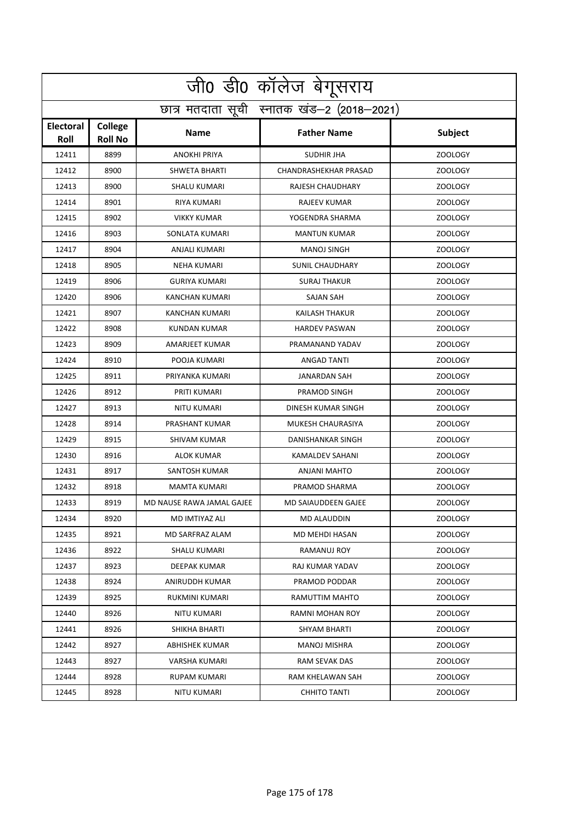| जी0 डी0 कॉलेज बेगूसराय                     |                           |                           |                            |                |  |
|--------------------------------------------|---------------------------|---------------------------|----------------------------|----------------|--|
| छात्र मतदाता सूची स्नातक खंड-2 (2018-2021) |                           |                           |                            |                |  |
| <b>Electoral</b><br><b>Roll</b>            | College<br><b>Roll No</b> | <b>Name</b>               | <b>Father Name</b>         | <b>Subject</b> |  |
| 12411                                      | 8899                      | <b>ANOKHI PRIYA</b>       | <b>SUDHIR JHA</b>          | ZOOLOGY        |  |
| 12412                                      | 8900                      | <b>SHWETA BHARTI</b>      | CHANDRASHEKHAR PRASAD      | <b>ZOOLOGY</b> |  |
| 12413                                      | 8900                      | SHALU KUMARI              | RAJESH CHAUDHARY           | <b>ZOOLOGY</b> |  |
| 12414                                      | 8901                      | <b>RIYA KUMARI</b>        | RAJEEV KUMAR               | ZOOLOGY        |  |
| 12415                                      | 8902                      | <b>VIKKY KUMAR</b>        | YOGENDRA SHARMA            | <b>ZOOLOGY</b> |  |
| 12416                                      | 8903                      | SONLATA KUMARI            | <b>MANTUN KUMAR</b>        | <b>ZOOLOGY</b> |  |
| 12417                                      | 8904                      | ANJALI KUMARI             | <b>MANOJ SINGH</b>         | <b>ZOOLOGY</b> |  |
| 12418                                      | 8905                      | <b>NEHA KUMARI</b>        | <b>SUNIL CHAUDHARY</b>     | <b>ZOOLOGY</b> |  |
| 12419                                      | 8906                      | <b>GURIYA KUMARI</b>      | <b>SURAJ THAKUR</b>        | <b>ZOOLOGY</b> |  |
| 12420                                      | 8906                      | KANCHAN KUMARI            | <b>SAJAN SAH</b>           | <b>ZOOLOGY</b> |  |
| 12421                                      | 8907                      | KANCHAN KUMARI            | <b>KAILASH THAKUR</b>      | <b>ZOOLOGY</b> |  |
| 12422                                      | 8908                      | <b>KUNDAN KUMAR</b>       | <b>HARDEV PASWAN</b>       | <b>ZOOLOGY</b> |  |
| 12423                                      | 8909                      | AMARJEET KUMAR            | PRAMANAND YADAV            | <b>ZOOLOGY</b> |  |
| 12424                                      | 8910                      | POOJA KUMARI              | ANGAD TANTI                | ZOOLOGY        |  |
| 12425                                      | 8911                      | PRIYANKA KUMARI           | <b>JANARDAN SAH</b>        | <b>ZOOLOGY</b> |  |
| 12426                                      | 8912                      | PRITI KUMARI              | PRAMOD SINGH               | <b>ZOOLOGY</b> |  |
| 12427                                      | 8913                      | NITU KUMARI               | DINESH KUMAR SINGH         | <b>ZOOLOGY</b> |  |
| 12428                                      | 8914                      | PRASHANT KUMAR            | MUKESH CHAURASIYA          | <b>ZOOLOGY</b> |  |
| 12429                                      | 8915                      | <b>SHIVAM KUMAR</b>       | DANISHANKAR SINGH          | <b>ZOOLOGY</b> |  |
| 12430                                      | 8916                      | ALOK KUMAR                | KAMALDEV SAHANI            | <b>ZOOLOGY</b> |  |
| 12431                                      | 8917                      | SANTOSH KUMAR             | <b>ANJANI MAHTO</b>        | <b>ZOOLOGY</b> |  |
| 12432                                      | 8918                      | MAMTA KUMARI              | PRAMOD SHARMA              | <b>ZOOLOGY</b> |  |
| 12433                                      | 8919                      | MD NAUSE RAWA JAMAL GAJEE | <b>MD SAIAUDDEEN GAJEE</b> | <b>ZOOLOGY</b> |  |
| 12434                                      | 8920                      | MD IMTIYAZ ALI            | MD ALAUDDIN                | ZOOLOGY        |  |
| 12435                                      | 8921                      | MD SARFRAZ ALAM           | MD MEHDI HASAN             | ZOOLOGY        |  |
| 12436                                      | 8922                      | SHALU KUMARI              | RAMANUJ ROY                | <b>ZOOLOGY</b> |  |
| 12437                                      | 8923                      | DEEPAK KUMAR              | RAJ KUMAR YADAV            | ZOOLOGY        |  |
| 12438                                      | 8924                      | ANIRUDDH KUMAR            | PRAMOD PODDAR              | ZOOLOGY        |  |
| 12439                                      | 8925                      | RUKMINI KUMARI            | RAMUTTIM MAHTO             | <b>ZOOLOGY</b> |  |
| 12440                                      | 8926                      | NITU KUMARI               | RAMNI MOHAN ROY            | ZOOLOGY        |  |
| 12441                                      | 8926                      | SHIKHA BHARTI             | <b>SHYAM BHARTI</b>        | ZOOLOGY        |  |
| 12442                                      | 8927                      | ABHISHEK KUMAR            | <b>MANOJ MISHRA</b>        | ZOOLOGY        |  |
| 12443                                      | 8927                      | VARSHA KUMARI             | RAM SEVAK DAS              | <b>ZOOLOGY</b> |  |
| 12444                                      | 8928                      | <b>RUPAM KUMARI</b>       | RAM KHELAWAN SAH           | ZOOLOGY        |  |
| 12445                                      | 8928                      | NITU KUMARI               | <b>CHHITO TANTI</b>        | ZOOLOGY        |  |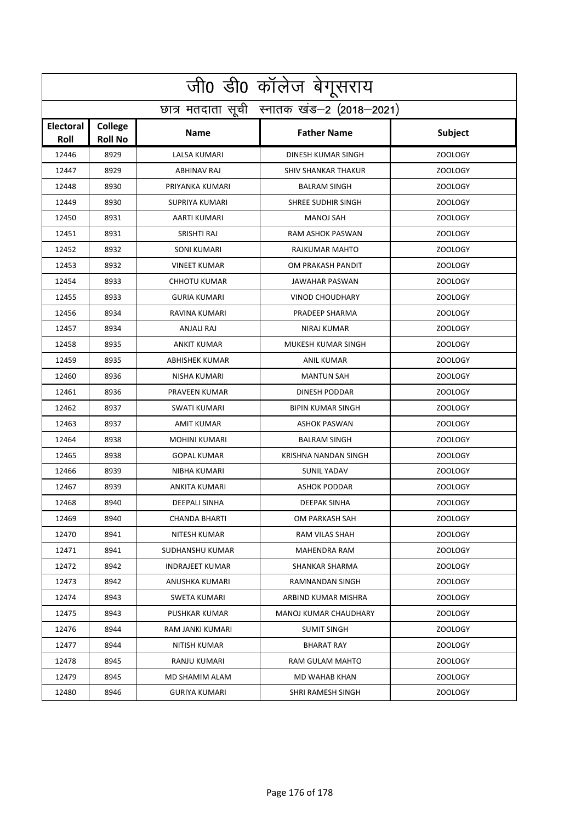| जी0 डी0 कॉलेज बेगूसराय                     |                           |                       |                              |                |  |
|--------------------------------------------|---------------------------|-----------------------|------------------------------|----------------|--|
| छात्र मतदाता सूची स्नातक खंड-2 (2018-2021) |                           |                       |                              |                |  |
| <b>Electoral</b><br><b>Roll</b>            | College<br><b>Roll No</b> | <b>Name</b>           | <b>Father Name</b>           | Subject        |  |
| 12446                                      | 8929                      | LALSA KUMARI          | DINESH KUMAR SINGH           | ZOOLOGY        |  |
| 12447                                      | 8929                      | ABHINAV RAJ           | <b>SHIV SHANKAR THAKUR</b>   | <b>ZOOLOGY</b> |  |
| 12448                                      | 8930                      | PRIYANKA KUMARI       | <b>BALRAM SINGH</b>          | <b>ZOOLOGY</b> |  |
| 12449                                      | 8930                      | <b>SUPRIYA KUMARI</b> | <b>SHREE SUDHIR SINGH</b>    | <b>ZOOLOGY</b> |  |
| 12450                                      | 8931                      | AARTI KUMARI          | <b>MANOJ SAH</b>             | <b>ZOOLOGY</b> |  |
| 12451                                      | 8931                      | SRISHTI RAJ           | RAM ASHOK PASWAN             | <b>ZOOLOGY</b> |  |
| 12452                                      | 8932                      | SONI KUMARI           | RAJKUMAR MAHTO               | <b>ZOOLOGY</b> |  |
| 12453                                      | 8932                      | <b>VINEET KUMAR</b>   | OM PRAKASH PANDIT            | <b>ZOOLOGY</b> |  |
| 12454                                      | 8933                      | <b>CHHOTU KUMAR</b>   | <b>JAWAHAR PASWAN</b>        | <b>ZOOLOGY</b> |  |
| 12455                                      | 8933                      | <b>GURIA KUMARI</b>   | <b>VINOD CHOUDHARY</b>       | <b>ZOOLOGY</b> |  |
| 12456                                      | 8934                      | RAVINA KUMARI         | PRADEEP SHARMA               | <b>ZOOLOGY</b> |  |
| 12457                                      | 8934                      | ANJALI RAJ            | NIRAJ KUMAR                  | <b>ZOOLOGY</b> |  |
| 12458                                      | 8935                      | <b>ANKIT KUMAR</b>    | MUKESH KUMAR SINGH           | <b>ZOOLOGY</b> |  |
| 12459                                      | 8935                      | ABHISHEK KUMAR        | <b>ANIL KUMAR</b>            | ZOOLOGY        |  |
| 12460                                      | 8936                      | NISHA KUMARI          | <b>MANTUN SAH</b>            | <b>ZOOLOGY</b> |  |
| 12461                                      | 8936                      | PRAVEEN KUMAR         | DINESH PODDAR                | <b>ZOOLOGY</b> |  |
| 12462                                      | 8937                      | SWATI KUMARI          | <b>BIPIN KUMAR SINGH</b>     | <b>ZOOLOGY</b> |  |
| 12463                                      | 8937                      | AMIT KUMAR            | <b>ASHOK PASWAN</b>          | <b>ZOOLOGY</b> |  |
| 12464                                      | 8938                      | <b>MOHINI KUMARI</b>  | <b>BALRAM SINGH</b>          | <b>ZOOLOGY</b> |  |
| 12465                                      | 8938                      | <b>GOPAL KUMAR</b>    | KRISHNA NANDAN SINGH         | ZOOLOGY        |  |
| 12466                                      | 8939                      | NIBHA KUMARI          | <b>SUNIL YADAV</b>           | <b>ZOOLOGY</b> |  |
| 12467                                      | 8939                      | ANKITA KUMARI         | <b>ASHOK PODDAR</b>          | <b>ZOOLOGY</b> |  |
| 12468                                      | 8940                      | DEEPALI SINHA         | DEEPAK SINHA                 | <b>ZOOLOGY</b> |  |
| 12469                                      | 8940                      | <b>CHANDA BHARTI</b>  | OM PARKASH SAH               | ZOOLOGY        |  |
| 12470                                      | 8941                      | NITESH KUMAR          | RAM VILAS SHAH               | <b>ZOOLOGY</b> |  |
| 12471                                      | 8941                      | SUDHANSHU KUMAR       | MAHENDRA RAM                 | <b>ZOOLOGY</b> |  |
| 12472                                      | 8942                      | INDRAJEET KUMAR       | SHANKAR SHARMA               | ZOOLOGY        |  |
| 12473                                      | 8942                      | ANUSHKA KUMARI        | <b>RAMNANDAN SINGH</b>       | <b>ZOOLOGY</b> |  |
| 12474                                      | 8943                      | SWETA KUMARI          | ARBIND KUMAR MISHRA          | <b>ZOOLOGY</b> |  |
| 12475                                      | 8943                      | PUSHKAR KUMAR         | <b>MANOJ KUMAR CHAUDHARY</b> | <b>ZOOLOGY</b> |  |
| 12476                                      | 8944                      | RAM JANKI KUMARI      | <b>SUMIT SINGH</b>           | <b>ZOOLOGY</b> |  |
| 12477                                      | 8944                      | NITISH KUMAR          | BHARAT RAY                   | ZOOLOGY        |  |
| 12478                                      | 8945                      | RANJU KUMARI          | RAM GULAM MAHTO              | ZOOLOGY        |  |
| 12479                                      | 8945                      | MD SHAMIM ALAM        | MD WAHAB KHAN                | ZOOLOGY        |  |
| 12480                                      | 8946                      | GURIYA KUMARI         | SHRI RAMESH SINGH            | ZOOLOGY        |  |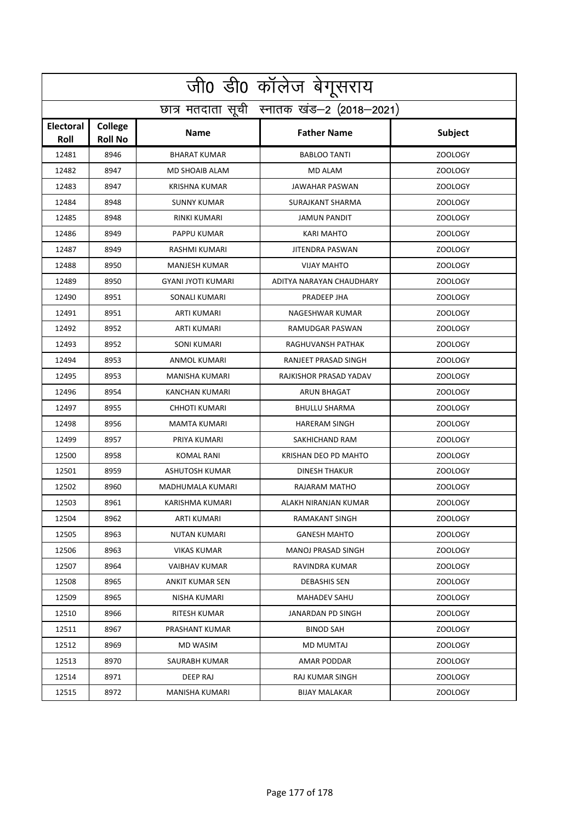| जी0 डी0 कॉलेज बेगूसराय                     |                           |                           |                           |                |  |
|--------------------------------------------|---------------------------|---------------------------|---------------------------|----------------|--|
| छात्र मतदाता सूची स्नातक खंड-2 (2018-2021) |                           |                           |                           |                |  |
| Electoral<br>Roll                          | College<br><b>Roll No</b> | <b>Name</b>               | <b>Father Name</b>        | Subject        |  |
| 12481                                      | 8946                      | <b>BHARAT KUMAR</b>       | <b>BABLOO TANTI</b>       | <b>ZOOLOGY</b> |  |
| 12482                                      | 8947                      | MD SHOAIB ALAM            | MD ALAM                   | <b>ZOOLOGY</b> |  |
| 12483                                      | 8947                      | <b>KRISHNA KUMAR</b>      | <b>JAWAHAR PASWAN</b>     | <b>ZOOLOGY</b> |  |
| 12484                                      | 8948                      | <b>SUNNY KUMAR</b>        | <b>SURAJKANT SHARMA</b>   | <b>ZOOLOGY</b> |  |
| 12485                                      | 8948                      | RINKI KUMARI              | <b>JAMUN PANDIT</b>       | <b>ZOOLOGY</b> |  |
| 12486                                      | 8949                      | PAPPU KUMAR               | <b>KARI MAHTO</b>         | ZOOLOGY        |  |
| 12487                                      | 8949                      | RASHMI KUMARI             | <b>JITENDRA PASWAN</b>    | ZOOLOGY        |  |
| 12488                                      | 8950                      | <b>MANJESH KUMAR</b>      | <b>VIJAY MAHTO</b>        | <b>ZOOLOGY</b> |  |
| 12489                                      | 8950                      | <b>GYANI JYOTI KUMARI</b> | ADITYA NARAYAN CHAUDHARY  | ZOOLOGY        |  |
| 12490                                      | 8951                      | <b>SONALI KUMARI</b>      | PRADEEP JHA               | <b>ZOOLOGY</b> |  |
| 12491                                      | 8951                      | ARTI KUMARI               | NAGESHWAR KUMAR           | ZOOLOGY        |  |
| 12492                                      | 8952                      | ARTI KUMARI               | RAMUDGAR PASWAN           | <b>ZOOLOGY</b> |  |
| 12493                                      | 8952                      | <b>SONI KUMARI</b>        | RAGHUVANSH PATHAK         | <b>ZOOLOGY</b> |  |
| 12494                                      | 8953                      | ANMOL KUMARI              | RANJEET PRASAD SINGH      | ZOOLOGY        |  |
| 12495                                      | 8953                      | MANISHA KUMARI            | RAJKISHOR PRASAD YADAV    | <b>ZOOLOGY</b> |  |
| 12496                                      | 8954                      | <b>KANCHAN KUMARI</b>     | <b>ARUN BHAGAT</b>        | <b>ZOOLOGY</b> |  |
| 12497                                      | 8955                      | <b>CHHOTI KUMARI</b>      | <b>BHULLU SHARMA</b>      | ZOOLOGY        |  |
| 12498                                      | 8956                      | MAMTA KUMARI              | <b>HARERAM SINGH</b>      | <b>ZOOLOGY</b> |  |
| 12499                                      | 8957                      | PRIYA KUMARI              | SAKHICHAND RAM            | <b>ZOOLOGY</b> |  |
| 12500                                      | 8958                      | <b>KOMAL RANI</b>         | KRISHAN DEO PD MAHTO      | ZOOLOGY        |  |
| 12501                                      | 8959                      | ASHUTOSH KUMAR            | <b>DINESH THAKUR</b>      | ZOOLOGY        |  |
| 12502                                      | 8960                      | MADHUMALA KUMARI          | RAJARAM MATHO             | <b>ZOOLOGY</b> |  |
| 12503                                      | 8961                      | KARISHMA KUMARI           | ALAKH NIRANJAN KUMAR      | <b>ZOOLOGY</b> |  |
| 12504                                      | 8962                      | ARTI KUMARI               | RAMAKANT SINGH            | ZOOLOGY        |  |
| 12505                                      | 8963                      | NUTAN KUMARI              | <b>GANESH MAHTO</b>       | <b>ZOOLOGY</b> |  |
| 12506                                      | 8963                      | VIKAS KUMAR               | <b>MANOJ PRASAD SINGH</b> | ZOOLOGY        |  |
| 12507                                      | 8964                      | <b>VAIBHAV KUMAR</b>      | RAVINDRA KUMAR            | <b>ZOOLOGY</b> |  |
| 12508                                      | 8965                      | <b>ANKIT KUMAR SEN</b>    | <b>DEBASHIS SEN</b>       | <b>ZOOLOGY</b> |  |
| 12509                                      | 8965                      | NISHA KUMARI              | MAHADEV SAHU              | ZOOLOGY        |  |
| 12510                                      | 8966                      | RITESH KUMAR              | <b>JANARDAN PD SINGH</b>  | <b>ZOOLOGY</b> |  |
| 12511                                      | 8967                      | PRASHANT KUMAR            | <b>BINOD SAH</b>          | <b>ZOOLOGY</b> |  |
| 12512                                      | 8969                      | MD WASIM                  | MD MUMTAJ                 | <b>ZOOLOGY</b> |  |
| 12513                                      | 8970                      | SAURABH KUMAR             | AMAR PODDAR               | <b>ZOOLOGY</b> |  |
| 12514                                      | 8971                      | DEEP RAJ                  | RAJ KUMAR SINGH           | ZOOLOGY        |  |
| 12515                                      | 8972                      | MANISHA KUMARI            | <b>BIJAY MALAKAR</b>      | ZOOLOGY        |  |